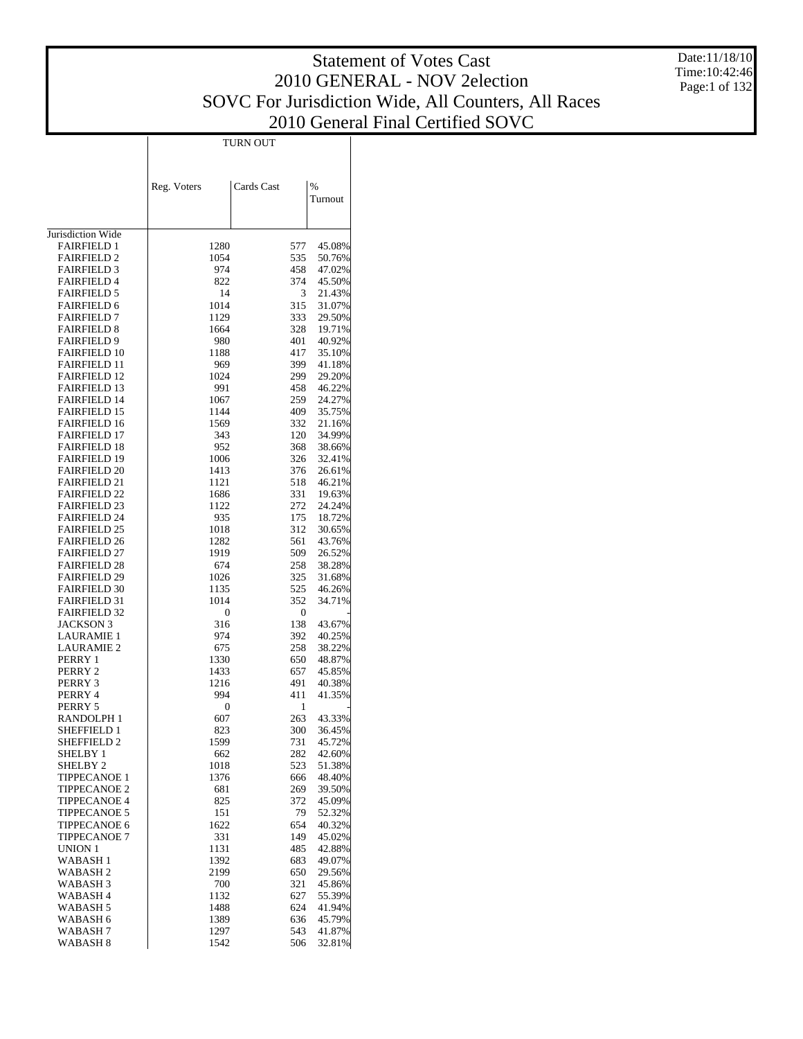Date:11/18/10 Time:10:42:46 Page:1 of 132

| ×<br>۹<br>۹ |
|-------------|
|-------------|

| Cards Cast<br>%<br>Reg. Voters<br>Turnout<br>Jurisdiction Wide<br><b>FAIRFIELD 1</b><br>1280<br>577<br>45.08%<br><b>FAIRFIELD 2</b><br>535<br>1054<br>50.76%<br><b>FAIRFIELD 3</b><br>974<br>458<br>47.02%<br><b>FAIRFIELD 4</b><br>374<br>822<br>45.50%<br><b>FAIRFIELD 5</b><br>14<br>3<br>21.43%<br><b>FAIRFIELD 6</b><br>1014<br>315<br>31.07%<br>333<br><b>FAIRFIELD 7</b><br>1129<br>29.50%<br><b>FAIRFIELD 8</b><br>328<br>1664<br>19.71%<br><b>FAIRFIELD 9</b><br>401<br>980<br>40.92%<br><b>FAIRFIELD 10</b><br>417<br>1188<br>35.10%<br><b>FAIRFIELD 11</b><br>399<br>41.18%<br>969<br><b>FAIRFIELD 12</b><br>1024<br>299<br>29.20%<br><b>FAIRFIELD 13</b><br>991<br>458<br>46.22%<br><b>FAIRFIELD 14</b><br>259<br>1067<br>24.27%<br><b>FAIRFIELD 15</b><br>409<br>1144<br>35.75%<br><b>FAIRFIELD 16</b><br>332<br>1569<br>21.16%<br><b>FAIRFIELD 17</b><br>343<br>120<br>34.99%<br><b>FAIRFIELD 18</b><br>368<br>952<br>38.66%<br><b>FAIRFIELD 19</b><br>326<br>1006<br>32.41%<br>376<br><b>FAIRFIELD 20</b><br>1413<br>26.61%<br><b>FAIRFIELD 21</b><br>518<br>1121<br>46.21%<br>331<br><b>FAIRFIELD 22</b><br>1686<br>19.63%<br>272<br><b>FAIRFIELD 23</b><br>1122<br>24.24%<br><b>FAIRFIELD 24</b><br>935<br>175<br>18.72%<br><b>FAIRFIELD 25</b><br>312<br>1018<br>30.65%<br><b>FAIRFIELD 26</b><br>561<br>1282<br>43.76%<br>1919<br>509<br><b>FAIRFIELD 27</b><br>26.52%<br><b>FAIRFIELD 28</b><br>674<br>258<br>38.28%<br>325<br><b>FAIRFIELD 29</b><br>1026<br>31.68%<br><b>FAIRFIELD 30</b><br>1135<br>525<br>46.26%<br>352<br>34.71%<br><b>FAIRFIELD 31</b><br>1014<br><b>FAIRFIELD 32</b><br>0<br>0<br><b>JACKSON 3</b><br>138<br>316<br>43.67%<br>LAURAMIE 1<br>974<br>392<br>40.25%<br>258<br>LAURAMIE 2<br>675<br>38.22%<br>650<br>PERRY 1<br>1330<br>48.87%<br>PERRY 2<br>1433<br>657<br>45.85%<br>491<br>PERRY 3<br>1216<br>40.38%<br>994<br>411<br>41.35%<br>PERRY 4<br>PERRY 5<br>0<br>1<br>263<br>RANDOLPH 1<br>607<br>43.33%<br>SHEFFIELD 1<br>823<br>300<br>36.45%<br>1599<br>731<br><b>SHEFFIELD 2</b><br>45.72%<br>SHELBY 1<br>42.60%<br>662<br>282<br>SHELBY <sub>2</sub><br>1018<br>523<br>51.38%<br><b>TIPPECANOE 1</b><br>1376<br>666<br>48.40%<br><b>TIPPECANOE 2</b><br>681<br>269<br>39.50%<br><b>TIPPECANOE 4</b><br>825<br>372<br>45.09%<br>79<br><b>TIPPECANOE 5</b><br>151<br>52.32%<br>TIPPECANOE 6<br>1622<br>654<br>40.32%<br><b>TIPPECANOE 7</b><br>331<br>149<br>45.02%<br><b>UNION 1</b><br>1131<br>485<br>42.88%<br>WABASH 1<br>1392<br>683<br>49.07%<br><b>WABASH2</b><br>2199<br>650<br>29.56%<br>WABASH 3<br>700<br>321<br>45.86%<br>WABASH <sub>4</sub><br>1132<br>627<br>55.39%<br>WABASH 5<br>1488<br>624<br>41.94%<br>WABASH 6<br>1389<br>636<br>45.79%<br>WABASH 7<br>1297<br>543<br>41.87%<br>WABASH 8<br>1542<br>506<br>32.81% |  |  |
|----------------------------------------------------------------------------------------------------------------------------------------------------------------------------------------------------------------------------------------------------------------------------------------------------------------------------------------------------------------------------------------------------------------------------------------------------------------------------------------------------------------------------------------------------------------------------------------------------------------------------------------------------------------------------------------------------------------------------------------------------------------------------------------------------------------------------------------------------------------------------------------------------------------------------------------------------------------------------------------------------------------------------------------------------------------------------------------------------------------------------------------------------------------------------------------------------------------------------------------------------------------------------------------------------------------------------------------------------------------------------------------------------------------------------------------------------------------------------------------------------------------------------------------------------------------------------------------------------------------------------------------------------------------------------------------------------------------------------------------------------------------------------------------------------------------------------------------------------------------------------------------------------------------------------------------------------------------------------------------------------------------------------------------------------------------------------------------------------------------------------------------------------------------------------------------------------------------------------------------------------------------------------------------------------------------------------------------------------------------------------------------------------------------------------------------------------------------------------------------------------------------------------------------------------------------------------------------------------------------------------------------------------------------------------------------------------------------------------------------------------------------------------------------------|--|--|
|                                                                                                                                                                                                                                                                                                                                                                                                                                                                                                                                                                                                                                                                                                                                                                                                                                                                                                                                                                                                                                                                                                                                                                                                                                                                                                                                                                                                                                                                                                                                                                                                                                                                                                                                                                                                                                                                                                                                                                                                                                                                                                                                                                                                                                                                                                                                                                                                                                                                                                                                                                                                                                                                                                                                                                                              |  |  |
|                                                                                                                                                                                                                                                                                                                                                                                                                                                                                                                                                                                                                                                                                                                                                                                                                                                                                                                                                                                                                                                                                                                                                                                                                                                                                                                                                                                                                                                                                                                                                                                                                                                                                                                                                                                                                                                                                                                                                                                                                                                                                                                                                                                                                                                                                                                                                                                                                                                                                                                                                                                                                                                                                                                                                                                              |  |  |
|                                                                                                                                                                                                                                                                                                                                                                                                                                                                                                                                                                                                                                                                                                                                                                                                                                                                                                                                                                                                                                                                                                                                                                                                                                                                                                                                                                                                                                                                                                                                                                                                                                                                                                                                                                                                                                                                                                                                                                                                                                                                                                                                                                                                                                                                                                                                                                                                                                                                                                                                                                                                                                                                                                                                                                                              |  |  |
|                                                                                                                                                                                                                                                                                                                                                                                                                                                                                                                                                                                                                                                                                                                                                                                                                                                                                                                                                                                                                                                                                                                                                                                                                                                                                                                                                                                                                                                                                                                                                                                                                                                                                                                                                                                                                                                                                                                                                                                                                                                                                                                                                                                                                                                                                                                                                                                                                                                                                                                                                                                                                                                                                                                                                                                              |  |  |
|                                                                                                                                                                                                                                                                                                                                                                                                                                                                                                                                                                                                                                                                                                                                                                                                                                                                                                                                                                                                                                                                                                                                                                                                                                                                                                                                                                                                                                                                                                                                                                                                                                                                                                                                                                                                                                                                                                                                                                                                                                                                                                                                                                                                                                                                                                                                                                                                                                                                                                                                                                                                                                                                                                                                                                                              |  |  |
|                                                                                                                                                                                                                                                                                                                                                                                                                                                                                                                                                                                                                                                                                                                                                                                                                                                                                                                                                                                                                                                                                                                                                                                                                                                                                                                                                                                                                                                                                                                                                                                                                                                                                                                                                                                                                                                                                                                                                                                                                                                                                                                                                                                                                                                                                                                                                                                                                                                                                                                                                                                                                                                                                                                                                                                              |  |  |
|                                                                                                                                                                                                                                                                                                                                                                                                                                                                                                                                                                                                                                                                                                                                                                                                                                                                                                                                                                                                                                                                                                                                                                                                                                                                                                                                                                                                                                                                                                                                                                                                                                                                                                                                                                                                                                                                                                                                                                                                                                                                                                                                                                                                                                                                                                                                                                                                                                                                                                                                                                                                                                                                                                                                                                                              |  |  |
|                                                                                                                                                                                                                                                                                                                                                                                                                                                                                                                                                                                                                                                                                                                                                                                                                                                                                                                                                                                                                                                                                                                                                                                                                                                                                                                                                                                                                                                                                                                                                                                                                                                                                                                                                                                                                                                                                                                                                                                                                                                                                                                                                                                                                                                                                                                                                                                                                                                                                                                                                                                                                                                                                                                                                                                              |  |  |
|                                                                                                                                                                                                                                                                                                                                                                                                                                                                                                                                                                                                                                                                                                                                                                                                                                                                                                                                                                                                                                                                                                                                                                                                                                                                                                                                                                                                                                                                                                                                                                                                                                                                                                                                                                                                                                                                                                                                                                                                                                                                                                                                                                                                                                                                                                                                                                                                                                                                                                                                                                                                                                                                                                                                                                                              |  |  |
|                                                                                                                                                                                                                                                                                                                                                                                                                                                                                                                                                                                                                                                                                                                                                                                                                                                                                                                                                                                                                                                                                                                                                                                                                                                                                                                                                                                                                                                                                                                                                                                                                                                                                                                                                                                                                                                                                                                                                                                                                                                                                                                                                                                                                                                                                                                                                                                                                                                                                                                                                                                                                                                                                                                                                                                              |  |  |
|                                                                                                                                                                                                                                                                                                                                                                                                                                                                                                                                                                                                                                                                                                                                                                                                                                                                                                                                                                                                                                                                                                                                                                                                                                                                                                                                                                                                                                                                                                                                                                                                                                                                                                                                                                                                                                                                                                                                                                                                                                                                                                                                                                                                                                                                                                                                                                                                                                                                                                                                                                                                                                                                                                                                                                                              |  |  |
|                                                                                                                                                                                                                                                                                                                                                                                                                                                                                                                                                                                                                                                                                                                                                                                                                                                                                                                                                                                                                                                                                                                                                                                                                                                                                                                                                                                                                                                                                                                                                                                                                                                                                                                                                                                                                                                                                                                                                                                                                                                                                                                                                                                                                                                                                                                                                                                                                                                                                                                                                                                                                                                                                                                                                                                              |  |  |
|                                                                                                                                                                                                                                                                                                                                                                                                                                                                                                                                                                                                                                                                                                                                                                                                                                                                                                                                                                                                                                                                                                                                                                                                                                                                                                                                                                                                                                                                                                                                                                                                                                                                                                                                                                                                                                                                                                                                                                                                                                                                                                                                                                                                                                                                                                                                                                                                                                                                                                                                                                                                                                                                                                                                                                                              |  |  |
|                                                                                                                                                                                                                                                                                                                                                                                                                                                                                                                                                                                                                                                                                                                                                                                                                                                                                                                                                                                                                                                                                                                                                                                                                                                                                                                                                                                                                                                                                                                                                                                                                                                                                                                                                                                                                                                                                                                                                                                                                                                                                                                                                                                                                                                                                                                                                                                                                                                                                                                                                                                                                                                                                                                                                                                              |  |  |
|                                                                                                                                                                                                                                                                                                                                                                                                                                                                                                                                                                                                                                                                                                                                                                                                                                                                                                                                                                                                                                                                                                                                                                                                                                                                                                                                                                                                                                                                                                                                                                                                                                                                                                                                                                                                                                                                                                                                                                                                                                                                                                                                                                                                                                                                                                                                                                                                                                                                                                                                                                                                                                                                                                                                                                                              |  |  |
|                                                                                                                                                                                                                                                                                                                                                                                                                                                                                                                                                                                                                                                                                                                                                                                                                                                                                                                                                                                                                                                                                                                                                                                                                                                                                                                                                                                                                                                                                                                                                                                                                                                                                                                                                                                                                                                                                                                                                                                                                                                                                                                                                                                                                                                                                                                                                                                                                                                                                                                                                                                                                                                                                                                                                                                              |  |  |
|                                                                                                                                                                                                                                                                                                                                                                                                                                                                                                                                                                                                                                                                                                                                                                                                                                                                                                                                                                                                                                                                                                                                                                                                                                                                                                                                                                                                                                                                                                                                                                                                                                                                                                                                                                                                                                                                                                                                                                                                                                                                                                                                                                                                                                                                                                                                                                                                                                                                                                                                                                                                                                                                                                                                                                                              |  |  |
|                                                                                                                                                                                                                                                                                                                                                                                                                                                                                                                                                                                                                                                                                                                                                                                                                                                                                                                                                                                                                                                                                                                                                                                                                                                                                                                                                                                                                                                                                                                                                                                                                                                                                                                                                                                                                                                                                                                                                                                                                                                                                                                                                                                                                                                                                                                                                                                                                                                                                                                                                                                                                                                                                                                                                                                              |  |  |
|                                                                                                                                                                                                                                                                                                                                                                                                                                                                                                                                                                                                                                                                                                                                                                                                                                                                                                                                                                                                                                                                                                                                                                                                                                                                                                                                                                                                                                                                                                                                                                                                                                                                                                                                                                                                                                                                                                                                                                                                                                                                                                                                                                                                                                                                                                                                                                                                                                                                                                                                                                                                                                                                                                                                                                                              |  |  |
|                                                                                                                                                                                                                                                                                                                                                                                                                                                                                                                                                                                                                                                                                                                                                                                                                                                                                                                                                                                                                                                                                                                                                                                                                                                                                                                                                                                                                                                                                                                                                                                                                                                                                                                                                                                                                                                                                                                                                                                                                                                                                                                                                                                                                                                                                                                                                                                                                                                                                                                                                                                                                                                                                                                                                                                              |  |  |
|                                                                                                                                                                                                                                                                                                                                                                                                                                                                                                                                                                                                                                                                                                                                                                                                                                                                                                                                                                                                                                                                                                                                                                                                                                                                                                                                                                                                                                                                                                                                                                                                                                                                                                                                                                                                                                                                                                                                                                                                                                                                                                                                                                                                                                                                                                                                                                                                                                                                                                                                                                                                                                                                                                                                                                                              |  |  |
|                                                                                                                                                                                                                                                                                                                                                                                                                                                                                                                                                                                                                                                                                                                                                                                                                                                                                                                                                                                                                                                                                                                                                                                                                                                                                                                                                                                                                                                                                                                                                                                                                                                                                                                                                                                                                                                                                                                                                                                                                                                                                                                                                                                                                                                                                                                                                                                                                                                                                                                                                                                                                                                                                                                                                                                              |  |  |
|                                                                                                                                                                                                                                                                                                                                                                                                                                                                                                                                                                                                                                                                                                                                                                                                                                                                                                                                                                                                                                                                                                                                                                                                                                                                                                                                                                                                                                                                                                                                                                                                                                                                                                                                                                                                                                                                                                                                                                                                                                                                                                                                                                                                                                                                                                                                                                                                                                                                                                                                                                                                                                                                                                                                                                                              |  |  |
|                                                                                                                                                                                                                                                                                                                                                                                                                                                                                                                                                                                                                                                                                                                                                                                                                                                                                                                                                                                                                                                                                                                                                                                                                                                                                                                                                                                                                                                                                                                                                                                                                                                                                                                                                                                                                                                                                                                                                                                                                                                                                                                                                                                                                                                                                                                                                                                                                                                                                                                                                                                                                                                                                                                                                                                              |  |  |
|                                                                                                                                                                                                                                                                                                                                                                                                                                                                                                                                                                                                                                                                                                                                                                                                                                                                                                                                                                                                                                                                                                                                                                                                                                                                                                                                                                                                                                                                                                                                                                                                                                                                                                                                                                                                                                                                                                                                                                                                                                                                                                                                                                                                                                                                                                                                                                                                                                                                                                                                                                                                                                                                                                                                                                                              |  |  |
|                                                                                                                                                                                                                                                                                                                                                                                                                                                                                                                                                                                                                                                                                                                                                                                                                                                                                                                                                                                                                                                                                                                                                                                                                                                                                                                                                                                                                                                                                                                                                                                                                                                                                                                                                                                                                                                                                                                                                                                                                                                                                                                                                                                                                                                                                                                                                                                                                                                                                                                                                                                                                                                                                                                                                                                              |  |  |
|                                                                                                                                                                                                                                                                                                                                                                                                                                                                                                                                                                                                                                                                                                                                                                                                                                                                                                                                                                                                                                                                                                                                                                                                                                                                                                                                                                                                                                                                                                                                                                                                                                                                                                                                                                                                                                                                                                                                                                                                                                                                                                                                                                                                                                                                                                                                                                                                                                                                                                                                                                                                                                                                                                                                                                                              |  |  |
|                                                                                                                                                                                                                                                                                                                                                                                                                                                                                                                                                                                                                                                                                                                                                                                                                                                                                                                                                                                                                                                                                                                                                                                                                                                                                                                                                                                                                                                                                                                                                                                                                                                                                                                                                                                                                                                                                                                                                                                                                                                                                                                                                                                                                                                                                                                                                                                                                                                                                                                                                                                                                                                                                                                                                                                              |  |  |
|                                                                                                                                                                                                                                                                                                                                                                                                                                                                                                                                                                                                                                                                                                                                                                                                                                                                                                                                                                                                                                                                                                                                                                                                                                                                                                                                                                                                                                                                                                                                                                                                                                                                                                                                                                                                                                                                                                                                                                                                                                                                                                                                                                                                                                                                                                                                                                                                                                                                                                                                                                                                                                                                                                                                                                                              |  |  |
|                                                                                                                                                                                                                                                                                                                                                                                                                                                                                                                                                                                                                                                                                                                                                                                                                                                                                                                                                                                                                                                                                                                                                                                                                                                                                                                                                                                                                                                                                                                                                                                                                                                                                                                                                                                                                                                                                                                                                                                                                                                                                                                                                                                                                                                                                                                                                                                                                                                                                                                                                                                                                                                                                                                                                                                              |  |  |
|                                                                                                                                                                                                                                                                                                                                                                                                                                                                                                                                                                                                                                                                                                                                                                                                                                                                                                                                                                                                                                                                                                                                                                                                                                                                                                                                                                                                                                                                                                                                                                                                                                                                                                                                                                                                                                                                                                                                                                                                                                                                                                                                                                                                                                                                                                                                                                                                                                                                                                                                                                                                                                                                                                                                                                                              |  |  |
|                                                                                                                                                                                                                                                                                                                                                                                                                                                                                                                                                                                                                                                                                                                                                                                                                                                                                                                                                                                                                                                                                                                                                                                                                                                                                                                                                                                                                                                                                                                                                                                                                                                                                                                                                                                                                                                                                                                                                                                                                                                                                                                                                                                                                                                                                                                                                                                                                                                                                                                                                                                                                                                                                                                                                                                              |  |  |
|                                                                                                                                                                                                                                                                                                                                                                                                                                                                                                                                                                                                                                                                                                                                                                                                                                                                                                                                                                                                                                                                                                                                                                                                                                                                                                                                                                                                                                                                                                                                                                                                                                                                                                                                                                                                                                                                                                                                                                                                                                                                                                                                                                                                                                                                                                                                                                                                                                                                                                                                                                                                                                                                                                                                                                                              |  |  |
|                                                                                                                                                                                                                                                                                                                                                                                                                                                                                                                                                                                                                                                                                                                                                                                                                                                                                                                                                                                                                                                                                                                                                                                                                                                                                                                                                                                                                                                                                                                                                                                                                                                                                                                                                                                                                                                                                                                                                                                                                                                                                                                                                                                                                                                                                                                                                                                                                                                                                                                                                                                                                                                                                                                                                                                              |  |  |
|                                                                                                                                                                                                                                                                                                                                                                                                                                                                                                                                                                                                                                                                                                                                                                                                                                                                                                                                                                                                                                                                                                                                                                                                                                                                                                                                                                                                                                                                                                                                                                                                                                                                                                                                                                                                                                                                                                                                                                                                                                                                                                                                                                                                                                                                                                                                                                                                                                                                                                                                                                                                                                                                                                                                                                                              |  |  |
|                                                                                                                                                                                                                                                                                                                                                                                                                                                                                                                                                                                                                                                                                                                                                                                                                                                                                                                                                                                                                                                                                                                                                                                                                                                                                                                                                                                                                                                                                                                                                                                                                                                                                                                                                                                                                                                                                                                                                                                                                                                                                                                                                                                                                                                                                                                                                                                                                                                                                                                                                                                                                                                                                                                                                                                              |  |  |
|                                                                                                                                                                                                                                                                                                                                                                                                                                                                                                                                                                                                                                                                                                                                                                                                                                                                                                                                                                                                                                                                                                                                                                                                                                                                                                                                                                                                                                                                                                                                                                                                                                                                                                                                                                                                                                                                                                                                                                                                                                                                                                                                                                                                                                                                                                                                                                                                                                                                                                                                                                                                                                                                                                                                                                                              |  |  |
|                                                                                                                                                                                                                                                                                                                                                                                                                                                                                                                                                                                                                                                                                                                                                                                                                                                                                                                                                                                                                                                                                                                                                                                                                                                                                                                                                                                                                                                                                                                                                                                                                                                                                                                                                                                                                                                                                                                                                                                                                                                                                                                                                                                                                                                                                                                                                                                                                                                                                                                                                                                                                                                                                                                                                                                              |  |  |
|                                                                                                                                                                                                                                                                                                                                                                                                                                                                                                                                                                                                                                                                                                                                                                                                                                                                                                                                                                                                                                                                                                                                                                                                                                                                                                                                                                                                                                                                                                                                                                                                                                                                                                                                                                                                                                                                                                                                                                                                                                                                                                                                                                                                                                                                                                                                                                                                                                                                                                                                                                                                                                                                                                                                                                                              |  |  |
|                                                                                                                                                                                                                                                                                                                                                                                                                                                                                                                                                                                                                                                                                                                                                                                                                                                                                                                                                                                                                                                                                                                                                                                                                                                                                                                                                                                                                                                                                                                                                                                                                                                                                                                                                                                                                                                                                                                                                                                                                                                                                                                                                                                                                                                                                                                                                                                                                                                                                                                                                                                                                                                                                                                                                                                              |  |  |
|                                                                                                                                                                                                                                                                                                                                                                                                                                                                                                                                                                                                                                                                                                                                                                                                                                                                                                                                                                                                                                                                                                                                                                                                                                                                                                                                                                                                                                                                                                                                                                                                                                                                                                                                                                                                                                                                                                                                                                                                                                                                                                                                                                                                                                                                                                                                                                                                                                                                                                                                                                                                                                                                                                                                                                                              |  |  |
|                                                                                                                                                                                                                                                                                                                                                                                                                                                                                                                                                                                                                                                                                                                                                                                                                                                                                                                                                                                                                                                                                                                                                                                                                                                                                                                                                                                                                                                                                                                                                                                                                                                                                                                                                                                                                                                                                                                                                                                                                                                                                                                                                                                                                                                                                                                                                                                                                                                                                                                                                                                                                                                                                                                                                                                              |  |  |
|                                                                                                                                                                                                                                                                                                                                                                                                                                                                                                                                                                                                                                                                                                                                                                                                                                                                                                                                                                                                                                                                                                                                                                                                                                                                                                                                                                                                                                                                                                                                                                                                                                                                                                                                                                                                                                                                                                                                                                                                                                                                                                                                                                                                                                                                                                                                                                                                                                                                                                                                                                                                                                                                                                                                                                                              |  |  |
|                                                                                                                                                                                                                                                                                                                                                                                                                                                                                                                                                                                                                                                                                                                                                                                                                                                                                                                                                                                                                                                                                                                                                                                                                                                                                                                                                                                                                                                                                                                                                                                                                                                                                                                                                                                                                                                                                                                                                                                                                                                                                                                                                                                                                                                                                                                                                                                                                                                                                                                                                                                                                                                                                                                                                                                              |  |  |
|                                                                                                                                                                                                                                                                                                                                                                                                                                                                                                                                                                                                                                                                                                                                                                                                                                                                                                                                                                                                                                                                                                                                                                                                                                                                                                                                                                                                                                                                                                                                                                                                                                                                                                                                                                                                                                                                                                                                                                                                                                                                                                                                                                                                                                                                                                                                                                                                                                                                                                                                                                                                                                                                                                                                                                                              |  |  |
|                                                                                                                                                                                                                                                                                                                                                                                                                                                                                                                                                                                                                                                                                                                                                                                                                                                                                                                                                                                                                                                                                                                                                                                                                                                                                                                                                                                                                                                                                                                                                                                                                                                                                                                                                                                                                                                                                                                                                                                                                                                                                                                                                                                                                                                                                                                                                                                                                                                                                                                                                                                                                                                                                                                                                                                              |  |  |
|                                                                                                                                                                                                                                                                                                                                                                                                                                                                                                                                                                                                                                                                                                                                                                                                                                                                                                                                                                                                                                                                                                                                                                                                                                                                                                                                                                                                                                                                                                                                                                                                                                                                                                                                                                                                                                                                                                                                                                                                                                                                                                                                                                                                                                                                                                                                                                                                                                                                                                                                                                                                                                                                                                                                                                                              |  |  |
|                                                                                                                                                                                                                                                                                                                                                                                                                                                                                                                                                                                                                                                                                                                                                                                                                                                                                                                                                                                                                                                                                                                                                                                                                                                                                                                                                                                                                                                                                                                                                                                                                                                                                                                                                                                                                                                                                                                                                                                                                                                                                                                                                                                                                                                                                                                                                                                                                                                                                                                                                                                                                                                                                                                                                                                              |  |  |
|                                                                                                                                                                                                                                                                                                                                                                                                                                                                                                                                                                                                                                                                                                                                                                                                                                                                                                                                                                                                                                                                                                                                                                                                                                                                                                                                                                                                                                                                                                                                                                                                                                                                                                                                                                                                                                                                                                                                                                                                                                                                                                                                                                                                                                                                                                                                                                                                                                                                                                                                                                                                                                                                                                                                                                                              |  |  |
|                                                                                                                                                                                                                                                                                                                                                                                                                                                                                                                                                                                                                                                                                                                                                                                                                                                                                                                                                                                                                                                                                                                                                                                                                                                                                                                                                                                                                                                                                                                                                                                                                                                                                                                                                                                                                                                                                                                                                                                                                                                                                                                                                                                                                                                                                                                                                                                                                                                                                                                                                                                                                                                                                                                                                                                              |  |  |
|                                                                                                                                                                                                                                                                                                                                                                                                                                                                                                                                                                                                                                                                                                                                                                                                                                                                                                                                                                                                                                                                                                                                                                                                                                                                                                                                                                                                                                                                                                                                                                                                                                                                                                                                                                                                                                                                                                                                                                                                                                                                                                                                                                                                                                                                                                                                                                                                                                                                                                                                                                                                                                                                                                                                                                                              |  |  |
|                                                                                                                                                                                                                                                                                                                                                                                                                                                                                                                                                                                                                                                                                                                                                                                                                                                                                                                                                                                                                                                                                                                                                                                                                                                                                                                                                                                                                                                                                                                                                                                                                                                                                                                                                                                                                                                                                                                                                                                                                                                                                                                                                                                                                                                                                                                                                                                                                                                                                                                                                                                                                                                                                                                                                                                              |  |  |
|                                                                                                                                                                                                                                                                                                                                                                                                                                                                                                                                                                                                                                                                                                                                                                                                                                                                                                                                                                                                                                                                                                                                                                                                                                                                                                                                                                                                                                                                                                                                                                                                                                                                                                                                                                                                                                                                                                                                                                                                                                                                                                                                                                                                                                                                                                                                                                                                                                                                                                                                                                                                                                                                                                                                                                                              |  |  |
|                                                                                                                                                                                                                                                                                                                                                                                                                                                                                                                                                                                                                                                                                                                                                                                                                                                                                                                                                                                                                                                                                                                                                                                                                                                                                                                                                                                                                                                                                                                                                                                                                                                                                                                                                                                                                                                                                                                                                                                                                                                                                                                                                                                                                                                                                                                                                                                                                                                                                                                                                                                                                                                                                                                                                                                              |  |  |
|                                                                                                                                                                                                                                                                                                                                                                                                                                                                                                                                                                                                                                                                                                                                                                                                                                                                                                                                                                                                                                                                                                                                                                                                                                                                                                                                                                                                                                                                                                                                                                                                                                                                                                                                                                                                                                                                                                                                                                                                                                                                                                                                                                                                                                                                                                                                                                                                                                                                                                                                                                                                                                                                                                                                                                                              |  |  |
|                                                                                                                                                                                                                                                                                                                                                                                                                                                                                                                                                                                                                                                                                                                                                                                                                                                                                                                                                                                                                                                                                                                                                                                                                                                                                                                                                                                                                                                                                                                                                                                                                                                                                                                                                                                                                                                                                                                                                                                                                                                                                                                                                                                                                                                                                                                                                                                                                                                                                                                                                                                                                                                                                                                                                                                              |  |  |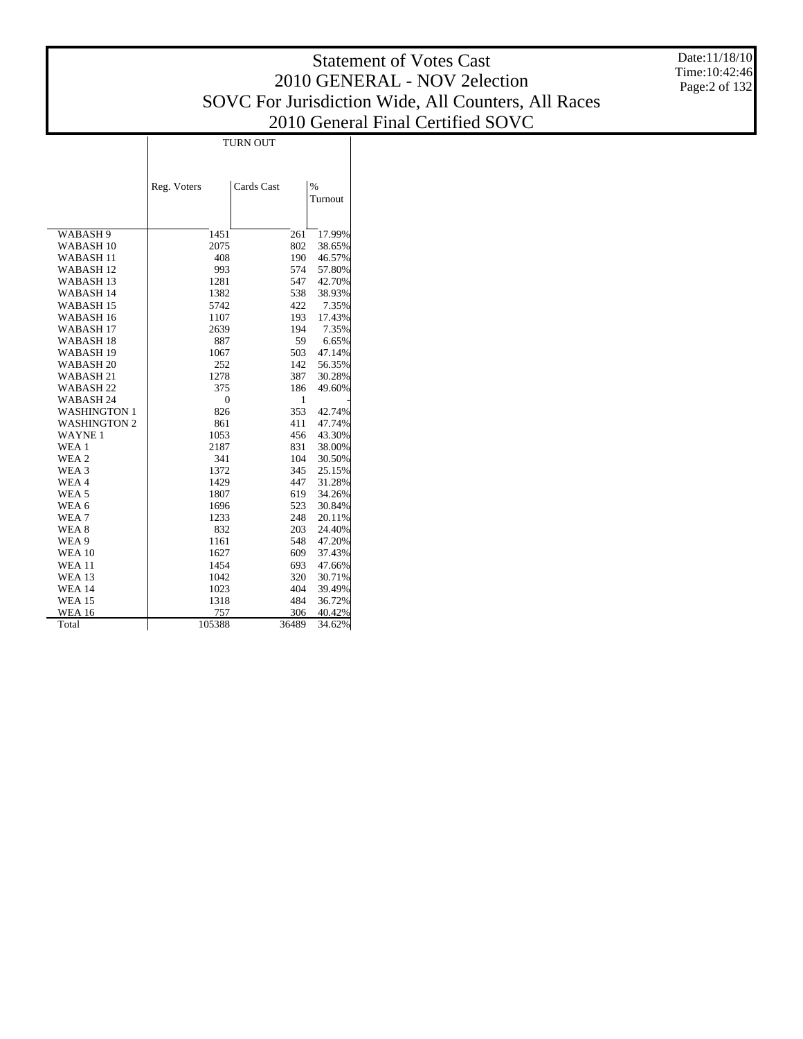TURN OUT

|                      | Reg. Voters    | Cards Cast | $\%$<br>Turnout |
|----------------------|----------------|------------|-----------------|
|                      |                |            |                 |
| WABASH <sub>9</sub>  | 1451           | 261        | 17.99%          |
| WABASH <sub>10</sub> | 2075           | 802        | 38.65%          |
| WABASH <sub>11</sub> | 408            | 190        | 46.57%          |
| WABASH <sub>12</sub> | 993            | 574        | 57.80%          |
| <b>WABASH13</b>      | 1281           | 547        | 42.70%          |
| <b>WABASH14</b>      | 1382           | 538        | 38.93%          |
| <b>WABASH15</b>      | 5742           | 422        | 7.35%           |
| WABASH <sub>16</sub> | 1107           | 193        | 17.43%          |
| WABASH <sub>17</sub> | 2639           | 194        | 7.35%           |
| <b>WABASH18</b>      | 887            | 59         | 6.65%           |
| WABASH <sub>19</sub> | 1067           | 503        | 47.14%          |
| WABASH <sub>20</sub> | 252            | 142        | 56.35%          |
| WABASH <sub>21</sub> | 1278           | 387        | 30.28%          |
| WABASH <sub>22</sub> | 375            | 186        | 49.60%          |
| WABASH <sub>24</sub> | $\overline{0}$ | 1          |                 |
| <b>WASHINGTON 1</b>  | 826            | 353        | 42.74%          |
| <b>WASHINGTON 2</b>  | 861            | 411        | 47.74%          |
| <b>WAYNE1</b>        | 1053           | 456        | 43.30%          |
| WEA 1                | 2187           | 831        | 38.00%          |
| WEA 2                | 341            | 104        | 30.50%          |
| WEA <sub>3</sub>     | 1372           | 345        | 25.15%          |
| WEA4                 | 1429           | 447        | 31.28%          |
| WEA <sub>5</sub>     | 1807           | 619        | 34.26%          |
| WEA <sub>6</sub>     | 1696           | 523        | 30.84%          |
| WEA7                 | 1233           | 248        | 20.11%          |
| WEA <sub>8</sub>     | 832            | 203        | 24.40%          |
| WEA 9                | 1161           | 548        | 47.20%          |
| <b>WEA 10</b>        | 1627           | 609        | 37.43%          |
| <b>WEA 11</b>        | 1454           | 693        | 47.66%          |
| <b>WEA 13</b>        | 1042           | 320        | 30.71%          |
| <b>WEA 14</b>        | 1023           | 404        | 39.49%          |
| <b>WEA 15</b>        | 1318           | 484        | 36.72%          |
| <b>WEA 16</b>        | 757            | 306        | 40.42%          |
| Total                | 105388         | 36489      | 34.62%          |

Date:11/18/10 Time:10:42:46 Page:2 of 132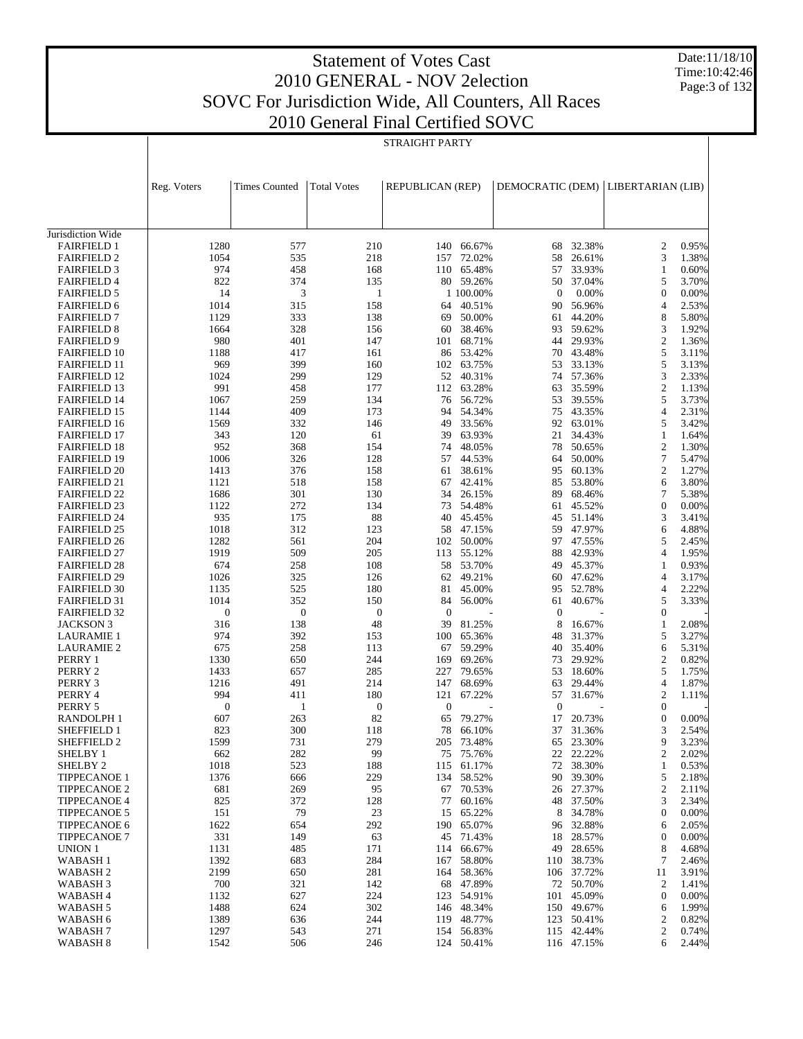Date:11/18/10 Time:10:42:46 Page:3 of 132

|                                            | <b>STRAIGHT PARTY</b> |                      |                    |                  |                        |                  |                  |                       |                |
|--------------------------------------------|-----------------------|----------------------|--------------------|------------------|------------------------|------------------|------------------|-----------------------|----------------|
|                                            | Reg. Voters           | <b>Times Counted</b> | <b>Total Votes</b> | REPUBLICAN (REP) |                        | DEMOCRATIC (DEM) |                  | LIBERTARIAN (LIB)     |                |
|                                            |                       |                      |                    |                  |                        |                  |                  |                       |                |
| Jurisdiction Wide<br><b>FAIRFIELD 1</b>    | 1280                  | 577                  | 210                | 140              | 66.67%                 | 68               | 32.38%           | 2                     | 0.95%          |
| <b>FAIRFIELD 2</b>                         | 1054                  | 535                  | 218                | 157              | 72.02%                 | 58               | 26.61%           | 3                     | 1.38%          |
| <b>FAIRFIELD 3</b>                         | 974                   | 458                  | 168                | 110              | 65.48%                 | 57               | 33.93%           | $\mathbf{1}$          | 0.60%          |
| <b>FAIRFIELD 4</b>                         | 822                   | 374                  | 135                |                  | 80 59.26%              | 50               | 37.04%           | 5                     | 3.70%          |
| <b>FAIRFIELD 5</b>                         | 14                    | 3                    | $\mathbf{1}$       |                  | 1 100.00%              | $\mathbf{0}$     | 0.00%            | $\boldsymbol{0}$      | 0.00%          |
| <b>FAIRFIELD 6</b>                         | 1014                  | 315                  | 158                |                  | 64 40.51%              | 90               | 56.96%           | 4                     | 2.53%          |
| <b>FAIRFIELD 7</b>                         | 1129                  | 333                  | 138                | 69               | 50.00%                 | 61               | 44.20%           | 8                     | 5.80%          |
| <b>FAIRFIELD 8</b>                         | 1664                  | 328                  | 156                | 60               | 38.46%                 | 93               | 59.62%           | 3                     | 1.92%          |
| <b>FAIRFIELD 9</b>                         | 980                   | 401                  | 147                | 101              | 68.71%                 | 44               | 29.93%           | $\overline{c}$        | 1.36%          |
| <b>FAIRFIELD 10</b>                        | 1188                  | 417                  | 161                |                  | 86 53.42%              | 70               | 43.48%           | 5                     | 3.11%          |
| <b>FAIRFIELD 11</b>                        | 969                   | 399                  | 160                | 102              | 63.75%                 | 53               | 33.13%           | 5                     | 3.13%          |
| <b>FAIRFIELD 12</b>                        | 1024                  | 299                  | 129                |                  | 52 40.31%              | 74               | 57.36%           | 3                     | 2.33%          |
| <b>FAIRFIELD 13</b>                        | 991                   | 458                  | 177                | 112              | 63.28%                 | 63               | 35.59%           | $\overline{c}$        | 1.13%          |
| <b>FAIRFIELD 14</b>                        | 1067                  | 259                  | 134                |                  | 76 56.72%              | 53               | 39.55%           | 5                     | 3.73%          |
| <b>FAIRFIELD 15</b>                        | 1144                  | 409                  | 173                | 94               | 54.34%                 | 75               | 43.35%           | 4                     | 2.31%          |
| <b>FAIRFIELD 16</b>                        | 1569                  | 332                  | 146                |                  | 49 33.56%              | 92               | 63.01%           | 5                     | 3.42%          |
| <b>FAIRFIELD 17</b>                        | 343                   | 120                  | 61                 | 39               | 63.93%                 | 21               | 34.43%           | $\mathbf{1}$          | 1.64%          |
| <b>FAIRFIELD 18</b>                        | 952                   | 368                  | 154                |                  | 74 48.05%<br>57 44.53% | 78               | 50.65%<br>50.00% | 2<br>7                | 1.30%          |
| <b>FAIRFIELD 19</b>                        | 1006                  | 326<br>376           | 128<br>158         |                  | 38.61%                 | 64               | 60.13%           | 2                     | 5.47%<br>1.27% |
| <b>FAIRFIELD 20</b><br><b>FAIRFIELD 21</b> | 1413<br>1121          | 518                  | 158                | 61<br>67         | 42.41%                 | 95<br>85         | 53.80%           | 6                     | 3.80%          |
| <b>FAIRFIELD 22</b>                        | 1686                  | 301                  | 130                | 34               | 26.15%                 | 89               | 68.46%           | 7                     | 5.38%          |
| <b>FAIRFIELD 23</b>                        | 1122                  | 272                  | 134                | 73               | 54.48%                 | 61               | 45.52%           | $\boldsymbol{0}$      | 0.00%          |
| <b>FAIRFIELD 24</b>                        | 935                   | 175                  | 88                 |                  | 40 45.45%              | 45               | 51.14%           | 3                     | 3.41%          |
| <b>FAIRFIELD 25</b>                        | 1018                  | 312                  | 123                | 58               | 47.15%                 | 59               | 47.97%           | 6                     | 4.88%          |
| <b>FAIRFIELD 26</b>                        | 1282                  | 561                  | 204                | 102              | 50.00%                 |                  | 97 47.55%        | 5                     | 2.45%          |
| <b>FAIRFIELD 27</b>                        | 1919                  | 509                  | 205                | 113              | 55.12%                 | 88               | 42.93%           | 4                     | 1.95%          |
| <b>FAIRFIELD 28</b>                        | 674                   | 258                  | 108                |                  | 58 53.70%              | 49               | 45.37%           | 1                     | 0.93%          |
| <b>FAIRFIELD 29</b>                        | 1026                  | 325                  | 126                | 62               | 49.21%                 | 60               | 47.62%           | 4                     | 3.17%          |
| <b>FAIRFIELD 30</b>                        | 1135                  | 525                  | 180                | 81               | 45.00%                 | 95               | 52.78%           | 4                     | 2.22%          |
| <b>FAIRFIELD 31</b>                        | 1014                  | 352                  | 150                | 84               | 56.00%                 | 61               | 40.67%           | 5                     | 3.33%          |
| <b>FAIRFIELD 32</b>                        | $\boldsymbol{0}$      | $\mathbf{0}$         | $\mathbf{0}$       | $\mathbf{0}$     |                        | $\mathbf{0}$     |                  | $\boldsymbol{0}$      |                |
| JACKSON 3                                  | 316                   | 138                  | 48                 | 39               | 81.25%                 | 8                | 16.67%           | $\mathbf{1}$          | 2.08%          |
| <b>LAURAMIE 1</b>                          | 974                   | 392                  | 153                | 100              | 65.36%                 | 48               | 31.37%           | 5                     | 3.27%          |
| <b>LAURAMIE 2</b>                          | 675                   | 258                  | 113                | 67               | 59.29%                 | 40               | 35.40%           | 6                     | 5.31%          |
| PERRY 1                                    | 1330                  | 650                  | 244                | 169              | 69.26%                 | 73               | 29.92%           | 2                     | 0.82%          |
| PERRY 2                                    | 1433                  | 657<br>491           | 285<br>214         | 227<br>147       | 79.65%                 | 53<br>63         | 18.60%<br>29.44% | 5<br>4                | 1.75%          |
| PERRY 3<br>PERRY 4                         | 1216<br>994           | 411                  | 180                | 121              | 68.69%<br>67.22%       | 57               | 31.67%           | $\overline{2}$        | 1.87%<br>1.11% |
| PERRY 5                                    | $\boldsymbol{0}$      | 1                    | $\boldsymbol{0}$   | $\mathbf{0}$     |                        | $\mathbf{0}$     |                  | $\boldsymbol{0}$      |                |
| RANDOLPH 1                                 | 607                   | 263                  | 82                 | 65               | 79.27%                 | 17               | 20.73%           | $\overline{0}$        | 0.00%          |
| SHEFFIELD 1                                | 823                   | 300                  | 118                | 78               | 66.10%                 | 37               | 31.36%           | 3                     | 2.54%          |
| SHEFFIELD 2                                | 1599                  | 731                  | 279                | 205              | 73.48%                 | 65               | 23.30%           | 9                     | 3.23%          |
| SHELBY 1                                   | 662                   | 282                  | 99                 | 75               | 75.76%                 | 22               | 22.22%           | 2                     | 2.02%          |
| SHELBY <sub>2</sub>                        | 1018                  | 523                  | 188                | 115              | 61.17%                 | 72               | 38.30%           | $\mathbf{1}$          | 0.53%          |
| <b>TIPPECANOE 1</b>                        | 1376                  | 666                  | 229                | 134              | 58.52%                 | 90               | 39.30%           | 5                     | 2.18%          |
| TIPPECANOE 2                               | 681                   | 269                  | 95                 | 67               | 70.53%                 | 26               | 27.37%           | $\overline{c}$        | 2.11%          |
| TIPPECANOE 4                               | 825                   | 372                  | 128                | 77               | 60.16%                 | 48               | 37.50%           | 3                     | 2.34%          |
| <b>TIPPECANOE 5</b>                        | 151                   | 79                   | 23                 | 15               | 65.22%                 | 8                | 34.78%           | $\boldsymbol{0}$      | 0.00%          |
| <b>TIPPECANOE 6</b>                        | 1622                  | 654                  | 292                | 190              | 65.07%                 | 96               | 32.88%           | 6                     | 2.05%          |
| <b>TIPPECANOE 7</b>                        | 331                   | 149                  | 63                 | 45               | 71.43%                 | 18               | 28.57%           | $\boldsymbol{0}$      | 0.00%          |
| <b>UNION 1</b>                             | 1131                  | 485                  | 171                | 114              | 66.67%                 | 49               | 28.65%           | 8                     | 4.68%          |
| WABASH 1                                   | 1392                  | 683                  | 284                | 167              | 58.80%                 | 110              | 38.73%           | 7                     | 2.46%          |
| WABASH 2                                   | 2199<br>700           | 650                  | 281                | 164              | 58.36%                 | 106              | 37.72%           | 11                    | 3.91%          |
| WABASH 3                                   | 1132                  | 321<br>627           | 142<br>224         | 68<br>123        | 47.89%<br>54.91%       | 72<br>101        | 50.70%<br>45.09% | 2<br>$\boldsymbol{0}$ | 1.41%<br>0.00% |
| WABASH 4<br>WABASH 5                       | 1488                  | 624                  | 302                | 146              | 48.34%                 | 150              | 49.67%           | 6                     | 1.99%          |
| WABASH 6                                   | 1389                  | 636                  | 244                |                  | 119 48.77%             | 123              | 50.41%           | 2                     | 0.82%          |
| WABASH 7                                   | 1297                  | 543                  | 271                | 154              | 56.83%                 | 115              | 42.44%           | 2                     | 0.74%          |
| <b>WABASH 8</b>                            | 1542                  | 506                  | 246                |                  | 124 50.41%             |                  | 116 47.15%       | 6                     | 2.44%          |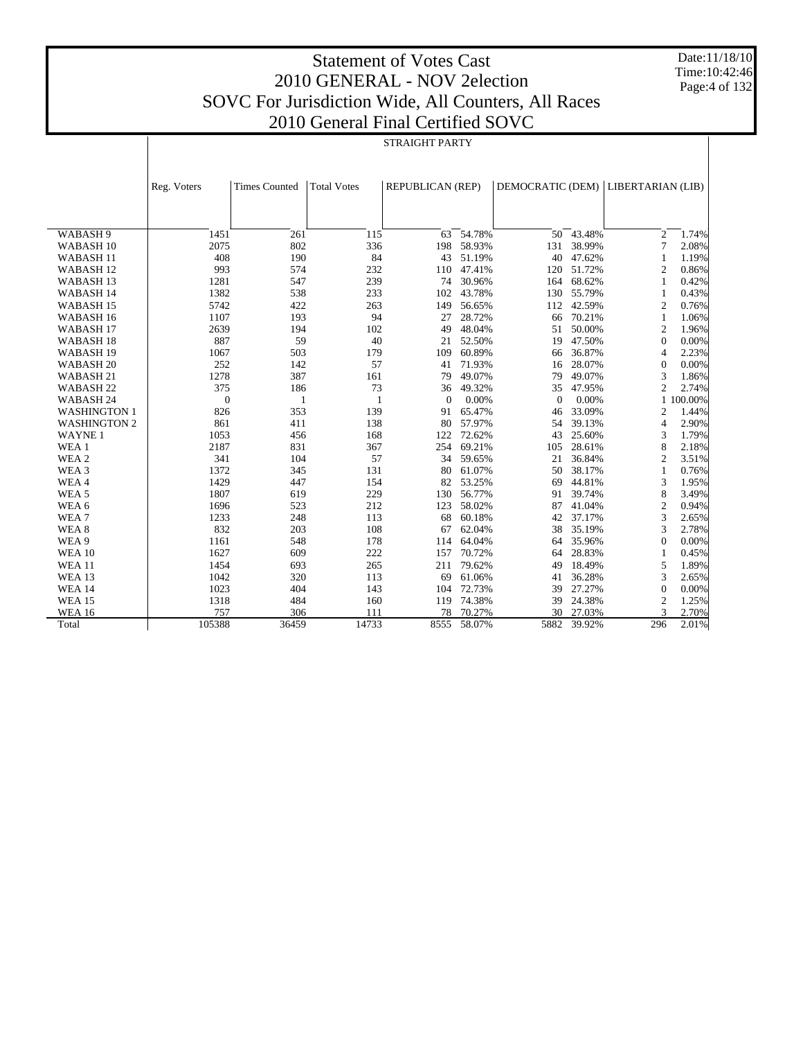Date:11/18/10 Time:10:42:46 Page:4 of 132

|                      | 2010 General Final Certified SO VC |                      |                    |                  |        |                  |             |                   |           |
|----------------------|------------------------------------|----------------------|--------------------|------------------|--------|------------------|-------------|-------------------|-----------|
|                      |                                    |                      |                    | STRAIGHT PARTY   |        |                  |             |                   |           |
|                      |                                    |                      |                    |                  |        |                  |             |                   |           |
|                      |                                    |                      |                    |                  |        |                  |             |                   |           |
|                      |                                    |                      |                    |                  |        |                  |             |                   |           |
|                      | Reg. Voters                        | <b>Times Counted</b> | <b>Total Votes</b> | REPUBLICAN (REP) |        | DEMOCRATIC (DEM) |             | LIBERTARIAN (LIB) |           |
|                      |                                    |                      |                    |                  |        |                  |             |                   |           |
|                      |                                    |                      |                    |                  |        |                  |             |                   |           |
| WABASH 9             | 1451                               | 261                  | 115                | 63               | 54.78% | 50               | 43.48%      | 2                 | 1.74%     |
| WABASH 10            | 2075                               | 802                  | 336                | 198              | 58.93% | 131              | 38.99%      | 7                 | 2.08%     |
| WABASH <sub>11</sub> | 408                                | 190                  | 84                 | 43               | 51.19% | 40               | 47.62%      | 1                 | 1.19%     |
| WABASH <sub>12</sub> | 993                                | 574                  | 232                | 110              | 47.41% | 120              | 51.72%      | $\overline{c}$    | 0.86%     |
| WABASH <sub>13</sub> | 1281                               | 547                  | 239                | 74               | 30.96% | 164              | 68.62%      | 1                 | 0.42%     |
| WABASH 14            | 1382                               | 538                  | 233                | 102              | 43.78% | 130              | 55.79%      | 1                 | 0.43%     |
| WABASH <sub>15</sub> | 5742                               | 422                  | 263                | 149              | 56.65% | 112              | 42.59%      | 2                 | 0.76%     |
| WABASH 16            | 1107                               | 193                  | 94                 | 27               | 28.72% | 66               | 70.21%      | 1                 | 1.06%     |
| WABASH <sub>17</sub> | 2639                               | 194                  | 102                | 49               | 48.04% | 51               | 50.00%      | 2                 | 1.96%     |
| WABASH <sub>18</sub> | 887                                | 59                   | 40                 | 21               | 52.50% | 19               | 47.50%      | $\mathbf{0}$      | 0.00%     |
| WABASH <sub>19</sub> | 1067                               | 503                  | 179                | 109              | 60.89% | 66               | 36.87%      | $\overline{4}$    | 2.23%     |
| WABASH <sub>20</sub> | 252                                | 142                  | 57                 | 41               | 71.93% | 16               | 28.07%      | $\theta$          | 0.00%     |
| WABASH 21            | 1278                               | 387                  | 161                | 79               | 49.07% | 79               | 49.07%      | 3                 | 1.86%     |
| WABASH <sub>22</sub> | 375                                | 186                  | 73                 | 36               | 49.32% | 35               | 47.95%      | 2                 | 2.74%     |
| WABASH 24            | $\boldsymbol{0}$                   | 1                    | 1                  | $\theta$         | 0.00%  | $\theta$         | 0.00%       |                   | 1 100.00% |
| <b>WASHINGTON 1</b>  | 826                                | 353                  | 139                | 91               | 65.47% | 46               | 33.09%      | 2                 | 1.44%     |
| <b>WASHINGTON 2</b>  | 861                                | 411                  | 138                | 80               | 57.97% | 54               | 39.13%      | 4                 | 2.90%     |
| <b>WAYNE1</b>        | 1053                               | 456                  | 168                | 122              | 72.62% | 43               | 25.60%      | 3                 | 1.79%     |
| WEA 1                | 2187                               | 831                  | 367                | 254              | 69.21% | 105              | 28.61%      | 8                 | 2.18%     |
| WEA <sub>2</sub>     | 341                                | 104                  | 57                 | 34               | 59.65% | 21               | 36.84%      | $\overline{c}$    | 3.51%     |
| WEA 3                | 1372                               | 345                  | 131                | 80               | 61.07% | 50               | 38.17%      | 1                 | 0.76%     |
| WEA4                 | 1429                               | 447                  | 154                | 82               | 53.25% | 69               | 44.81%      | 3                 | 1.95%     |
| WEA <sub>5</sub>     | 1807                               | 619                  | 229                | 130              | 56.77% | 91               | 39.74%      | 8                 | 3.49%     |
| WEA 6                | 1696                               | 523                  | 212                | 123              | 58.02% | 87               | 41.04%      | $\overline{c}$    | 0.94%     |
| WEA7                 | 1233                               | 248                  | 113                | 68               | 60.18% | 42               | 37.17%      | 3                 | 2.65%     |
| WEA <sub>8</sub>     | 832                                | 203                  | 108                | 67               | 62.04% | 38               | 35.19%      | 3                 | 2.78%     |
| WEA 9                | 1161                               | 548                  | 178                | 114              | 64.04% | 64               | 35.96%      | $\theta$          | 0.00%     |
| <b>WEA 10</b>        | 1627                               | 609                  | 222                | 157              | 70.72% | 64               | 28.83%      | 1                 | 0.45%     |
| <b>WEA 11</b>        | 1454                               | 693                  | 265                | 211              | 79.62% | 49               | 18.49%      | 5                 | 1.89%     |
| <b>WEA 13</b>        | 1042                               | 320                  | 113                | 69               | 61.06% | 41               | 36.28%      | 3                 | 2.65%     |
| <b>WEA 14</b>        | 1023                               | 404                  | 143                | 104              | 72.73% | 39               | 27.27%      | $\theta$          | 0.00%     |
| <b>WEA 15</b>        | 1318                               | 484                  | 160                | 119              | 74.38% | 39               | 24.38%      | $\overline{2}$    | 1.25%     |
| <b>WEA 16</b>        | 757                                | 306                  | 111                | 78               | 70.27% | 30               | 27.03%      | 3                 | 2.70%     |
| Total                | 105388                             | 36459                | 14733              | 8555             | 58.07% |                  | 5882 39.92% | 296               | 2.01%     |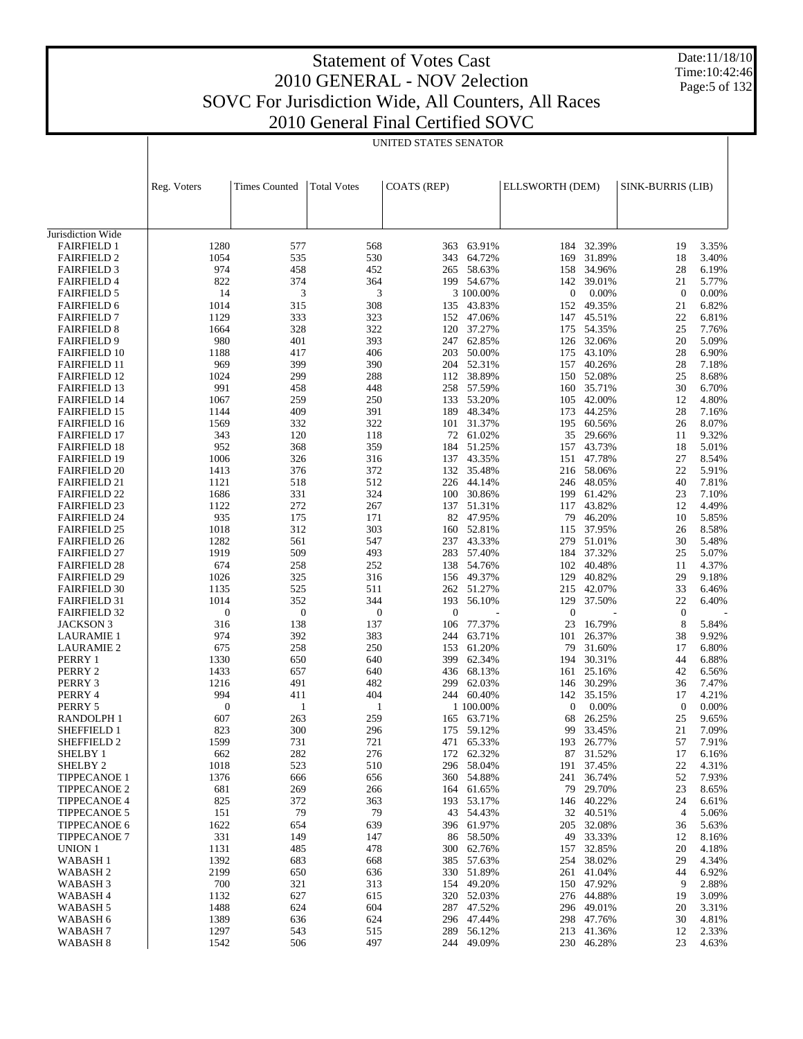# Statement of Votes Cast 2010 GENERAL - NOV 2election SOVC For Jurisdiction Wide, All Counters, All Races

Date:11/18/10 Time:10:42:46 Page:5 of 132

| JVC For Jurisdiction Wide, All Counters, All Races |
|----------------------------------------------------|
| 2010 General Final Certified SOVC                  |

|                                            | UNITED STATES SENATOR   |                         |                     |                     |                  |                         |                          |                    |                |
|--------------------------------------------|-------------------------|-------------------------|---------------------|---------------------|------------------|-------------------------|--------------------------|--------------------|----------------|
|                                            |                         |                         |                     |                     |                  |                         |                          |                    |                |
|                                            |                         |                         |                     |                     |                  |                         |                          |                    |                |
|                                            | Reg. Voters             | <b>Times Counted</b>    | <b>Total Votes</b>  | COATS (REP)         |                  | ELLSWORTH (DEM)         |                          | SINK-BURRIS (LIB)  |                |
|                                            |                         |                         |                     |                     |                  |                         |                          |                    |                |
|                                            |                         |                         |                     |                     |                  |                         |                          |                    |                |
|                                            |                         |                         |                     |                     |                  |                         |                          |                    |                |
| Jurisdiction Wide<br><b>FAIRFIELD 1</b>    | 1280                    | 577                     | 568                 | 363                 | 63.91%           | 184                     | 32.39%                   | 19                 | 3.35%          |
| <b>FAIRFIELD 2</b>                         | 1054                    | 535                     | 530                 | 343                 | 64.72%           | 169                     | 31.89%                   | 18                 | 3.40%          |
| <b>FAIRFIELD 3</b>                         | 974                     | 458                     | 452                 | 265 58.63%          |                  | 158                     | 34.96%                   | 28                 | 6.19%          |
| <b>FAIRFIELD 4</b>                         | 822                     | 374                     | 364                 | 199 54.67%          |                  | 142                     | 39.01%                   | 21                 | 5.77%          |
| <b>FAIRFIELD 5</b>                         | 14                      | 3                       | 3                   |                     | 3 100.00%        | $\boldsymbol{0}$        | 0.00%                    | $\mathbf{0}$       | 0.00%          |
| <b>FAIRFIELD 6</b>                         | 1014                    | 315                     | 308                 | 135                 | 43.83%           | 152                     | 49.35%                   | 21                 | 6.82%          |
| <b>FAIRFIELD 7</b>                         | 1129                    | 333                     | 323                 | 152                 | 47.06%           |                         | 147 45.51%               | 22                 | 6.81%          |
| <b>FAIRFIELD 8</b><br><b>FAIRFIELD 9</b>   | 1664<br>980             | 328<br>401              | 322<br>393          | 120<br>247          | 37.27%<br>62.85% |                         | 175 54.35%<br>126 32.06% | 25<br>20           | 7.76%<br>5.09% |
| <b>FAIRFIELD 10</b>                        | 1188                    | 417                     | 406                 | 203                 | 50.00%           | 175                     | 43.10%                   | 28                 | 6.90%          |
| <b>FAIRFIELD 11</b>                        | 969                     | 399                     | 390                 | 204                 | 52.31%           |                         | 157 40.26%               | 28                 | 7.18%          |
| <b>FAIRFIELD 12</b>                        | 1024                    | 299                     | 288                 | 112                 | 38.89%           |                         | 150 52.08%               | 25                 | 8.68%          |
| <b>FAIRFIELD 13</b>                        | 991                     | 458                     | 448                 | 258 57.59%          |                  |                         | 160 35.71%               | 30                 | 6.70%          |
| <b>FAIRFIELD 14</b>                        | 1067                    | 259                     | 250                 | 133                 | 53.20%           | 105                     | 42.00%                   | 12                 | 4.80%          |
| <b>FAIRFIELD 15</b>                        | 1144                    | 409                     | 391                 | 189                 | 48.34%           | 173                     | 44.25%                   | 28                 | 7.16%          |
| <b>FAIRFIELD 16</b><br><b>FAIRFIELD 17</b> | 1569<br>343             | 332<br>120              | 322<br>118          | 101<br>72           | 31.37%<br>61.02% | 195<br>35               | 60.56%<br>29.66%         | 26<br>11           | 8.07%<br>9.32% |
| <b>FAIRFIELD 18</b>                        | 952                     | 368                     | 359                 | 184                 | 51.25%           | 157                     | 43.73%                   | 18                 | 5.01%          |
| <b>FAIRFIELD 19</b>                        | 1006                    | 326                     | 316                 | 137                 | 43.35%           |                         | 151 47.78%               | 27                 | 8.54%          |
| <b>FAIRFIELD 20</b>                        | 1413                    | 376                     | 372                 | 132                 | 35.48%           |                         | 216 58.06%               | 22                 | 5.91%          |
| <b>FAIRFIELD 21</b>                        | 1121                    | 518                     | 512                 | 226 44.14%          |                  |                         | 246 48.05%               | 40                 | 7.81%          |
| <b>FAIRFIELD 22</b>                        | 1686                    | 331                     | 324                 | 100                 | 30.86%           | 199                     | 61.42%                   | 23                 | 7.10%          |
| <b>FAIRFIELD 23</b>                        | 1122                    | 272                     | 267                 | 137 51.31%          |                  |                         | 117 43.82%               | 12                 | 4.49%          |
| <b>FAIRFIELD 24</b><br><b>FAIRFIELD 25</b> | 935<br>1018             | 175<br>312              | 171<br>303          | 82<br>160           | 47.95%<br>52.81% | 79                      | 46.20%<br>115 37.95%     | 10<br>26           | 5.85%<br>8.58% |
| <b>FAIRFIELD 26</b>                        | 1282                    | 561                     | 547                 | 237                 | 43.33%           | 279                     | 51.01%                   | 30                 | 5.48%          |
| <b>FAIRFIELD 27</b>                        | 1919                    | 509                     | 493                 | 283 57.40%          |                  |                         | 184 37.32%               | 25                 | 5.07%          |
| <b>FAIRFIELD 28</b>                        | 674                     | 258                     | 252                 | 138                 | 54.76%           | 102                     | 40.48%                   | 11                 | 4.37%          |
| <b>FAIRFIELD 29</b>                        | 1026                    | 325                     | 316                 | 156                 | 49.37%           | 129                     | 40.82%                   | 29                 | 9.18%          |
| <b>FAIRFIELD 30</b>                        | 1135                    | 525                     | 511                 | 262                 | 51.27%           | 215                     | 42.07%                   | 33                 | 6.46%          |
| <b>FAIRFIELD 31</b>                        | 1014<br>$\mathbf{0}$    | 352                     | 344                 | 193<br>$\mathbf{0}$ | 56.10%           | 129<br>$\boldsymbol{0}$ | 37.50%                   | 22                 | 6.40%          |
| <b>FAIRFIELD 32</b><br>JACKSON 3           | 316                     | $\boldsymbol{0}$<br>138 | $\mathbf{0}$<br>137 | 106                 | 77.37%           | 23                      | 16.79%                   | $\mathbf{0}$<br>8  | 5.84%          |
| <b>LAURAMIE 1</b>                          | 974                     | 392                     | 383                 | 244                 | 63.71%           | 101                     | 26.37%                   | 38                 | 9.92%          |
| <b>LAURAMIE 2</b>                          | 675                     | 258                     | 250                 | 153                 | 61.20%           | 79                      | 31.60%                   | 17                 | 6.80%          |
| PERRY 1                                    | 1330                    | 650                     | 640                 | 399                 | 62.34%           | 194                     | 30.31%                   | 44                 | 6.88%          |
| PERRY 2                                    | 1433                    | 657                     | 640                 | 436                 | 68.13%           | 161                     | 25.16%                   | 42                 | 6.56%          |
| PERRY 3                                    | 1216                    | 491                     | 482                 | 299                 | 62.03%           | 146                     | 30.29%                   | 36                 | 7.47%          |
| PERRY 4<br>PERRY 5                         | 994<br>$\boldsymbol{0}$ | 411                     | 404                 | 244 60.40%          | 1 100.00%        | 142                     | 35.15%<br>0.00%          | 17                 | 4.21%<br>0.00% |
| <b>RANDOLPH1</b>                           | 607                     | 1<br>263                | -1<br>259           | 165 63.71%          |                  | 0<br>68                 | 26.25%                   | $\mathbf{0}$<br>25 | 9.65%          |
| <b>SHEFFIELD 1</b>                         | 823                     | 300                     | 296                 | 175 59.12%          |                  |                         | 99 33.45%                | 21                 | 7.09%          |
| SHEFFIELD 2                                | 1599                    | 731                     | 721                 | 471                 | 65.33%           |                         | 193 26.77%               | 57                 | 7.91%          |
| SHELBY 1                                   | 662                     | 282                     | 276                 | 172                 | 62.32%           | 87                      | 31.52%                   | 17                 | 6.16%          |
| SHELBY 2                                   | 1018                    | 523                     | 510                 | 296 58.04%          |                  |                         | 191 37.45%               | 22                 | 4.31%          |
| <b>TIPPECANOE 1</b>                        | 1376                    | 666                     | 656                 | 360                 | 54.88%           | 241                     | 36.74%                   | 52                 | 7.93%          |
| TIPPECANOE 2<br><b>TIPPECANOE 4</b>        | 681<br>825              | 269<br>372              | 266<br>363          | 164<br>193          | 61.65%<br>53.17% | 79<br>146               | 29.70%<br>40.22%         | 23<br>24           | 8.65%<br>6.61% |
| TIPPECANOE 5                               | 151                     | 79                      | 79                  | 43 54.43%           |                  | 32                      | 40.51%                   | 4                  | 5.06%          |
| <b>TIPPECANOE 6</b>                        | 1622                    | 654                     | 639                 | 396 61.97%          |                  | 205                     | 32.08%                   | 36                 | 5.63%          |
| <b>TIPPECANOE 7</b>                        | 331                     | 149                     | 147                 | 86 58.50%           |                  | 49                      | 33.33%                   | 12                 | 8.16%          |
| UNION 1                                    | 1131                    | 485                     | 478                 | 300                 | 62.76%           | 157                     | 32.85%                   | 20                 | 4.18%          |
| WABASH 1                                   | 1392                    | 683                     | 668                 | 385                 | 57.63%           | 254                     | 38.02%                   | 29                 | 4.34%          |
| WABASH 2                                   | 2199                    | 650                     | 636                 | 330                 | 51.89%           | 261                     | 41.04%                   | 44                 | 6.92%          |
| WABASH 3<br>WABASH 4                       | 700<br>1132             | 321<br>627              | 313<br>615          | 154<br>320          | 49.20%<br>52.03% | 276                     | 150 47.92%<br>44.88%     | 9<br>19            | 2.88%<br>3.09% |
| WABASH 5                                   | 1488                    | 624                     | 604                 | 287 47.52%          |                  |                         | 296 49.01%               | 20                 | 3.31%          |
| WABASH 6                                   | 1389                    | 636                     | 624                 | 296                 | 47.44%           | 298                     | 47.76%                   | 30                 | 4.81%          |
| WABASH <sub>7</sub>                        | 1297                    | 543                     | 515                 | 289 56.12%          |                  |                         | 213 41.36%               | 12                 | 2.33%          |
| WABASH 8                                   | 1542                    | 506                     | 497                 | 244 49.09%          |                  |                         | 230 46.28%               | 23                 | 4.63%          |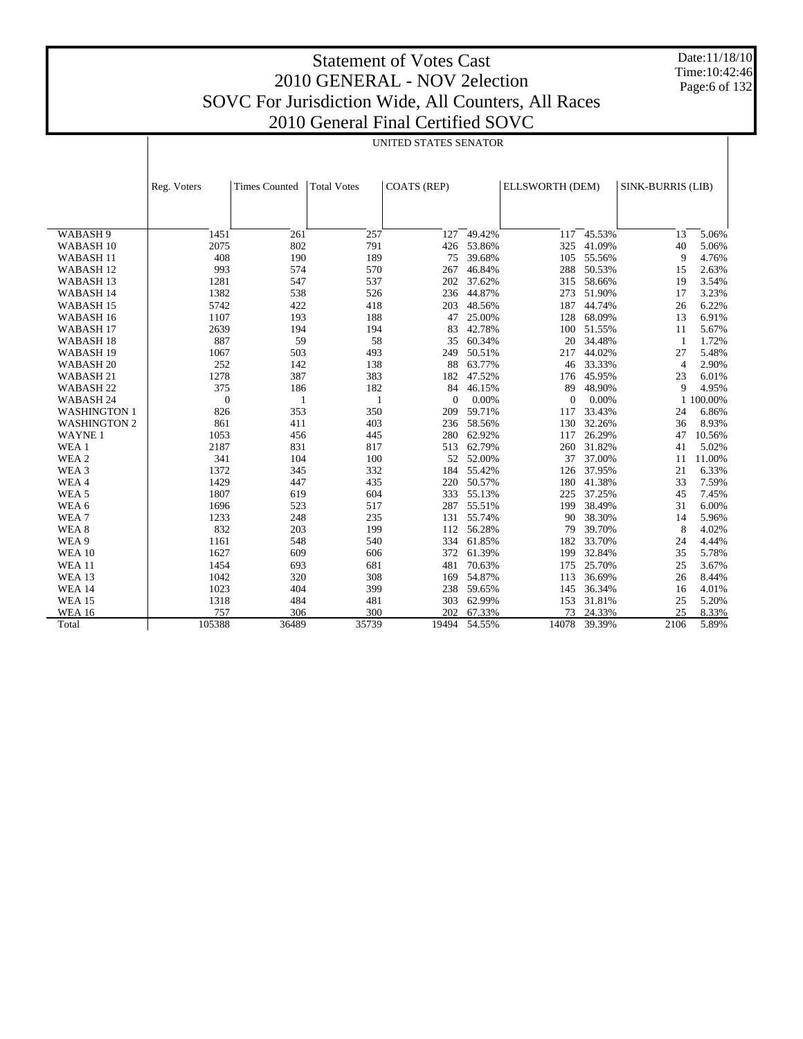# Statement of Votes Cast 2010 GENERAL - NOV 2election SOVC For Jurisdiction Wide, All Counters, All Races

Date:11/18/10 Time:10:42:46 Page:6 of 132

| 2010 General Final Certified SOVC |  |
|-----------------------------------|--|
|-----------------------------------|--|

UNITED STATES SENATOR

|                      | Reg. Voters  | <b>Times Counted</b> | <b>Total Votes</b> | <b>COATS (REP)</b> |        | ELLSWORTH (DEM) |        | SINK-BURRIS (LIB) |           |
|----------------------|--------------|----------------------|--------------------|--------------------|--------|-----------------|--------|-------------------|-----------|
|                      |              |                      |                    |                    |        |                 |        |                   |           |
|                      |              |                      |                    |                    |        |                 |        |                   |           |
| WABASH <sub>9</sub>  | 1451         | 261                  | 257                | 127                | 49.42% | 117             | 45.53% | 13                | 5.06%     |
| WABASH <sub>10</sub> | 2075         | 802                  | 791                | 426                | 53.86% | 325             | 41.09% | 40                | 5.06%     |
| WABASH <sub>11</sub> | 408          | 190                  | 189                | 75                 | 39.68% | 105             | 55.56% | 9                 | 4.76%     |
| WABASH <sub>12</sub> | 993          | 574                  | 570                | 267                | 46.84% | 288             | 50.53% | 15                | 2.63%     |
| WABASH <sub>13</sub> | 1281         | 547                  | 537                | 202                | 37.62% | 315             | 58.66% | 19                | 3.54%     |
| WABASH 14            | 1382         | 538                  | 526                | 236                | 44.87% | 273             | 51.90% | 17                | 3.23%     |
| WABASH <sub>15</sub> | 5742         | 422                  | 418                | 203                | 48.56% | 187             | 44.74% | 26                | 6.22%     |
| WABASH <sub>16</sub> | 1107         | 193                  | 188                | 47                 | 25.00% | 128             | 68.09% | 13                | 6.91%     |
| WABASH <sub>17</sub> | 2639         | 194                  | 194                | 83                 | 42.78% | 100             | 51.55% | 11                | 5.67%     |
| WABASH <sub>18</sub> | 887          | 59                   | 58                 | 35                 | 60.34% | 20              | 34.48% | $\mathbf{1}$      | 1.72%     |
| WABASH 19            | 1067         | 503                  | 493                | 249                | 50.51% | 217             | 44.02% | 27                | 5.48%     |
| WABASH <sub>20</sub> | 252          | 142                  | 138                | 88                 | 63.77% | 46              | 33.33% | $\overline{4}$    | 2.90%     |
| WABASH 21            | 1278         | 387                  | 383                | 182                | 47.52% | 176             | 45.95% | 23                | 6.01%     |
| WABASH <sub>22</sub> | 375          | 186                  | 182                | 84                 | 46.15% | 89              | 48.90% | 9                 | 4.95%     |
| WABASH 24            | $\mathbf{0}$ | 1                    | 1                  | $\Omega$           | 0.00%  | $\Omega$        | 0.00%  |                   | 1 100.00% |
| <b>WASHINGTON 1</b>  | 826          | 353                  | 350                | 209                | 59.71% | 117             | 33.43% | 24                | 6.86%     |
| <b>WASHINGTON 2</b>  | 861          | 411                  | 403                | 236                | 58.56% | 130             | 32.26% | 36                | 8.93%     |
| <b>WAYNE1</b>        | 1053         | 456                  | 445                | 280                | 62.92% | 117             | 26.29% | 47                | 10.56%    |
| WEA 1                | 2187         | 831                  | 817                | 513                | 62.79% | 260             | 31.82% | 41                | 5.02%     |
| WEA 2                | 341          | 104                  | 100                | 52                 | 52.00% | 37              | 37.00% | 11                | 11.00%    |
| WEA <sub>3</sub>     | 1372         | 345                  | 332                | 184                | 55.42% | 126             | 37.95% | 21                | 6.33%     |
| WEA4                 | 1429         | 447                  | 435                | 220                | 50.57% | 180             | 41.38% | 33                | 7.59%     |
| WEA <sub>5</sub>     | 1807         | 619                  | 604                | 333                | 55.13% | 225             | 37.25% | 45                | 7.45%     |
| WEA 6                | 1696         | 523                  | 517                | 287                | 55.51% | 199             | 38.49% | 31                | 6.00%     |
| WEA7                 | 1233         | 248                  | 235                | 131                | 55.74% | 90              | 38.30% | 14                | 5.96%     |
| WEA <sub>8</sub>     | 832          | 203                  | 199                | 112                | 56.28% | 79              | 39.70% | 8                 | 4.02%     |
| WEA 9                | 1161         | 548                  | 540                | 334                | 61.85% | 182             | 33.70% | 24                | 4.44%     |
| <b>WEA 10</b>        | 1627         | 609                  | 606                | 372                | 61.39% | 199             | 32.84% | 35                | 5.78%     |
| <b>WEA 11</b>        | 1454         | 693                  | 681                | 481                | 70.63% | 175             | 25.70% | 25                | 3.67%     |
| WEA 13               | 1042         | 320                  | 308                | 169                | 54.87% | 113             | 36.69% | 26                | 8.44%     |
| <b>WEA 14</b>        | 1023         | 404                  | 399                | 238                | 59.65% | 145             | 36.34% | 16                | 4.01%     |
| <b>WEA 15</b>        | 1318         | 484                  | 481                | 303                | 62.99% | 153             | 31.81% | 25                | 5.20%     |
| <b>WEA 16</b>        | 757          | 306                  | 300                | 202                | 67.33% | 73              | 24.33% | 25                | 8.33%     |
| Total                | 105388       | 36489                | 35739              | 19494              | 54.55% | 14078           | 39.39% | 2106              | 5.89%     |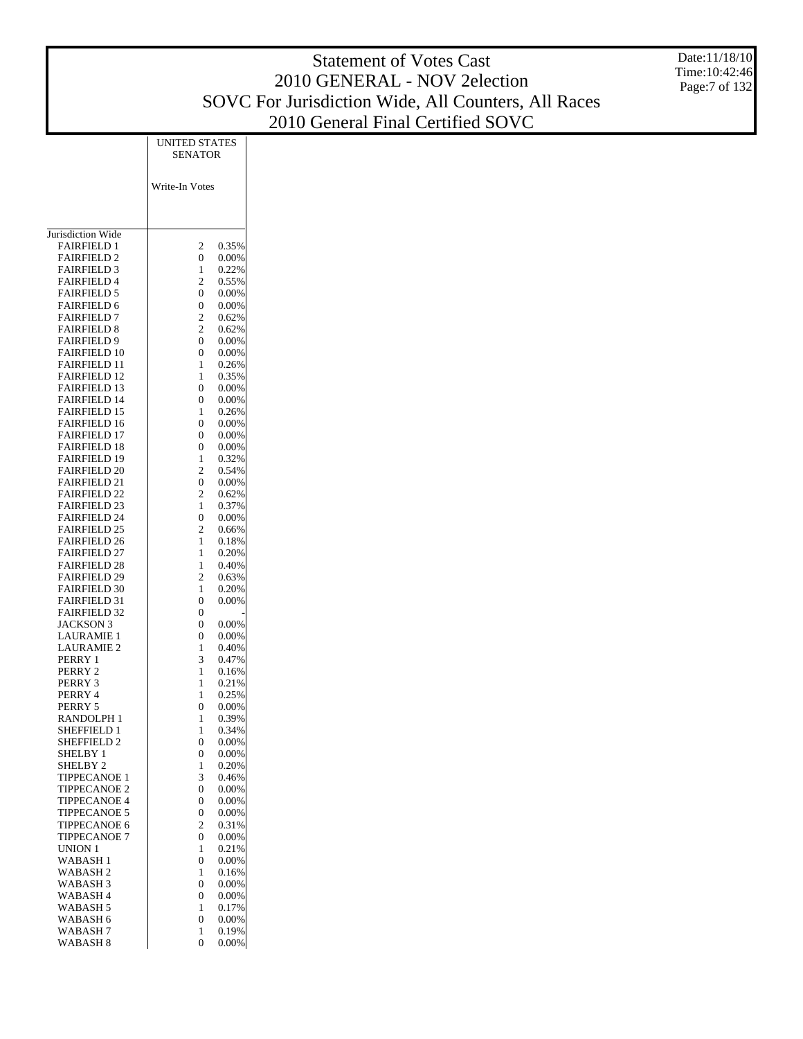|                                            |                                                        | <b>Statement of Votes Cast</b>                      | Date:11/18/10<br>Time: 10:42:46 |
|--------------------------------------------|--------------------------------------------------------|-----------------------------------------------------|---------------------------------|
|                                            |                                                        | 2010 GENERAL - NOV 2election                        | Page:7 of 132                   |
|                                            |                                                        | SOVC For Jurisdiction Wide, All Counters, All Races |                                 |
|                                            |                                                        | 2010 General Final Certified SOVC                   |                                 |
|                                            | <b>UNITED STATES</b>                                   |                                                     |                                 |
|                                            | <b>SENATOR</b>                                         |                                                     |                                 |
|                                            |                                                        |                                                     |                                 |
|                                            | Write-In Votes                                         |                                                     |                                 |
|                                            |                                                        |                                                     |                                 |
| Jurisdiction Wide                          |                                                        |                                                     |                                 |
| <b>FAIRFIELD 1</b>                         | 2<br>0.35%                                             |                                                     |                                 |
| <b>FAIRFIELD 2</b>                         | $\boldsymbol{0}$<br>0.00%                              |                                                     |                                 |
| <b>FAIRFIELD 3</b>                         | 0.22%<br>$\mathbf{1}$                                  |                                                     |                                 |
| <b>FAIRFIELD 4</b><br><b>FAIRFIELD 5</b>   | $\boldsymbol{2}$<br>0.55%<br>$\boldsymbol{0}$<br>0.00% |                                                     |                                 |
| <b>FAIRFIELD 6</b>                         | $\boldsymbol{0}$<br>0.00%                              |                                                     |                                 |
| <b>FAIRFIELD 7</b>                         | $\sqrt{2}$<br>0.62%                                    |                                                     |                                 |
| <b>FAIRFIELD 8</b>                         | $\mathfrak{2}$<br>0.62%                                |                                                     |                                 |
| <b>FAIRFIELD 9</b>                         | $\boldsymbol{0}$<br>0.00%<br>$\mathbf{0}$              |                                                     |                                 |
| <b>FAIRFIELD 10</b><br><b>FAIRFIELD 11</b> | 0.00%<br>0.26%<br>$\mathbf{1}$                         |                                                     |                                 |
| <b>FAIRFIELD 12</b>                        | 0.35%<br>1                                             |                                                     |                                 |
| <b>FAIRFIELD 13</b>                        | $\boldsymbol{0}$<br>0.00%                              |                                                     |                                 |
| <b>FAIRFIELD 14</b>                        | $\boldsymbol{0}$<br>0.00%                              |                                                     |                                 |
| <b>FAIRFIELD 15</b><br><b>FAIRFIELD 16</b> | 0.26%<br>$\mathbf{1}$<br>0.00%<br>$\mathbf{0}$         |                                                     |                                 |
| <b>FAIRFIELD 17</b>                        | $\boldsymbol{0}$<br>0.00%                              |                                                     |                                 |
| <b>FAIRFIELD 18</b>                        | $\mathbf{0}$<br>0.00%                                  |                                                     |                                 |
| <b>FAIRFIELD 19</b>                        | 0.32%<br>$\mathbf{1}$                                  |                                                     |                                 |
| <b>FAIRFIELD 20</b><br><b>FAIRFIELD 21</b> | $\overline{2}$<br>0.54%<br>$\boldsymbol{0}$<br>0.00%   |                                                     |                                 |
| <b>FAIRFIELD 22</b>                        | $\overline{2}$<br>0.62%                                |                                                     |                                 |
| <b>FAIRFIELD 23</b>                        | $\mathbf{1}$<br>0.37%                                  |                                                     |                                 |
| <b>FAIRFIELD 24</b>                        | $\boldsymbol{0}$<br>0.00%                              |                                                     |                                 |
| <b>FAIRFIELD 25</b><br><b>FAIRFIELD 26</b> | $\overline{2}$<br>0.66%<br>$\mathbf{1}$<br>0.18%       |                                                     |                                 |
| <b>FAIRFIELD 27</b>                        | 0.20%<br>$\mathbf{1}$                                  |                                                     |                                 |
| <b>FAIRFIELD 28</b>                        | 0.40%<br>$\mathbf{1}$                                  |                                                     |                                 |
| <b>FAIRFIELD 29</b>                        | $\mathfrak{2}$<br>0.63%                                |                                                     |                                 |
| <b>FAIRFIELD 30</b><br><b>FAIRFIELD 31</b> | 0.20%<br>$\mathbf{1}$<br>$\boldsymbol{0}$<br>0.00%     |                                                     |                                 |
| <b>FAIRFIELD 32</b>                        | $\boldsymbol{0}$                                       |                                                     |                                 |
| <b>JACKSON 3</b>                           | $\boldsymbol{0}$<br>0.00%                              |                                                     |                                 |
| <b>LAURAMIE 1</b>                          | $\boldsymbol{0}$<br>0.00%                              |                                                     |                                 |
| <b>LAURAMIE 2</b><br>PERRY 1               | 0.40%<br>$\mathbf{1}$<br>3<br>0.47%                    |                                                     |                                 |
| PERRY 2                                    | $\mathbf{1}$<br>0.16%                                  |                                                     |                                 |
| PERRY 3                                    | 0.21%<br>$\mathbf{1}$                                  |                                                     |                                 |
| PERRY 4                                    | 0.25%<br>$\mathbf{1}$                                  |                                                     |                                 |
| PERRY 5<br>RANDOLPH 1                      | $\mathbf{0}$<br>0.00%<br>0.39%<br>$\mathbf{1}$         |                                                     |                                 |
| SHEFFIELD 1                                | 0.34%<br>$\mathbf{1}$                                  |                                                     |                                 |
| SHEFFIELD 2                                | $\mathbf{0}$<br>0.00%                                  |                                                     |                                 |
| SHELBY 1                                   | $\mathbf{0}$<br>0.00%                                  |                                                     |                                 |
| SHELBY 2<br>TIPPECANOE 1                   | 0.20%<br>$\mathbf{1}$<br>3<br>0.46%                    |                                                     |                                 |
| TIPPECANOE 2                               | $\mathbf{0}$<br>0.00%                                  |                                                     |                                 |
| <b>TIPPECANOE 4</b>                        | $\mathbf{0}$<br>0.00%                                  |                                                     |                                 |
| TIPPECANOE 5                               | $\boldsymbol{0}$<br>0.00%                              |                                                     |                                 |
| TIPPECANOE 6<br>TIPPECANOE 7               | $\mathfrak{2}$<br>0.31%<br>$\boldsymbol{0}$<br>0.00%   |                                                     |                                 |
| UNION 1                                    | 0.21%<br>$\mathbf{1}$                                  |                                                     |                                 |
| WABASH <sub>1</sub>                        | $\mathbf{0}$<br>0.00%                                  |                                                     |                                 |
| WABASH <sub>2</sub>                        | $\mathbf{1}$<br>0.16%                                  |                                                     |                                 |
| WABASH <sub>3</sub><br>WABASH 4            | $\mathbf{0}$<br>0.00%<br>$\mathbf{0}$<br>0.00%         |                                                     |                                 |
| WABASH 5                                   | 0.17%<br>$\mathbf{1}$                                  |                                                     |                                 |
| WABASH 6                                   | $\mathbf{0}$<br>0.00%                                  |                                                     |                                 |
| WABASH <sub>7</sub>                        | 0.19%<br>$\mathbf{1}$                                  |                                                     |                                 |
| WABASH 8                                   | $\boldsymbol{0}$<br>$0.00\%$                           |                                                     |                                 |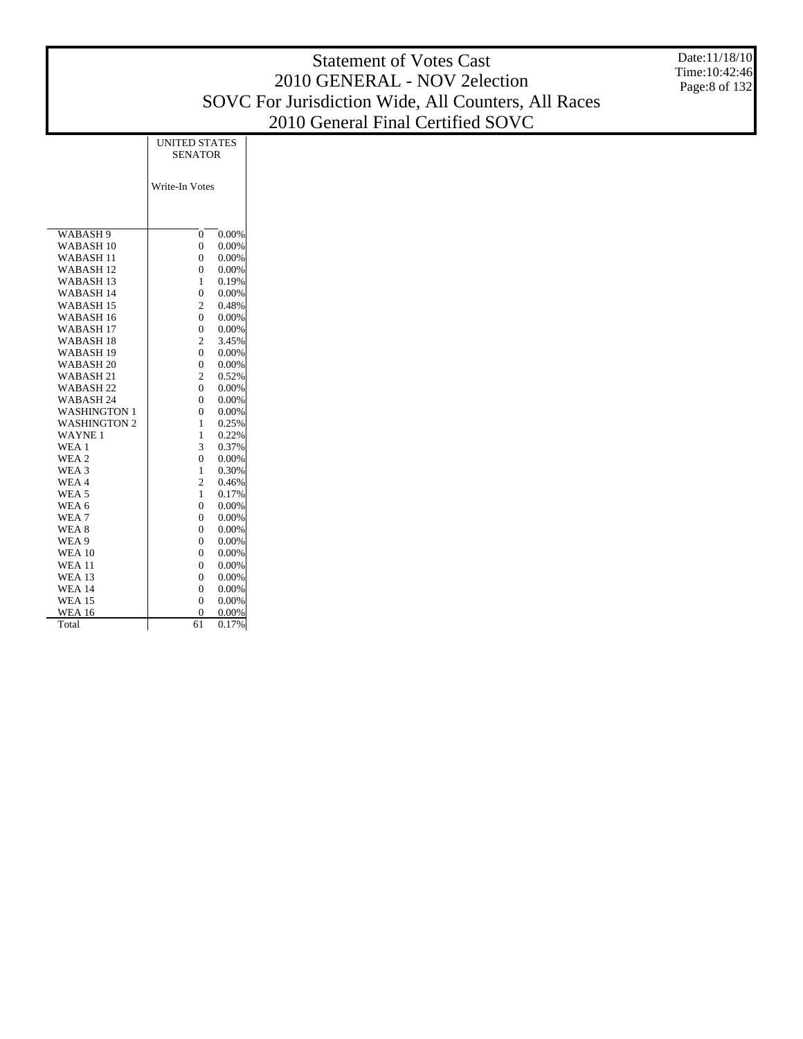|                                              |                                                | <b>Statement of Votes Cast</b>                      | Date:11/18/10  |
|----------------------------------------------|------------------------------------------------|-----------------------------------------------------|----------------|
|                                              |                                                | 2010 GENERAL - NOV 2election                        | Time: 10:42:46 |
|                                              |                                                |                                                     | Page:8 of 132  |
|                                              |                                                | SOVC For Jurisdiction Wide, All Counters, All Races |                |
|                                              |                                                | 2010 General Final Certified SOVC                   |                |
|                                              | <b>UNITED STATES</b>                           |                                                     |                |
|                                              | <b>SENATOR</b>                                 |                                                     |                |
|                                              |                                                |                                                     |                |
|                                              | Write-In Votes                                 |                                                     |                |
|                                              |                                                |                                                     |                |
|                                              |                                                |                                                     |                |
| WABASH <sub>9</sub>                          | 0.00%<br>$\mathbf{0}$                          |                                                     |                |
| WABASH <sub>10</sub>                         | $\overline{0}$<br>0.00%                        |                                                     |                |
| WABASH <sub>11</sub>                         | $\boldsymbol{0}$<br>0.00%                      |                                                     |                |
| WABASH <sub>12</sub>                         | $\overline{0}$<br>0.00%                        |                                                     |                |
| WABASH <sub>13</sub>                         | 0.19%<br>1                                     |                                                     |                |
| WABASH 14                                    | $\mathbf{0}$<br>0.00%                          |                                                     |                |
| WABASH <sub>15</sub>                         | $\mathfrak{2}$<br>0.48%                        |                                                     |                |
| WABASH 16                                    | $\overline{0}$<br>0.00%<br>$\boldsymbol{0}$    |                                                     |                |
| WABASH <sub>17</sub><br>WABASH <sub>18</sub> | 0.00%<br>$\overline{2}$<br>3.45%               |                                                     |                |
| WABASH <sub>19</sub>                         | $\mathbf{0}$<br>0.00%                          |                                                     |                |
| WABASH <sub>20</sub>                         | $\overline{0}$<br>0.00%                        |                                                     |                |
| WABASH 21                                    | $\overline{2}$<br>0.52%                        |                                                     |                |
| WABASH <sub>22</sub>                         | $\boldsymbol{0}$<br>0.00%                      |                                                     |                |
| WABASH 24                                    | $\overline{0}$<br>0.00%                        |                                                     |                |
| <b>WASHINGTON 1</b>                          | $\overline{0}$<br>0.00%                        |                                                     |                |
| <b>WASHINGTON 2</b>                          | $\mathbf{1}$<br>0.25%                          |                                                     |                |
| <b>WAYNE1</b>                                | $\mathbf{1}$<br>0.22%                          |                                                     |                |
| WEA <sub>1</sub><br>WEA 2                    | 3<br>0.37%<br>$\mathbf{0}$<br>0.00%            |                                                     |                |
| WEA 3                                        | 0.30%<br>$\mathbf{1}$                          |                                                     |                |
| WEA4                                         | $\overline{2}$<br>0.46%                        |                                                     |                |
| WEA 5                                        | 0.17%<br>1                                     |                                                     |                |
| WEA 6                                        | $\overline{0}$<br>0.00%                        |                                                     |                |
| WEA <sub>7</sub>                             | $\overline{0}$<br>0.00%                        |                                                     |                |
| WEA 8                                        | $\boldsymbol{0}$<br>0.00%                      |                                                     |                |
| WEA 9                                        | $\boldsymbol{0}$<br>0.00%                      |                                                     |                |
| <b>WEA 10</b>                                | $\boldsymbol{0}$<br>0.00%                      |                                                     |                |
| <b>WEA 11</b><br>WEA 13                      | $\mathbf{0}$<br>0.00%<br>$\mathbf{0}$<br>0.00% |                                                     |                |
| <b>WEA 14</b>                                | $\overline{0}$<br>0.00%                        |                                                     |                |
| <b>WEA 15</b>                                | $\Omega$<br>0.00%                              |                                                     |                |

 WEA 16 Total

 $0.00\%$ 61 0.17%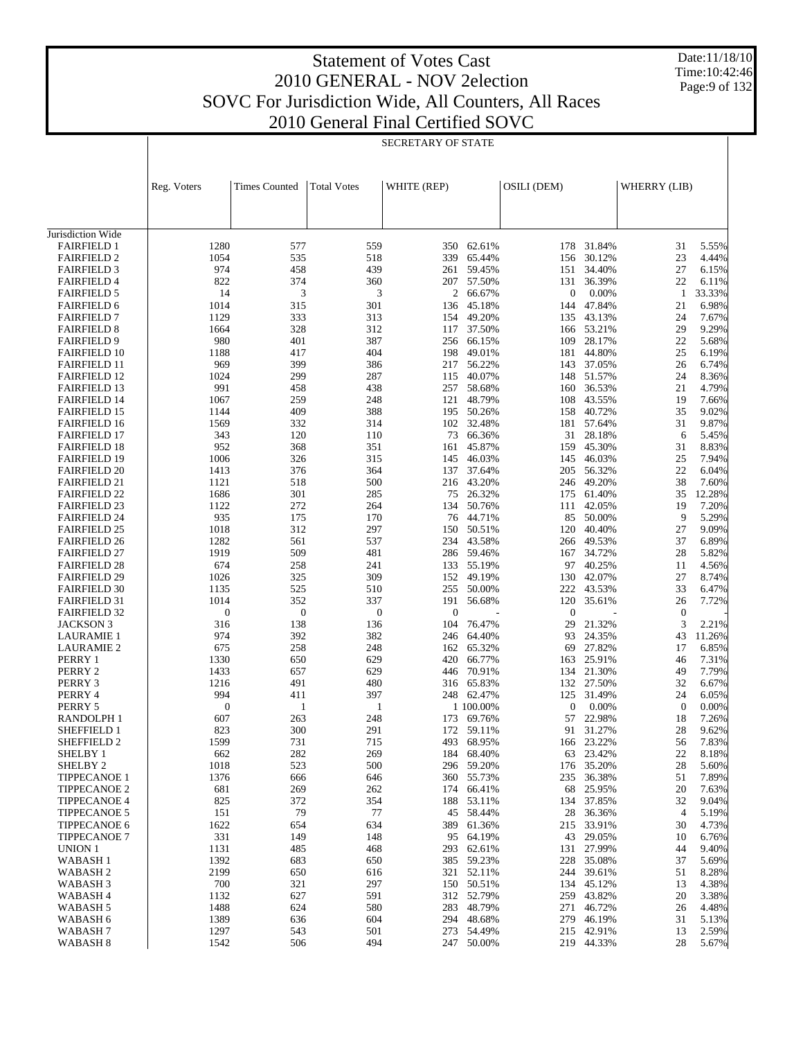Τ

Date:11/18/10 Time:10:42:46 Page:9 of 132

 $\mathbf{I}$ 

| eral Final Certified SON |                           |  |
|--------------------------|---------------------------|--|
|                          | <b>SECRETARY OF STATE</b> |  |

|                                            | Reg. Voters      | <b>Times Counted</b> | <b>Total Votes</b> | WHITE (REP)  |                      | OSILI (DEM)      |                  | WHERRY (LIB)     |                |
|--------------------------------------------|------------------|----------------------|--------------------|--------------|----------------------|------------------|------------------|------------------|----------------|
|                                            |                  |                      |                    |              |                      |                  |                  |                  |                |
|                                            |                  |                      |                    |              |                      |                  |                  |                  |                |
| Jurisdiction Wide                          |                  |                      |                    |              |                      |                  |                  |                  |                |
| <b>FAIRFIELD 1</b><br><b>FAIRFIELD 2</b>   | 1280<br>1054     | 577<br>535           | 559<br>518         | 350<br>339   | 62.61%<br>65.44%     | 178<br>156       | 31.84%<br>30.12% | 31<br>23         | 5.55%<br>4.44% |
| <b>FAIRFIELD 3</b>                         | 974              | 458                  | 439                | 261          | 59.45%               | 151              | 34.40%           | 27               | 6.15%          |
| <b>FAIRFIELD 4</b>                         | 822              | 374                  | 360                | 207          | 57.50%               | 131              | 36.39%           | 22               | 6.11%          |
| <b>FAIRFIELD 5</b>                         | 14               | 3                    | 3                  |              | 2 66.67%             | $\boldsymbol{0}$ | 0.00%            | -1               | 33.33%         |
| <b>FAIRFIELD 6</b>                         | 1014             | 315                  | 301                | 136          | 45.18%               | 144              | 47.84%           | 21               | 6.98%          |
| <b>FAIRFIELD 7</b>                         | 1129             | 333                  | 313                | 154          | 49.20%               | 135              | 43.13%           | 24               | 7.67%          |
| <b>FAIRFIELD 8</b>                         | 1664             | 328                  | 312                | 117          | 37.50%               | 166              | 53.21%           | 29               | 9.29%          |
| <b>FAIRFIELD 9</b>                         | 980              | 401                  | 387                | 256          | 66.15%               | 109              | 28.17%           | 22               | 5.68%          |
| <b>FAIRFIELD 10</b>                        | 1188             | 417                  | 404                | 198          | 49.01%               | 181              | 44.80%           | 25               | 6.19%          |
| <b>FAIRFIELD 11</b>                        | 969              | 399                  | 386                | 217          | 56.22%               |                  | 143 37.05%       | 26               | 6.74%          |
| <b>FAIRFIELD 12</b>                        | 1024             | 299                  | 287                | 115          | 40.07%               | 148              | 51.57%           | 24               | 8.36%          |
| <b>FAIRFIELD 13</b>                        | 991              | 458                  | 438                | 257          | 58.68%               | 160              | 36.53%           | 21               | 4.79%          |
| <b>FAIRFIELD 14</b>                        | 1067             | 259                  | 248                | 121          | 48.79%               | 108              | 43.55%           | 19               | 7.66%          |
| <b>FAIRFIELD 15</b>                        | 1144             | 409                  | 388                | 195          | 50.26%               | 158              | 40.72%           | 35               | 9.02%          |
| <b>FAIRFIELD 16</b>                        | 1569             | 332                  | 314                | 102          | 32.48%               | 181              | 57.64%           | 31               | 9.87%          |
| <b>FAIRFIELD 17</b>                        | 343              | 120                  | 110                | 73           | 66.36%               | 31               | 28.18%           | 6                | 5.45%          |
| <b>FAIRFIELD 18</b>                        | 952              | 368                  | 351                | 161          | 45.87%               | 159              | 45.30%<br>46.03% | 31               | 8.83%          |
| <b>FAIRFIELD 19</b><br><b>FAIRFIELD 20</b> | 1006<br>1413     | 326<br>376           | 315<br>364         | 145<br>137   | 46.03%<br>37.64%     | 145<br>205       | 56.32%           | 25<br>22         | 7.94%<br>6.04% |
| <b>FAIRFIELD 21</b>                        | 1121             | 518                  | 500                | 216          | 43.20%               | 246              | 49.20%           | 38               | 7.60%          |
| <b>FAIRFIELD 22</b>                        | 1686             | 301                  | 285                | 75           | 26.32%               | 175              | 61.40%           | 35               | 12.28%         |
| <b>FAIRFIELD 23</b>                        | 1122             | 272                  | 264                | 134          | 50.76%               | 111              | 42.05%           | 19               | 7.20%          |
| <b>FAIRFIELD 24</b>                        | 935              | 175                  | 170                | 76           | 44.71%               | 85               | 50.00%           | 9                | 5.29%          |
| <b>FAIRFIELD 25</b>                        | 1018             | 312                  | 297                | 150          | 50.51%               | 120              | 40.40%           | 27               | 9.09%          |
| <b>FAIRFIELD 26</b>                        | 1282             | 561                  | 537                | 234          | 43.58%               | 266              | 49.53%           | 37               | 6.89%          |
| <b>FAIRFIELD 27</b>                        | 1919             | 509                  | 481                | 286          | 59.46%               | 167              | 34.72%           | 28               | 5.82%          |
| <b>FAIRFIELD 28</b>                        | 674              | 258                  | 241                | 133          | 55.19%               | 97               | 40.25%           | 11               | 4.56%          |
| <b>FAIRFIELD 29</b>                        | 1026             | 325                  | 309                | 152          | 49.19%               | 130              | 42.07%           | 27               | 8.74%          |
| <b>FAIRFIELD 30</b>                        | 1135             | 525                  | 510                | 255          | 50.00%               | 222              | 43.53%           | 33               | 6.47%          |
| <b>FAIRFIELD 31</b>                        | 1014             | 352                  | 337                | 191          | 56.68%               | 120              | 35.61%           | 26               | 7.72%          |
| <b>FAIRFIELD 32</b>                        | $\boldsymbol{0}$ | $\mathbf{0}$         | $\mathbf{0}$       | $\mathbf{0}$ |                      | $\mathbf{0}$     |                  | $\mathbf{0}$     |                |
| <b>JACKSON 3</b>                           | 316              | 138                  | 136                | 104          | 76.47%               | 29               | 21.32%           | 3                | 2.21%          |
| <b>LAURAMIE 1</b>                          | 974<br>675       | 392<br>258           | 382<br>248         | 246          | 64.40%               | 93               | 24.35%<br>27.82% | 43               | 11.26%         |
| <b>LAURAMIE 2</b><br>PERRY 1               | 1330             | 650                  | 629                | 162<br>420   | 65.32%<br>66.77%     | 69<br>163        | 25.91%           | 17<br>46         | 6.85%<br>7.31% |
| PERRY 2                                    | 1433             | 657                  | 629                | 446          | 70.91%               | 134              | 21.30%           | 49               | 7.79%          |
| PERRY 3                                    | 1216             | 491                  | 480                | 316          | 65.83%               | 132              | 27.50%           | 32               | 6.67%          |
| PERRY 4                                    | 994              | 411                  | 397                |              | 248 62.47%           | 125              | 31.49%           | 24               | 6.05%          |
| PERRY 5                                    | $\boldsymbol{0}$ | $\mathbf{1}$         | $\mathbf{1}$       |              | 1 100.00%            | $\mathbf{0}$     | 0.00%            | $\boldsymbol{0}$ | 0.00%          |
| RANDOLPH 1                                 | 607              | 263                  | 248                | 173          | 69.76%               | 57               | 22.98%           | 18               | 7.26%          |
| <b>SHEFFIELD 1</b>                         | 823              | 300                  | 291                |              | 172 59.11%           | 91               | 31.27%           | 28               | 9.62%          |
| SHEFFIELD <sub>2</sub>                     | 1599             | 731                  | 715                | 493          | 68.95%               |                  | 166 23.22%       | 56               | 7.83%          |
| SHELBY 1                                   | 662              | 282                  | 269                | 184          | 68.40%               | 63               | 23.42%           | 22               | 8.18%          |
| SHELBY 2                                   | 1018             | 523                  | 500                | 296          | 59.20%               | 176              | 35.20%           | 28               | 5.60%          |
| <b>TIPPECANOE 1</b>                        | 1376             | 666                  | 646                | 360          | 55.73%               | 235              | 36.38%           | 51               | 7.89%          |
| <b>TIPPECANOE 2</b>                        | 681              | 269                  | 262                | 174          | 66.41%               | 68               | 25.95%           | 20               | 7.63%          |
| <b>TIPPECANOE 4</b>                        | 825              | 372                  | 354                | 188          | 53.11%               | 134              | 37.85%           | 32               | 9.04%          |
| <b>TIPPECANOE 5</b>                        | 151              | 79                   | 77                 | 45           | 58.44%               | 28               | 36.36%           | $\overline{4}$   | 5.19%          |
| <b>TIPPECANOE 6</b>                        | 1622             | 654                  | 634                | 389          | 61.36%               | 215              | 33.91%           | 30               | 4.73%          |
| <b>TIPPECANOE 7</b>                        | 331              | 149                  | 148                |              | 95 64.19%            | 43               | 29.05%           | 10               | 6.76%          |
| UNION 1                                    | 1131             | 485                  | 468                | 293          | 62.61%               | 131              | 27.99%           | 44               | 9.40%          |
| WABASH <sub>1</sub><br>WABASH <sub>2</sub> | 1392<br>2199     | 683<br>650           | 650                | 321          | 385 59.23%<br>52.11% | 228<br>244       | 35.08%<br>39.61% | 37<br>51         | 5.69%<br>8.28% |
| WABASH 3                                   | 700              | 321                  | 616<br>297         |              | 150 50.51%           | 134              | 45.12%           | 13               | 4.38%          |
| WABASH 4                                   | 1132             | 627                  | 591                | 312          | 52.79%               | 259              | 43.82%           | 20               | 3.38%          |
| WABASH 5                                   | 1488             | 624                  | 580                | 283          | 48.79%               | 271              | 46.72%           | 26               | 4.48%          |
| WABASH 6                                   | 1389             | 636                  | 604                | 294          | 48.68%               | 279              | 46.19%           | 31               | 5.13%          |
| WABASH <sub>7</sub>                        | 1297             | 543                  | 501                |              | 273 54.49%           |                  | 215 42.91%       | 13               | 2.59%          |
| WABASH 8                                   | 1542             | 506                  | 494                |              | 247 50.00%           |                  | 219 44.33%       | 28               | 5.67%          |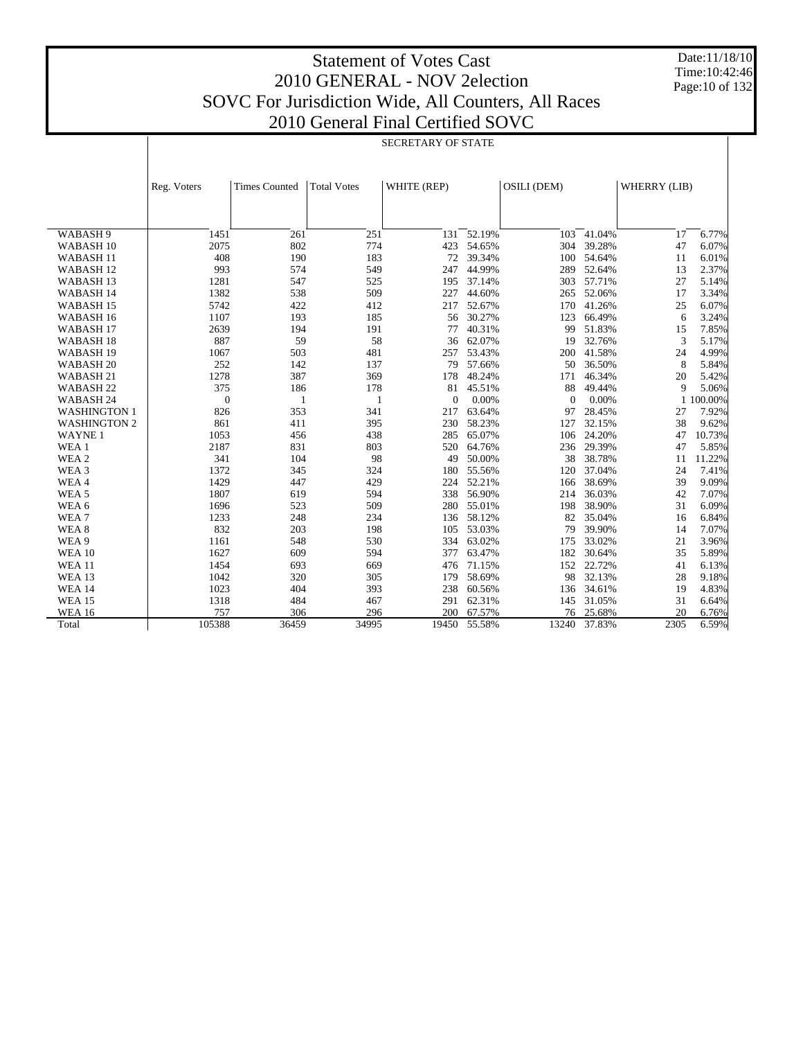# Statement of Votes Cast 2010 GENERAL - NOV 2election SOVC For Jurisdiction Wide, All Counters, All Races

Date:11/18/10 Time:10:42:46 Page:10 of 132

# 2010 General Final Certified SOVC

|                      | SECRETARY OF STATE |                      |                    |                |        |             |            |              |           |
|----------------------|--------------------|----------------------|--------------------|----------------|--------|-------------|------------|--------------|-----------|
|                      |                    |                      |                    |                |        |             |            |              |           |
|                      |                    |                      |                    |                |        |             |            |              |           |
|                      | Reg. Voters        | <b>Times Counted</b> | <b>Total Votes</b> | WHITE (REP)    |        | OSILI (DEM) |            | WHERRY (LIB) |           |
|                      |                    |                      |                    |                |        |             |            |              |           |
|                      |                    |                      |                    |                |        |             |            |              |           |
| WABASH 9             | 1451               | 261                  | 251                | 131            | 52.19% | 103         | 41.04%     | 17           | 6.77%     |
| WABASH <sub>10</sub> | 2075               | 802                  | 774                | 423            | 54.65% | 304         | 39.28%     | 47           | 6.07%     |
| WABASH <sub>11</sub> | 408                | 190                  | 183                | 72             | 39.34% | 100         | 54.64%     | 11           | 6.01%     |
| WABASH <sub>12</sub> | 993                | 574                  | 549                | 247            | 44.99% | 289         | 52.64%     | 13           | 2.37%     |
| WABASH <sub>13</sub> | 1281               | 547                  | 525                | 195            | 37.14% |             | 303 57.71% | 27           | 5.14%     |
| WABASH 14            | 1382               | 538                  | 509                | 227            | 44.60% | 265         | 52.06%     | 17           | 3.34%     |
| WABASH <sub>15</sub> | 5742               | 422                  | 412                | 217            | 52.67% | 170         | 41.26%     | 25           | 6.07%     |
| WABASH 16            | 1107               | 193                  | 185                | 56             | 30.27% | 123         | 66.49%     | 6            | 3.24%     |
| WABASH <sub>17</sub> | 2639               | 194                  | 191                | 77             | 40.31% | 99          | 51.83%     | 15           | 7.85%     |
| WABASH <sub>18</sub> | 887                | 59                   | 58                 | 36             | 62.07% | 19          | 32.76%     | 3            | 5.17%     |
| WABASH <sub>19</sub> | 1067               | 503                  | 481                | 257            | 53.43% | 200         | 41.58%     | 24           | 4.99%     |
| WABASH <sub>20</sub> | 252                | 142                  | 137                | 79             | 57.66% | 50          | 36.50%     | 8            | 5.84%     |
| WABASH <sub>21</sub> | 1278               | 387                  | 369                | 178            | 48.24% | 171         | 46.34%     | 20           | 5.42%     |
| WABASH <sub>22</sub> | 375                | 186                  | 178                | 81             | 45.51% | 88          | 49.44%     | 9            | 5.06%     |
| WABASH 24            | $\theta$           | 1                    | 1                  | $\overline{0}$ | 0.00%  | $\theta$    | 0.00%      |              | 1 100.00% |
| <b>WASHINGTON 1</b>  | 826                | 353                  | 341                | 217            | 63.64% | 97          | 28.45%     | 27           | 7.92%     |
| <b>WASHINGTON 2</b>  | 861                | 411                  | 395                | 230            | 58.23% | 127         | 32.15%     | 38           | 9.62%     |
| <b>WAYNE1</b>        | 1053               | 456                  | 438                | 285            | 65.07% | 106         | 24.20%     | 47           | 10.73%    |
| WEA 1                | 2187               | 831                  | 803                | 520            | 64.76% |             | 236 29.39% | 47           | 5.85%     |
| WEA 2                | 341                | 104                  | 98                 | 49             | 50.00% | 38          | 38.78%     | 11           | 11.22%    |
| WEA 3                | 1372               | 345                  | 324                | 180            | 55.56% | 120         | 37.04%     | 24           | 7.41%     |
| WEA4                 | 1429               | 447                  | 429                | 224            | 52.21% | 166         | 38.69%     | 39           | 9.09%     |
| WEA <sub>5</sub>     | 1807               | 619                  | 594                | 338            | 56.90% | 214         | 36.03%     | 42           | 7.07%     |
| WEA 6                | 1696               | 523                  | 509                | 280            | 55.01% | 198         | 38.90%     | 31           | 6.09%     |
| WEA7                 | 1233               | 248                  | 234                | 136            | 58.12% | 82          | 35.04%     | 16           | 6.84%     |
| WEA <sub>8</sub>     | 832                | 203                  | 198                | 105            | 53.03% | 79          | 39.90%     | 14           | 7.07%     |
| WEA 9                | 1161               | 548                  | 530                | 334            | 63.02% | 175         | 33.02%     | 21           | 3.96%     |
| <b>WEA 10</b>        | 1627               | 609                  | 594                | 377            | 63.47% | 182         | 30.64%     | 35           | 5.89%     |
| <b>WEA 11</b>        | 1454               | 693                  | 669                | 476            | 71.15% | 152         | 22.72%     | 41           | 6.13%     |
| <b>WEA 13</b>        | 1042               | 320                  | 305                | 179            | 58.69% | 98          | 32.13%     | 28           | 9.18%     |
| <b>WEA 14</b>        | 1023               | 404                  | 393                | 238            | 60.56% | 136         | 34.61%     | 19           | 4.83%     |
| <b>WEA 15</b>        | 1318               | 484                  | 467                | 291            | 62.31% | 145         | 31.05%     | 31           | 6.64%     |
| <b>WEA 16</b>        | 757                | 306                  | 296                | 200            | 67.57% | 76          | 25.68%     | 20           | 6.76%     |
| Total                | 105388             | 36459                | 34995              | 19450          | 55.58% | 13240       | 37.83%     | 2305         | 6.59%     |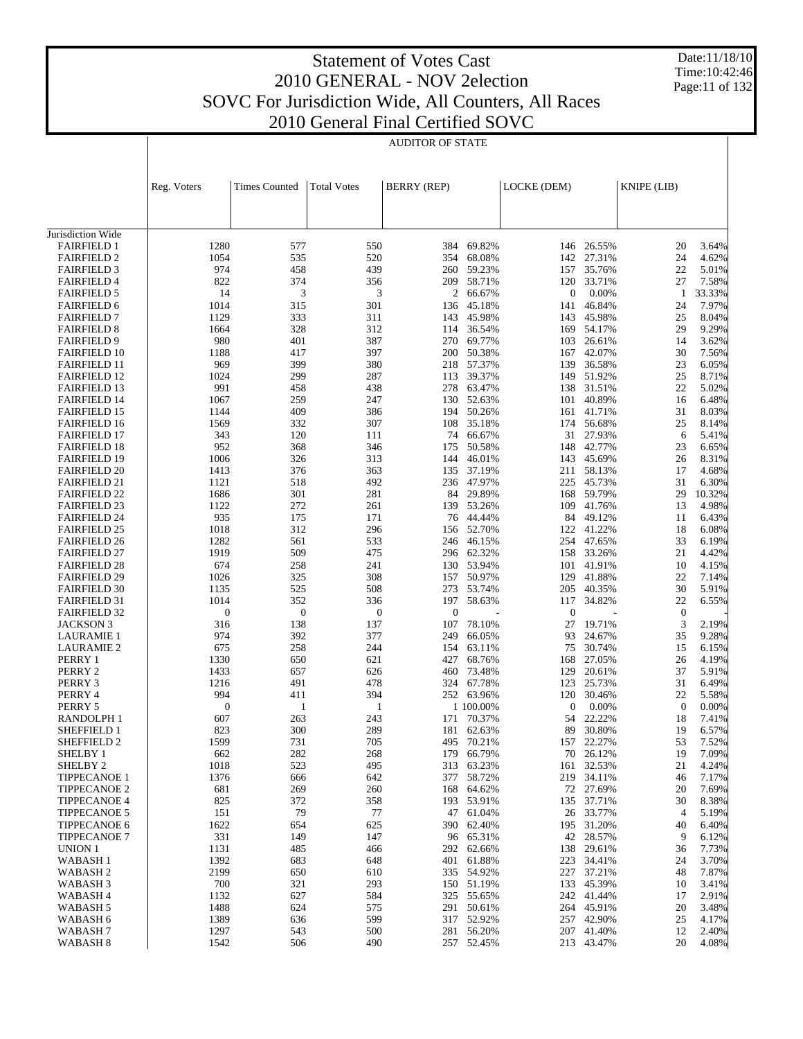Date:11/18/10 Time:10:42:46 Page:11 of 132

|                                            |                  |                      |                    | AUDITOR OF STATE   |                          |                |                      |              |                |
|--------------------------------------------|------------------|----------------------|--------------------|--------------------|--------------------------|----------------|----------------------|--------------|----------------|
|                                            | Reg. Voters      | <b>Times Counted</b> | <b>Total Votes</b> | <b>BERRY</b> (REP) |                          | LOCKE (DEM)    |                      | KNIPE (LIB)  |                |
| Jurisdiction Wide                          |                  |                      |                    |                    |                          |                |                      |              |                |
| <b>FAIRFIELD 1</b>                         | 1280             | 577                  | 550                | 384                | 69.82%                   |                | 146 26.55%           | 20           | 3.64%          |
| <b>FAIRFIELD 2</b>                         | 1054             | 535                  | 520                | 354                | 68.08%                   | 142            | 27.31%               | 24           | 4.62%          |
| <b>FAIRFIELD 3</b>                         | 974              | 458                  | 439                | 260                | 59.23%                   | 157            | 35.76%               | 22           | 5.01%          |
| <b>FAIRFIELD 4</b>                         | 822              | 374                  | 356                |                    | 209 58.71%               | 120            | 33.71%               | 27           | 7.58%          |
| <b>FAIRFIELD 5</b>                         | 14               | 3                    | 3                  | 2                  | 66.67%                   | $\overline{0}$ | 0.00%                | -1           | 33.33%         |
| <b>FAIRFIELD 6</b>                         | 1014             | 315                  | 301                | 136                | 45.18%                   | 141            | 46.84%               | 24           | 7.97%          |
| <b>FAIRFIELD 7</b>                         | 1129             | 333<br>328           | 311<br>312         | 143                | 45.98%<br>36.54%         | 143            | 45.98%               | 25<br>29     | 8.04%<br>9.29% |
| <b>FAIRFIELD 8</b><br><b>FAIRFIELD 9</b>   | 1664<br>980      | 401                  | 387                | 114<br>270         | 69.77%                   | 103            | 169 54.17%<br>26.61% | 14           | 3.62%          |
| <b>FAIRFIELD 10</b>                        | 1188             | 417                  | 397                | 200                | 50.38%                   | 167            | 42.07%               | 30           | 7.56%          |
| <b>FAIRFIELD 11</b>                        | 969              | 399                  | 380                | 218                | 57.37%                   | 139            | 36.58%               | 23           | 6.05%          |
| <b>FAIRFIELD 12</b>                        | 1024             | 299                  | 287                | 113                | 39.37%                   | 149            | 51.92%               | 25           | 8.71%          |
| <b>FAIRFIELD 13</b>                        | 991              | 458                  | 438                | 278                | 63.47%                   | 138            | 31.51%               | 22           | 5.02%          |
| <b>FAIRFIELD 14</b>                        | 1067             | 259                  | 247                | 130                | 52.63%                   | 101            | 40.89%               | 16           | 6.48%          |
| <b>FAIRFIELD 15</b>                        | 1144             | 409                  | 386                | 194                | 50.26%                   | 161            | 41.71%               | 31           | 8.03%          |
| <b>FAIRFIELD 16</b>                        | 1569             | 332                  | 307                | 108                | 35.18%                   | 174            | 56.68%               | 25           | 8.14%          |
| <b>FAIRFIELD 17</b><br><b>FAIRFIELD 18</b> | 343<br>952       | 120<br>368           | 111<br>346         | 74<br>175          | 66.67%<br>50.58%         | 31<br>148      | 27.93%<br>42.77%     | 6<br>23      | 5.41%<br>6.65% |
| <b>FAIRFIELD 19</b>                        | 1006             | 326                  | 313                | 144                | 46.01%                   |                | 143 45.69%           | 26           | 8.31%          |
| <b>FAIRFIELD 20</b>                        | 1413             | 376                  | 363                | 135                | 37.19%                   |                | 211 58.13%           | 17           | 4.68%          |
| <b>FAIRFIELD 21</b>                        | 1121             | 518                  | 492                | 236                | 47.97%                   | 225            | 45.73%               | 31           | 6.30%          |
| <b>FAIRFIELD 22</b>                        | 1686             | 301                  | 281                | 84                 | 29.89%                   | 168            | 59.79%               | 29           | 10.32%         |
| <b>FAIRFIELD 23</b>                        | 1122             | 272                  | 261                | 139                | 53.26%                   | 109            | 41.76%               | 13           | 4.98%          |
| <b>FAIRFIELD 24</b>                        | 935              | 175                  | 171                |                    | 76 44.44%                | 84             | 49.12%               | 11           | 6.43%          |
| <b>FAIRFIELD 25</b>                        | 1018             | 312                  | 296                | 156                | 52.70%                   | 122            | 41.22%               | 18           | 6.08%          |
| <b>FAIRFIELD 26</b><br><b>FAIRFIELD 27</b> | 1282<br>1919     | 561<br>509           | 533<br>475         |                    | 246 46.15%<br>296 62.32% | 158            | 254 47.65%<br>33.26% | 33<br>21     | 6.19%<br>4.42% |
| <b>FAIRFIELD 28</b>                        | 674              | 258                  | 241                |                    | 130 53.94%               |                | 101 41.91%           | 10           | 4.15%          |
| <b>FAIRFIELD 29</b>                        | 1026             | 325                  | 308                | 157                | 50.97%                   | 129            | 41.88%               | 22           | 7.14%          |
| <b>FAIRFIELD 30</b>                        | 1135             | 525                  | 508                | 273                | 53.74%                   | 205            | 40.35%               | 30           | 5.91%          |
| <b>FAIRFIELD 31</b>                        | 1014             | 352                  | 336                | 197                | 58.63%                   | 117            | 34.82%               | 22           | 6.55%          |
| <b>FAIRFIELD 32</b>                        | $\boldsymbol{0}$ | $\boldsymbol{0}$     | $\boldsymbol{0}$   | $\boldsymbol{0}$   |                          | $\mathbf{0}$   |                      | $\mathbf{0}$ |                |
| JACKSON 3                                  | 316              | 138                  | 137                | 107                | 78.10%                   | 27             | 19.71%               | 3            | 2.19%          |
| <b>LAURAMIE 1</b>                          | 974              | 392                  | 377                | 249                | 66.05%                   | 93             | 24.67%               | 35           | 9.28%          |
| <b>LAURAMIE 2</b><br>PERRY 1               | 675<br>1330      | 258<br>650           | 244<br>621         | 154<br>427         | 63.11%<br>68.76%         | 75<br>168      | 30.74%<br>27.05%     | 15<br>26     | 6.15%<br>4.19% |
| PERRY 2                                    | 1433             | 657                  | 626                | 460                | 73.48%                   | 129            | 20.61%               | 37           | 5.91%          |
| PERRY 3                                    | 1216             | 491                  | 478                | 324                | 67.78%                   | 123            | 25.73%               | 31           | 6.49%          |
| PERRY 4                                    | 994              | 411                  | 394                |                    | 252 63.96%               | 120            | 30.46%               | 22           | 5.58%          |
| PERRY 5                                    | $\boldsymbol{0}$ | 1                    | 1                  |                    | 1 100.00%                | $\mathbf{0}$   | 0.00%                | $\mathbf{0}$ | 0.00%          |
| <b>RANDOLPH1</b>                           | 607              | 263                  | 243                | 171                | 70.37%                   | 54             | 22.22%               | 18           | 7.41%          |
| <b>SHEFFIELD 1</b>                         | 823              | 300                  | 289                | 181                | 62.63%                   | 89             | 30.80%               | 19           | 6.57%          |
| SHEFFIELD 2                                | 1599             | 731                  | 705                | 495                | 70.21%                   |                | 157 22.27%           | 53           | 7.52%          |
| SHELBY 1<br>SHELBY <sub>2</sub>            | 662<br>1018      | 282<br>523           | 268<br>495         | 179<br>313         | 66.79%<br>63.23%         | 70<br>161      | 26.12%<br>32.53%     | 19<br>21     | 7.09%<br>4.24% |
| <b>TIPPECANOE 1</b>                        | 1376             | 666                  | 642                | 377                | 58.72%                   |                | 219 34.11%           | 46           | 7.17%          |
| <b>TIPPECANOE 2</b>                        | 681              | 269                  | 260                | 168                | 64.62%                   |                | 72 27.69%            | 20           | 7.69%          |
| <b>TIPPECANOE 4</b>                        | 825              | 372                  | 358                |                    | 193 53.91%               |                | 135 37.71%           | 30           | 8.38%          |
| <b>TIPPECANOE 5</b>                        | 151              | 79                   | 77                 | 47                 | 61.04%                   |                | 26 33.77%            | 4            | 5.19%          |
| <b>TIPPECANOE 6</b>                        | 1622             | 654                  | 625                |                    | 390 62.40%               |                | 195 31.20%           | 40           | 6.40%          |
| <b>TIPPECANOE 7</b>                        | 331              | 149                  | 147                |                    | 96 65.31%                |                | 42 28.57%            | 9            | 6.12%          |
| UNION 1                                    | 1131             | 485                  | 466                | 292                | 62.66%                   | 138            | 29.61%               | 36           | 7.73%          |
| WABASH <sub>1</sub>                        | 1392             | 683                  | 648                | 401                | 61.88%                   | 223            | 34.41%               | 24<br>48     | 3.70%          |
| WABASH <sub>2</sub><br>WABASH <sub>3</sub> | 2199<br>700      | 650<br>321           | 610<br>293         | 150                | 335 54.92%<br>51.19%     | 133            | 227 37.21%<br>45.39% | 10           | 7.87%<br>3.41% |
| WABASH 4                                   | 1132             | 627                  | 584                | 325                | 55.65%                   |                | 242 41.44%           | 17           | 2.91%          |
| WABASH 5                                   | 1488             | 624                  | 575                | 291                | 50.61%                   |                | 264 45.91%           | 20           | 3.48%          |
| WABASH 6                                   | 1389             | 636                  | 599                |                    | 317 52.92%               |                | 257 42.90%           | 25           | 4.17%          |
| WABASH <sub>7</sub>                        | 1297             | 543                  | 500                | 281                | 56.20%                   |                | 207 41.40%           | 12           | 2.40%          |
| WABASH <sub>8</sub>                        | 1542             | 506                  | 490                |                    | 257 52.45%               |                | 213 43.47%           | 20           | 4.08%          |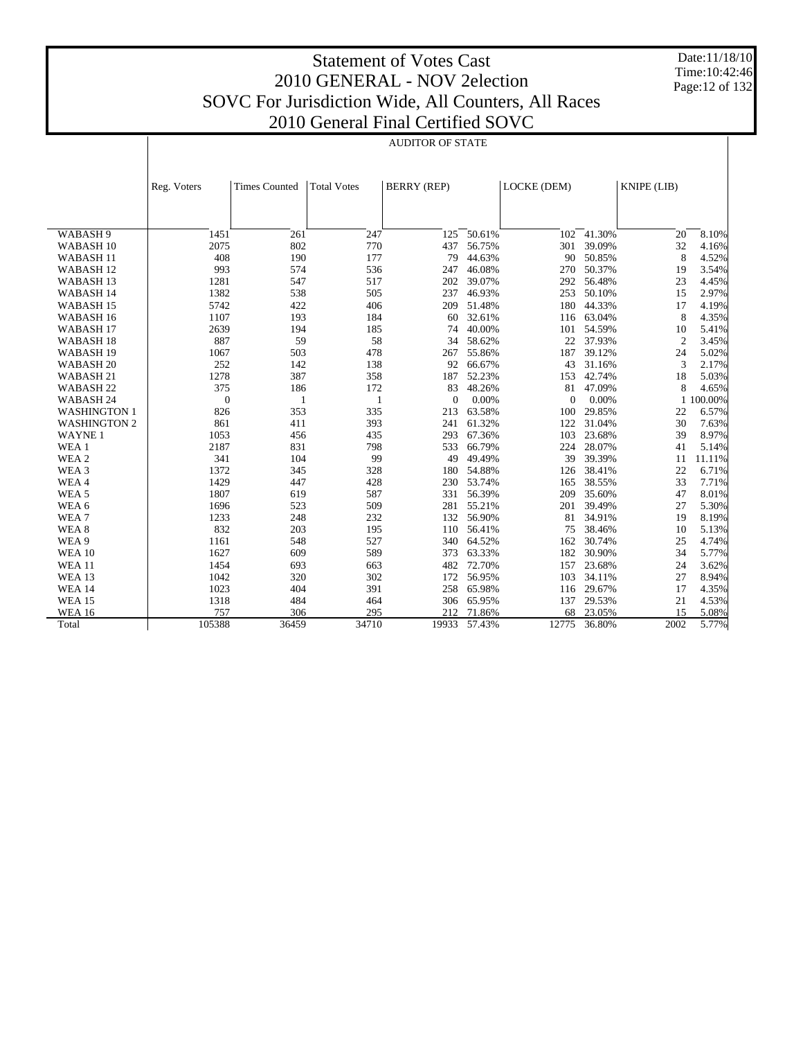Date:11/18/10 Time:10:42:46 Page:12 of 132

| 11 FIIIAL CEITHIEU SU |
|-----------------------|
| AUDITOR OF STATE      |

|                      | Reg. Voters  | <b>Times Counted</b> | <b>Total Votes</b> | <b>BERRY (REP)</b> |        | LOCKE (DEM)  |            | KNIPE (LIB)    |         |
|----------------------|--------------|----------------------|--------------------|--------------------|--------|--------------|------------|----------------|---------|
|                      |              |                      |                    |                    |        |              |            |                |         |
|                      |              |                      |                    |                    |        |              |            |                |         |
| WABASH 9             | 1451         | 261                  | 247                | 125                | 50.61% | 102          | 41.30%     | 20             | 8.10%   |
| WABASH <sub>10</sub> | 2075         | 802                  | 770                | 437                | 56.75% | 301          | 39.09%     | 32             | 4.16%   |
| WABASH <sub>11</sub> | 408          | 190                  | 177                | 79                 | 44.63% | 90           | 50.85%     | 8              | 4.52%   |
| WABASH <sub>12</sub> | 993          | 574                  | 536                | 247                | 46.08% | 270          | 50.37%     | 19             | 3.54%   |
| WABASH <sub>13</sub> | 1281         | 547                  | 517                | 202                | 39.07% | 292          | 56.48%     | 23             | 4.45%   |
| <b>WABASH14</b>      | 1382         | 538                  | 505                | 237                | 46.93% | 253          | 50.10%     | 15             | 2.97%   |
| WABASH <sub>15</sub> | 5742         | 422                  | 406                | 209                | 51.48% | 180          | 44.33%     | 17             | 4.19%   |
| WABASH 16            | 1107         | 193                  | 184                | 60                 | 32.61% |              | 116 63.04% | 8              | 4.35%   |
| WABASH <sub>17</sub> | 2639         | 194                  | 185                | 74                 | 40.00% | 101          | 54.59%     | 10             | 5.41%   |
| WABASH <sub>18</sub> | 887          | 59                   | 58                 | 34                 | 58.62% | 22           | 37.93%     | $\overline{2}$ | 3.45%   |
| WABASH <sub>19</sub> | 1067         | 503                  | 478                | 267                | 55.86% | 187          | 39.12%     | 24             | 5.02%   |
| WABASH <sub>20</sub> | 252          | 142                  | 138                | 92                 | 66.67% | 43           | 31.16%     | 3              | 2.17%   |
| WABASH <sub>21</sub> | 1278         | 387                  | 358                | 187                | 52.23% | 153          | 42.74%     | 18             | 5.03%   |
| WABASH <sub>22</sub> | 375          | 186                  | 172                | 83                 | 48.26% | 81           | 47.09%     | 8              | 4.65%   |
| WABASH 24            | $\mathbf{0}$ | 1                    | 1                  | $\overline{0}$     | 0.00%  | $\mathbf{0}$ | 0.00%      | $\mathbf{1}$   | 100.00% |
| <b>WASHINGTON 1</b>  | 826          | 353                  | 335                | 213                | 63.58% | 100          | 29.85%     | 22             | 6.57%   |
| <b>WASHINGTON 2</b>  | 861          | 411                  | 393                | 241                | 61.32% | 122          | 31.04%     | 30             | 7.63%   |
| <b>WAYNE1</b>        | 1053         | 456                  | 435                | 293                | 67.36% | 103          | 23.68%     | 39             | 8.97%   |
| WEA 1                | 2187         | 831                  | 798                | 533                | 66.79% | 224          | 28.07%     | 41             | 5.14%   |
| WEA 2                | 341          | 104                  | 99                 | 49                 | 49.49% | 39           | 39.39%     | 11             | 11.11%  |
| WEA 3                | 1372         | 345                  | 328                | 180                | 54.88% | 126          | 38.41%     | 22             | 6.71%   |
| WEA4                 | 1429         | 447                  | 428                | 230                | 53.74% | 165          | 38.55%     | 33             | 7.71%   |
| WEA <sub>5</sub>     | 1807         | 619                  | 587                | 331                | 56.39% | 209          | 35.60%     | 47             | 8.01%   |
| WEA 6                | 1696         | 523                  | 509                | 281                | 55.21% | 201          | 39.49%     | 27             | 5.30%   |
| WEA7                 | 1233         | 248                  | 232                | 132                | 56.90% | 81           | 34.91%     | 19             | 8.19%   |
| WEA 8                | 832          | 203                  | 195                | 110                | 56.41% | 75           | 38.46%     | 10             | 5.13%   |
| WEA 9                | 1161         | 548                  | 527                | 340                | 64.52% | 162          | 30.74%     | 25             | 4.74%   |
| <b>WEA 10</b>        | 1627         | 609                  | 589                | 373                | 63.33% | 182          | 30.90%     | 34             | 5.77%   |
| <b>WEA11</b>         | 1454         | 693                  | 663                | 482                | 72.70% | 157          | 23.68%     | 24             | 3.62%   |
| <b>WEA 13</b>        | 1042         | 320                  | 302                | 172                | 56.95% | 103          | 34.11%     | 27             | 8.94%   |
| <b>WEA 14</b>        | 1023         | 404                  | 391                | 258                | 65.98% | 116          | 29.67%     | 17             | 4.35%   |
| <b>WEA 15</b>        | 1318         | 484                  | 464                | 306                | 65.95% | 137          | 29.53%     | 21             | 4.53%   |
| <b>WEA 16</b>        | 757          | 306                  | 295                | 212                | 71.86% | 68           | 23.05%     | 15             | 5.08%   |
| Total                | 105388       | 36459                | 34710              | 19933              | 57.43% | 12775        | 36.80%     | 2002           | 5.77%   |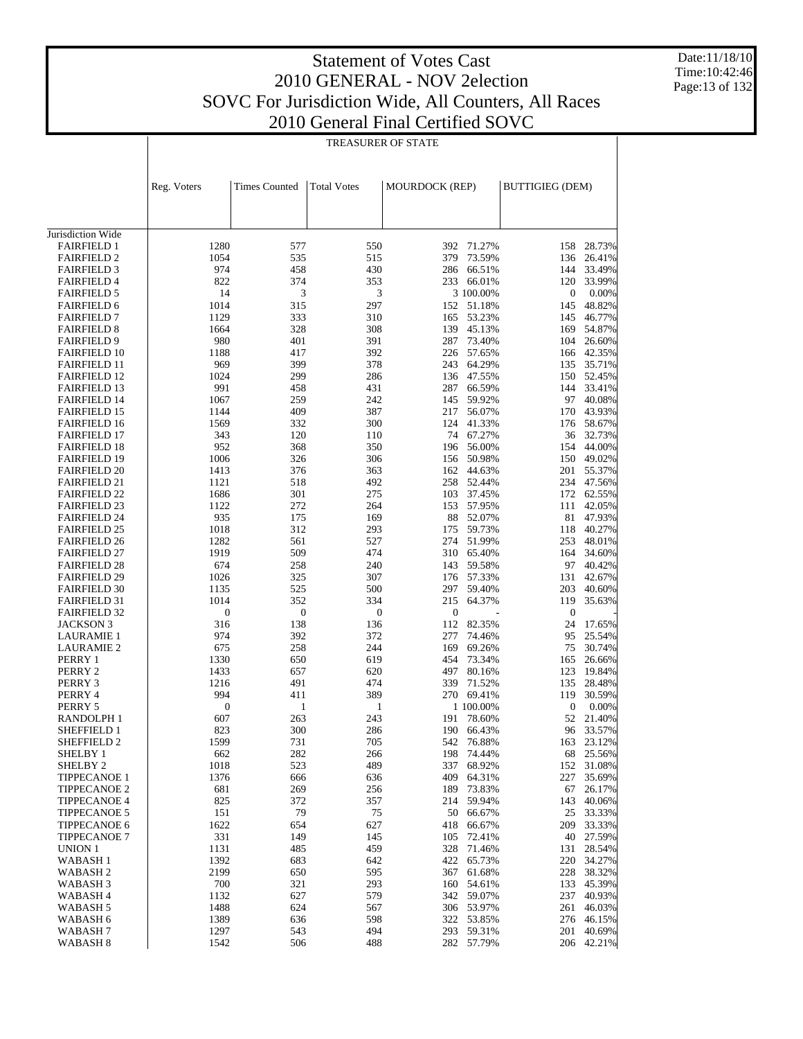Date:11/18/10 Time:10:42:46 Page:13 of 132

|                                            |                  |                         | <b>TREASURER OF STATE</b> |                |                      |                        |                  |
|--------------------------------------------|------------------|-------------------------|---------------------------|----------------|----------------------|------------------------|------------------|
|                                            | Reg. Voters      | <b>Times Counted</b>    | <b>Total Votes</b>        | MOURDOCK (REP) |                      | <b>BUTTIGIEG (DEM)</b> |                  |
|                                            |                  |                         |                           |                |                      |                        |                  |
| Jurisdiction Wide                          |                  |                         |                           |                |                      |                        |                  |
| <b>FAIRFIELD 1</b>                         | 1280             | 577                     | 550                       | 392            | 71.27%               | 158                    | 28.73%           |
| <b>FAIRFIELD 2</b>                         | 1054             | 535<br>458              | 515                       | 379            | 73.59%               | 136<br>144             | 26.41%           |
| <b>FAIRFIELD 3</b><br><b>FAIRFIELD 4</b>   | 974<br>822       | 374                     | 430<br>353                | 286<br>233     | 66.51%<br>66.01%     | 120                    | 33.49%<br>33.99% |
| <b>FAIRFIELD 5</b>                         | 14               | 3                       | 3                         |                | 3 100.00%            | $\boldsymbol{0}$       | 0.00%            |
| <b>FAIRFIELD 6</b>                         | 1014             | 315                     | 297                       |                | 152 51.18%           | 145                    | 48.82%           |
| <b>FAIRFIELD 7</b>                         | 1129             | 333                     | 310                       | 165            | 53.23%               | 145                    | 46.77%           |
| <b>FAIRFIELD 8</b>                         | 1664             | 328                     | 308                       | 139            | 45.13%               | 169                    | 54.87%           |
| <b>FAIRFIELD 9</b>                         | 980              | 401                     | 391                       | 287            | 73.40%               | 104                    | 26.60%           |
| <b>FAIRFIELD 10</b>                        | 1188             | 417                     | 392                       |                | 226 57.65%           | 166                    | 42.35%           |
| <b>FAIRFIELD 11</b>                        | 969              | 399                     | 378                       |                | 243 64.29%           | 135                    | 35.71%           |
| <b>FAIRFIELD 12</b><br><b>FAIRFIELD 13</b> | 1024<br>991      | 299<br>458              | 286<br>431                | 287            | 136 47.55%<br>66.59% | 150<br>144             | 52.45%<br>33.41% |
| <b>FAIRFIELD 14</b>                        | 1067             | 259                     | 242                       | 145            | 59.92%               | 97                     | 40.08%           |
| <b>FAIRFIELD 15</b>                        | 1144             | 409                     | 387                       | 217            | 56.07%               | 170                    | 43.93%           |
| <b>FAIRFIELD 16</b>                        | 1569             | 332                     | 300                       |                | 124 41.33%           | 176                    | 58.67%           |
| <b>FAIRFIELD 17</b>                        | 343              | 120                     | 110                       | 74             | 67.27%               | 36                     | 32.73%           |
| <b>FAIRFIELD 18</b>                        | 952              | 368                     | 350                       | 196            | 56.00%               | 154                    | 44.00%           |
| <b>FAIRFIELD 19</b>                        | 1006             | 326                     | 306                       | 156            | 50.98%               | 150                    | 49.02%           |
| <b>FAIRFIELD 20</b>                        | 1413             | 376                     | 363                       |                | 162 44.63%           | 201                    | 55.37%           |
| <b>FAIRFIELD 21</b>                        | 1121             | 518                     | 492                       | 258            | 52.44%               | 234                    | 47.56%           |
| <b>FAIRFIELD 22</b>                        | 1686             | 301                     | 275                       | 103            | 37.45%               | 172                    | 62.55%           |
| <b>FAIRFIELD 23</b><br><b>FAIRFIELD 24</b> | 1122<br>935      | 272<br>175              | 264<br>169                | 153<br>88      | 57.95%<br>52.07%     | 111<br>81              | 42.05%<br>47.93% |
| <b>FAIRFIELD 25</b>                        | 1018             | 312                     | 293                       | 175            | 59.73%               | 118                    | 40.27%           |
| <b>FAIRFIELD 26</b>                        | 1282             | 561                     | 527                       | 274            | 51.99%               | 253                    | 48.01%           |
| <b>FAIRFIELD 27</b>                        | 1919             | 509                     | 474                       |                | 310 65.40%           | 164                    | 34.60%           |
| <b>FAIRFIELD 28</b>                        | 674              | 258                     | 240                       | 143            | 59.58%               | 97                     | 40.42%           |
| <b>FAIRFIELD 29</b>                        | 1026             | 325                     | 307                       | 176            | 57.33%               | 131                    | 42.67%           |
| <b>FAIRFIELD 30</b>                        | 1135             | 525                     | 500                       | 297            | 59.40%               | 203                    | 40.60%           |
| <b>FAIRFIELD 31</b>                        | 1014             | 352                     | 334                       | 215            | 64.37%               | 119                    | 35.63%           |
| <b>FAIRFIELD 32</b>                        | $\boldsymbol{0}$ | $\boldsymbol{0}$<br>138 | $\boldsymbol{0}$          | 0              |                      | $\boldsymbol{0}$<br>24 |                  |
| JACKSON 3<br><b>LAURAMIE 1</b>             | 316<br>974       | 392                     | 136<br>372                | 112<br>277     | 82.35%<br>74.46%     | 95                     | 17.65%<br>25.54% |
| <b>LAURAMIE 2</b>                          | 675              | 258                     | 244                       | 169            | 69.26%               | 75                     | 30.74%           |
| PERRY 1                                    | 1330             | 650                     | 619                       | 454            | 73.34%               | 165                    | 26.66%           |
| PERRY 2                                    | 1433             | 657                     | 620                       | 497            | 80.16%               | 123                    | 19.84%           |
| PERRY 3                                    | 1216             | 491                     | 474                       | 339            | 71.52%               | 135                    | 28.48%           |
| PERRY 4                                    | 994              | 411                     | 389                       | 270            | 69.41%               | 119                    | 30.59%           |
| PERRY 5                                    | $\mathbf{0}$     | 1                       | 1                         |                | 1 100.00%            | 0                      | $0.00\%$         |
| RANDOLPH 1                                 | 607              | 263                     | 243                       | 191            | 78.60%               | 52                     | 21.40%           |
| SHEFFIELD 1<br>SHEFFIELD 2                 | 823<br>1599      | 300<br>731              | 286<br>705                | 190<br>542     | 66.43%<br>76.88%     | 96<br>163              | 33.57%<br>23.12% |
| SHELBY 1                                   | 662              | 282                     | 266                       | 198            | 74.44%               | 68                     | 25.56%           |
| SHELBY <sub>2</sub>                        | 1018             | 523                     | 489                       | 337            | 68.92%               | 152                    | 31.08%           |
| <b>TIPPECANOE 1</b>                        | 1376             | 666                     | 636                       | 409            | 64.31%               | 227                    | 35.69%           |
| <b>TIPPECANOE 2</b>                        | 681              | 269                     | 256                       | 189            | 73.83%               | 67                     | 26.17%           |
| <b>TIPPECANOE 4</b>                        | 825              | 372                     | 357                       | 214            | 59.94%               | 143                    | 40.06%           |
| <b>TIPPECANOE 5</b>                        | 151              | 79                      | 75                        | 50             | 66.67%               | 25                     | 33.33%           |
| TIPPECANOE 6                               | 1622             | 654                     | 627                       | 418            | 66.67%               | 209                    | 33.33%           |
| TIPPECANOE 7                               | 331              | 149                     | 145                       | 105            | 72.41%               | 40                     | 27.59%           |
| UNION 1                                    | 1131             | 485                     | 459                       | 328<br>422     | 71.46%               | 131<br>220             | 28.54%<br>34.27% |
| WABASH 1<br>WABASH 2                       | 1392<br>2199     | 683<br>650              | 642<br>595                | 367            | 65.73%<br>61.68%     | 228                    | 38.32%           |
| WABASH <sub>3</sub>                        | 700              | 321                     | 293                       | 160            | 54.61%               | 133                    | 45.39%           |
| WABASH 4                                   | 1132             | 627                     | 579                       | 342            | 59.07%               | 237                    | 40.93%           |
| WABASH 5                                   | 1488             | 624                     | 567                       | 306            | 53.97%               | 261                    | 46.03%           |
| WABASH 6                                   | 1389             | 636                     | 598                       |                | 322 53.85%           | 276                    | 46.15%           |
| WABASH 7                                   | 1297             | 543                     | 494                       | 293            | 59.31%               | 201                    | 40.69%           |
| WABASH 8                                   | 1542             | 506                     | 488                       |                | 282 57.79%           |                        | 206 42.21%       |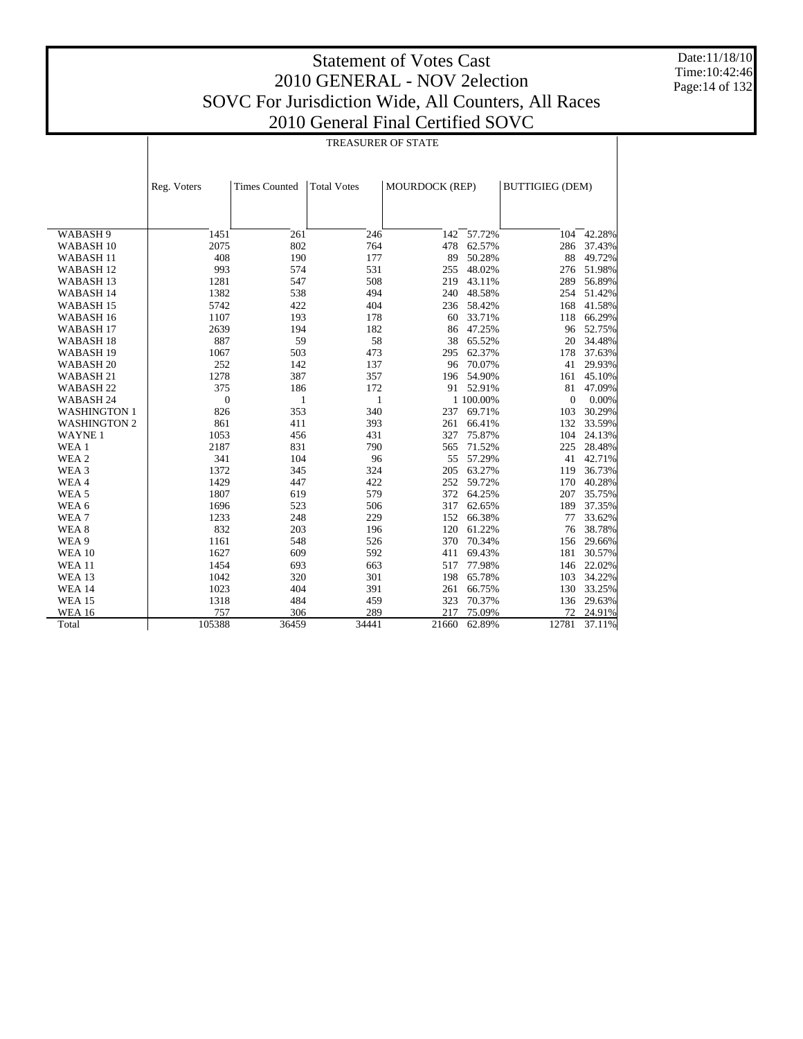Date:11/18/10 Time:10:42:46 Page:14 of 132

|                      | <b>TREASURER OF STATE</b> |                      |                    |                       |            |                        |        |  |  |  |
|----------------------|---------------------------|----------------------|--------------------|-----------------------|------------|------------------------|--------|--|--|--|
|                      | Reg. Voters               | <b>Times Counted</b> | <b>Total Votes</b> | <b>MOURDOCK (REP)</b> |            | <b>BUTTIGIEG (DEM)</b> |        |  |  |  |
|                      |                           |                      |                    |                       |            |                        |        |  |  |  |
| WABASH 9             | 1451                      | 261                  | 246                | 142                   | 57.72%     | 104                    | 42.28% |  |  |  |
| WABASH <sub>10</sub> | 2075                      | 802                  | 764                | 478                   | 62.57%     | 286                    | 37.43% |  |  |  |
| <b>WABASH11</b>      | 408                       | 190                  | 177                | 89                    | 50.28%     | 88                     | 49.72% |  |  |  |
| WABASH <sub>12</sub> | 993                       | 574                  | 531                | 255                   | 48.02%     | 276                    | 51.98% |  |  |  |
| WABASH <sub>13</sub> | 1281                      | 547                  | 508                | 219                   | 43.11%     | 289                    | 56.89% |  |  |  |
| WABASH 14            | 1382                      | 538                  | 494                | 240                   | 48.58%     | 254                    | 51.42% |  |  |  |
| WABASH <sub>15</sub> | 5742                      | 422                  | 404                |                       | 236 58.42% | 168                    | 41.58% |  |  |  |
| WABASH <sub>16</sub> | 1107                      | 193                  | 178                | 60                    | 33.71%     | 118                    | 66.29% |  |  |  |
| WABASH <sub>17</sub> | 2639                      | 194                  | 182                | 86                    | 47.25%     | 96                     | 52.75% |  |  |  |
| WABASH 18            | 887                       | 59                   | 58                 | 38                    | 65.52%     | 20                     | 34.48% |  |  |  |
| WABASH <sub>19</sub> | 1067                      | 503                  | 473                | 295                   | 62.37%     | 178                    | 37.63% |  |  |  |
| WABASH <sub>20</sub> | 252                       | 142                  | 137                | 96                    | 70.07%     | 41                     | 29.93% |  |  |  |
| WABASH <sub>21</sub> | 1278                      | 387                  | 357                | 196                   | 54.90%     | 161                    | 45.10% |  |  |  |
| WABASH <sub>22</sub> | 375                       | 186                  | 172                |                       | 91 52.91%  | 81                     | 47.09% |  |  |  |
| WABASH 24            | $\overline{0}$            | $\mathbf{1}$         | 1                  |                       | 1 100.00%  | $\mathbf{0}$           | 0.00%  |  |  |  |
| <b>WASHINGTON 1</b>  | 826                       | 353                  | 340                | 237                   | 69.71%     | 103                    | 30.29% |  |  |  |
| <b>WASHINGTON 2</b>  | 861                       | 411                  | 393                | 261                   | 66.41%     | 132                    | 33.59% |  |  |  |
| <b>WAYNE1</b>        | 1053                      | 456                  | 431                | 327                   | 75.87%     | 104                    | 24.13% |  |  |  |
| WEA 1                | 2187                      | 831                  | 790                | 565                   | 71.52%     | 225                    | 28.48% |  |  |  |
| WEA 2                | 341                       | 104                  | 96                 | 55                    | 57.29%     | 41                     | 42.71% |  |  |  |
| WEA <sub>3</sub>     | 1372                      | 345                  | 324                | 205                   | 63.27%     | 119                    | 36.73% |  |  |  |
| WEA4                 | 1429                      | 447                  | 422                | 252                   | 59.72%     | 170                    | 40.28% |  |  |  |
| WEA <sub>5</sub>     | 1807                      | 619                  | 579                | 372                   | 64.25%     | 207                    | 35.75% |  |  |  |
| WEA 6                | 1696                      | 523                  | 506                | 317                   | 62.65%     | 189                    | 37.35% |  |  |  |
| WEA7                 | 1233                      | 248                  | 229                | 152                   | 66.38%     | 77                     | 33.62% |  |  |  |
| WEA 8                | 832                       | 203                  | 196                | 120                   | 61.22%     | 76                     | 38.78% |  |  |  |
| WEA 9                | 1161                      | 548                  | 526                | 370                   | 70.34%     | 156                    | 29.66% |  |  |  |
| <b>WEA 10</b>        | 1627                      | 609                  | 592                | 411                   | 69.43%     | 181                    | 30.57% |  |  |  |
| <b>WEA 11</b>        | 1454                      | 693                  | 663                | 517                   | 77.98%     | 146                    | 22.02% |  |  |  |
| <b>WEA 13</b>        | 1042                      | 320                  | 301                | 198                   | 65.78%     | 103                    | 34.22% |  |  |  |
| <b>WEA 14</b>        | 1023                      | 404                  | 391                | 261                   | 66.75%     | 130                    | 33.25% |  |  |  |
| <b>WEA 15</b>        | 1318                      | 484                  | 459                | 323                   | 70.37%     | 136                    | 29.63% |  |  |  |
| <b>WEA 16</b>        | 757                       | 306                  | 289                | 217                   | 75.09%     | 72                     | 24.91% |  |  |  |
| Total                | 105388                    | 36459                | 34441              | 21660                 | 62.89%     | 12781                  | 37.11% |  |  |  |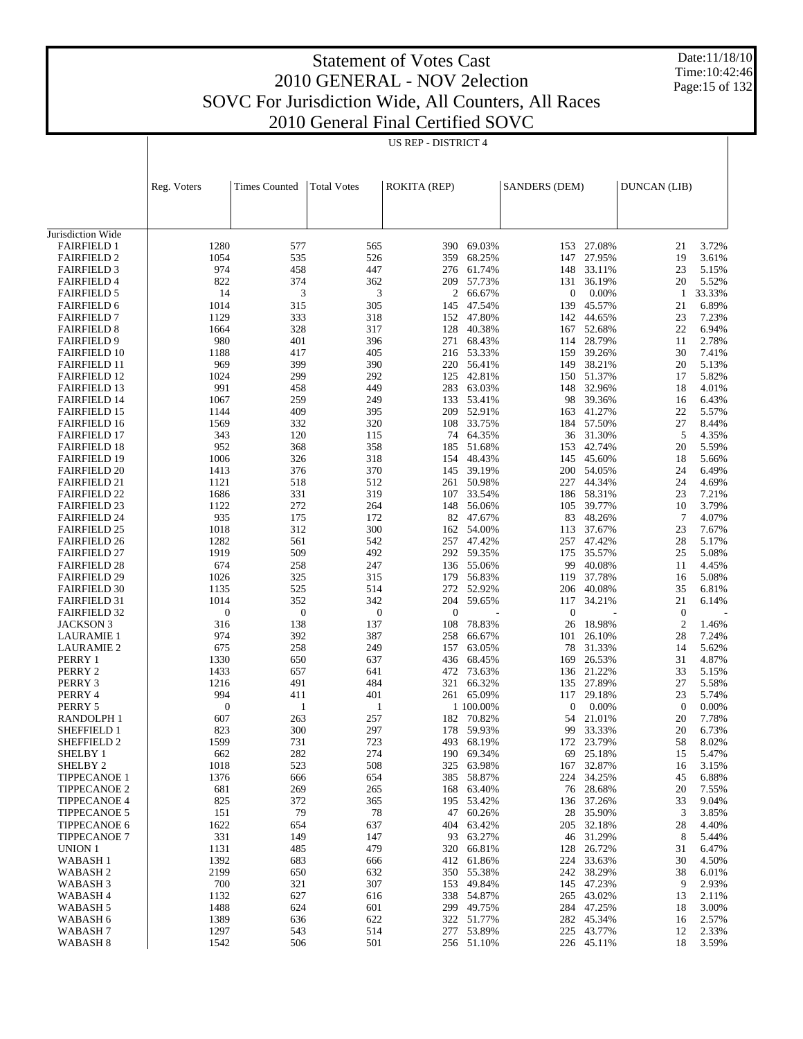Date:11/18/10 Time:10:42:46 Page:15 of 132

|                                            |                         |                      |                    | US REP - DISTRICT 4 |                          |                      |                      |                    |                 |
|--------------------------------------------|-------------------------|----------------------|--------------------|---------------------|--------------------------|----------------------|----------------------|--------------------|-----------------|
|                                            |                         |                      |                    |                     |                          |                      |                      |                    |                 |
|                                            |                         |                      |                    |                     |                          |                      |                      |                    |                 |
|                                            | Reg. Voters             | <b>Times Counted</b> | <b>Total Votes</b> | <b>ROKITA (REP)</b> |                          | <b>SANDERS (DEM)</b> |                      | DUNCAN (LIB)       |                 |
|                                            |                         |                      |                    |                     |                          |                      |                      |                    |                 |
|                                            |                         |                      |                    |                     |                          |                      |                      |                    |                 |
| Jurisdiction Wide<br><b>FAIRFIELD 1</b>    | 1280                    | 577                  | 565                |                     | 390 69.03%               |                      | 153 27.08%           | 21                 | 3.72%           |
| <b>FAIRFIELD 2</b>                         | 1054                    | 535                  | 526                | 359                 | 68.25%                   | 147                  | 27.95%               | 19                 | 3.61%           |
| <b>FAIRFIELD 3</b>                         | 974                     | 458                  | 447                |                     | 276 61.74%               | 148                  | 33.11%               | 23                 | 5.15%           |
| <b>FAIRFIELD 4</b>                         | 822<br>14               | 374<br>3             | 362<br>3           | 209                 | 57.73%<br>2 66.67%       | 131                  | 36.19%               | 20<br>$\mathbf{1}$ | 5.52%           |
| <b>FAIRFIELD 5</b><br><b>FAIRFIELD 6</b>   | 1014                    | 315                  | 305                | 145                 | 47.54%                   | 0<br>139             | 0.00%<br>45.57%      | 21                 | 33.33%<br>6.89% |
| <b>FAIRFIELD 7</b>                         | 1129                    | 333                  | 318                |                     | 152 47.80%               | 142                  | 44.65%               | 23                 | 7.23%           |
| <b>FAIRFIELD 8</b>                         | 1664                    | 328                  | 317                | 128                 | 40.38%                   | 167                  | 52.68%               | 22                 | 6.94%           |
| <b>FAIRFIELD 9</b>                         | 980                     | 401                  | 396                | 271                 | 68.43%                   |                      | 114 28.79%           | 11                 | 2.78%           |
| <b>FAIRFIELD 10</b><br><b>FAIRFIELD 11</b> | 1188<br>969             | 417<br>399           | 405<br>390         |                     | 216 53.33%<br>220 56.41% | 159<br>149           | 39.26%<br>38.21%     | 30<br>20           | 7.41%<br>5.13%  |
| <b>FAIRFIELD 12</b>                        | 1024                    | 299                  | 292                | 125                 | 42.81%                   |                      | 150 51.37%           | 17                 | 5.82%           |
| <b>FAIRFIELD 13</b>                        | 991                     | 458                  | 449                | 283                 | 63.03%                   |                      | 148 32.96%           | 18                 | 4.01%           |
| <b>FAIRFIELD 14</b>                        | 1067                    | 259                  | 249                | 133                 | 53.41%                   | 98                   | 39.36%               | 16                 | 6.43%           |
| <b>FAIRFIELD 15</b><br><b>FAIRFIELD 16</b> | 1144<br>1569            | 409<br>332           | 395<br>320         | 108                 | 209 52.91%<br>33.75%     | 184                  | 163 41.27%<br>57.50% | 22<br>27           | 5.57%<br>8.44%  |
| <b>FAIRFIELD 17</b>                        | 343                     | 120                  | 115                |                     | 74 64.35%                |                      | 36 31.30%            | 5                  | 4.35%           |
| <b>FAIRFIELD 18</b>                        | 952                     | 368                  | 358                | 185                 | 51.68%                   | 153                  | 42.74%               | 20                 | 5.59%           |
| <b>FAIRFIELD 19</b>                        | 1006                    | 326                  | 318                |                     | 154 48.43%               |                      | 145 45.60%           | 18                 | 5.66%           |
| <b>FAIRFIELD 20</b><br><b>FAIRFIELD 21</b> | 1413<br>1121            | 376<br>518           | 370<br>512         | 145                 | 39.19%<br>261 50.98%     | 200<br>227           | 54.05%<br>44.34%     | 24<br>24           | 6.49%<br>4.69%  |
| <b>FAIRFIELD 22</b>                        | 1686                    | 331                  | 319                | 107                 | 33.54%                   | 186                  | 58.31%               | 23                 | 7.21%           |
| <b>FAIRFIELD 23</b>                        | 1122                    | 272                  | 264                |                     | 148 56.06%               |                      | 105 39.77%           | 10                 | 3.79%           |
| <b>FAIRFIELD 24</b>                        | 935                     | 175                  | 172                |                     | 82 47.67%                | 83                   | 48.26%               | $\overline{7}$     | 4.07%           |
| <b>FAIRFIELD 25</b><br><b>FAIRFIELD 26</b> | 1018<br>1282            | 312<br>561           | 300<br>542         | 257                 | 162 54.00%<br>47.42%     | 113<br>257           | 37.67%<br>47.42%     | 23<br>28           | 7.67%<br>5.17%  |
| <b>FAIRFIELD 27</b>                        | 1919                    | 509                  | 492                |                     | 292 59.35%               |                      | 175 35.57%           | 25                 | 5.08%           |
| <b>FAIRFIELD 28</b>                        | 674                     | 258                  | 247                |                     | 136 55.06%               | 99                   | 40.08%               | 11                 | 4.45%           |
| <b>FAIRFIELD 29</b>                        | 1026                    | 325                  | 315                |                     | 179 56.83%               | 119                  | 37.78%               | 16                 | 5.08%           |
| <b>FAIRFIELD 30</b><br><b>FAIRFIELD 31</b> | 1135<br>1014            | 525<br>352           | 514<br>342         | 272<br>204          | 52.92%<br>59.65%         | 206<br>117           | 40.08%<br>34.21%     | 35<br>21           | 6.81%<br>6.14%  |
| <b>FAIRFIELD 32</b>                        | $\boldsymbol{0}$        | $\boldsymbol{0}$     | $\boldsymbol{0}$   | $\mathbf{0}$        |                          | $\boldsymbol{0}$     |                      | $\theta$           |                 |
| <b>JACKSON 3</b>                           | 316                     | 138                  | 137                | 108                 | 78.83%                   | 26                   | 18.98%               | $\overline{2}$     | 1.46%           |
| <b>LAURAMIE 1</b>                          | 974                     | 392                  | 387                | 258                 | 66.67%                   | 101                  | 26.10%               | 28                 | 7.24%           |
| <b>LAURAMIE 2</b><br>PERRY 1               | 675<br>1330             | 258<br>650           | 249<br>637         | 157<br>436          | 63.05%<br>68.45%         | 169                  | 78 31.33%<br>26.53%  | 14<br>31           | 5.62%<br>4.87%  |
| PERRY 2                                    | 1433                    | 657                  | 641                |                     | 472 73.63%               |                      | 136 21.22%           | 33                 | 5.15%           |
| PERRY 3                                    | 1216                    | 491                  | 484                | 321                 | 66.32%                   | 135                  | 27.89%               | 27                 | 5.58%           |
| PERRY 4                                    | 994                     | 411                  | 401                |                     | 261 65.09%               |                      | 117 29.18%           | 23                 | 5.74%           |
| PERRY 5<br>RANDOLPH 1                      | $\boldsymbol{0}$<br>607 | 1<br>263             | 1<br>257           |                     | 1 100.00%<br>182 70.82%  | $\mathbf{0}$<br>54   | 0.00%<br>21.01%      | $\theta$<br>20     | 0.00%<br>7.78%  |
| SHEFFIELD 1                                | 823                     | 300                  | 297                |                     | 178 59.93%               |                      | 99 33.33%            | 20                 | 6.73%           |
| SHEFFIELD 2                                | 1599                    | 731                  | 723                | 493                 | 68.19%                   | 172                  | 23.79%               | 58                 | 8.02%           |
| <b>SHELBY 1</b>                            | 662                     | 282                  | 274                | 190                 | 69.34%                   | 69                   | 25.18%               | 15                 | 5.47%           |
| SHELBY <sub>2</sub><br><b>TIPPECANOE 1</b> | 1018<br>1376            | 523<br>666           | 508<br>654         | 325<br>385          | 63.98%<br>58.87%         | 167<br>224           | 32.87%<br>34.25%     | 16<br>45           | 3.15%<br>6.88%  |
| <b>TIPPECANOE 2</b>                        | 681                     | 269                  | 265                |                     | 168 63.40%               | 76                   | 28.68%               | 20                 | 7.55%           |
| <b>TIPPECANOE 4</b>                        | 825                     | 372                  | 365                | 195                 | 53.42%                   | 136                  | 37.26%               | 33                 | 9.04%           |
| <b>TIPPECANOE 5</b>                        | 151                     | 79                   | 78                 | 47                  | 60.26%                   | 28                   | 35.90%               | 3                  | 3.85%           |
| <b>TIPPECANOE 6</b><br><b>TIPPECANOE 7</b> | 1622<br>331             | 654<br>149           | 637<br>147         | 404                 | 63.42%<br>93 63.27%      | 205<br>46            | 32.18%<br>31.29%     | 28<br>8            | 4.40%<br>5.44%  |
| UNION 1                                    | 1131                    | 485                  | 479                | 320                 | 66.81%                   | 128                  | 26.72%               | 31                 | 6.47%           |
| <b>WABASH1</b>                             | 1392                    | 683                  | 666                |                     | 412 61.86%               | 224                  | 33.63%               | 30                 | 4.50%           |
| WABASH <sub>2</sub>                        | 2199                    | 650                  | 632                |                     | 350 55.38%               | 242                  | 38.29%               | 38                 | 6.01%           |
| WABASH <sub>3</sub>                        | 700                     | 321<br>627           | 307                |                     | 153 49.84%               |                      | 145 47.23%           | 9                  | 2.93%           |
| WABASH <sub>4</sub><br>WABASH 5            | 1132<br>1488            | 624                  | 616<br>601         | 338                 | 54.87%<br>299 49.75%     | 265                  | 43.02%<br>284 47.25% | 13<br>18           | 2.11%<br>3.00%  |
| WABASH 6                                   | 1389                    | 636                  | 622                |                     | 322 51.77%               |                      | 282 45.34%           | 16                 | 2.57%           |
| WABASH <sub>7</sub>                        | 1297                    | 543                  | 514                |                     | 277 53.89%               |                      | 225 43.77%           | 12                 | 2.33%           |
| WABASH <sub>8</sub>                        | 1542                    | 506                  | 501                |                     | 256 51.10%               |                      | 226 45.11%           | 18                 | 3.59%           |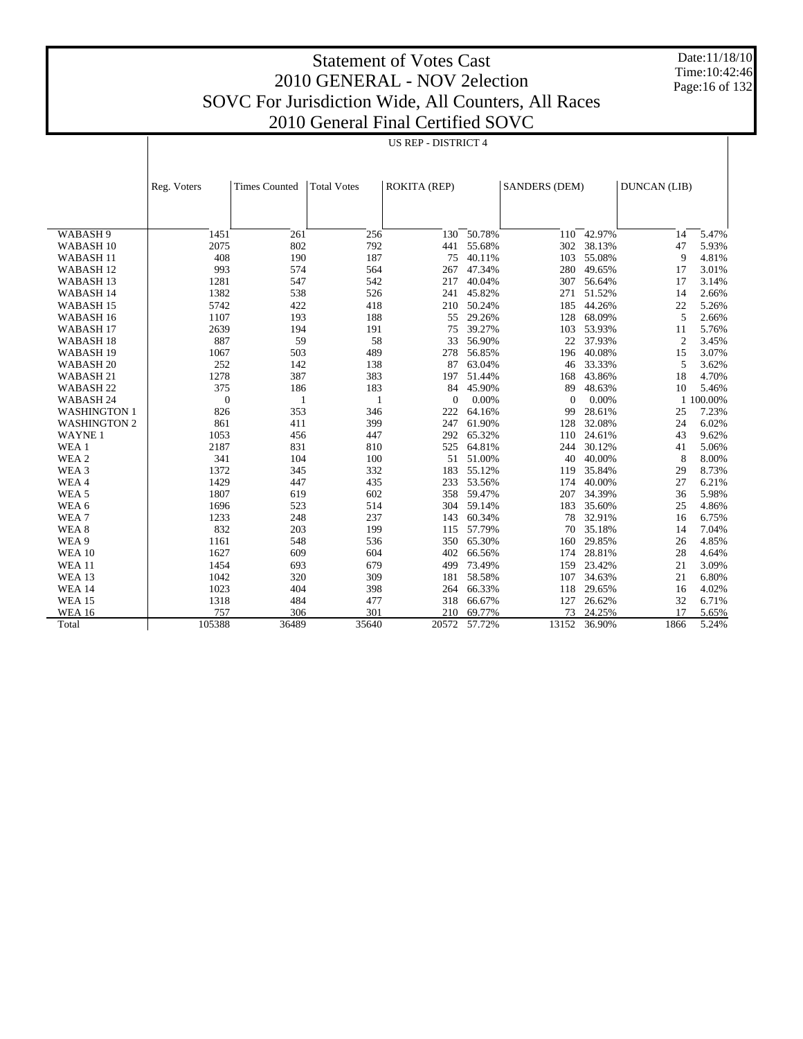Date:11/18/10 Time:10:42:46 Page:16 of 132

|                      |              |                      |                    | $2010$ Octivial I final Centrica SO VC |        |                      |        |                |           |
|----------------------|--------------|----------------------|--------------------|----------------------------------------|--------|----------------------|--------|----------------|-----------|
|                      |              |                      |                    | <b>US REP - DISTRICT 4</b>             |        |                      |        |                |           |
|                      |              |                      |                    |                                        |        |                      |        |                |           |
|                      |              |                      |                    |                                        |        |                      |        |                |           |
|                      |              |                      |                    |                                        |        |                      |        |                |           |
|                      | Reg. Voters  | <b>Times Counted</b> | <b>Total Votes</b> | <b>ROKITA (REP)</b>                    |        | <b>SANDERS (DEM)</b> |        | DUNCAN (LIB)   |           |
|                      |              |                      |                    |                                        |        |                      |        |                |           |
|                      |              |                      |                    |                                        |        |                      |        |                |           |
|                      |              |                      |                    |                                        |        |                      |        |                |           |
| WABASH 9             | 1451         | 261                  | 256                | 130                                    | 50.78% | 110                  | 42.97% | 14             | 5.47%     |
| WABASH <sub>10</sub> | 2075         | 802                  | 792                | 441                                    | 55.68% | 302                  | 38.13% | 47             | 5.93%     |
| WABASH <sub>11</sub> | 408          | 190                  | 187                | 75                                     | 40.11% | 103                  | 55.08% | 9              | 4.81%     |
| WABASH <sub>12</sub> | 993          | 574                  | 564                | 267                                    | 47.34% | 280                  | 49.65% | 17             | 3.01%     |
| WABASH <sub>13</sub> | 1281         | 547                  | 542                | 217                                    | 40.04% | 307                  | 56.64% | 17             | 3.14%     |
| WABASH 14            | 1382         | 538                  | 526                | 241                                    | 45.82% | 271                  | 51.52% | 14             | 2.66%     |
| WABASH 15            | 5742         | 422                  | 418                | 210                                    | 50.24% | 185                  | 44.26% | 22             | 5.26%     |
| WABASH 16            | 1107         | 193                  | 188                | 55                                     | 29.26% | 128                  | 68.09% | 5              | 2.66%     |
| WABASH 17            | 2639         | 194                  | 191                | 75                                     | 39.27% | 103                  | 53.93% | 11             | 5.76%     |
| WABASH <sub>18</sub> | 887          | 59                   | 58                 | 33                                     | 56.90% | 22                   | 37.93% | $\overline{2}$ | 3.45%     |
| WABASH 19            | 1067         | 503                  | 489                | 278                                    | 56.85% | 196                  | 40.08% | 15             | 3.07%     |
| WABASH <sub>20</sub> | 252          | 142                  | 138                | 87                                     | 63.04% | 46                   | 33.33% | 5              | 3.62%     |
| WABASH 21            | 1278         | 387                  | 383                | 197                                    | 51.44% | 168                  | 43.86% | 18             | 4.70%     |
| WABASH <sub>22</sub> | 375          | 186                  | 183                | 84                                     | 45.90% | 89                   | 48.63% | 10             | 5.46%     |
| WABASH 24            | $\mathbf{0}$ | 1                    | $\mathbf{1}$       | $\Omega$                               | 0.00%  | $\Omega$             | 0.00%  |                | 1 100.00% |
| <b>WASHINGTON 1</b>  | 826          | 353                  | 346                | 222                                    | 64.16% | 99                   | 28.61% | 25             | 7.23%     |
| <b>WASHINGTON 2</b>  | 861          | 411                  | 399                | 247                                    | 61.90% | 128                  | 32.08% | 24             | 6.02%     |
| <b>WAYNE1</b>        | 1053         | 456                  | 447                | 292                                    | 65.32% | 110                  | 24.61% | 43             | 9.62%     |
| WEA 1                | 2187         | 831                  | 810                | 525                                    | 64.81% | 244                  | 30.12% | 41             | 5.06%     |
| WEA <sub>2</sub>     | 341          | 104                  | 100                | 51                                     | 51.00% | 40                   | 40.00% | 8              | 8.00%     |
| WEA 3                | 1372         | 345                  | 332                | 183                                    | 55.12% | 119                  | 35.84% | 29             | 8.73%     |
| WEA4                 | 1429         | 447                  | 435                | 233                                    | 53.56% | 174                  | 40.00% | 27             | 6.21%     |
| WEA <sub>5</sub>     | 1807         | 619                  | 602                | 358                                    | 59.47% | 207                  | 34.39% | 36             | 5.98%     |
| WEA 6                | 1696         | 523                  | 514                | 304                                    | 59.14% | 183                  | 35.60% | 25             | 4.86%     |
| WEA7                 | 1233         | 248                  | 237                | 143                                    | 60.34% | 78                   | 32.91% | 16             | 6.75%     |
| WEA <sub>8</sub>     | 832          | 203                  | 199                | 115                                    | 57.79% | 70                   | 35.18% | 14             | 7.04%     |
| WEA 9                | 1161         | 548                  | 536                | 350                                    | 65.30% | 160                  | 29.85% | 26             | 4.85%     |
| <b>WEA 10</b>        | 1627         | 609                  | 604                | 402                                    | 66.56% | 174                  | 28.81% | 28             | 4.64%     |
| <b>WEA 11</b>        | 1454         | 693                  | 679                | 499                                    | 73.49% | 159                  | 23.42% | 21             | 3.09%     |
| <b>WEA 13</b>        | 1042         | 320                  | 309                | 181                                    | 58.58% | 107                  | 34.63% | 21             | 6.80%     |
| <b>WEA 14</b>        | 1023         | 404                  | 398                | 264                                    | 66.33% | 118                  | 29.65% | 16             | 4.02%     |
| <b>WEA 15</b>        | 1318         | 484                  | 477                | 318                                    | 66.67% | 127                  | 26.62% | 32             | 6.71%     |
| <b>WEA 16</b>        | 757          | 306                  | 301                | 210                                    | 69.77% | 73                   | 24.25% | 17             | 5.65%     |
| Total                | 105388       | 36489                | 35640              | 20572                                  | 57.72% | 13152                | 36.90% | 1866           | 5.24%     |
|                      |              |                      |                    |                                        |        |                      |        |                |           |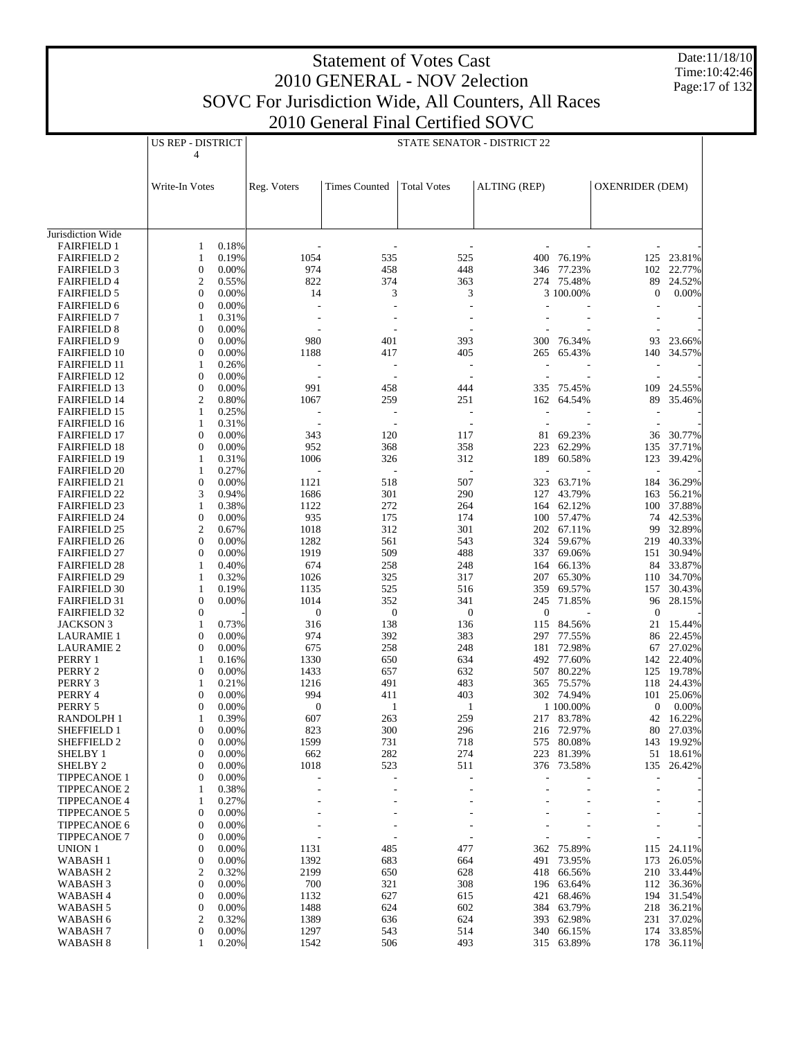Date:11/18/10 Time:10:42:46 Page:17 of 132

|                                            | US REP - DISTRICT                       |                          |                          | STATE SENATOR - DISTRICT 22 |                     |                          |                        |                      |
|--------------------------------------------|-----------------------------------------|--------------------------|--------------------------|-----------------------------|---------------------|--------------------------|------------------------|----------------------|
|                                            | 4                                       |                          |                          |                             |                     |                          |                        |                      |
|                                            |                                         |                          |                          |                             |                     |                          |                        |                      |
|                                            |                                         |                          |                          |                             |                     |                          |                        |                      |
|                                            | Write-In Votes                          | Reg. Voters              | <b>Times Counted</b>     | <b>Total Votes</b>          | <b>ALTING (REP)</b> |                          | <b>OXENRIDER (DEM)</b> |                      |
|                                            |                                         |                          |                          |                             |                     |                          |                        |                      |
|                                            |                                         |                          |                          |                             |                     |                          |                        |                      |
| Jurisdiction Wide                          |                                         |                          |                          |                             |                     |                          |                        |                      |
| <b>FAIRFIELD 1</b>                         | 0.18%<br>1                              |                          | $\overline{a}$           |                             |                     |                          |                        |                      |
| <b>FAIRFIELD 2</b>                         | 0.19%<br>1                              | 1054                     | 535                      | 525                         | 400                 | 76.19%                   | 125                    | 23.81%               |
| <b>FAIRFIELD 3</b>                         | $\boldsymbol{0}$<br>0.00%               | 974                      | 458                      | 448                         |                     | 346 77.23%               | 102                    | 22.77%               |
| <b>FAIRFIELD 4</b>                         | 2<br>0.55%                              | 822                      | 374                      | 363                         |                     | 274 75.48%               | 89                     | 24.52%               |
| <b>FAIRFIELD 5</b>                         | $\boldsymbol{0}$<br>0.00%               | 14                       | 3                        | 3                           |                     | 3 100.00%                | $\boldsymbol{0}$       | 0.00%                |
| <b>FAIRFIELD 6</b>                         | 0<br>0.00%                              |                          | $\overline{a}$           |                             |                     |                          |                        |                      |
| <b>FAIRFIELD 7</b>                         | 0.31%<br>1                              | ÷                        | $\overline{\phantom{a}}$ |                             |                     |                          |                        |                      |
| <b>FAIRFIELD 8</b>                         | 0<br>0.00%                              |                          | ÷,                       |                             |                     |                          |                        |                      |
| <b>FAIRFIELD 9</b><br><b>FAIRFIELD 10</b>  | $\boldsymbol{0}$<br>0.00%<br>0.00%<br>0 | 980<br>1188              | 401<br>417               | 393<br>405                  | 265                 | 300 76.34%<br>65.43%     | 93<br>140              | 23.66%<br>34.57%     |
| <b>FAIRFIELD 11</b>                        | 1<br>0.26%                              |                          | $\overline{a}$           | $\overline{\phantom{a}}$    |                     |                          |                        |                      |
| <b>FAIRFIELD 12</b>                        | 0<br>0.00%                              | $\overline{\phantom{a}}$ | $\sim$                   | ÷.                          |                     |                          |                        |                      |
| <b>FAIRFIELD 13</b>                        | $\boldsymbol{0}$<br>0.00%               | 991                      | 458                      | 444                         | 335                 | 75.45%                   | 109                    | 24.55%               |
| <b>FAIRFIELD 14</b>                        | 2<br>0.80%                              | 1067                     | 259                      | 251                         | 162                 | 64.54%                   | 89                     | 35.46%               |
| <b>FAIRFIELD 15</b>                        | 0.25%<br>1                              |                          |                          | $\overline{\phantom{a}}$    |                     |                          |                        |                      |
| <b>FAIRFIELD 16</b>                        | 0.31%<br>1                              | ٠                        | $\overline{\phantom{a}}$ | $\overline{\phantom{a}}$    |                     |                          |                        |                      |
| <b>FAIRFIELD 17</b>                        | 0<br>0.00%                              | 343                      | 120                      | 117                         | 81                  | 69.23%                   | 36                     | 30.77%               |
| <b>FAIRFIELD 18</b>                        | 0<br>0.00%                              | 952                      | 368                      | 358                         | 223                 | 62.29%                   | 135                    | 37.71%               |
| <b>FAIRFIELD 19</b>                        | 0.31%<br>1                              | 1006                     | 326                      | 312                         | 189                 | 60.58%                   | 123                    | 39.42%               |
| <b>FAIRFIELD 20</b>                        | 0.27%<br>1                              |                          | $\overline{\phantom{a}}$ | $\overline{\phantom{a}}$    |                     |                          |                        |                      |
| <b>FAIRFIELD 21</b>                        | 0<br>0.00%                              | 1121                     | 518                      | 507                         | 323                 | 63.71%                   | 184                    | 36.29%               |
| <b>FAIRFIELD 22</b><br><b>FAIRFIELD 23</b> | 3<br>0.94%<br>0.38%<br>1                | 1686<br>1122             | 301<br>272               | 290<br>264                  | 127                 | 43.79%<br>164 62.12%     | 163                    | 56.21%<br>100 37.88% |
| <b>FAIRFIELD 24</b>                        | 0<br>0.00%                              | 935                      | 175                      | 174                         |                     | 100 57.47%               | 74                     | 42.53%               |
| <b>FAIRFIELD 25</b>                        | 2<br>0.67%                              | 1018                     | 312                      | 301                         |                     | 202 67.11%               | 99                     | 32.89%               |
| <b>FAIRFIELD 26</b>                        | 0<br>0.00%                              | 1282                     | 561                      | 543                         |                     | 324 59.67%               |                        | 219 40.33%           |
| <b>FAIRFIELD 27</b>                        | 0<br>0.00%                              | 1919                     | 509                      | 488                         |                     | 337 69.06%               | 151                    | 30.94%               |
| <b>FAIRFIELD 28</b>                        | 0.40%<br>1                              | 674                      | 258                      | 248                         |                     | 164 66.13%               | 84                     | 33.87%               |
| <b>FAIRFIELD 29</b>                        | 0.32%<br>1                              | 1026                     | 325                      | 317                         |                     | 207 65.30%               |                        | 110 34.70%           |
| <b>FAIRFIELD 30</b>                        | 0.19%<br>1                              | 1135                     | 525                      | 516                         | 359                 | 69.57%                   | 157                    | 30.43%               |
| <b>FAIRFIELD 31</b>                        | $\boldsymbol{0}$<br>0.00%               | 1014                     | 352                      | 341                         | 245                 | 71.85%                   |                        | 96 28.15%            |
| <b>FAIRFIELD 32</b>                        | 0                                       | $\mathbf{0}$             | $\boldsymbol{0}$         | $\mathbf{0}$                | $\mathbf{0}$        |                          | $\boldsymbol{0}$       |                      |
| JACKSON 3                                  | 0.73%<br>1                              | 316                      | 138                      | 136                         |                     | 115 84.56%               | 21                     | 15.44%               |
| <b>LAURAMIE 1</b>                          | $\overline{0}$<br>0.00%                 | 974                      | 392                      | 383                         | 297                 | 77.55%                   | 86                     | 22.45%               |
| <b>LAURAMIE 2</b><br>PERRY 1               | $\boldsymbol{0}$<br>0.00%<br>1<br>0.16% | 675<br>1330              | 258<br>650               | 248<br>634                  |                     | 181 72.98%<br>492 77.60% | 142                    | 67 27.02%<br>22.40%  |
| PERRY 2                                    | 0<br>0.00%                              | 1433                     | 657                      | 632                         |                     | 507 80.22%               |                        | 125 19.78%           |
| PERRY 3                                    | 0.21%<br>1                              | 1216                     | 491                      | 483                         | 365                 | 75.57%                   | 118                    | 24.43%               |
| PERRY 4                                    | 0.00%<br>0                              | 994                      | 411                      | 403                         |                     | 302 74.94%               | 101                    | 25.06%               |
| PERRY 5                                    | 0.00%<br>0                              | $\boldsymbol{0}$         | 1                        | 1                           |                     | 1 100.00%                | 0                      | 0.00%                |
| RANDOLPH 1                                 | 0.39%<br>1                              | 607                      | 263                      | 259                         |                     | 217 83.78%               |                        | 42 16.22%            |
| SHEFFIELD 1                                | 0.00%<br>0                              | 823                      | 300                      | 296                         |                     | 216 72.97%               |                        | 80 27.03%            |
| SHEFFIELD 2                                | 0<br>0.00%                              | 1599                     | 731                      | 718                         |                     | 575 80.08%               | 143                    | 19.92%               |
| <b>SHELBY 1</b>                            | 0.00%<br>0                              | 662                      | 282                      | 274                         | 223                 | 81.39%                   | 51                     | 18.61%               |
| SHELBY <sub>2</sub>                        | 0<br>0.00%                              | 1018                     | 523                      | 511                         |                     | 376 73.58%               |                        | 135 26.42%           |
| <b>TIPPECANOE 1</b>                        | 0.00%<br>0                              |                          | Ĭ.                       | $\overline{a}$              |                     |                          | Ĭ.                     |                      |
| <b>TIPPECANOE 2</b>                        | 0.38%<br>1                              | ÷,                       | L,                       |                             |                     |                          | ÷,                     |                      |
| <b>TIPPECANOE 4</b><br><b>TIPPECANOE 5</b> | 0.27%<br>1<br>0<br>0.00%                | L,                       |                          |                             |                     |                          | L,                     |                      |
| <b>TIPPECANOE 6</b>                        | 0<br>0.00%                              |                          |                          |                             |                     |                          | -<br>-                 |                      |
| <b>TIPPECANOE 7</b>                        | 0<br>0.00%                              |                          | ÷,                       |                             |                     |                          |                        |                      |
| UNION 1                                    | 0<br>0.00%                              | 1131                     | 485                      | 477                         | 362                 | 75.89%                   | 115                    | 24.11%               |
| WABASH <sub>1</sub>                        | $\boldsymbol{0}$<br>0.00%               | 1392                     | 683                      | 664                         | 491                 | 73.95%                   | 173                    | 26.05%               |
| WABASH <sub>2</sub>                        | 2<br>0.32%                              | 2199                     | 650                      | 628                         | 418                 | 66.56%                   | 210                    | 33.44%               |
| WABASH <sub>3</sub>                        | 0<br>0.00%                              | 700                      | 321                      | 308                         |                     | 196 63.64%               | 112                    | 36.36%               |
| WABASH 4                                   | 0<br>0.00%                              | 1132                     | 627                      | 615                         | 421                 | 68.46%                   | 194                    | 31.54%               |
| WABASH 5                                   | 0<br>0.00%                              | 1488                     | 624                      | 602                         |                     | 384 63.79%               | 218                    | 36.21%               |
| WABASH 6                                   | 2<br>0.32%                              | 1389                     | 636                      | 624                         |                     | 393 62.98%               | 231                    | 37.02%               |
| WABASH <sub>7</sub>                        | 0<br>0.00%                              | 1297                     | 543                      | 514                         |                     | 340 66.15%               | 174                    | 33.85%               |
| WABASH <sub>8</sub>                        | 0.20%<br>1                              | 1542                     | 506                      | 493                         |                     | 315 63.89%               | 178                    | 36.11%               |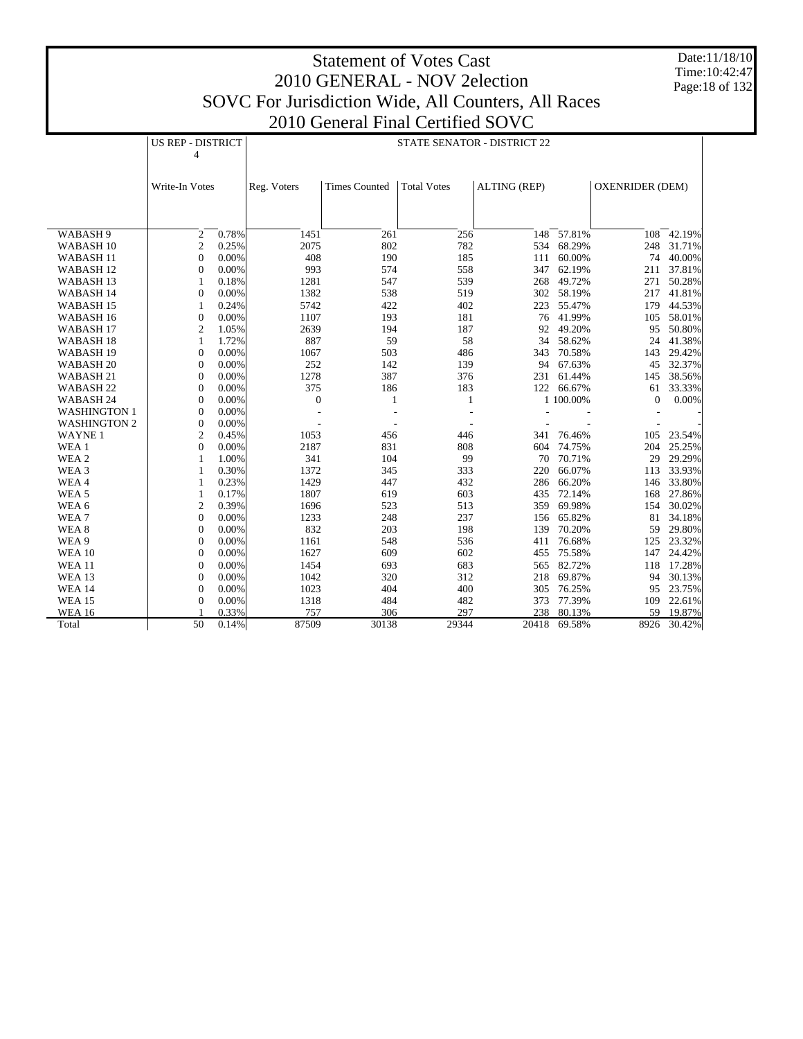Date:11/18/10 Time:10:42:47 Page:18 of 132

|                      | <b>US REP - DISTRICT</b> |       | STATE SENATOR - DISTRICT 22 |                      |                    |                     |            |                        |        |  |
|----------------------|--------------------------|-------|-----------------------------|----------------------|--------------------|---------------------|------------|------------------------|--------|--|
|                      | 4                        |       |                             |                      |                    |                     |            |                        |        |  |
|                      |                          |       |                             |                      |                    |                     |            |                        |        |  |
|                      | Write-In Votes           |       | Reg. Voters                 | <b>Times Counted</b> | <b>Total Votes</b> | <b>ALTING (REP)</b> |            | <b>OXENRIDER (DEM)</b> |        |  |
|                      |                          |       |                             |                      |                    |                     |            |                        |        |  |
|                      |                          |       |                             |                      |                    |                     |            |                        |        |  |
|                      |                          |       |                             |                      |                    |                     |            |                        |        |  |
| WABASH 9             | $\overline{c}$           | 0.78% | 1451                        | 261                  | 256                | 148                 | 57.81%     | 108                    | 42.19% |  |
| WABASH <sub>10</sub> | $\mathfrak{2}$           | 0.25% | 2075                        | 802                  | 782                | 534                 | 68.29%     | 248                    | 31.71% |  |
| WABASH <sub>11</sub> | $\mathbf{0}$             | 0.00% | 408                         | 190                  | 185                | 111                 | 60.00%     | 74                     | 40.00% |  |
| WABASH <sub>12</sub> | 0                        | 0.00% | 993                         | 574                  | 558                | 347                 | 62.19%     | 211                    | 37.81% |  |
| WABASH <sub>13</sub> | 1                        | 0.18% | 1281                        | 547                  | 539                | 268                 | 49.72%     | 271                    | 50.28% |  |
| WABASH 14            | $\Omega$                 | 0.00% | 1382                        | 538                  | 519                | 302                 | 58.19%     | 217                    | 41.81% |  |
| WABASH 15            | $\mathbf{1}$             | 0.24% | 5742                        | 422                  | 402                | 223                 | 55.47%     | 179                    | 44.53% |  |
| WABASH <sub>16</sub> | $\mathbf{0}$             | 0.00% | 1107                        | 193                  | 181                | 76                  | 41.99%     | 105                    | 58.01% |  |
| WABASH <sub>17</sub> | $\overline{2}$           | 1.05% | 2639                        | 194                  | 187                | 92                  | 49.20%     | 95                     | 50.80% |  |
| WABASH 18            | 1                        | 1.72% | 887                         | 59                   | 58                 | 34                  | 58.62%     | 24                     | 41.38% |  |
| WABASH 19            | $\mathbf{0}$             | 0.00% | 1067                        | 503                  | 486                | 343                 | 70.58%     | 143                    | 29.42% |  |
| WABASH <sub>20</sub> | $\mathbf{0}$             | 0.00% | 252                         | 142                  | 139                | 94                  | 67.63%     | 45                     | 32.37% |  |
| WABASH 21            | $\mathbf{0}$             | 0.00% | 1278                        | 387                  | 376                | 231                 | 61.44%     | 145                    | 38.56% |  |
| WABASH <sub>22</sub> | $\mathbf{0}$             | 0.00% | 375                         | 186                  | 183                |                     | 122 66.67% | 61                     | 33.33% |  |
| WABASH 24            | $\mathbf{0}$             | 0.00% | $\boldsymbol{0}$            | $\mathbf{1}$         | 1                  |                     | 1 100.00%  | $\mathbf{0}$           | 0.00%  |  |
| <b>WASHINGTON 1</b>  | $\mathbf{0}$             | 0.00% |                             |                      |                    |                     |            |                        |        |  |
| <b>WASHINGTON 2</b>  | $\mathbf{0}$             | 0.00% |                             | ÷                    |                    |                     |            |                        |        |  |
| <b>WAYNE1</b>        | $\overline{c}$           | 0.45% | 1053                        | 456                  | 446                | 341                 | 76.46%     | 105                    | 23.54% |  |
| WEA 1                | $\overline{0}$           | 0.00% | 2187                        | 831                  | 808                | 604                 | 74.75%     | 204                    | 25.25% |  |
| WEA 2                | 1                        | 1.00% | 341                         | 104                  | 99                 | 70                  | 70.71%     | 29                     | 29.29% |  |
| WEA <sub>3</sub>     | 1                        | 0.30% | 1372                        | 345                  | 333                | 220                 | 66.07%     | 113                    | 33.93% |  |
| WEA4                 | 1                        | 0.23% | 1429                        | 447                  | 432                | 286                 | 66.20%     | 146                    | 33.80% |  |
| WEA <sub>5</sub>     | 1                        | 0.17% | 1807                        | 619                  | 603                | 435                 | 72.14%     | 168                    | 27.86% |  |
| WEA 6                | $\mathfrak{2}$           | 0.39% | 1696                        | 523                  | 513                | 359                 | 69.98%     | 154                    | 30.02% |  |
| WEA7                 | $\mathbf{0}$             | 0.00% | 1233                        | 248                  | 237                | 156                 | 65.82%     | 81                     | 34.18% |  |
| WEA <sub>8</sub>     | $\mathbf{0}$             | 0.00% | 832                         | 203                  | 198                | 139                 | 70.20%     | 59                     | 29.80% |  |
| WEA 9                | $\mathbf{0}$             | 0.00% | 1161                        | 548                  | 536                | 411                 | 76.68%     | 125                    | 23.32% |  |
| <b>WEA 10</b>        | $\mathbf{0}$             | 0.00% | 1627                        | 609                  | 602                | 455                 | 75.58%     | 147                    | 24.42% |  |
| <b>WEA 11</b>        | $\overline{0}$           | 0.00% | 1454                        | 693                  | 683                | 565                 | 82.72%     | 118                    | 17.28% |  |
| <b>WEA 13</b>        | $\overline{0}$           | 0.00% | 1042                        | 320                  | 312                | 218                 | 69.87%     | 94                     | 30.13% |  |
| <b>WEA 14</b>        | $\mathbf{0}$             | 0.00% | 1023                        | 404                  | 400                | 305                 | 76.25%     | 95                     | 23.75% |  |
| <b>WEA 15</b>        | $\mathbf{0}$             | 0.00% | 1318                        | 484                  | 482                | 373                 | 77.39%     | 109                    | 22.61% |  |
| <b>WEA 16</b>        |                          | 0.33% | 757                         | 306                  | 297                | 238                 | 80.13%     | 59                     | 19.87% |  |
| Total                | 50                       | 0.14% | 87509                       | 30138                | 29344              | 20418               | 69.58%     | 8926                   | 30.42% |  |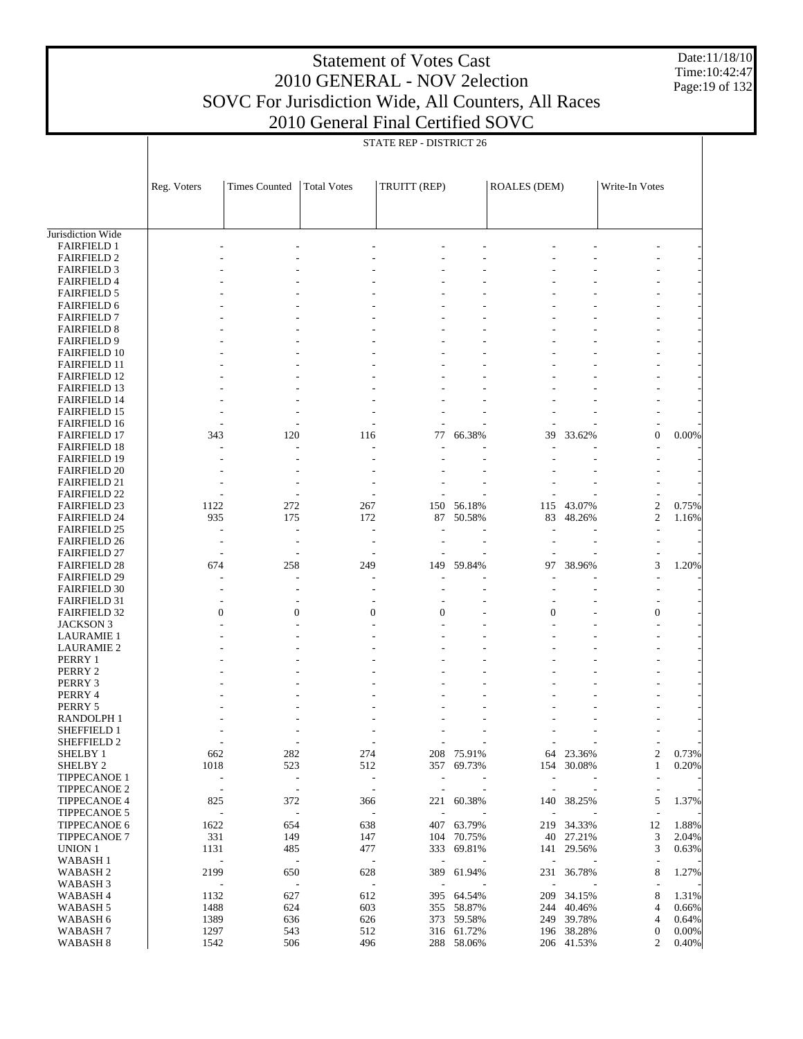Date:11/18/10 Time: 10:42:47 Page:19 of 132

|                                            |                                                      | STATE REP - DISTRICT 26                              |                          |                                 |                  |                                 |                  |                          |       |  |  |  |  |
|--------------------------------------------|------------------------------------------------------|------------------------------------------------------|--------------------------|---------------------------------|------------------|---------------------------------|------------------|--------------------------|-------|--|--|--|--|
|                                            |                                                      |                                                      |                          |                                 |                  |                                 |                  |                          |       |  |  |  |  |
|                                            | Reg. Voters                                          | <b>Times Counted</b>                                 | <b>Total Votes</b>       | TRUITT (REP)                    |                  | <b>ROALES (DEM)</b>             |                  | Write-In Votes           |       |  |  |  |  |
|                                            |                                                      |                                                      |                          |                                 |                  |                                 |                  |                          |       |  |  |  |  |
|                                            |                                                      |                                                      |                          |                                 |                  |                                 |                  |                          |       |  |  |  |  |
| Jurisdiction Wide                          |                                                      |                                                      |                          |                                 |                  |                                 |                  |                          |       |  |  |  |  |
| <b>FAIRFIELD 1</b><br><b>FAIRFIELD 2</b>   |                                                      |                                                      |                          |                                 |                  |                                 |                  |                          |       |  |  |  |  |
| <b>FAIRFIELD 3</b>                         |                                                      |                                                      |                          |                                 |                  |                                 |                  |                          |       |  |  |  |  |
| <b>FAIRFIELD 4</b>                         |                                                      |                                                      |                          |                                 |                  |                                 |                  |                          |       |  |  |  |  |
| <b>FAIRFIELD 5</b>                         |                                                      |                                                      |                          |                                 |                  |                                 |                  |                          |       |  |  |  |  |
| <b>FAIRFIELD 6</b>                         |                                                      |                                                      |                          |                                 |                  |                                 |                  |                          |       |  |  |  |  |
| <b>FAIRFIELD 7</b><br><b>FAIRFIELD 8</b>   |                                                      |                                                      |                          |                                 |                  |                                 |                  |                          |       |  |  |  |  |
| <b>FAIRFIELD 9</b>                         |                                                      |                                                      |                          |                                 |                  |                                 |                  |                          |       |  |  |  |  |
| <b>FAIRFIELD 10</b>                        |                                                      |                                                      |                          |                                 |                  |                                 |                  |                          |       |  |  |  |  |
| <b>FAIRFIELD 11</b>                        |                                                      |                                                      |                          |                                 |                  |                                 |                  |                          |       |  |  |  |  |
| <b>FAIRFIELD 12</b>                        |                                                      |                                                      |                          |                                 |                  |                                 |                  |                          |       |  |  |  |  |
| <b>FAIRFIELD 13</b>                        |                                                      |                                                      |                          |                                 |                  |                                 |                  |                          |       |  |  |  |  |
| <b>FAIRFIELD 14</b>                        |                                                      |                                                      |                          |                                 |                  |                                 |                  |                          |       |  |  |  |  |
| <b>FAIRFIELD 15</b><br><b>FAIRFIELD 16</b> |                                                      |                                                      |                          |                                 |                  |                                 |                  |                          |       |  |  |  |  |
| <b>FAIRFIELD 17</b>                        | 343                                                  | 120                                                  | 116                      | 77                              | 66.38%           | 39                              | 33.62%           | $\mathbf{0}$             | 0.00% |  |  |  |  |
| <b>FAIRFIELD 18</b>                        |                                                      |                                                      |                          |                                 |                  |                                 |                  |                          |       |  |  |  |  |
| <b>FAIRFIELD 19</b>                        |                                                      |                                                      |                          |                                 |                  |                                 |                  |                          |       |  |  |  |  |
| <b>FAIRFIELD 20</b>                        |                                                      |                                                      |                          |                                 |                  |                                 |                  |                          |       |  |  |  |  |
| <b>FAIRFIELD 21</b>                        |                                                      |                                                      |                          |                                 |                  |                                 |                  |                          |       |  |  |  |  |
| <b>FAIRFIELD 22</b><br><b>FAIRFIELD 23</b> | 1122                                                 | 272                                                  | 267                      |                                 |                  | 115                             |                  | $\boldsymbol{2}$         | 0.75% |  |  |  |  |
| <b>FAIRFIELD 24</b>                        | 935                                                  | 175                                                  | 172                      | 150<br>87                       | 56.18%<br>50.58% | 83                              | 43.07%<br>48.26% | $\overline{c}$           | 1.16% |  |  |  |  |
| <b>FAIRFIELD 25</b>                        |                                                      | $\overline{a}$                                       |                          |                                 |                  | $\overline{a}$                  |                  |                          |       |  |  |  |  |
| <b>FAIRFIELD 26</b>                        |                                                      |                                                      |                          |                                 |                  |                                 |                  |                          |       |  |  |  |  |
| <b>FAIRFIELD 27</b>                        |                                                      |                                                      |                          |                                 |                  |                                 |                  |                          |       |  |  |  |  |
| <b>FAIRFIELD 28</b>                        | 674                                                  | 258                                                  | 249                      | 149                             | 59.84%           | 97                              | 38.96%           | 3                        | 1.20% |  |  |  |  |
| <b>FAIRFIELD 29</b>                        |                                                      | Ĭ.                                                   |                          |                                 |                  |                                 |                  |                          |       |  |  |  |  |
| <b>FAIRFIELD 30</b><br><b>FAIRFIELD 31</b> |                                                      |                                                      |                          |                                 |                  |                                 |                  |                          |       |  |  |  |  |
| <b>FAIRFIELD 32</b>                        | $\mathbf{0}$                                         | $\mathbf{0}$                                         | $\mathbf{0}$             | $\overline{0}$                  |                  | $\overline{0}$                  |                  | $\boldsymbol{0}$         |       |  |  |  |  |
| <b>JACKSON 3</b>                           |                                                      |                                                      |                          |                                 |                  |                                 |                  |                          |       |  |  |  |  |
| <b>LAURAMIE 1</b>                          |                                                      |                                                      |                          |                                 |                  |                                 |                  |                          |       |  |  |  |  |
| <b>LAURAMIE 2</b>                          |                                                      |                                                      |                          |                                 |                  |                                 |                  |                          |       |  |  |  |  |
| PERRY 1                                    |                                                      |                                                      |                          |                                 |                  |                                 |                  |                          |       |  |  |  |  |
| PERRY 2                                    |                                                      |                                                      |                          |                                 |                  |                                 |                  |                          |       |  |  |  |  |
| PERRY 3<br>PERRY 4                         |                                                      |                                                      |                          |                                 |                  |                                 |                  |                          |       |  |  |  |  |
| PERRY 5                                    |                                                      |                                                      |                          |                                 |                  |                                 |                  |                          |       |  |  |  |  |
| RANDOLPH 1                                 |                                                      |                                                      |                          |                                 |                  |                                 |                  |                          |       |  |  |  |  |
| SHEFFIELD 1                                | $\overline{a}$                                       | $\overline{\phantom{a}}$                             | $\overline{\phantom{m}}$ |                                 |                  | $\overline{\phantom{a}}$        |                  |                          |       |  |  |  |  |
| SHEFFIELD 2                                |                                                      | $\overline{\phantom{a}}$                             |                          |                                 |                  | $\overline{a}$                  |                  | $\overline{\phantom{a}}$ |       |  |  |  |  |
| SHELBY 1                                   | 662                                                  | 282                                                  | 274                      | 208                             | 75.91%           | 64                              | 23.36%           | $\overline{c}$           | 0.73% |  |  |  |  |
| SHELBY <sub>2</sub><br><b>TIPPECANOE 1</b> | 1018                                                 | 523                                                  | 512                      |                                 | 357 69.73%       | 154                             | 30.08%           | $\mathbf{1}$             | 0.20% |  |  |  |  |
| <b>TIPPECANOE 2</b>                        | $\overline{\phantom{0}}$<br>$\overline{\phantom{a}}$ | $\overline{\phantom{a}}$<br>$\overline{\phantom{a}}$ |                          |                                 |                  | $\overline{a}$<br>Ĭ.            |                  | $\overline{a}$           |       |  |  |  |  |
| <b>TIPPECANOE 4</b>                        | 825                                                  | 372                                                  | 366                      | 221                             | 60.38%           | 140                             | 38.25%           | 5                        | 1.37% |  |  |  |  |
| <b>TIPPECANOE 5</b>                        | $\overline{a}$                                       | $\overline{\phantom{a}}$                             |                          | ÷,                              |                  | ł,                              |                  |                          |       |  |  |  |  |
| <b>TIPPECANOE 6</b>                        | 1622                                                 | 654                                                  | 638                      | 407                             | 63.79%           | 219                             | 34.33%           | 12                       | 1.88% |  |  |  |  |
| <b>TIPPECANOE 7</b>                        | 331                                                  | 149                                                  | 147                      |                                 | 104 70.75%       |                                 | 40 27.21%        | 3                        | 2.04% |  |  |  |  |
| UNION 1                                    | 1131                                                 | 485                                                  | 477                      | 333                             | 69.81%           | 141                             | 29.56%           | 3                        | 0.63% |  |  |  |  |
| WABASH <sub>1</sub><br><b>WABASH2</b>      | $\overline{a}$                                       | $\overline{\phantom{a}}$                             |                          | $\overline{\phantom{a}}$        | 61.94%           | $\overline{a}$                  |                  |                          |       |  |  |  |  |
| WABASH 3                                   | 2199<br>$\overline{\phantom{a}}$                     | 650<br>$\overline{\phantom{a}}$                      | 628                      | 389<br>$\overline{\phantom{a}}$ |                  | 231<br>$\overline{\phantom{a}}$ | 36.78%           | 8                        | 1.27% |  |  |  |  |
| WABASH 4                                   | 1132                                                 | 627                                                  | 612                      | 395                             | 64.54%           | 209                             | 34.15%           | 8                        | 1.31% |  |  |  |  |
| WABASH 5                                   | 1488                                                 | 624                                                  | 603                      | 355                             | 58.87%           | 244                             | 40.46%           | 4                        | 0.66% |  |  |  |  |
| WABASH 6                                   | 1389                                                 | 636                                                  | 626                      | 373                             | 59.58%           | 249                             | 39.78%           | 4                        | 0.64% |  |  |  |  |
| WABASH <sub>7</sub>                        | 1297                                                 | 543                                                  | 512                      |                                 | 316 61.72%       |                                 | 196 38.28%       | $\boldsymbol{0}$         | 0.00% |  |  |  |  |
| WABASH <sub>8</sub>                        | 1542                                                 | 506                                                  | 496                      | 288                             | 58.06%           |                                 | 206 41.53%       | $\overline{c}$           | 0.40% |  |  |  |  |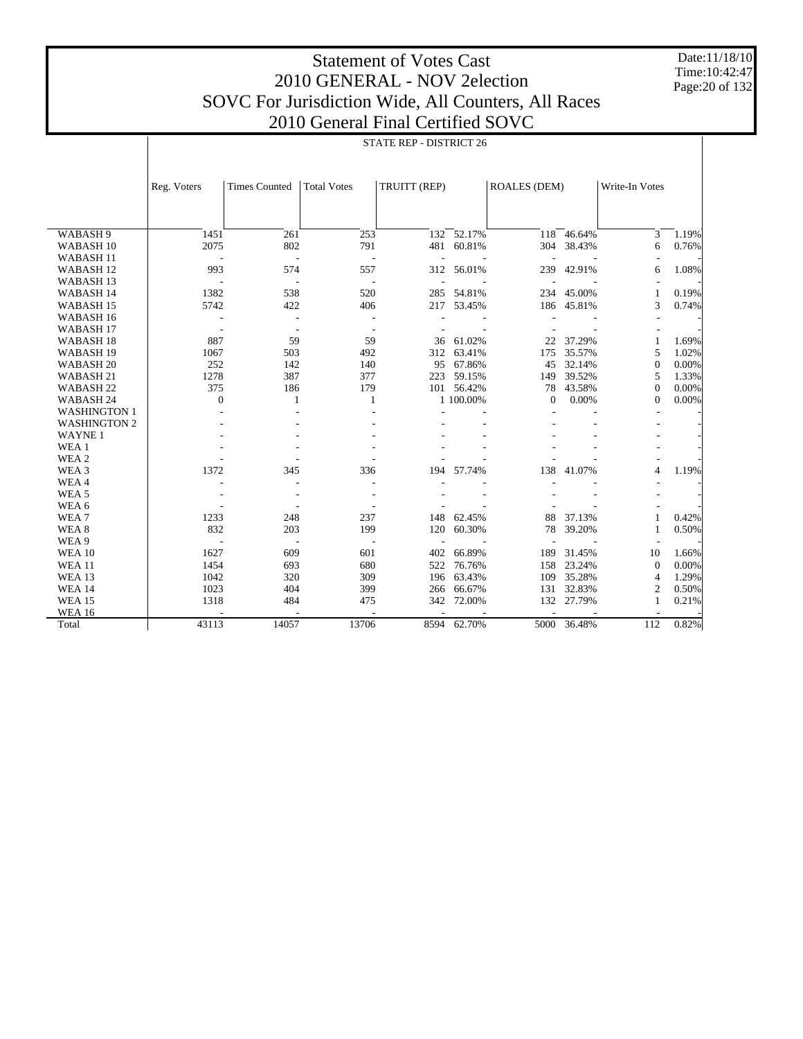Date:11/18/10 Time:10:42:47 Page:20 of 132

|                      |                          | STATE REP - DISTRICT 26     |                          |                          |                |                          |             |                |       |
|----------------------|--------------------------|-----------------------------|--------------------------|--------------------------|----------------|--------------------------|-------------|----------------|-------|
|                      |                          |                             |                          |                          |                |                          |             |                |       |
|                      |                          |                             |                          |                          |                |                          |             |                |       |
|                      | Reg. Voters              | <b>Times Counted</b>        | <b>Total Votes</b>       | TRUITT (REP)             |                | <b>ROALES (DEM)</b>      |             | Write-In Votes |       |
|                      |                          |                             |                          |                          |                |                          |             |                |       |
|                      |                          |                             |                          |                          |                |                          |             |                |       |
| WABASH 9             | 1451                     | 261                         | 253                      |                          | $132 - 52.17%$ |                          | 118 46.64%  | 3              | 1.19% |
| WABASH <sub>10</sub> | 2075                     | 802                         | 791                      |                          | 481 60.81%     |                          | 304 38.43%  | 6              | 0.76% |
| <b>WABASH11</b>      | ÷,                       | $\mathcal{L}_{\mathcal{A}}$ | $\sim$                   | $\sim$                   |                | $\overline{\phantom{a}}$ |             |                |       |
| WABASH <sub>12</sub> | 993                      | 574                         | 557                      |                          | 312 56.01%     | 239                      | 42.91%      | 6              | 1.08% |
| WABASH <sub>13</sub> | $\sim$                   | $\sim$                      | $\overline{\phantom{a}}$ | $\sim$                   |                | $\overline{\phantom{a}}$ |             |                |       |
| WABASH <sub>14</sub> | 1382                     | 538                         | 520                      |                          | 285 54.81%     |                          | 234 45.00%  | 1              | 0.19% |
| WABASH <sub>15</sub> | 5742                     | 422                         | 406                      | 217                      | 53.45%         | 186                      | 45.81%      | 3              | 0.74% |
| WABASH <sub>16</sub> | $\overline{\phantom{a}}$ | $\overline{\phantom{a}}$    | $\sim$                   |                          |                |                          |             |                |       |
| WABASH <sub>17</sub> | $\overline{\phantom{a}}$ | $\overline{\phantom{a}}$    |                          |                          |                |                          |             |                |       |
| WABASH <sub>18</sub> | 887                      | 59                          | 59                       | 36                       | 61.02%         | 22                       | 37.29%      | $\mathbf{1}$   | 1.69% |
| WABASH <sub>19</sub> | 1067                     | 503                         | 492                      | 312                      | 63.41%         | 175                      | 35.57%      | 5              | 1.02% |
| WABASH <sub>20</sub> | 252                      | 142                         | 140                      |                          | 95 67.86%      | 45                       | 32.14%      | $\mathbf{0}$   | 0.00% |
| WABASH 21            | 1278                     | 387                         | 377                      |                          | 223 59.15%     | 149                      | 39.52%      | 5              | 1.33% |
| WABASH <sub>22</sub> | 375                      | 186                         | 179                      |                          | 101 56.42%     | 78                       | 43.58%      | $\Omega$       | 0.00% |
| WABASH 24            | $\Omega$                 | 1                           | 1                        |                          | 1 100.00%      | $\mathbf{0}$             | 0.00%       | $\Omega$       | 0.00% |
| WASHINGTON 1         | ÷.                       |                             |                          |                          |                |                          |             |                |       |
| <b>WASHINGTON 2</b>  |                          |                             |                          |                          |                |                          |             |                |       |
| <b>WAYNE1</b>        |                          |                             |                          |                          |                |                          |             |                |       |
| WEA 1                |                          |                             |                          |                          |                |                          |             |                |       |
| WEA 2                |                          |                             |                          |                          |                |                          |             |                |       |
| WEA 3                | 1372                     | 345                         | 336                      | 194                      | 57.74%         | 138                      | 41.07%      | $\overline{4}$ | 1.19% |
| WEA4                 |                          |                             |                          |                          |                |                          |             |                |       |
| WEA <sub>5</sub>     |                          | $\overline{\phantom{a}}$    |                          |                          |                |                          |             |                |       |
| WEA 6                |                          |                             |                          |                          |                |                          |             |                |       |
| WEA <sub>7</sub>     | 1233                     | 248                         | 237                      | 148                      | 62.45%         | 88                       | 37.13%      | $\mathbf{1}$   | 0.42% |
| WEA <sub>8</sub>     | 832                      | 203                         | 199                      | 120                      | 60.30%         | 78                       | 39.20%      | $\mathbf{1}$   | 0.50% |
| WEA 9                | $\overline{\phantom{a}}$ | $\overline{\phantom{a}}$    | $\overline{\phantom{a}}$ | $\overline{\phantom{a}}$ |                | $\overline{a}$           |             |                |       |
| <b>WEA 10</b>        | 1627                     | 609                         | 601                      | 402                      | 66.89%         | 189                      | 31.45%      | 10             | 1.66% |
| <b>WEA 11</b>        | 1454                     | 693                         | 680                      | 522                      | 76.76%         | 158                      | 23.24%      | $\mathbf{0}$   | 0.00% |
| <b>WEA 13</b>        | 1042                     | 320                         | 309                      | 196                      | 63.43%         |                          | 109 35.28%  | $\overline{4}$ | 1.29% |
| <b>WEA 14</b>        | 1023                     | 404                         | 399                      | 266                      | 66.67%         | 131                      | 32.83%      | 2              | 0.50% |
| <b>WEA 15</b>        | 1318                     | 484                         | 475                      | 342                      | 72.00%         |                          | 132 27.79%  | $\mathbf{1}$   | 0.21% |
| <b>WEA 16</b>        |                          |                             |                          |                          |                | $\overline{a}$           |             |                |       |
| Total                | 43113                    | 14057                       | 13706                    |                          | 8594 62.70%    |                          | 5000 36.48% | 112            | 0.82% |
|                      |                          |                             |                          |                          |                |                          |             |                |       |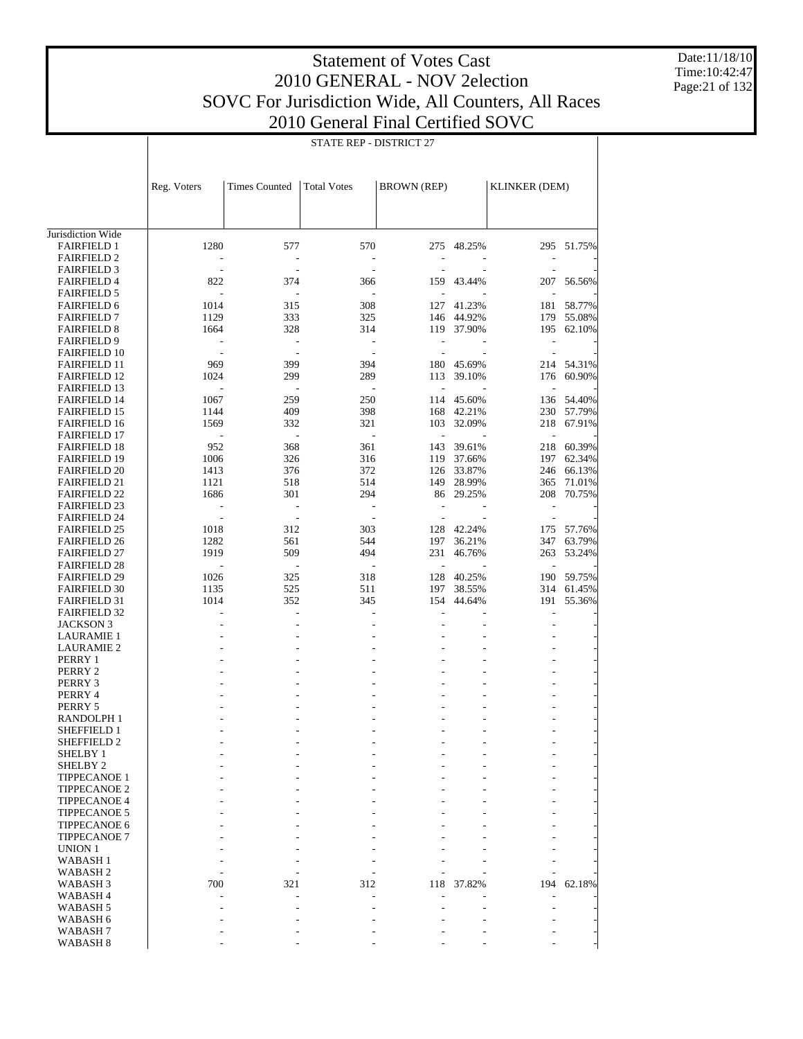Date:11/18/10 Time:10:42:47 Page:21 of 132

|                                            |              | STATE REP - DISTRICT 27  |                          |                          |                          |                          |                  |  |
|--------------------------------------------|--------------|--------------------------|--------------------------|--------------------------|--------------------------|--------------------------|------------------|--|
|                                            | Reg. Voters  | <b>Times Counted</b>     | <b>Total Votes</b>       | <b>BROWN</b> (REP)       |                          | <b>KLINKER (DEM)</b>     |                  |  |
|                                            |              |                          |                          |                          |                          |                          |                  |  |
| Jurisdiction Wide                          |              |                          |                          |                          |                          |                          |                  |  |
| <b>FAIRFIELD 1</b>                         | 1280         | 577                      | 570                      |                          | 275 48.25%               |                          | 295 51.75%       |  |
| <b>FAIRFIELD 2</b>                         |              |                          |                          |                          |                          |                          |                  |  |
| <b>FAIRFIELD 3</b>                         |              |                          |                          |                          |                          |                          |                  |  |
| <b>FAIRFIELD 4</b>                         | 822          | 374                      | 366                      |                          | 159 43.44%               |                          | 207 56.56%       |  |
| <b>FAIRFIELD 5</b><br><b>FAIRFIELD 6</b>   | 1014         | 315                      | 308                      | $\overline{\phantom{a}}$ | 127 41.23%               | $\overline{\phantom{a}}$ | 181 58.77%       |  |
| <b>FAIRFIELD 7</b>                         | 1129         | 333                      | 325                      |                          | 146 44.92%               |                          | 179 55.08%       |  |
| <b>FAIRFIELD 8</b>                         | 1664         | 328                      | 314                      |                          | 119 37.90%               |                          | 195 62.10%       |  |
| <b>FAIRFIELD 9</b>                         |              |                          |                          |                          |                          |                          |                  |  |
| <b>FAIRFIELD 10</b>                        |              |                          |                          | $\frac{1}{2}$            |                          |                          |                  |  |
| <b>FAIRFIELD 11</b>                        | 969          | 399                      | 394                      |                          | 180 45.69%               |                          | 214 54.31%       |  |
| <b>FAIRFIELD 12</b>                        | 1024         | 299                      | 289                      | 113                      | 39.10%                   |                          | 176 60.90%       |  |
| <b>FAIRFIELD 13</b>                        |              |                          |                          | $\overline{\phantom{a}}$ |                          | $\overline{\phantom{a}}$ |                  |  |
| <b>FAIRFIELD 14</b>                        | 1067         | 259                      | 250                      |                          | 114 45.60%               |                          | 136 54.40%       |  |
| <b>FAIRFIELD 15</b>                        | 1144         | 409                      | 398                      |                          | 168 42.21%               |                          | 230 57.79%       |  |
| <b>FAIRFIELD 16</b>                        | 1569         | 332                      | 321                      |                          | 103 32.09%               |                          | 218 67.91%       |  |
| <b>FAIRFIELD 17</b>                        |              |                          | $\overline{\phantom{a}}$ | $\Box$                   |                          | $\overline{\phantom{a}}$ |                  |  |
| <b>FAIRFIELD 18</b>                        | 952          | 368                      | 361<br>316               | 143                      | 39.61%                   | 218                      | 60.39%           |  |
| <b>FAIRFIELD 19</b><br><b>FAIRFIELD 20</b> | 1006<br>1413 | 326<br>376               | 372                      |                          | 119 37.66%<br>126 33.87% | 197<br>246               | 62.34%<br>66.13% |  |
| <b>FAIRFIELD 21</b>                        | 1121         | 518                      | 514                      | 149                      | 28.99%                   | 365                      | 71.01%           |  |
| <b>FAIRFIELD 22</b>                        | 1686         | 301                      | 294                      |                          | 86 29.25%                | 208                      | 70.75%           |  |
| <b>FAIRFIELD 23</b>                        |              |                          |                          | $\overline{\phantom{m}}$ |                          | $\overline{\phantom{a}}$ |                  |  |
| <b>FAIRFIELD 24</b>                        |              |                          |                          | $\overline{\phantom{a}}$ |                          |                          |                  |  |
| <b>FAIRFIELD 25</b>                        | 1018         | 312                      | 303                      | 128                      | 42.24%                   |                          | 175 57.76%       |  |
| <b>FAIRFIELD 26</b>                        | 1282         | 561                      | 544                      | 197                      | 36.21%                   | 347                      | 63.79%           |  |
| <b>FAIRFIELD 27</b>                        | 1919         | 509                      | 494                      | 231                      | 46.76%                   | 263                      | 53.24%           |  |
| <b>FAIRFIELD 28</b>                        |              | $\overline{\phantom{a}}$ | $\overline{\phantom{a}}$ | $\blacksquare$           |                          | $\overline{\phantom{a}}$ |                  |  |
| <b>FAIRFIELD 29</b>                        | 1026         | 325                      | 318                      | 128                      | 40.25%                   | 190                      | 59.75%           |  |
| <b>FAIRFIELD 30</b>                        | 1135         | 525                      | 511                      | 197                      | 38.55%                   |                          | 314 61.45%       |  |
| <b>FAIRFIELD 31</b>                        | 1014         | 352                      | 345                      | 154                      | 44.64%                   | 191                      | 55.36%           |  |
| <b>FAIRFIELD 32</b>                        |              |                          |                          | $\overline{\phantom{m}}$ |                          |                          |                  |  |
| JACKSON 3<br><b>LAURAMIE 1</b>             |              |                          |                          |                          |                          |                          |                  |  |
| <b>LAURAMIE 2</b>                          |              |                          |                          |                          |                          |                          |                  |  |
| PERRY 1                                    |              |                          |                          |                          |                          |                          |                  |  |
| PERRY 2                                    |              |                          |                          |                          |                          |                          |                  |  |
| PERRY 3                                    |              |                          |                          |                          |                          |                          |                  |  |
| PERRY 4                                    |              |                          |                          |                          |                          |                          |                  |  |
| PERRY 5                                    |              |                          |                          |                          |                          |                          |                  |  |
| RANDOLPH 1                                 |              |                          |                          |                          |                          |                          |                  |  |
| <b>SHEFFIELD 1</b>                         |              |                          |                          |                          |                          |                          |                  |  |
| SHEFFIELD 2                                |              |                          |                          |                          |                          |                          |                  |  |
| <b>SHELBY 1</b><br>SHELBY <sub>2</sub>     |              |                          |                          |                          |                          |                          |                  |  |
| <b>TIPPECANOE 1</b>                        |              |                          |                          |                          |                          |                          |                  |  |
| <b>TIPPECANOE 2</b>                        |              |                          |                          |                          |                          |                          |                  |  |
| <b>TIPPECANOE 4</b>                        |              |                          |                          |                          |                          |                          |                  |  |
| <b>TIPPECANOE 5</b>                        |              |                          |                          |                          |                          |                          |                  |  |
| TIPPECANOE 6                               |              |                          |                          |                          |                          |                          |                  |  |
| <b>TIPPECANOE 7</b>                        |              |                          |                          |                          |                          |                          |                  |  |
| UNION 1                                    |              |                          |                          |                          |                          |                          |                  |  |
| WABASH <sub>1</sub>                        |              |                          |                          |                          |                          |                          |                  |  |
| WABASH <sub>2</sub>                        |              |                          |                          |                          |                          |                          |                  |  |
| WABASH <sub>3</sub>                        | 700          | 321                      | 312                      | 118                      | 37.82%                   | 194                      | 62.18%           |  |
| <b>WABASH4</b>                             |              |                          |                          |                          |                          |                          |                  |  |
| WABASH <sub>5</sub>                        |              |                          |                          |                          |                          |                          |                  |  |
| WABASH 6<br>WABASH <sub>7</sub>            |              |                          |                          |                          |                          |                          |                  |  |
| WABASH <sub>8</sub>                        |              |                          |                          |                          |                          |                          |                  |  |
|                                            |              |                          |                          |                          |                          |                          |                  |  |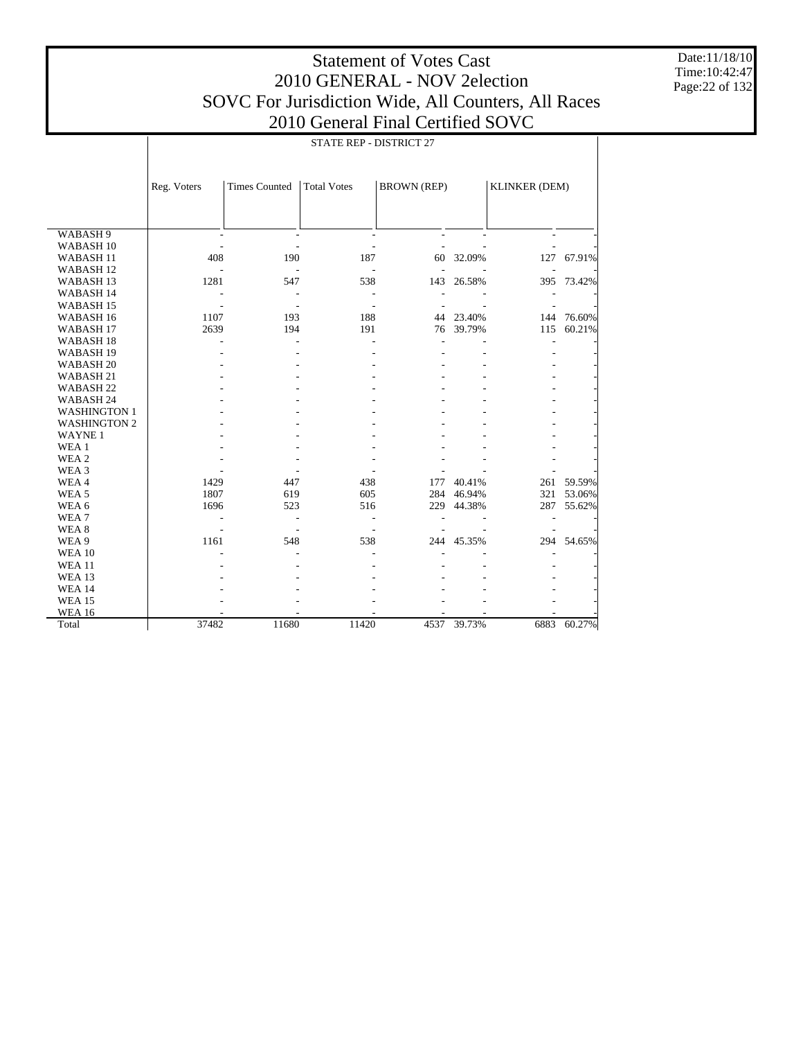Time:10:42:47 Page:22 of 132

Date:11/18/10

|                      |             |                          | STATE REP - DISTRICT 27  |                          |                |                          |            |
|----------------------|-------------|--------------------------|--------------------------|--------------------------|----------------|--------------------------|------------|
|                      | Reg. Voters | <b>Times Counted</b>     | <b>Total Votes</b>       | <b>BROWN</b> (REP)       |                | <b>KLINKER (DEM)</b>     |            |
| WABASH 9             |             | $\blacksquare$           | $\overline{\phantom{a}}$ | $\overline{\phantom{a}}$ | $\overline{a}$ | $\overline{\phantom{a}}$ |            |
| WABASH <sub>10</sub> |             |                          |                          |                          |                |                          |            |
| WABASH <sub>11</sub> | 408         | 190                      | 187                      | 60                       | 32.09%         | 127                      | 67.91%     |
| WABASH <sub>12</sub> |             | $\overline{a}$           | L.                       |                          |                |                          |            |
| WABASH <sub>13</sub> | 1281        | 547                      | 538                      | 143                      | 26.58%         | 395                      | 73.42%     |
| WABASH 14            |             | $\blacksquare$           | $\sim$                   |                          |                |                          |            |
| WABASH <sub>15</sub> |             | $\overline{\phantom{a}}$ | $\overline{\phantom{a}}$ |                          |                |                          |            |
| WABASH 16            | 1107        | 193                      | 188                      |                          | 44 23.40%      |                          | 144 76.60% |
| WABASH <sub>17</sub> | 2639        | 194                      | 191                      |                          | 76 39.79%      | 115                      | 60.21%     |
| WABASH <sub>18</sub> |             |                          |                          | $\overline{a}$           |                | $\overline{a}$           |            |
| WABASH <sub>19</sub> |             |                          |                          |                          |                |                          |            |
| WABASH <sub>20</sub> |             |                          |                          |                          |                |                          |            |
| WABASH 21            |             |                          |                          |                          |                |                          |            |
| WABASH <sub>22</sub> |             |                          |                          |                          |                |                          |            |
| WABASH 24            |             |                          |                          |                          |                |                          |            |
| <b>WASHINGTON 1</b>  |             |                          |                          |                          |                |                          |            |
| <b>WASHINGTON 2</b>  |             |                          |                          |                          |                |                          |            |
| <b>WAYNE1</b>        |             |                          |                          |                          |                |                          |            |
| WEA 1                |             |                          |                          |                          |                |                          |            |
| WEA 2                |             |                          |                          |                          |                |                          |            |
| WEA 3                |             |                          |                          |                          |                |                          |            |
| WEA4                 | 1429        | 447                      | 438                      | 177                      | 40.41%         |                          | 261 59.59% |
| WEA <sub>5</sub>     | 1807        | 619                      | 605                      |                          | 284 46.94%     | 321                      | 53.06%     |
| WEA 6                | 1696        | 523                      | 516                      |                          | 229 44.38%     | 287                      | 55.62%     |
| WEA7                 |             | $\overline{\phantom{a}}$ | $\overline{\phantom{a}}$ |                          |                |                          |            |
| WEA 8                |             | $\overline{\phantom{a}}$ |                          |                          |                |                          |            |
| WEA 9                | 1161        | 548                      | 538                      |                          | 244 45.35%     |                          | 294 54.65% |
| <b>WEA 10</b>        |             |                          |                          |                          |                |                          |            |
| <b>WEA 11</b>        |             |                          |                          |                          |                |                          |            |
| <b>WEA 13</b>        |             |                          |                          |                          |                |                          |            |
| <b>WEA 14</b>        |             |                          |                          |                          |                |                          |            |
| <b>WEA 15</b>        |             |                          |                          |                          |                |                          |            |
| <b>WEA 16</b>        |             |                          |                          |                          |                |                          |            |
| Total                | 37482       | 11680                    | 11420                    |                          | 4537 39.73%    | 6883                     | 60.27%     |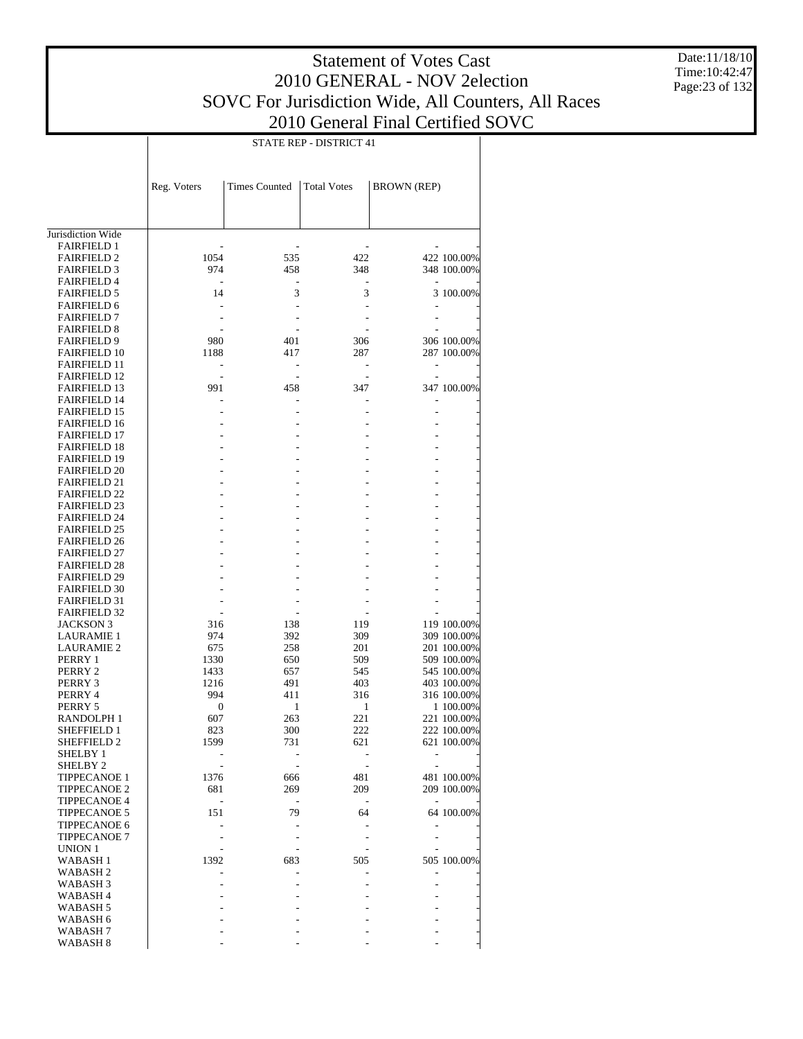STATE REP - DISTRICT 41

Date:11/18/10 Time:10:42:47 Page:23 of 132

|                                         | Reg. Voters | <b>Times Counted</b> | <b>Total Votes</b>       | <b>BROWN</b> (REP) |             |
|-----------------------------------------|-------------|----------------------|--------------------------|--------------------|-------------|
|                                         |             |                      |                          |                    |             |
| Jurisdiction Wide                       |             |                      |                          |                    |             |
| <b>FAIRFIELD 1</b>                      |             |                      |                          |                    |             |
| <b>FAIRFIELD 2</b>                      | 1054        | 535                  | 422                      |                    | 422 100.00% |
| <b>FAIRFIELD 3</b>                      | 974         | 458                  | 348                      |                    | 348 100.00% |
| <b>FAIRFIELD 4</b>                      |             |                      |                          |                    |             |
| <b>FAIRFIELD 5</b>                      | 14          | 3                    | 3                        |                    | 3 100.00%   |
| <b>FAIRFIELD 6</b>                      |             | L,                   | L,                       |                    |             |
| <b>FAIRFIELD 7</b>                      |             |                      |                          |                    |             |
| <b>FAIRFIELD 8</b>                      |             |                      |                          |                    |             |
| <b>FAIRFIELD 9</b>                      | 980         | 401                  | 306                      |                    | 306 100.00% |
| <b>FAIRFIELD 10</b>                     | 1188        | 417                  | 287                      |                    | 287 100.00% |
| <b>FAIRFIELD 11</b>                     | ٠           | $\overline{a}$       | ٠                        | $\overline{a}$     |             |
| <b>FAIRFIELD 12</b>                     |             |                      |                          |                    |             |
| <b>FAIRFIELD 13</b>                     | 991         | 458                  | 347                      |                    | 347 100.00% |
| <b>FAIRFIELD 14</b>                     |             |                      |                          |                    |             |
| <b>FAIRFIELD 15</b>                     |             | $\overline{a}$       |                          |                    |             |
| <b>FAIRFIELD 16</b>                     |             |                      |                          |                    |             |
| <b>FAIRFIELD 17</b>                     |             |                      |                          |                    |             |
| <b>FAIRFIELD 18</b>                     |             |                      |                          |                    |             |
| <b>FAIRFIELD 19</b>                     |             |                      |                          |                    |             |
| <b>FAIRFIELD 20</b>                     |             |                      |                          |                    |             |
| <b>FAIRFIELD 21</b>                     |             |                      |                          |                    |             |
| <b>FAIRFIELD 22</b>                     |             |                      |                          |                    |             |
| <b>FAIRFIELD 23</b>                     |             |                      |                          |                    |             |
| <b>FAIRFIELD 24</b>                     |             |                      |                          |                    |             |
| <b>FAIRFIELD 25</b>                     |             |                      |                          |                    |             |
| <b>FAIRFIELD 26</b>                     |             |                      |                          |                    |             |
| <b>FAIRFIELD 27</b>                     |             |                      |                          |                    |             |
| <b>FAIRFIELD 28</b>                     |             |                      |                          |                    |             |
| <b>FAIRFIELD 29</b>                     |             |                      |                          |                    |             |
| <b>FAIRFIELD 30</b>                     |             |                      |                          |                    |             |
| <b>FAIRFIELD 31</b>                     |             |                      |                          |                    |             |
| <b>FAIRFIELD 32</b><br><b>JACKSON 3</b> |             |                      | 119                      |                    | 119 100.00% |
| <b>LAURAMIE 1</b>                       | 316<br>974  | 138<br>392           | 309                      |                    | 309 100.00% |
|                                         | 675         | 258                  | 201                      |                    | 201 100.00% |
| <b>LAURAMIE 2</b><br>PERRY 1            | 1330        | 650                  | 509                      |                    | 509 100.00% |
| PERRY 2                                 | 1433        | 657                  | 545                      |                    | 545 100.00% |
| PERRY 3                                 | 1216        | 491                  | 403                      |                    | 403 100.00% |
| PERRY 4                                 | 994         | 411                  | 316                      |                    | 316 100.00% |
| PERRY 5                                 | $\mathbf 0$ | 1                    | 1                        |                    | 1 100.00%   |
| RANDOLPH 1                              | 607         | 263                  | 221                      |                    | 221 100.00% |
| <b>SHEFFIELD 1</b>                      | 823         | 300                  | 222                      |                    | 222 100.00% |
| SHEFFIELD 2                             | 1599        | 731                  | 621                      |                    | 621 100.00% |
| SHELBY 1                                |             |                      |                          |                    |             |
| SHELBY 2                                |             |                      |                          |                    |             |
| <b>TIPPECANOE 1</b>                     | 1376        | 666                  | 481                      |                    | 481 100.00% |
| <b>TIPPECANOE 2</b>                     | 681         | 269                  | 209                      |                    | 209 100.00% |
| <b>TIPPECANOE 4</b>                     | ٠           | $\overline{a}$       | $\overline{\phantom{a}}$ |                    |             |
| <b>TIPPECANOE 5</b>                     | 151         | 79                   | 64                       |                    | 64 100.00%  |
| TIPPECANOE 6                            |             |                      |                          |                    |             |
| <b>TIPPECANOE 7</b>                     |             |                      |                          |                    |             |
| <b>UNION 1</b>                          |             |                      |                          |                    |             |
| WABASH 1                                | 1392        | 683                  | 505                      |                    | 505 100.00% |
| WABASH 2                                |             |                      |                          |                    |             |
| WABASH 3                                |             |                      |                          |                    |             |
| WABASH 4                                |             |                      |                          |                    |             |
| WABASH <sub>5</sub>                     |             |                      |                          |                    |             |
| WABASH 6                                |             |                      |                          |                    |             |
| WABASH 7                                |             |                      |                          |                    |             |
|                                         |             |                      |                          |                    |             |

- - - - -

WABASH 8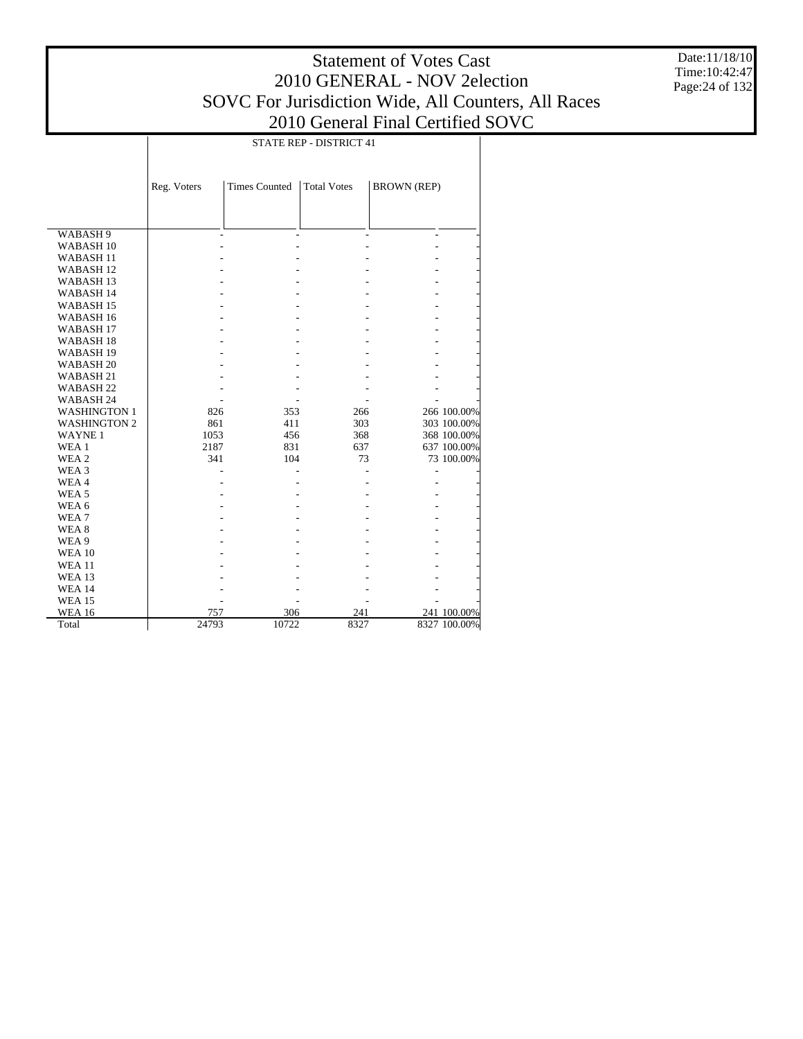Date:11/18/10 Time:10:42:47 Page:24 of 132

|                      | STATE REP - DISTRICT 41 |                      |                    |                          |              |  |  |  |
|----------------------|-------------------------|----------------------|--------------------|--------------------------|--------------|--|--|--|
|                      |                         |                      |                    |                          |              |  |  |  |
|                      | Reg. Voters             | <b>Times Counted</b> | <b>Total Votes</b> | <b>BROWN</b> (REP)       |              |  |  |  |
|                      |                         |                      |                    |                          |              |  |  |  |
|                      |                         |                      |                    |                          |              |  |  |  |
|                      |                         |                      |                    |                          |              |  |  |  |
| WABASH 9             | $\overline{a}$          | L,                   |                    | $\overline{\phantom{a}}$ |              |  |  |  |
| WABASH <sub>10</sub> |                         |                      |                    |                          |              |  |  |  |
| WABASH <sub>11</sub> |                         |                      |                    |                          |              |  |  |  |
| <b>WABASH12</b>      |                         |                      |                    |                          |              |  |  |  |
| <b>WABASH13</b>      |                         |                      |                    |                          |              |  |  |  |
| <b>WABASH 14</b>     |                         |                      |                    |                          |              |  |  |  |
| <b>WABASH15</b>      |                         |                      |                    |                          |              |  |  |  |
| WABASH <sub>16</sub> |                         |                      |                    |                          |              |  |  |  |
| WABASH <sub>17</sub> |                         |                      |                    |                          |              |  |  |  |
| WABASH <sub>18</sub> |                         |                      |                    |                          |              |  |  |  |
| WABASH <sub>19</sub> |                         |                      |                    |                          |              |  |  |  |
| WABASH <sub>20</sub> |                         |                      |                    |                          |              |  |  |  |
| WABASH <sub>21</sub> |                         |                      |                    |                          |              |  |  |  |
| WABASH <sub>22</sub> |                         |                      |                    |                          |              |  |  |  |
| WABASH 24            |                         |                      |                    |                          |              |  |  |  |
| <b>WASHINGTON 1</b>  | 826                     | 353                  | 266                |                          | 266 100.00%  |  |  |  |
| <b>WASHINGTON 2</b>  | 861                     | 411                  | 303                |                          | 303 100.00%  |  |  |  |
| <b>WAYNE1</b>        | 1053                    | 456                  | 368                |                          | 368 100.00%  |  |  |  |
| WEA 1                | 2187                    | 831                  | 637                |                          | 637 100.00%  |  |  |  |
| WEA 2                | 341                     | 104                  | 73                 |                          | 73 100.00%   |  |  |  |
| WEA 3                |                         |                      |                    |                          |              |  |  |  |
| WEA4                 |                         |                      |                    |                          |              |  |  |  |
| WEA <sub>5</sub>     |                         |                      |                    |                          |              |  |  |  |
| WEA 6                |                         |                      |                    |                          |              |  |  |  |
| WEA7                 |                         |                      |                    |                          |              |  |  |  |
| WEA <sub>8</sub>     |                         |                      |                    |                          |              |  |  |  |
| WEA 9                |                         |                      |                    |                          |              |  |  |  |
| <b>WEA 10</b>        |                         |                      |                    |                          |              |  |  |  |
| <b>WEA11</b>         |                         |                      |                    |                          |              |  |  |  |
| <b>WEA 13</b>        |                         |                      |                    |                          |              |  |  |  |
| <b>WEA 14</b>        |                         |                      |                    |                          |              |  |  |  |
| <b>WEA 15</b>        |                         |                      |                    |                          |              |  |  |  |
| <b>WEA 16</b>        | 757                     | 306                  | 241                |                          | 241 100.00%  |  |  |  |
| Total                | 24793                   | 10722                | 8327               |                          | 8327 100.00% |  |  |  |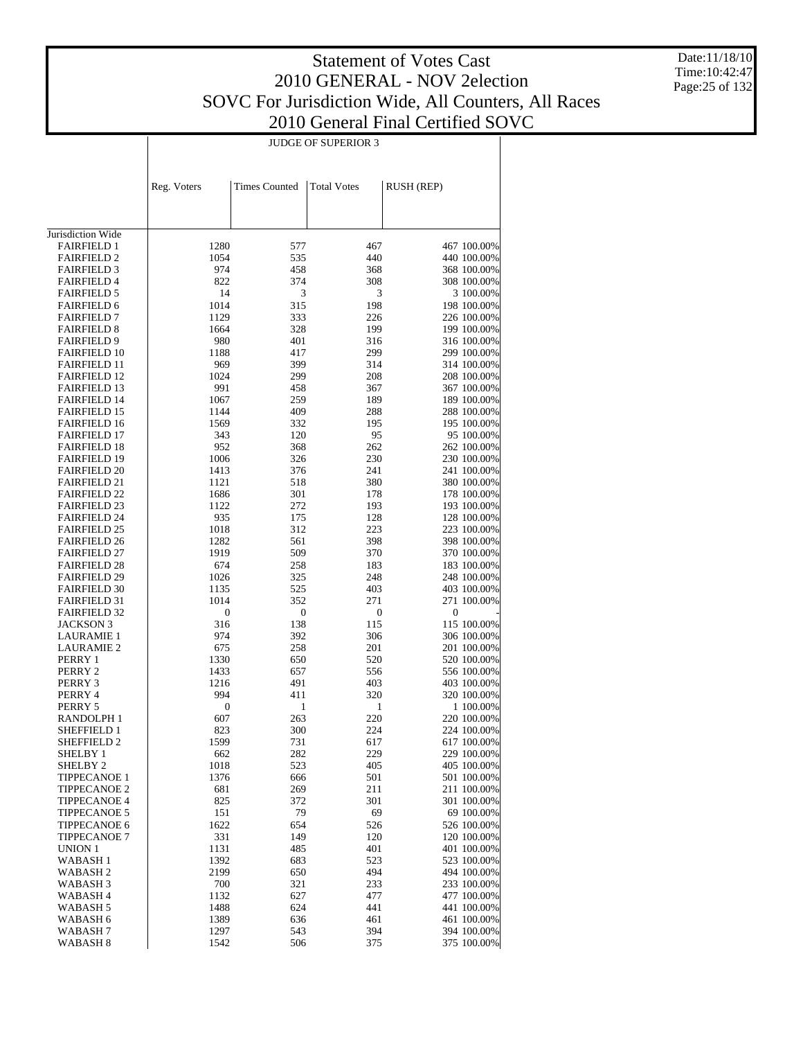Date:11/18/10 Time:10:42:47 Page:25 of 132

|                                            | <b>JUDGE OF SUPERIOR 3</b> |                      |                    |                            |  |  |  |
|--------------------------------------------|----------------------------|----------------------|--------------------|----------------------------|--|--|--|
|                                            |                            |                      |                    |                            |  |  |  |
|                                            |                            |                      |                    |                            |  |  |  |
|                                            | Reg. Voters                | <b>Times Counted</b> | <b>Total Votes</b> | <b>RUSH (REP)</b>          |  |  |  |
|                                            |                            |                      |                    |                            |  |  |  |
|                                            |                            |                      |                    |                            |  |  |  |
| Jurisdiction Wide                          |                            |                      |                    |                            |  |  |  |
| <b>FAIRFIELD 1</b>                         | 1280                       | 577                  | 467                | 467 100.00%                |  |  |  |
| <b>FAIRFIELD 2</b>                         | 1054                       | 535                  | 440                | 440 100.00%                |  |  |  |
| <b>FAIRFIELD 3</b>                         | 974                        | 458                  | 368                | 368 100.00%                |  |  |  |
| <b>FAIRFIELD 4</b>                         | 822                        | 374                  | 308                | 308 100.00%                |  |  |  |
| <b>FAIRFIELD 5</b>                         | 14                         | 3                    | 3                  | 3 100.00%                  |  |  |  |
| <b>FAIRFIELD 6</b><br><b>FAIRFIELD 7</b>   | 1014<br>1129               | 315<br>333           | 198<br>226         | 198 100.00%<br>226 100.00% |  |  |  |
| <b>FAIRFIELD 8</b>                         | 1664                       | 328                  | 199                | 199 100.00%                |  |  |  |
| <b>FAIRFIELD 9</b>                         | 980                        | 401                  | 316                | 316 100.00%                |  |  |  |
| <b>FAIRFIELD 10</b>                        | 1188                       | 417                  | 299                | 299 100.00%                |  |  |  |
| <b>FAIRFIELD 11</b>                        | 969                        | 399                  | 314                | 314 100.00%                |  |  |  |
| <b>FAIRFIELD 12</b>                        | 1024                       | 299                  | 208                | 208 100.00%                |  |  |  |
| <b>FAIRFIELD 13</b>                        | 991                        | 458                  | 367                | 367 100.00%                |  |  |  |
| <b>FAIRFIELD 14</b>                        | 1067                       | 259                  | 189                | 189 100.00%                |  |  |  |
| <b>FAIRFIELD 15</b>                        | 1144                       | 409                  | 288                | 288 100.00%                |  |  |  |
| <b>FAIRFIELD 16</b><br><b>FAIRFIELD 17</b> | 1569<br>343                | 332<br>120           | 195<br>95          | 195 100.00%<br>95 100.00%  |  |  |  |
| <b>FAIRFIELD 18</b>                        | 952                        | 368                  | 262                | 262 100.00%                |  |  |  |
| <b>FAIRFIELD 19</b>                        | 1006                       | 326                  | 230                | 230 100.00%                |  |  |  |
| <b>FAIRFIELD 20</b>                        | 1413                       | 376                  | 241                | 241 100.00%                |  |  |  |
| <b>FAIRFIELD 21</b>                        | 1121                       | 518                  | 380                | 380 100.00%                |  |  |  |
| <b>FAIRFIELD 22</b>                        | 1686                       | 301                  | 178                | 178 100.00%                |  |  |  |
| <b>FAIRFIELD 23</b>                        | 1122                       | 272                  | 193                | 193 100.00%                |  |  |  |
| <b>FAIRFIELD 24</b>                        | 935                        | 175                  | 128                | 128 100.00%                |  |  |  |
| <b>FAIRFIELD 25</b><br><b>FAIRFIELD 26</b> | 1018<br>1282               | 312<br>561           | 223<br>398         | 223 100.00%<br>398 100.00% |  |  |  |
| <b>FAIRFIELD 27</b>                        | 1919                       | 509                  | 370                | 370 100.00%                |  |  |  |
| <b>FAIRFIELD 28</b>                        | 674                        | 258                  | 183                | 183 100.00%                |  |  |  |
| <b>FAIRFIELD 29</b>                        | 1026                       | 325                  | 248                | 248 100.00%                |  |  |  |
| <b>FAIRFIELD 30</b>                        | 1135                       | 525                  | 403                | 403 100.00%                |  |  |  |
| <b>FAIRFIELD 31</b>                        | 1014                       | 352                  | 271                | 271 100.00%                |  |  |  |
| <b>FAIRFIELD 32</b>                        | $\boldsymbol{0}$           | $\boldsymbol{0}$     | $\boldsymbol{0}$   | $\boldsymbol{0}$           |  |  |  |
| <b>JACKSON 3</b>                           | 316                        | 138                  | 115                | 115 100.00%                |  |  |  |
| <b>LAURAMIE 1</b>                          | 974<br>675                 | 392<br>258           | 306<br>201         | 306 100.00%<br>201 100.00% |  |  |  |
| <b>LAURAMIE 2</b><br>PERRY 1               | 1330                       | 650                  | 520                | 520 100.00%                |  |  |  |
| PERRY 2                                    | 1433                       | 657                  | 556                | 556 100.00%                |  |  |  |
| PERRY 3                                    | 1216                       | 491                  | 403                | 403 100.00%                |  |  |  |
| PERRY 4                                    | 994                        | 411                  | 320                | 320 100.00%                |  |  |  |
| PERRY 5                                    | $\boldsymbol{0}$           | 1                    | 1                  | 1 100.00%                  |  |  |  |
| RANDOLPH 1                                 | 607                        | 263                  | 220                | 220 100.00%                |  |  |  |
| <b>SHEFFIELD 1</b>                         | 823                        | 300                  | 224                | 224 100.00%                |  |  |  |
| <b>SHEFFIELD 2</b><br>SHELBY 1             | 1599<br>662                | 731<br>282           | 617<br>229         | 617 100.00%<br>229 100.00% |  |  |  |
| SHELBY <sub>2</sub>                        | 1018                       | 523                  | 405                | 405 100.00%                |  |  |  |
| <b>TIPPECANOE 1</b>                        | 1376                       | 666                  | 501                | 501 100.00%                |  |  |  |
| <b>TIPPECANOE 2</b>                        | 681                        | 269                  | 211                | 211 100.00%                |  |  |  |
| <b>TIPPECANOE 4</b>                        | 825                        | 372                  | 301                | 301 100.00%                |  |  |  |
| <b>TIPPECANOE 5</b>                        | 151                        | 79                   | 69                 | 69 100.00%                 |  |  |  |
| <b>TIPPECANOE 6</b>                        | 1622                       | 654                  | 526                | 526 100.00%                |  |  |  |
| <b>TIPPECANOE 7</b>                        | 331                        | 149                  | 120                | 120 100.00%                |  |  |  |
| <b>UNION 1</b>                             | 1131                       | 485                  | 401                | 401 100.00%                |  |  |  |
| WABASH 1<br>WABASH 2                       | 1392<br>2199               | 683<br>650           | 523<br>494         | 523 100.00%<br>494 100.00% |  |  |  |
| WABASH 3                                   | 700                        | 321                  | 233                | 233 100.00%                |  |  |  |
| WABASH 4                                   | 1132                       | 627                  | 477                | 477 100.00%                |  |  |  |
| WABASH 5                                   | 1488                       | 624                  | 441                | 441 100.00%                |  |  |  |
| WABASH 6                                   | 1389                       | 636                  | 461                | 461 100.00%                |  |  |  |
| WABASH 7                                   | 1297                       | 543                  | 394                | 394 100.00%                |  |  |  |
| WABASH 8                                   | 1542                       | 506                  | 375                | 375 100.00%                |  |  |  |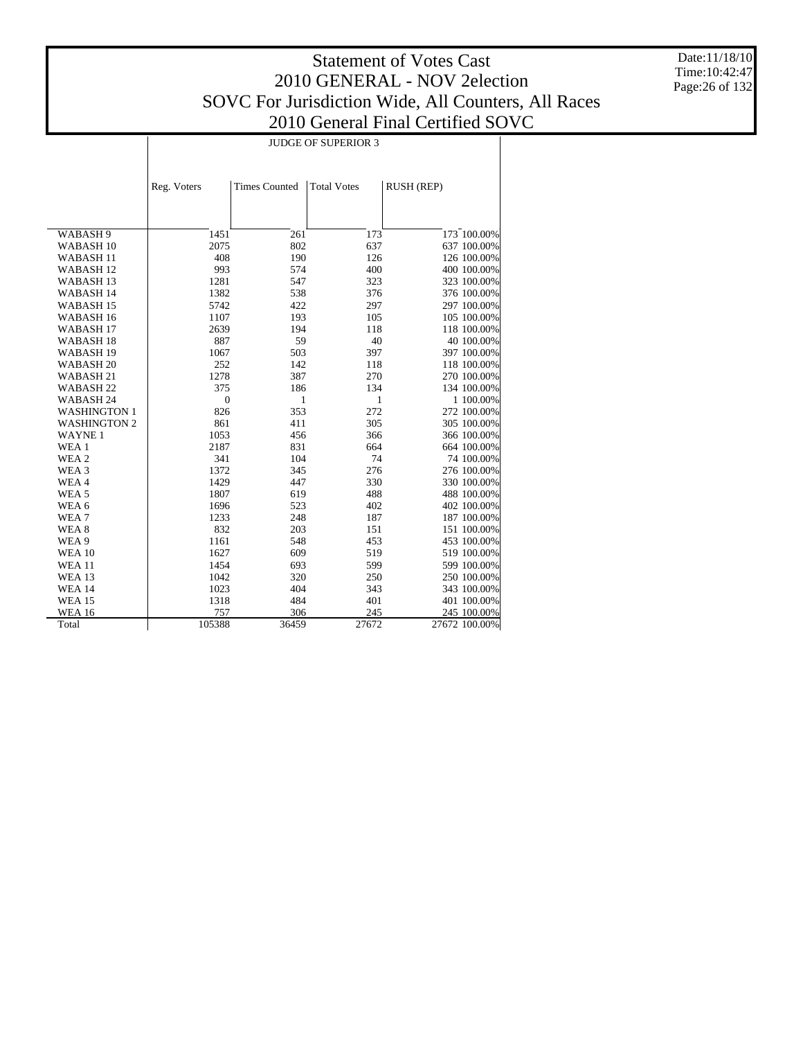Date:11/18/10 Time:10:42:47 Page:26 of 132

|                      | <b>JUDGE OF SUPERIOR 3</b> |                      |                    |               |  |  |  |
|----------------------|----------------------------|----------------------|--------------------|---------------|--|--|--|
|                      |                            |                      |                    |               |  |  |  |
|                      |                            |                      |                    |               |  |  |  |
|                      | Reg. Voters                | <b>Times Counted</b> | <b>Total Votes</b> | RUSH (REP)    |  |  |  |
|                      |                            |                      |                    |               |  |  |  |
|                      |                            |                      |                    |               |  |  |  |
| WABASH 9             | 1451                       | 261                  | 173                | 173 100.00%   |  |  |  |
| WABASH <sub>10</sub> | 2075                       | 802                  | 637                | 637 100.00%   |  |  |  |
| WABASH <sub>11</sub> | 408                        | 190                  | 126                | 126 100.00%   |  |  |  |
| WABASH <sub>12</sub> | 993                        | 574                  | 400                | 400 100.00%   |  |  |  |
| WABASH <sub>13</sub> | 1281                       | 547                  | 323                | 323 100.00%   |  |  |  |
| WABASH 14            | 1382                       | 538                  | 376                | 376 100.00%   |  |  |  |
| WABASH <sub>15</sub> | 5742                       | 422                  | 297                | 297 100.00%   |  |  |  |
| WABASH 16            | 1107                       | 193                  | 105                | 105 100.00%   |  |  |  |
| WABASH <sub>17</sub> | 2639                       | 194                  | 118                | 118 100.00%   |  |  |  |
| WABASH <sub>18</sub> | 887                        | 59                   | 40                 | 40 100.00%    |  |  |  |
| WABASH <sub>19</sub> | 1067                       | 503                  | 397                | 397 100.00%   |  |  |  |
| WABASH <sub>20</sub> | 252                        | 142                  | 118                | 118 100.00%   |  |  |  |
| WABASH <sub>21</sub> | 1278                       | 387                  | 270                | 270 100.00%   |  |  |  |
| WABASH <sub>22</sub> | 375                        | 186                  | 134                | 134 100.00%   |  |  |  |
| WABASH 24            | $\boldsymbol{0}$           | 1                    | 1                  | 1 100.00%     |  |  |  |
| <b>WASHINGTON 1</b>  | 826                        | 353                  | 272                | 272 100.00%   |  |  |  |
| <b>WASHINGTON 2</b>  | 861                        | 411                  | 305                | 305 100.00%   |  |  |  |
| <b>WAYNE1</b>        | 1053                       | 456                  | 366                | 366 100.00%   |  |  |  |
| WEA 1                | 2187                       | 831                  | 664                | 664 100.00%   |  |  |  |
| WEA 2                | 341                        | 104                  | 74                 | 74 100.00%    |  |  |  |
| WEA 3                | 1372                       | 345                  | 276                | 276 100.00%   |  |  |  |
| WEA4                 | 1429                       | 447                  | 330                | 330 100.00%   |  |  |  |
| WEA <sub>5</sub>     | 1807                       | 619                  | 488                | 488 100.00%   |  |  |  |
| WEA 6                | 1696                       | 523                  | 402                | 402 100.00%   |  |  |  |
| WEA <sub>7</sub>     | 1233                       | 248                  | 187                | 187 100.00%   |  |  |  |
| WEA <sub>8</sub>     | 832                        | 203                  | 151                | 151 100.00%   |  |  |  |
| WEA 9                | 1161                       | 548                  | 453                | 453 100.00%   |  |  |  |
| <b>WEA 10</b>        | 1627                       | 609                  | 519                | 519 100.00%   |  |  |  |
| <b>WEA 11</b>        | 1454                       | 693                  | 599                | 599 100.00%   |  |  |  |
| <b>WEA 13</b>        | 1042                       | 320                  | 250                | 250 100.00%   |  |  |  |
| <b>WEA 14</b>        | 1023                       | 404                  | 343                | 343 100.00%   |  |  |  |
| <b>WEA 15</b>        | 1318                       | 484                  | 401                | 401 100.00%   |  |  |  |
| <b>WEA 16</b>        | 757                        | 306                  | 245                | 245 100.00%   |  |  |  |
| Total                | 105388                     | 36459                | 27672              | 27672 100.00% |  |  |  |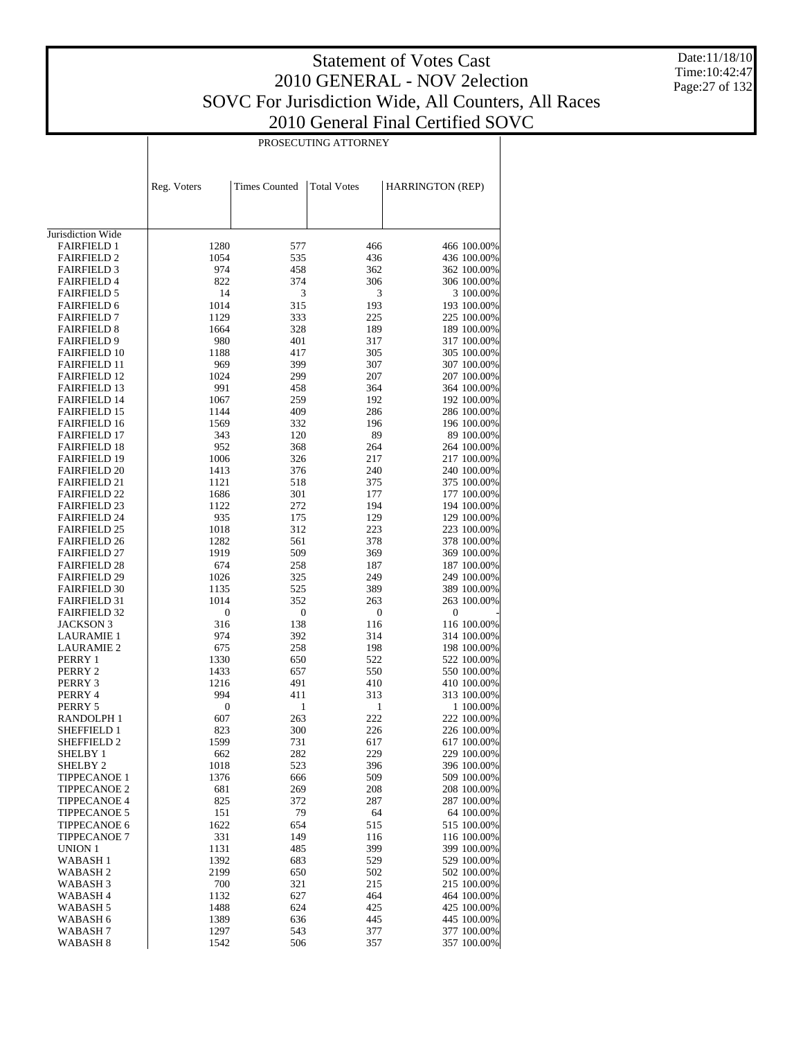Date:11/18/10 Time:10:42:47 Page:27 of 132

| PROSECUTING ATTORNEY |  |
|----------------------|--|

|                                            | Reg. Voters  | <b>Times Counted</b> | <b>Total Votes</b> | HARRINGTON (REP)           |
|--------------------------------------------|--------------|----------------------|--------------------|----------------------------|
|                                            |              |                      |                    |                            |
|                                            |              |                      |                    |                            |
| Jurisdiction Wide                          |              |                      |                    |                            |
| <b>FAIRFIELD 1</b>                         | 1280         | 577                  | 466                | 466 100.00%                |
| <b>FAIRFIELD 2</b>                         | 1054         | 535                  | 436                | 436 100.00%                |
| <b>FAIRFIELD 3</b>                         | 974          | 458                  | 362                | 362 100.00%                |
| <b>FAIRFIELD 4</b>                         | 822          | 374                  | 306                | 306 100.00%                |
| <b>FAIRFIELD 5</b>                         | 14           | 3                    | 3                  | 3 100.00%                  |
| <b>FAIRFIELD 6</b>                         | 1014         | 315                  | 193                | 193 100.00%                |
| <b>FAIRFIELD 7</b>                         | 1129         | 333                  | 225                | 225 100.00%                |
| <b>FAIRFIELD 8</b>                         | 1664         | 328                  | 189                | 189 100.00%                |
| <b>FAIRFIELD 9</b><br><b>FAIRFIELD 10</b>  | 980<br>1188  | 401<br>417           | 317<br>305         | 317 100.00%<br>305 100.00% |
| <b>FAIRFIELD 11</b>                        | 969          | 399                  | 307                | 307 100.00%                |
| <b>FAIRFIELD 12</b>                        | 1024         | 299                  | 207                | 207 100.00%                |
| <b>FAIRFIELD 13</b>                        | 991          | 458                  | 364                | 364 100.00%                |
| <b>FAIRFIELD 14</b>                        | 1067         | 259                  | 192                | 192 100.00%                |
| <b>FAIRFIELD 15</b>                        | 1144         | 409                  | 286                | 286 100.00%                |
| <b>FAIRFIELD 16</b>                        | 1569         | 332                  | 196                | 196 100.00%                |
| <b>FAIRFIELD 17</b>                        | 343          | 120                  | 89                 | 89 100.00%                 |
| <b>FAIRFIELD 18</b>                        | 952          | 368                  | 264                | 264 100.00%                |
| <b>FAIRFIELD 19</b>                        | 1006         | 326                  | 217                | 217 100.00%                |
| <b>FAIRFIELD 20</b>                        | 1413         | 376                  | 240                | 240 100.00%                |
| <b>FAIRFIELD 21</b>                        | 1121         | 518                  | 375                | 375 100.00%                |
| <b>FAIRFIELD 22</b>                        | 1686         | 301                  | 177                | 177 100.00%                |
| <b>FAIRFIELD 23</b>                        | 1122         | 272                  | 194                | 194 100.00%                |
| <b>FAIRFIELD 24</b>                        | 935          | 175                  | 129                | 129 100.00%                |
| <b>FAIRFIELD 25</b>                        | 1018         | 312                  | 223                | 223 100.00%                |
| <b>FAIRFIELD 26</b>                        | 1282         | 561                  | 378                | 378 100.00%                |
| <b>FAIRFIELD 27</b>                        | 1919         | 509                  | 369                | 369 100.00%                |
| <b>FAIRFIELD 28</b>                        | 674          | 258                  | 187                | 187 100.00%                |
| <b>FAIRFIELD 29</b><br><b>FAIRFIELD 30</b> | 1026<br>1135 | 325                  | 249                | 249 100.00%<br>389 100.00% |
| <b>FAIRFIELD 31</b>                        | 1014         | 525<br>352           | 389<br>263         | 263 100.00%                |
| <b>FAIRFIELD 32</b>                        | 0            | 0                    | $\boldsymbol{0}$   | $\boldsymbol{0}$           |
| <b>JACKSON 3</b>                           | 316          | 138                  | 116                | 116 100.00%                |
| LAURAMIE 1                                 | 974          | 392                  | 314                | 314 100.00%                |
| <b>LAURAMIE 2</b>                          | 675          | 258                  | 198                | 198 100.00%                |
| PERRY 1                                    | 1330         | 650                  | 522                | 522 100.00%                |
| PERRY 2                                    | 1433         | 657                  | 550                | 550 100.00%                |
| PERRY 3                                    | 1216         | 491                  | 410                | 410 100.00%                |
| PERRY 4                                    | 994          | 411                  | 313                | 313 100.00%                |
| PERRY 5                                    | 0            | 1                    | 1                  | 1 100.00%                  |
| RANDOLPH 1                                 | 607          | 263                  | 222                | 222 100.00%                |
| SHEFFIELD 1                                | 823          | 300                  | 226                | 226 100.00%                |
| <b>SHEFFIELD 2</b>                         | 1599         | 731                  | 617                | 617 100.00%                |
| SHELBY 1                                   | 662          | 282                  | 229                | 229 100.00%                |
| SHELBY <sub>2</sub>                        | 1018         | 523                  | 396                | 396 100.00%                |
| <b>TIPPECANOE 1</b>                        | 1376         | 666                  | 509                | 509 100.00%                |
| <b>TIPPECANOE 2</b>                        | 681          | 269                  | 208                | 208 100.00%                |
| <b>TIPPECANOE 4</b>                        | 825          | 372                  | 287                | 287 100.00%                |
| <b>TIPPECANOE 5</b><br>TIPPECANOE 6        | 151<br>1622  | 79<br>654            | 64<br>515          | 64 100.00%<br>515 100.00%  |
| <b>TIPPECANOE 7</b>                        | 331          | 149                  | 116                | 116 100.00%                |
| UNION 1                                    | 1131         | 485                  | 399                | 399 100.00%                |
| WABASH 1                                   | 1392         | 683                  | 529                | 529 100.00%                |
| WABASH <sub>2</sub>                        | 2199         | 650                  | 502                | 502 100.00%                |
| WABASH 3                                   | 700          | 321                  | 215                | 215 100.00%                |
| WABASH 4                                   | 1132         | 627                  | 464                | 464 100.00%                |
| WABASH 5                                   | 1488         | 624                  | 425                | 425 100.00%                |
| WABASH 6                                   | 1389         | 636                  | 445                | 445 100.00%                |
| WABASH 7                                   | 1297         | 543                  | 377                | 377 100.00%                |
| WABASH 8                                   | 1542         | 506                  | 357                | 357 100.00%                |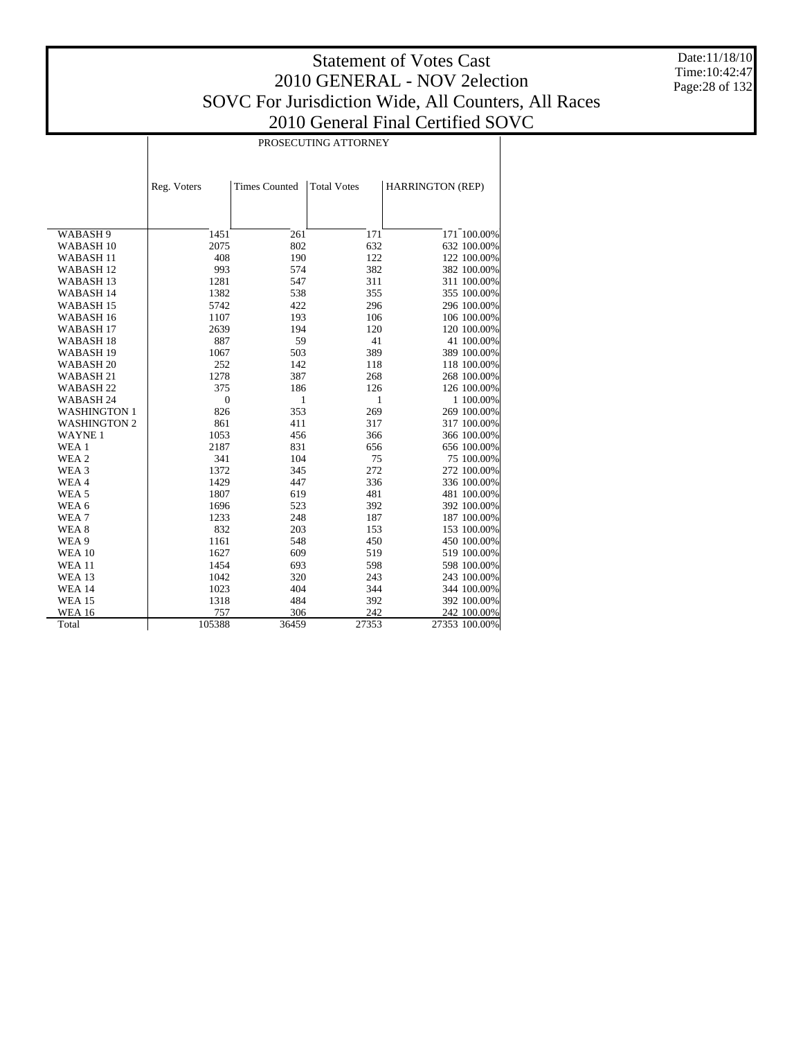Τ

Date:11/18/10 Time:10:42:47 Page:28 of 132

|                      | PROSECUTING ATTORNEY |                      |                    |                              |  |  |  |  |
|----------------------|----------------------|----------------------|--------------------|------------------------------|--|--|--|--|
|                      |                      |                      |                    |                              |  |  |  |  |
|                      | Reg. Voters          | <b>Times Counted</b> | <b>Total Votes</b> | <b>HARRINGTON (REP)</b>      |  |  |  |  |
|                      |                      |                      |                    |                              |  |  |  |  |
|                      |                      |                      |                    |                              |  |  |  |  |
| WABASH 9             | 1451                 | 261                  | 171                | $\overline{171}^{-}100.00\%$ |  |  |  |  |
| WABASH <sub>10</sub> | 2075                 | 802                  | 632                | 632 100.00%                  |  |  |  |  |
| WABASH <sub>11</sub> | 408                  | 190                  | 122                | 122 100.00%                  |  |  |  |  |
| WABASH <sub>12</sub> | 993                  | 574                  | 382                | 382 100.00%                  |  |  |  |  |
| <b>WABASH13</b>      | 1281                 | 547                  | 311                | 311 100.00%                  |  |  |  |  |
| WABASH 14            | 1382                 | 538                  | 355                | 355 100.00%                  |  |  |  |  |
| WABASH 15            | 5742                 | 422                  | 296                | 296 100.00%                  |  |  |  |  |
| WABASH <sub>16</sub> | 1107                 | 193                  | 106                | 106 100.00%                  |  |  |  |  |
| WABASH <sub>17</sub> | 2639                 | 194                  | 120                | 120 100.00%                  |  |  |  |  |
| WABASH <sub>18</sub> | 887                  | 59                   | 41                 | 41 100.00%                   |  |  |  |  |
| WABASH <sub>19</sub> | 1067                 | 503                  | 389                | 389 100.00%                  |  |  |  |  |
| WABASH <sub>20</sub> | 252                  | 142                  | 118                | 118 100.00%                  |  |  |  |  |
| WABASH 21            | 1278                 | 387                  | 268                | 268 100.00%                  |  |  |  |  |
| WABASH <sub>22</sub> | 375                  | 186                  | 126                | 126 100.00%                  |  |  |  |  |
| WABASH 24            | $\mathbf{0}$         | 1                    | 1                  | 1 100.00%                    |  |  |  |  |
| <b>WASHINGTON 1</b>  | 826                  | 353                  | 269                | 269 100.00%                  |  |  |  |  |
| <b>WASHINGTON 2</b>  | 861                  | 411                  | 317                | 317 100.00%                  |  |  |  |  |
| <b>WAYNE1</b>        | 1053                 | 456                  | 366                | 366 100.00%                  |  |  |  |  |
| WEA 1                | 2187                 | 831                  | 656                | 656 100.00%                  |  |  |  |  |
| WEA 2                | 341                  | 104                  | 75                 | 75 100.00%                   |  |  |  |  |
| WEA 3                | 1372                 | 345                  | 272                | 272 100.00%                  |  |  |  |  |
| WEA4                 | 1429                 | 447                  | 336                | 336 100.00%                  |  |  |  |  |
| WEA <sub>5</sub>     | 1807                 | 619                  | 481                | 481 100.00%                  |  |  |  |  |
| WEA 6                | 1696                 | 523                  | 392                | 392 100.00%                  |  |  |  |  |
| WEA <sub>7</sub>     | 1233                 | 248                  | 187                | 187 100.00%                  |  |  |  |  |
| WEA 8                | 832                  | 203                  | 153                | 153 100.00%                  |  |  |  |  |
| WEA 9                | 1161                 | 548                  | 450                | 450 100.00%                  |  |  |  |  |
| <b>WEA 10</b>        | 1627                 | 609                  | 519                | 519 100.00%                  |  |  |  |  |
| <b>WEA 11</b>        | 1454                 | 693                  | 598                | 598 100.00%                  |  |  |  |  |
| <b>WEA 13</b>        | 1042                 | 320                  | 243                | 243 100.00%                  |  |  |  |  |
| <b>WEA 14</b>        | 1023                 | 404                  | 344                | 344 100.00%                  |  |  |  |  |
| <b>WEA 15</b>        | 1318                 | 484                  | 392                | 392 100.00%                  |  |  |  |  |
| <b>WEA 16</b>        | 757                  | 306                  | 242                | 242 100.00%                  |  |  |  |  |
| Total                | 105388               | 36459                | 27353              | 27353 100.00%                |  |  |  |  |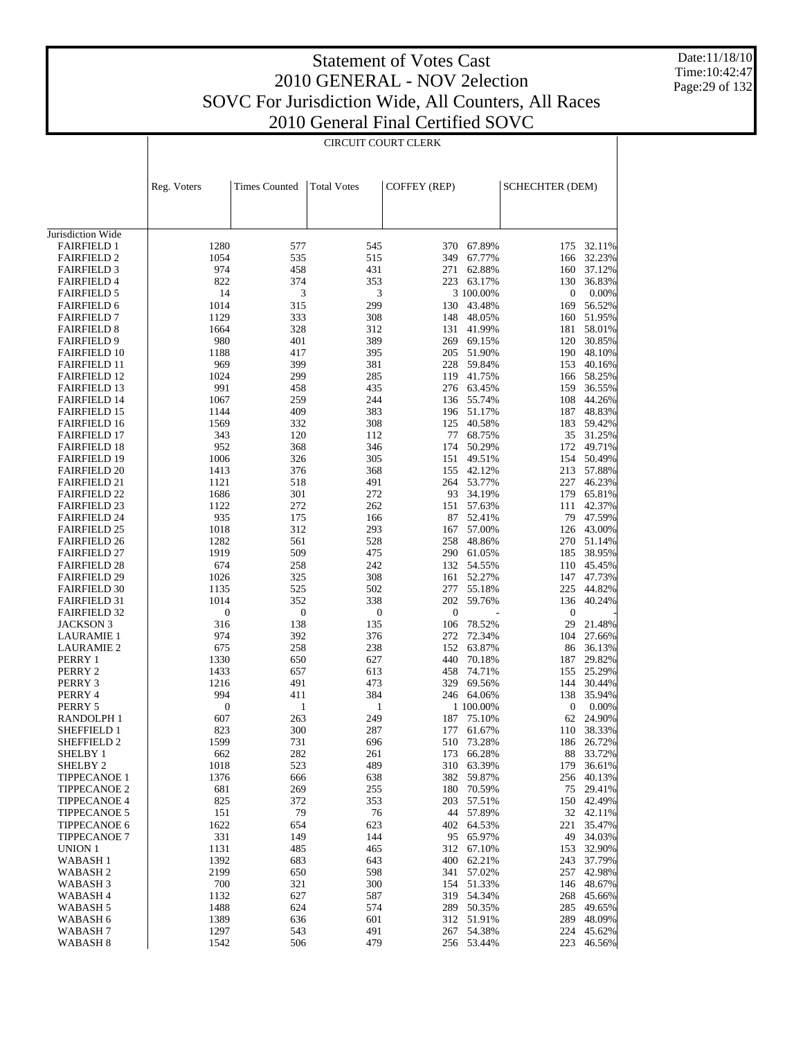Date:11/18/10 Time:10:42:47 Page:29 of 132

|                                            | CIRCUIT COURT CLERK |                      |                    |                     |                          |                        |                         |
|--------------------------------------------|---------------------|----------------------|--------------------|---------------------|--------------------------|------------------------|-------------------------|
|                                            |                     |                      |                    |                     |                          |                        |                         |
|                                            | Reg. Voters         | <b>Times Counted</b> | <b>Total Votes</b> | <b>COFFEY (REP)</b> |                          | <b>SCHECHTER (DEM)</b> |                         |
|                                            |                     |                      |                    |                     |                          |                        |                         |
| Jurisdiction Wide<br><b>FAIRFIELD 1</b>    | 1280                |                      |                    |                     |                          |                        |                         |
| <b>FAIRFIELD 2</b>                         | 1054                | 577<br>535           | 545<br>515         | 349                 | 370 67.89%<br>67.77%     | 175<br>166             | 32.11%<br>32.23%        |
| <b>FAIRFIELD 3</b>                         | 974                 | 458                  | 431                | 271                 | 62.88%                   | 160                    | 37.12%                  |
| <b>FAIRFIELD 4</b>                         | 822                 | 374                  | 353                |                     | 223 63.17%               | 130                    | 36.83%                  |
| <b>FAIRFIELD 5</b>                         | 14                  | 3                    | 3                  |                     | 3 100.00%                | $\boldsymbol{0}$       | 0.00%                   |
| <b>FAIRFIELD 6</b>                         | 1014                | 315                  | 299                | 130                 | 43.48%                   | 169                    | 56.52%                  |
| <b>FAIRFIELD 7</b>                         | 1129                | 333                  | 308                | 148                 | 48.05%                   | 160                    | 51.95%                  |
| <b>FAIRFIELD 8</b>                         | 1664                | 328                  | 312<br>389         |                     | 131 41.99%               | 181                    | 58.01%                  |
| <b>FAIRFIELD 9</b><br><b>FAIRFIELD 10</b>  | 980<br>1188         | 401<br>417           | 395                |                     | 269 69.15%<br>205 51.90% | 190                    | 120 30.85%<br>48.10%    |
| <b>FAIRFIELD 11</b>                        | 969                 | 399                  | 381                | 228                 | 59.84%                   |                        | 153 40.16%              |
| <b>FAIRFIELD 12</b>                        | 1024                | 299                  | 285                |                     | 119 41.75%               | 166                    | 58.25%                  |
| <b>FAIRFIELD 13</b>                        | 991                 | 458                  | 435                |                     | 276 63.45%               |                        | 159 36.55%              |
| <b>FAIRFIELD 14</b>                        | 1067                | 259                  | 244                |                     | 136 55.74%               | 108                    | 44.26%                  |
| <b>FAIRFIELD 15</b>                        | 1144                | 409                  | 383                |                     | 196 51.17%               | 187                    | 48.83%                  |
| <b>FAIRFIELD 16</b>                        | 1569                | 332                  | 308                | 125                 | 40.58%                   | 183                    | 59.42%                  |
| <b>FAIRFIELD 17</b><br><b>FAIRFIELD 18</b> | 343<br>952          | 120<br>368           | 112<br>346         | 174                 | 77 68.75%<br>50.29%      |                        | 35 31.25%<br>172 49.71% |
| <b>FAIRFIELD 19</b>                        | 1006                | 326                  | 305                | 151                 | 49.51%                   |                        | 154 50.49%              |
| <b>FAIRFIELD 20</b>                        | 1413                | 376                  | 368                |                     | 155 42.12%               |                        | 213 57.88%              |
| <b>FAIRFIELD 21</b>                        | 1121                | 518                  | 491                |                     | 264 53.77%               |                        | 227 46.23%              |
| <b>FAIRFIELD 22</b>                        | 1686                | 301                  | 272                | 93                  | 34.19%                   | 179                    | 65.81%                  |
| <b>FAIRFIELD 23</b>                        | 1122                | 272                  | 262                |                     | 151 57.63%               | 111                    | 42.37%                  |
| <b>FAIRFIELD 24</b>                        | 935                 | 175                  | 166                |                     | 87 52.41%                | 79                     | 47.59%                  |
| <b>FAIRFIELD 25</b>                        | 1018                | 312                  | 293                |                     | 167 57.00%               |                        | 126 43.00%              |
| <b>FAIRFIELD 26</b><br><b>FAIRFIELD 27</b> | 1282<br>1919        | 561<br>509           | 528<br>475         | 258                 | 48.86%<br>290 61.05%     | 270                    | 51.14%<br>185 38.95%    |
| <b>FAIRFIELD 28</b>                        | 674                 | 258                  | 242                |                     | 132 54.55%               | 110                    | 45.45%                  |
| <b>FAIRFIELD 29</b>                        | 1026                | 325                  | 308                |                     | 161 52.27%               | 147                    | 47.73%                  |
| <b>FAIRFIELD 30</b>                        | 1135                | 525                  | 502                |                     | 277 55.18%               | 225                    | 44.82%                  |
| <b>FAIRFIELD 31</b>                        | 1014                | 352                  | 338                | 202                 | 59.76%                   | 136                    | 40.24%                  |
| <b>FAIRFIELD 32</b>                        | $\boldsymbol{0}$    | $\boldsymbol{0}$     | $\boldsymbol{0}$   | $\mathbf{0}$        |                          | $\boldsymbol{0}$       |                         |
| <b>JACKSON 3</b>                           | 316                 | 138                  | 135                | 106                 | 78.52%                   | 29                     | 21.48%                  |
| <b>LAURAMIE 1</b>                          | 974                 | 392<br>258           | 376                | 272<br>152          | 72.34%                   | 104                    | 27.66%                  |
| <b>LAURAMIE 2</b><br>PERRY 1               | 675<br>1330         | 650                  | 238<br>627         | 440                 | 63.87%<br>70.18%         | 86<br>187              | 36.13%<br>29.82%        |
| PERRY 2                                    | 1433                | 657                  | 613                | 458                 | 74.71%                   | 155                    | 25.29%                  |
| PERRY 3                                    | 1216                | 491                  | 473                | 329                 | 69.56%                   | 144                    | 30.44%                  |
| PERRY 4                                    | 994                 | 411                  | 384                |                     | 246 64.06%               | 138                    | 35.94%                  |
| PERRY 5                                    | $\boldsymbol{0}$    | $\mathbf{1}$         | $\mathbf{1}$       |                     | 1 100.00%                | $\boldsymbol{0}$       | 0.00%                   |
| RANDOLPH 1                                 | 607                 | 263                  | 249                |                     | 187 75.10%               | 62                     | 24.90%                  |
| SHEFFIELD 1                                | 823                 | 300                  | 287                |                     | 177 61.67%               | 110                    | 38.33%                  |
| SHEFFIELD 2<br><b>SHELBY 1</b>             | 1599<br>662         | 731<br>282           | 696<br>261         | 510<br>173          | 73.28%<br>66.28%         | 186<br>88              | 26.72%<br>33.72%        |
| <b>SHELBY 2</b>                            | 1018                | 523                  | 489                |                     | 310 63.39%               | 179                    | 36.61%                  |
| <b>TIPPECANOE 1</b>                        | 1376                | 666                  | 638                | 382                 | 59.87%                   | 256                    | 40.13%                  |
| <b>TIPPECANOE 2</b>                        | 681                 | 269                  | 255                | 180                 | 70.59%                   | 75                     | 29.41%                  |
| <b>TIPPECANOE 4</b>                        | 825                 | 372                  | 353                | 203                 | 57.51%                   | 150                    | 42.49%                  |
| <b>TIPPECANOE 5</b>                        | 151                 | 79                   | 76                 | 44                  | 57.89%                   |                        | 32 42.11%               |
| TIPPECANOE 6                               | 1622                | 654                  | 623                |                     | 402 64.53%               | 221                    | 35.47%                  |
| <b>TIPPECANOE 7</b><br><b>UNION 1</b>      | 331<br>1131         | 149<br>485           | 144<br>465         | 312                 | 95 65.97%<br>67.10%      | 49<br>153              | 34.03%<br>32.90%        |
| <b>WABASH1</b>                             | 1392                | 683                  | 643                | 400                 | 62.21%                   | 243                    | 37.79%                  |
| WABASH <sub>2</sub>                        | 2199                | 650                  | 598                | 341                 | 57.02%                   | 257                    | 42.98%                  |
| WABASH <sub>3</sub>                        | 700                 | 321                  | 300                |                     | 154 51.33%               | 146                    | 48.67%                  |
| WABASH 4                                   | 1132                | 627                  | 587                |                     | 319 54.34%               | 268                    | 45.66%                  |
| WABASH 5                                   | 1488                | 624                  | 574                |                     | 289 50.35%               | 285                    | 49.65%                  |
| WABASH 6                                   | 1389                | 636                  | 601                |                     | 312 51.91%               | 289                    | 48.09%                  |
| WABASH 7<br>WABASH <sub>8</sub>            | 1297<br>1542        | 543<br>506           | 491<br>479         |                     | 267 54.38%<br>256 53.44% | 223                    | 224 45.62%<br>46.56%    |
|                                            |                     |                      |                    |                     |                          |                        |                         |

1542 506 479 256 53.44% 223 46.56%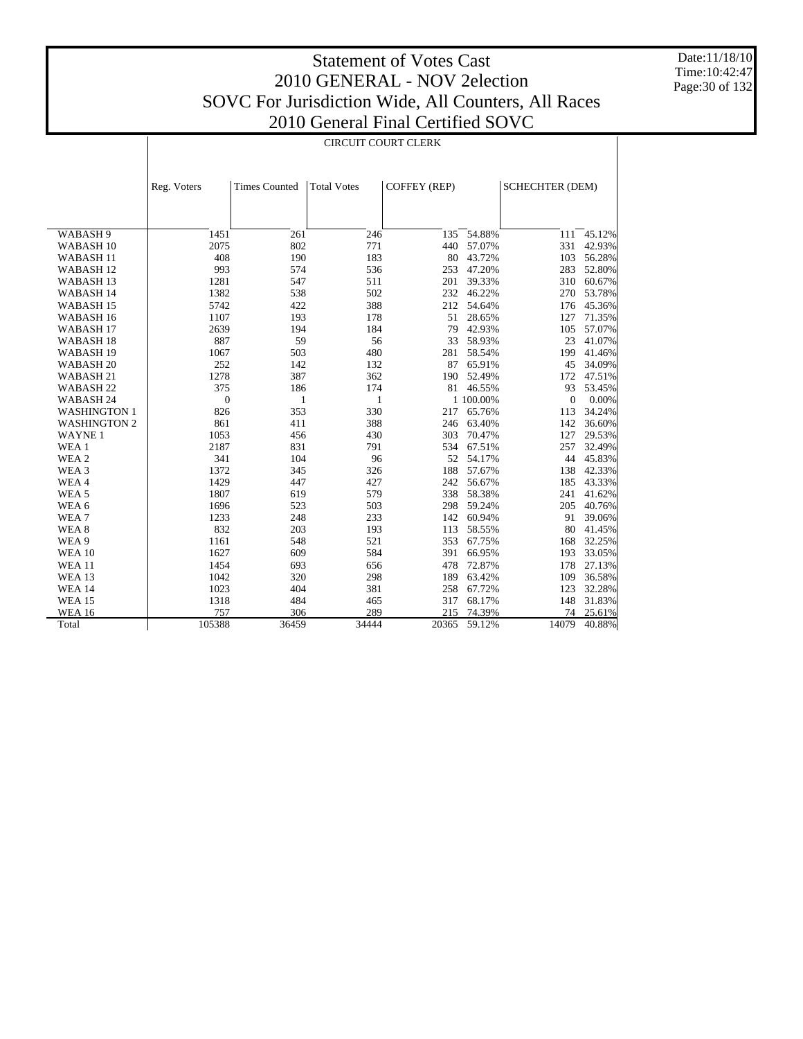Date:11/18/10 Time:10:42:47 Page:30 of 132

|                      | <b>CIRCUIT COURT CLERK</b> |                      |                    |                     |           |                        |        |  |
|----------------------|----------------------------|----------------------|--------------------|---------------------|-----------|------------------------|--------|--|
|                      |                            |                      |                    |                     |           |                        |        |  |
|                      | Reg. Voters                | <b>Times Counted</b> | <b>Total Votes</b> | <b>COFFEY (REP)</b> |           | <b>SCHECHTER (DEM)</b> |        |  |
|                      |                            |                      |                    |                     |           |                        |        |  |
|                      |                            |                      |                    |                     |           |                        |        |  |
| WABASH 9             | 1451                       | 261                  | 246                | 135                 | 54.88%    | 111                    | 45.12% |  |
| WABASH <sub>10</sub> | 2075                       | 802                  | 771                | 440                 | 57.07%    | 331                    | 42.93% |  |
| WABASH <sub>11</sub> | 408                        | 190                  | 183                | 80                  | 43.72%    | 103                    | 56.28% |  |
| WABASH <sub>12</sub> | 993                        | 574                  | 536                | 253                 | 47.20%    | 283                    | 52.80% |  |
| WABASH <sub>13</sub> | 1281                       | 547                  | 511                | 201                 | 39.33%    | 310                    | 60.67% |  |
| WABASH 14            | 1382                       | 538                  | 502                | 232                 | 46.22%    | 270                    | 53.78% |  |
| WABASH <sub>15</sub> | 5742                       | 422                  | 388                | 212                 | 54.64%    | 176                    | 45.36% |  |
| WABASH <sub>16</sub> | 1107                       | 193                  | 178                | 51                  | 28.65%    | 127                    | 71.35% |  |
| WABASH <sub>17</sub> | 2639                       | 194                  | 184                | 79                  | 42.93%    | 105                    | 57.07% |  |
| WABASH <sub>18</sub> | 887                        | 59                   | 56                 | 33                  | 58.93%    | 23                     | 41.07% |  |
| WABASH <sub>19</sub> | 1067                       | 503                  | 480                | 281                 | 58.54%    | 199                    | 41.46% |  |
| WABASH <sub>20</sub> | 252                        | 142                  | 132                | 87                  | 65.91%    | 45                     | 34.09% |  |
| WABASH 21            | 1278                       | 387                  | 362                | 190                 | 52.49%    | 172                    | 47.51% |  |
| WABASH <sub>22</sub> | 375                        | 186                  | 174                |                     | 81 46.55% | 93                     | 53.45% |  |
| WABASH <sub>24</sub> | $\boldsymbol{0}$           | 1                    | 1                  |                     | 1 100.00% | $\mathbf{0}$           | 0.00%  |  |
| <b>WASHINGTON 1</b>  | 826                        | 353                  | 330                | 217                 | 65.76%    | 113                    | 34.24% |  |
| <b>WASHINGTON 2</b>  | 861                        | 411                  | 388                | 246                 | 63.40%    | 142                    | 36.60% |  |
| <b>WAYNE1</b>        | 1053                       | 456                  | 430                | 303                 | 70.47%    | 127                    | 29.53% |  |
| WEA 1                | 2187                       | 831                  | 791                | 534                 | 67.51%    | 257                    | 32.49% |  |
| WEA 2                | 341                        | 104                  | 96                 | 52                  | 54.17%    | 44                     | 45.83% |  |
| WEA 3                | 1372                       | 345                  | 326                | 188                 | 57.67%    | 138                    | 42.33% |  |
| WEA4                 | 1429                       | 447                  | 427                | 242                 | 56.67%    | 185                    | 43.33% |  |
| WEA <sub>5</sub>     | 1807                       | 619                  | 579                | 338                 | 58.38%    | 241                    | 41.62% |  |
| WEA <sub>6</sub>     | 1696                       | 523                  | 503                | 298                 | 59.24%    | 205                    | 40.76% |  |
| WEA7                 | 1233                       | 248                  | 233                | 142                 | 60.94%    | 91                     | 39.06% |  |
| WEA 8                | 832                        | 203                  | 193                | 113                 | 58.55%    | 80                     | 41.45% |  |
| WEA 9                | 1161                       | 548                  | 521                | 353                 | 67.75%    | 168                    | 32.25% |  |
| <b>WEA 10</b>        | 1627                       | 609                  | 584                | 391                 | 66.95%    | 193                    | 33.05% |  |
| <b>WEA 11</b>        | 1454                       | 693                  | 656                | 478                 | 72.87%    | 178                    | 27.13% |  |
| <b>WEA 13</b>        | 1042                       | 320                  | 298                | 189                 | 63.42%    | 109                    | 36.58% |  |
| <b>WEA 14</b>        | 1023                       | 404                  | 381                | 258                 | 67.72%    | 123                    | 32.28% |  |
| <b>WEA 15</b>        | 1318                       | 484                  | 465                | 317                 | 68.17%    | 148                    | 31.83% |  |
| <b>WEA 16</b>        | 757                        | 306                  | 289                | 215                 | 74.39%    | 74                     | 25.61% |  |
| Total                | 105388                     | 36459                | 34444              | 20365               | 59.12%    | 14079                  | 40.88% |  |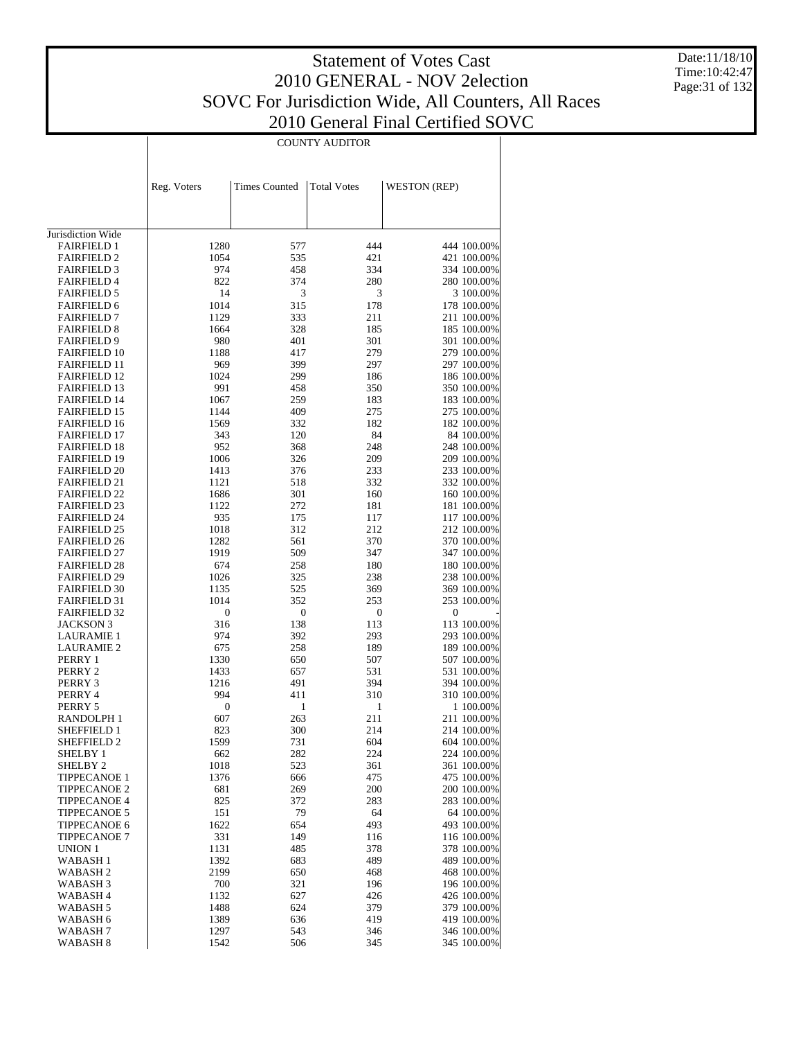Date:11/18/10 Time:10:42:47 Page:31 of 132

| <b>COUNTY AUDITOR</b> |  |
|-----------------------|--|

|                                            | Reg. Voters      | <b>Times Counted</b>    | <b>Total Votes</b>      | <b>WESTON (REP)</b> |                            |
|--------------------------------------------|------------------|-------------------------|-------------------------|---------------------|----------------------------|
|                                            |                  |                         |                         |                     |                            |
|                                            |                  |                         |                         |                     |                            |
| Jurisdiction Wide                          |                  |                         |                         |                     |                            |
| <b>FAIRFIELD 1</b>                         | 1280             | 577                     | 444                     |                     | 444 100.00%                |
| <b>FAIRFIELD 2</b>                         | 1054             | 535                     | 421                     |                     | 421 100.00%                |
| <b>FAIRFIELD 3</b>                         | 974              | 458                     | 334                     |                     | 334 100.00%                |
| <b>FAIRFIELD 4</b>                         | 822              | 374                     | 280                     |                     | 280 100.00%                |
| <b>FAIRFIELD 5</b>                         | 14               | 3                       | 3                       |                     | 3 100.00%                  |
| <b>FAIRFIELD 6</b>                         | 1014             | 315                     | 178                     |                     | 178 100.00%                |
| <b>FAIRFIELD 7</b>                         | 1129             | 333                     | 211                     |                     | 211 100.00%                |
| <b>FAIRFIELD 8</b>                         | 1664             | 328                     | 185                     |                     | 185 100.00%                |
| <b>FAIRFIELD 9</b>                         | 980              | 401                     | 301                     |                     | 301 100.00%                |
| <b>FAIRFIELD 10</b>                        | 1188             | 417                     | 279                     |                     | 279 100.00%                |
| <b>FAIRFIELD 11</b><br><b>FAIRFIELD 12</b> | 969<br>1024      | 399<br>299              | 297<br>186              |                     | 297 100.00%                |
| <b>FAIRFIELD 13</b>                        | 991              | 458                     | 350                     |                     | 186 100.00%<br>350 100.00% |
| FAIRFIELD 14                               | 1067             | 259                     | 183                     |                     | 183 100.00%                |
| <b>FAIRFIELD 15</b>                        | 1144             | 409                     | 275                     |                     | 275 100.00%                |
| <b>FAIRFIELD 16</b>                        | 1569             | 332                     | 182                     |                     | 182 100.00%                |
| <b>FAIRFIELD 17</b>                        | 343              | 120                     | 84                      |                     | 84 100.00%                 |
| <b>FAIRFIELD 18</b>                        | 952              | 368                     | 248                     |                     | 248 100.00%                |
| <b>FAIRFIELD 19</b>                        | 1006             | 326                     | 209                     |                     | 209 100.00%                |
| <b>FAIRFIELD 20</b>                        | 1413             | 376                     | 233                     |                     | 233 100.00%                |
| <b>FAIRFIELD 21</b>                        | 1121             | 518                     | 332                     |                     | 332 100.00%                |
| <b>FAIRFIELD 22</b>                        | 1686             | 301                     | 160                     |                     | 160 100.00%                |
| <b>FAIRFIELD 23</b>                        | 1122             | 272                     | 181                     |                     | 181 100.00%                |
| <b>FAIRFIELD 24</b>                        | 935              | 175                     | 117                     |                     | 117 100.00%                |
| <b>FAIRFIELD 25</b>                        | 1018             | 312                     | 212                     |                     | 212 100.00%                |
| <b>FAIRFIELD 26</b>                        | 1282             | 561                     | 370                     |                     | 370 100.00%                |
| <b>FAIRFIELD 27</b>                        | 1919             | 509                     | 347                     |                     | 347 100.00%                |
| <b>FAIRFIELD 28</b>                        | 674              | 258                     | 180                     |                     | 180 100.00%                |
| <b>FAIRFIELD 29</b>                        | 1026             | 325                     | 238                     |                     | 238 100.00%                |
| <b>FAIRFIELD 30</b>                        | 1135             | 525                     | 369                     |                     | 369 100.00%                |
| <b>FAIRFIELD 31</b><br><b>FAIRFIELD 32</b> | 1014<br>0        | 352<br>$\boldsymbol{0}$ | 253<br>$\boldsymbol{0}$ | 0                   | 253 100.00%                |
| <b>JACKSON 3</b>                           | 316              | 138                     | 113                     |                     | 113 100.00%                |
| <b>LAURAMIE 1</b>                          | 974              | 392                     | 293                     |                     | 293 100.00%                |
| <b>LAURAMIE 2</b>                          | 675              | 258                     | 189                     |                     | 189 100.00%                |
| PERRY 1                                    | 1330             | 650                     | 507                     |                     | 507 100.00%                |
| PERRY 2                                    | 1433             | 657                     | 531                     |                     | 531 100.00%                |
| PERRY 3                                    | 1216             | 491                     | 394                     |                     | 394 100.00%                |
| PERRY 4                                    | 994              | 411                     | 310                     |                     | 310 100.00%                |
| PERRY 5                                    | $\boldsymbol{0}$ | 1                       | 1                       |                     | 1 100.00%                  |
| RANDOLPH 1                                 | 607              | 263                     | 211                     |                     | 211 100.00%                |
| SHEFFIELD 1                                | 823              | 300                     | 214                     |                     | 214 100.00%                |
| SHEFFIELD 2                                | 1599             | 731                     | 604                     |                     | 604 100.00%                |
| SHELBY 1                                   | 662              | 282                     | 224                     |                     | 224 100.00%                |
| SHELBY 2                                   | 1018             | 523                     | 361                     |                     | 361 100.00%                |
| <b>TIPPECANOE 1</b>                        | 1376             | 666                     | 475                     |                     | 475 100.00%                |
| <b>TIPPECANOE 2</b>                        | 681              | 269                     | 200                     |                     | 200 100.00%                |
| TIPPECANOE 4                               | 825              | 372                     | 283                     |                     | 283 100.00%                |
| <b>TIPPECANOE 5</b>                        | 151              | 79                      | 64                      |                     | 64 100.00%                 |
| <b>TIPPECANOE 6</b>                        | 1622             | 654                     | 493                     |                     | 493 100.00%                |
| <b>TIPPECANOE 7</b>                        | 331              | 149                     | 116                     |                     | 116 100.00%                |
| UNION 1                                    | 1131             | 485                     | 378                     |                     | 378 100.00%                |
| WABASH 1                                   | 1392             | 683                     | 489                     |                     | 489 100.00%                |
| WABASH <sub>2</sub><br>WABASH 3            | 2199<br>700      | 650<br>321              | 468<br>196              |                     | 468 100.00%<br>196 100.00% |
| WABASH 4                                   | 1132             | 627                     | 426                     |                     | 426 100.00%                |
| WABASH 5                                   | 1488             | 624                     | 379                     |                     | 379 100.00%                |
| WABASH 6                                   | 1389             | 636                     | 419                     |                     | 419 100.00%                |
| WABASH 7                                   | 1297             | 543                     | 346                     |                     | 346 100.00%                |
| WABASH <sub>8</sub>                        | 1542             | 506                     | 345                     |                     | 345 100.00%                |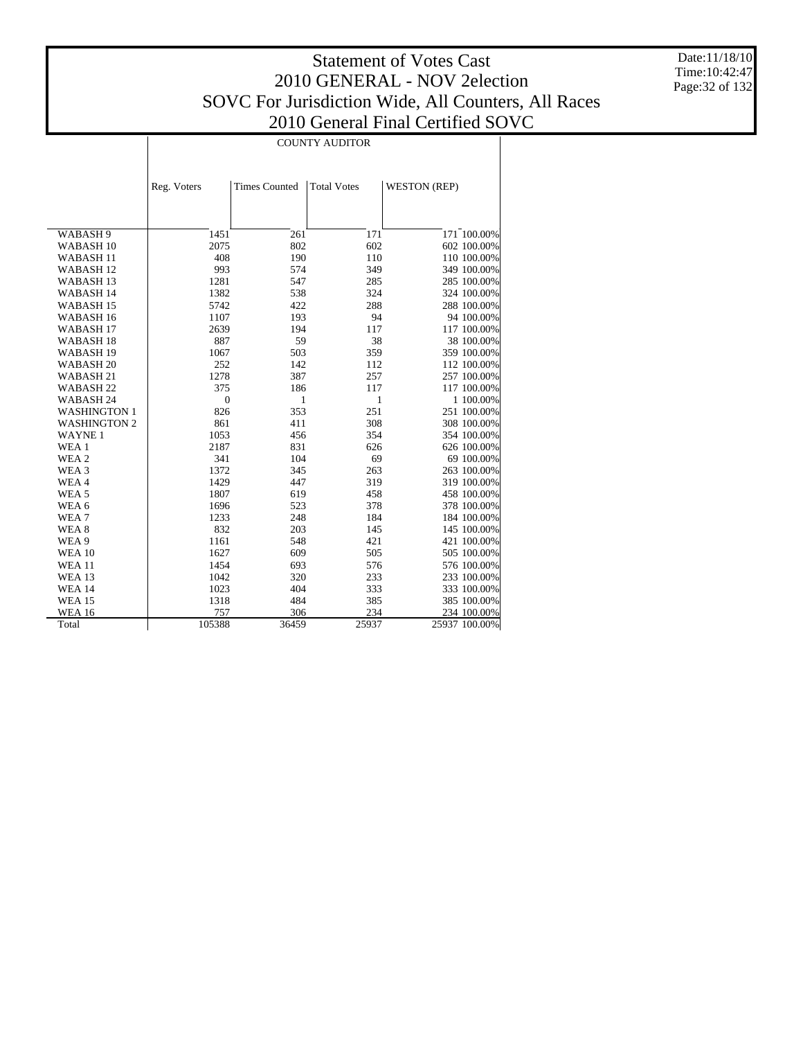Date:11/18/10 Time:10:42:47 Page:32 of 132

|                      | <b>COUNTY AUDITOR</b> |                      |                    |                     |               |  |
|----------------------|-----------------------|----------------------|--------------------|---------------------|---------------|--|
|                      |                       |                      |                    |                     |               |  |
|                      |                       |                      |                    |                     |               |  |
|                      | Reg. Voters           | <b>Times Counted</b> | <b>Total Votes</b> | <b>WESTON (REP)</b> |               |  |
|                      |                       |                      |                    |                     |               |  |
|                      |                       |                      |                    |                     |               |  |
| WABASH 9             | 1451                  | 261                  | 171                |                     | 171 100.00%   |  |
| WABASH <sub>10</sub> | 2075                  | 802                  | 602                |                     | 602 100.00%   |  |
| WABASH <sub>11</sub> | 408                   | 190                  | 110                |                     | 110 100.00%   |  |
| <b>WABASH12</b>      | 993                   | 574                  | 349                |                     | 349 100.00%   |  |
| <b>WABASH13</b>      | 1281                  | 547                  | 285                |                     | 285 100.00%   |  |
| <b>WABASH14</b>      | 1382                  | 538                  | 324                |                     | 324 100.00%   |  |
| <b>WABASH15</b>      | 5742                  | 422                  | 288                |                     | 288 100.00%   |  |
| WABASH 16            | 1107                  | 193                  | 94                 |                     | 94 100.00%    |  |
| WABASH <sub>17</sub> | 2639                  | 194                  | 117                |                     | 117 100.00%   |  |
| WABASH <sub>18</sub> | 887                   | 59                   | 38                 |                     | 38 100.00%    |  |
| WABASH <sub>19</sub> | 1067                  | 503                  | 359                |                     | 359 100.00%   |  |
| WABASH 20            | 252                   | 142                  | 112                |                     | 112 100.00%   |  |
| WABASH <sub>21</sub> | 1278                  | 387                  | 257                |                     | 257 100.00%   |  |
| WABASH <sub>22</sub> | 375                   | 186                  | 117                |                     | 117 100.00%   |  |
| <b>WABASH 24</b>     | $\overline{0}$        | 1                    | $\mathbf{1}$       |                     | 1 100.00%     |  |
| WASHINGTON 1         | 826                   | 353                  | 251                |                     | 251 100.00%   |  |
| <b>WASHINGTON 2</b>  | 861                   | 411                  | 308                |                     | 308 100.00%   |  |
| <b>WAYNE1</b>        | 1053                  | 456                  | 354                |                     | 354 100.00%   |  |
| WEA 1                | 2187                  | 831                  | 626                |                     | 626 100.00%   |  |
| WEA 2                | 341                   | 104                  | 69                 |                     | 69 100.00%    |  |
| WEA 3                | 1372                  | 345                  | 263                |                     | 263 100.00%   |  |
| WEA4                 | 1429                  | 447                  | 319                |                     | 319 100.00%   |  |
| WEA 5                | 1807                  | 619                  | 458                |                     | 458 100.00%   |  |
| WEA 6                | 1696                  | 523                  | 378                |                     | 378 100.00%   |  |
| WEA 7                | 1233                  | 248                  | 184                |                     | 184 100.00%   |  |
| WEA 8                | 832                   | 203                  | 145                |                     | 145 100.00%   |  |
| WEA 9                | 1161                  | 548                  | 421                |                     | 421 100.00%   |  |
| <b>WEA 10</b>        | 1627                  | 609                  | 505                |                     | 505 100.00%   |  |
| <b>WEA 11</b>        | 1454                  | 693                  | 576                |                     | 576 100.00%   |  |
| <b>WEA 13</b>        | 1042                  | 320                  | 233                |                     | 233 100.00%   |  |
| <b>WEA 14</b>        | 1023                  | 404                  | 333                |                     | 333 100.00%   |  |
| <b>WEA 15</b>        | 1318                  | 484                  | 385                |                     | 385 100.00%   |  |
| <b>WEA 16</b>        | 757                   | 306                  | 234                |                     | 234 100.00%   |  |
| Total                | 105388                | 36459                | 25937              |                     | 25937 100.00% |  |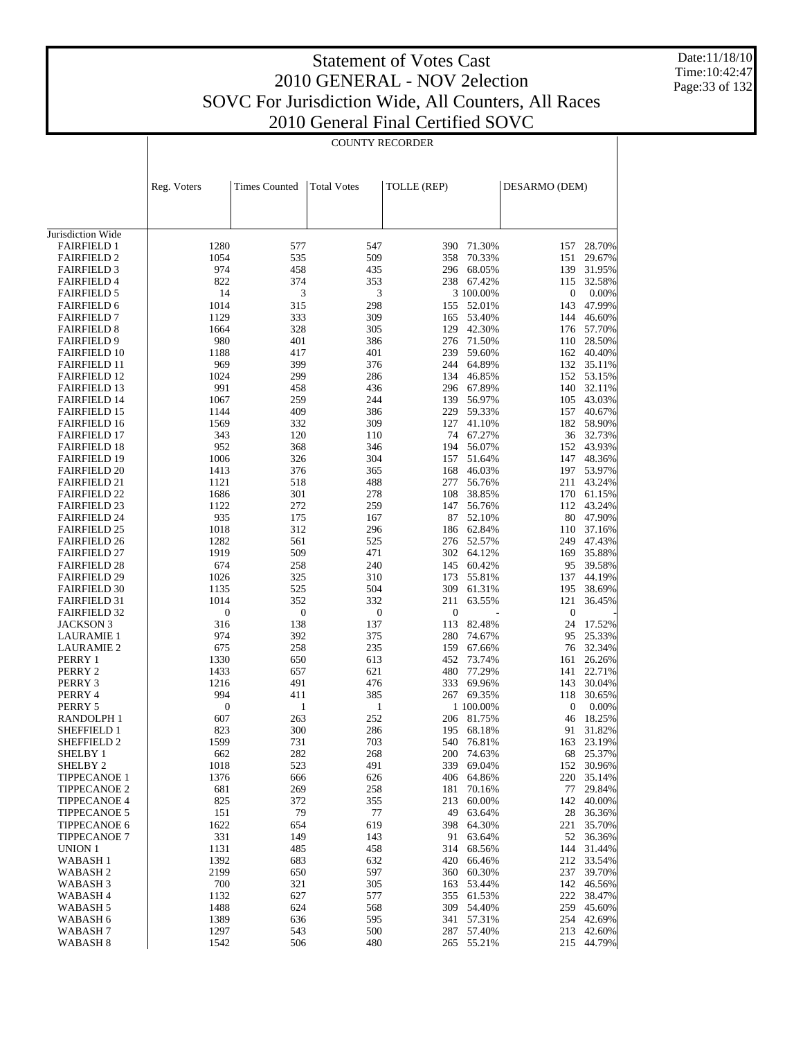Date:11/18/10 Time:10:42:47 Page:33 of 132

|                                            | <b>COUNTY RECORDER</b> |                      |                    |                  |                          |                  |                  |
|--------------------------------------------|------------------------|----------------------|--------------------|------------------|--------------------------|------------------|------------------|
|                                            |                        |                      |                    |                  |                          |                  |                  |
|                                            |                        |                      |                    |                  |                          |                  |                  |
|                                            | Reg. Voters            | <b>Times Counted</b> | <b>Total Votes</b> | TOLLE (REP)      |                          | DESARMO (DEM)    |                  |
|                                            |                        |                      |                    |                  |                          |                  |                  |
|                                            |                        |                      |                    |                  |                          |                  |                  |
|                                            |                        |                      |                    |                  |                          |                  |                  |
| Jurisdiction Wide<br><b>FAIRFIELD 1</b>    | 1280                   | 577                  | 547                |                  | 390 71.30%               | 157              | 28.70%           |
| <b>FAIRFIELD 2</b>                         | 1054                   | 535                  | 509                | 358              | 70.33%                   | 151              | 29.67%           |
| <b>FAIRFIELD 3</b>                         | 974                    | 458                  | 435                | 296              | 68.05%                   | 139              | 31.95%           |
| <b>FAIRFIELD 4</b>                         | 822                    | 374                  | 353                |                  | 238 67.42%               | 115              | 32.58%           |
| <b>FAIRFIELD 5</b>                         | 14                     | 3                    | 3                  |                  | 3 100.00%                | 0                | 0.00%            |
| <b>FAIRFIELD 6</b>                         | 1014                   | 315                  | 298                |                  | 155 52.01%               | 143              | 47.99%           |
| <b>FAIRFIELD 7</b>                         | 1129                   | 333                  | 309                |                  | 165 53.40%               | 144              | 46.60%           |
| <b>FAIRFIELD 8</b><br><b>FAIRFIELD 9</b>   | 1664<br>980            | 328<br>401           | 305<br>386         | 129              | 42.30%<br>276 71.50%     | 176<br>110       | 57.70%<br>28.50% |
| <b>FAIRFIELD 10</b>                        | 1188                   | 417                  | 401                |                  | 239 59.60%               | 162              | 40.40%           |
| <b>FAIRFIELD 11</b>                        | 969                    | 399                  | 376                |                  | 244 64.89%               | 132              | 35.11%           |
| <b>FAIRFIELD 12</b>                        | 1024                   | 299                  | 286                |                  | 134 46.85%               | 152              | 53.15%           |
| <b>FAIRFIELD 13</b>                        | 991                    | 458                  | 436                |                  | 296 67.89%               | 140              | 32.11%           |
| <b>FAIRFIELD 14</b>                        | 1067                   | 259                  | 244                | 139              | 56.97%                   | 105              | 43.03%           |
| <b>FAIRFIELD 15</b>                        | 1144                   | 409                  | 386                |                  | 229 59.33%               | 157              | 40.67%           |
| <b>FAIRFIELD 16</b>                        | 1569                   | 332                  | 309                |                  | 127 41.10%               | 182              | 58.90%           |
| <b>FAIRFIELD 17</b>                        | 343<br>952             | 120<br>368           | 110<br>346         |                  | 74 67.27%<br>194 56.07%  | 36<br>152        | 32.73%<br>43.93% |
| <b>FAIRFIELD 18</b><br><b>FAIRFIELD 19</b> | 1006                   | 326                  | 304                |                  | 157 51.64%               | 147              | 48.36%           |
| <b>FAIRFIELD 20</b>                        | 1413                   | 376                  | 365                |                  | 168 46.03%               | 197              | 53.97%           |
| <b>FAIRFIELD 21</b>                        | 1121                   | 518                  | 488                | 277              | 56.76%                   | 211              | 43.24%           |
| <b>FAIRFIELD 22</b>                        | 1686                   | 301                  | 278                | 108              | 38.85%                   | 170              | 61.15%           |
| <b>FAIRFIELD 23</b>                        | 1122                   | 272                  | 259                | 147              | 56.76%                   | 112              | 43.24%           |
| <b>FAIRFIELD 24</b>                        | 935                    | 175                  | 167                | 87               | 52.10%                   | 80               | 47.90%           |
| <b>FAIRFIELD 25</b>                        | 1018                   | 312                  | 296                |                  | 186 62.84%               | 110              | 37.16%           |
| <b>FAIRFIELD 26</b><br><b>FAIRFIELD 27</b> | 1282<br>1919           | 561<br>509           | 525<br>471         |                  | 276 52.57%<br>302 64.12% | 249<br>169       | 47.43%<br>35.88% |
| <b>FAIRFIELD 28</b>                        | 674                    | 258                  | 240                |                  | 145 60.42%               | 95               | 39.58%           |
| <b>FAIRFIELD 29</b>                        | 1026                   | 325                  | 310                | 173              | 55.81%                   | 137              | 44.19%           |
| <b>FAIRFIELD 30</b>                        | 1135                   | 525                  | 504                | 309              | 61.31%                   | 195              | 38.69%           |
| <b>FAIRFIELD 31</b>                        | 1014                   | 352                  | 332                | 211              | 63.55%                   | 121              | 36.45%           |
| <b>FAIRFIELD 32</b>                        | $\boldsymbol{0}$       | $\mathbf{0}$         | $\boldsymbol{0}$   | $\boldsymbol{0}$ |                          | $\boldsymbol{0}$ |                  |
| <b>JACKSON 3</b>                           | 316                    | 138                  | 137                |                  | 113 82.48%               | 24               | 17.52%           |
| <b>LAURAMIE 1</b>                          | 974                    | 392                  | 375                |                  | 280 74.67%               | 95               | 25.33%           |
| <b>LAURAMIE 2</b><br>PERRY 1               | 675<br>1330            | 258<br>650           | 235<br>613         |                  | 159 67.66%<br>452 73.74% | 76<br>161        | 32.34%<br>26.26% |
| PERRY 2                                    | 1433                   | 657                  | 621                | 480              | 77.29%                   | 141              | 22.71%           |
| PERRY 3                                    | 1216                   | 491                  | 476                | 333              | 69.96%                   | 143              | 30.04%           |
| PERRY 4                                    | 994                    | 411                  | 385                |                  | 267 69.35%               | 118              | 30.65%           |
| PERRY 5                                    | $\boldsymbol{0}$       | $\mathbf{1}$         | 1                  |                  | 1 100.00%                | 0                | 0.00%            |
| RANDOLPH 1                                 | 607                    | 263                  | 252                |                  | 206 81.75%               |                  | 46 18.25%        |
| SHEFFIELD 1                                | 823                    | 300                  | 286                | 195              | 68.18%                   | 91               | 31.82%           |
| SHEFFIELD 2                                | 1599<br>662            | 731<br>282           | 703<br>268         | 540              | 76.81%<br>74.63%         | 163<br>68        | 23.19%<br>25.37% |
| SHELBY 1<br>SHELBY <sub>2</sub>            | 1018                   | 523                  | 491                | 200<br>339       | 69.04%                   | 152              | 30.96%           |
| <b>TIPPECANOE 1</b>                        | 1376                   | 666                  | 626                | 406              | 64.86%                   | 220              | 35.14%           |
| <b>TIPPECANOE 2</b>                        | 681                    | 269                  | 258                | 181              | 70.16%                   | 77               | 29.84%           |
| <b>TIPPECANOE 4</b>                        | 825                    | 372                  | 355                | 213              | 60.00%                   | 142              | 40.00%           |
| <b>TIPPECANOE 5</b>                        | 151                    | 79                   | 77                 | 49               | 63.64%                   | 28               | 36.36%           |
| <b>TIPPECANOE 6</b>                        | 1622                   | 654                  | 619                | 398              | 64.30%                   | 221              | 35.70%           |
| <b>TIPPECANOE 7</b>                        | 331                    | 149                  | 143                | 91               | 63.64%                   | 52               | 36.36%           |
| UNION 1<br>WABASH 1                        | 1131<br>1392           | 485<br>683           | 458<br>632         | 314<br>420       | 68.56%<br>66.46%         | 144<br>212       | 31.44%<br>33.54% |
| WABASH 2                                   | 2199                   | 650                  | 597                | 360              | 60.30%                   | 237              | 39.70%           |
| WABASH 3                                   | 700                    | 321                  | 305                | 163              | 53.44%                   | 142              | 46.56%           |
| WABASH 4                                   | 1132                   | 627                  | 577                | 355              | 61.53%                   | 222              | 38.47%           |
| WABASH 5                                   | 1488                   | 624                  | 568                | 309              | 54.40%                   | 259              | 45.60%           |
| WABASH 6                                   | 1389                   | 636                  | 595                | 341              | 57.31%                   | 254              | 42.69%           |
| WABASH 7                                   | 1297                   | 543                  | 500                | 287              | 57.40%                   | 213              | 42.60%           |
| WABASH 8                                   | 1542                   | 506                  | 480                | 265              | 55.21%                   | 215              | 44.79%           |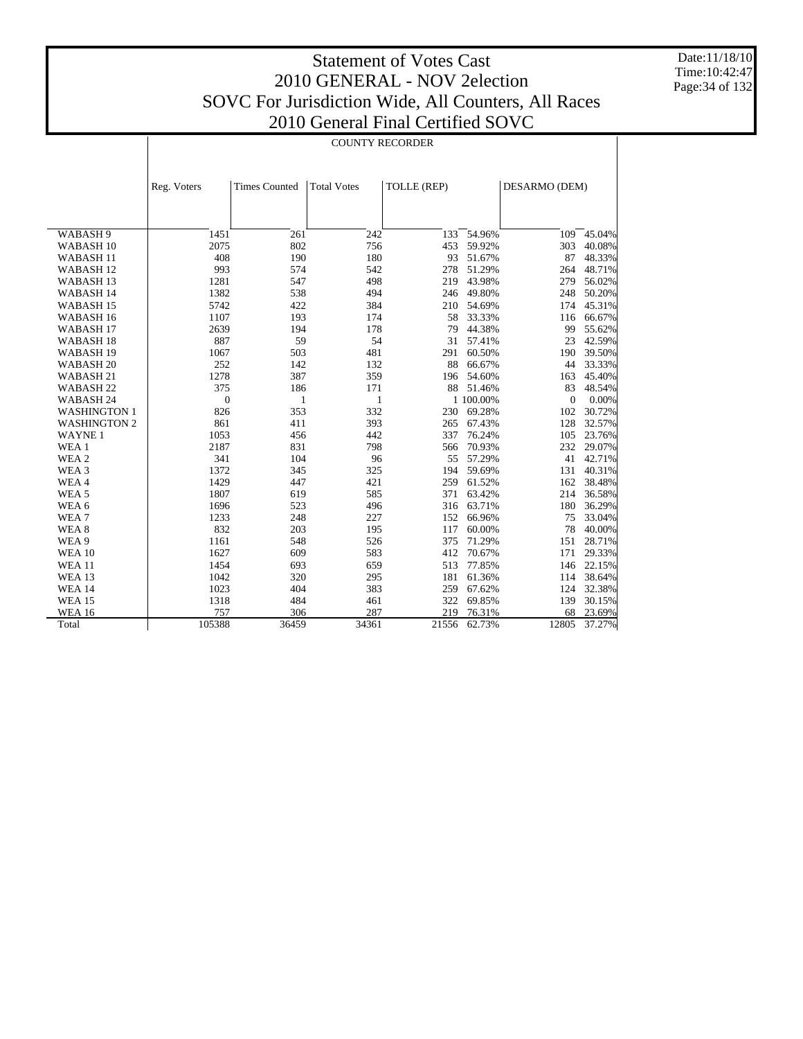Date:11/18/10 Time:10:42:47 Page:34 of 132

|                      | <b>COUNTY RECORDER</b>                                                                    |       |       |       |            |              |        |
|----------------------|-------------------------------------------------------------------------------------------|-------|-------|-------|------------|--------------|--------|
|                      |                                                                                           |       |       |       |            |              |        |
|                      | <b>Times Counted</b><br><b>Total Votes</b><br>TOLLE (REP)<br>DESARMO (DEM)<br>Reg. Voters |       |       |       |            |              |        |
|                      |                                                                                           |       |       |       |            |              |        |
|                      |                                                                                           |       |       |       |            |              |        |
| WABASH 9             | 1451                                                                                      | 261   | 242   | 133   | 54.96%     | 109          | 45.04% |
| WABASH <sub>10</sub> | 2075                                                                                      | 802   | 756   | 453   | 59.92%     | 303          | 40.08% |
| WABASH 11            | 408                                                                                       | 190   | 180   | 93    | 51.67%     | 87           | 48.33% |
| <b>WABASH12</b>      | 993                                                                                       | 574   | 542   | 278   | 51.29%     | 264          | 48.71% |
| WABASH <sub>13</sub> | 1281                                                                                      | 547   | 498   | 219   | 43.98%     | 279          | 56.02% |
| WABASH 14            | 1382                                                                                      | 538   | 494   |       | 246 49.80% | 248          | 50.20% |
| WABASH <sub>15</sub> | 5742                                                                                      | 422   | 384   | 210   | 54.69%     | 174          | 45.31% |
| WABASH <sub>16</sub> | 1107                                                                                      | 193   | 174   | 58    | 33.33%     | 116          | 66.67% |
| WABASH <sub>17</sub> | 2639                                                                                      | 194   | 178   | 79    | 44.38%     | 99           | 55.62% |
| WABASH <sub>18</sub> | 887                                                                                       | 59    | 54    | 31    | 57.41%     | 23           | 42.59% |
| WABASH 19            | 1067                                                                                      | 503   | 481   | 291   | 60.50%     | 190          | 39.50% |
| WABASH <sub>20</sub> | 252                                                                                       | 142   | 132   | 88    | 66.67%     | 44           | 33.33% |
| WABASH 21            | 1278                                                                                      | 387   | 359   | 196   | 54.60%     | 163          | 45.40% |
| WABASH <sub>22</sub> | 375                                                                                       | 186   | 171   | 88    | 51.46%     | 83           | 48.54% |
| WABASH 24            | $\mathbf{0}$                                                                              | 1     | 1     |       | 1 100.00%  | $\mathbf{0}$ | 0.00%  |
| <b>WASHINGTON 1</b>  | 826                                                                                       | 353   | 332   | 230   | 69.28%     | 102          | 30.72% |
| <b>WASHINGTON 2</b>  | 861                                                                                       | 411   | 393   | 265   | 67.43%     | 128          | 32.57% |
| <b>WAYNE1</b>        | 1053                                                                                      | 456   | 442   | 337   | 76.24%     | 105          | 23.76% |
| WEA 1                | 2187                                                                                      | 831   | 798   | 566   | 70.93%     | 232          | 29.07% |
| WEA 2                | 341                                                                                       | 104   | 96    |       | 55 57.29%  | 41           | 42.71% |
| WEA 3                | 1372                                                                                      | 345   | 325   | 194   | 59.69%     | 131          | 40.31% |
| WEA4                 | 1429                                                                                      | 447   | 421   | 259   | 61.52%     | 162          | 38.48% |
| WEA <sub>5</sub>     | 1807                                                                                      | 619   | 585   |       | 371 63.42% | 214          | 36.58% |
| WEA 6                | 1696                                                                                      | 523   | 496   | 316   | 63.71%     | 180          | 36.29% |
| WEA <sub>7</sub>     | 1233                                                                                      | 248   | 227   | 152   | 66.96%     | 75           | 33.04% |
| WEA <sub>8</sub>     | 832                                                                                       | 203   | 195   | 117   | 60.00%     | 78           | 40.00% |
| WEA 9                | 1161                                                                                      | 548   | 526   | 375   | 71.29%     | 151          | 28.71% |
| <b>WEA 10</b>        | 1627                                                                                      | 609   | 583   | 412   | 70.67%     | 171          | 29.33% |
| <b>WEA 11</b>        | 1454                                                                                      | 693   | 659   | 513   | 77.85%     | 146          | 22.15% |
| <b>WEA 13</b>        | 1042                                                                                      | 320   | 295   | 181   | 61.36%     | 114          | 38.64% |
| <b>WEA 14</b>        | 1023                                                                                      | 404   | 383   | 259   | 67.62%     | 124          | 32.38% |
| <b>WEA 15</b>        | 1318                                                                                      | 484   | 461   | 322   | 69.85%     | 139          | 30.15% |
| <b>WEA 16</b>        | 757                                                                                       | 306   | 287   | 219   | 76.31%     | 68           | 23.69% |
| Total                | 105388                                                                                    | 36459 | 34361 | 21556 | 62.73%     | 12805        | 37.27% |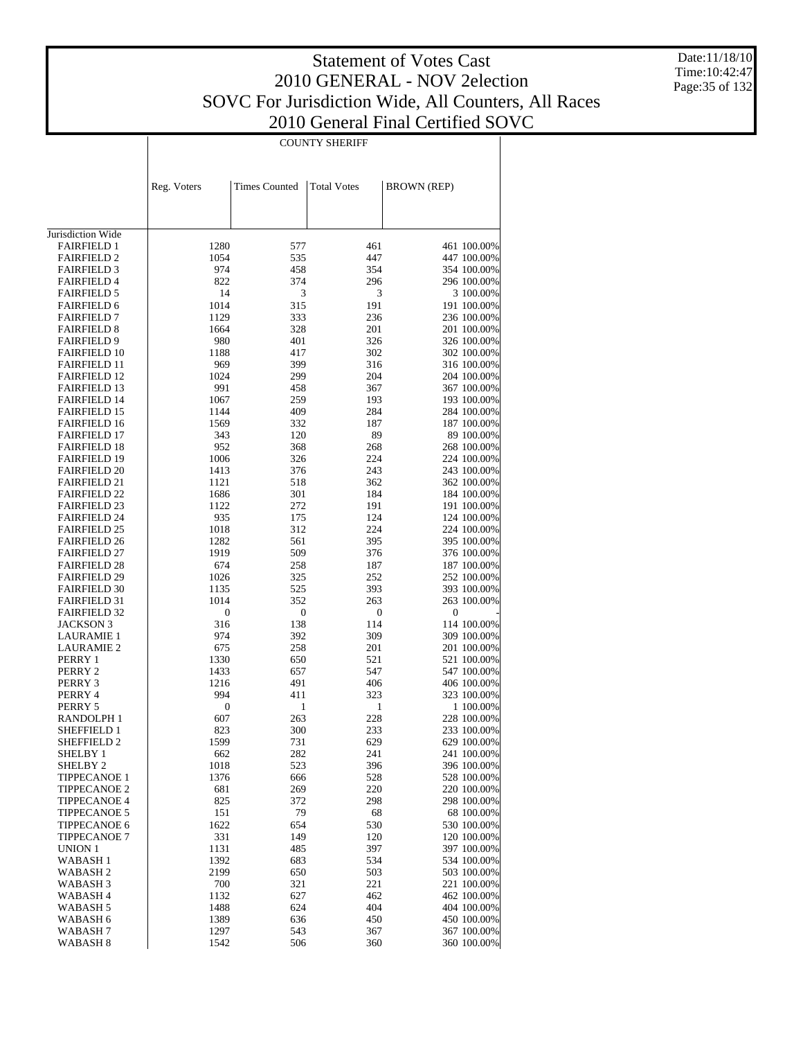$\mathbf{I}$ 

COUNTY SHERIFF

 $\overline{\phantom{a}}$ 

Date:11/18/10 Time:10:42:47 Page:35 of 132

|                                            | Reg. Voters      | <b>Times Counted</b> | <b>Total Votes</b> | <b>BROWN</b> (REP)         |
|--------------------------------------------|------------------|----------------------|--------------------|----------------------------|
|                                            |                  |                      |                    |                            |
|                                            |                  |                      |                    |                            |
| Jurisdiction Wide                          |                  |                      |                    |                            |
| <b>FAIRFIELD 1</b>                         | 1280             | 577                  | 461                | 461 100.00%                |
| <b>FAIRFIELD 2</b>                         | 1054             | 535                  | 447                | 447 100.00%                |
| <b>FAIRFIELD 3</b>                         | 974              | 458                  | 354                | 354 100.00%                |
| <b>FAIRFIELD 4</b><br><b>FAIRFIELD 5</b>   | 822<br>14        | 374<br>3             | 296<br>3           | 296 100.00%<br>3 100.00%   |
| <b>FAIRFIELD 6</b>                         | 1014             | 315                  | 191                | 191 100.00%                |
| <b>FAIRFIELD 7</b>                         | 1129             | 333                  | 236                | 236 100.00%                |
| <b>FAIRFIELD 8</b>                         | 1664             | 328                  | 201                | 201 100.00%                |
| <b>FAIRFIELD 9</b>                         | 980              | 401                  | 326                | 326 100.00%                |
| <b>FAIRFIELD 10</b>                        | 1188             | 417                  | 302                | 302 100.00%                |
| <b>FAIRFIELD 11</b>                        | 969              | 399                  | 316                | 316 100.00%                |
| <b>FAIRFIELD 12</b>                        | 1024             | 299                  | 204                | 204 100.00%                |
| <b>FAIRFIELD 13</b>                        | 991              | 458                  | 367                | 367 100.00%                |
| <b>FAIRFIELD 14</b>                        | 1067             | 259                  | 193                | 193 100.00%                |
| <b>FAIRFIELD 15</b>                        | 1144             | 409                  | 284                | 284 100.00%                |
| <b>FAIRFIELD 16</b>                        | 1569             | 332                  | 187                | 187 100.00%                |
| <b>FAIRFIELD 17</b>                        | 343<br>952       | 120                  | 89<br>268          | 89 100.00%                 |
| <b>FAIRFIELD 18</b><br><b>FAIRFIELD 19</b> | 1006             | 368<br>326           | 224                | 268 100.00%<br>224 100.00% |
| <b>FAIRFIELD 20</b>                        | 1413             | 376                  | 243                | 243 100.00%                |
| <b>FAIRFIELD 21</b>                        | 1121             | 518                  | 362                | 362 100.00%                |
| <b>FAIRFIELD 22</b>                        | 1686             | 301                  | 184                | 184 100.00%                |
| <b>FAIRFIELD 23</b>                        | 1122             | 272                  | 191                | 191 100.00%                |
| <b>FAIRFIELD 24</b>                        | 935              | 175                  | 124                | 124 100.00%                |
| <b>FAIRFIELD 25</b>                        | 1018             | 312                  | 224                | 224 100.00%                |
| <b>FAIRFIELD 26</b>                        | 1282             | 561                  | 395                | 395 100.00%                |
| <b>FAIRFIELD 27</b>                        | 1919             | 509                  | 376                | 376 100.00%                |
| <b>FAIRFIELD 28</b>                        | 674              | 258                  | 187                | 187 100.00%                |
| <b>FAIRFIELD 29</b>                        | 1026             | 325                  | 252                | 252 100.00%                |
| <b>FAIRFIELD 30</b>                        | 1135<br>1014     | 525<br>352           | 393<br>263         | 393 100.00%<br>263 100.00% |
| <b>FAIRFIELD 31</b><br><b>FAIRFIELD 32</b> | $\boldsymbol{0}$ | $\boldsymbol{0}$     | $\boldsymbol{0}$   | $\boldsymbol{0}$           |
| JACKSON 3                                  | 316              | 138                  | 114                | 114 100.00%                |
| <b>LAURAMIE 1</b>                          | 974              | 392                  | 309                | 309 100.00%                |
| <b>LAURAMIE 2</b>                          | 675              | 258                  | 201                | 201 100.00%                |
| PERRY 1                                    | 1330             | 650                  | 521                | 521 100.00%                |
| PERRY 2                                    | 1433             | 657                  | 547                | 547 100.00%                |
| PERRY 3                                    | 1216             | 491                  | 406                | 406 100.00%                |
| PERRY 4                                    | 994              | 411                  | 323                | 323 100.00%                |
| PERRY 5                                    | $\boldsymbol{0}$ | 1                    | 1                  | 1 100.00%                  |
| RANDOLPH 1                                 | 607              | 263                  | 228                | 228 100.00%                |
| <b>SHEFFIELD 1</b><br><b>SHEFFIELD 2</b>   | 823<br>1599      | 300<br>731           | 233<br>629         | 233 100.00%<br>629 100.00% |
| SHELBY 1                                   | 662              | 282                  | 241                | 241 100.00%                |
| SHELBY <sub>2</sub>                        | 1018             | 523                  | 396                | 396 100.00%                |
| <b>TIPPECANOE 1</b>                        | 1376             | 666                  | 528                | 528 100.00%                |
| <b>TIPPECANOE 2</b>                        | 681              | 269                  | 220                | 220 100.00%                |
| <b>TIPPECANOE 4</b>                        | 825              | 372                  | 298                | 298 100.00%                |
| <b>TIPPECANOE 5</b>                        | 151              | 79                   | 68                 | 68 100.00%                 |
| <b>TIPPECANOE 6</b>                        | 1622             | 654                  | 530                | 530 100.00%                |
| <b>TIPPECANOE 7</b>                        | 331              | 149                  | 120                | 120 100.00%                |
| <b>UNION 1</b>                             | 1131             | 485                  | 397                | 397 100.00%                |
| WABASH 1                                   | 1392             | 683                  | 534                | 534 100.00%                |
| WABASH 2                                   | 2199             | 650                  | 503                | 503 100.00%                |
| WABASH 3                                   | 700<br>1132      | 321                  | 221<br>462         | 221 100.00%                |
| WABASH 4<br>WABASH 5                       | 1488             | 627<br>624           | 404                | 462 100.00%<br>404 100.00% |
| WABASH 6                                   | 1389             | 636                  | 450                | 450 100.00%                |
| WABASH 7                                   | 1297             | 543                  | 367                | 367 100.00%                |
| WABASH 8                                   | 1542             | 506                  | 360                | 360 100.00%                |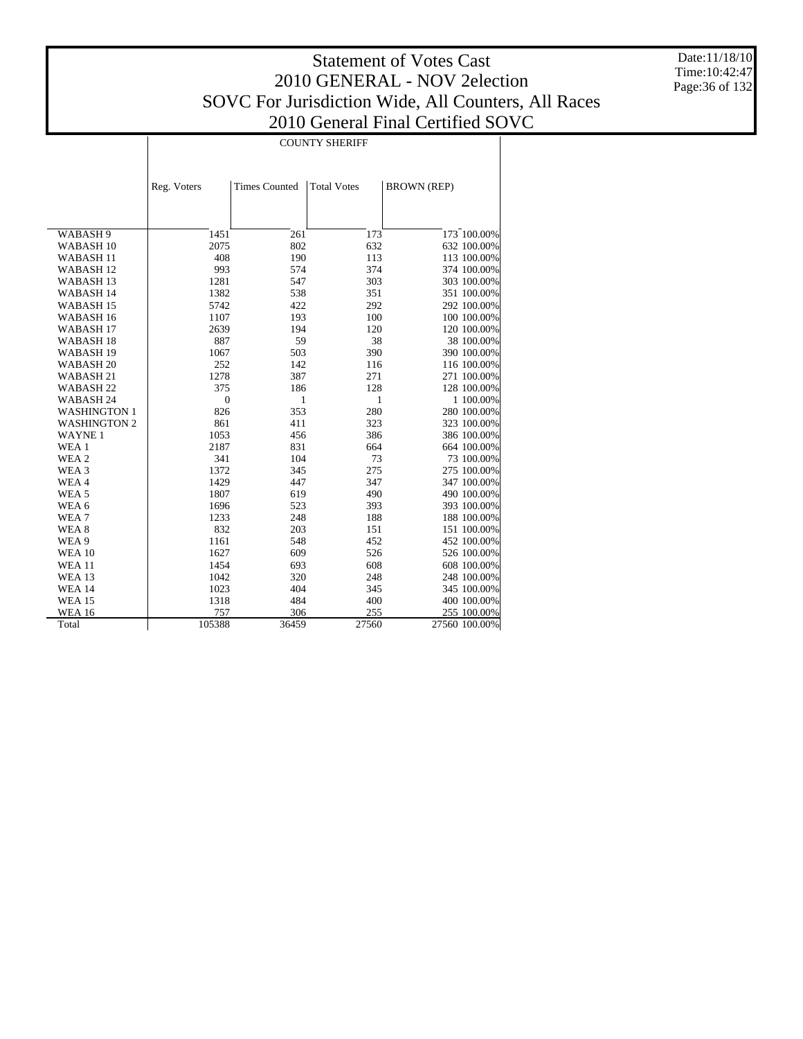Τ

Date:11/18/10 Time:10:42:47 Page:36 of 132

|                      | <b>COUNTY SHERIFF</b> |                      |                    |                    |  |  |
|----------------------|-----------------------|----------------------|--------------------|--------------------|--|--|
|                      |                       |                      |                    |                    |  |  |
|                      |                       |                      |                    |                    |  |  |
|                      |                       |                      |                    |                    |  |  |
|                      | Reg. Voters           | <b>Times Counted</b> | <b>Total Votes</b> | <b>BROWN (REP)</b> |  |  |
|                      |                       |                      |                    |                    |  |  |
|                      |                       |                      |                    |                    |  |  |
| WABASH 9             | 1451                  | 261                  | 173                | 173 100.00%        |  |  |
| WABASH <sub>10</sub> | 2075                  | 802                  | 632                | 632 100.00%        |  |  |
| WABASH <sub>11</sub> | 408                   | 190                  | 113                | 113 100.00%        |  |  |
| WABASH <sub>12</sub> | 993                   | 574                  | 374                | 374 100.00%        |  |  |
| WABASH <sub>13</sub> | 1281                  | 547                  | 303                | 303 100.00%        |  |  |
| WABASH 14            | 1382                  | 538                  | 351                | 351 100.00%        |  |  |
| WABASH 15            | 5742                  | 422                  | 292                | 292 100.00%        |  |  |
| WABASH <sub>16</sub> | 1107                  | 193                  | 100                | 100 100.00%        |  |  |
| WABASH <sub>17</sub> | 2639                  | 194                  | 120                | 120 100.00%        |  |  |
| WABASH <sub>18</sub> | 887                   | 59                   | 38                 | 38 100.00%         |  |  |
| WABASH <sub>19</sub> | 1067                  | 503                  | 390                | 390 100.00%        |  |  |
| WABASH <sub>20</sub> | 252                   | 142                  | 116                | 116 100.00%        |  |  |
| WABASH <sub>21</sub> | 1278                  | 387                  | 271                | 271 100.00%        |  |  |
| WABASH <sub>22</sub> | 375                   | 186                  | 128                | 128 100.00%        |  |  |
| WABASH 24            | $\mathbf{0}$          | 1                    | 1                  | 1 100.00%          |  |  |
| <b>WASHINGTON 1</b>  | 826                   | 353                  | 280                | 280 100.00%        |  |  |
| <b>WASHINGTON 2</b>  | 861                   | 411                  | 323                | 323 100.00%        |  |  |
| <b>WAYNE1</b>        | 1053                  | 456                  | 386                | 386 100.00%        |  |  |
| WEA 1                | 2187                  | 831                  | 664                | 664 100.00%        |  |  |
| WEA 2                | 341                   | 104                  | 73                 | 73 100.00%         |  |  |
| WEA <sub>3</sub>     | 1372                  | 345                  | 275                | 275 100.00%        |  |  |
| WEA4                 | 1429                  | 447                  | 347                | 347 100.00%        |  |  |
| WEA <sub>5</sub>     | 1807                  | 619                  | 490                | 490 100.00%        |  |  |
| WEA 6                | 1696                  | 523                  | 393                | 393 100.00%        |  |  |
| WEA <sub>7</sub>     | 1233                  | 248                  | 188                | 188 100.00%        |  |  |
| WEA 8                | 832                   | 203                  | 151                | 151 100.00%        |  |  |
| WEA 9                | 1161                  | 548                  | 452                | 452 100.00%        |  |  |
| <b>WEA 10</b>        | 1627                  | 609                  | 526                | 526 100.00%        |  |  |
| <b>WEA 11</b>        | 1454                  | 693                  | 608                | 608 100.00%        |  |  |
| <b>WEA 13</b>        | 1042                  | 320                  | 248                | 248 100.00%        |  |  |
| <b>WEA 14</b>        | 1023                  | 404                  | 345                | 345 100.00%        |  |  |
| <b>WEA 15</b>        | 1318                  | 484                  | 400                | 400 100.00%        |  |  |
| <b>WEA 16</b>        | 757                   | 306                  | 255                | 255 100.00%        |  |  |
| Total                | 105388                | 36459                | 27560              | 27560 100.00%      |  |  |
|                      |                       |                      |                    |                    |  |  |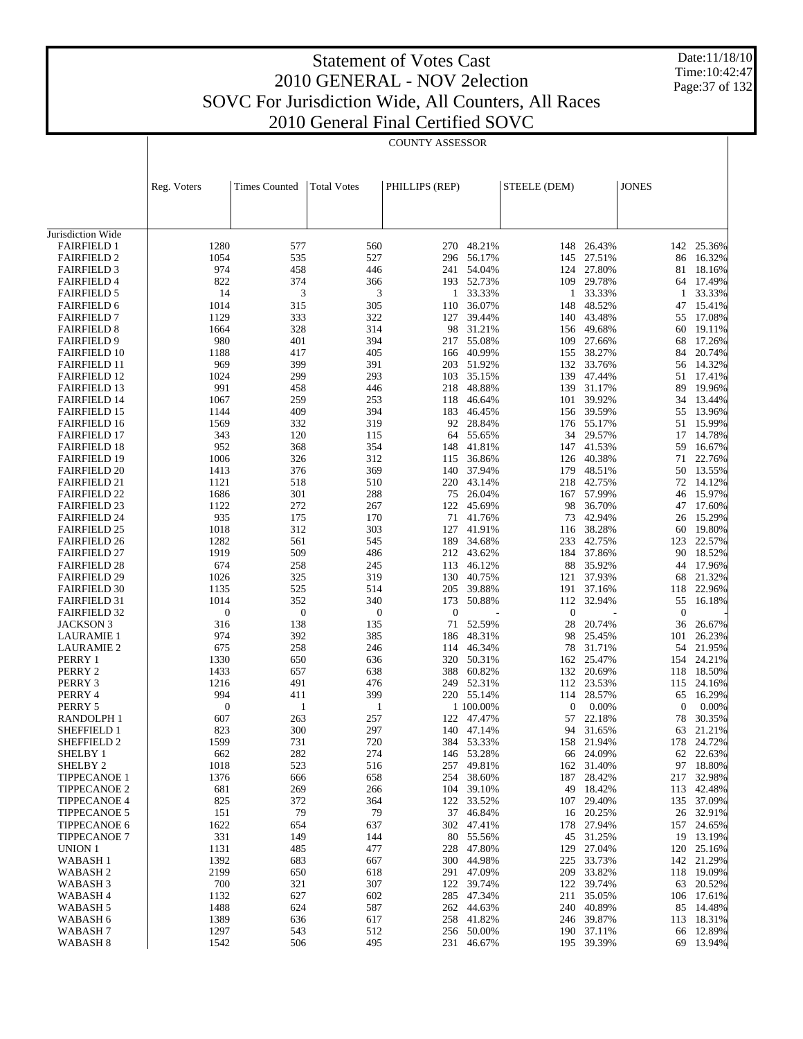Date:11/18/10 Time:10:42:47 Page:37 of 132

|                                            |                  | <b>COUNTY ASSESSOR</b> |                    |                  |                      |              |                      |                        |                     |
|--------------------------------------------|------------------|------------------------|--------------------|------------------|----------------------|--------------|----------------------|------------------------|---------------------|
|                                            |                  |                        |                    |                  |                      |              |                      |                        |                     |
|                                            | Reg. Voters      | <b>Times Counted</b>   | <b>Total Votes</b> | PHILLIPS (REP)   |                      | STEELE (DEM) |                      | <b>JONES</b>           |                     |
|                                            |                  |                        |                    |                  |                      |              |                      |                        |                     |
| Jurisdiction Wide                          |                  |                        |                    |                  |                      |              |                      |                        |                     |
| <b>FAIRFIELD 1</b>                         | 1280             | 577                    | 560                | 270              | 48.21%               | 148          | 26.43%               | 142                    | 25.36%              |
| <b>FAIRFIELD 2</b><br><b>FAIRFIELD 3</b>   | 1054<br>974      | 535<br>458             | 527<br>446         | 296<br>241       | 56.17%<br>54.04%     | 145<br>124   | 27.51%<br>27.80%     | 86<br>81               | 16.32%<br>18.16%    |
| <b>FAIRFIELD 4</b>                         | 822              | 374                    | 366                | 193              | 52.73%               |              | 109 29.78%           | 64                     | 17.49%              |
| <b>FAIRFIELD 5</b>                         | 14               | 3                      | 3                  | 1                | 33.33%               | 1            | 33.33%               | -1                     | 33.33%              |
| <b>FAIRFIELD 6</b>                         | 1014             | 315                    | 305                | 110              | 36.07%               | 148          | 48.52%               | 47                     | 15.41%              |
| <b>FAIRFIELD 7</b>                         | 1129             | 333                    | 322                | 127              | 39.44%               | 140          | 43.48%               | 55                     | 17.08%              |
| <b>FAIRFIELD 8</b>                         | 1664             | 328                    | 314                | 98               | 31.21%               | 156          | 49.68%               | 60                     | 19.11%              |
| <b>FAIRFIELD 9</b><br><b>FAIRFIELD 10</b>  | 980<br>1188      | 401<br>417             | 394<br>405         | 217<br>166       | 55.08%<br>40.99%     | 109<br>155   | 27.66%<br>38.27%     | 68<br>84               | 17.26%<br>20.74%    |
| <b>FAIRFIELD 11</b>                        | 969              | 399                    | 391                | 203              | 51.92%               | 132          | 33.76%               | 56                     | 14.32%              |
| <b>FAIRFIELD 12</b>                        | 1024             | 299                    | 293                | 103              | 35.15%               |              | 139 47.44%           | 51                     | 17.41%              |
| <b>FAIRFIELD 13</b>                        | 991              | 458                    | 446                | 218              | 48.88%               | 139          | 31.17%               | 89                     | 19.96%              |
| <b>FAIRFIELD 14</b>                        | 1067             | 259                    | 253                | 118              | 46.64%               | 101          | 39.92%               | 34                     | 13.44%              |
| <b>FAIRFIELD 15</b>                        | 1144             | 409                    | 394                | 183              | 46.45%               | 156          | 39.59%               | 55                     | 13.96%              |
| <b>FAIRFIELD 16</b><br><b>FAIRFIELD 17</b> | 1569<br>343      | 332<br>120             | 319<br>115         | 92<br>64         | 28.84%<br>55.65%     | 176<br>34    | 55.17%<br>29.57%     | 51<br>17               | 15.99%<br>14.78%    |
| <b>FAIRFIELD 18</b>                        | 952              | 368                    | 354                | 148              | 41.81%               | 147          | 41.53%               | 59                     | 16.67%              |
| <b>FAIRFIELD 19</b>                        | 1006             | 326                    | 312                | 115              | 36.86%               | 126          | 40.38%               | 71                     | 22.76%              |
| <b>FAIRFIELD 20</b>                        | 1413             | 376                    | 369                | 140              | 37.94%               | 179          | 48.51%               | 50                     | 13.55%              |
| <b>FAIRFIELD 21</b>                        | 1121             | 518                    | 510                | 220              | 43.14%               | 218          | 42.75%               | 72                     | 14.12%              |
| <b>FAIRFIELD 22</b>                        | 1686             | 301                    | 288                | 75               | 26.04%               |              | 167 57.99%           | 46                     | 15.97%              |
| <b>FAIRFIELD 23</b><br><b>FAIRFIELD 24</b> | 1122<br>935      | 272<br>175             | 267<br>170         | 122<br>71        | 45.69%<br>41.76%     | 98<br>73     | 36.70%<br>42.94%     | 47<br>26               | 17.60%<br>15.29%    |
| <b>FAIRFIELD 25</b>                        | 1018             | 312                    | 303                | 127              | 41.91%               | 116          | 38.28%               | 60                     | 19.80%              |
| <b>FAIRFIELD 26</b>                        | 1282             | 561                    | 545                | 189              | 34.68%               | 233          | 42.75%               | 123                    | 22.57%              |
| <b>FAIRFIELD 27</b>                        | 1919             | 509                    | 486                | 212              | 43.62%               | 184          | 37.86%               | 90                     | 18.52%              |
| <b>FAIRFIELD 28</b>                        | 674              | 258                    | 245                | 113              | 46.12%               | 88           | 35.92%               | 44                     | 17.96%              |
| <b>FAIRFIELD 29</b>                        | 1026             | 325                    | 319                | 130              | 40.75%               | 121          | 37.93%               | 68                     | 21.32%              |
| <b>FAIRFIELD 30</b>                        | 1135<br>1014     | 525<br>352             | 514<br>340         | 205<br>173       | 39.88%               | 191<br>112   | 37.16%<br>32.94%     | 118                    | 22.96%              |
| <b>FAIRFIELD 31</b><br><b>FAIRFIELD 32</b> | $\boldsymbol{0}$ | $\boldsymbol{0}$       | $\boldsymbol{0}$   | $\boldsymbol{0}$ | 50.88%               | $\mathbf{0}$ |                      | 55<br>$\boldsymbol{0}$ | 16.18%              |
| JACKSON 3                                  | 316              | 138                    | 135                | 71               | 52.59%               | 28           | 20.74%               | 36                     | 26.67%              |
| <b>LAURAMIE 1</b>                          | 974              | 392                    | 385                | 186              | 48.31%               | 98           | 25.45%               | 101                    | 26.23%              |
| <b>LAURAMIE 2</b>                          | 675              | 258                    | 246                | 114              | 46.34%               | 78           | 31.71%               | 54                     | 21.95%              |
| PERRY 1                                    | 1330             | 650                    | 636                | 320              | 50.31%               | 162          | 25.47%               | 154                    | 24.21%              |
| PERRY 2                                    | 1433             | 657                    | 638                | 388              | 60.82%               | 132          | 20.69%               | 118                    | 18.50%              |
| PERRY 3<br>PERRY 4                         | 1216<br>994      | 491<br>411             | 476<br>399         | 249              | 52.31%<br>220 55.14% | 112<br>114   | 23.53%<br>28.57%     | 115<br>65              | 24.16%<br>16.29%    |
| PERRY 5                                    | $\boldsymbol{0}$ | 1                      | 1                  |                  | 1 100.00%            | 0            | 0.00%                | $\mathbf{0}$           | 0.00%               |
| RANDOLPH 1                                 | 607              | 263                    | 257                |                  | 122 47.47%           | 57           | 22.18%               | 78                     | 30.35%              |
| <b>SHEFFIELD 1</b>                         | 823              | 300                    | 297                |                  | 140 47.14%           | 94           | 31.65%               | 63                     | 21.21%              |
| SHEFFIELD 2                                | 1599             | 731                    | 720                |                  | 384 53.33%           |              | 158 21.94%           | 178                    | 24.72%              |
| <b>SHELBY 1</b>                            | 662              | 282                    | 274                | 146              | 53.28%               | 66           | 24.09%               | 62                     | 22.63%              |
| SHELBY <sub>2</sub><br><b>TIPPECANOE 1</b> | 1018<br>1376     | 523<br>666             | 516<br>658         | 257<br>254       | 49.81%<br>38.60%     | 162<br>187   | 31.40%<br>28.42%     | 217                    | 97 18.80%<br>32.98% |
| <b>TIPPECANOE 2</b>                        | 681              | 269                    | 266                | 104              | 39.10%               | 49           | 18.42%               | 113                    | 42.48%              |
| <b>TIPPECANOE 4</b>                        | 825              | 372                    | 364                | 122              | 33.52%               | 107          | 29.40%               |                        | 135 37.09%          |
| <b>TIPPECANOE 5</b>                        | 151              | 79                     | 79                 | 37               | 46.84%               | 16           | 20.25%               |                        | 26 32.91%           |
| <b>TIPPECANOE 6</b>                        | 1622             | 654                    | 637                | 302              | 47.41%               | 178          | 27.94%               |                        | 157 24.65%          |
| <b>TIPPECANOE 7</b>                        | 331              | 149                    | 144                | 80               | 55.56%               | 45           | 31.25%               |                        | 19 13.19%           |
| UNION 1<br>WABASH <sub>1</sub>             | 1131<br>1392     | 485<br>683             | 477<br>667         | 228<br>300       | 47.80%<br>44.98%     | 129<br>225   | 27.04%<br>33.73%     | 120<br>142             | 25.16%<br>21.29%    |
| WABASH <sub>2</sub>                        | 2199             | 650                    | 618                | 291              | 47.09%               | 209          | 33.82%               |                        | 118 19.09%          |
| WABASH <sub>3</sub>                        | 700              | 321                    | 307                | 122              | 39.74%               | 122          | 39.74%               | 63                     | 20.52%              |
| WABASH 4                                   | 1132             | 627                    | 602                |                  | 285 47.34%           | 211          | 35.05%               |                        | 106 17.61%          |
| WABASH 5                                   | 1488             | 624                    | 587                | 262              | 44.63%               | 240          | 40.89%               |                        | 85 14.48%           |
| WABASH 6                                   | 1389             | 636                    | 617                | 258              | 41.82%               | 246          | 39.87%               | 113                    | 18.31%              |
| WABASH <sub>7</sub><br>WABASH <sub>8</sub> | 1297<br>1542     | 543<br>506             | 512<br>495         | 256              | 50.00%<br>231 46.67% | 190          | 37.11%<br>195 39.39% | 66                     | 12.89%<br>69 13.94% |
|                                            |                  |                        |                    |                  |                      |              |                      |                        |                     |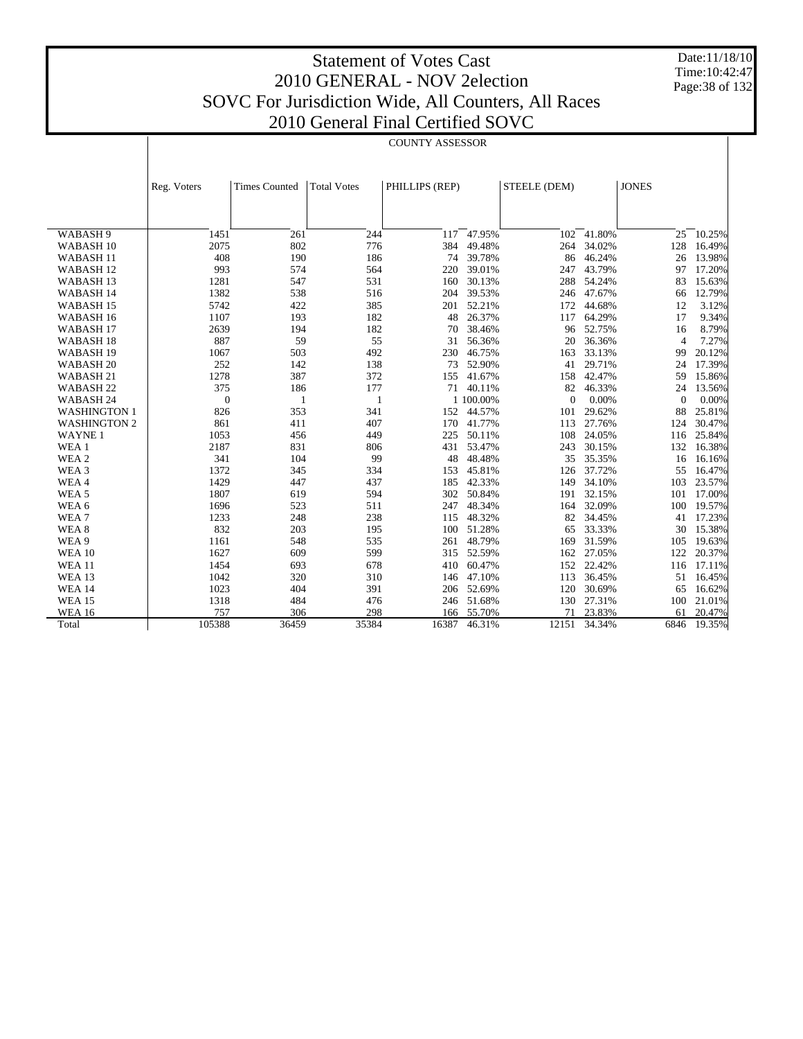Date:11/18/10 Time:10:42:47 Page:38 of 132

| <b>JONES</b><br><b>Times Counted</b><br>PHILLIPS (REP)<br>STEELE (DEM)<br>Reg. Voters<br><b>Total Votes</b><br>261<br>244<br>47.95%<br>WABASH 9<br>1451<br>117<br>102<br>41.80%<br>25<br>10.25%<br>2075<br>802<br>776<br>384<br>34.02%<br>128<br>16.49%<br>WABASH <sub>10</sub><br>49.48%<br>264<br>408<br>190<br>186<br>46.24%<br>13.98%<br>WABASH <sub>11</sub><br>74<br>39.78%<br>26<br>86<br>43.79%<br>WABASH <sub>12</sub><br>993<br>574<br>564<br>220<br>39.01%<br>97<br>17.20%<br>247<br>WABASH <sub>13</sub><br>1281<br>547<br>531<br>30.13%<br>54.24%<br>15.63%<br>160<br>288<br>83<br>1382<br>538<br>516<br>39.53%<br>246 47.67%<br>12.79%<br>WABASH 14<br>204<br>66<br>5742<br>422<br>385<br>52.21%<br>44.68%<br>3.12%<br>WABASH <sub>15</sub><br>201<br>172<br>12<br>1107<br>182<br>26.37%<br>64.29%<br>9.34%<br>WABASH 16<br>193<br>48<br>17<br>117<br>2639<br>182<br>52.75%<br>WABASH <sub>17</sub><br>194<br>70<br>38.46%<br>8.79%<br>96<br>16<br>887<br>59<br>55<br>7.27%<br>WABASH <sub>18</sub><br>31<br>56.36%<br>36.36%<br>$\overline{4}$<br>20<br>1067<br>503<br>492<br>46.75%<br>33.13%<br>20.12%<br>WABASH <sub>19</sub><br>230<br>163<br>99<br>252<br>138<br>52.90%<br>29.71%<br>17.39%<br>WABASH <sub>20</sub><br>142<br>73<br>24<br>41<br>1278<br>387<br>372<br>41.67%<br>42.47%<br>15.86%<br>WABASH 21<br>155<br>158<br>59<br>375<br>186<br>177<br>46.33%<br>WABASH <sub>22</sub><br>71<br>40.11%<br>82<br>24<br>13.56%<br>0.00%<br>$\theta$<br>1 100.00%<br>0.00%<br>WABASH 24<br>$\mathbf{1}$<br>$\Omega$<br>$\Omega$<br>1<br>353<br>341<br>25.81%<br><b>WASHINGTON 1</b><br>826<br>152<br>44.57%<br>29.62%<br>88<br>101<br>861<br>411<br>407<br>170<br>41.77%<br>27.76%<br>30.47%<br><b>WASHINGTON 2</b><br>113<br>124<br><b>WAYNE1</b><br>1053<br>456<br>449<br>225<br>50.11%<br>108<br>24.05%<br>25.84%<br>116<br>WEA 1<br>2187<br>831<br>431<br>53.47%<br>30.15%<br>16.38%<br>806<br>243<br>132<br>WEA 2<br>341<br>104<br>99<br>48<br>48.48%<br>35<br>35.35%<br>16.16%<br>16<br>WEA <sub>3</sub><br>1372<br>345<br>334<br>153<br>45.81%<br>37.72%<br>55<br>16.47%<br>126<br>WEA4<br>1429<br>447<br>437<br>42.33%<br>34.10%<br>23.57%<br>185<br>149<br>103<br>WEA <sub>5</sub><br>1807<br>619<br>594<br>302<br>50.84%<br>32.15%<br>17.00%<br>191<br>101<br>1696<br>523<br>32.09%<br>19.57%<br>WEA 6<br>511<br>247<br>48.34%<br>100<br>164<br>48.32%<br>WEA7<br>1233<br>248<br>238<br>34.45%<br>17.23%<br>115<br>82<br>41<br>WEA <sub>8</sub><br>832<br>203<br>195<br>51.28%<br>33.33%<br>15.38%<br>100<br>65<br>30<br>WEA 9<br>548<br>535<br>48.79%<br>31.59%<br>19.63%<br>1161<br>261<br>169<br>105<br><b>WEA 10</b><br>1627<br>609<br>599<br>52.59%<br>27.05%<br>20.37%<br>315<br>162<br>122<br>22.42%<br><b>WEA 11</b><br>1454<br>693<br>678<br>60.47%<br>152<br>17.11%<br>410<br>116<br>310<br><b>WEA 13</b><br>1042<br>320<br>47.10%<br>113<br>36.45%<br>51<br>16.45%<br>146<br>1023<br>404<br>391<br>206 52.69%<br>120<br>30.69%<br>16.62%<br><b>WEA 14</b><br>65<br><b>WEA 15</b><br>1318<br>484<br>476<br>51.68%<br>27.31%<br>246<br>130<br>100<br>21.01%<br>757<br>298<br>23.83%<br><b>WEA 16</b><br>306<br>55.70%<br>20.47%<br>166<br>71<br>61<br>105388<br>36459<br>35384<br>16387<br>46.31%<br>12151<br>34.34%<br>19.35%<br>Total<br>6846 |  |  | <b>COUNTY ASSESSOR</b> |  |  |  |
|---------------------------------------------------------------------------------------------------------------------------------------------------------------------------------------------------------------------------------------------------------------------------------------------------------------------------------------------------------------------------------------------------------------------------------------------------------------------------------------------------------------------------------------------------------------------------------------------------------------------------------------------------------------------------------------------------------------------------------------------------------------------------------------------------------------------------------------------------------------------------------------------------------------------------------------------------------------------------------------------------------------------------------------------------------------------------------------------------------------------------------------------------------------------------------------------------------------------------------------------------------------------------------------------------------------------------------------------------------------------------------------------------------------------------------------------------------------------------------------------------------------------------------------------------------------------------------------------------------------------------------------------------------------------------------------------------------------------------------------------------------------------------------------------------------------------------------------------------------------------------------------------------------------------------------------------------------------------------------------------------------------------------------------------------------------------------------------------------------------------------------------------------------------------------------------------------------------------------------------------------------------------------------------------------------------------------------------------------------------------------------------------------------------------------------------------------------------------------------------------------------------------------------------------------------------------------------------------------------------------------------------------------------------------------------------------------------------------------------------------------------------------------------------------------------------------------------------------------------------------------------------------------------------------------------------------------------------------------------------------------------------------------------------------------------------------------------------------------------------------------------------------------------------------------------------------------------------------------------------------------------------------------------------|--|--|------------------------|--|--|--|
|                                                                                                                                                                                                                                                                                                                                                                                                                                                                                                                                                                                                                                                                                                                                                                                                                                                                                                                                                                                                                                                                                                                                                                                                                                                                                                                                                                                                                                                                                                                                                                                                                                                                                                                                                                                                                                                                                                                                                                                                                                                                                                                                                                                                                                                                                                                                                                                                                                                                                                                                                                                                                                                                                                                                                                                                                                                                                                                                                                                                                                                                                                                                                                                                                                                                                       |  |  |                        |  |  |  |
|                                                                                                                                                                                                                                                                                                                                                                                                                                                                                                                                                                                                                                                                                                                                                                                                                                                                                                                                                                                                                                                                                                                                                                                                                                                                                                                                                                                                                                                                                                                                                                                                                                                                                                                                                                                                                                                                                                                                                                                                                                                                                                                                                                                                                                                                                                                                                                                                                                                                                                                                                                                                                                                                                                                                                                                                                                                                                                                                                                                                                                                                                                                                                                                                                                                                                       |  |  |                        |  |  |  |
|                                                                                                                                                                                                                                                                                                                                                                                                                                                                                                                                                                                                                                                                                                                                                                                                                                                                                                                                                                                                                                                                                                                                                                                                                                                                                                                                                                                                                                                                                                                                                                                                                                                                                                                                                                                                                                                                                                                                                                                                                                                                                                                                                                                                                                                                                                                                                                                                                                                                                                                                                                                                                                                                                                                                                                                                                                                                                                                                                                                                                                                                                                                                                                                                                                                                                       |  |  |                        |  |  |  |
|                                                                                                                                                                                                                                                                                                                                                                                                                                                                                                                                                                                                                                                                                                                                                                                                                                                                                                                                                                                                                                                                                                                                                                                                                                                                                                                                                                                                                                                                                                                                                                                                                                                                                                                                                                                                                                                                                                                                                                                                                                                                                                                                                                                                                                                                                                                                                                                                                                                                                                                                                                                                                                                                                                                                                                                                                                                                                                                                                                                                                                                                                                                                                                                                                                                                                       |  |  |                        |  |  |  |
|                                                                                                                                                                                                                                                                                                                                                                                                                                                                                                                                                                                                                                                                                                                                                                                                                                                                                                                                                                                                                                                                                                                                                                                                                                                                                                                                                                                                                                                                                                                                                                                                                                                                                                                                                                                                                                                                                                                                                                                                                                                                                                                                                                                                                                                                                                                                                                                                                                                                                                                                                                                                                                                                                                                                                                                                                                                                                                                                                                                                                                                                                                                                                                                                                                                                                       |  |  |                        |  |  |  |
|                                                                                                                                                                                                                                                                                                                                                                                                                                                                                                                                                                                                                                                                                                                                                                                                                                                                                                                                                                                                                                                                                                                                                                                                                                                                                                                                                                                                                                                                                                                                                                                                                                                                                                                                                                                                                                                                                                                                                                                                                                                                                                                                                                                                                                                                                                                                                                                                                                                                                                                                                                                                                                                                                                                                                                                                                                                                                                                                                                                                                                                                                                                                                                                                                                                                                       |  |  |                        |  |  |  |
|                                                                                                                                                                                                                                                                                                                                                                                                                                                                                                                                                                                                                                                                                                                                                                                                                                                                                                                                                                                                                                                                                                                                                                                                                                                                                                                                                                                                                                                                                                                                                                                                                                                                                                                                                                                                                                                                                                                                                                                                                                                                                                                                                                                                                                                                                                                                                                                                                                                                                                                                                                                                                                                                                                                                                                                                                                                                                                                                                                                                                                                                                                                                                                                                                                                                                       |  |  |                        |  |  |  |
|                                                                                                                                                                                                                                                                                                                                                                                                                                                                                                                                                                                                                                                                                                                                                                                                                                                                                                                                                                                                                                                                                                                                                                                                                                                                                                                                                                                                                                                                                                                                                                                                                                                                                                                                                                                                                                                                                                                                                                                                                                                                                                                                                                                                                                                                                                                                                                                                                                                                                                                                                                                                                                                                                                                                                                                                                                                                                                                                                                                                                                                                                                                                                                                                                                                                                       |  |  |                        |  |  |  |
|                                                                                                                                                                                                                                                                                                                                                                                                                                                                                                                                                                                                                                                                                                                                                                                                                                                                                                                                                                                                                                                                                                                                                                                                                                                                                                                                                                                                                                                                                                                                                                                                                                                                                                                                                                                                                                                                                                                                                                                                                                                                                                                                                                                                                                                                                                                                                                                                                                                                                                                                                                                                                                                                                                                                                                                                                                                                                                                                                                                                                                                                                                                                                                                                                                                                                       |  |  |                        |  |  |  |
|                                                                                                                                                                                                                                                                                                                                                                                                                                                                                                                                                                                                                                                                                                                                                                                                                                                                                                                                                                                                                                                                                                                                                                                                                                                                                                                                                                                                                                                                                                                                                                                                                                                                                                                                                                                                                                                                                                                                                                                                                                                                                                                                                                                                                                                                                                                                                                                                                                                                                                                                                                                                                                                                                                                                                                                                                                                                                                                                                                                                                                                                                                                                                                                                                                                                                       |  |  |                        |  |  |  |
|                                                                                                                                                                                                                                                                                                                                                                                                                                                                                                                                                                                                                                                                                                                                                                                                                                                                                                                                                                                                                                                                                                                                                                                                                                                                                                                                                                                                                                                                                                                                                                                                                                                                                                                                                                                                                                                                                                                                                                                                                                                                                                                                                                                                                                                                                                                                                                                                                                                                                                                                                                                                                                                                                                                                                                                                                                                                                                                                                                                                                                                                                                                                                                                                                                                                                       |  |  |                        |  |  |  |
|                                                                                                                                                                                                                                                                                                                                                                                                                                                                                                                                                                                                                                                                                                                                                                                                                                                                                                                                                                                                                                                                                                                                                                                                                                                                                                                                                                                                                                                                                                                                                                                                                                                                                                                                                                                                                                                                                                                                                                                                                                                                                                                                                                                                                                                                                                                                                                                                                                                                                                                                                                                                                                                                                                                                                                                                                                                                                                                                                                                                                                                                                                                                                                                                                                                                                       |  |  |                        |  |  |  |
|                                                                                                                                                                                                                                                                                                                                                                                                                                                                                                                                                                                                                                                                                                                                                                                                                                                                                                                                                                                                                                                                                                                                                                                                                                                                                                                                                                                                                                                                                                                                                                                                                                                                                                                                                                                                                                                                                                                                                                                                                                                                                                                                                                                                                                                                                                                                                                                                                                                                                                                                                                                                                                                                                                                                                                                                                                                                                                                                                                                                                                                                                                                                                                                                                                                                                       |  |  |                        |  |  |  |
|                                                                                                                                                                                                                                                                                                                                                                                                                                                                                                                                                                                                                                                                                                                                                                                                                                                                                                                                                                                                                                                                                                                                                                                                                                                                                                                                                                                                                                                                                                                                                                                                                                                                                                                                                                                                                                                                                                                                                                                                                                                                                                                                                                                                                                                                                                                                                                                                                                                                                                                                                                                                                                                                                                                                                                                                                                                                                                                                                                                                                                                                                                                                                                                                                                                                                       |  |  |                        |  |  |  |
|                                                                                                                                                                                                                                                                                                                                                                                                                                                                                                                                                                                                                                                                                                                                                                                                                                                                                                                                                                                                                                                                                                                                                                                                                                                                                                                                                                                                                                                                                                                                                                                                                                                                                                                                                                                                                                                                                                                                                                                                                                                                                                                                                                                                                                                                                                                                                                                                                                                                                                                                                                                                                                                                                                                                                                                                                                                                                                                                                                                                                                                                                                                                                                                                                                                                                       |  |  |                        |  |  |  |
|                                                                                                                                                                                                                                                                                                                                                                                                                                                                                                                                                                                                                                                                                                                                                                                                                                                                                                                                                                                                                                                                                                                                                                                                                                                                                                                                                                                                                                                                                                                                                                                                                                                                                                                                                                                                                                                                                                                                                                                                                                                                                                                                                                                                                                                                                                                                                                                                                                                                                                                                                                                                                                                                                                                                                                                                                                                                                                                                                                                                                                                                                                                                                                                                                                                                                       |  |  |                        |  |  |  |
|                                                                                                                                                                                                                                                                                                                                                                                                                                                                                                                                                                                                                                                                                                                                                                                                                                                                                                                                                                                                                                                                                                                                                                                                                                                                                                                                                                                                                                                                                                                                                                                                                                                                                                                                                                                                                                                                                                                                                                                                                                                                                                                                                                                                                                                                                                                                                                                                                                                                                                                                                                                                                                                                                                                                                                                                                                                                                                                                                                                                                                                                                                                                                                                                                                                                                       |  |  |                        |  |  |  |
|                                                                                                                                                                                                                                                                                                                                                                                                                                                                                                                                                                                                                                                                                                                                                                                                                                                                                                                                                                                                                                                                                                                                                                                                                                                                                                                                                                                                                                                                                                                                                                                                                                                                                                                                                                                                                                                                                                                                                                                                                                                                                                                                                                                                                                                                                                                                                                                                                                                                                                                                                                                                                                                                                                                                                                                                                                                                                                                                                                                                                                                                                                                                                                                                                                                                                       |  |  |                        |  |  |  |
|                                                                                                                                                                                                                                                                                                                                                                                                                                                                                                                                                                                                                                                                                                                                                                                                                                                                                                                                                                                                                                                                                                                                                                                                                                                                                                                                                                                                                                                                                                                                                                                                                                                                                                                                                                                                                                                                                                                                                                                                                                                                                                                                                                                                                                                                                                                                                                                                                                                                                                                                                                                                                                                                                                                                                                                                                                                                                                                                                                                                                                                                                                                                                                                                                                                                                       |  |  |                        |  |  |  |
|                                                                                                                                                                                                                                                                                                                                                                                                                                                                                                                                                                                                                                                                                                                                                                                                                                                                                                                                                                                                                                                                                                                                                                                                                                                                                                                                                                                                                                                                                                                                                                                                                                                                                                                                                                                                                                                                                                                                                                                                                                                                                                                                                                                                                                                                                                                                                                                                                                                                                                                                                                                                                                                                                                                                                                                                                                                                                                                                                                                                                                                                                                                                                                                                                                                                                       |  |  |                        |  |  |  |
|                                                                                                                                                                                                                                                                                                                                                                                                                                                                                                                                                                                                                                                                                                                                                                                                                                                                                                                                                                                                                                                                                                                                                                                                                                                                                                                                                                                                                                                                                                                                                                                                                                                                                                                                                                                                                                                                                                                                                                                                                                                                                                                                                                                                                                                                                                                                                                                                                                                                                                                                                                                                                                                                                                                                                                                                                                                                                                                                                                                                                                                                                                                                                                                                                                                                                       |  |  |                        |  |  |  |
|                                                                                                                                                                                                                                                                                                                                                                                                                                                                                                                                                                                                                                                                                                                                                                                                                                                                                                                                                                                                                                                                                                                                                                                                                                                                                                                                                                                                                                                                                                                                                                                                                                                                                                                                                                                                                                                                                                                                                                                                                                                                                                                                                                                                                                                                                                                                                                                                                                                                                                                                                                                                                                                                                                                                                                                                                                                                                                                                                                                                                                                                                                                                                                                                                                                                                       |  |  |                        |  |  |  |
|                                                                                                                                                                                                                                                                                                                                                                                                                                                                                                                                                                                                                                                                                                                                                                                                                                                                                                                                                                                                                                                                                                                                                                                                                                                                                                                                                                                                                                                                                                                                                                                                                                                                                                                                                                                                                                                                                                                                                                                                                                                                                                                                                                                                                                                                                                                                                                                                                                                                                                                                                                                                                                                                                                                                                                                                                                                                                                                                                                                                                                                                                                                                                                                                                                                                                       |  |  |                        |  |  |  |
|                                                                                                                                                                                                                                                                                                                                                                                                                                                                                                                                                                                                                                                                                                                                                                                                                                                                                                                                                                                                                                                                                                                                                                                                                                                                                                                                                                                                                                                                                                                                                                                                                                                                                                                                                                                                                                                                                                                                                                                                                                                                                                                                                                                                                                                                                                                                                                                                                                                                                                                                                                                                                                                                                                                                                                                                                                                                                                                                                                                                                                                                                                                                                                                                                                                                                       |  |  |                        |  |  |  |
|                                                                                                                                                                                                                                                                                                                                                                                                                                                                                                                                                                                                                                                                                                                                                                                                                                                                                                                                                                                                                                                                                                                                                                                                                                                                                                                                                                                                                                                                                                                                                                                                                                                                                                                                                                                                                                                                                                                                                                                                                                                                                                                                                                                                                                                                                                                                                                                                                                                                                                                                                                                                                                                                                                                                                                                                                                                                                                                                                                                                                                                                                                                                                                                                                                                                                       |  |  |                        |  |  |  |
|                                                                                                                                                                                                                                                                                                                                                                                                                                                                                                                                                                                                                                                                                                                                                                                                                                                                                                                                                                                                                                                                                                                                                                                                                                                                                                                                                                                                                                                                                                                                                                                                                                                                                                                                                                                                                                                                                                                                                                                                                                                                                                                                                                                                                                                                                                                                                                                                                                                                                                                                                                                                                                                                                                                                                                                                                                                                                                                                                                                                                                                                                                                                                                                                                                                                                       |  |  |                        |  |  |  |
|                                                                                                                                                                                                                                                                                                                                                                                                                                                                                                                                                                                                                                                                                                                                                                                                                                                                                                                                                                                                                                                                                                                                                                                                                                                                                                                                                                                                                                                                                                                                                                                                                                                                                                                                                                                                                                                                                                                                                                                                                                                                                                                                                                                                                                                                                                                                                                                                                                                                                                                                                                                                                                                                                                                                                                                                                                                                                                                                                                                                                                                                                                                                                                                                                                                                                       |  |  |                        |  |  |  |
|                                                                                                                                                                                                                                                                                                                                                                                                                                                                                                                                                                                                                                                                                                                                                                                                                                                                                                                                                                                                                                                                                                                                                                                                                                                                                                                                                                                                                                                                                                                                                                                                                                                                                                                                                                                                                                                                                                                                                                                                                                                                                                                                                                                                                                                                                                                                                                                                                                                                                                                                                                                                                                                                                                                                                                                                                                                                                                                                                                                                                                                                                                                                                                                                                                                                                       |  |  |                        |  |  |  |
|                                                                                                                                                                                                                                                                                                                                                                                                                                                                                                                                                                                                                                                                                                                                                                                                                                                                                                                                                                                                                                                                                                                                                                                                                                                                                                                                                                                                                                                                                                                                                                                                                                                                                                                                                                                                                                                                                                                                                                                                                                                                                                                                                                                                                                                                                                                                                                                                                                                                                                                                                                                                                                                                                                                                                                                                                                                                                                                                                                                                                                                                                                                                                                                                                                                                                       |  |  |                        |  |  |  |
|                                                                                                                                                                                                                                                                                                                                                                                                                                                                                                                                                                                                                                                                                                                                                                                                                                                                                                                                                                                                                                                                                                                                                                                                                                                                                                                                                                                                                                                                                                                                                                                                                                                                                                                                                                                                                                                                                                                                                                                                                                                                                                                                                                                                                                                                                                                                                                                                                                                                                                                                                                                                                                                                                                                                                                                                                                                                                                                                                                                                                                                                                                                                                                                                                                                                                       |  |  |                        |  |  |  |
|                                                                                                                                                                                                                                                                                                                                                                                                                                                                                                                                                                                                                                                                                                                                                                                                                                                                                                                                                                                                                                                                                                                                                                                                                                                                                                                                                                                                                                                                                                                                                                                                                                                                                                                                                                                                                                                                                                                                                                                                                                                                                                                                                                                                                                                                                                                                                                                                                                                                                                                                                                                                                                                                                                                                                                                                                                                                                                                                                                                                                                                                                                                                                                                                                                                                                       |  |  |                        |  |  |  |
|                                                                                                                                                                                                                                                                                                                                                                                                                                                                                                                                                                                                                                                                                                                                                                                                                                                                                                                                                                                                                                                                                                                                                                                                                                                                                                                                                                                                                                                                                                                                                                                                                                                                                                                                                                                                                                                                                                                                                                                                                                                                                                                                                                                                                                                                                                                                                                                                                                                                                                                                                                                                                                                                                                                                                                                                                                                                                                                                                                                                                                                                                                                                                                                                                                                                                       |  |  |                        |  |  |  |
|                                                                                                                                                                                                                                                                                                                                                                                                                                                                                                                                                                                                                                                                                                                                                                                                                                                                                                                                                                                                                                                                                                                                                                                                                                                                                                                                                                                                                                                                                                                                                                                                                                                                                                                                                                                                                                                                                                                                                                                                                                                                                                                                                                                                                                                                                                                                                                                                                                                                                                                                                                                                                                                                                                                                                                                                                                                                                                                                                                                                                                                                                                                                                                                                                                                                                       |  |  |                        |  |  |  |
|                                                                                                                                                                                                                                                                                                                                                                                                                                                                                                                                                                                                                                                                                                                                                                                                                                                                                                                                                                                                                                                                                                                                                                                                                                                                                                                                                                                                                                                                                                                                                                                                                                                                                                                                                                                                                                                                                                                                                                                                                                                                                                                                                                                                                                                                                                                                                                                                                                                                                                                                                                                                                                                                                                                                                                                                                                                                                                                                                                                                                                                                                                                                                                                                                                                                                       |  |  |                        |  |  |  |
|                                                                                                                                                                                                                                                                                                                                                                                                                                                                                                                                                                                                                                                                                                                                                                                                                                                                                                                                                                                                                                                                                                                                                                                                                                                                                                                                                                                                                                                                                                                                                                                                                                                                                                                                                                                                                                                                                                                                                                                                                                                                                                                                                                                                                                                                                                                                                                                                                                                                                                                                                                                                                                                                                                                                                                                                                                                                                                                                                                                                                                                                                                                                                                                                                                                                                       |  |  |                        |  |  |  |
|                                                                                                                                                                                                                                                                                                                                                                                                                                                                                                                                                                                                                                                                                                                                                                                                                                                                                                                                                                                                                                                                                                                                                                                                                                                                                                                                                                                                                                                                                                                                                                                                                                                                                                                                                                                                                                                                                                                                                                                                                                                                                                                                                                                                                                                                                                                                                                                                                                                                                                                                                                                                                                                                                                                                                                                                                                                                                                                                                                                                                                                                                                                                                                                                                                                                                       |  |  |                        |  |  |  |
|                                                                                                                                                                                                                                                                                                                                                                                                                                                                                                                                                                                                                                                                                                                                                                                                                                                                                                                                                                                                                                                                                                                                                                                                                                                                                                                                                                                                                                                                                                                                                                                                                                                                                                                                                                                                                                                                                                                                                                                                                                                                                                                                                                                                                                                                                                                                                                                                                                                                                                                                                                                                                                                                                                                                                                                                                                                                                                                                                                                                                                                                                                                                                                                                                                                                                       |  |  |                        |  |  |  |
|                                                                                                                                                                                                                                                                                                                                                                                                                                                                                                                                                                                                                                                                                                                                                                                                                                                                                                                                                                                                                                                                                                                                                                                                                                                                                                                                                                                                                                                                                                                                                                                                                                                                                                                                                                                                                                                                                                                                                                                                                                                                                                                                                                                                                                                                                                                                                                                                                                                                                                                                                                                                                                                                                                                                                                                                                                                                                                                                                                                                                                                                                                                                                                                                                                                                                       |  |  |                        |  |  |  |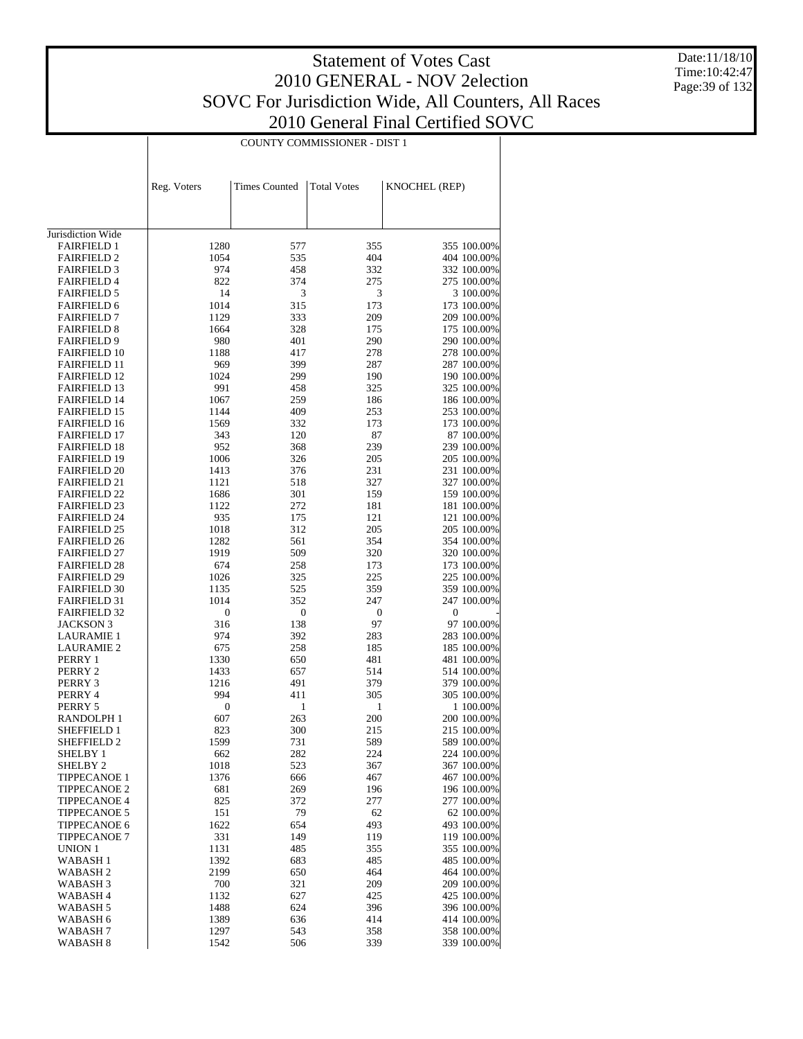Date:11/18/10 Time:10:42:47 Page:39 of 132

|                                            |                  |                      | COUNTY COMMISSIONER - DIST 1 |                            |
|--------------------------------------------|------------------|----------------------|------------------------------|----------------------------|
|                                            |                  |                      |                              |                            |
|                                            |                  |                      |                              |                            |
|                                            | Reg. Voters      | <b>Times Counted</b> | <b>Total Votes</b>           | KNOCHEL (REP)              |
|                                            |                  |                      |                              |                            |
|                                            |                  |                      |                              |                            |
|                                            |                  |                      |                              |                            |
| Jurisdiction Wide                          |                  |                      |                              |                            |
| <b>FAIRFIELD 1</b>                         | 1280             | 577                  | 355                          | 355 100.00%                |
| <b>FAIRFIELD 2</b>                         | 1054             | 535                  | 404                          | 404 100.00%                |
| <b>FAIRFIELD 3</b><br><b>FAIRFIELD 4</b>   | 974<br>822       | 458<br>374           | 332<br>275                   | 332 100.00%<br>275 100.00% |
| <b>FAIRFIELD 5</b>                         | 14               | 3                    | 3                            | 3 100.00%                  |
| <b>FAIRFIELD 6</b>                         | 1014             | 315                  | 173                          | 173 100.00%                |
| <b>FAIRFIELD 7</b>                         | 1129             | 333                  | 209                          | 209 100.00%                |
| <b>FAIRFIELD 8</b>                         | 1664             | 328                  | 175                          | 175 100.00%                |
| <b>FAIRFIELD 9</b>                         | 980              | 401                  | 290                          | 290 100.00%                |
| <b>FAIRFIELD 10</b>                        | 1188             | 417                  | 278                          | 278 100.00%                |
| <b>FAIRFIELD 11</b>                        | 969              | 399                  | 287                          | 287 100.00%                |
| <b>FAIRFIELD 12</b>                        | 1024             | 299                  | 190                          | 190 100.00%                |
| <b>FAIRFIELD 13</b>                        | 991              | 458                  | 325                          | 325 100.00%                |
| <b>FAIRFIELD 14</b><br><b>FAIRFIELD 15</b> | 1067<br>1144     | 259<br>409           | 186<br>253                   | 186 100.00%<br>253 100.00% |
| <b>FAIRFIELD 16</b>                        | 1569             | 332                  | 173                          | 173 100.00%                |
| <b>FAIRFIELD 17</b>                        | 343              | 120                  | 87                           | 87 100.00%                 |
| <b>FAIRFIELD 18</b>                        | 952              | 368                  | 239                          | 239 100.00%                |
| <b>FAIRFIELD 19</b>                        | 1006             | 326                  | 205                          | 205 100.00%                |
| <b>FAIRFIELD 20</b>                        | 1413             | 376                  | 231                          | 231 100.00%                |
| <b>FAIRFIELD 21</b>                        | 1121             | 518                  | 327                          | 327 100.00%                |
| <b>FAIRFIELD 22</b>                        | 1686             | 301                  | 159                          | 159 100.00%                |
| <b>FAIRFIELD 23</b>                        | 1122             | 272                  | 181                          | 181 100.00%                |
| <b>FAIRFIELD 24</b>                        | 935              | 175                  | 121                          | 121 100.00%                |
| <b>FAIRFIELD 25</b><br><b>FAIRFIELD 26</b> | 1018<br>1282     | 312<br>561           | 205<br>354                   | 205 100.00%<br>354 100.00% |
| <b>FAIRFIELD 27</b>                        | 1919             | 509                  | 320                          | 320 100.00%                |
| <b>FAIRFIELD 28</b>                        | 674              | 258                  | 173                          | 173 100.00%                |
| <b>FAIRFIELD 29</b>                        | 1026             | 325                  | 225                          | 225 100.00%                |
| <b>FAIRFIELD 30</b>                        | 1135             | 525                  | 359                          | 359 100.00%                |
| <b>FAIRFIELD 31</b>                        | 1014             | 352                  | 247                          | 247 100.00%                |
| <b>FAIRFIELD 32</b>                        | $\boldsymbol{0}$ | $\boldsymbol{0}$     | $\boldsymbol{0}$             | $\mathbf{0}$               |
| <b>JACKSON 3</b>                           | 316              | 138                  | 97                           | 97 100.00%                 |
| <b>LAURAMIE 1</b>                          | 974              | 392                  | 283                          | 283 100.00%                |
| <b>LAURAMIE 2</b><br>PERRY 1               | 675<br>1330      | 258<br>650           | 185<br>481                   | 185 100.00%<br>481 100.00% |
| PERRY 2                                    | 1433             | 657                  | 514                          | 514 100.00%                |
| PERRY 3                                    | 1216             | 491                  | 379                          | 379 100.00%                |
| PERRY 4                                    | 994              | 411                  | 305                          | 305 100.00%                |
| PERRY 5                                    | 0                | 1                    | $\mathbf{1}$                 | 1 100.00%                  |
| RANDOLPH 1                                 | 607              | 263                  | 200                          | 200 100.00%                |
| SHEFFIELD 1                                | 823              | 300                  | 215                          | 215 100.00%                |
| SHEFFIELD 2                                | 1599             | 731                  | 589                          | 589 100.00%                |
| SHELBY 1                                   | 662              | 282                  | 224                          | 224 100.00%                |
| SHELBY <sub>2</sub><br><b>TIPPECANOE 1</b> | 1018<br>1376     | 523<br>666           | 367<br>467                   | 367 100.00%<br>467 100.00% |
| <b>TIPPECANOE 2</b>                        | 681              | 269                  | 196                          | 196 100.00%                |
| <b>TIPPECANOE 4</b>                        | 825              | 372                  | 277                          | 277 100.00%                |
| <b>TIPPECANOE 5</b>                        | 151              | 79                   | 62                           | 62 100.00%                 |
| <b>TIPPECANOE 6</b>                        | 1622             | 654                  | 493                          | 493 100.00%                |
| <b>TIPPECANOE 7</b>                        | 331              | 149                  | 119                          | 119 100.00%                |
| UNION 1                                    | 1131             | 485                  | 355                          | 355 100.00%                |
| <b>WABASH1</b>                             | 1392             | 683                  | 485                          | 485 100.00%                |
| WABASH <sub>2</sub>                        | 2199             | 650                  | 464                          | 464 100.00%                |
| WABASH <sub>3</sub>                        | 700              | 321                  | 209                          | 209 100.00%                |
| WABASH 4<br>WABASH 5                       | 1132<br>1488     | 627<br>624           | 425<br>396                   | 425 100.00%<br>396 100.00% |
| WABASH 6                                   | 1389             | 636                  | 414                          | 414 100.00%                |
| WABASH <sub>7</sub>                        | 1297             | 543                  | 358                          | 358 100.00%                |
| WABASH <sub>8</sub>                        | 1542             | 506                  | 339                          | 339 100.00%                |
|                                            |                  |                      |                              |                            |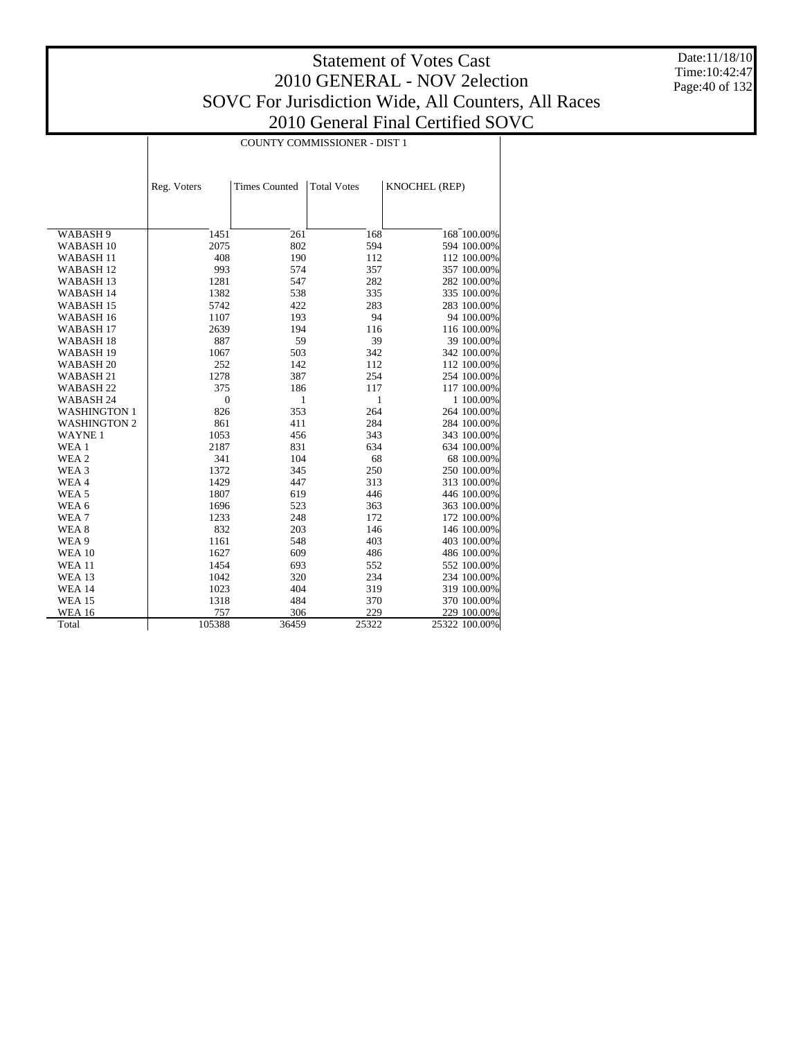Date:11/18/10 Time:10:42:47 Page:40 of 132

|                      | COUNTY COMMISSIONER - DIST 1 |                      |                    |               |  |  |  |
|----------------------|------------------------------|----------------------|--------------------|---------------|--|--|--|
|                      |                              |                      |                    |               |  |  |  |
|                      |                              |                      |                    |               |  |  |  |
|                      | Reg. Voters                  | <b>Times Counted</b> | <b>Total Votes</b> | KNOCHEL (REP) |  |  |  |
|                      |                              |                      |                    |               |  |  |  |
|                      |                              |                      |                    |               |  |  |  |
| WABASH 9             | 1451                         | 261                  | 168                | 168 100.00%   |  |  |  |
| WABASH <sub>10</sub> | 2075                         | 802                  | 594                | 594 100.00%   |  |  |  |
| WABASH <sub>11</sub> | 408                          | 190                  | 112                | 112 100.00%   |  |  |  |
| <b>WABASH12</b>      | 993                          | 574                  | 357                | 357 100.00%   |  |  |  |
| WABASH <sub>13</sub> | 1281                         | 547                  | 282                | 282 100.00%   |  |  |  |
| WABASH 14            | 1382                         | 538                  | 335                | 335 100.00%   |  |  |  |
| WABASH <sub>15</sub> | 5742                         | 422                  | 283                | 283 100.00%   |  |  |  |
| WABASH <sub>16</sub> | 1107                         | 193                  | 94                 | 94 100.00%    |  |  |  |
| WABASH <sub>17</sub> | 2639                         | 194                  | 116                | 116 100.00%   |  |  |  |
| WABASH <sub>18</sub> | 887                          | 59                   | 39                 | 39 100.00%    |  |  |  |
| WABASH <sub>19</sub> | 1067                         | 503                  | 342                | 342 100.00%   |  |  |  |
| WABASH <sub>20</sub> | 252                          | 142                  | 112                | 112 100.00%   |  |  |  |
| WABASH 21            | 1278                         | 387                  | 254                | 254 100.00%   |  |  |  |
| WABASH <sub>22</sub> | 375                          | 186                  | 117                | 117 100.00%   |  |  |  |
| WABASH <sub>24</sub> | $\mathbf{0}$                 | 1                    | 1                  | 1 100.00%     |  |  |  |
| <b>WASHINGTON 1</b>  | 826                          | 353                  | 264                | 264 100.00%   |  |  |  |
| <b>WASHINGTON 2</b>  | 861                          | 411                  | 284                | 284 100.00%   |  |  |  |
| <b>WAYNE1</b>        | 1053                         | 456                  | 343                | 343 100.00%   |  |  |  |
| WEA 1                | 2187                         | 831                  | 634                | 634 100.00%   |  |  |  |
| WEA 2                | 341                          | 104                  | 68                 | 68 100.00%    |  |  |  |
| WEA <sub>3</sub>     | 1372                         | 345                  | 250                | 250 100.00%   |  |  |  |
| WEA4                 | 1429                         | 447                  | 313                | 313 100.00%   |  |  |  |
| WEA <sub>5</sub>     | 1807                         | 619                  | 446                | 446 100.00%   |  |  |  |
| WEA 6                | 1696                         | 523                  | 363                | 363 100.00%   |  |  |  |
| WEA7                 | 1233                         | 248                  | 172                | 172 100.00%   |  |  |  |
| WEA <sub>8</sub>     | 832                          | 203                  | 146                | 146 100.00%   |  |  |  |
| WEA 9                | 1161                         | 548                  | 403                | 403 100.00%   |  |  |  |
| <b>WEA 10</b>        | 1627                         | 609                  | 486                | 486 100.00%   |  |  |  |
| <b>WEA 11</b>        | 1454                         | 693                  | 552                | 552 100.00%   |  |  |  |
| <b>WEA 13</b>        | 1042                         | 320                  | 234                | 234 100.00%   |  |  |  |
| <b>WEA 14</b>        | 1023                         | 404                  | 319                | 319 100.00%   |  |  |  |
| <b>WEA 15</b>        | 1318                         | 484                  | 370                | 370 100.00%   |  |  |  |
| <b>WEA 16</b>        | 757                          | 306                  | 229                | 229 100.00%   |  |  |  |
| Total                | 105388                       | 36459                | 25322              | 25322 100.00% |  |  |  |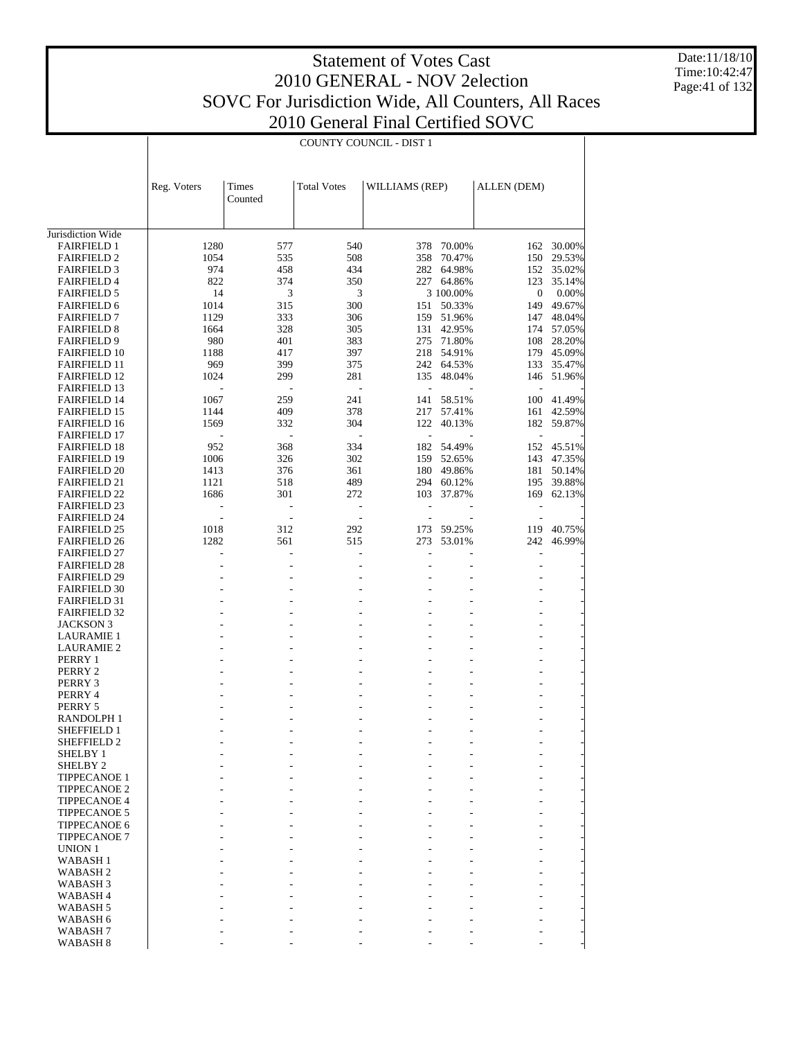Date:11/18/10 Time:10:42:47 Page:41 of 132

|                                            |              | COUNTY COUNCIL - DIST 1 |                    |                |                  |                  |                  |  |  |  |
|--------------------------------------------|--------------|-------------------------|--------------------|----------------|------------------|------------------|------------------|--|--|--|
|                                            | Reg. Voters  | Times<br>Counted        | <b>Total Votes</b> | WILLIAMS (REP) |                  | ALLEN (DEM)      |                  |  |  |  |
|                                            |              |                         |                    |                |                  |                  |                  |  |  |  |
| Jurisdiction Wide                          |              |                         |                    |                |                  |                  |                  |  |  |  |
| <b>FAIRFIELD 1</b>                         | 1280         | 577                     | 540                | 378            | 70.00%           | 162              | 30.00%           |  |  |  |
| <b>FAIRFIELD 2</b>                         | 1054         | 535                     | 508                | 358            | 70.47%           | 150              | 29.53%           |  |  |  |
| <b>FAIRFIELD 3</b>                         | 974          | 458                     | 434                | 282            | 64.98%           | 152              | 35.02%           |  |  |  |
| <b>FAIRFIELD 4</b>                         | 822          | 374                     | 350                |                | 227 64.86%       | 123              | 35.14%           |  |  |  |
| <b>FAIRFIELD 5</b>                         | 14           | 3                       | 3                  |                | 3 100.00%        | $\boldsymbol{0}$ | $0.00\%$         |  |  |  |
| <b>FAIRFIELD 6</b>                         | 1014         | 315                     | 300                | 151<br>159     | 50.33%           | 149              | 49.67%           |  |  |  |
| <b>FAIRFIELD 7</b><br><b>FAIRFIELD 8</b>   | 1129<br>1664 | 333<br>328              | 306<br>305         | 131            | 51.96%<br>42.95% | 147<br>174       | 48.04%<br>57.05% |  |  |  |
| <b>FAIRFIELD 9</b>                         | 980          | 401                     | 383                | 275            | 71.80%           | 108              | 28.20%           |  |  |  |
| <b>FAIRFIELD 10</b>                        | 1188         | 417                     | 397                | 218            | 54.91%           |                  | 179 45.09%       |  |  |  |
| <b>FAIRFIELD 11</b>                        | 969          | 399                     | 375                | 242            | 64.53%           | 133              | 35.47%           |  |  |  |
| <b>FAIRFIELD 12</b>                        | 1024         | 299                     | 281                | 135            | 48.04%           | 146              | 51.96%           |  |  |  |
| <b>FAIRFIELD 13</b>                        |              |                         | L,                 | ÷,             |                  |                  |                  |  |  |  |
| <b>FAIRFIELD 14</b>                        | 1067         | 259                     | 241                | 141            | 58.51%           | 100              | 41.49%           |  |  |  |
| <b>FAIRFIELD 15</b>                        | 1144         | 409                     | 378                | 217            | 57.41%           | 161              | 42.59%           |  |  |  |
| <b>FAIRFIELD 16</b>                        | 1569         | 332                     | 304                | 122            | 40.13%           | 182              | 59.87%           |  |  |  |
| <b>FAIRFIELD 17</b>                        |              |                         |                    | L,             |                  | $\overline{a}$   |                  |  |  |  |
| <b>FAIRFIELD 18</b>                        | 952          | 368                     | 334                | 182            | 54.49%           | 152              | 45.51%           |  |  |  |
| <b>FAIRFIELD 19</b>                        | 1006         | 326                     | 302                | 159            | 52.65%           | 143              | 47.35%           |  |  |  |
| <b>FAIRFIELD 20</b>                        | 1413         | 376                     | 361                | 180            | 49.86%           | 181              | 50.14%           |  |  |  |
| <b>FAIRFIELD 21</b>                        | 1121         | 518                     | 489                | 294            | 60.12%           | 195              | 39.88%           |  |  |  |
| <b>FAIRFIELD 22</b>                        | 1686         | 301                     | 272                | 103            | 37.87%           | 169              | 62.13%           |  |  |  |
| <b>FAIRFIELD 23</b>                        |              | $\overline{a}$          |                    |                |                  |                  |                  |  |  |  |
| <b>FAIRFIELD 24</b>                        |              | $\overline{a}$          | ÷                  | L,             |                  | ÷,               |                  |  |  |  |
| <b>FAIRFIELD 25</b>                        | 1018         | 312                     | 292                | 173            | 59.25%           | 119              | 40.75%           |  |  |  |
| <b>FAIRFIELD 26</b>                        | 1282         | 561                     | 515                | 273            | 53.01%           | 242              | 46.99%           |  |  |  |
| <b>FAIRFIELD 27</b>                        |              |                         |                    |                |                  | L,               |                  |  |  |  |
| <b>FAIRFIELD 28</b>                        |              |                         |                    |                |                  | ٠                |                  |  |  |  |
| <b>FAIRFIELD 29</b>                        |              |                         |                    |                |                  |                  |                  |  |  |  |
| <b>FAIRFIELD 30</b>                        |              |                         |                    |                |                  |                  |                  |  |  |  |
| <b>FAIRFIELD 31</b>                        |              |                         |                    |                |                  |                  |                  |  |  |  |
| <b>FAIRFIELD 32</b><br>JACKSON 3           |              |                         |                    |                |                  |                  |                  |  |  |  |
| LAURAMIE 1                                 |              |                         |                    |                |                  |                  |                  |  |  |  |
| <b>LAURAMIE 2</b>                          |              |                         |                    |                |                  |                  |                  |  |  |  |
| PERRY 1                                    |              |                         |                    |                |                  |                  |                  |  |  |  |
| PERRY 2                                    |              |                         |                    |                |                  |                  |                  |  |  |  |
| PERRY 3                                    |              |                         |                    |                |                  |                  |                  |  |  |  |
| PERRY 4                                    |              |                         |                    |                |                  |                  |                  |  |  |  |
| PERRY 5                                    |              |                         |                    |                |                  |                  |                  |  |  |  |
| RANDOLPH 1                                 |              |                         |                    |                |                  | ٠                |                  |  |  |  |
| <b>SHEFFIELD 1</b>                         |              |                         |                    |                |                  |                  |                  |  |  |  |
| SHEFFIELD 2                                |              |                         |                    |                |                  |                  |                  |  |  |  |
| SHELBY 1                                   |              |                         |                    |                |                  |                  |                  |  |  |  |
| SHELBY <sub>2</sub>                        |              |                         |                    |                |                  |                  |                  |  |  |  |
| <b>TIPPECANOE 1</b>                        |              |                         |                    |                |                  |                  |                  |  |  |  |
| <b>TIPPECANOE 2</b>                        |              |                         |                    |                |                  |                  |                  |  |  |  |
| <b>TIPPECANOE 4</b>                        |              |                         |                    |                |                  |                  |                  |  |  |  |
| <b>TIPPECANOE 5</b>                        |              |                         |                    |                |                  |                  |                  |  |  |  |
| TIPPECANOE 6                               |              |                         |                    |                |                  |                  |                  |  |  |  |
| <b>TIPPECANOE 7</b>                        |              |                         |                    |                |                  |                  |                  |  |  |  |
| <b>UNION 1</b>                             |              |                         |                    |                |                  |                  |                  |  |  |  |
| WABASH <sub>1</sub>                        |              |                         |                    |                |                  |                  |                  |  |  |  |
| WABASH <sub>2</sub>                        |              |                         |                    |                |                  |                  |                  |  |  |  |
| WABASH <sub>3</sub><br>WABASH <sub>4</sub> |              |                         |                    |                |                  |                  |                  |  |  |  |
| WABASH <sub>5</sub>                        |              |                         |                    |                |                  |                  |                  |  |  |  |
| WABASH 6                                   |              |                         |                    |                |                  |                  |                  |  |  |  |
| WABASH <sub>7</sub>                        |              |                         |                    |                |                  |                  |                  |  |  |  |
| WABASH 8                                   |              |                         |                    |                |                  |                  |                  |  |  |  |
|                                            |              |                         |                    |                |                  |                  |                  |  |  |  |

T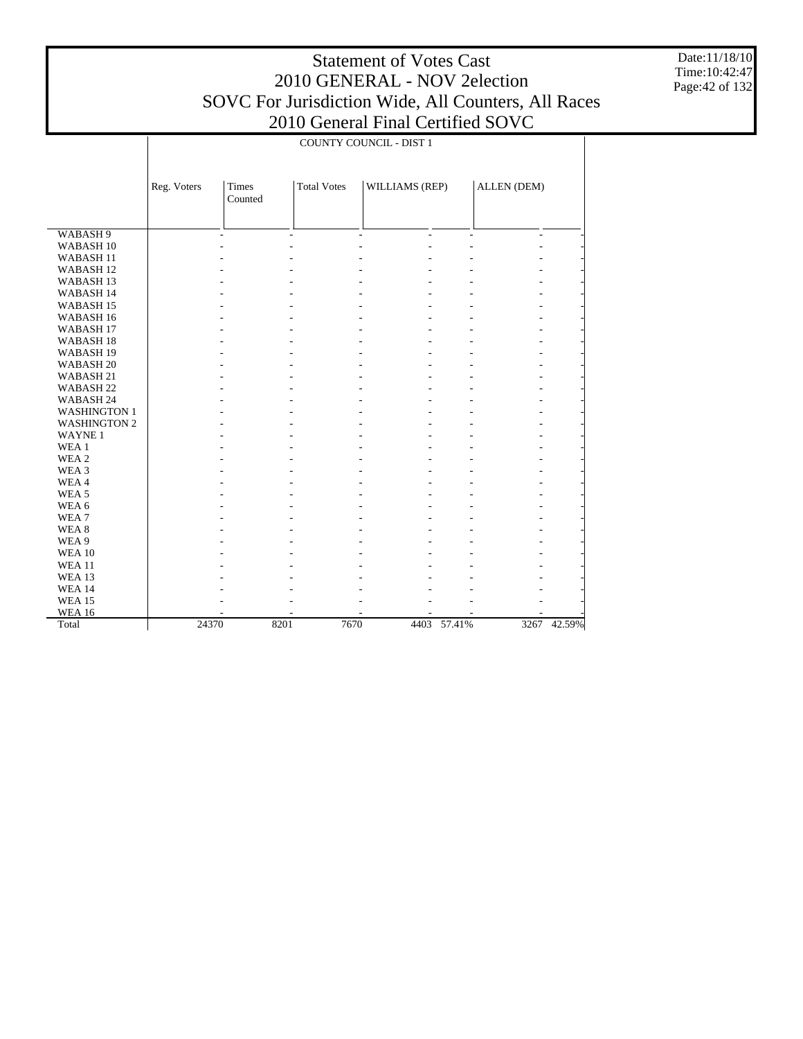Date:11/18/10 Time:10:42:47 Page:42 of 132

|                      | <b>COUNTY COUNCIL - DIST 1</b> |              |                    |                                            |                |                          |        |
|----------------------|--------------------------------|--------------|--------------------|--------------------------------------------|----------------|--------------------------|--------|
|                      | Reg. Voters                    | <b>Times</b> | <b>Total Votes</b> | WILLIAMS (REP)                             |                | ALLEN (DEM)              |        |
|                      |                                | Counted      |                    |                                            |                |                          |        |
|                      |                                |              |                    |                                            |                |                          |        |
|                      |                                |              |                    |                                            |                |                          |        |
| WABASH 9             |                                | ÷            | $\sim$             | $\overline{a}$<br>$\overline{\phantom{a}}$ | $\overline{a}$ | $\overline{\phantom{a}}$ |        |
| WABASH <sub>10</sub> |                                |              |                    |                                            |                |                          |        |
| WABASH <sub>11</sub> |                                |              |                    |                                            |                | ۰                        |        |
| WABASH <sub>12</sub> |                                |              |                    |                                            |                |                          |        |
| WABASH <sub>13</sub> |                                |              |                    |                                            |                | ٠                        |        |
| WABASH 14            |                                |              |                    |                                            |                |                          |        |
| WABASH <sub>15</sub> |                                |              |                    |                                            |                |                          |        |
| WABASH <sub>16</sub> |                                |              |                    |                                            |                |                          |        |
| WABASH <sub>17</sub> |                                |              |                    |                                            |                |                          |        |
| WABASH <sub>18</sub> |                                |              |                    |                                            |                |                          |        |
| WABASH <sub>19</sub> |                                |              |                    |                                            |                |                          |        |
| WABASH <sub>20</sub> |                                |              |                    |                                            |                | ٠                        |        |
| WABASH <sub>21</sub> |                                |              |                    |                                            |                | ۰                        |        |
| WABASH <sub>22</sub> |                                |              |                    |                                            |                | ٠                        |        |
| WABASH 24            |                                |              |                    |                                            |                | ٠                        |        |
| <b>WASHINGTON 1</b>  |                                |              |                    |                                            |                |                          |        |
| <b>WASHINGTON 2</b>  |                                |              |                    |                                            |                | ٠                        |        |
| <b>WAYNE1</b>        |                                |              |                    |                                            |                |                          |        |
| WEA 1                |                                |              |                    |                                            |                |                          |        |
| WEA 2                |                                |              |                    |                                            |                |                          |        |
| WEA 3                |                                |              |                    |                                            |                |                          |        |
| WEA4                 |                                |              |                    |                                            |                | ۰                        |        |
| WEA <sub>5</sub>     |                                |              |                    |                                            |                | ٠                        |        |
| WEA 6                |                                |              |                    |                                            |                | ٠                        |        |
| WEA7                 |                                |              |                    |                                            |                | ٠                        |        |
| WEA <sub>8</sub>     |                                |              |                    |                                            |                |                          |        |
| WEA 9                |                                |              |                    |                                            |                |                          |        |
| <b>WEA 10</b>        |                                |              |                    |                                            |                |                          |        |
| <b>WEA 11</b>        |                                |              |                    |                                            |                |                          |        |
| WEA 13               |                                |              |                    |                                            |                |                          |        |
| <b>WEA 14</b>        |                                |              |                    |                                            |                |                          |        |
| <b>WEA 15</b>        |                                |              |                    |                                            |                |                          |        |
| <b>WEA 16</b>        |                                |              |                    |                                            |                |                          |        |
| Total                | 24370                          | 8201         | 7670               | 4403                                       | 57.41%         | 3267                     | 42.59% |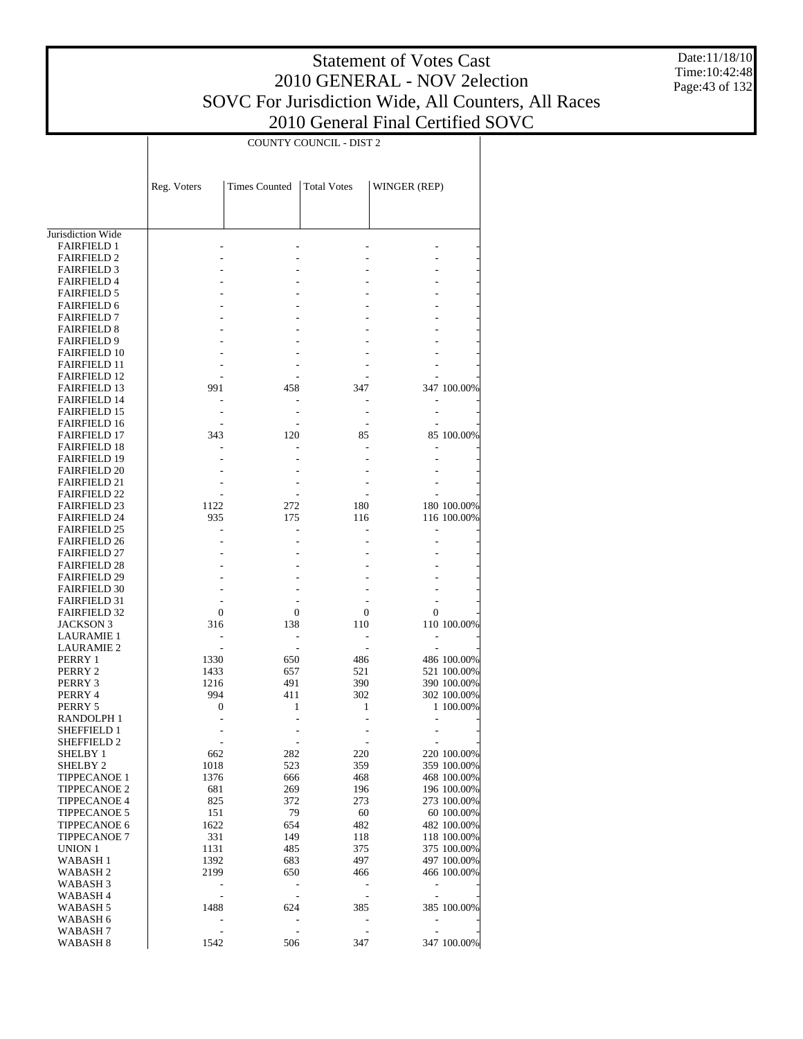Date:11/18/10 Time:10:42:48 Page:43 of 132

|                                            |              |                      | COUNTY COUNCIL - DIST 2 |                          |                            |
|--------------------------------------------|--------------|----------------------|-------------------------|--------------------------|----------------------------|
|                                            | Reg. Voters  | <b>Times Counted</b> | <b>Total Votes</b>      | WINGER (REP)             |                            |
|                                            |              |                      |                         |                          |                            |
| Jurisdiction Wide                          |              |                      |                         |                          |                            |
| <b>FAIRFIELD 1</b><br><b>FAIRFIELD 2</b>   |              |                      |                         |                          |                            |
| <b>FAIRFIELD 3</b>                         |              |                      |                         |                          |                            |
| <b>FAIRFIELD 4</b>                         |              |                      |                         |                          |                            |
| <b>FAIRFIELD 5</b>                         |              |                      |                         |                          |                            |
| <b>FAIRFIELD 6</b>                         |              |                      |                         |                          |                            |
| <b>FAIRFIELD 7</b>                         |              |                      |                         |                          |                            |
| <b>FAIRFIELD 8</b>                         |              |                      |                         |                          |                            |
| <b>FAIRFIELD 9</b>                         |              |                      |                         |                          |                            |
| <b>FAIRFIELD 10</b><br><b>FAIRFIELD 11</b> |              |                      |                         |                          |                            |
| <b>FAIRFIELD 12</b>                        |              |                      |                         |                          |                            |
| <b>FAIRFIELD 13</b>                        | 991          | 458                  | 347                     |                          | 347 100.00%                |
| <b>FAIRFIELD 14</b>                        |              |                      |                         |                          |                            |
| <b>FAIRFIELD 15</b>                        |              |                      |                         |                          |                            |
| <b>FAIRFIELD 16</b>                        |              |                      |                         |                          |                            |
| <b>FAIRFIELD 17</b>                        | 343          | 120                  | 85                      |                          | 85 100.00%                 |
| <b>FAIRFIELD 18</b>                        |              |                      |                         |                          |                            |
| <b>FAIRFIELD 19</b>                        |              |                      |                         |                          |                            |
| <b>FAIRFIELD 20</b><br><b>FAIRFIELD 21</b> |              |                      |                         |                          |                            |
| <b>FAIRFIELD 22</b>                        |              |                      |                         |                          |                            |
| <b>FAIRFIELD 23</b>                        | 1122         | 272                  | 180                     |                          | 180 100.00%                |
| <b>FAIRFIELD 24</b>                        | 935          | 175                  | 116                     |                          | 116 100.00%                |
| <b>FAIRFIELD 25</b>                        |              |                      |                         |                          |                            |
| <b>FAIRFIELD 26</b>                        |              |                      |                         |                          |                            |
| <b>FAIRFIELD 27</b>                        |              |                      |                         |                          |                            |
| <b>FAIRFIELD 28</b>                        |              |                      |                         |                          |                            |
| <b>FAIRFIELD 29</b><br><b>FAIRFIELD 30</b> |              |                      |                         |                          |                            |
| <b>FAIRFIELD 31</b>                        |              |                      |                         |                          |                            |
| <b>FAIRFIELD 32</b>                        | $\mathbf{0}$ | 0                    | 0                       | 0                        |                            |
| JACKSON 3                                  | 316          | 138                  | 110                     |                          | 110 100.00%                |
| LAURAMIE 1                                 |              |                      |                         |                          |                            |
| <b>LAURAMIE 2</b>                          |              |                      |                         |                          |                            |
| PERRY 1                                    | 1330         | 650                  | 486                     |                          | 486 100.00%                |
| PERRY 2                                    | 1433         | 657                  | 521                     |                          | 521 100.00%                |
| PERRY 3<br>PERRY 4                         | 1216<br>994  | 491<br>411           | 390<br>302              |                          | 390 100.00%<br>302 100.00% |
| PERRY 5                                    | 0            | 1                    | 1                       |                          | 1 100.00%                  |
| RANDOLPH 1                                 |              |                      | L,                      |                          |                            |
| SHEFFIELD 1                                |              |                      |                         |                          |                            |
| SHEFFIELD 2                                |              |                      |                         |                          |                            |
| SHELBY 1                                   | 662          | 282                  | 220                     |                          | 220 100.00%                |
| SHELBY <sub>2</sub>                        | 1018         | 523                  | 359                     |                          | 359 100.00%                |
| <b>TIPPECANOE 1</b>                        | 1376         | 666                  | 468                     |                          | 468 100.00%<br>196 100.00% |
| <b>TIPPECANOE 2</b><br><b>TIPPECANOE 4</b> | 681<br>825   | 269<br>372           | 196<br>273              |                          | 273 100.00%                |
| <b>TIPPECANOE 5</b>                        | 151          | 79                   | 60                      |                          | 60 100.00%                 |
| <b>TIPPECANOE 6</b>                        | 1622         | 654                  | 482                     |                          | 482 100.00%                |
| <b>TIPPECANOE 7</b>                        | 331          | 149                  | 118                     |                          | 118 100.00%                |
| UNION 1                                    | 1131         | 485                  | 375                     |                          | 375 100.00%                |
| WABASH 1                                   | 1392         | 683                  | 497                     |                          | 497 100.00%                |
| WABASH 2                                   | 2199         | 650                  | 466                     |                          | 466 100.00%                |
| WABASH 3                                   |              |                      | $\overline{a}$          | $\overline{\phantom{a}}$ |                            |
| WABASH 4<br>WABASH 5                       | 1488         | ÷,<br>624            | $\overline{a}$<br>385   | $\overline{\phantom{a}}$ | 385 100.00%                |
| WABASH 6                                   |              |                      |                         |                          |                            |
| WABASH 7                                   |              |                      |                         |                          |                            |
| WABASH 8                                   | 1542         | 506                  | 347                     |                          | 347 100.00%                |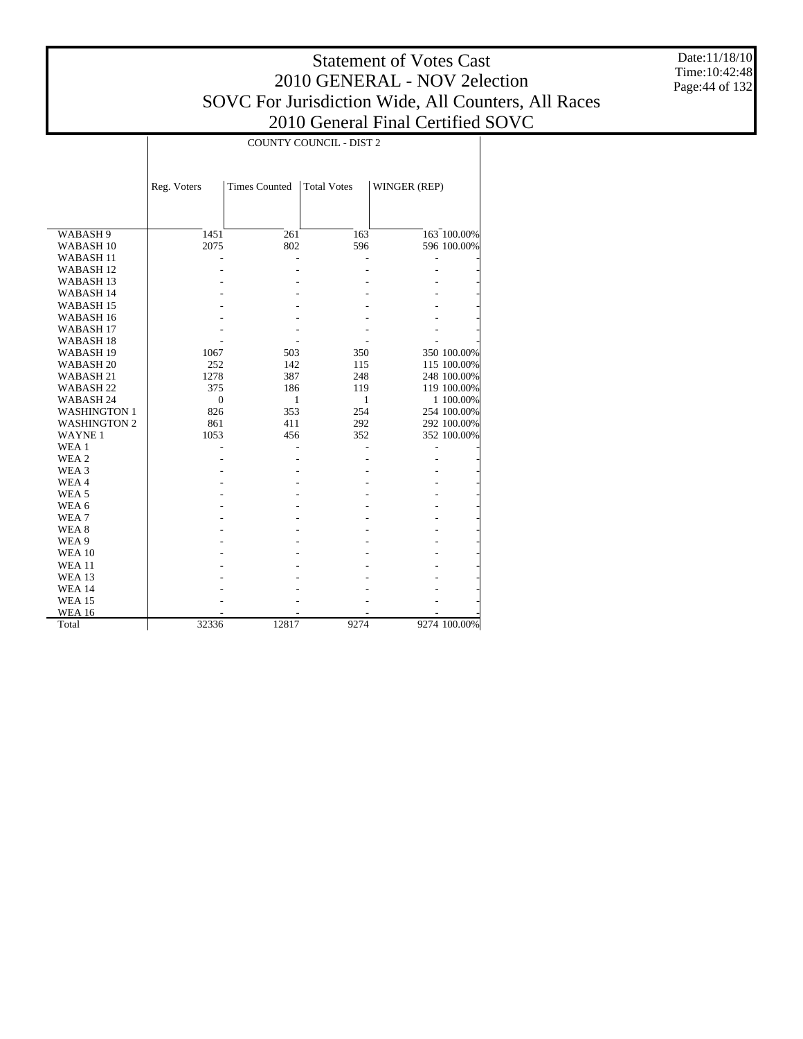Date:11/18/10 Time:10:42:48 Page:44 of 132

|                      | <b>COUNTY COUNCIL - DIST 2</b> |                      |                    |              |              |  |  |
|----------------------|--------------------------------|----------------------|--------------------|--------------|--------------|--|--|
|                      |                                |                      |                    |              |              |  |  |
|                      | Reg. Voters                    | <b>Times Counted</b> | <b>Total Votes</b> | WINGER (REP) |              |  |  |
|                      |                                |                      |                    |              |              |  |  |
|                      |                                |                      |                    |              |              |  |  |
| WABASH 9             | 1451                           | 261                  | 163                |              | 163 100.00%  |  |  |
| WABASH <sub>10</sub> | 2075                           | 802                  | 596                |              | 596 100.00%  |  |  |
| WABASH <sub>11</sub> |                                |                      |                    |              |              |  |  |
| WABASH <sub>12</sub> |                                |                      |                    |              |              |  |  |
| WABASH <sub>13</sub> |                                |                      |                    |              |              |  |  |
| WABASH 14            |                                |                      |                    |              |              |  |  |
| WABASH <sub>15</sub> |                                |                      |                    |              |              |  |  |
| WABASH 16            |                                |                      |                    |              |              |  |  |
| WABASH <sub>17</sub> |                                |                      |                    |              |              |  |  |
| WABASH <sub>18</sub> |                                |                      |                    |              |              |  |  |
| WABASH <sub>19</sub> | 1067                           | 503                  | 350                |              | 350 100.00%  |  |  |
| WABASH <sub>20</sub> | 252                            | 142                  | 115                |              | 115 100.00%  |  |  |
| WABASH <sub>21</sub> | 1278                           | 387                  | 248                |              | 248 100.00%  |  |  |
| WABASH <sub>22</sub> | 375                            | 186                  | 119                |              | 119 100.00%  |  |  |
| WABASH 24            | $\mathbf{0}$                   | 1                    | 1                  |              | 1 100.00%    |  |  |
| <b>WASHINGTON 1</b>  | 826                            | 353                  | 254                |              | 254 100.00%  |  |  |
| <b>WASHINGTON 2</b>  | 861                            | 411                  | 292                |              | 292 100.00%  |  |  |
| <b>WAYNE1</b>        | 1053                           | 456                  | 352                |              | 352 100.00%  |  |  |
| WEA 1                |                                |                      |                    | L,           |              |  |  |
| WEA 2                |                                |                      |                    |              |              |  |  |
| WEA 3                |                                |                      |                    |              |              |  |  |
| WEA4                 |                                |                      |                    |              |              |  |  |
| WEA <sub>5</sub>     |                                |                      |                    |              |              |  |  |
| WEA 6                |                                |                      |                    |              |              |  |  |
| WEA7                 |                                |                      |                    |              |              |  |  |
| WEA <sub>8</sub>     |                                |                      |                    |              |              |  |  |
| WEA 9                |                                |                      |                    |              |              |  |  |
| <b>WEA 10</b>        |                                |                      |                    |              |              |  |  |
| <b>WEA 11</b>        |                                |                      |                    |              |              |  |  |
| <b>WEA 13</b>        |                                |                      |                    |              |              |  |  |
| <b>WEA 14</b>        |                                |                      |                    |              |              |  |  |
| <b>WEA 15</b>        |                                |                      |                    |              |              |  |  |
| <b>WEA 16</b>        |                                |                      |                    |              |              |  |  |
| Total                | 32336                          | 12817                | 9274               |              | 9274 100.00% |  |  |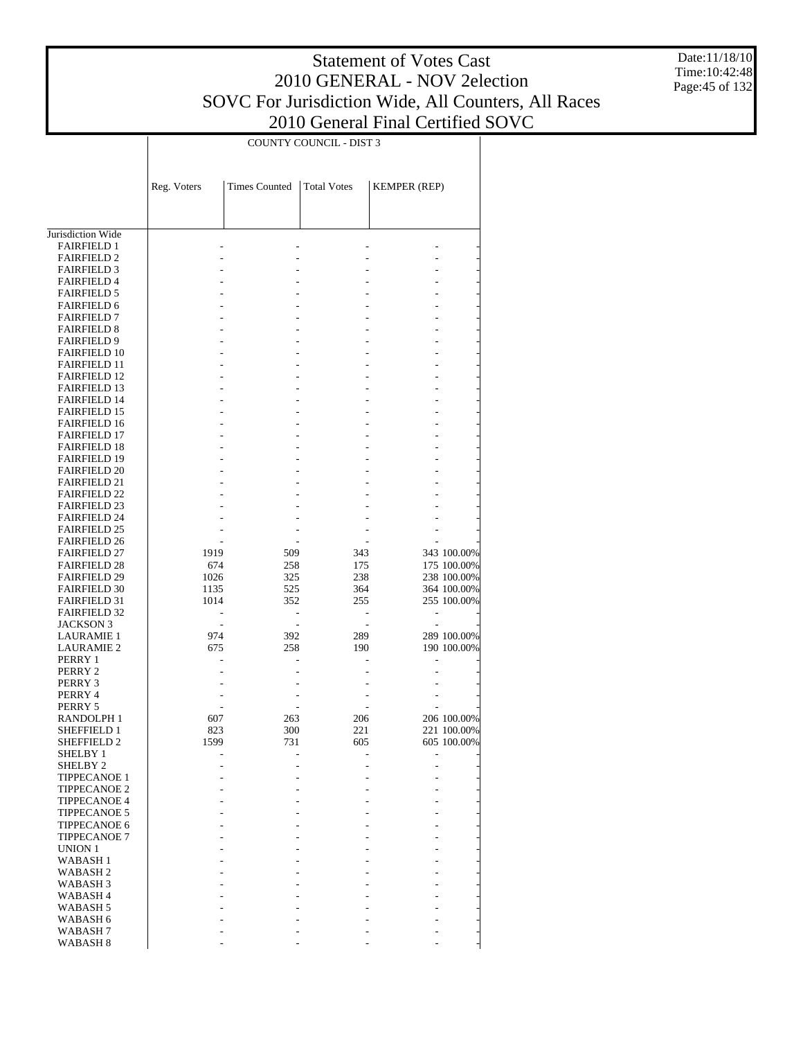Date:11/18/10 Time:10:42:48 Page:45 of 132

|                                            |             | COUNTY COUNCIL - DIST 3 |                          |                     |             |  |  |
|--------------------------------------------|-------------|-------------------------|--------------------------|---------------------|-------------|--|--|
|                                            |             |                         |                          |                     |             |  |  |
|                                            |             |                         |                          |                     |             |  |  |
|                                            |             |                         |                          |                     |             |  |  |
|                                            | Reg. Voters | <b>Times Counted</b>    | <b>Total Votes</b>       | <b>KEMPER (REP)</b> |             |  |  |
|                                            |             |                         |                          |                     |             |  |  |
|                                            |             |                         |                          |                     |             |  |  |
| Jurisdiction Wide                          |             |                         |                          |                     |             |  |  |
| <b>FAIRFIELD 1</b>                         |             |                         |                          |                     |             |  |  |
| <b>FAIRFIELD 2</b>                         |             |                         |                          |                     |             |  |  |
| <b>FAIRFIELD 3</b>                         |             |                         |                          |                     |             |  |  |
| <b>FAIRFIELD 4</b>                         |             |                         |                          |                     |             |  |  |
| <b>FAIRFIELD 5</b>                         |             |                         |                          |                     |             |  |  |
| <b>FAIRFIELD 6</b>                         |             |                         |                          |                     |             |  |  |
| <b>FAIRFIELD 7</b>                         |             |                         |                          |                     |             |  |  |
| <b>FAIRFIELD 8</b>                         |             |                         |                          |                     |             |  |  |
| <b>FAIRFIELD 9</b>                         |             |                         |                          |                     |             |  |  |
| <b>FAIRFIELD 10</b>                        |             |                         |                          |                     |             |  |  |
| <b>FAIRFIELD 11</b>                        |             |                         |                          |                     |             |  |  |
| <b>FAIRFIELD 12</b>                        |             |                         |                          |                     |             |  |  |
| <b>FAIRFIELD 13</b><br><b>FAIRFIELD 14</b> |             |                         |                          |                     |             |  |  |
| <b>FAIRFIELD 15</b>                        |             |                         |                          |                     |             |  |  |
| <b>FAIRFIELD 16</b>                        |             |                         |                          |                     |             |  |  |
| <b>FAIRFIELD 17</b>                        |             |                         |                          |                     |             |  |  |
| <b>FAIRFIELD 18</b>                        |             |                         |                          |                     |             |  |  |
| <b>FAIRFIELD 19</b>                        |             |                         |                          |                     |             |  |  |
| <b>FAIRFIELD 20</b>                        |             |                         |                          |                     |             |  |  |
| <b>FAIRFIELD 21</b>                        |             |                         |                          |                     |             |  |  |
| <b>FAIRFIELD 22</b>                        |             |                         |                          |                     |             |  |  |
| <b>FAIRFIELD 23</b>                        |             |                         |                          |                     |             |  |  |
| <b>FAIRFIELD 24</b>                        |             |                         |                          |                     |             |  |  |
| <b>FAIRFIELD 25</b><br><b>FAIRFIELD 26</b> |             |                         |                          |                     |             |  |  |
| <b>FAIRFIELD 27</b>                        | 1919        | 509                     | 343                      |                     | 343 100.00% |  |  |
| <b>FAIRFIELD 28</b>                        | 674         | 258                     | 175                      |                     | 175 100.00% |  |  |
| <b>FAIRFIELD 29</b>                        | 1026        | 325                     | 238                      |                     | 238 100.00% |  |  |
| <b>FAIRFIELD 30</b>                        | 1135        | 525                     | 364                      |                     | 364 100.00% |  |  |
| <b>FAIRFIELD 31</b>                        | 1014        | 352                     | 255                      |                     | 255 100.00% |  |  |
| <b>FAIRFIELD 32</b>                        |             |                         |                          |                     |             |  |  |
| <b>JACKSON 3</b>                           |             |                         | $\overline{\phantom{a}}$ |                     |             |  |  |
| <b>LAURAMIE 1</b>                          | 974         | 392                     | 289                      |                     | 289 100.00% |  |  |
| <b>LAURAMIE 2</b>                          | 675         | 258                     | 190                      |                     | 190 100.00% |  |  |
| PERRY 1                                    |             |                         |                          |                     |             |  |  |
| PERRY 2<br>PERRY 3                         |             |                         |                          |                     |             |  |  |
| PERRY 4                                    |             |                         |                          |                     |             |  |  |
| PERRY 5                                    |             |                         |                          |                     |             |  |  |
| RANDOLPH 1                                 | 607         | 263                     | 206                      |                     | 206 100.00% |  |  |
| SHEFFIELD 1                                | 823         | 300                     | 221                      |                     | 221 100.00% |  |  |
| <b>SHEFFIELD 2</b>                         | 1599        | 731                     | 605                      |                     | 605 100.00% |  |  |
| SHELBY 1                                   |             |                         |                          |                     |             |  |  |
| SHELBY <sub>2</sub>                        |             |                         |                          |                     |             |  |  |
| <b>TIPPECANOE 1</b>                        |             |                         |                          |                     |             |  |  |
| <b>TIPPECANOE 2</b>                        |             |                         |                          |                     |             |  |  |
| TIPPECANOE 4                               |             |                         |                          |                     |             |  |  |
| <b>TIPPECANOE 5</b>                        |             |                         |                          |                     |             |  |  |
| <b>TIPPECANOE 6</b><br><b>TIPPECANOE 7</b> |             |                         |                          |                     |             |  |  |
| <b>UNION 1</b>                             |             |                         |                          |                     |             |  |  |
| <b>WABASH1</b>                             |             |                         |                          |                     |             |  |  |
| WABASH 2                                   |             |                         |                          |                     |             |  |  |
| WABASH <sub>3</sub>                        |             |                         |                          |                     |             |  |  |
| WABASH 4                                   |             |                         |                          |                     |             |  |  |
| WABASH 5                                   |             |                         |                          |                     |             |  |  |
| WABASH 6                                   |             |                         |                          |                     |             |  |  |
| WABASH 7                                   |             |                         |                          |                     |             |  |  |
| WABASH 8                                   |             |                         |                          |                     |             |  |  |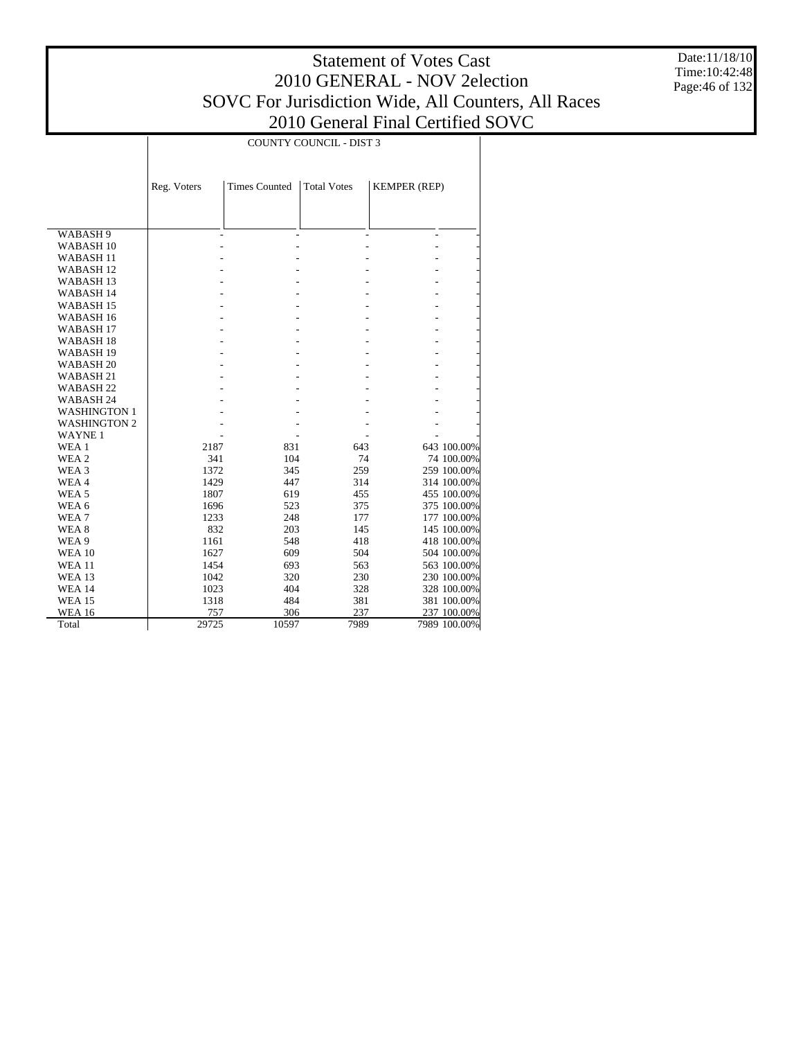Date:11/18/10 Time:10:42:48 Page:46 of 132

|                      | <b>COUNTY COUNCIL - DIST 3</b> |                      |                    |                          |              |  |  |
|----------------------|--------------------------------|----------------------|--------------------|--------------------------|--------------|--|--|
|                      |                                |                      |                    |                          |              |  |  |
|                      |                                |                      |                    |                          |              |  |  |
|                      | Reg. Voters                    | <b>Times Counted</b> | <b>Total Votes</b> | <b>KEMPER (REP)</b>      |              |  |  |
|                      |                                |                      |                    |                          |              |  |  |
|                      |                                |                      |                    |                          |              |  |  |
| WABASH 9             |                                |                      |                    | $\overline{\phantom{0}}$ |              |  |  |
| WABASH <sub>10</sub> |                                |                      |                    |                          |              |  |  |
| WABASH <sub>11</sub> |                                |                      |                    |                          |              |  |  |
| WABASH <sub>12</sub> |                                |                      |                    |                          |              |  |  |
| <b>WABASH13</b>      |                                |                      |                    |                          |              |  |  |
| WABASH 14            |                                |                      |                    |                          |              |  |  |
| WABASH <sub>15</sub> |                                |                      |                    |                          |              |  |  |
| WABASH <sub>16</sub> |                                |                      |                    |                          |              |  |  |
| WABASH <sub>17</sub> |                                |                      |                    |                          |              |  |  |
| WABASH <sub>18</sub> |                                |                      |                    |                          |              |  |  |
| WABASH <sub>19</sub> |                                |                      |                    |                          |              |  |  |
| WABASH <sub>20</sub> |                                |                      |                    |                          |              |  |  |
| WABASH <sub>21</sub> |                                |                      |                    |                          |              |  |  |
| WABASH <sub>22</sub> |                                |                      |                    |                          |              |  |  |
| WABASH <sub>24</sub> |                                |                      |                    |                          |              |  |  |
| <b>WASHINGTON 1</b>  |                                |                      |                    |                          |              |  |  |
| <b>WASHINGTON 2</b>  |                                |                      |                    |                          |              |  |  |
| <b>WAYNE1</b>        |                                |                      |                    |                          |              |  |  |
| WEA 1                | 2187                           | 831                  | 643                |                          | 643 100.00%  |  |  |
| WEA 2                | 341                            | 104                  | 74                 |                          | 74 100.00%   |  |  |
| WEA <sub>3</sub>     | 1372                           | 345                  | 259                |                          | 259 100.00%  |  |  |
| WEA4                 | 1429                           | 447                  | 314                |                          | 314 100.00%  |  |  |
| WEA <sub>5</sub>     | 1807                           | 619                  | 455                |                          | 455 100.00%  |  |  |
| WEA 6                | 1696                           | 523                  | 375                |                          | 375 100.00%  |  |  |
| WEA7                 | 1233                           | 248                  | 177                |                          | 177 100.00%  |  |  |
| WEA <sub>8</sub>     | 832                            | 203                  | 145                |                          | 145 100.00%  |  |  |
| WEA 9                | 1161                           | 548                  | 418                |                          | 418 100.00%  |  |  |
| <b>WEA 10</b>        | 1627                           | 609                  | 504                |                          | 504 100.00%  |  |  |
| <b>WEA 11</b>        | 1454                           | 693                  | 563                |                          | 563 100.00%  |  |  |
| <b>WEA 13</b>        | 1042                           | 320                  | 230                |                          | 230 100.00%  |  |  |
| <b>WEA 14</b>        | 1023                           | 404                  | 328                |                          | 328 100.00%  |  |  |
| <b>WEA 15</b>        | 1318                           | 484                  | 381                |                          | 381 100.00%  |  |  |
| <b>WEA 16</b>        | 757                            | 306                  | 237                |                          | 237 100.00%  |  |  |
| Total                | 29725                          | 10597                | 7989               |                          | 7989 100.00% |  |  |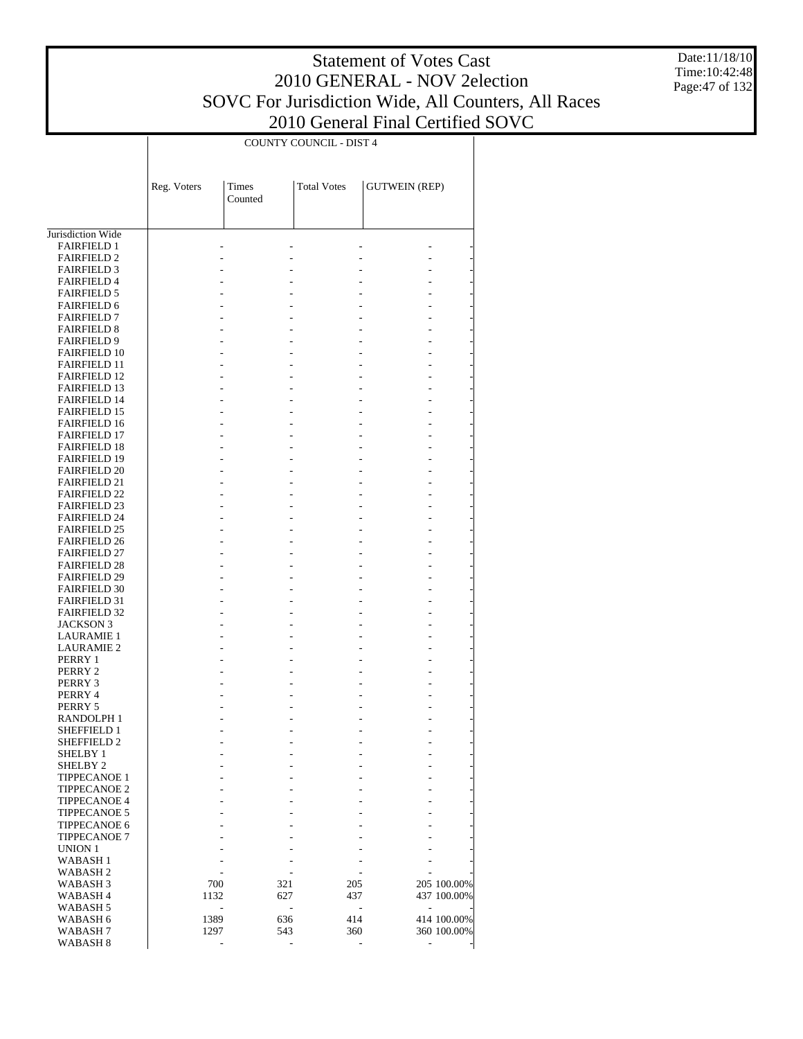Date:11/18/10 Time:10:42:48 Page:47 of 132

|                                            |             |                  | <b>COUNTY COUNCIL - DIST 4</b> |                      |             |
|--------------------------------------------|-------------|------------------|--------------------------------|----------------------|-------------|
|                                            | Reg. Voters | Times<br>Counted | <b>Total Votes</b>             | <b>GUTWEIN (REP)</b> |             |
| Jurisdiction Wide                          |             |                  |                                |                      |             |
|                                            |             |                  |                                |                      |             |
| <b>FAIRFIELD 1</b><br><b>FAIRFIELD 2</b>   |             |                  |                                |                      |             |
| <b>FAIRFIELD 3</b>                         |             |                  |                                |                      |             |
| <b>FAIRFIELD 4</b>                         |             |                  |                                |                      |             |
| <b>FAIRFIELD 5</b>                         |             |                  |                                |                      |             |
| <b>FAIRFIELD 6</b>                         |             |                  |                                |                      |             |
| <b>FAIRFIELD 7</b>                         |             |                  |                                |                      |             |
| <b>FAIRFIELD 8</b>                         |             |                  |                                |                      |             |
| <b>FAIRFIELD 9</b>                         |             |                  |                                |                      |             |
| <b>FAIRFIELD 10</b>                        |             |                  |                                |                      |             |
| <b>FAIRFIELD 11</b>                        |             |                  |                                |                      |             |
| <b>FAIRFIELD 12</b>                        |             |                  |                                |                      |             |
| <b>FAIRFIELD 13</b>                        |             |                  |                                |                      |             |
| <b>FAIRFIELD 14</b>                        |             |                  |                                |                      |             |
| <b>FAIRFIELD 15</b>                        |             |                  |                                |                      |             |
| <b>FAIRFIELD 16</b>                        |             |                  |                                |                      |             |
| <b>FAIRFIELD 17</b>                        |             |                  |                                |                      |             |
| <b>FAIRFIELD 18</b>                        |             |                  |                                |                      |             |
| <b>FAIRFIELD 19</b>                        |             |                  |                                |                      |             |
| <b>FAIRFIELD 20</b>                        |             |                  |                                |                      |             |
| <b>FAIRFIELD 21</b>                        |             |                  |                                |                      |             |
| <b>FAIRFIELD 22</b>                        |             |                  |                                |                      |             |
| <b>FAIRFIELD 23</b>                        |             |                  |                                |                      |             |
| <b>FAIRFIELD 24</b><br><b>FAIRFIELD 25</b> |             |                  |                                |                      |             |
| <b>FAIRFIELD 26</b>                        |             |                  |                                |                      |             |
| <b>FAIRFIELD 27</b>                        |             |                  |                                |                      |             |
| <b>FAIRFIELD 28</b>                        |             |                  |                                |                      |             |
| <b>FAIRFIELD 29</b>                        |             |                  |                                |                      |             |
| <b>FAIRFIELD 30</b>                        |             |                  |                                |                      |             |
| <b>FAIRFIELD 31</b>                        |             |                  |                                |                      |             |
| <b>FAIRFIELD 32</b>                        |             |                  |                                |                      |             |
| <b>JACKSON 3</b>                           |             |                  |                                |                      |             |
| <b>LAURAMIE 1</b>                          |             |                  |                                |                      |             |
| <b>LAURAMIE 2</b>                          |             |                  |                                |                      |             |
| PERRY 1                                    |             |                  |                                |                      |             |
| PERRY 2                                    |             |                  |                                |                      |             |
| PERRY 3                                    |             |                  |                                |                      |             |
| PERRY 4                                    |             |                  |                                |                      |             |
| PERRY 5                                    |             |                  |                                |                      |             |
| RANDOLPH 1                                 |             |                  |                                |                      |             |
| SHEFFIELD 1                                |             |                  |                                | $\overline{a}$<br>L, |             |
| <b>SHEFFIELD 2</b>                         |             |                  |                                |                      |             |
| <b>SHELBY 1</b>                            |             |                  |                                |                      |             |
| SHELBY <sub>2</sub>                        |             |                  |                                |                      |             |
| <b>TIPPECANOE 1</b>                        |             |                  |                                |                      |             |
| <b>TIPPECANOE 2</b>                        |             |                  |                                |                      |             |
| <b>TIPPECANOE 4</b>                        |             |                  |                                |                      |             |
| <b>TIPPECANOE 5</b><br><b>TIPPECANOE 6</b> |             |                  |                                |                      |             |
| <b>TIPPECANOE 7</b>                        |             |                  |                                |                      |             |
| <b>UNION 1</b>                             |             |                  |                                |                      |             |
| <b>WABASH1</b>                             |             |                  |                                |                      |             |
| WABASH <sub>2</sub>                        |             |                  |                                |                      |             |
| WABASH <sub>3</sub>                        | 700         |                  | 321                            | 205                  | 205 100.00% |
| WABASH 4                                   | 1132        |                  | 627                            | 437                  | 437 100.00% |
| WABASH 5                                   |             | L,               | ÷,                             | L,                   |             |
| WABASH 6                                   | 1389        |                  | 636                            | 414                  | 414 100.00% |
| WABASH 7                                   | 1297        |                  | 543                            | 360                  | 360 100.00% |
| WABASH <sub>8</sub>                        |             |                  |                                | ÷,                   |             |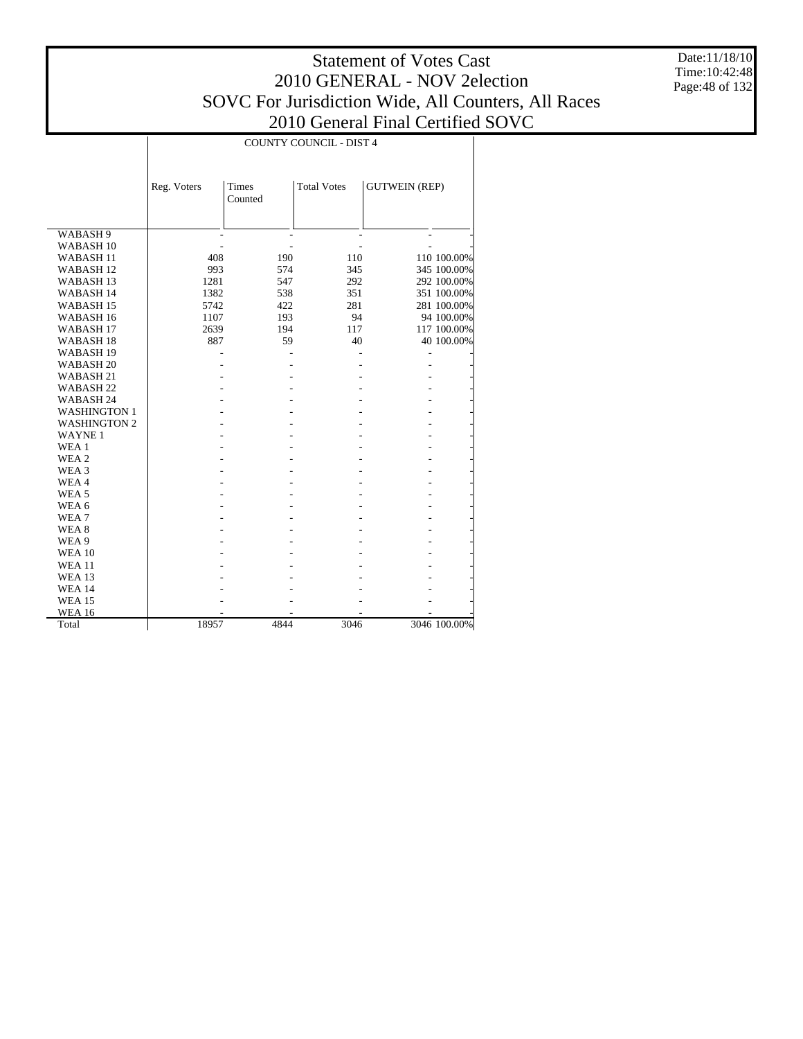Date:11/18/10 Time:10:42:48 Page:48 of 132

|                      | <b>COUNTY COUNCIL - DIST 4</b> |              |                    |                      |              |  |  |  |
|----------------------|--------------------------------|--------------|--------------------|----------------------|--------------|--|--|--|
|                      |                                | <b>Times</b> |                    |                      |              |  |  |  |
|                      | Reg. Voters                    | Counted      | <b>Total Votes</b> | <b>GUTWEIN (REP)</b> |              |  |  |  |
|                      |                                |              |                    |                      |              |  |  |  |
|                      |                                |              |                    |                      |              |  |  |  |
| WABASH 9             |                                |              |                    |                      |              |  |  |  |
| WABASH <sub>10</sub> |                                |              |                    |                      |              |  |  |  |
| WABASH <sub>11</sub> | 408                            | 190          | 110                |                      | 110 100.00%  |  |  |  |
| WABASH <sub>12</sub> | 993                            | 574          | 345                |                      | 345 100.00%  |  |  |  |
| WABASH <sub>13</sub> | 1281                           | 547          | 292                |                      | 292 100.00%  |  |  |  |
| WABASH 14            | 1382                           | 538          | 351                |                      | 351 100.00%  |  |  |  |
| WABASH <sub>15</sub> | 5742                           | 422          | 281                |                      | 281 100.00%  |  |  |  |
| WABASH <sub>16</sub> | 1107                           | 193          | 94                 |                      | 94 100.00%   |  |  |  |
| WABASH <sub>17</sub> | 2639                           | 194          | 117                |                      | 117 100.00%  |  |  |  |
| WABASH <sub>18</sub> | 887                            | 59           | 40                 |                      | 40 100.00%   |  |  |  |
| WABASH <sub>19</sub> |                                |              |                    | L,                   |              |  |  |  |
| WABASH <sub>20</sub> |                                |              |                    |                      |              |  |  |  |
| WABASH <sub>21</sub> |                                |              |                    |                      |              |  |  |  |
| WABASH <sub>22</sub> |                                |              |                    |                      |              |  |  |  |
| WABASH 24            |                                |              |                    |                      |              |  |  |  |
| <b>WASHINGTON 1</b>  |                                |              |                    |                      |              |  |  |  |
| <b>WASHINGTON 2</b>  |                                |              |                    |                      |              |  |  |  |
| <b>WAYNE1</b>        |                                |              |                    |                      |              |  |  |  |
| WEA 1                |                                |              |                    |                      |              |  |  |  |
| WEA <sub>2</sub>     |                                |              |                    |                      |              |  |  |  |
| WEA <sub>3</sub>     |                                |              |                    |                      |              |  |  |  |
| WEA4                 |                                |              |                    |                      |              |  |  |  |
| WEA <sub>5</sub>     |                                |              |                    |                      |              |  |  |  |
| WEA 6                |                                |              |                    |                      |              |  |  |  |
| WEA <sub>7</sub>     |                                |              |                    |                      |              |  |  |  |
| WEA <sub>8</sub>     |                                |              |                    |                      |              |  |  |  |
| WEA 9                |                                |              |                    |                      |              |  |  |  |
| <b>WEA 10</b>        |                                |              |                    |                      |              |  |  |  |
| <b>WEA 11</b>        |                                |              |                    |                      |              |  |  |  |
| <b>WEA 13</b>        |                                |              |                    |                      |              |  |  |  |
| <b>WEA 14</b>        |                                |              |                    |                      |              |  |  |  |
| <b>WEA 15</b>        |                                |              |                    |                      |              |  |  |  |
| <b>WEA 16</b>        |                                |              |                    |                      |              |  |  |  |
| Total                | 18957                          | 4844         | 3046               |                      | 3046 100.00% |  |  |  |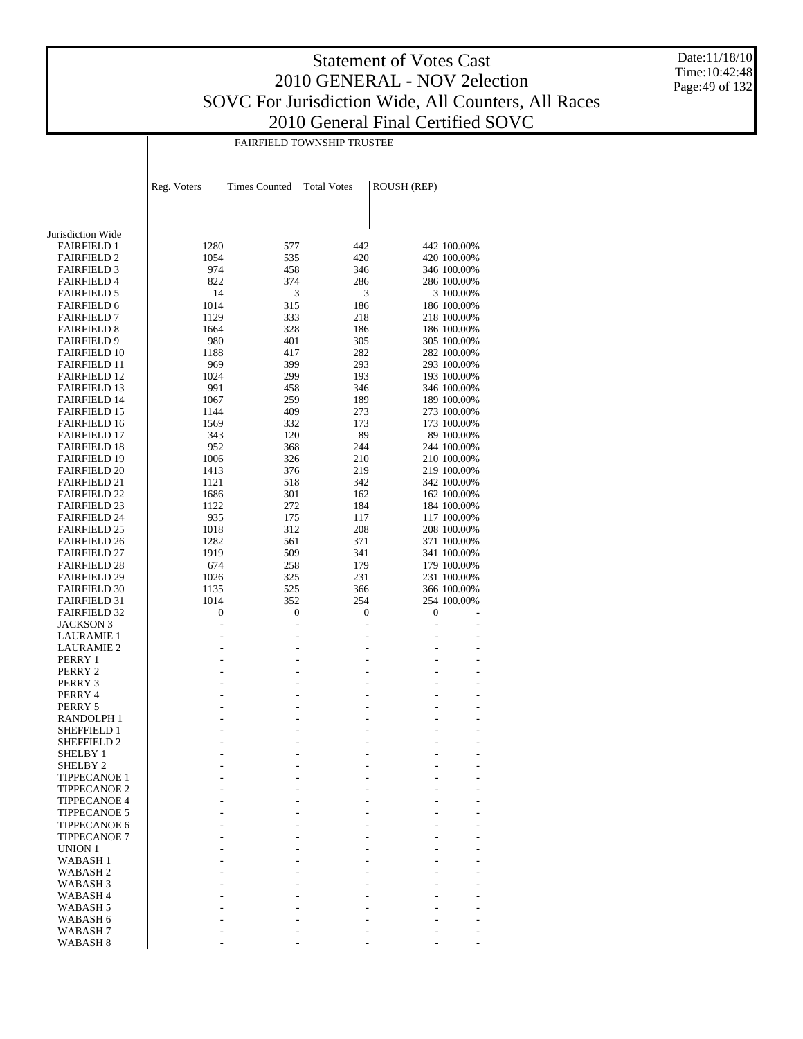$\overline{1}$ 

FAIRFIELD TOWNSHIP TRUSTEE

 $\overline{\phantom{a}}$ 

Date:11/18/10 Time:10:42:48 Page:49 of 132

|                                            | Reg. Voters  | <b>Times Counted</b> | <b>Total Votes</b> | ROUSH (REP) |                            |
|--------------------------------------------|--------------|----------------------|--------------------|-------------|----------------------------|
|                                            |              |                      |                    |             |                            |
| Jurisdiction Wide<br><b>FAIRFIELD 1</b>    |              |                      | 442                |             | 442 100.00%                |
| <b>FAIRFIELD 2</b>                         | 1280<br>1054 | 577<br>535           | 420                |             | 420 100.00%                |
| <b>FAIRFIELD 3</b>                         | 974          | 458                  | 346                |             | 346 100.00%                |
| <b>FAIRFIELD 4</b>                         | 822          | 374                  | 286                |             | 286 100.00%                |
| <b>FAIRFIELD 5</b>                         | 14           | 3                    | 3                  |             | 3 100.00%                  |
| <b>FAIRFIELD 6</b>                         | 1014         | 315                  | 186                |             | 186 100.00%                |
| <b>FAIRFIELD 7</b>                         | 1129         | 333                  | 218                |             | 218 100.00%                |
| <b>FAIRFIELD 8</b>                         | 1664         | 328                  | 186                |             | 186 100.00%                |
| <b>FAIRFIELD 9</b>                         | 980          | 401                  | 305                |             | 305 100.00%                |
| <b>FAIRFIELD 10</b>                        | 1188         | 417                  | 282                |             | 282 100.00%                |
| <b>FAIRFIELD 11</b>                        | 969          | 399                  | 293                |             | 293 100.00%                |
| <b>FAIRFIELD 12</b>                        | 1024         | 299                  | 193                |             | 193 100.00%                |
| <b>FAIRFIELD 13</b>                        | 991          | 458                  | 346                |             | 346 100.00%                |
| <b>FAIRFIELD 14</b>                        | 1067         | 259                  | 189                |             | 189 100.00%                |
| <b>FAIRFIELD 15</b>                        | 1144         | 409                  | 273                |             | 273 100.00%                |
| <b>FAIRFIELD 16</b>                        | 1569         | 332                  | 173                |             | 173 100.00%                |
| <b>FAIRFIELD 17</b>                        | 343          | 120                  | 89                 |             | 89 100.00%                 |
| <b>FAIRFIELD 18</b>                        | 952          | 368                  | 244                |             | 244 100.00%                |
| <b>FAIRFIELD 19</b>                        | 1006         | 326                  | 210                |             | 210 100.00%                |
| <b>FAIRFIELD 20</b>                        | 1413         | 376                  | 219                |             | 219 100.00%                |
| <b>FAIRFIELD 21</b>                        | 1121         | 518                  | 342                |             | 342 100.00%                |
| <b>FAIRFIELD 22</b>                        | 1686         | 301                  | 162                |             | 162 100.00%                |
| <b>FAIRFIELD 23</b>                        | 1122         | 272                  | 184                |             | 184 100.00%                |
| <b>FAIRFIELD 24</b>                        | 935          | 175                  | 117                |             | 117 100.00%                |
| <b>FAIRFIELD 25</b>                        | 1018         | 312                  | 208                |             | 208 100.00%                |
| <b>FAIRFIELD 26</b>                        | 1282         | 561                  | 371                |             | 371 100.00%                |
| <b>FAIRFIELD 27</b>                        | 1919         | 509                  | 341                |             | 341 100.00%                |
| <b>FAIRFIELD 28</b><br><b>FAIRFIELD 29</b> | 674<br>1026  | 258<br>325           | 179<br>231         |             | 179 100.00%<br>231 100.00% |
| <b>FAIRFIELD 30</b>                        | 1135         | 525                  | 366                |             | 366 100.00%                |
| <b>FAIRFIELD 31</b>                        | 1014         | 352                  | 254                |             | 254 100.00%                |
| <b>FAIRFIELD 32</b>                        | 0            | 0                    | 0                  | 0           |                            |
| JACKSON 3                                  |              |                      |                    |             |                            |
| LAURAMIE 1                                 |              |                      |                    |             |                            |
| LAURAMIE 2                                 |              |                      |                    |             |                            |
| PERRY 1                                    |              |                      |                    |             |                            |
| PERRY 2                                    |              |                      |                    |             |                            |
| PERRY 3                                    |              |                      |                    |             |                            |
| PERRY 4                                    |              |                      |                    |             |                            |
| PERRY 5                                    |              |                      |                    |             |                            |
| <b>RANDOLPH1</b>                           |              |                      |                    |             |                            |
| <b>SHEFFIELD 1</b>                         |              |                      |                    |             |                            |
| SHEFFIELD 2                                |              |                      |                    |             |                            |
| SHELBY 1                                   |              |                      |                    |             |                            |
| SHELBY <sub>2</sub>                        |              |                      |                    |             |                            |
| <b>TIPPECANOE 1</b>                        |              |                      |                    |             |                            |
| <b>TIPPECANOE 2</b>                        |              |                      |                    |             |                            |
| <b>TIPPECANOE 4</b><br><b>TIPPECANOE 5</b> |              |                      |                    |             |                            |
| TIPPECANOE 6                               |              |                      |                    |             |                            |
| <b>TIPPECANOE 7</b>                        |              |                      |                    |             |                            |
| UNION 1                                    |              |                      |                    |             |                            |
| WABASH 1                                   |              |                      |                    |             |                            |
| WABASH 2                                   |              |                      |                    |             |                            |
| WABASH 3                                   |              |                      |                    |             |                            |
| WABASH 4                                   |              |                      |                    |             |                            |
| WABASH <sub>5</sub>                        |              |                      |                    |             |                            |
| WABASH 6                                   |              |                      |                    |             |                            |
| WABASH 7                                   |              |                      |                    |             |                            |
| WABASH 8                                   |              |                      |                    |             |                            |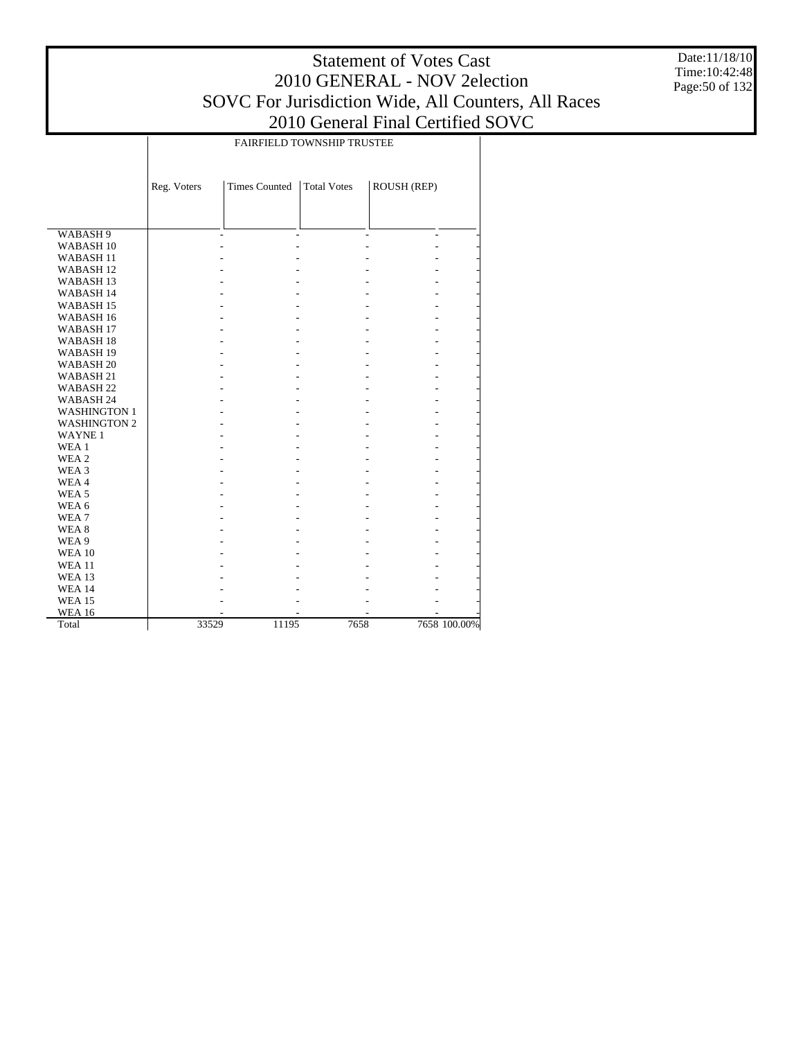Date:11/18/10 Time:10:42:48 Page:50 of 132

|                      | FAIRFIELD TOWNSHIP TRUSTEE |                      |                    |             |              |  |  |  |  |  |
|----------------------|----------------------------|----------------------|--------------------|-------------|--------------|--|--|--|--|--|
|                      |                            |                      |                    |             |              |  |  |  |  |  |
|                      |                            |                      |                    |             |              |  |  |  |  |  |
|                      | Reg. Voters                | <b>Times Counted</b> | <b>Total Votes</b> | ROUSH (REP) |              |  |  |  |  |  |
|                      |                            |                      |                    |             |              |  |  |  |  |  |
|                      |                            |                      |                    |             |              |  |  |  |  |  |
| WABASH 9             |                            |                      |                    | ٠           |              |  |  |  |  |  |
| WABASH <sub>10</sub> |                            |                      |                    |             |              |  |  |  |  |  |
| WABASH <sub>11</sub> |                            |                      |                    |             |              |  |  |  |  |  |
| WABASH <sub>12</sub> |                            |                      |                    |             |              |  |  |  |  |  |
| WABASH <sub>13</sub> |                            |                      |                    |             |              |  |  |  |  |  |
| WABASH 14            |                            |                      |                    |             |              |  |  |  |  |  |
| WABASH <sub>15</sub> |                            |                      |                    |             |              |  |  |  |  |  |
| WABASH <sub>16</sub> |                            |                      |                    |             |              |  |  |  |  |  |
| WABASH <sub>17</sub> |                            |                      |                    |             |              |  |  |  |  |  |
| WABASH <sub>18</sub> |                            |                      |                    |             |              |  |  |  |  |  |
| WABASH 19            |                            |                      |                    |             |              |  |  |  |  |  |
| WABASH <sub>20</sub> |                            |                      |                    |             |              |  |  |  |  |  |
| WABASH 21            |                            |                      |                    |             |              |  |  |  |  |  |
| WABASH <sub>22</sub> |                            |                      |                    |             |              |  |  |  |  |  |
| WABASH 24            |                            |                      |                    |             |              |  |  |  |  |  |
| <b>WASHINGTON 1</b>  |                            |                      |                    |             |              |  |  |  |  |  |
| <b>WASHINGTON 2</b>  |                            |                      |                    |             |              |  |  |  |  |  |
| <b>WAYNE1</b>        |                            |                      |                    |             |              |  |  |  |  |  |
| WEA 1                |                            |                      |                    |             |              |  |  |  |  |  |
| WEA <sub>2</sub>     |                            |                      |                    |             |              |  |  |  |  |  |
| WEA 3                |                            |                      |                    |             |              |  |  |  |  |  |
| WEA4                 |                            |                      |                    |             |              |  |  |  |  |  |
| WEA <sub>5</sub>     |                            |                      |                    |             |              |  |  |  |  |  |
| WEA 6                |                            |                      |                    |             |              |  |  |  |  |  |
| WEA7                 |                            |                      |                    |             |              |  |  |  |  |  |
| WEA <sub>8</sub>     |                            |                      |                    |             |              |  |  |  |  |  |
| WEA 9                |                            |                      |                    |             |              |  |  |  |  |  |
| <b>WEA 10</b>        |                            |                      |                    |             |              |  |  |  |  |  |
| <b>WEA11</b>         |                            |                      |                    |             |              |  |  |  |  |  |
| <b>WEA 13</b>        |                            |                      |                    |             |              |  |  |  |  |  |
| <b>WEA 14</b>        |                            |                      |                    |             |              |  |  |  |  |  |
| <b>WEA 15</b>        |                            |                      |                    |             |              |  |  |  |  |  |
| <b>WEA 16</b>        |                            |                      |                    |             |              |  |  |  |  |  |
| Total                | 33529                      | 11195                | 7658               |             | 7658 100.00% |  |  |  |  |  |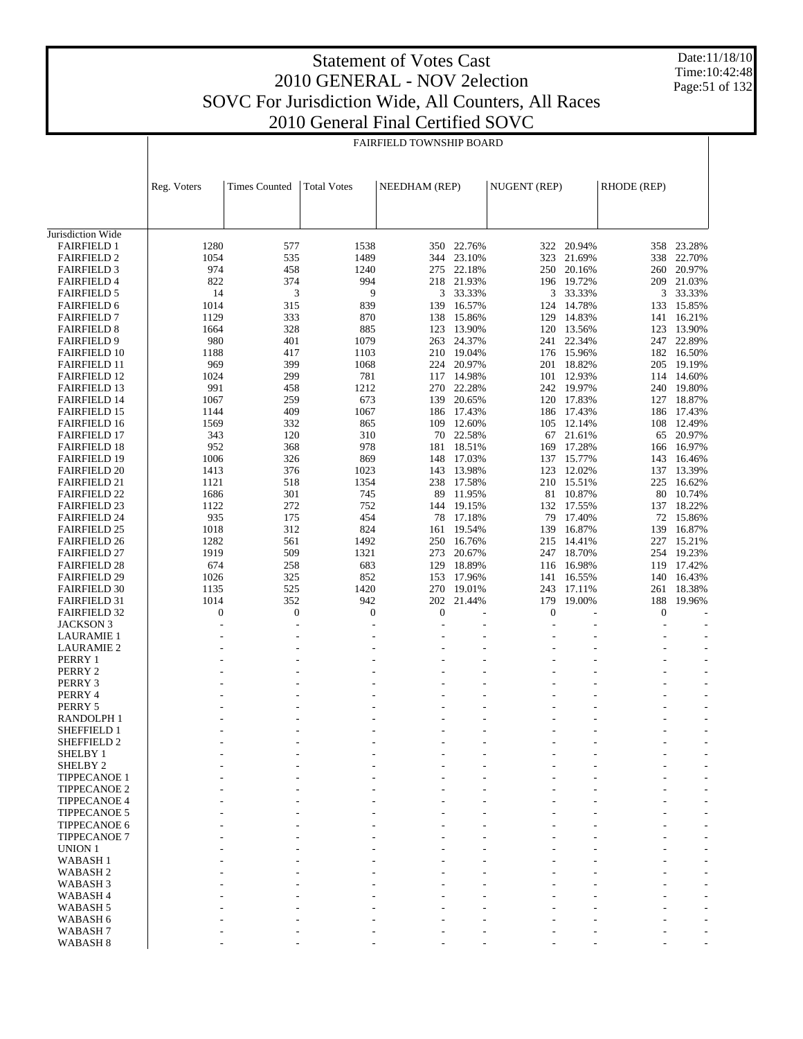Date:11/18/10 Time:10:42:48 Page:51 of 132

|                                            | <b>FAIRFIELD TOWNSHIP BOARD</b> |                                    |                        |                  |                  |                        |                  |                  |                  |
|--------------------------------------------|---------------------------------|------------------------------------|------------------------|------------------|------------------|------------------------|------------------|------------------|------------------|
|                                            |                                 |                                    |                        |                  |                  |                        |                  |                  |                  |
|                                            |                                 |                                    |                        |                  |                  |                        |                  |                  |                  |
|                                            | Reg. Voters                     | <b>Times Counted</b>               | <b>Total Votes</b>     | NEEDHAM (REP)    |                  | NUGENT (REP)           |                  | RHODE (REP)      |                  |
|                                            |                                 |                                    |                        |                  |                  |                        |                  |                  |                  |
|                                            |                                 |                                    |                        |                  |                  |                        |                  |                  |                  |
|                                            |                                 |                                    |                        |                  |                  |                        |                  |                  |                  |
| Jurisdiction Wide                          |                                 |                                    |                        |                  |                  |                        |                  |                  |                  |
| <b>FAIRFIELD 1</b><br><b>FAIRFIELD 2</b>   | 1280<br>1054                    | 577<br>535                         | 1538<br>1489           | 350<br>344       | 22.76%<br>23.10% | 322<br>323             | 20.94%<br>21.69% | 358<br>338       | 23.28%<br>22.70% |
| <b>FAIRFIELD 3</b>                         | 974                             | 458                                | 1240                   | 275              | 22.18%           | 250                    | 20.16%           |                  | 260 20.97%       |
| <b>FAIRFIELD 4</b>                         | 822                             | 374                                | 994                    | 218              | 21.93%           | 196                    | 19.72%           |                  | 209 21.03%       |
| <b>FAIRFIELD 5</b>                         | 14                              | 3                                  | 9                      | 3                | 33.33%           |                        | 3 33.33%         | 3                | 33.33%           |
| <b>FAIRFIELD 6</b>                         | 1014                            | 315                                | 839                    | 139              | 16.57%           | 124                    | 14.78%           | 133              | 15.85%           |
| <b>FAIRFIELD 7</b>                         | 1129                            | 333                                | 870                    | 138              | 15.86%           | 129                    | 14.83%           | 141              | 16.21%           |
| <b>FAIRFIELD 8</b>                         | 1664                            | 328                                | 885                    | 123              | 13.90%           | 120                    | 13.56%           | 123              | 13.90%           |
| <b>FAIRFIELD 9</b><br><b>FAIRFIELD 10</b>  | 980<br>1188                     | 401<br>417                         | 1079<br>1103           | 263<br>210       | 24.37%<br>19.04% | 241<br>176             | 22.34%<br>15.96% | 247<br>182       | 22.89%<br>16.50% |
| <b>FAIRFIELD 11</b>                        | 969                             | 399                                | 1068                   | 224              | 20.97%           | 201                    | 18.82%           | 205              | 19.19%           |
| <b>FAIRFIELD 12</b>                        | 1024                            | 299                                | 781                    | 117              | 14.98%           | 101                    | 12.93%           | 114              | 14.60%           |
| <b>FAIRFIELD 13</b>                        | 991                             | 458                                | 1212                   | 270              | 22.28%           |                        | 242 19.97%       |                  | 240 19.80%       |
| <b>FAIRFIELD 14</b>                        | 1067                            | 259                                | 673                    | 139              | 20.65%           | 120                    | 17.83%           | 127              | 18.87%           |
| <b>FAIRFIELD 15</b>                        | 1144                            | 409                                | 1067                   |                  | 186 17.43%       |                        | 186 17.43%       |                  | 186 17.43%       |
| <b>FAIRFIELD 16</b>                        | 1569                            | 332                                | 865                    | 109              | 12.60%           | 105                    | 12.14%           | 108              | 12.49%           |
| <b>FAIRFIELD 17</b><br><b>FAIRFIELD 18</b> | 343<br>952                      | 120<br>368                         | 310<br>978             | 70<br>181        | 22.58%<br>18.51% | 67<br>169              | 21.61%<br>17.28% | 65<br>166        | 20.97%<br>16.97% |
| <b>FAIRFIELD 19</b>                        | 1006                            | 326                                | 869                    | 148              | 17.03%           | 137                    | 15.77%           | 143              | 16.46%           |
| <b>FAIRFIELD 20</b>                        | 1413                            | 376                                | 1023                   | 143              | 13.98%           | 123                    | 12.02%           | 137              | 13.39%           |
| <b>FAIRFIELD 21</b>                        | 1121                            | 518                                | 1354                   |                  | 238 17.58%       |                        | 210 15.51%       | 225              | 16.62%           |
| <b>FAIRFIELD 22</b>                        | 1686                            | 301                                | 745                    | 89               | 11.95%           | 81                     | 10.87%           | 80               | 10.74%           |
| <b>FAIRFIELD 23</b>                        | 1122                            | 272                                | 752                    |                  | 144 19.15%       |                        | 132 17.55%       |                  | 137 18.22%       |
| <b>FAIRFIELD 24</b>                        | 935<br>1018                     | 175<br>312                         | 454<br>824             | 78               | 17.18%           | 79<br>139              | 17.40%<br>16.87% | 72<br>139        | 15.86%<br>16.87% |
| <b>FAIRFIELD 25</b><br><b>FAIRFIELD 26</b> | 1282                            | 561                                | 1492                   | 161<br>250       | 19.54%<br>16.76% | 215                    | 14.41%           | 227              | 15.21%           |
| <b>FAIRFIELD 27</b>                        | 1919                            | 509                                | 1321                   | 273              | 20.67%           | 247                    | 18.70%           | 254              | 19.23%           |
| <b>FAIRFIELD 28</b>                        | 674                             | 258                                | 683                    | 129              | 18.89%           | 116                    | 16.98%           | 119              | 17.42%           |
| <b>FAIRFIELD 29</b>                        | 1026                            | 325                                | 852                    | 153              | 17.96%           | 141                    | 16.55%           |                  | 140 16.43%       |
| <b>FAIRFIELD 30</b>                        | 1135                            | 525                                | 1420                   | 270              | 19.01%           | 243                    | 17.11%           | 261              | 18.38%           |
| <b>FAIRFIELD 31</b>                        | 1014                            | 352                                | 942                    | 202              | 21.44%           | 179                    | 19.00%           | 188              | 19.96%           |
| <b>FAIRFIELD 32</b><br><b>JACKSON 3</b>    | $\boldsymbol{0}$<br>ä,          | $\boldsymbol{0}$<br>$\overline{a}$ | $\boldsymbol{0}$<br>L, | $\boldsymbol{0}$ | L,               | $\boldsymbol{0}$<br>J. |                  | $\boldsymbol{0}$ |                  |
| <b>LAURAMIE 1</b>                          | ٠                               | $\overline{a}$                     | ٠                      |                  | ÷,               |                        |                  |                  |                  |
| <b>LAURAMIE 2</b>                          | ٠                               | ä,                                 | ÷,                     |                  | ÷,               | ÷                      |                  |                  | ٠                |
| PERRY 1                                    |                                 |                                    |                        |                  | L.               |                        |                  |                  |                  |
| PERRY 2                                    |                                 |                                    |                        |                  | $\overline{a}$   |                        |                  |                  |                  |
| PERRY 3                                    |                                 |                                    |                        |                  |                  |                        |                  |                  |                  |
| PERRY 4<br>PERRY 5                         |                                 |                                    |                        |                  | L,<br>L,         |                        |                  |                  | $\overline{a}$   |
| RANDOLPH 1                                 |                                 |                                    |                        |                  | $\overline{a}$   | ÷                      |                  | ٠                |                  |
| SHEFFIELD 1                                |                                 |                                    |                        |                  |                  |                        |                  |                  |                  |
| SHEFFIELD 2                                |                                 |                                    |                        |                  |                  |                        |                  |                  |                  |
| <b>SHELBY 1</b>                            |                                 |                                    |                        |                  |                  |                        |                  |                  |                  |
| SHELBY <sub>2</sub><br><b>TIPPECANOE 1</b> |                                 |                                    |                        |                  |                  |                        |                  |                  |                  |
| <b>TIPPECANOE 2</b>                        |                                 |                                    |                        |                  |                  |                        |                  |                  |                  |
| <b>TIPPECANOE 4</b>                        |                                 |                                    |                        |                  |                  |                        |                  |                  |                  |
| <b>TIPPECANOE 5</b>                        |                                 |                                    |                        |                  |                  |                        |                  |                  |                  |
| <b>TIPPECANOE 6</b>                        |                                 |                                    |                        |                  |                  |                        |                  |                  |                  |
| <b>TIPPECANOE 7</b>                        |                                 |                                    |                        |                  |                  |                        |                  |                  |                  |
| UNION 1<br><b>WABASH1</b>                  |                                 |                                    |                        |                  |                  |                        |                  |                  |                  |
| WABASH <sub>2</sub>                        |                                 |                                    |                        |                  |                  |                        |                  |                  |                  |
| WABASH <sub>3</sub>                        |                                 |                                    |                        |                  |                  |                        |                  |                  |                  |
| WABASH <sub>4</sub>                        |                                 |                                    |                        |                  |                  |                        |                  |                  |                  |
| WABASH <sub>5</sub>                        |                                 |                                    |                        |                  |                  |                        |                  |                  |                  |
| WABASH 6<br>WABASH <sub>7</sub>            |                                 |                                    |                        |                  |                  |                        |                  |                  |                  |
| WABASH <sub>8</sub>                        |                                 |                                    |                        |                  |                  |                        |                  |                  |                  |
|                                            |                                 |                                    |                        |                  |                  |                        |                  |                  |                  |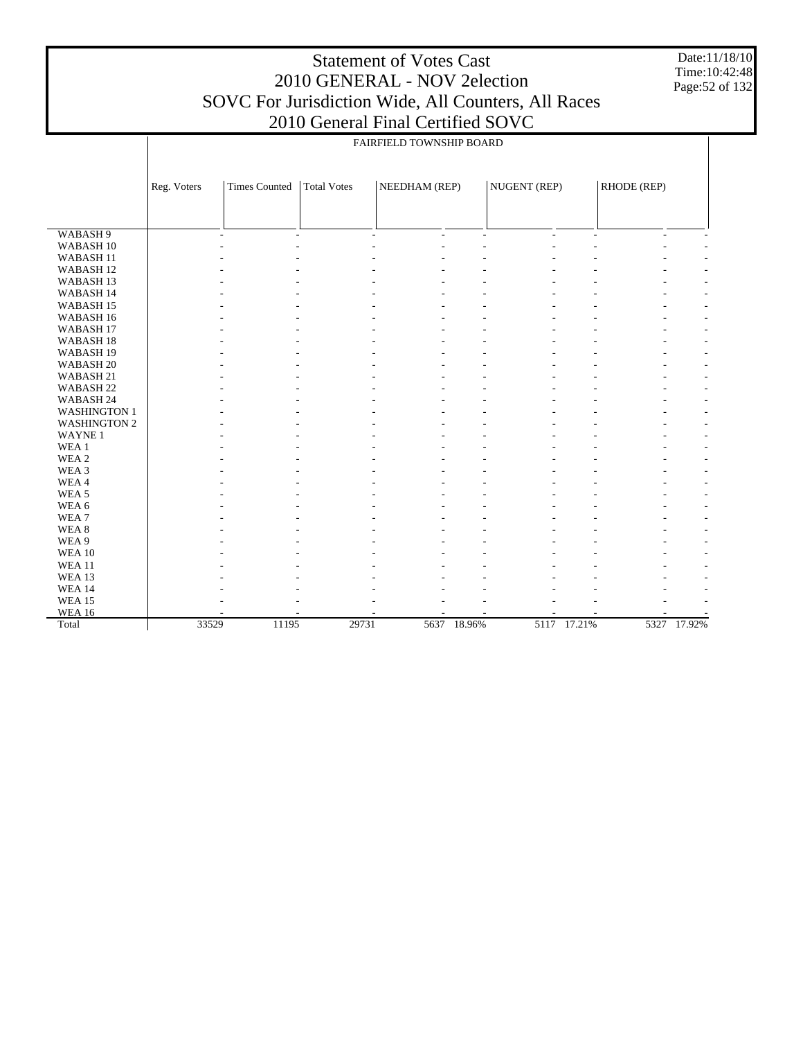Date:11/18/10 Time:10:42:48 Page:52 of 132

| FAIRFIELD TOWNSHIP BOARD<br><b>Times Counted</b><br>NUGENT (REP)<br>RHODE (REP)<br>Reg. Voters<br><b>Total Votes</b><br>NEEDHAM (REP)<br>WABASH 9<br>$\mathbf{r}$<br>$\overline{\phantom{a}}$<br>$\overline{\phantom{a}}$<br>$\overline{\phantom{a}}$<br>$\overline{\phantom{a}}$<br>٠<br>$\overline{\phantom{a}}$<br>$\overline{a}$<br>WABASH <sub>10</sub><br>WABASH <sub>11</sub><br>WABASH <sub>12</sub><br>WABASH <sub>13</sub><br>WABASH 14<br>WABASH <sub>15</sub><br>WABASH 16<br>WABASH <sub>17</sub><br>WABASH <sub>18</sub><br>WABASH <sub>19</sub><br>WABASH <sub>20</sub><br>WABASH 21<br>WABASH <sub>22</sub><br>WABASH 24<br><b>WASHINGTON 1</b><br><b>WASHINGTON 2</b><br><b>WAYNE1</b><br>WEA 1<br>WEA 2<br>WEA 3<br>WEA4<br>WEA <sub>5</sub><br>WEA 6<br>WEA7<br>WEA <sub>8</sub><br>WEA 9<br><b>WEA 10</b><br><b>WEA11</b><br>WEA 13 | $2010$ General Final Certified SOVC |  |  |  |  |  |  |  |  |  |  |  |
|---------------------------------------------------------------------------------------------------------------------------------------------------------------------------------------------------------------------------------------------------------------------------------------------------------------------------------------------------------------------------------------------------------------------------------------------------------------------------------------------------------------------------------------------------------------------------------------------------------------------------------------------------------------------------------------------------------------------------------------------------------------------------------------------------------------------------------------------------------|-------------------------------------|--|--|--|--|--|--|--|--|--|--|--|
|                                                                                                                                                                                                                                                                                                                                                                                                                                                                                                                                                                                                                                                                                                                                                                                                                                                         |                                     |  |  |  |  |  |  |  |  |  |  |  |
|                                                                                                                                                                                                                                                                                                                                                                                                                                                                                                                                                                                                                                                                                                                                                                                                                                                         |                                     |  |  |  |  |  |  |  |  |  |  |  |
|                                                                                                                                                                                                                                                                                                                                                                                                                                                                                                                                                                                                                                                                                                                                                                                                                                                         |                                     |  |  |  |  |  |  |  |  |  |  |  |
|                                                                                                                                                                                                                                                                                                                                                                                                                                                                                                                                                                                                                                                                                                                                                                                                                                                         |                                     |  |  |  |  |  |  |  |  |  |  |  |
|                                                                                                                                                                                                                                                                                                                                                                                                                                                                                                                                                                                                                                                                                                                                                                                                                                                         |                                     |  |  |  |  |  |  |  |  |  |  |  |
|                                                                                                                                                                                                                                                                                                                                                                                                                                                                                                                                                                                                                                                                                                                                                                                                                                                         |                                     |  |  |  |  |  |  |  |  |  |  |  |
|                                                                                                                                                                                                                                                                                                                                                                                                                                                                                                                                                                                                                                                                                                                                                                                                                                                         |                                     |  |  |  |  |  |  |  |  |  |  |  |
|                                                                                                                                                                                                                                                                                                                                                                                                                                                                                                                                                                                                                                                                                                                                                                                                                                                         |                                     |  |  |  |  |  |  |  |  |  |  |  |
|                                                                                                                                                                                                                                                                                                                                                                                                                                                                                                                                                                                                                                                                                                                                                                                                                                                         |                                     |  |  |  |  |  |  |  |  |  |  |  |
|                                                                                                                                                                                                                                                                                                                                                                                                                                                                                                                                                                                                                                                                                                                                                                                                                                                         |                                     |  |  |  |  |  |  |  |  |  |  |  |
|                                                                                                                                                                                                                                                                                                                                                                                                                                                                                                                                                                                                                                                                                                                                                                                                                                                         |                                     |  |  |  |  |  |  |  |  |  |  |  |
|                                                                                                                                                                                                                                                                                                                                                                                                                                                                                                                                                                                                                                                                                                                                                                                                                                                         |                                     |  |  |  |  |  |  |  |  |  |  |  |
|                                                                                                                                                                                                                                                                                                                                                                                                                                                                                                                                                                                                                                                                                                                                                                                                                                                         |                                     |  |  |  |  |  |  |  |  |  |  |  |
|                                                                                                                                                                                                                                                                                                                                                                                                                                                                                                                                                                                                                                                                                                                                                                                                                                                         |                                     |  |  |  |  |  |  |  |  |  |  |  |
|                                                                                                                                                                                                                                                                                                                                                                                                                                                                                                                                                                                                                                                                                                                                                                                                                                                         |                                     |  |  |  |  |  |  |  |  |  |  |  |
|                                                                                                                                                                                                                                                                                                                                                                                                                                                                                                                                                                                                                                                                                                                                                                                                                                                         |                                     |  |  |  |  |  |  |  |  |  |  |  |
|                                                                                                                                                                                                                                                                                                                                                                                                                                                                                                                                                                                                                                                                                                                                                                                                                                                         |                                     |  |  |  |  |  |  |  |  |  |  |  |
|                                                                                                                                                                                                                                                                                                                                                                                                                                                                                                                                                                                                                                                                                                                                                                                                                                                         |                                     |  |  |  |  |  |  |  |  |  |  |  |
|                                                                                                                                                                                                                                                                                                                                                                                                                                                                                                                                                                                                                                                                                                                                                                                                                                                         |                                     |  |  |  |  |  |  |  |  |  |  |  |
|                                                                                                                                                                                                                                                                                                                                                                                                                                                                                                                                                                                                                                                                                                                                                                                                                                                         |                                     |  |  |  |  |  |  |  |  |  |  |  |
|                                                                                                                                                                                                                                                                                                                                                                                                                                                                                                                                                                                                                                                                                                                                                                                                                                                         |                                     |  |  |  |  |  |  |  |  |  |  |  |
|                                                                                                                                                                                                                                                                                                                                                                                                                                                                                                                                                                                                                                                                                                                                                                                                                                                         |                                     |  |  |  |  |  |  |  |  |  |  |  |
|                                                                                                                                                                                                                                                                                                                                                                                                                                                                                                                                                                                                                                                                                                                                                                                                                                                         |                                     |  |  |  |  |  |  |  |  |  |  |  |
|                                                                                                                                                                                                                                                                                                                                                                                                                                                                                                                                                                                                                                                                                                                                                                                                                                                         |                                     |  |  |  |  |  |  |  |  |  |  |  |
|                                                                                                                                                                                                                                                                                                                                                                                                                                                                                                                                                                                                                                                                                                                                                                                                                                                         |                                     |  |  |  |  |  |  |  |  |  |  |  |
|                                                                                                                                                                                                                                                                                                                                                                                                                                                                                                                                                                                                                                                                                                                                                                                                                                                         |                                     |  |  |  |  |  |  |  |  |  |  |  |
|                                                                                                                                                                                                                                                                                                                                                                                                                                                                                                                                                                                                                                                                                                                                                                                                                                                         |                                     |  |  |  |  |  |  |  |  |  |  |  |
|                                                                                                                                                                                                                                                                                                                                                                                                                                                                                                                                                                                                                                                                                                                                                                                                                                                         |                                     |  |  |  |  |  |  |  |  |  |  |  |
|                                                                                                                                                                                                                                                                                                                                                                                                                                                                                                                                                                                                                                                                                                                                                                                                                                                         |                                     |  |  |  |  |  |  |  |  |  |  |  |
|                                                                                                                                                                                                                                                                                                                                                                                                                                                                                                                                                                                                                                                                                                                                                                                                                                                         |                                     |  |  |  |  |  |  |  |  |  |  |  |
|                                                                                                                                                                                                                                                                                                                                                                                                                                                                                                                                                                                                                                                                                                                                                                                                                                                         |                                     |  |  |  |  |  |  |  |  |  |  |  |
|                                                                                                                                                                                                                                                                                                                                                                                                                                                                                                                                                                                                                                                                                                                                                                                                                                                         |                                     |  |  |  |  |  |  |  |  |  |  |  |
|                                                                                                                                                                                                                                                                                                                                                                                                                                                                                                                                                                                                                                                                                                                                                                                                                                                         |                                     |  |  |  |  |  |  |  |  |  |  |  |
|                                                                                                                                                                                                                                                                                                                                                                                                                                                                                                                                                                                                                                                                                                                                                                                                                                                         |                                     |  |  |  |  |  |  |  |  |  |  |  |
|                                                                                                                                                                                                                                                                                                                                                                                                                                                                                                                                                                                                                                                                                                                                                                                                                                                         |                                     |  |  |  |  |  |  |  |  |  |  |  |
|                                                                                                                                                                                                                                                                                                                                                                                                                                                                                                                                                                                                                                                                                                                                                                                                                                                         |                                     |  |  |  |  |  |  |  |  |  |  |  |
|                                                                                                                                                                                                                                                                                                                                                                                                                                                                                                                                                                                                                                                                                                                                                                                                                                                         |                                     |  |  |  |  |  |  |  |  |  |  |  |
| <b>WEA 14</b>                                                                                                                                                                                                                                                                                                                                                                                                                                                                                                                                                                                                                                                                                                                                                                                                                                           |                                     |  |  |  |  |  |  |  |  |  |  |  |
| <b>WEA 15</b>                                                                                                                                                                                                                                                                                                                                                                                                                                                                                                                                                                                                                                                                                                                                                                                                                                           |                                     |  |  |  |  |  |  |  |  |  |  |  |
| <b>WEA 16</b>                                                                                                                                                                                                                                                                                                                                                                                                                                                                                                                                                                                                                                                                                                                                                                                                                                           |                                     |  |  |  |  |  |  |  |  |  |  |  |
| 11195<br>29731<br>5117 17.21%<br>33529<br>5637 18.96%<br>5327 17.92%<br>Total                                                                                                                                                                                                                                                                                                                                                                                                                                                                                                                                                                                                                                                                                                                                                                           |                                     |  |  |  |  |  |  |  |  |  |  |  |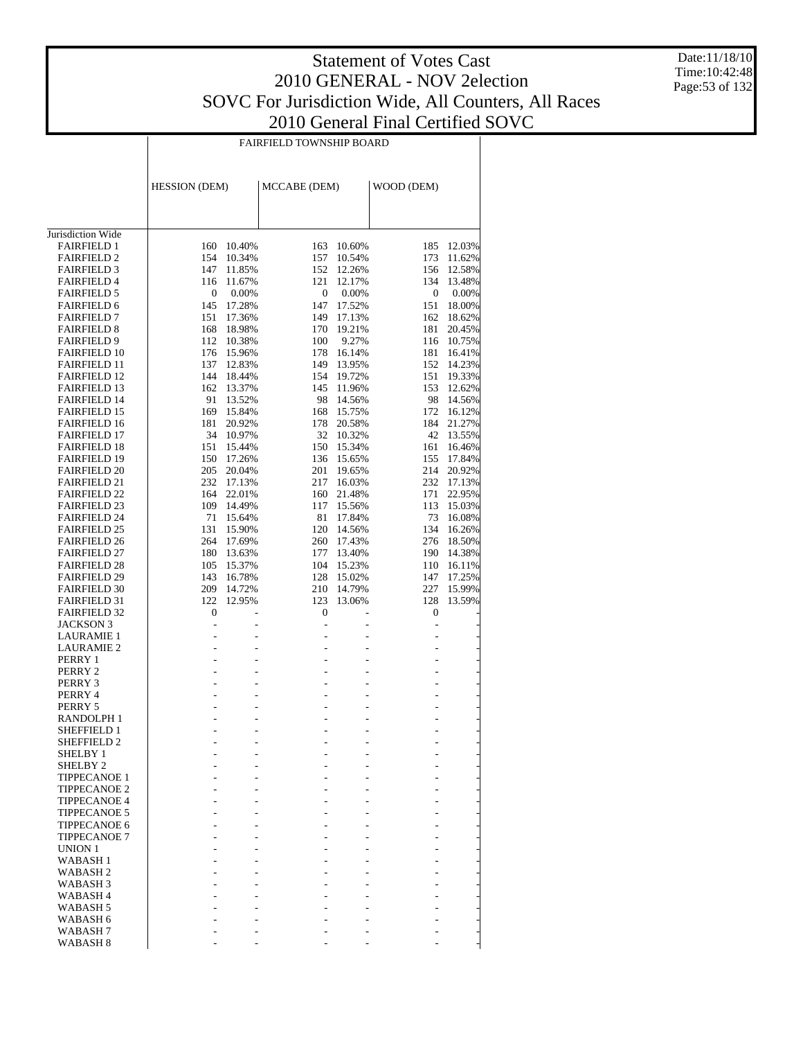Date:11/18/10 Time:10:42:48 Page:53 of 132

| <b>FAIRFIELD TOWNSHIP BOARD</b> |  |
|---------------------------------|--|

|                                            | <b>HESSION</b> (DEM)             |                  | MCCABE (DEM)     |                          | WOOD (DEM)     |                  |
|--------------------------------------------|----------------------------------|------------------|------------------|--------------------------|----------------|------------------|
|                                            |                                  |                  |                  |                          |                |                  |
| Jurisdiction Wide                          |                                  |                  |                  |                          |                |                  |
| <b>FAIRFIELD 1</b>                         | 160                              | 10.40%           | 163              | 10.60%                   | 185            | 12.03%           |
| <b>FAIRFIELD 2</b>                         | 154                              | 10.34%           | 157              | 10.54%                   | 173            | 11.62%           |
| <b>FAIRFIELD 3</b>                         | 147                              | 11.85%           | 152              | 12.26%                   | 156            | 12.58%           |
| <b>FAIRFIELD 4</b>                         | 116                              | 11.67%           | 121              | 12.17%                   | 134            | 13.48%           |
| <b>FAIRFIELD 5</b>                         | 0                                | 0.00%            | $\boldsymbol{0}$ | $0.00\%$                 | 0              | 0.00%            |
| <b>FAIRFIELD 6</b>                         | 145                              | 17.28%           | 147              | 17.52%                   | 151            | 18.00%           |
| <b>FAIRFIELD 7</b>                         | 151                              | 17.36%           | 149<br>170       | 17.13%<br>19.21%         | 162<br>181     | 18.62%<br>20.45% |
| <b>FAIRFIELD 8</b><br><b>FAIRFIELD 9</b>   | 168<br>112                       | 18.98%<br>10.38% | 100              | 9.27%                    | 116            | 10.75%           |
| <b>FAIRFIELD 10</b>                        | 176                              | 15.96%           | 178              | 16.14%                   | 181            | 16.41%           |
| <b>FAIRFIELD 11</b>                        | 137                              | 12.83%           | 149              | 13.95%                   | 152            | 14.23%           |
| <b>FAIRFIELD 12</b>                        | 144                              | 18.44%           | 154              | 19.72%                   | 151            | 19.33%           |
| <b>FAIRFIELD 13</b>                        | 162                              | 13.37%           | 145              | 11.96%                   | 153            | 12.62%           |
| <b>FAIRFIELD 14</b>                        | 91                               | 13.52%           | 98               | 14.56%                   | 98             | 14.56%           |
| <b>FAIRFIELD 15</b>                        | 169                              | 15.84%           | 168              | 15.75%                   | 172            | 16.12%           |
| <b>FAIRFIELD 16</b>                        | 181                              | 20.92%           | 178              | 20.58%                   | 184            | 21.27%           |
| <b>FAIRFIELD 17</b>                        | 34                               | 10.97%           | 32               | 10.32%                   | 42             | 13.55%           |
| <b>FAIRFIELD 18</b>                        | 151                              | 15.44%           | 150              | 15.34%                   | 161            | 16.46%           |
| <b>FAIRFIELD 19</b>                        | 150                              | 17.26%           | 136              | 15.65%                   | 155            | 17.84%           |
| <b>FAIRFIELD 20</b>                        | 205                              | 20.04%           | 201              | 19.65%                   | 214            | 20.92%           |
| <b>FAIRFIELD 21</b>                        | 232                              | 17.13%           | 217              | 16.03%                   | 232            | 17.13%           |
| <b>FAIRFIELD 22</b>                        | 164                              | 22.01%           | 160              | 21.48%                   | 171            | 22.95%           |
| <b>FAIRFIELD 23</b><br><b>FAIRFIELD 24</b> | 109<br>71                        | 14.49%<br>15.64% | 117<br>81        | 15.56%<br>17.84%         | 113<br>73      | 15.03%<br>16.08% |
| <b>FAIRFIELD 25</b>                        | 131                              | 15.90%           | 120              | 14.56%                   | 134            | 16.26%           |
| <b>FAIRFIELD 26</b>                        | 264                              | 17.69%           | 260              | 17.43%                   | 276            | 18.50%           |
| <b>FAIRFIELD 27</b>                        | 180                              | 13.63%           | 177              | 13.40%                   | 190            | 14.38%           |
| <b>FAIRFIELD 28</b>                        | 105                              | 15.37%           | 104              | 15.23%                   | 110            | 16.11%           |
| <b>FAIRFIELD 29</b>                        | 143                              | 16.78%           | 128              | 15.02%                   | 147            | 17.25%           |
| <b>FAIRFIELD 30</b>                        | 209                              | 14.72%           | 210              | 14.79%                   | 227            | 15.99%           |
| <b>FAIRFIELD 31</b>                        | 122                              | 12.95%           | 123              | 13.06%                   | 128            | 13.59%           |
| <b>FAIRFIELD 32</b>                        | 0                                |                  | 0                |                          | 0              |                  |
| <b>JACKSON 3</b>                           | $\frac{1}{2}$                    | $\overline{a}$   | ÷,               | ÷.                       | $\overline{a}$ |                  |
| <b>LAURAMIE 1</b>                          | L.                               | ۷                | ٠                |                          | ÷.             |                  |
| LAURAMIE 2                                 | $\overline{a}$                   | L.               | ٠                | ÷,                       | ٠              |                  |
| PERRY 1<br>PERRY 2                         | $\overline{a}$<br>$\overline{a}$ | ۷<br>L.          | ٠<br>٠           | ۷<br>L,                  | ÷.<br>٠        |                  |
| PERRY 3                                    | $\overline{a}$                   |                  |                  | ۷                        | ÷.             |                  |
| PERRY 4                                    | $\overline{a}$                   | $\overline{a}$   | ٠                | L,                       | ٠              |                  |
| PERRY 5                                    | $\overline{a}$                   |                  |                  | ۷                        | ÷.             |                  |
| RANDOLPH 1                                 | $\overline{\phantom{a}}$         | $\overline{a}$   | ٠                | L,                       | ÷.             |                  |
| SHEFFIELD 1                                | $\overline{a}$                   |                  |                  |                          |                |                  |
| <b>SHEFFIELD 2</b>                         | $\overline{a}$                   | ÷,               | ٠                | ÷,                       | ÷,             |                  |
| <b>SHELBY 1</b>                            |                                  |                  |                  |                          |                |                  |
| SHELBY <sub>2</sub>                        | $\overline{\phantom{a}}$         | $\overline{a}$   |                  | $\overline{\phantom{a}}$ | ÷.             |                  |
| <b>TIPPECANOE 1</b>                        |                                  |                  |                  |                          |                |                  |
| <b>TIPPECANOE 2</b>                        | $\overline{a}$                   |                  | ÷.               | $\overline{\phantom{a}}$ |                |                  |
| <b>TIPPECANOE 4</b>                        |                                  |                  |                  |                          |                |                  |
| <b>TIPPECANOE 5</b><br><b>TIPPECANOE 6</b> | ٠                                |                  | ÷.               | ÷                        | ÷              |                  |
| <b>TIPPECANOE 7</b>                        | $\overline{a}$                   |                  | ٠                | $\overline{\phantom{a}}$ | ÷.             | i,               |
| UNION 1                                    | ÷.                               |                  | ÷.               |                          |                |                  |
| WABASH <sub>1</sub>                        | $\overline{a}$                   |                  | ٠                | ÷                        | ÷.             | i,               |
| <b>WABASH2</b>                             |                                  |                  | ÷                |                          |                |                  |
| WABASH <sub>3</sub>                        | $\overline{a}$                   |                  | ٠                | $\overline{\phantom{a}}$ | ÷.             |                  |
| WABASH <sub>4</sub>                        |                                  |                  |                  |                          |                |                  |
| WABASH <sub>5</sub>                        | $\overline{a}$                   |                  | ÷.               | ÷                        | ÷.             |                  |
| WABASH 6                                   |                                  |                  |                  |                          |                |                  |
| WABASH <sub>7</sub>                        | $\overline{a}$                   | $\overline{a}$   | ٠                | ÷                        | ÷.             | -                |
| WABASH <sub>8</sub>                        |                                  | ÷                |                  |                          |                |                  |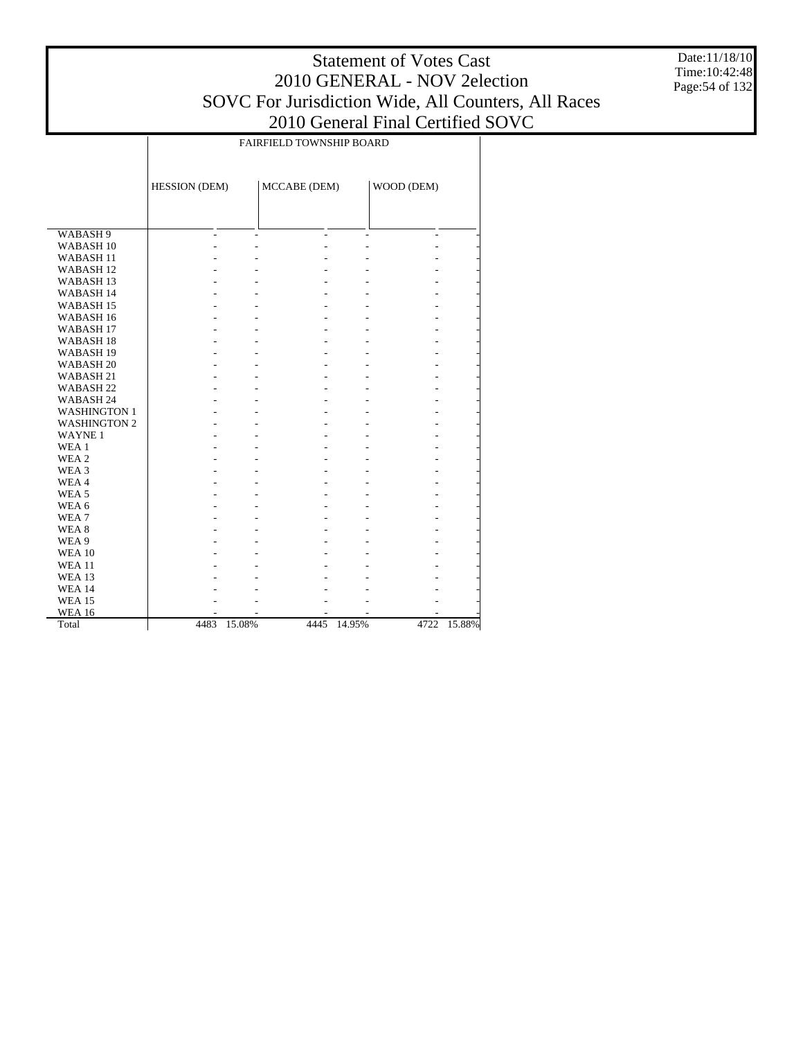Date:11/18/10 Time:10:42:48 Page:54 of 132

|                      | FAIRFIELD TOWNSHIP BOARD |        |              |        |            |        |  |  |  |
|----------------------|--------------------------|--------|--------------|--------|------------|--------|--|--|--|
|                      |                          |        |              |        |            |        |  |  |  |
|                      | HESSION (DEM)            |        | MCCABE (DEM) |        | WOOD (DEM) |        |  |  |  |
|                      |                          |        |              |        |            |        |  |  |  |
| WABASH 9             |                          |        |              |        |            |        |  |  |  |
| WABASH <sub>10</sub> |                          |        |              |        |            |        |  |  |  |
| WABASH <sub>11</sub> |                          |        |              |        |            |        |  |  |  |
| <b>WABASH12</b>      |                          |        |              |        |            |        |  |  |  |
| WABASH <sub>13</sub> |                          |        |              |        |            |        |  |  |  |
| WABASH 14            |                          |        |              |        |            |        |  |  |  |
| WABASH <sub>15</sub> |                          |        |              |        |            |        |  |  |  |
| WABASH <sub>16</sub> |                          |        |              |        |            |        |  |  |  |
| WABASH <sub>17</sub> |                          |        |              |        |            |        |  |  |  |
| WABASH <sub>18</sub> |                          |        |              |        |            |        |  |  |  |
| WABASH <sub>19</sub> |                          |        |              |        |            |        |  |  |  |
| WABASH <sub>20</sub> |                          |        |              |        |            |        |  |  |  |
| WABASH <sub>21</sub> |                          |        |              |        |            |        |  |  |  |
| WABASH <sub>22</sub> |                          |        |              |        |            |        |  |  |  |
| WABASH 24            |                          |        |              |        |            |        |  |  |  |
| <b>WASHINGTON 1</b>  |                          |        |              |        |            |        |  |  |  |
| <b>WASHINGTON 2</b>  |                          |        |              |        |            |        |  |  |  |
| <b>WAYNE1</b>        |                          |        |              |        |            |        |  |  |  |
| WEA 1                |                          |        |              |        |            |        |  |  |  |
| WEA <sub>2</sub>     |                          |        |              |        |            |        |  |  |  |
| WEA 3                |                          |        |              |        |            |        |  |  |  |
| WEA4                 |                          |        |              |        |            |        |  |  |  |
| WEA <sub>5</sub>     |                          |        |              |        |            |        |  |  |  |
| WEA 6                |                          |        |              |        |            |        |  |  |  |
| WEA <sub>7</sub>     |                          |        |              |        |            |        |  |  |  |
| WEA <sub>8</sub>     |                          |        |              |        |            |        |  |  |  |
| WEA 9                |                          |        |              |        |            |        |  |  |  |
| <b>WEA 10</b>        |                          |        |              |        |            |        |  |  |  |
| <b>WEA 11</b>        |                          |        |              |        |            |        |  |  |  |
| <b>WEA 13</b>        |                          |        |              |        |            |        |  |  |  |
| <b>WEA 14</b>        |                          |        |              |        |            |        |  |  |  |
| <b>WEA 15</b>        |                          |        |              |        |            |        |  |  |  |
| <b>WEA 16</b>        |                          |        |              |        |            |        |  |  |  |
| Total                | 4483                     | 15.08% | 4445         | 14.95% | 4722       | 15.88% |  |  |  |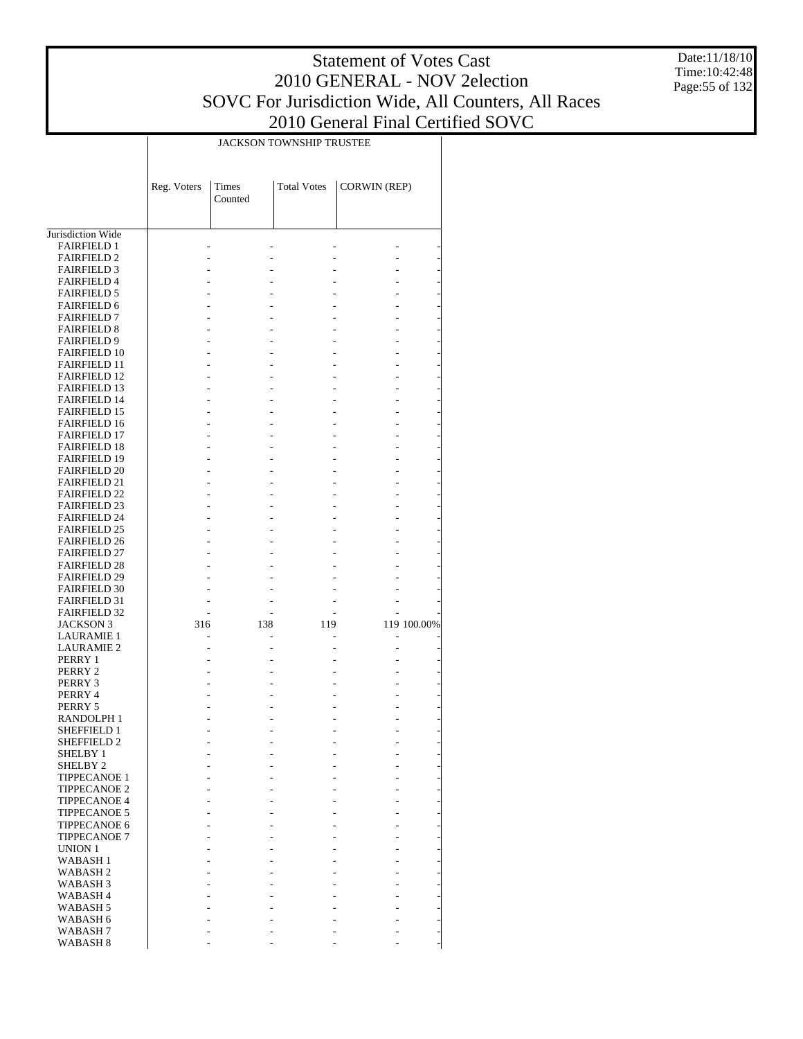Date:11/18/10 Time:10:42:48 Page:55 of 132

|                                            | JACKSON TOWNSHIP TRUSTEE |         |                    |                     |             |  |  |  |  |
|--------------------------------------------|--------------------------|---------|--------------------|---------------------|-------------|--|--|--|--|
|                                            |                          |         |                    |                     |             |  |  |  |  |
|                                            |                          |         |                    |                     |             |  |  |  |  |
|                                            | Reg. Voters              | Times   | <b>Total Votes</b> | <b>CORWIN (REP)</b> |             |  |  |  |  |
|                                            |                          | Counted |                    |                     |             |  |  |  |  |
|                                            |                          |         |                    |                     |             |  |  |  |  |
| Jurisdiction Wide                          |                          |         |                    |                     |             |  |  |  |  |
| <b>FAIRFIELD 1</b>                         |                          |         |                    |                     |             |  |  |  |  |
| <b>FAIRFIELD 2</b>                         |                          |         |                    |                     |             |  |  |  |  |
| <b>FAIRFIELD 3</b>                         |                          |         |                    |                     |             |  |  |  |  |
| <b>FAIRFIELD 4</b>                         |                          |         |                    |                     |             |  |  |  |  |
| <b>FAIRFIELD 5</b>                         |                          |         |                    |                     |             |  |  |  |  |
| <b>FAIRFIELD 6</b>                         |                          |         |                    |                     |             |  |  |  |  |
| <b>FAIRFIELD 7</b>                         |                          |         |                    |                     |             |  |  |  |  |
| <b>FAIRFIELD 8</b><br><b>FAIRFIELD 9</b>   |                          |         |                    |                     |             |  |  |  |  |
| <b>FAIRFIELD 10</b>                        |                          |         |                    |                     |             |  |  |  |  |
| <b>FAIRFIELD 11</b>                        |                          |         |                    |                     |             |  |  |  |  |
| <b>FAIRFIELD 12</b>                        |                          |         |                    |                     |             |  |  |  |  |
| <b>FAIRFIELD 13</b>                        |                          |         |                    |                     |             |  |  |  |  |
| <b>FAIRFIELD 14</b>                        |                          |         |                    |                     |             |  |  |  |  |
| <b>FAIRFIELD 15</b>                        |                          |         |                    |                     |             |  |  |  |  |
| <b>FAIRFIELD 16</b>                        |                          |         |                    |                     |             |  |  |  |  |
| <b>FAIRFIELD 17</b><br><b>FAIRFIELD 18</b> |                          |         |                    |                     |             |  |  |  |  |
| <b>FAIRFIELD 19</b>                        |                          |         |                    |                     |             |  |  |  |  |
| <b>FAIRFIELD 20</b>                        |                          |         |                    |                     |             |  |  |  |  |
| <b>FAIRFIELD 21</b>                        |                          |         |                    |                     |             |  |  |  |  |
| <b>FAIRFIELD 22</b>                        |                          |         |                    |                     |             |  |  |  |  |
| <b>FAIRFIELD 23</b>                        |                          |         |                    |                     |             |  |  |  |  |
| <b>FAIRFIELD 24</b>                        |                          |         |                    |                     |             |  |  |  |  |
| <b>FAIRFIELD 25</b>                        |                          |         |                    |                     |             |  |  |  |  |
| <b>FAIRFIELD 26</b><br><b>FAIRFIELD 27</b> |                          |         |                    |                     |             |  |  |  |  |
| <b>FAIRFIELD 28</b>                        |                          |         |                    |                     |             |  |  |  |  |
| <b>FAIRFIELD 29</b>                        |                          |         |                    |                     |             |  |  |  |  |
| <b>FAIRFIELD 30</b>                        |                          |         |                    |                     |             |  |  |  |  |
| <b>FAIRFIELD 31</b>                        |                          |         |                    |                     |             |  |  |  |  |
| <b>FAIRFIELD 32</b>                        |                          |         |                    |                     |             |  |  |  |  |
| <b>JACKSON 3</b>                           | 316                      | 138     | 119                |                     | 119 100.00% |  |  |  |  |
| <b>LAURAMIE 1</b><br><b>LAURAMIE 2</b>     |                          |         |                    |                     |             |  |  |  |  |
| PERRY 1                                    |                          |         |                    |                     |             |  |  |  |  |
| PERRY 2                                    |                          |         |                    |                     |             |  |  |  |  |
| PERRY 3                                    |                          |         |                    |                     |             |  |  |  |  |
| PERRY 4                                    |                          |         |                    |                     |             |  |  |  |  |
| PERRY 5                                    |                          |         |                    |                     |             |  |  |  |  |
| RANDOLPH 1                                 |                          |         |                    |                     |             |  |  |  |  |
| <b>SHEFFIELD 1</b><br><b>SHEFFIELD 2</b>   |                          |         |                    |                     |             |  |  |  |  |
| SHELBY 1                                   |                          |         |                    |                     |             |  |  |  |  |
| SHELBY <sub>2</sub>                        |                          |         |                    |                     |             |  |  |  |  |
| <b>TIPPECANOE 1</b>                        |                          |         |                    |                     |             |  |  |  |  |
| <b>TIPPECANOE 2</b>                        |                          |         |                    |                     |             |  |  |  |  |
| <b>TIPPECANOE 4</b>                        |                          |         |                    |                     |             |  |  |  |  |
| <b>TIPPECANOE 5</b>                        |                          |         |                    |                     |             |  |  |  |  |
| TIPPECANOE 6                               |                          |         |                    |                     |             |  |  |  |  |
| <b>TIPPECANOE 7</b><br>UNION 1             |                          |         |                    |                     |             |  |  |  |  |
| WABASH 1                                   |                          |         |                    |                     |             |  |  |  |  |
| <b>WABASH2</b>                             |                          |         |                    |                     |             |  |  |  |  |
| WABASH 3                                   |                          |         |                    |                     |             |  |  |  |  |
| WABASH 4                                   |                          |         |                    |                     |             |  |  |  |  |
| WABASH 5                                   |                          |         |                    |                     |             |  |  |  |  |
| WABASH 6                                   |                          |         |                    |                     |             |  |  |  |  |
| WABASH 7                                   |                          |         |                    |                     |             |  |  |  |  |
| WABASH 8                                   |                          |         |                    |                     |             |  |  |  |  |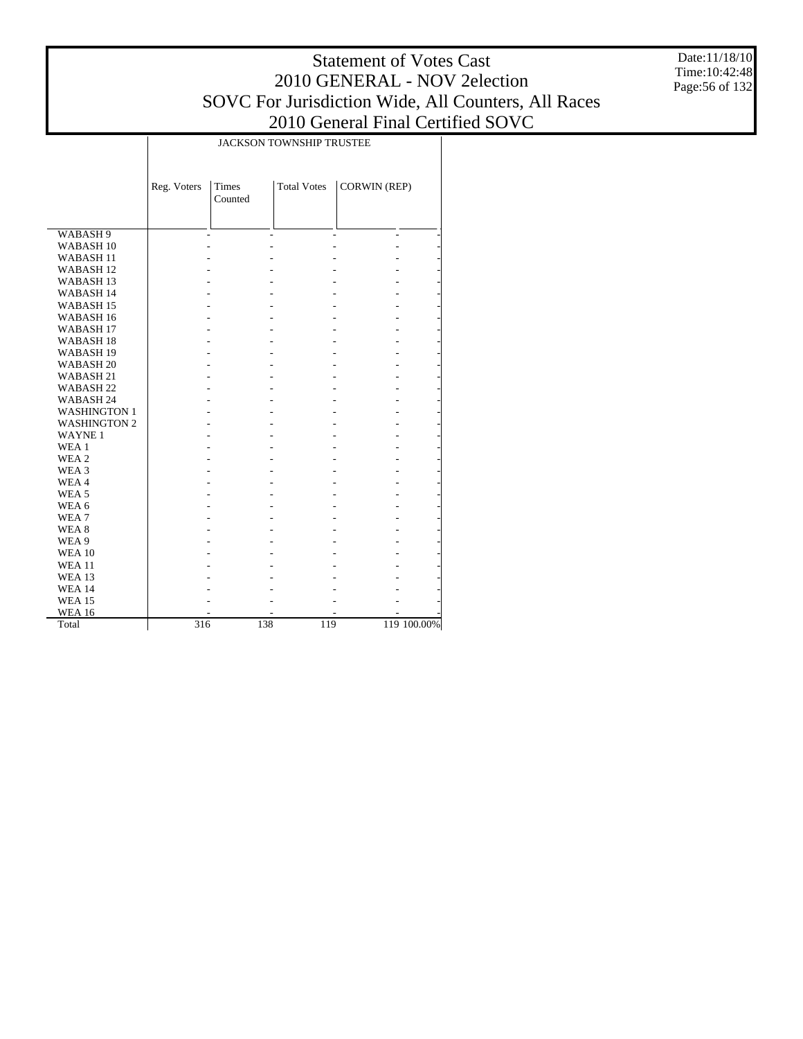Date:11/18/10 Time:10:42:48 Page:56 of 132

|                      |                  | <b>JACKSON TOWNSHIP TRUSTEE</b> |                    |                          |             |  |  |  |  |  |  |
|----------------------|------------------|---------------------------------|--------------------|--------------------------|-------------|--|--|--|--|--|--|
|                      | Reg. Voters      | <b>Times</b><br>Counted         | <b>Total Votes</b> | <b>CORWIN (REP)</b>      |             |  |  |  |  |  |  |
| WABASH 9             |                  |                                 |                    | $\overline{\phantom{a}}$ |             |  |  |  |  |  |  |
| WABASH <sub>10</sub> |                  |                                 |                    |                          |             |  |  |  |  |  |  |
| <b>WABASH11</b>      |                  |                                 |                    |                          |             |  |  |  |  |  |  |
| WABASH <sub>12</sub> |                  |                                 |                    |                          |             |  |  |  |  |  |  |
| WABASH <sub>13</sub> |                  |                                 |                    |                          |             |  |  |  |  |  |  |
| <b>WABASH14</b>      |                  |                                 |                    |                          |             |  |  |  |  |  |  |
| WABASH <sub>15</sub> |                  |                                 |                    |                          |             |  |  |  |  |  |  |
| WABASH <sub>16</sub> |                  |                                 |                    |                          |             |  |  |  |  |  |  |
| WABASH <sub>17</sub> |                  |                                 |                    |                          |             |  |  |  |  |  |  |
| WABASH <sub>18</sub> |                  |                                 |                    |                          |             |  |  |  |  |  |  |
| WABASH <sub>19</sub> |                  |                                 |                    |                          |             |  |  |  |  |  |  |
| WABASH <sub>20</sub> |                  |                                 |                    |                          |             |  |  |  |  |  |  |
| WABASH 21            |                  |                                 |                    |                          |             |  |  |  |  |  |  |
| WABASH <sub>22</sub> |                  |                                 |                    |                          |             |  |  |  |  |  |  |
| WABASH 24            |                  |                                 |                    |                          |             |  |  |  |  |  |  |
| <b>WASHINGTON 1</b>  |                  |                                 |                    |                          |             |  |  |  |  |  |  |
| <b>WASHINGTON 2</b>  |                  |                                 |                    |                          |             |  |  |  |  |  |  |
| <b>WAYNE1</b>        |                  |                                 |                    |                          |             |  |  |  |  |  |  |
| WEA 1                |                  |                                 |                    |                          |             |  |  |  |  |  |  |
| WEA <sub>2</sub>     |                  |                                 |                    |                          |             |  |  |  |  |  |  |
| WEA 3                |                  |                                 |                    |                          |             |  |  |  |  |  |  |
| WEA4                 |                  |                                 |                    |                          |             |  |  |  |  |  |  |
| WEA <sub>5</sub>     |                  |                                 |                    |                          |             |  |  |  |  |  |  |
| WEA 6                |                  |                                 |                    |                          |             |  |  |  |  |  |  |
| WEA7                 |                  |                                 |                    |                          |             |  |  |  |  |  |  |
| WEA 8                |                  |                                 |                    |                          |             |  |  |  |  |  |  |
| WEA 9                |                  |                                 |                    |                          |             |  |  |  |  |  |  |
| <b>WEA 10</b>        |                  |                                 |                    |                          |             |  |  |  |  |  |  |
| <b>WEA 11</b>        |                  |                                 |                    |                          |             |  |  |  |  |  |  |
| <b>WEA 13</b>        |                  |                                 |                    |                          |             |  |  |  |  |  |  |
| <b>WEA 14</b>        |                  |                                 |                    |                          |             |  |  |  |  |  |  |
| <b>WEA 15</b>        |                  |                                 |                    |                          |             |  |  |  |  |  |  |
| <b>WEA 16</b>        |                  |                                 |                    |                          |             |  |  |  |  |  |  |
| Total                | $\overline{316}$ | 138                             | 119                |                          | 119 100.00% |  |  |  |  |  |  |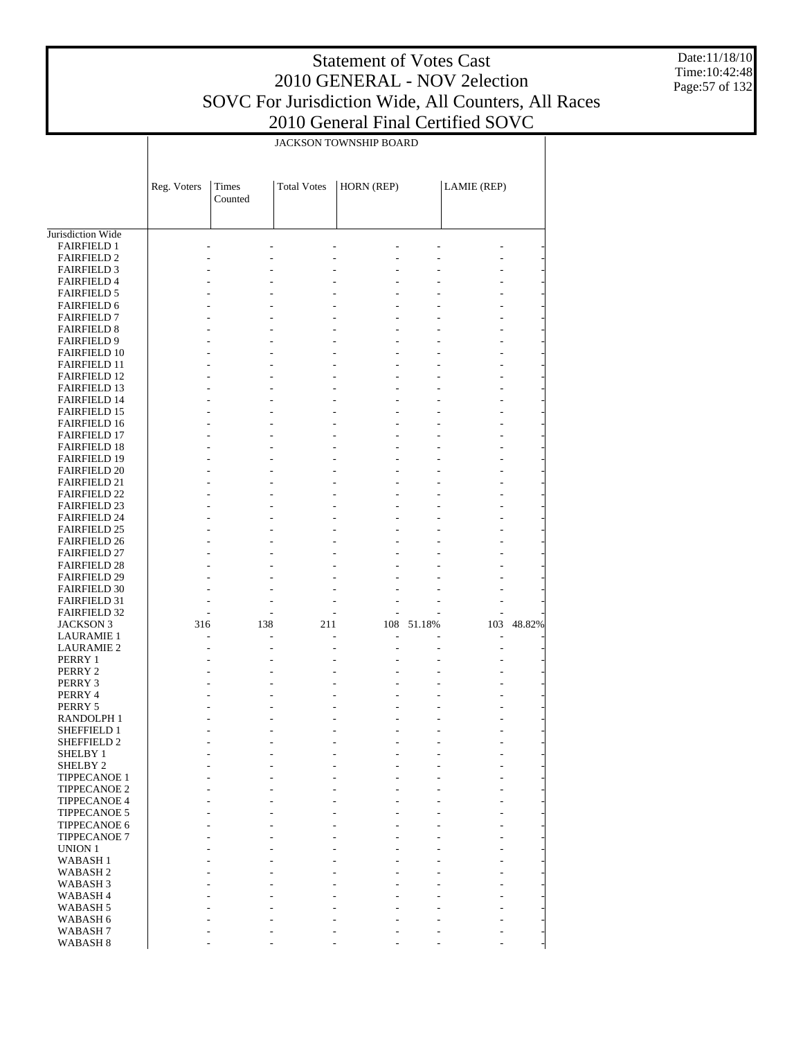Date:11/18/10 Time:10:42:48 Page:57 of 132

|                                            | JACKSON TOWNSHIP BOARD |                  |                    |                |            |             |        |  |  |
|--------------------------------------------|------------------------|------------------|--------------------|----------------|------------|-------------|--------|--|--|
|                                            | Reg. Voters            | Times<br>Counted | <b>Total Votes</b> | HORN (REP)     |            | LAMIE (REP) |        |  |  |
| Jurisdiction Wide                          |                        |                  |                    |                |            |             |        |  |  |
| <b>FAIRFIELD 1</b>                         |                        |                  |                    |                |            |             |        |  |  |
| <b>FAIRFIELD 2</b>                         |                        |                  |                    |                |            |             |        |  |  |
| <b>FAIRFIELD 3</b>                         |                        |                  |                    |                |            |             |        |  |  |
| <b>FAIRFIELD 4</b>                         |                        |                  |                    |                |            |             |        |  |  |
| <b>FAIRFIELD 5</b>                         |                        |                  |                    |                |            |             |        |  |  |
| <b>FAIRFIELD 6</b><br><b>FAIRFIELD 7</b>   |                        |                  |                    | L              |            |             |        |  |  |
| <b>FAIRFIELD 8</b>                         |                        |                  |                    | L.             |            |             |        |  |  |
| <b>FAIRFIELD 9</b>                         |                        |                  |                    |                |            |             |        |  |  |
| <b>FAIRFIELD 10</b>                        |                        |                  |                    | L              |            |             |        |  |  |
| <b>FAIRFIELD 11</b>                        |                        |                  |                    |                |            |             |        |  |  |
| <b>FAIRFIELD 12</b>                        |                        |                  |                    | L.             |            |             |        |  |  |
| <b>FAIRFIELD 13</b>                        |                        |                  |                    |                |            |             |        |  |  |
| <b>FAIRFIELD 14</b>                        |                        |                  |                    | L              |            |             |        |  |  |
| <b>FAIRFIELD 15</b>                        |                        |                  |                    |                |            |             |        |  |  |
| <b>FAIRFIELD 16</b>                        |                        |                  |                    | L.             |            |             |        |  |  |
| <b>FAIRFIELD 17</b>                        |                        |                  |                    | L              |            |             |        |  |  |
| <b>FAIRFIELD 18</b><br><b>FAIRFIELD 19</b> |                        |                  |                    |                |            |             |        |  |  |
| <b>FAIRFIELD 20</b>                        |                        |                  |                    | $\overline{a}$ |            |             |        |  |  |
| <b>FAIRFIELD 21</b>                        |                        |                  |                    |                |            |             |        |  |  |
| <b>FAIRFIELD 22</b>                        |                        |                  |                    | L              |            |             |        |  |  |
| <b>FAIRFIELD 23</b>                        |                        |                  |                    |                |            |             |        |  |  |
| <b>FAIRFIELD 24</b>                        |                        |                  |                    | $\overline{a}$ |            |             |        |  |  |
| <b>FAIRFIELD 25</b>                        |                        |                  |                    |                |            |             |        |  |  |
| <b>FAIRFIELD 26</b>                        |                        |                  |                    | L.             |            |             |        |  |  |
| <b>FAIRFIELD 27</b>                        |                        |                  |                    |                |            |             |        |  |  |
| <b>FAIRFIELD 28</b>                        |                        |                  |                    | L.             |            |             |        |  |  |
| <b>FAIRFIELD 29</b><br><b>FAIRFIELD 30</b> |                        |                  |                    |                |            |             |        |  |  |
| <b>FAIRFIELD 31</b>                        |                        |                  |                    |                |            |             |        |  |  |
| <b>FAIRFIELD 32</b>                        |                        |                  |                    |                |            |             |        |  |  |
| <b>JACKSON 3</b>                           | 316                    | 138              | 211                |                | 108 51.18% | 103         | 48.82% |  |  |
| <b>LAURAMIE 1</b>                          | ÷                      |                  |                    | ÷,             |            |             |        |  |  |
| <b>LAURAMIE 2</b>                          |                        |                  |                    |                |            |             |        |  |  |
| PERRY 1                                    |                        |                  |                    | L.             |            |             |        |  |  |
| PERRY 2                                    |                        |                  |                    |                |            |             |        |  |  |
| PERRY 3                                    |                        |                  |                    |                |            |             |        |  |  |
| PERRY 4                                    |                        |                  |                    |                |            |             |        |  |  |
| PERRY 5<br>RANDOLPH 1                      |                        |                  |                    |                |            |             |        |  |  |
| <b>SHEFFIELD 1</b>                         |                        |                  |                    |                |            |             |        |  |  |
| SHEFFIELD 2                                |                        |                  |                    |                |            |             |        |  |  |
| SHELBY 1                                   |                        |                  |                    |                |            |             |        |  |  |
| SHELBY <sub>2</sub>                        |                        |                  |                    |                |            |             |        |  |  |
| TIPPECANOE 1                               |                        |                  |                    |                |            |             |        |  |  |
| <b>TIPPECANOE 2</b>                        |                        |                  |                    |                |            |             |        |  |  |
| <b>TIPPECANOE 4</b>                        |                        |                  |                    |                |            |             |        |  |  |
| <b>TIPPECANOE 5</b>                        |                        |                  |                    |                |            |             |        |  |  |
| TIPPECANOE 6<br><b>TIPPECANOE 7</b>        |                        |                  |                    |                |            |             |        |  |  |
| <b>UNION 1</b>                             |                        |                  |                    |                |            |             |        |  |  |
| <b>WABASH1</b>                             |                        |                  |                    |                |            |             |        |  |  |
| WABASH <sub>2</sub>                        |                        |                  |                    |                |            |             |        |  |  |
| WABASH <sub>3</sub>                        |                        |                  |                    |                |            |             |        |  |  |
| WABASH <sub>4</sub>                        |                        |                  |                    |                |            |             |        |  |  |
| WABASH <sub>5</sub>                        |                        |                  |                    |                |            |             |        |  |  |
| WABASH 6                                   |                        |                  |                    |                |            |             |        |  |  |
| WABASH7                                    |                        |                  |                    |                |            |             |        |  |  |

- - - - - - -

WABASH 8

 $\mathbf{I}$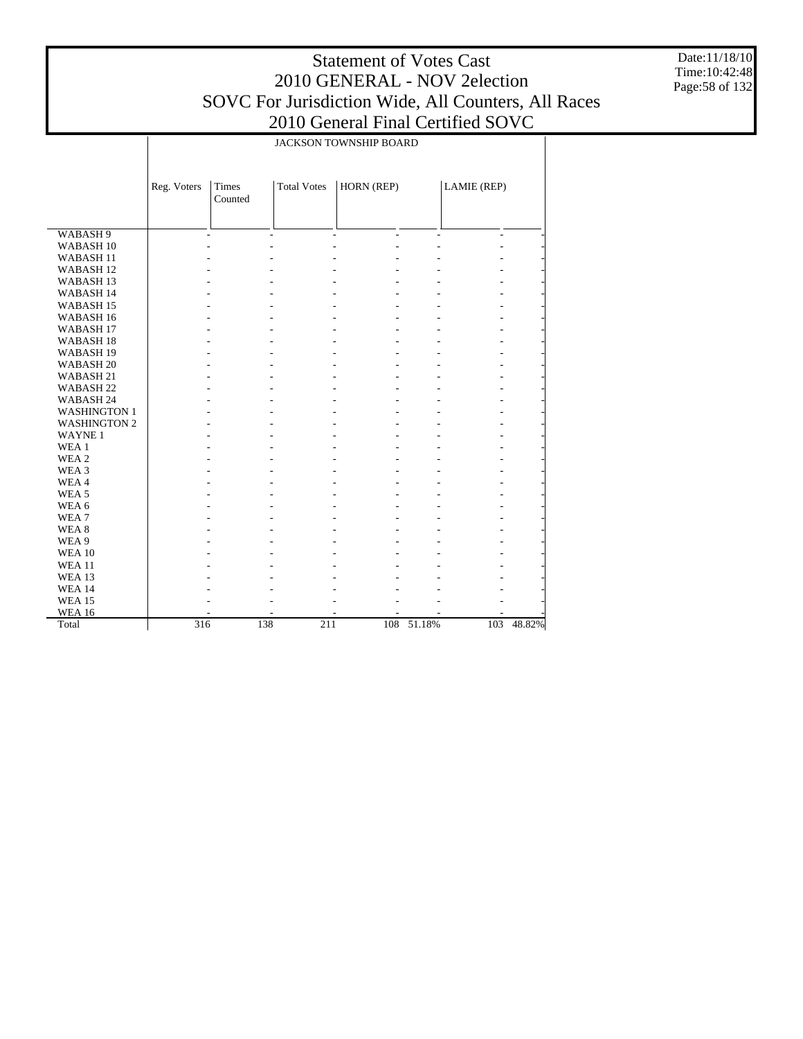Date:11/18/10 Time:10:42:48 Page:58 of 132

|                      |             |         |                    | JACKSON TOWNSHIP BOARD |        |             |        |  |  |
|----------------------|-------------|---------|--------------------|------------------------|--------|-------------|--------|--|--|
|                      |             |         |                    |                        |        |             |        |  |  |
|                      |             |         |                    |                        |        |             |        |  |  |
|                      | Reg. Voters | Times   | <b>Total Votes</b> | HORN (REP)             |        | LAMIE (REP) |        |  |  |
|                      |             | Counted |                    |                        |        |             |        |  |  |
|                      |             |         |                    |                        |        |             |        |  |  |
|                      |             |         |                    |                        |        |             |        |  |  |
| WABASH <sub>9</sub>  |             |         |                    |                        |        | L,          |        |  |  |
| WABASH <sub>10</sub> |             |         |                    |                        |        | L,          |        |  |  |
| WABASH <sub>11</sub> |             |         |                    |                        |        |             |        |  |  |
| WABASH <sub>12</sub> |             |         |                    |                        |        |             |        |  |  |
| WABASH <sub>13</sub> |             |         |                    |                        |        |             |        |  |  |
| WABASH 14            |             |         |                    |                        |        |             |        |  |  |
| WABASH <sub>15</sub> |             |         |                    |                        |        |             |        |  |  |
| WABASH <sub>16</sub> |             |         |                    |                        |        |             |        |  |  |
| WABASH <sub>17</sub> |             |         |                    |                        |        |             |        |  |  |
| WABASH <sub>18</sub> |             |         |                    |                        |        |             |        |  |  |
| WABASH <sub>19</sub> |             |         |                    |                        |        |             |        |  |  |
| WABASH <sub>20</sub> |             |         |                    |                        |        |             |        |  |  |
| WABASH <sub>21</sub> |             |         |                    |                        |        |             |        |  |  |
| WABASH <sub>22</sub> |             |         |                    |                        |        |             |        |  |  |
| WABASH 24            |             |         |                    |                        |        |             |        |  |  |
| <b>WASHINGTON 1</b>  |             |         |                    |                        |        |             |        |  |  |
| <b>WASHINGTON 2</b>  |             |         |                    |                        |        |             |        |  |  |
| <b>WAYNE1</b>        |             |         |                    |                        |        |             |        |  |  |
| WEA 1                |             |         |                    |                        |        |             |        |  |  |
| WEA <sub>2</sub>     |             |         |                    |                        |        |             |        |  |  |
| WEA 3                |             |         |                    |                        |        |             |        |  |  |
| WEA4                 |             |         |                    |                        |        |             |        |  |  |
| WEA <sub>5</sub>     |             |         |                    |                        |        |             |        |  |  |
| WEA 6                |             |         |                    |                        |        |             |        |  |  |
| WEA <sub>7</sub>     |             |         |                    |                        |        |             |        |  |  |
| WEA <sub>8</sub>     |             |         |                    |                        |        |             |        |  |  |
| WEA 9                |             |         |                    |                        |        |             |        |  |  |
| <b>WEA 10</b>        |             |         |                    |                        |        |             |        |  |  |
| <b>WEA11</b>         |             |         |                    |                        |        |             |        |  |  |
| <b>WEA 13</b>        |             |         |                    |                        |        |             |        |  |  |
| <b>WEA 14</b>        |             |         |                    |                        |        |             |        |  |  |
| <b>WEA 15</b>        |             |         |                    |                        |        |             |        |  |  |
| <b>WEA 16</b>        |             |         |                    |                        |        |             |        |  |  |
| Total                | 316         |         | 138<br>211         | 108                    | 51.18% | 103         | 48.82% |  |  |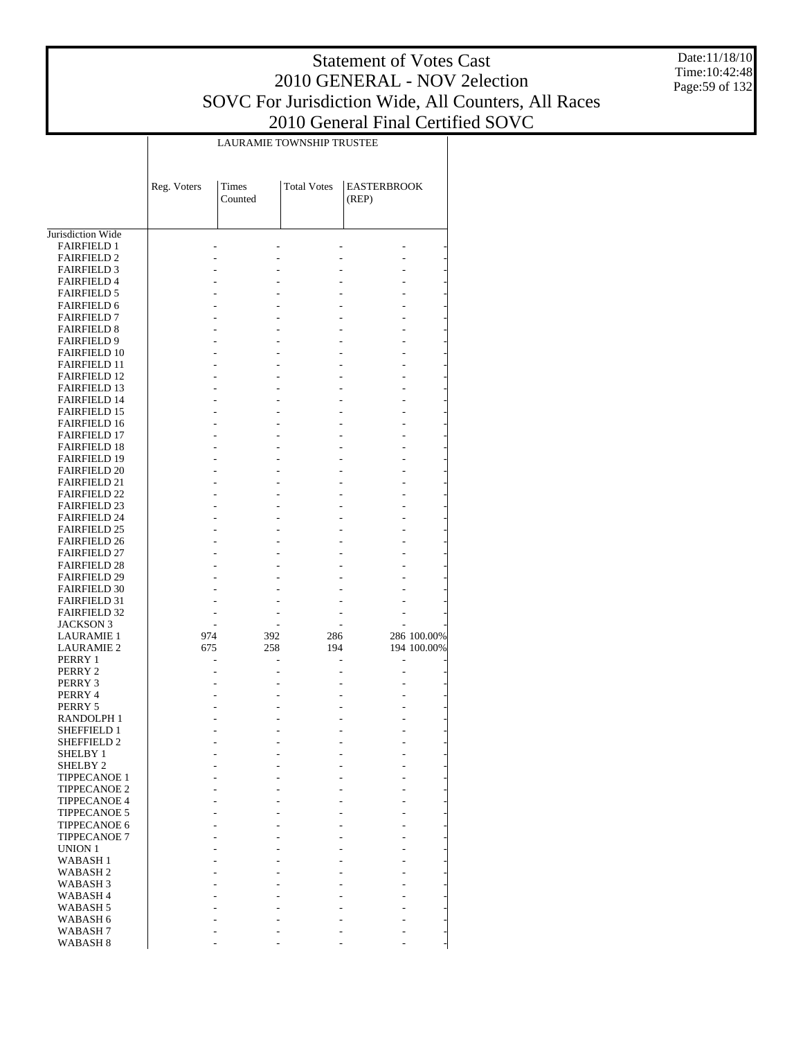Date:11/18/10 Time:10:42:48 Page:59 of 132

|                                            | LAURAMIE TOWNSHIP TRUSTEE |                      |                    |                             |                            |  |  |  |  |  |
|--------------------------------------------|---------------------------|----------------------|--------------------|-----------------------------|----------------------------|--|--|--|--|--|
|                                            | Reg. Voters               | Times<br>Counted     | <b>Total Votes</b> | <b>EASTERBROOK</b><br>(REP) |                            |  |  |  |  |  |
| Jurisdiction Wide                          |                           |                      |                    |                             |                            |  |  |  |  |  |
| <b>FAIRFIELD 1</b>                         |                           |                      |                    |                             |                            |  |  |  |  |  |
| <b>FAIRFIELD 2</b>                         |                           |                      |                    |                             |                            |  |  |  |  |  |
| <b>FAIRFIELD 3</b>                         |                           |                      |                    |                             |                            |  |  |  |  |  |
| <b>FAIRFIELD 4</b>                         |                           |                      |                    |                             |                            |  |  |  |  |  |
| <b>FAIRFIELD 5</b>                         |                           |                      |                    |                             |                            |  |  |  |  |  |
| <b>FAIRFIELD 6</b>                         |                           |                      |                    |                             |                            |  |  |  |  |  |
| <b>FAIRFIELD 7</b>                         |                           |                      |                    |                             |                            |  |  |  |  |  |
| <b>FAIRFIELD 8</b><br><b>FAIRFIELD 9</b>   |                           |                      |                    |                             |                            |  |  |  |  |  |
| <b>FAIRFIELD 10</b>                        |                           |                      |                    |                             |                            |  |  |  |  |  |
| <b>FAIRFIELD 11</b>                        |                           |                      |                    |                             |                            |  |  |  |  |  |
| <b>FAIRFIELD 12</b>                        |                           |                      |                    |                             |                            |  |  |  |  |  |
| <b>FAIRFIELD 13</b>                        |                           |                      |                    |                             |                            |  |  |  |  |  |
| <b>FAIRFIELD 14</b>                        |                           |                      |                    |                             |                            |  |  |  |  |  |
| <b>FAIRFIELD 15</b>                        |                           |                      |                    |                             |                            |  |  |  |  |  |
| <b>FAIRFIELD 16</b>                        |                           |                      |                    |                             |                            |  |  |  |  |  |
| <b>FAIRFIELD 17</b><br><b>FAIRFIELD 18</b> |                           |                      |                    |                             |                            |  |  |  |  |  |
| <b>FAIRFIELD 19</b>                        |                           |                      |                    |                             |                            |  |  |  |  |  |
| <b>FAIRFIELD 20</b>                        |                           |                      |                    |                             |                            |  |  |  |  |  |
| <b>FAIRFIELD 21</b>                        |                           |                      |                    |                             |                            |  |  |  |  |  |
| <b>FAIRFIELD 22</b>                        |                           |                      |                    |                             |                            |  |  |  |  |  |
| <b>FAIRFIELD 23</b>                        |                           |                      |                    |                             |                            |  |  |  |  |  |
| <b>FAIRFIELD 24</b>                        |                           |                      |                    |                             |                            |  |  |  |  |  |
| <b>FAIRFIELD 25</b>                        |                           |                      |                    |                             |                            |  |  |  |  |  |
| <b>FAIRFIELD 26</b><br><b>FAIRFIELD 27</b> |                           |                      |                    |                             |                            |  |  |  |  |  |
| <b>FAIRFIELD 28</b>                        |                           |                      |                    |                             |                            |  |  |  |  |  |
| <b>FAIRFIELD 29</b>                        |                           |                      |                    |                             |                            |  |  |  |  |  |
| <b>FAIRFIELD 30</b>                        |                           |                      |                    |                             |                            |  |  |  |  |  |
| <b>FAIRFIELD 31</b>                        |                           |                      |                    |                             |                            |  |  |  |  |  |
| <b>FAIRFIELD 32</b>                        |                           |                      |                    |                             |                            |  |  |  |  |  |
| JACKSON 3                                  |                           |                      |                    |                             |                            |  |  |  |  |  |
| <b>LAURAMIE 1</b><br><b>LAURAMIE 2</b>     | 974<br>675                | 392<br>258           | 286<br>194         |                             | 286 100.00%<br>194 100.00% |  |  |  |  |  |
| PERRY 1                                    |                           | L,<br>$\overline{a}$ |                    |                             |                            |  |  |  |  |  |
| PERRY 2                                    |                           |                      |                    |                             |                            |  |  |  |  |  |
| PERRY 3                                    |                           |                      |                    |                             |                            |  |  |  |  |  |
| PERRY 4                                    |                           |                      |                    |                             |                            |  |  |  |  |  |
| PERRY 5                                    |                           |                      |                    |                             |                            |  |  |  |  |  |
| RANDOLPH 1                                 |                           |                      |                    |                             |                            |  |  |  |  |  |
| <b>SHEFFIELD 1</b><br>SHEFFIELD 2          |                           |                      |                    |                             |                            |  |  |  |  |  |
| <b>SHELBY 1</b>                            |                           |                      |                    |                             |                            |  |  |  |  |  |
| SHELBY <sub>2</sub>                        |                           |                      |                    |                             |                            |  |  |  |  |  |
| <b>TIPPECANOE 1</b>                        |                           |                      |                    |                             |                            |  |  |  |  |  |
| <b>TIPPECANOE 2</b>                        |                           |                      |                    |                             |                            |  |  |  |  |  |
| <b>TIPPECANOE 4</b>                        |                           |                      |                    |                             |                            |  |  |  |  |  |
| <b>TIPPECANOE 5</b>                        |                           |                      |                    |                             |                            |  |  |  |  |  |
| <b>TIPPECANOE 6</b>                        |                           |                      |                    |                             |                            |  |  |  |  |  |
| <b>TIPPECANOE 7</b><br>UNION 1             |                           |                      |                    |                             |                            |  |  |  |  |  |
| WABASH <sub>1</sub>                        |                           |                      |                    |                             |                            |  |  |  |  |  |
| WABASH 2                                   |                           |                      |                    |                             |                            |  |  |  |  |  |
| WABASH 3                                   |                           |                      |                    |                             |                            |  |  |  |  |  |
| WABASH <sub>4</sub>                        |                           |                      |                    |                             |                            |  |  |  |  |  |
| WABASH 5                                   |                           |                      |                    |                             |                            |  |  |  |  |  |
| WABASH 6                                   |                           |                      |                    |                             |                            |  |  |  |  |  |
| WABASH 7<br>WABASH <sub>8</sub>            |                           |                      |                    |                             |                            |  |  |  |  |  |
|                                            |                           |                      |                    |                             |                            |  |  |  |  |  |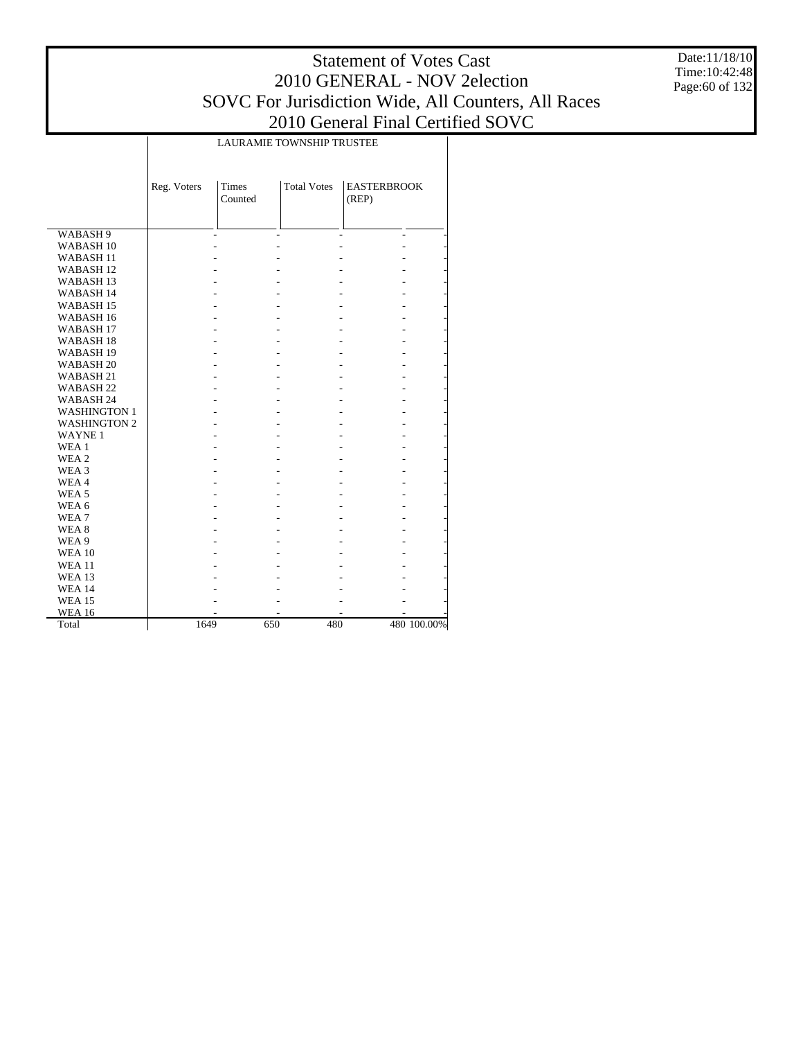Date:11/18/10 Time:10:42:48 Page:60 of 132

|                      |             | LAURAMIE TOWNSHIP TRUSTEE |                    |                             |             |  |  |  |  |  |
|----------------------|-------------|---------------------------|--------------------|-----------------------------|-------------|--|--|--|--|--|
|                      | Reg. Voters | <b>Times</b><br>Counted   | <b>Total Votes</b> | <b>EASTERBROOK</b><br>(REP) |             |  |  |  |  |  |
| WABASH 9             |             |                           |                    |                             |             |  |  |  |  |  |
| WABASH <sub>10</sub> |             |                           |                    |                             |             |  |  |  |  |  |
| <b>WABASH11</b>      |             |                           |                    |                             |             |  |  |  |  |  |
| WABASH <sub>12</sub> |             |                           |                    |                             |             |  |  |  |  |  |
| WABASH <sub>13</sub> |             |                           |                    |                             |             |  |  |  |  |  |
| WABASH 14            |             |                           |                    |                             |             |  |  |  |  |  |
| WABASH <sub>15</sub> |             |                           |                    |                             |             |  |  |  |  |  |
| WABASH <sub>16</sub> |             |                           |                    |                             |             |  |  |  |  |  |
| WABASH <sub>17</sub> |             |                           |                    |                             |             |  |  |  |  |  |
| WABASH 18            |             |                           |                    |                             |             |  |  |  |  |  |
| WABASH <sub>19</sub> |             |                           |                    |                             |             |  |  |  |  |  |
| WABASH <sub>20</sub> |             |                           |                    |                             |             |  |  |  |  |  |
| WABASH <sub>21</sub> |             |                           |                    |                             |             |  |  |  |  |  |
| WABASH <sub>22</sub> |             |                           |                    |                             |             |  |  |  |  |  |
| WABASH 24            |             |                           |                    |                             |             |  |  |  |  |  |
| <b>WASHINGTON 1</b>  |             |                           |                    |                             |             |  |  |  |  |  |
| <b>WASHINGTON 2</b>  |             |                           |                    |                             |             |  |  |  |  |  |
| <b>WAYNE1</b>        |             |                           |                    |                             |             |  |  |  |  |  |
| WEA <sub>1</sub>     |             |                           |                    |                             |             |  |  |  |  |  |
| WEA 2                |             |                           |                    |                             |             |  |  |  |  |  |
| WEA 3                |             |                           |                    |                             |             |  |  |  |  |  |
| WEA4                 |             |                           |                    |                             |             |  |  |  |  |  |
| WEA <sub>5</sub>     |             |                           |                    |                             |             |  |  |  |  |  |
| WEA 6                |             |                           |                    |                             |             |  |  |  |  |  |
| WEA <sub>7</sub>     |             |                           |                    |                             |             |  |  |  |  |  |
| WEA <sub>8</sub>     |             |                           |                    |                             |             |  |  |  |  |  |
| WEA 9                |             |                           |                    |                             |             |  |  |  |  |  |
| <b>WEA 10</b>        |             |                           |                    |                             |             |  |  |  |  |  |
| <b>WEA 11</b>        |             |                           |                    |                             |             |  |  |  |  |  |
| <b>WEA 13</b>        |             |                           |                    |                             |             |  |  |  |  |  |
| <b>WEA 14</b>        |             |                           |                    |                             |             |  |  |  |  |  |
| <b>WEA 15</b>        |             |                           |                    |                             |             |  |  |  |  |  |
| <b>WEA 16</b>        |             |                           |                    |                             |             |  |  |  |  |  |
| Total                | 1649        |                           | 650<br>480         |                             | 480 100.00% |  |  |  |  |  |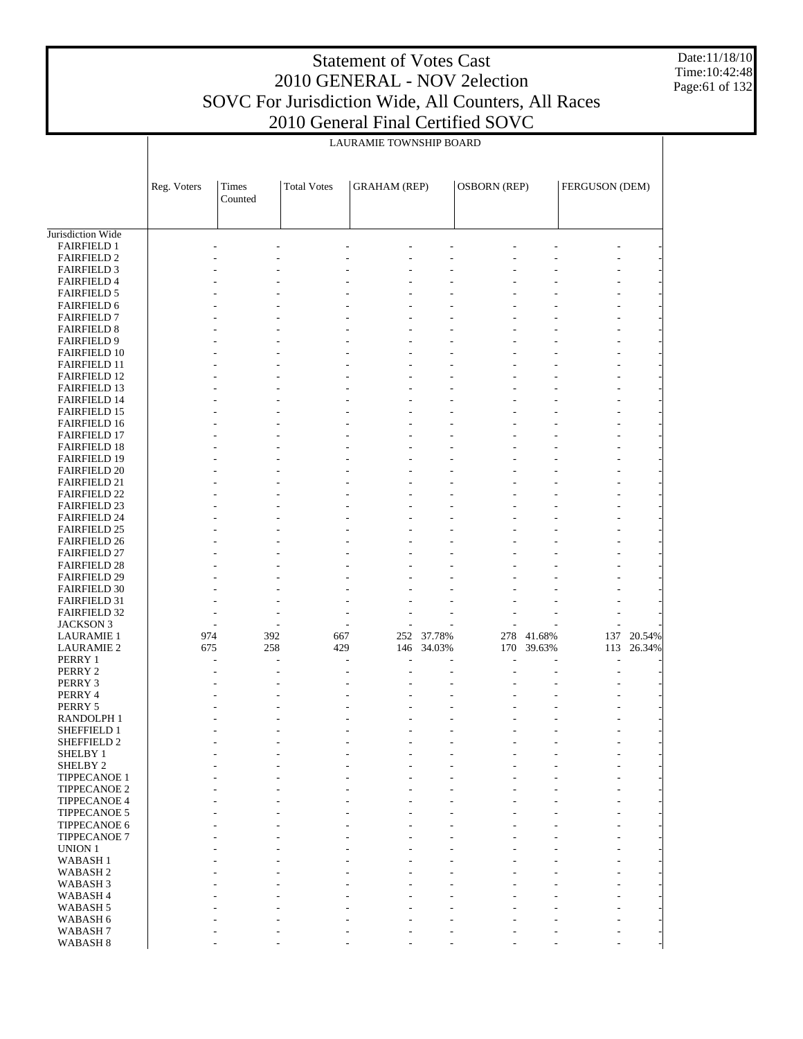Date:11/18/10 Time:10:42:48 Page:61 of 132

|                                            |             |                |                    | LAURAMIE TOWNSHIP BOARD |            |                     |        |                |        |
|--------------------------------------------|-------------|----------------|--------------------|-------------------------|------------|---------------------|--------|----------------|--------|
|                                            |             |                |                    |                         |            |                     |        |                |        |
|                                            |             |                |                    |                         |            |                     |        |                |        |
|                                            | Reg. Voters | Times          | <b>Total Votes</b> | <b>GRAHAM</b> (REP)     |            | <b>OSBORN</b> (REP) |        | FERGUSON (DEM) |        |
|                                            |             | Counted        |                    |                         |            |                     |        |                |        |
|                                            |             |                |                    |                         |            |                     |        |                |        |
|                                            |             |                |                    |                         |            |                     |        |                |        |
| Jurisdiction Wide                          |             |                |                    |                         |            |                     |        |                |        |
| <b>FAIRFIELD 1</b><br><b>FAIRFIELD 2</b>   |             |                |                    |                         |            |                     |        |                |        |
| <b>FAIRFIELD 3</b>                         |             |                |                    |                         |            |                     |        |                |        |
| <b>FAIRFIELD 4</b>                         |             |                |                    |                         |            |                     |        |                |        |
| <b>FAIRFIELD 5</b>                         |             |                |                    |                         |            |                     |        |                |        |
| <b>FAIRFIELD 6</b>                         |             |                |                    |                         |            |                     |        |                |        |
| <b>FAIRFIELD 7</b>                         |             |                |                    |                         |            |                     |        |                |        |
| <b>FAIRFIELD 8</b>                         |             |                |                    |                         |            |                     |        |                |        |
| <b>FAIRFIELD 9</b><br><b>FAIRFIELD 10</b>  |             |                |                    |                         |            |                     |        |                |        |
| <b>FAIRFIELD 11</b>                        |             |                |                    |                         |            |                     |        |                |        |
| <b>FAIRFIELD 12</b>                        |             |                |                    |                         |            |                     |        |                |        |
| <b>FAIRFIELD 13</b>                        |             |                |                    |                         |            |                     |        |                |        |
| <b>FAIRFIELD 14</b>                        |             |                |                    |                         |            |                     |        |                |        |
| <b>FAIRFIELD 15</b>                        |             |                |                    |                         |            |                     |        |                |        |
| FAIRFIELD 16                               |             |                |                    |                         |            |                     |        |                |        |
| <b>FAIRFIELD 17</b><br><b>FAIRFIELD 18</b> |             |                |                    |                         |            |                     |        |                |        |
| <b>FAIRFIELD 19</b>                        |             |                |                    |                         |            |                     |        |                |        |
| <b>FAIRFIELD 20</b>                        |             |                |                    |                         |            |                     |        |                |        |
| <b>FAIRFIELD 21</b>                        |             |                |                    |                         |            |                     |        |                |        |
| <b>FAIRFIELD 22</b>                        |             |                |                    |                         |            |                     |        |                |        |
| <b>FAIRFIELD 23</b>                        |             |                |                    |                         |            |                     |        |                |        |
| <b>FAIRFIELD 24</b><br><b>FAIRFIELD 25</b> |             |                |                    |                         |            |                     |        |                |        |
| <b>FAIRFIELD 26</b>                        |             |                |                    |                         |            |                     |        |                |        |
| <b>FAIRFIELD 27</b>                        |             |                |                    |                         |            |                     |        |                |        |
| <b>FAIRFIELD 28</b>                        |             |                |                    |                         |            |                     |        |                |        |
| <b>FAIRFIELD 29</b>                        |             |                |                    |                         |            |                     |        |                |        |
| <b>FAIRFIELD 30</b>                        |             |                |                    |                         |            |                     |        |                |        |
| <b>FAIRFIELD 31</b><br><b>FAIRFIELD 32</b> |             |                |                    |                         |            |                     |        |                |        |
| <b>JACKSON 3</b>                           |             | ÷,             |                    |                         |            |                     |        |                |        |
| <b>LAURAMIE 1</b>                          | 974         | 392            | 667                | 252                     | 37.78%     | 278                 | 41.68% | 137            | 20.54% |
| <b>LAURAMIE 2</b>                          | 675         | 258            | 429                |                         | 146 34.03% | 170                 | 39.63% | 113            | 26.34% |
| PERRY 1                                    |             |                |                    |                         |            |                     |        |                |        |
| PERRY 2                                    |             |                |                    |                         |            |                     |        |                |        |
| PERRY 3<br>PERRY 4                         |             |                |                    |                         |            |                     |        |                |        |
| PERRY 5                                    |             |                |                    |                         |            |                     |        |                |        |
| RANDOLPH 1                                 |             |                |                    |                         |            |                     |        |                |        |
| SHEFFIELD 1                                |             |                |                    |                         |            |                     |        |                |        |
| SHEFFIELD 2                                |             |                |                    |                         |            |                     |        |                |        |
| SHELBY 1                                   |             |                |                    |                         |            |                     |        |                |        |
| SHELBY <sub>2</sub><br>TIPPECANOE 1        |             |                |                    | $\frac{1}{2}$           |            |                     |        |                |        |
| TIPPECANOE 2                               |             |                |                    | ÷,                      |            |                     |        |                |        |
| <b>TIPPECANOE 4</b>                        |             |                |                    |                         |            |                     |        |                |        |
| <b>TIPPECANOE 5</b>                        |             |                |                    | ÷,                      |            |                     |        |                |        |
| TIPPECANOE 6                               |             |                |                    |                         |            |                     |        |                |        |
| TIPPECANOE 7                               |             |                |                    | ÷,                      |            |                     |        | ٠              |        |
| <b>UNION 1</b>                             |             |                |                    |                         |            |                     |        |                |        |
| <b>WABASH1</b><br>WABASH <sub>2</sub>      |             |                |                    | ÷,                      |            |                     |        | ٠              |        |
| WABASH <sub>3</sub>                        |             |                |                    |                         |            |                     |        |                |        |
| WABASH <sub>4</sub>                        |             |                |                    |                         |            |                     |        |                |        |
| WABASH <sub>5</sub>                        |             | $\overline{a}$ |                    | ÷,                      |            |                     | ÷,     |                |        |
| WABASH 6                                   |             |                |                    |                         |            |                     |        |                |        |
| WABASH <sub>7</sub>                        |             |                |                    |                         |            |                     |        |                |        |
| WABASH 8                                   |             |                |                    |                         |            |                     |        |                |        |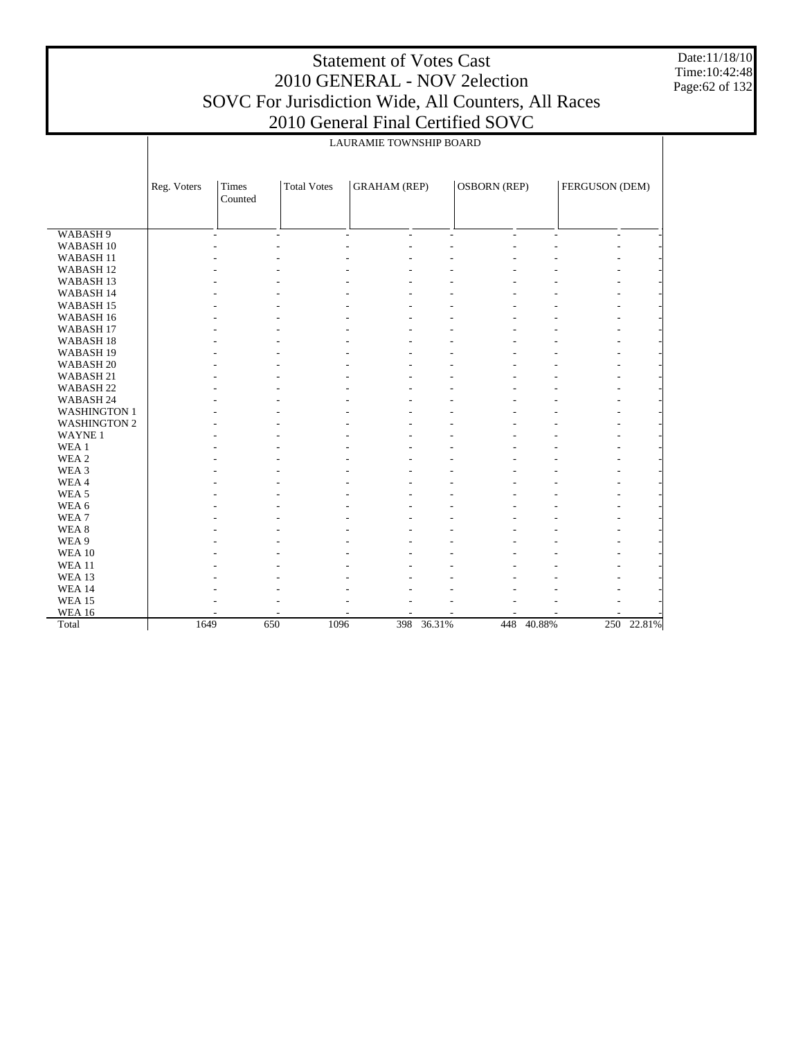Date:11/18/10 Time:10:42:48 Page:62 of 132

|                      | LAURAMIE TOWNSHIP BOARD |                                                                                                        |             |         |            |  |            |  |            |  |  |
|----------------------|-------------------------|--------------------------------------------------------------------------------------------------------|-------------|---------|------------|--|------------|--|------------|--|--|
|                      | Reg. Voters             | <b>GRAHAM</b> (REP)<br><b>OSBORN</b> (REP)<br>FERGUSON (DEM)<br>Times<br><b>Total Votes</b><br>Counted |             |         |            |  |            |  |            |  |  |
|                      |                         |                                                                                                        |             |         |            |  |            |  |            |  |  |
| WABASH <sub>9</sub>  |                         | $\overline{a}$                                                                                         | L.          | ä,<br>÷ | ä,         |  | ÷.         |  |            |  |  |
| WABASH <sub>10</sub> |                         |                                                                                                        |             |         |            |  |            |  |            |  |  |
| WABASH <sub>11</sub> |                         |                                                                                                        |             |         |            |  |            |  |            |  |  |
| WABASH <sub>12</sub> |                         |                                                                                                        |             |         |            |  |            |  |            |  |  |
| WABASH <sub>13</sub> |                         |                                                                                                        |             |         |            |  |            |  |            |  |  |
| WABASH 14            |                         |                                                                                                        |             |         |            |  |            |  |            |  |  |
| WABASH <sub>15</sub> |                         |                                                                                                        |             |         |            |  |            |  |            |  |  |
| WABASH <sub>16</sub> |                         |                                                                                                        |             |         |            |  |            |  |            |  |  |
| WABASH 17            |                         |                                                                                                        |             |         |            |  |            |  |            |  |  |
| WABASH <sub>18</sub> |                         |                                                                                                        |             |         |            |  |            |  |            |  |  |
| WABASH <sub>19</sub> |                         |                                                                                                        |             |         |            |  |            |  |            |  |  |
| WABASH <sub>20</sub> |                         |                                                                                                        |             |         |            |  |            |  |            |  |  |
|                      |                         |                                                                                                        |             |         |            |  |            |  |            |  |  |
| WABASH 21            |                         |                                                                                                        |             |         |            |  |            |  |            |  |  |
| WABASH <sub>22</sub> |                         |                                                                                                        |             |         |            |  |            |  |            |  |  |
| WABASH 24            |                         |                                                                                                        |             |         |            |  |            |  |            |  |  |
| <b>WASHINGTON 1</b>  |                         |                                                                                                        |             |         |            |  |            |  |            |  |  |
| <b>WASHINGTON 2</b>  |                         |                                                                                                        |             |         |            |  |            |  |            |  |  |
| <b>WAYNE1</b>        |                         |                                                                                                        |             |         |            |  |            |  |            |  |  |
| WEA 1                |                         |                                                                                                        |             |         |            |  |            |  |            |  |  |
| WEA <sub>2</sub>     |                         |                                                                                                        |             |         |            |  |            |  |            |  |  |
| WEA 3                |                         |                                                                                                        |             |         |            |  |            |  |            |  |  |
| WEA4                 |                         |                                                                                                        |             |         |            |  |            |  |            |  |  |
| WEA <sub>5</sub>     |                         |                                                                                                        |             |         |            |  |            |  |            |  |  |
| WEA 6                |                         |                                                                                                        |             |         |            |  |            |  |            |  |  |
| WEA <sub>7</sub>     |                         |                                                                                                        |             |         |            |  |            |  |            |  |  |
| WEA <sub>8</sub>     |                         |                                                                                                        |             |         |            |  |            |  |            |  |  |
| WEA 9                |                         |                                                                                                        |             |         |            |  |            |  |            |  |  |
| <b>WEA 10</b>        |                         |                                                                                                        |             |         |            |  |            |  |            |  |  |
| <b>WEA 11</b>        |                         |                                                                                                        |             |         |            |  |            |  |            |  |  |
| <b>WEA 13</b>        |                         |                                                                                                        |             |         |            |  |            |  |            |  |  |
| <b>WEA 14</b>        |                         |                                                                                                        |             |         |            |  |            |  |            |  |  |
| <b>WEA 15</b>        |                         |                                                                                                        |             |         |            |  |            |  |            |  |  |
| <b>WEA 16</b>        |                         |                                                                                                        |             |         |            |  |            |  |            |  |  |
| Total                | 1649                    |                                                                                                        | 650<br>1096 |         | 398 36.31% |  | 448 40.88% |  | 250 22.81% |  |  |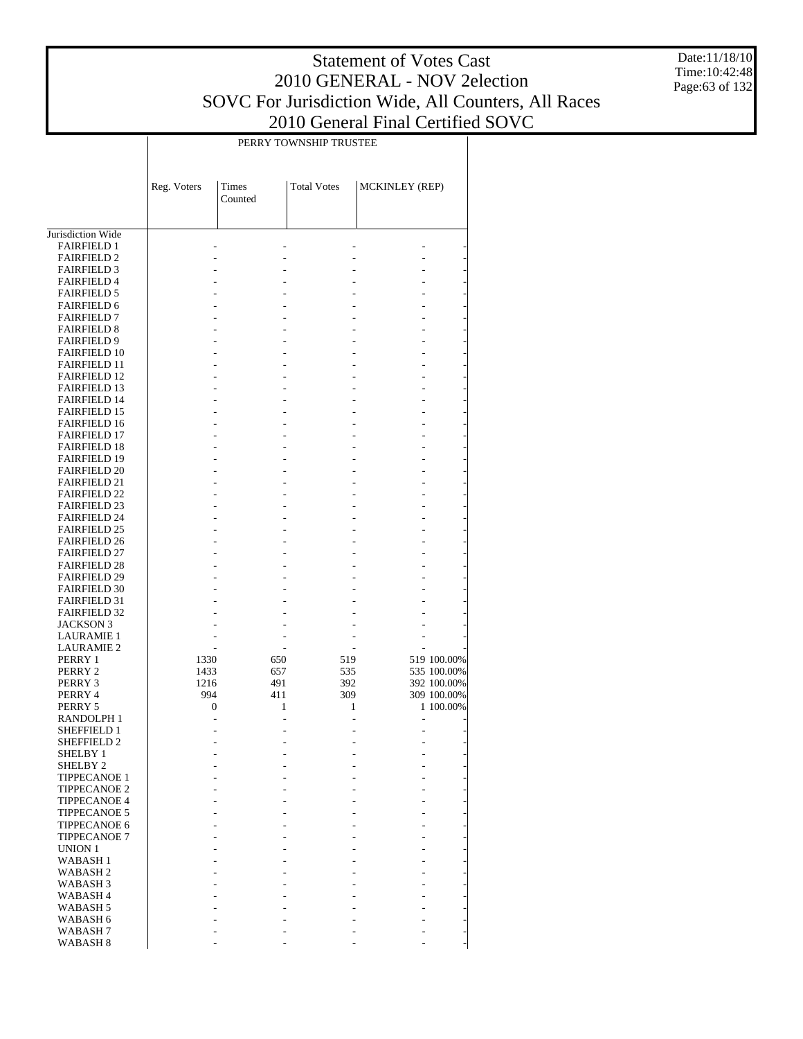Date:11/18/10 Time:10:42:48 Page:63 of 132

|                                          |                  |         | PERRY TOWNSHIP TRUSTEE |                |             |
|------------------------------------------|------------------|---------|------------------------|----------------|-------------|
|                                          |                  |         |                        |                |             |
|                                          |                  |         |                        |                |             |
|                                          |                  |         |                        |                |             |
|                                          | Reg. Voters      | Times   | <b>Total Votes</b>     | MCKINLEY (REP) |             |
|                                          |                  | Counted |                        |                |             |
|                                          |                  |         |                        |                |             |
|                                          |                  |         |                        |                |             |
| Jurisdiction Wide                        |                  |         |                        |                |             |
| <b>FAIRFIELD 1</b>                       |                  |         |                        |                |             |
| <b>FAIRFIELD 2</b>                       |                  |         |                        |                |             |
| <b>FAIRFIELD 3</b>                       |                  |         |                        |                |             |
| <b>FAIRFIELD 4</b>                       |                  |         |                        |                |             |
| <b>FAIRFIELD 5</b>                       |                  |         |                        |                |             |
| <b>FAIRFIELD 6</b>                       |                  |         |                        |                |             |
| <b>FAIRFIELD 7</b>                       |                  |         |                        |                |             |
| <b>FAIRFIELD 8</b><br><b>FAIRFIELD 9</b> |                  |         |                        |                |             |
| <b>FAIRFIELD 10</b>                      |                  |         |                        |                |             |
| <b>FAIRFIELD 11</b>                      |                  |         |                        |                |             |
| <b>FAIRFIELD 12</b>                      |                  |         |                        |                |             |
| <b>FAIRFIELD 13</b>                      |                  |         |                        |                |             |
| <b>FAIRFIELD 14</b>                      |                  |         |                        |                |             |
| <b>FAIRFIELD 15</b>                      |                  |         |                        |                |             |
| <b>FAIRFIELD 16</b>                      |                  |         |                        |                |             |
| <b>FAIRFIELD 17</b>                      |                  |         |                        |                |             |
| <b>FAIRFIELD 18</b>                      |                  |         |                        |                |             |
| <b>FAIRFIELD 19</b>                      |                  |         |                        |                |             |
| <b>FAIRFIELD 20</b>                      |                  |         |                        |                |             |
| <b>FAIRFIELD 21</b>                      |                  |         |                        |                |             |
| <b>FAIRFIELD 22</b>                      |                  |         |                        |                |             |
| <b>FAIRFIELD 23</b>                      |                  |         |                        |                |             |
| <b>FAIRFIELD 24</b>                      |                  |         |                        |                |             |
| <b>FAIRFIELD 25</b>                      |                  |         |                        |                |             |
| <b>FAIRFIELD 26</b>                      |                  |         |                        |                |             |
| <b>FAIRFIELD 27</b>                      |                  |         |                        |                |             |
| <b>FAIRFIELD 28</b>                      |                  |         |                        |                |             |
| <b>FAIRFIELD 29</b>                      |                  |         |                        |                |             |
| <b>FAIRFIELD 30</b>                      |                  |         |                        |                |             |
| <b>FAIRFIELD 31</b>                      |                  |         |                        |                |             |
| <b>FAIRFIELD 32</b>                      |                  |         |                        |                |             |
| <b>JACKSON 3</b>                         |                  |         |                        |                |             |
| <b>LAURAMIE 1</b>                        |                  |         |                        |                |             |
| <b>LAURAMIE 2</b>                        |                  |         |                        |                |             |
| PERRY 1                                  | 1330             | 650     | 519                    |                | 519 100.00% |
| PERRY 2                                  | 1433             | 657     | 535                    |                | 535 100.00% |
| PERRY 3                                  | 1216             | 491     | 392                    |                | 392 100.00% |
| PERRY 4                                  | 994              | 411     | 309                    |                | 309 100.00% |
| PERRY 5                                  | $\boldsymbol{0}$ | 1       | 1                      |                | 1 100.00%   |
| RANDOLPH 1<br>SHEFFIELD 1                |                  |         |                        |                |             |
| <b>SHEFFIELD 2</b>                       |                  |         |                        |                |             |
| SHELBY 1                                 |                  |         |                        |                |             |
| SHELBY <sub>2</sub>                      |                  |         |                        |                |             |
| <b>TIPPECANOE 1</b>                      |                  |         |                        |                |             |
| <b>TIPPECANOE 2</b>                      |                  |         |                        |                |             |
| <b>TIPPECANOE 4</b>                      |                  |         |                        |                |             |
| <b>TIPPECANOE 5</b>                      |                  |         |                        |                |             |
| <b>TIPPECANOE 6</b>                      |                  |         |                        |                |             |
| <b>TIPPECANOE 7</b>                      |                  |         |                        |                |             |
| UNION 1                                  |                  |         |                        |                |             |
| <b>WABASH1</b>                           |                  |         |                        |                |             |
| WABASH <sub>2</sub>                      |                  |         |                        |                |             |
| WABASH <sub>3</sub>                      |                  |         |                        |                |             |
| WABASH <sub>4</sub>                      |                  |         |                        |                |             |
| WABASH <sub>5</sub>                      |                  |         |                        |                |             |
| WABASH 6                                 |                  |         |                        |                |             |
| WABASH <sub>7</sub>                      |                  |         |                        |                |             |
| WABASH <sub>8</sub>                      |                  |         |                        |                |             |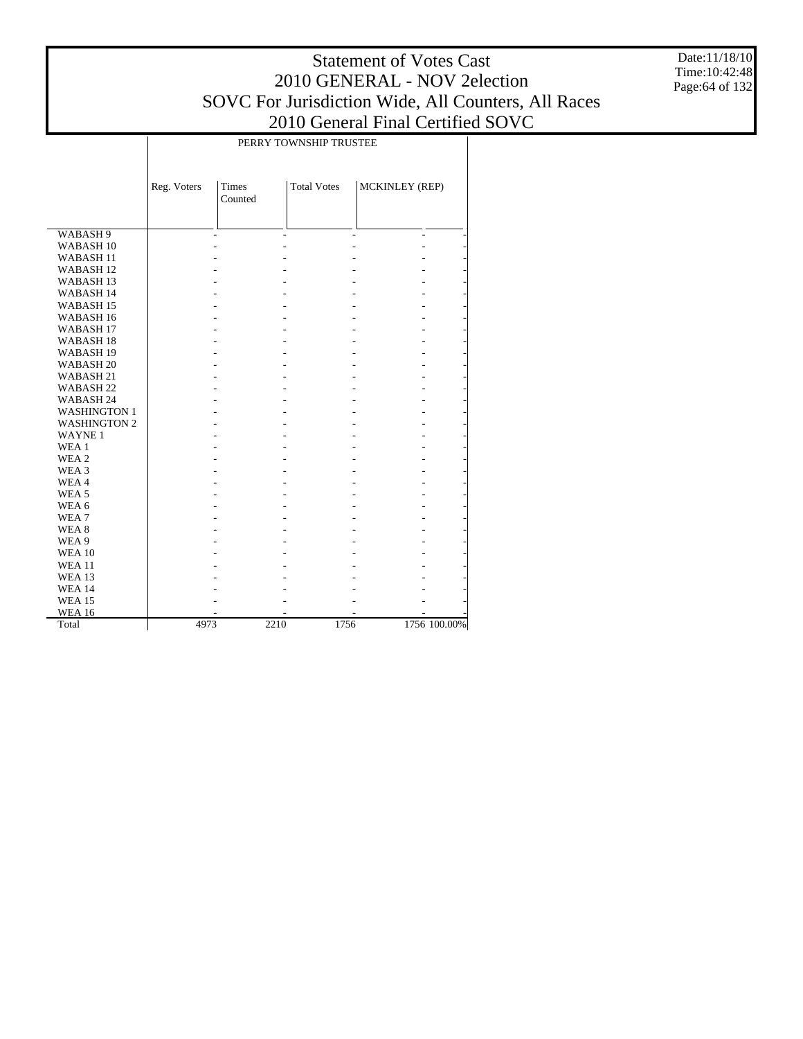Date:11/18/10 Time:10:42:48 Page:64 of 132

|                      | PERRY TOWNSHIP TRUSTEE |                         |                    |                          |              |  |  |  |  |  |
|----------------------|------------------------|-------------------------|--------------------|--------------------------|--------------|--|--|--|--|--|
|                      |                        |                         |                    |                          |              |  |  |  |  |  |
|                      | Reg. Voters            | <b>Times</b><br>Counted | <b>Total Votes</b> | MCKINLEY (REP)           |              |  |  |  |  |  |
| WABASH 9             |                        |                         |                    | $\overline{\phantom{a}}$ |              |  |  |  |  |  |
| WABASH <sub>10</sub> |                        |                         |                    |                          |              |  |  |  |  |  |
| WABASH <sub>11</sub> |                        |                         |                    |                          |              |  |  |  |  |  |
| WABASH <sub>12</sub> |                        |                         |                    |                          |              |  |  |  |  |  |
| WABASH <sub>13</sub> |                        |                         |                    |                          |              |  |  |  |  |  |
| WABASH 14            |                        |                         |                    |                          |              |  |  |  |  |  |
| WABASH <sub>15</sub> |                        |                         |                    |                          |              |  |  |  |  |  |
| WABASH 16            |                        |                         |                    |                          |              |  |  |  |  |  |
| WABASH <sub>17</sub> |                        |                         |                    |                          |              |  |  |  |  |  |
| WABASH <sub>18</sub> |                        |                         |                    |                          |              |  |  |  |  |  |
| WABASH <sub>19</sub> |                        |                         |                    |                          |              |  |  |  |  |  |
| WABASH <sub>20</sub> |                        |                         |                    |                          |              |  |  |  |  |  |
| WABASH <sub>21</sub> |                        |                         |                    |                          |              |  |  |  |  |  |
| WABASH <sub>22</sub> |                        |                         |                    |                          |              |  |  |  |  |  |
| WABASH 24            |                        |                         |                    |                          |              |  |  |  |  |  |
| <b>WASHINGTON 1</b>  |                        |                         |                    |                          |              |  |  |  |  |  |
| <b>WASHINGTON 2</b>  |                        |                         |                    |                          |              |  |  |  |  |  |
| <b>WAYNE1</b>        |                        |                         |                    |                          |              |  |  |  |  |  |
| WEA 1                |                        |                         |                    |                          |              |  |  |  |  |  |
| WEA 2                |                        |                         |                    |                          |              |  |  |  |  |  |
| WEA 3                |                        |                         |                    |                          |              |  |  |  |  |  |
| WEA4                 |                        |                         |                    |                          |              |  |  |  |  |  |
| WEA <sub>5</sub>     |                        |                         |                    |                          |              |  |  |  |  |  |
| WEA 6                |                        |                         |                    |                          |              |  |  |  |  |  |
| WEA7                 |                        |                         |                    |                          |              |  |  |  |  |  |
| WEA 8                |                        |                         |                    |                          |              |  |  |  |  |  |
| WEA 9                |                        |                         |                    |                          |              |  |  |  |  |  |
| <b>WEA 10</b>        |                        |                         |                    |                          |              |  |  |  |  |  |
| <b>WEA 11</b>        |                        |                         |                    |                          |              |  |  |  |  |  |
| <b>WEA 13</b>        |                        |                         |                    |                          |              |  |  |  |  |  |
| <b>WEA 14</b>        |                        |                         |                    |                          |              |  |  |  |  |  |
| <b>WEA 15</b>        |                        |                         |                    |                          |              |  |  |  |  |  |
| <b>WEA 16</b>        |                        |                         |                    |                          |              |  |  |  |  |  |
| Total                | 4973                   | 2210                    | 1756               |                          | 1756 100.00% |  |  |  |  |  |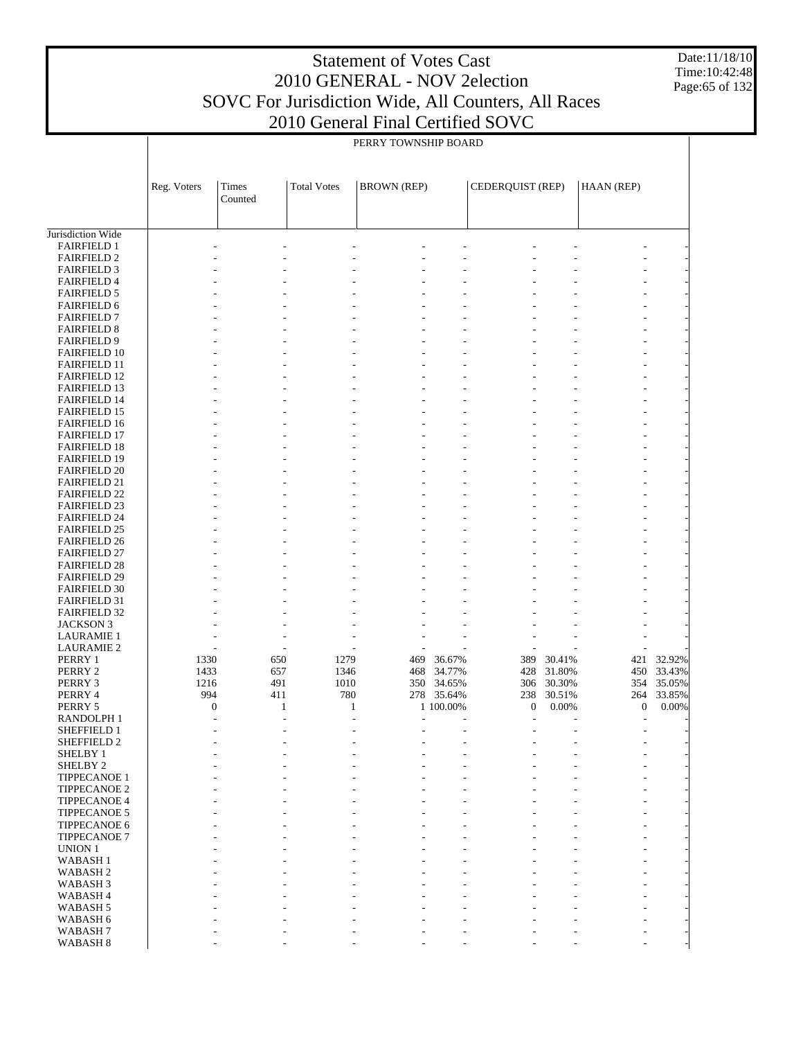Date:11/18/10 Time:10:42:48 Page:65 of 132

|                                            | PERRY TOWNSHIP BOARD    |                  |                    |                    |                          |                         |                 |                         |                 |  |
|--------------------------------------------|-------------------------|------------------|--------------------|--------------------|--------------------------|-------------------------|-----------------|-------------------------|-----------------|--|
|                                            | Reg. Voters             | Times<br>Counted | <b>Total Votes</b> | <b>BROWN</b> (REP) |                          | CEDERQUIST (REP)        |                 | HAAN (REP)              |                 |  |
|                                            |                         |                  |                    |                    |                          |                         |                 |                         |                 |  |
| Jurisdiction Wide<br><b>FAIRFIELD 1</b>    |                         |                  |                    |                    |                          |                         |                 |                         |                 |  |
| <b>FAIRFIELD 2</b>                         |                         |                  |                    |                    |                          |                         |                 |                         |                 |  |
| <b>FAIRFIELD 3</b>                         |                         |                  |                    |                    |                          |                         |                 |                         |                 |  |
| <b>FAIRFIELD 4</b>                         |                         |                  |                    |                    |                          |                         |                 |                         |                 |  |
| <b>FAIRFIELD 5</b><br><b>FAIRFIELD 6</b>   |                         |                  |                    |                    |                          |                         |                 |                         |                 |  |
| <b>FAIRFIELD 7</b>                         |                         |                  |                    |                    |                          |                         |                 |                         |                 |  |
| <b>FAIRFIELD 8</b>                         |                         |                  |                    |                    |                          |                         |                 |                         |                 |  |
| <b>FAIRFIELD 9</b>                         |                         |                  |                    |                    |                          |                         |                 |                         |                 |  |
| <b>FAIRFIELD 10</b>                        |                         |                  |                    |                    |                          |                         |                 |                         |                 |  |
| <b>FAIRFIELD 11</b><br><b>FAIRFIELD 12</b> |                         |                  |                    |                    |                          |                         |                 |                         |                 |  |
| <b>FAIRFIELD 13</b>                        |                         |                  |                    |                    |                          |                         |                 |                         |                 |  |
| <b>FAIRFIELD 14</b>                        |                         |                  |                    |                    |                          |                         |                 |                         |                 |  |
| <b>FAIRFIELD 15</b>                        |                         |                  |                    |                    |                          |                         |                 |                         |                 |  |
| FAIRFIELD 16                               |                         |                  |                    |                    |                          |                         |                 |                         |                 |  |
| <b>FAIRFIELD 17</b><br><b>FAIRFIELD 18</b> |                         |                  |                    |                    |                          |                         |                 |                         |                 |  |
| <b>FAIRFIELD 19</b>                        |                         |                  |                    |                    |                          |                         |                 |                         |                 |  |
| <b>FAIRFIELD 20</b>                        |                         |                  |                    |                    |                          |                         |                 |                         |                 |  |
| <b>FAIRFIELD 21</b>                        |                         |                  |                    |                    |                          |                         |                 |                         |                 |  |
| <b>FAIRFIELD 22</b><br><b>FAIRFIELD 23</b> |                         |                  |                    |                    |                          |                         |                 |                         |                 |  |
| <b>FAIRFIELD 24</b>                        |                         |                  |                    |                    |                          |                         |                 |                         |                 |  |
| <b>FAIRFIELD 25</b>                        |                         |                  |                    |                    |                          |                         |                 |                         |                 |  |
| <b>FAIRFIELD 26</b>                        |                         |                  |                    |                    |                          |                         |                 |                         |                 |  |
| <b>FAIRFIELD 27</b>                        |                         |                  |                    |                    |                          |                         |                 |                         |                 |  |
| <b>FAIRFIELD 28</b><br><b>FAIRFIELD 29</b> |                         |                  |                    |                    |                          |                         |                 |                         |                 |  |
| <b>FAIRFIELD 30</b>                        |                         |                  |                    |                    |                          |                         |                 |                         |                 |  |
| <b>FAIRFIELD 31</b>                        |                         |                  |                    |                    |                          |                         |                 |                         |                 |  |
| <b>FAIRFIELD 32</b>                        |                         |                  |                    |                    |                          |                         |                 |                         |                 |  |
| <b>JACKSON 3</b>                           |                         |                  |                    |                    |                          |                         |                 |                         |                 |  |
| <b>LAURAMIE 1</b><br><b>LAURAMIE 2</b>     |                         |                  |                    |                    |                          |                         |                 |                         |                 |  |
| PERRY 1                                    | 1330                    | 650              | 1279               | 469                | 36.67%                   | 389                     | 30.41%          | 421                     | 32.92%          |  |
| PERRY 2                                    | 1433                    | 657              | 1346               | 468                | 34.77%                   | 428                     | 31.80%          | 450                     | 33.43%          |  |
| PERRY 3                                    | 1216                    | 491              | 1010               |                    | 350 34.65%               | 306                     | 30.30%          | 354                     | 35.05%          |  |
| PERRY 4<br>PERRY 5                         | 994<br>$\boldsymbol{0}$ | 411              | 780<br>1           | 1                  | 278 35.64%<br>1 100.00%  | 238<br>$\boldsymbol{0}$ | 30.51%<br>0.00% | 264<br>$\boldsymbol{0}$ | 33.85%<br>0.00% |  |
| <b>RANDOLPH1</b>                           |                         |                  |                    |                    | $\overline{\phantom{a}}$ |                         |                 | $\overline{a}$          |                 |  |
| SHEFFIELD 1                                |                         |                  |                    |                    |                          |                         |                 |                         |                 |  |
| SHEFFIELD 2                                |                         |                  |                    |                    |                          |                         |                 |                         |                 |  |
| <b>SHELBY 1</b>                            |                         |                  |                    |                    |                          |                         |                 |                         |                 |  |
| SHELBY <sub>2</sub><br><b>TIPPECANOE 1</b> |                         |                  |                    |                    |                          |                         |                 |                         |                 |  |
| <b>TIPPECANOE 2</b>                        |                         |                  |                    |                    |                          |                         |                 |                         |                 |  |
| <b>TIPPECANOE 4</b>                        |                         |                  |                    |                    |                          |                         |                 |                         |                 |  |
| <b>TIPPECANOE 5</b>                        |                         |                  |                    |                    |                          |                         |                 |                         |                 |  |
| <b>TIPPECANOE 6</b><br>TIPPECANOE 7        |                         |                  |                    |                    |                          |                         |                 |                         |                 |  |
| <b>UNION 1</b>                             |                         |                  |                    |                    |                          |                         |                 |                         |                 |  |
| <b>WABASH1</b>                             |                         |                  |                    |                    |                          |                         |                 |                         |                 |  |
| WABASH <sub>2</sub>                        |                         |                  |                    |                    |                          |                         |                 |                         |                 |  |
| WABASH <sub>3</sub>                        |                         |                  |                    |                    |                          |                         |                 |                         |                 |  |
| WABASH <sub>4</sub><br>WABASH <sub>5</sub> |                         |                  |                    |                    |                          |                         |                 |                         |                 |  |
| WABASH 6                                   |                         |                  |                    |                    |                          |                         |                 |                         |                 |  |
| WABASH <sub>7</sub>                        |                         |                  |                    |                    |                          |                         |                 |                         |                 |  |
| WABASH <sub>8</sub>                        |                         |                  |                    |                    |                          |                         |                 |                         |                 |  |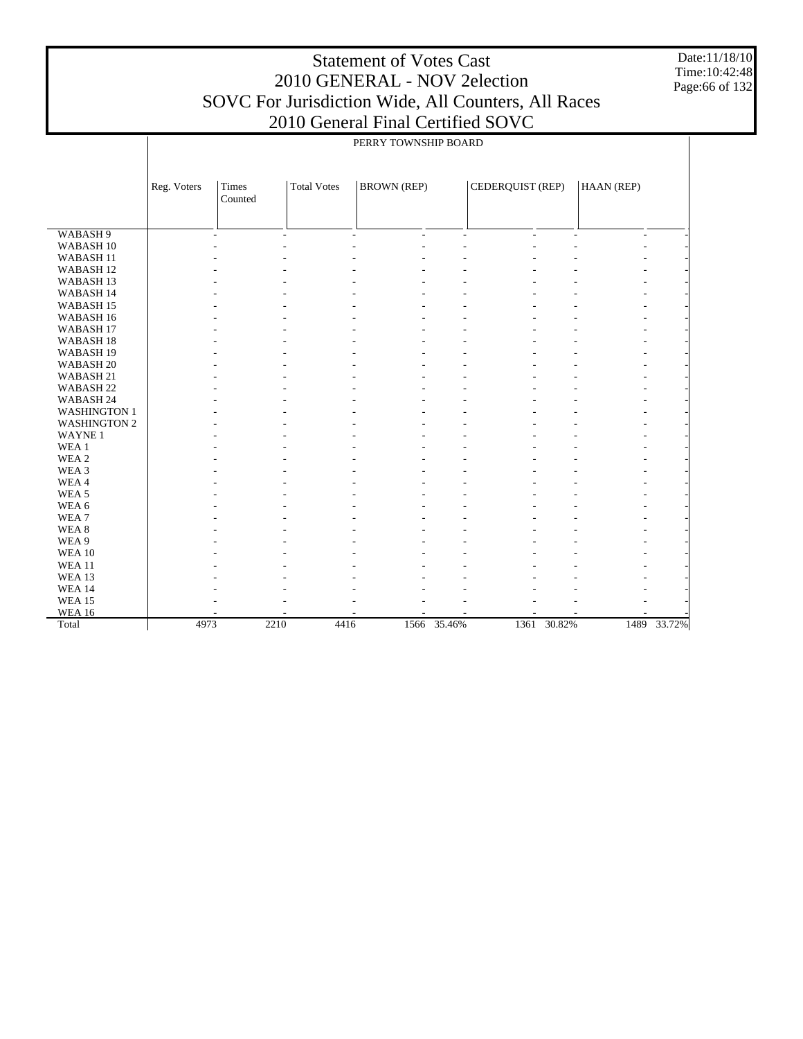Date:11/18/10 Time:10:42:48 Page:66 of 132

|                      |             |                          |                    | PERRY TOWNSHIP BOARD |                |                  |             |            |        |
|----------------------|-------------|--------------------------|--------------------|----------------------|----------------|------------------|-------------|------------|--------|
|                      |             |                          |                    |                      |                |                  |             |            |        |
|                      |             |                          |                    |                      |                |                  |             |            |        |
|                      | Reg. Voters | Times                    | <b>Total Votes</b> | <b>BROWN</b> (REP)   |                | CEDERQUIST (REP) |             | HAAN (REP) |        |
|                      |             | Counted                  |                    |                      |                |                  |             |            |        |
|                      |             |                          |                    |                      |                |                  |             |            |        |
| WABASH <sub>9</sub>  |             | $\overline{\phantom{a}}$ | $\overline{a}$     | ÷.<br>$\overline{a}$ | $\overline{a}$ | ÷.               | ÷.          | ÷          |        |
| WABASH <sub>10</sub> |             |                          |                    |                      |                |                  |             |            |        |
| WABASH <sub>11</sub> |             |                          |                    |                      |                |                  |             |            |        |
| WABASH <sub>12</sub> |             |                          |                    |                      |                |                  |             |            |        |
| WABASH <sub>13</sub> |             |                          |                    |                      |                |                  |             |            |        |
| WABASH 14            |             |                          |                    |                      |                |                  |             |            |        |
| WABASH <sub>15</sub> |             |                          |                    |                      |                |                  |             |            |        |
| WABASH 16            |             |                          |                    |                      |                |                  |             |            |        |
| WABASH <sub>17</sub> |             |                          |                    |                      |                |                  |             |            |        |
| WABASH <sub>18</sub> |             |                          |                    |                      |                |                  |             |            |        |
| WABASH <sub>19</sub> |             |                          |                    |                      |                |                  |             |            |        |
| WABASH <sub>20</sub> |             |                          |                    |                      |                |                  |             |            |        |
| WABASH 21            |             |                          |                    |                      |                |                  |             |            |        |
| WABASH <sub>22</sub> |             |                          |                    |                      |                |                  |             |            |        |
| WABASH 24            |             |                          |                    |                      |                |                  |             |            |        |
| <b>WASHINGTON 1</b>  |             |                          |                    |                      |                |                  |             |            |        |
| <b>WASHINGTON 2</b>  |             |                          |                    |                      |                |                  |             |            |        |
| <b>WAYNE1</b>        |             |                          |                    |                      |                |                  |             |            |        |
| WEA 1                |             |                          |                    |                      |                |                  |             |            |        |
| WEA <sub>2</sub>     |             |                          |                    |                      |                |                  |             |            |        |
| WEA 3                |             |                          |                    |                      |                |                  |             |            |        |
| WEA4                 |             |                          |                    |                      |                |                  |             |            |        |
| WEA <sub>5</sub>     |             |                          |                    |                      |                |                  |             |            |        |
| WEA 6                |             |                          |                    |                      |                |                  |             |            |        |
| WEA <sub>7</sub>     |             |                          |                    |                      |                |                  |             |            |        |
| WEA <sub>8</sub>     |             |                          |                    |                      |                |                  |             |            |        |
| WEA 9                |             |                          |                    |                      |                |                  |             |            |        |
| <b>WEA 10</b>        |             |                          |                    |                      |                |                  |             |            |        |
| <b>WEA 11</b>        |             |                          |                    |                      |                |                  |             |            |        |
| <b>WEA 13</b>        |             |                          |                    |                      |                |                  |             |            |        |
| <b>WEA 14</b>        |             |                          |                    |                      |                |                  |             |            |        |
| <b>WEA 15</b>        |             |                          |                    |                      |                |                  |             |            |        |
| <b>WEA 16</b>        |             |                          |                    |                      |                |                  |             |            |        |
| Total                | 4973        | 2210                     | 4416               |                      | 1566 35.46%    |                  | 1361 30.82% | 1489       | 33.72% |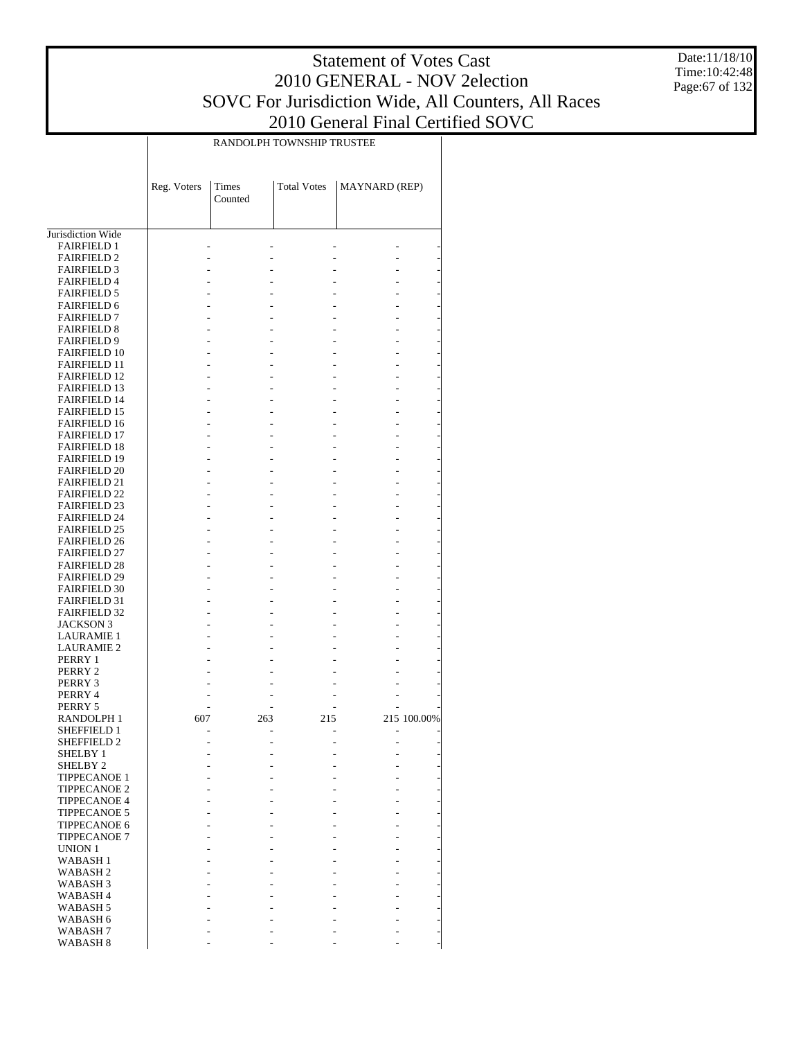Date:11/18/10 Time:10:42:48 Page:67 of 132

|                                            | RANDOLPH TOWNSHIP TRUSTEE |                  |                    |                      |             |  |  |  |  |  |  |  |
|--------------------------------------------|---------------------------|------------------|--------------------|----------------------|-------------|--|--|--|--|--|--|--|
|                                            | Reg. Voters               | Times<br>Counted | <b>Total Votes</b> | <b>MAYNARD</b> (REP) |             |  |  |  |  |  |  |  |
|                                            |                           |                  |                    |                      |             |  |  |  |  |  |  |  |
| Jurisdiction Wide<br><b>FAIRFIELD 1</b>    |                           |                  |                    |                      |             |  |  |  |  |  |  |  |
| <b>FAIRFIELD 2</b>                         |                           |                  |                    |                      |             |  |  |  |  |  |  |  |
| <b>FAIRFIELD 3</b>                         |                           |                  |                    |                      |             |  |  |  |  |  |  |  |
| <b>FAIRFIELD 4</b>                         |                           |                  |                    |                      |             |  |  |  |  |  |  |  |
| <b>FAIRFIELD 5</b>                         |                           |                  |                    |                      |             |  |  |  |  |  |  |  |
| <b>FAIRFIELD 6</b>                         |                           |                  |                    |                      |             |  |  |  |  |  |  |  |
| <b>FAIRFIELD 7</b>                         |                           |                  |                    |                      |             |  |  |  |  |  |  |  |
| <b>FAIRFIELD 8</b><br><b>FAIRFIELD 9</b>   |                           |                  |                    |                      |             |  |  |  |  |  |  |  |
| <b>FAIRFIELD 10</b>                        |                           |                  |                    |                      |             |  |  |  |  |  |  |  |
| <b>FAIRFIELD 11</b>                        |                           |                  |                    |                      |             |  |  |  |  |  |  |  |
| <b>FAIRFIELD 12</b>                        |                           |                  |                    |                      |             |  |  |  |  |  |  |  |
| <b>FAIRFIELD 13</b>                        |                           |                  |                    |                      |             |  |  |  |  |  |  |  |
| <b>FAIRFIELD 14</b>                        |                           |                  |                    |                      |             |  |  |  |  |  |  |  |
| <b>FAIRFIELD 15</b>                        |                           |                  |                    |                      |             |  |  |  |  |  |  |  |
| <b>FAIRFIELD 16</b><br><b>FAIRFIELD 17</b> |                           |                  |                    |                      |             |  |  |  |  |  |  |  |
| <b>FAIRFIELD 18</b>                        |                           |                  |                    |                      |             |  |  |  |  |  |  |  |
| <b>FAIRFIELD 19</b>                        |                           |                  |                    |                      |             |  |  |  |  |  |  |  |
| <b>FAIRFIELD 20</b>                        |                           |                  |                    |                      |             |  |  |  |  |  |  |  |
| <b>FAIRFIELD 21</b>                        |                           |                  |                    |                      |             |  |  |  |  |  |  |  |
| <b>FAIRFIELD 22</b>                        |                           |                  |                    |                      |             |  |  |  |  |  |  |  |
| <b>FAIRFIELD 23</b><br><b>FAIRFIELD 24</b> |                           |                  |                    |                      |             |  |  |  |  |  |  |  |
| <b>FAIRFIELD 25</b>                        |                           |                  |                    |                      |             |  |  |  |  |  |  |  |
| <b>FAIRFIELD 26</b>                        |                           |                  |                    |                      |             |  |  |  |  |  |  |  |
| <b>FAIRFIELD 27</b>                        |                           |                  |                    |                      |             |  |  |  |  |  |  |  |
| <b>FAIRFIELD 28</b>                        |                           |                  |                    |                      |             |  |  |  |  |  |  |  |
| <b>FAIRFIELD 29</b>                        |                           |                  |                    |                      |             |  |  |  |  |  |  |  |
| <b>FAIRFIELD 30</b><br><b>FAIRFIELD 31</b> |                           |                  |                    |                      |             |  |  |  |  |  |  |  |
| <b>FAIRFIELD 32</b>                        |                           |                  |                    |                      |             |  |  |  |  |  |  |  |
| JACKSON 3                                  |                           |                  |                    |                      |             |  |  |  |  |  |  |  |
| <b>LAURAMIE 1</b>                          |                           |                  |                    |                      |             |  |  |  |  |  |  |  |
| <b>LAURAMIE 2</b>                          |                           |                  |                    |                      |             |  |  |  |  |  |  |  |
| PERRY 1                                    |                           |                  |                    |                      |             |  |  |  |  |  |  |  |
| PERRY 2<br>PERRY 3                         |                           |                  |                    |                      |             |  |  |  |  |  |  |  |
| PERRY 4                                    |                           |                  |                    |                      |             |  |  |  |  |  |  |  |
| PERRY 5                                    |                           |                  |                    |                      |             |  |  |  |  |  |  |  |
| RANDOLPH 1                                 | 607                       |                  | 263                | 215                  | 215 100.00% |  |  |  |  |  |  |  |
| SHEFFIELD 1                                |                           |                  |                    |                      |             |  |  |  |  |  |  |  |
| <b>SHEFFIELD 2</b><br><b>SHELBY 1</b>      |                           |                  |                    |                      |             |  |  |  |  |  |  |  |
| SHELBY <sub>2</sub>                        |                           |                  |                    |                      |             |  |  |  |  |  |  |  |
| <b>TIPPECANOE 1</b>                        |                           |                  |                    |                      |             |  |  |  |  |  |  |  |
| <b>TIPPECANOE 2</b>                        |                           |                  |                    |                      |             |  |  |  |  |  |  |  |
| <b>TIPPECANOE 4</b>                        |                           |                  |                    |                      |             |  |  |  |  |  |  |  |
| <b>TIPPECANOE 5</b>                        |                           |                  |                    |                      |             |  |  |  |  |  |  |  |
| <b>TIPPECANOE 6</b><br><b>TIPPECANOE 7</b> |                           |                  |                    |                      |             |  |  |  |  |  |  |  |
| <b>UNION 1</b>                             |                           |                  |                    |                      |             |  |  |  |  |  |  |  |
| WABASH 1                                   |                           |                  |                    |                      |             |  |  |  |  |  |  |  |
| WABASH <sub>2</sub>                        |                           |                  |                    |                      |             |  |  |  |  |  |  |  |
| WABASH <sub>3</sub>                        |                           |                  |                    |                      |             |  |  |  |  |  |  |  |
| WABASH 4                                   |                           |                  |                    |                      |             |  |  |  |  |  |  |  |
| WABASH 5<br>WABASH 6                       |                           |                  |                    |                      |             |  |  |  |  |  |  |  |
| WABASH 7                                   |                           |                  |                    |                      |             |  |  |  |  |  |  |  |
| WABASH 8                                   |                           |                  |                    |                      |             |  |  |  |  |  |  |  |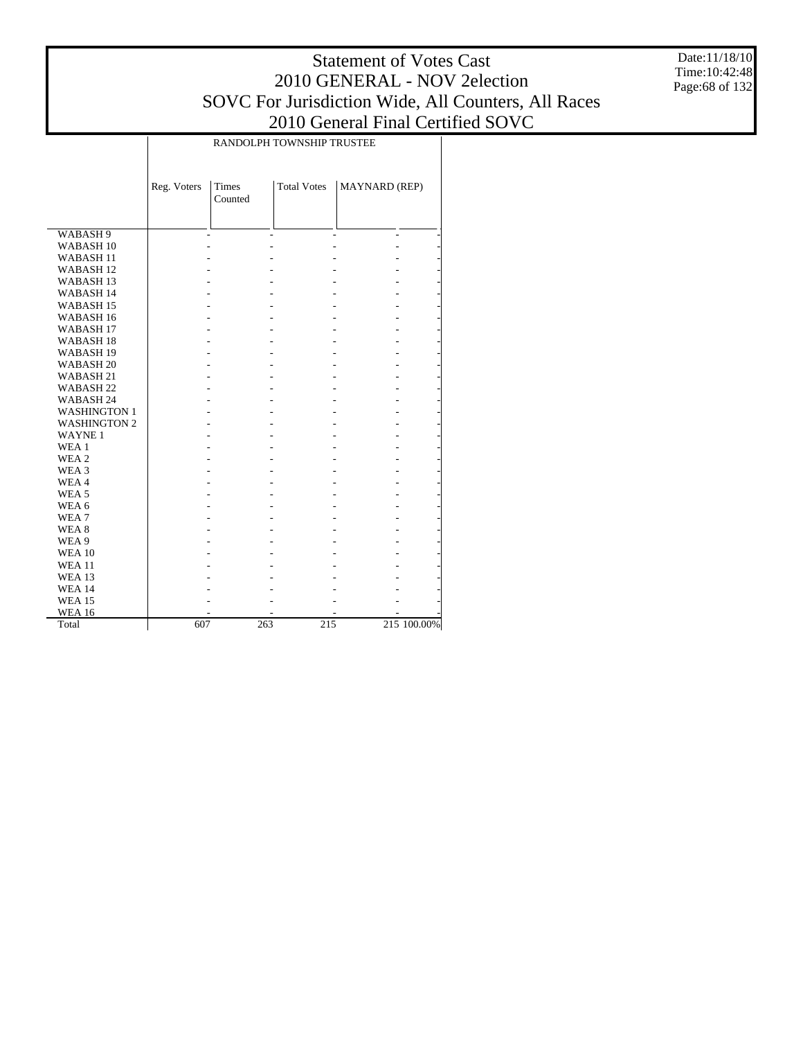Date:11/18/10 Time:10:42:48 Page:68 of 132

|                      | RANDOLPH TOWNSHIP TRUSTEE |                         |                    |                          |             |  |  |  |  |  |
|----------------------|---------------------------|-------------------------|--------------------|--------------------------|-------------|--|--|--|--|--|
|                      | Reg. Voters               | <b>Times</b><br>Counted | <b>Total Votes</b> | <b>MAYNARD</b> (REP)     |             |  |  |  |  |  |
| WABASH 9             |                           |                         |                    | $\overline{\phantom{a}}$ |             |  |  |  |  |  |
| WABASH <sub>10</sub> |                           |                         |                    |                          |             |  |  |  |  |  |
| <b>WABASH11</b>      |                           |                         |                    |                          |             |  |  |  |  |  |
| WABASH <sub>12</sub> |                           |                         |                    |                          |             |  |  |  |  |  |
| WABASH <sub>13</sub> |                           |                         |                    |                          |             |  |  |  |  |  |
| <b>WABASH14</b>      |                           |                         |                    |                          |             |  |  |  |  |  |
| WABASH <sub>15</sub> |                           |                         |                    |                          |             |  |  |  |  |  |
| WABASH <sub>16</sub> |                           |                         |                    |                          |             |  |  |  |  |  |
| WABASH <sub>17</sub> |                           |                         |                    |                          |             |  |  |  |  |  |
| WABASH <sub>18</sub> |                           |                         |                    |                          |             |  |  |  |  |  |
| WABASH <sub>19</sub> |                           |                         |                    |                          |             |  |  |  |  |  |
| WABASH <sub>20</sub> |                           |                         |                    |                          |             |  |  |  |  |  |
| WABASH 21            |                           |                         |                    |                          |             |  |  |  |  |  |
| WABASH <sub>22</sub> |                           |                         |                    |                          |             |  |  |  |  |  |
| WABASH 24            |                           |                         |                    |                          |             |  |  |  |  |  |
| <b>WASHINGTON 1</b>  |                           |                         |                    |                          |             |  |  |  |  |  |
| <b>WASHINGTON 2</b>  |                           |                         |                    |                          |             |  |  |  |  |  |
| <b>WAYNE1</b>        |                           |                         |                    |                          |             |  |  |  |  |  |
| WEA 1                |                           |                         |                    |                          |             |  |  |  |  |  |
| WEA 2                |                           |                         |                    |                          |             |  |  |  |  |  |
| WEA 3                |                           |                         |                    |                          |             |  |  |  |  |  |
| WEA4                 |                           |                         |                    |                          |             |  |  |  |  |  |
| WEA <sub>5</sub>     |                           |                         |                    |                          |             |  |  |  |  |  |
| WEA 6                |                           |                         |                    |                          |             |  |  |  |  |  |
| WEA7                 |                           |                         |                    |                          |             |  |  |  |  |  |
| WEA 8                |                           |                         |                    |                          |             |  |  |  |  |  |
| WEA 9                |                           |                         |                    |                          |             |  |  |  |  |  |
| <b>WEA 10</b>        |                           |                         |                    |                          |             |  |  |  |  |  |
| <b>WEA 11</b>        |                           |                         |                    |                          |             |  |  |  |  |  |
| <b>WEA 13</b>        |                           |                         |                    |                          |             |  |  |  |  |  |
| <b>WEA 14</b>        |                           |                         |                    |                          |             |  |  |  |  |  |
| <b>WEA 15</b>        |                           |                         |                    |                          |             |  |  |  |  |  |
| <b>WEA 16</b>        |                           |                         |                    |                          |             |  |  |  |  |  |
| Total                | 607                       | 263                     | 215                |                          | 215 100.00% |  |  |  |  |  |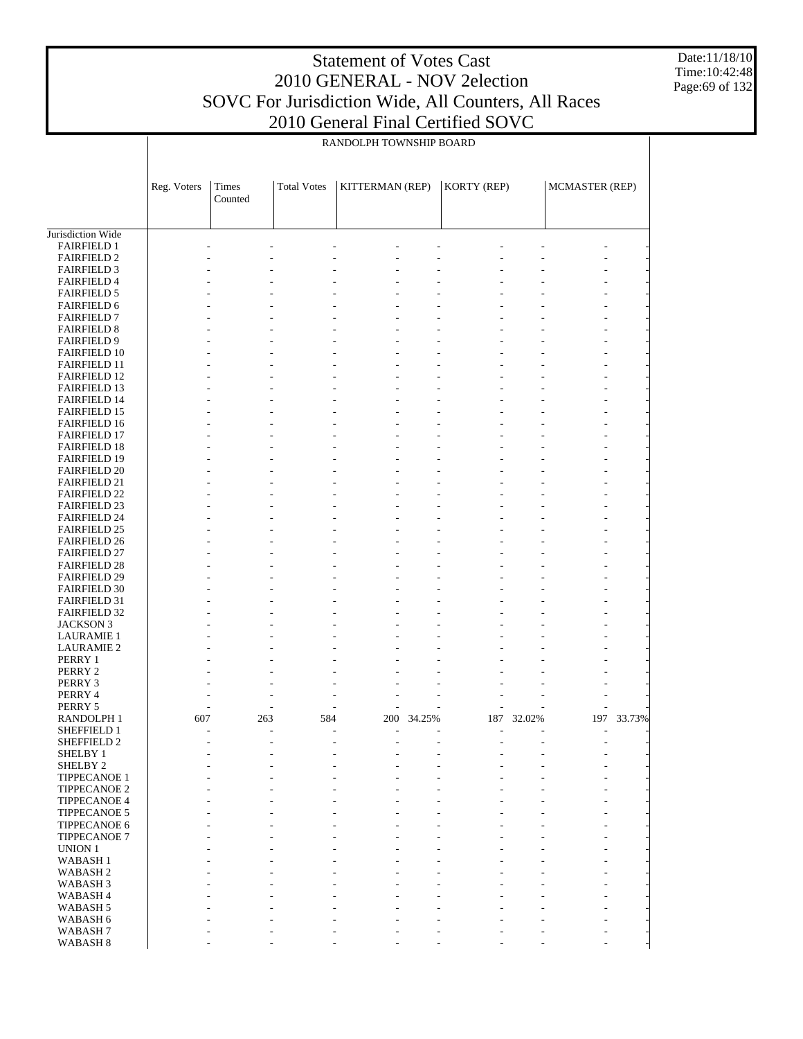Date:11/18/10 Time:10:42:48 Page:69 of 132

|                                            |             |         |                    | RANDOLPH TOWNSHIP BOARD |        |                |        |                |            |
|--------------------------------------------|-------------|---------|--------------------|-------------------------|--------|----------------|--------|----------------|------------|
|                                            | Reg. Voters | Times   | <b>Total Votes</b> | KITTERMAN (REP)         |        | KORTY (REP)    |        | MCMASTER (REP) |            |
|                                            |             | Counted |                    |                         |        |                |        |                |            |
| Jurisdiction Wide                          |             |         |                    |                         |        |                |        |                |            |
| <b>FAIRFIELD 1</b>                         |             |         |                    |                         |        |                |        |                |            |
| <b>FAIRFIELD 2</b>                         |             |         |                    |                         |        |                |        |                |            |
| <b>FAIRFIELD 3</b>                         |             |         |                    |                         |        |                |        |                |            |
| <b>FAIRFIELD 4</b>                         |             |         |                    |                         |        |                |        |                |            |
| <b>FAIRFIELD 5</b>                         |             |         |                    |                         |        |                |        |                |            |
| <b>FAIRFIELD 6</b>                         |             |         |                    |                         |        |                |        |                |            |
| <b>FAIRFIELD 7</b>                         |             |         |                    |                         |        |                |        |                |            |
| <b>FAIRFIELD 8</b><br><b>FAIRFIELD 9</b>   |             |         |                    |                         |        |                |        |                |            |
| <b>FAIRFIELD 10</b>                        |             |         |                    |                         |        |                |        |                |            |
| <b>FAIRFIELD 11</b>                        |             |         |                    |                         |        |                |        |                |            |
| <b>FAIRFIELD 12</b>                        |             |         |                    |                         |        |                |        |                |            |
| <b>FAIRFIELD 13</b>                        |             |         |                    |                         |        |                |        |                |            |
| <b>FAIRFIELD 14</b>                        |             |         |                    |                         |        |                |        |                |            |
| <b>FAIRFIELD 15</b>                        |             |         |                    |                         |        |                |        |                |            |
| <b>FAIRFIELD 16</b>                        |             |         |                    |                         |        |                |        |                |            |
| <b>FAIRFIELD 17</b>                        |             |         |                    |                         |        |                |        |                |            |
| <b>FAIRFIELD 18</b>                        |             |         |                    |                         |        |                |        |                |            |
| <b>FAIRFIELD 19</b><br><b>FAIRFIELD 20</b> |             |         |                    |                         |        |                |        |                |            |
| <b>FAIRFIELD 21</b>                        |             |         |                    |                         |        |                |        |                |            |
| <b>FAIRFIELD 22</b>                        |             |         |                    |                         |        |                |        |                |            |
| <b>FAIRFIELD 23</b>                        |             |         |                    |                         |        |                |        |                |            |
| <b>FAIRFIELD 24</b>                        |             |         |                    |                         |        |                |        |                |            |
| <b>FAIRFIELD 25</b>                        |             |         |                    |                         |        |                |        |                |            |
| <b>FAIRFIELD 26</b>                        |             |         |                    |                         |        |                |        |                |            |
| <b>FAIRFIELD 27</b>                        |             |         |                    |                         |        |                |        |                |            |
| <b>FAIRFIELD 28</b>                        |             |         |                    |                         |        |                |        |                |            |
| <b>FAIRFIELD 29</b>                        |             |         |                    |                         |        |                |        |                |            |
| <b>FAIRFIELD 30</b>                        |             |         |                    |                         |        |                |        |                |            |
| <b>FAIRFIELD 31</b>                        |             |         |                    |                         |        |                |        |                |            |
| <b>FAIRFIELD 32</b>                        |             |         |                    |                         |        |                |        |                |            |
| JACKSON 3                                  |             |         |                    |                         |        |                |        |                |            |
| <b>LAURAMIE 1</b><br><b>LAURAMIE 2</b>     |             |         |                    |                         |        |                |        |                |            |
| PERRY 1                                    |             |         |                    |                         |        |                |        |                |            |
| PERRY 2                                    |             |         |                    |                         |        |                |        |                |            |
| PERRY 3                                    |             |         |                    |                         |        |                |        |                |            |
| PERRY 4                                    |             |         |                    | L,                      |        | L,             |        |                |            |
| PERRY 5                                    |             |         |                    |                         |        |                |        |                |            |
| RANDOLPH 1                                 | 607         | 263     | 584                | 200                     | 34.25% | 187            | 32.02% |                | 197 33.73% |
| SHEFFIELD 1                                |             | Ĭ.      |                    | L,                      |        | L,             |        |                |            |
| SHEFFIELD 2                                |             | Ĭ.      |                    |                         |        |                |        |                |            |
| SHELBY 1                                   |             |         |                    |                         |        |                |        |                |            |
| SHELBY <sub>2</sub>                        |             | Ĭ.      |                    |                         |        | L,             |        |                |            |
| TIPPECANOE 1<br><b>TIPPECANOE 2</b>        |             |         |                    |                         |        |                |        |                |            |
| <b>TIPPECANOE 4</b>                        |             |         |                    |                         |        | L,             |        |                |            |
| <b>TIPPECANOE 5</b>                        |             | L,      |                    |                         |        | L,             |        |                |            |
| TIPPECANOE 6                               |             |         |                    |                         |        |                |        |                |            |
| <b>TIPPECANOE 7</b>                        |             |         |                    |                         |        | L,             |        |                |            |
| <b>UNION 1</b>                             |             |         |                    |                         |        |                |        |                |            |
| <b>WABASH1</b>                             |             | ÷,      |                    |                         |        | L,             |        |                |            |
| WABASH <sub>2</sub>                        |             |         |                    |                         |        |                |        |                |            |
| WABASH <sub>3</sub>                        |             |         |                    |                         |        | L,             |        |                |            |
| WABASH 4                                   |             |         |                    |                         |        |                |        |                |            |
| WABASH <sub>5</sub>                        |             | Ĭ.      |                    |                         |        | $\overline{a}$ |        |                |            |
| WABASH 6                                   |             |         |                    |                         |        |                |        |                |            |
| WABASH 7                                   |             |         |                    |                         |        |                |        |                |            |

- - - - - - - - -

WABASH 8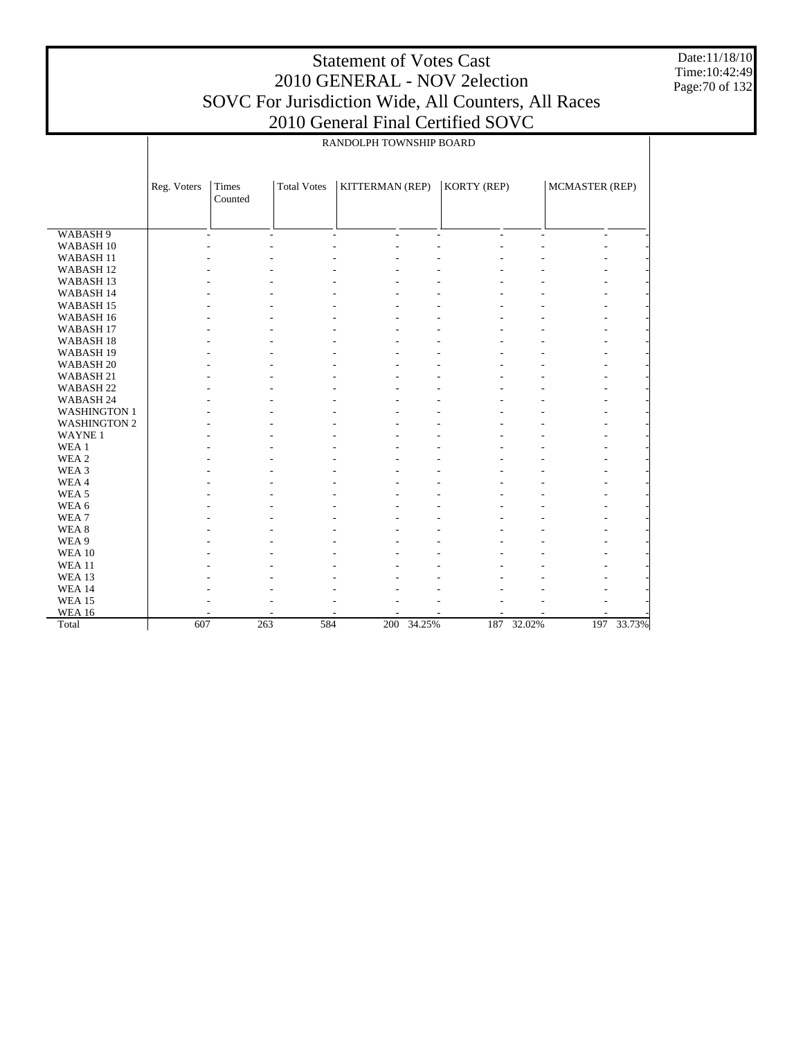Date:11/18/10 Time:10:42:49 Page:70 of 132

|                      | RANDOLPH TOWNSHIP BOARD |                  |                                |                 |        |                |                |                          |            |  |
|----------------------|-------------------------|------------------|--------------------------------|-----------------|--------|----------------|----------------|--------------------------|------------|--|
|                      |                         |                  |                                |                 |        |                |                |                          |            |  |
|                      | Reg. Voters             | Times<br>Counted | <b>Total Votes</b>             | KITTERMAN (REP) |        | KORTY (REP)    |                | MCMASTER (REP)           |            |  |
|                      |                         |                  |                                |                 |        |                |                |                          |            |  |
| WABASH <sub>9</sub>  |                         | $\overline{a}$   | $\overline{\phantom{a}}$<br>L, | $\overline{a}$  | $\sim$ | $\overline{a}$ | $\overline{a}$ | $\overline{\phantom{a}}$ |            |  |
| WABASH <sub>10</sub> |                         |                  |                                |                 |        |                |                |                          |            |  |
| WABASH <sub>11</sub> |                         |                  |                                |                 |        |                |                |                          |            |  |
| WABASH <sub>12</sub> |                         |                  |                                |                 |        |                |                |                          |            |  |
| WABASH <sub>13</sub> |                         |                  |                                |                 |        |                |                |                          |            |  |
| WABASH 14            |                         |                  |                                |                 |        |                |                |                          |            |  |
| WABASH <sub>15</sub> |                         |                  |                                |                 |        |                |                |                          |            |  |
| WABASH 16            |                         |                  |                                |                 |        |                |                |                          |            |  |
| WABASH <sub>17</sub> |                         |                  |                                |                 |        |                |                |                          |            |  |
| WABASH <sub>18</sub> |                         |                  |                                |                 |        |                |                |                          |            |  |
| WABASH <sub>19</sub> |                         |                  |                                |                 |        |                |                |                          |            |  |
| WABASH <sub>20</sub> |                         |                  |                                |                 |        |                |                |                          |            |  |
| WABASH <sub>21</sub> |                         |                  |                                |                 |        |                |                |                          |            |  |
| WABASH <sub>22</sub> |                         |                  |                                |                 |        |                |                |                          |            |  |
| WABASH 24            |                         |                  |                                |                 |        |                |                |                          |            |  |
| <b>WASHINGTON 1</b>  |                         |                  |                                |                 |        |                |                |                          |            |  |
| <b>WASHINGTON 2</b>  |                         |                  |                                |                 |        |                |                |                          |            |  |
| <b>WAYNE1</b>        |                         |                  |                                |                 |        |                |                |                          |            |  |
| WEA <sub>1</sub>     |                         |                  |                                |                 |        |                |                |                          |            |  |
| WEA 2                |                         |                  |                                |                 |        |                |                |                          |            |  |
| WEA 3                |                         |                  |                                |                 |        |                |                |                          |            |  |
| WEA4                 |                         |                  |                                |                 |        |                |                |                          |            |  |
| WEA <sub>5</sub>     |                         |                  |                                |                 |        |                |                |                          |            |  |
| WEA 6                |                         |                  |                                |                 |        |                |                |                          |            |  |
| WEA7                 |                         |                  |                                |                 |        |                |                |                          |            |  |
| WEA <sub>8</sub>     |                         |                  |                                |                 |        |                |                |                          |            |  |
| WEA 9                |                         |                  |                                |                 |        |                |                |                          |            |  |
| <b>WEA 10</b>        |                         |                  |                                |                 |        |                |                |                          |            |  |
| <b>WEA 11</b>        |                         |                  |                                |                 |        |                |                |                          |            |  |
| <b>WEA 13</b>        |                         |                  |                                |                 |        |                |                |                          |            |  |
| <b>WEA 14</b>        |                         |                  |                                |                 |        |                |                |                          |            |  |
| <b>WEA 15</b>        |                         |                  |                                |                 |        |                |                |                          |            |  |
| <b>WEA 16</b>        |                         |                  |                                |                 |        |                |                |                          |            |  |
| Total                | 607                     | 263              | 584                            | 200             | 34.25% | 187            | 32.02%         |                          | 197 33.73% |  |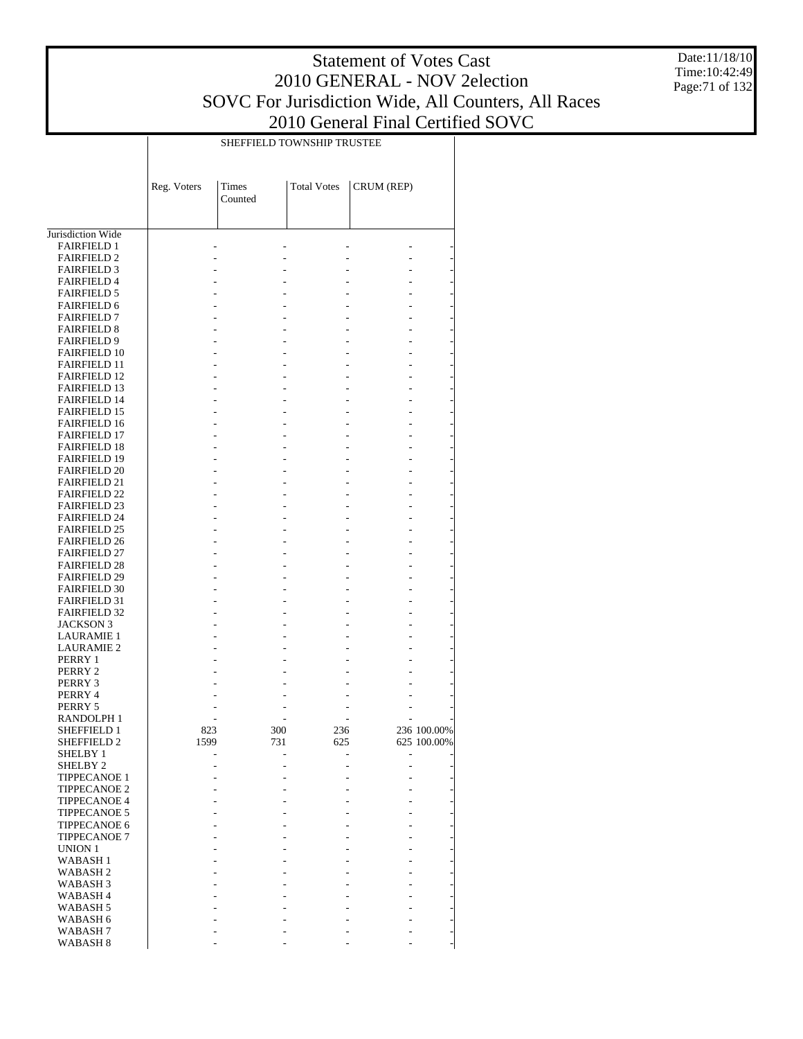Date:11/18/10 Time:10:42:49 Page:71 of 132

|                                            | SHEFFIELD TOWNSHIP TRUSTEE |                  |                    |            |             |  |  |  |  |  |
|--------------------------------------------|----------------------------|------------------|--------------------|------------|-------------|--|--|--|--|--|
|                                            | Reg. Voters                | Times<br>Counted | <b>Total Votes</b> | CRUM (REP) |             |  |  |  |  |  |
| Jurisdiction Wide                          |                            |                  |                    |            |             |  |  |  |  |  |
| <b>FAIRFIELD 1</b>                         |                            |                  |                    |            |             |  |  |  |  |  |
| <b>FAIRFIELD 2</b>                         |                            |                  |                    |            |             |  |  |  |  |  |
| <b>FAIRFIELD 3</b>                         |                            |                  |                    |            |             |  |  |  |  |  |
| <b>FAIRFIELD 4</b>                         |                            |                  |                    |            |             |  |  |  |  |  |
| <b>FAIRFIELD 5</b>                         |                            |                  |                    |            |             |  |  |  |  |  |
| <b>FAIRFIELD 6</b><br><b>FAIRFIELD 7</b>   |                            |                  |                    |            |             |  |  |  |  |  |
| <b>FAIRFIELD 8</b>                         |                            |                  |                    |            |             |  |  |  |  |  |
| <b>FAIRFIELD 9</b>                         |                            |                  |                    |            |             |  |  |  |  |  |
| <b>FAIRFIELD 10</b>                        |                            |                  |                    |            |             |  |  |  |  |  |
| <b>FAIRFIELD 11</b>                        |                            |                  |                    |            |             |  |  |  |  |  |
| <b>FAIRFIELD 12</b>                        |                            |                  |                    |            |             |  |  |  |  |  |
| <b>FAIRFIELD 13</b>                        |                            |                  |                    |            |             |  |  |  |  |  |
| <b>FAIRFIELD 14</b>                        |                            |                  |                    |            |             |  |  |  |  |  |
| <b>FAIRFIELD 15</b><br><b>FAIRFIELD 16</b> |                            |                  |                    |            |             |  |  |  |  |  |
| <b>FAIRFIELD 17</b>                        |                            |                  |                    |            |             |  |  |  |  |  |
| <b>FAIRFIELD 18</b>                        |                            |                  |                    |            |             |  |  |  |  |  |
| <b>FAIRFIELD 19</b>                        |                            |                  |                    |            |             |  |  |  |  |  |
| <b>FAIRFIELD 20</b>                        |                            |                  |                    |            |             |  |  |  |  |  |
| <b>FAIRFIELD 21</b>                        |                            |                  |                    |            |             |  |  |  |  |  |
| <b>FAIRFIELD 22</b><br><b>FAIRFIELD 23</b> |                            |                  |                    |            |             |  |  |  |  |  |
| <b>FAIRFIELD 24</b>                        |                            |                  |                    |            |             |  |  |  |  |  |
| <b>FAIRFIELD 25</b>                        |                            |                  |                    |            |             |  |  |  |  |  |
| <b>FAIRFIELD 26</b>                        |                            |                  |                    |            |             |  |  |  |  |  |
| <b>FAIRFIELD 27</b>                        |                            |                  |                    |            |             |  |  |  |  |  |
| <b>FAIRFIELD 28</b>                        |                            |                  |                    |            |             |  |  |  |  |  |
| <b>FAIRFIELD 29</b>                        |                            |                  |                    |            |             |  |  |  |  |  |
| <b>FAIRFIELD 30</b><br><b>FAIRFIELD 31</b> |                            |                  |                    |            |             |  |  |  |  |  |
| <b>FAIRFIELD 32</b>                        |                            |                  |                    |            |             |  |  |  |  |  |
| <b>JACKSON 3</b>                           |                            |                  |                    |            |             |  |  |  |  |  |
| <b>LAURAMIE 1</b>                          |                            |                  |                    |            |             |  |  |  |  |  |
| <b>LAURAMIE 2</b>                          |                            |                  |                    |            |             |  |  |  |  |  |
| PERRY 1                                    |                            |                  |                    |            |             |  |  |  |  |  |
| PERRY 2<br>PERRY 3                         |                            |                  |                    |            |             |  |  |  |  |  |
| PERRY 4                                    |                            |                  |                    |            |             |  |  |  |  |  |
| PERRY 5                                    |                            |                  |                    |            |             |  |  |  |  |  |
| RANDOLPH 1                                 |                            |                  |                    |            |             |  |  |  |  |  |
| SHEFFIELD 1                                | 823                        | 300              | 236                |            | 236 100.00% |  |  |  |  |  |
| SHEFFIELD 2<br>SHELBY 1                    | 1599                       | 731              | 625                |            | 625 100.00% |  |  |  |  |  |
| SHELBY <sub>2</sub>                        |                            |                  |                    |            |             |  |  |  |  |  |
| <b>TIPPECANOE 1</b>                        |                            |                  |                    |            |             |  |  |  |  |  |
| <b>TIPPECANOE 2</b>                        |                            |                  |                    |            |             |  |  |  |  |  |
| <b>TIPPECANOE 4</b>                        |                            |                  |                    |            |             |  |  |  |  |  |
| <b>TIPPECANOE 5</b>                        |                            |                  |                    |            |             |  |  |  |  |  |
| <b>TIPPECANOE 6</b><br><b>TIPPECANOE 7</b> |                            |                  |                    |            |             |  |  |  |  |  |
| <b>UNION 1</b>                             |                            |                  |                    |            |             |  |  |  |  |  |
| WABASH <sub>1</sub>                        |                            |                  |                    |            |             |  |  |  |  |  |
| WABASH <sub>2</sub>                        |                            |                  |                    |            |             |  |  |  |  |  |
| WABASH <sub>3</sub>                        |                            |                  |                    |            |             |  |  |  |  |  |
| <b>WABASH4</b>                             |                            |                  |                    |            |             |  |  |  |  |  |
| WABASH 5<br>WABASH 6                       |                            |                  |                    |            |             |  |  |  |  |  |
| WABASH <sub>7</sub>                        |                            |                  |                    |            |             |  |  |  |  |  |
| WABASH <sub>8</sub>                        |                            |                  |                    |            |             |  |  |  |  |  |
|                                            |                            |                  |                    |            |             |  |  |  |  |  |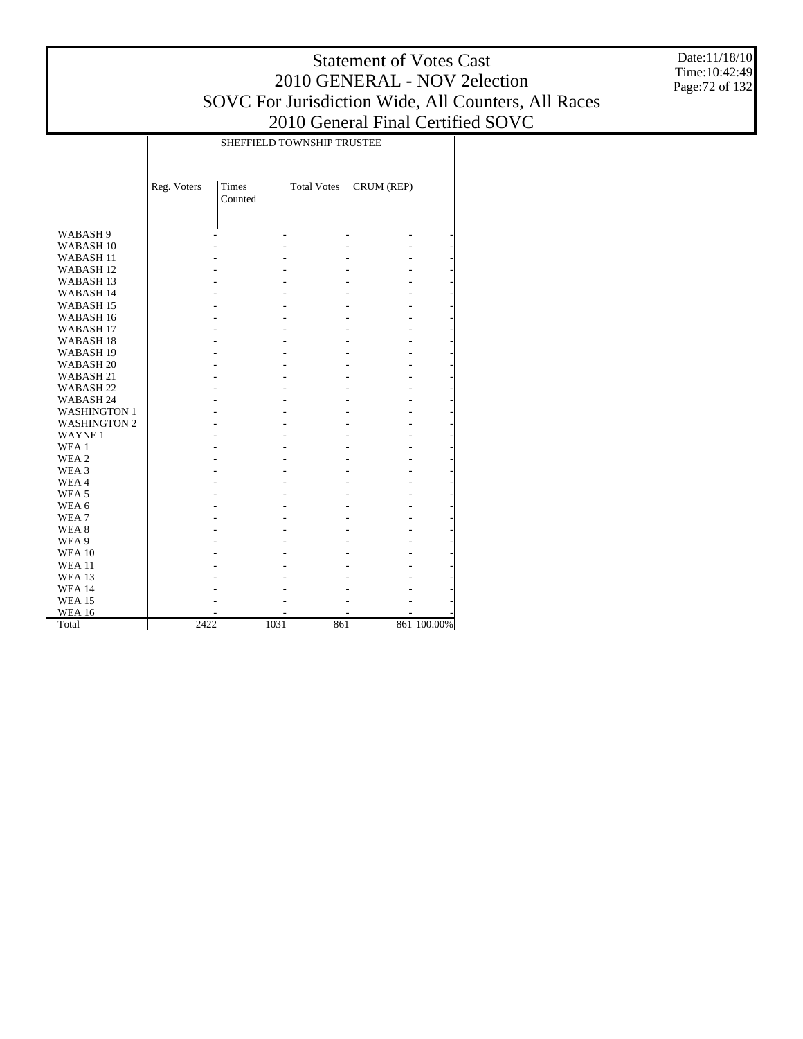Date:11/18/10 Time:10:42:49 Page:72 of 132

|                      | <b>SHEFFIELD TOWNSHIP TRUSTEE</b> |                         |                    |            |             |
|----------------------|-----------------------------------|-------------------------|--------------------|------------|-------------|
|                      | Reg. Voters                       | <b>Times</b><br>Counted | <b>Total Votes</b> | CRUM (REP) |             |
| WABASH 9             |                                   |                         |                    | ä,         |             |
| WABASH <sub>10</sub> |                                   |                         |                    | ÷.         |             |
| WABASH <sub>11</sub> |                                   |                         |                    |            |             |
| WABASH <sub>12</sub> |                                   |                         |                    |            |             |
| WABASH <sub>13</sub> |                                   |                         |                    |            |             |
| WABASH 14            |                                   |                         |                    |            |             |
| WABASH <sub>15</sub> |                                   |                         |                    |            |             |
| WABASH 16            |                                   |                         |                    |            |             |
| WABASH <sub>17</sub> |                                   |                         |                    | ٠          |             |
| WABASH <sub>18</sub> |                                   |                         |                    | ٠          |             |
| WABASH <sub>19</sub> |                                   |                         |                    |            |             |
| WABASH <sub>20</sub> |                                   |                         |                    |            |             |
| WABASH 21            |                                   |                         |                    |            |             |
| WABASH <sub>22</sub> |                                   |                         |                    |            |             |
| WABASH 24            |                                   |                         |                    |            |             |
| <b>WASHINGTON 1</b>  |                                   |                         |                    |            |             |
| <b>WASHINGTON 2</b>  |                                   |                         |                    |            |             |
| <b>WAYNE1</b>        |                                   |                         |                    |            |             |
| WEA 1                |                                   |                         |                    |            |             |
| WEA 2                |                                   |                         |                    |            |             |
| WEA 3                |                                   |                         |                    |            |             |
| WEA4                 |                                   |                         |                    |            |             |
| WEA <sub>5</sub>     |                                   |                         |                    | ٠          |             |
| WEA 6                |                                   |                         |                    |            |             |
| WEA7                 |                                   |                         |                    |            |             |
| WEA 8                |                                   |                         |                    |            |             |
| WEA 9                |                                   |                         |                    |            |             |
| <b>WEA 10</b>        |                                   |                         |                    |            |             |
| <b>WEA 11</b>        |                                   |                         |                    |            |             |
| <b>WEA 13</b>        |                                   |                         |                    |            |             |
| <b>WEA 14</b>        |                                   |                         |                    |            |             |
| <b>WEA 15</b>        |                                   |                         |                    |            |             |
| <b>WEA 16</b>        |                                   |                         |                    |            |             |
| Total                | 2422                              | 1031                    | 861                |            | 861 100.00% |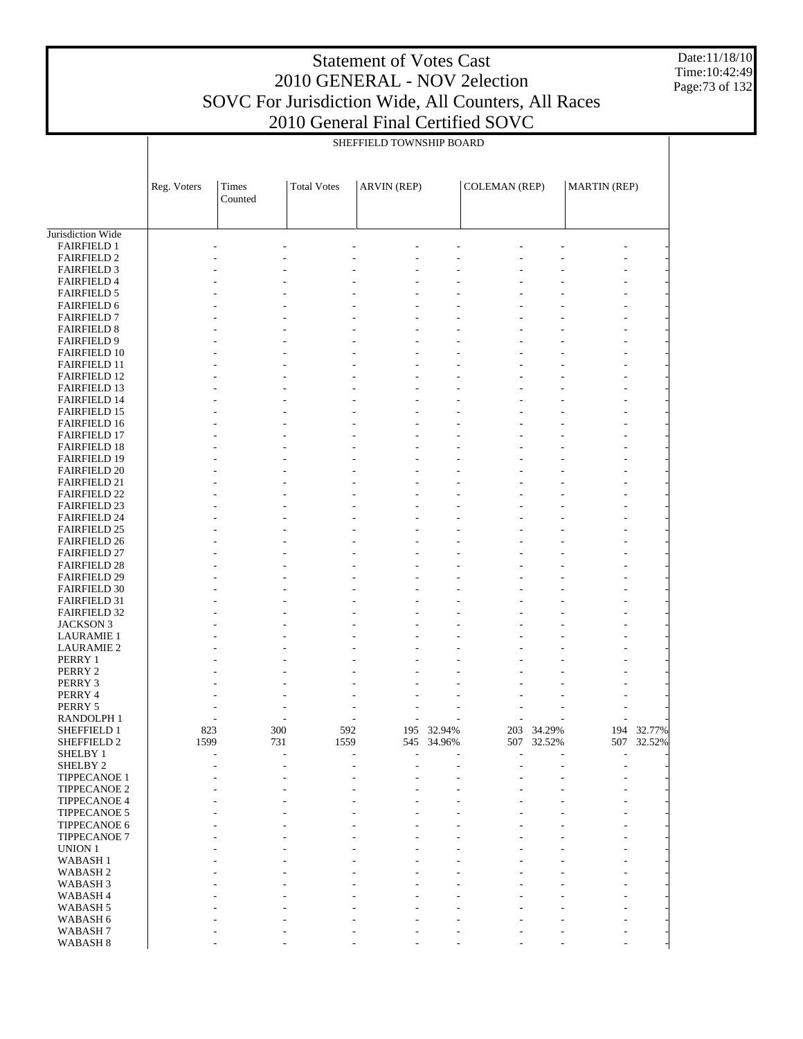Date:11/18/10 Time:10:42:49 Page:73 of 132

|                                            |             | SHEFFIELD TOWNSHIP BOARD |                    |             |            |                      |            |                     |            |  |  |
|--------------------------------------------|-------------|--------------------------|--------------------|-------------|------------|----------------------|------------|---------------------|------------|--|--|
|                                            |             |                          |                    |             |            |                      |            |                     |            |  |  |
|                                            | Reg. Voters | Times<br>Counted         | <b>Total Votes</b> | ARVIN (REP) |            | <b>COLEMAN (REP)</b> |            | <b>MARTIN (REP)</b> |            |  |  |
|                                            |             |                          |                    |             |            |                      |            |                     |            |  |  |
| Jurisdiction Wide                          |             |                          |                    |             |            |                      |            |                     |            |  |  |
| <b>FAIRFIELD 1</b>                         |             |                          |                    |             |            |                      |            |                     |            |  |  |
| <b>FAIRFIELD 2</b>                         |             |                          |                    |             |            |                      |            |                     |            |  |  |
| <b>FAIRFIELD 3</b>                         |             |                          |                    |             |            |                      |            |                     |            |  |  |
| <b>FAIRFIELD 4</b>                         |             |                          |                    |             |            |                      |            |                     |            |  |  |
| <b>FAIRFIELD 5</b>                         |             |                          |                    |             |            |                      |            |                     |            |  |  |
| <b>FAIRFIELD 6</b>                         |             |                          |                    |             |            |                      |            |                     |            |  |  |
| <b>FAIRFIELD 7</b>                         |             |                          |                    |             |            |                      |            |                     |            |  |  |
| <b>FAIRFIELD 8</b><br><b>FAIRFIELD 9</b>   |             |                          |                    |             |            |                      |            |                     |            |  |  |
| <b>FAIRFIELD 10</b>                        |             |                          |                    |             |            |                      |            |                     |            |  |  |
| <b>FAIRFIELD 11</b>                        |             |                          |                    |             |            |                      |            |                     |            |  |  |
| <b>FAIRFIELD 12</b>                        |             |                          |                    |             |            |                      |            |                     |            |  |  |
| <b>FAIRFIELD 13</b>                        |             |                          |                    |             |            |                      |            |                     |            |  |  |
| <b>FAIRFIELD 14</b>                        |             |                          |                    |             |            |                      |            |                     |            |  |  |
| <b>FAIRFIELD 15</b>                        |             |                          |                    |             |            |                      |            |                     |            |  |  |
| <b>FAIRFIELD 16</b>                        |             |                          |                    |             |            |                      |            |                     |            |  |  |
| <b>FAIRFIELD 17</b>                        |             |                          |                    |             |            |                      |            |                     |            |  |  |
| <b>FAIRFIELD 18</b>                        |             |                          |                    |             |            |                      |            |                     |            |  |  |
| <b>FAIRFIELD 19</b>                        |             |                          |                    |             |            |                      |            |                     |            |  |  |
| <b>FAIRFIELD 20</b>                        |             |                          |                    |             |            |                      |            |                     |            |  |  |
| FAIRFIELD 21                               |             |                          |                    |             |            |                      |            |                     |            |  |  |
| <b>FAIRFIELD 22</b>                        |             |                          |                    |             |            |                      |            |                     |            |  |  |
| <b>FAIRFIELD 23</b>                        |             |                          |                    |             |            |                      |            |                     |            |  |  |
| <b>FAIRFIELD 24</b>                        |             |                          |                    |             |            |                      |            |                     |            |  |  |
| <b>FAIRFIELD 25</b>                        |             |                          |                    |             |            |                      |            |                     |            |  |  |
| <b>FAIRFIELD 26</b>                        |             |                          |                    |             |            |                      |            |                     |            |  |  |
| <b>FAIRFIELD 27</b>                        |             |                          |                    |             |            |                      |            |                     |            |  |  |
| <b>FAIRFIELD 28</b>                        |             |                          |                    |             |            |                      |            |                     |            |  |  |
| <b>FAIRFIELD 29</b><br><b>FAIRFIELD 30</b> |             |                          |                    |             |            |                      |            |                     |            |  |  |
| <b>FAIRFIELD 31</b>                        |             |                          |                    |             |            |                      |            |                     |            |  |  |
| <b>FAIRFIELD 32</b>                        |             |                          |                    |             |            |                      |            |                     |            |  |  |
| JACKSON 3                                  |             |                          |                    |             |            |                      |            |                     |            |  |  |
| <b>LAURAMIE 1</b>                          |             |                          |                    |             |            |                      |            |                     |            |  |  |
| <b>LAURAMIE 2</b>                          |             |                          |                    |             |            |                      |            |                     |            |  |  |
| PERRY 1                                    |             |                          |                    |             |            |                      |            |                     |            |  |  |
| PERRY 2                                    |             |                          |                    |             |            |                      |            |                     |            |  |  |
| PERRY 3                                    |             |                          |                    |             |            |                      |            |                     |            |  |  |
| PERRY 4                                    |             |                          |                    |             |            |                      |            |                     |            |  |  |
| PERRY 5                                    |             |                          |                    |             |            |                      |            |                     |            |  |  |
| <b>RANDOLPH1</b>                           |             |                          |                    |             |            |                      |            |                     |            |  |  |
| SHEFFIELD 1                                | 823         | 300                      | 592                |             | 195 32.94% |                      | 203 34.29% |                     | 194 32.77% |  |  |
| SHEFFIELD 2                                | 1599        | 731                      | 1559               |             | 545 34.96% |                      | 507 32.52% |                     | 507 32.52% |  |  |
| SHELBY 1                                   |             |                          |                    |             |            |                      |            |                     |            |  |  |
| SHELBY 2                                   |             |                          |                    | ۰           | ٠          |                      |            |                     |            |  |  |
| TIPPECANOE 1                               |             |                          |                    |             |            |                      |            |                     |            |  |  |
| TIPPECANOE 2                               |             |                          |                    |             |            |                      |            |                     |            |  |  |
| TIPPECANOE 4                               |             |                          |                    |             |            |                      |            |                     |            |  |  |
| TIPPECANOE 5<br>TIPPECANOE 6               |             |                          |                    |             |            |                      |            |                     |            |  |  |
| TIPPECANOE 7                               |             |                          |                    |             |            |                      |            |                     |            |  |  |
| UNION 1                                    |             |                          |                    |             |            |                      |            |                     |            |  |  |
| <b>WABASH1</b>                             |             |                          |                    |             |            |                      |            |                     |            |  |  |
| WABASH <sub>2</sub>                        |             |                          |                    |             |            |                      |            |                     |            |  |  |
| WABASH <sub>3</sub>                        |             |                          |                    |             |            |                      |            |                     |            |  |  |
| WABASH 4                                   |             |                          |                    |             |            |                      |            |                     |            |  |  |
| WABASH 5                                   |             |                          |                    |             |            |                      |            |                     |            |  |  |
| WABASH 6                                   |             |                          |                    |             |            |                      |            |                     |            |  |  |
| WABASH <sub>7</sub>                        |             |                          |                    |             |            |                      |            |                     |            |  |  |
| WABASH <sub>8</sub>                        |             |                          |                    |             |            |                      |            |                     |            |  |  |

- - - - - - - - -

WABASH 8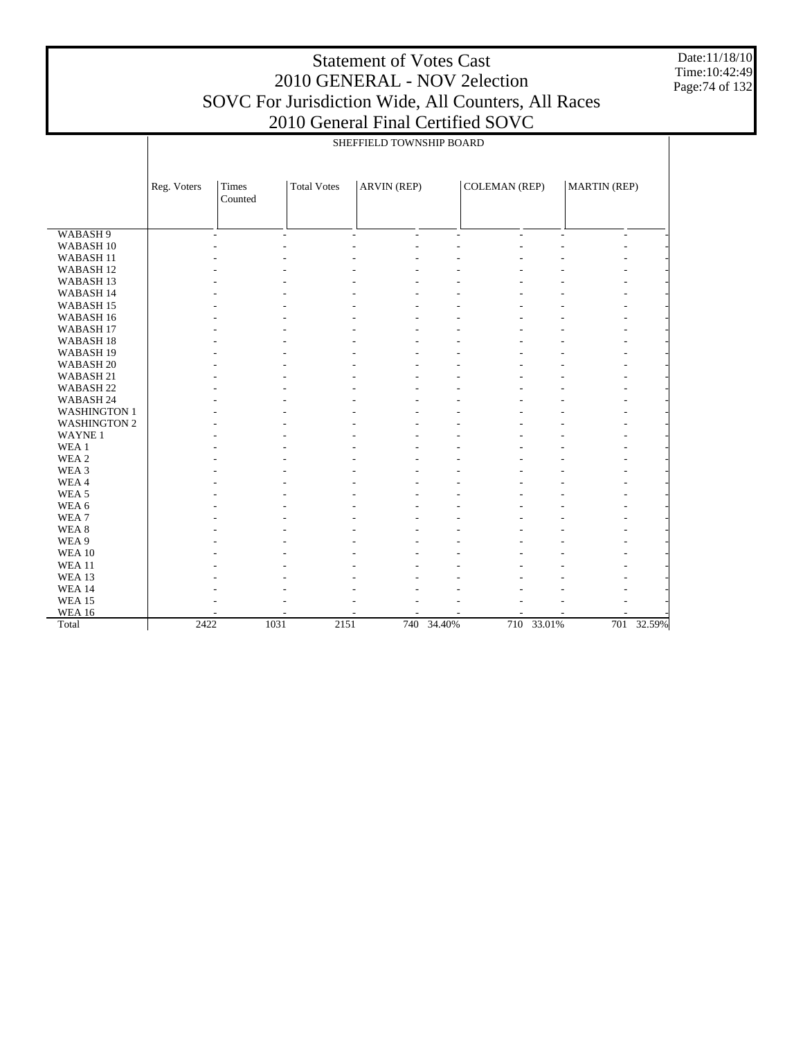Date:11/18/10 Time:10:42:49 Page:74 of 132

|                      | SHEFFIELD TOWNSHIP BOARD |                                                                                                             |              |                     |            |                |            |                |            |  |  |  |
|----------------------|--------------------------|-------------------------------------------------------------------------------------------------------------|--------------|---------------------|------------|----------------|------------|----------------|------------|--|--|--|
|                      | Reg. Voters              | <b>ARVIN (REP)</b><br>Times<br><b>Total Votes</b><br><b>COLEMAN (REP)</b><br><b>MARTIN (REP)</b><br>Counted |              |                     |            |                |            |                |            |  |  |  |
|                      |                          |                                                                                                             |              |                     |            |                |            |                |            |  |  |  |
|                      |                          |                                                                                                             |              |                     |            |                |            |                |            |  |  |  |
| WABASH <sub>9</sub>  |                          | $\mathbf{r}$                                                                                                | ÷            | $\overline{a}$<br>÷ | ÷          | $\overline{a}$ | ÷          | $\overline{a}$ |            |  |  |  |
| WABASH <sub>10</sub> |                          |                                                                                                             |              |                     |            |                |            |                |            |  |  |  |
| WABASH <sub>11</sub> |                          |                                                                                                             |              |                     |            |                |            |                |            |  |  |  |
| WABASH <sub>12</sub> |                          |                                                                                                             |              |                     |            |                |            |                |            |  |  |  |
| WABASH <sub>13</sub> |                          |                                                                                                             |              |                     |            |                |            |                |            |  |  |  |
| WABASH 14            |                          |                                                                                                             |              |                     |            |                |            |                |            |  |  |  |
| WABASH <sub>15</sub> |                          |                                                                                                             |              |                     |            |                |            |                |            |  |  |  |
| WABASH 16            |                          |                                                                                                             |              |                     |            |                |            |                |            |  |  |  |
| WABASH <sub>17</sub> |                          |                                                                                                             |              |                     |            |                |            |                |            |  |  |  |
| WABASH <sub>18</sub> |                          |                                                                                                             |              |                     |            |                |            |                |            |  |  |  |
| WABASH <sub>19</sub> |                          |                                                                                                             |              |                     |            |                |            |                |            |  |  |  |
| WABASH <sub>20</sub> |                          |                                                                                                             |              |                     |            |                |            |                |            |  |  |  |
| WABASH 21            |                          |                                                                                                             |              |                     |            |                |            |                |            |  |  |  |
| WABASH <sub>22</sub> |                          |                                                                                                             |              |                     |            |                |            |                |            |  |  |  |
| WABASH 24            |                          |                                                                                                             |              |                     |            |                |            |                |            |  |  |  |
| <b>WASHINGTON 1</b>  |                          |                                                                                                             |              |                     |            |                |            |                |            |  |  |  |
| <b>WASHINGTON 2</b>  |                          |                                                                                                             |              |                     |            |                |            |                |            |  |  |  |
| WAYNE <sub>1</sub>   |                          |                                                                                                             |              |                     |            |                |            |                |            |  |  |  |
| WEA 1                |                          |                                                                                                             |              |                     |            |                |            |                |            |  |  |  |
| WEA 2                |                          |                                                                                                             |              |                     |            |                |            |                |            |  |  |  |
| WEA <sub>3</sub>     |                          |                                                                                                             |              |                     |            |                |            |                |            |  |  |  |
| WEA4                 |                          |                                                                                                             |              |                     |            |                |            |                |            |  |  |  |
| WEA <sub>5</sub>     |                          |                                                                                                             |              |                     |            |                |            |                |            |  |  |  |
| WEA 6                |                          |                                                                                                             |              |                     |            |                |            |                |            |  |  |  |
| WEA <sub>7</sub>     |                          |                                                                                                             |              |                     |            |                |            |                |            |  |  |  |
| WEA <sub>8</sub>     |                          |                                                                                                             |              |                     |            |                |            |                |            |  |  |  |
| WEA 9                |                          |                                                                                                             |              |                     |            |                |            |                |            |  |  |  |
| WEA 10               |                          |                                                                                                             |              |                     |            |                |            |                |            |  |  |  |
| <b>WEA11</b>         |                          |                                                                                                             |              |                     |            |                |            |                |            |  |  |  |
| WEA 13               |                          |                                                                                                             |              |                     |            |                |            |                |            |  |  |  |
| <b>WEA 14</b>        |                          |                                                                                                             |              |                     |            |                |            |                |            |  |  |  |
| <b>WEA 15</b>        |                          |                                                                                                             |              |                     |            |                |            |                |            |  |  |  |
| <b>WEA 16</b>        |                          |                                                                                                             |              |                     |            |                |            |                |            |  |  |  |
| Total                | 2422                     |                                                                                                             | 1031<br>2151 |                     | 740 34.40% |                | 710 33.01% |                | 701 32.59% |  |  |  |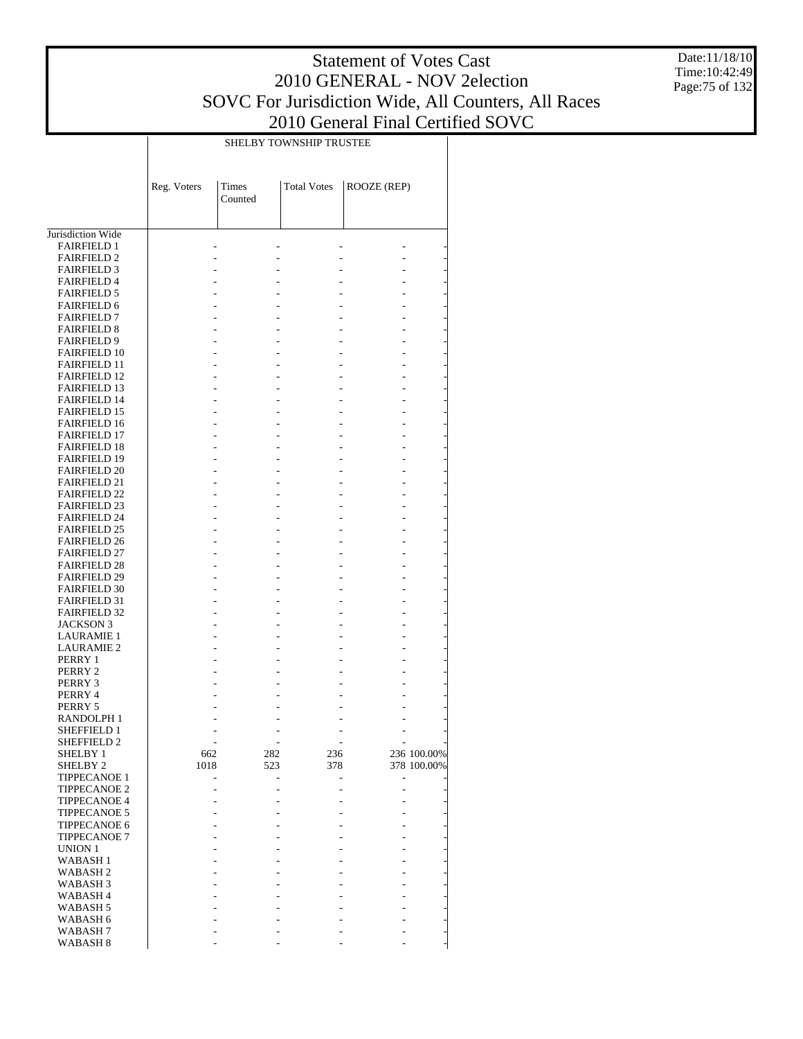Date:11/18/10 Time:10:42:49 Page:75 of 132

|                                            |             |                  | <b>SHELBY TOWNSHIP TRUSTEE</b> |             |                            |
|--------------------------------------------|-------------|------------------|--------------------------------|-------------|----------------------------|
|                                            | Reg. Voters | Times<br>Counted | <b>Total Votes</b>             | ROOZE (REP) |                            |
|                                            |             |                  |                                |             |                            |
| Jurisdiction Wide<br><b>FAIRFIELD 1</b>    |             |                  |                                |             |                            |
| <b>FAIRFIELD 2</b>                         |             |                  |                                |             |                            |
| <b>FAIRFIELD 3</b>                         |             |                  |                                |             |                            |
| <b>FAIRFIELD 4</b>                         |             |                  |                                |             |                            |
| <b>FAIRFIELD 5</b>                         |             |                  |                                |             |                            |
| <b>FAIRFIELD 6</b><br><b>FAIRFIELD 7</b>   |             |                  |                                |             |                            |
| <b>FAIRFIELD 8</b>                         |             |                  |                                |             |                            |
| <b>FAIRFIELD 9</b>                         |             |                  |                                |             |                            |
| <b>FAIRFIELD 10</b>                        |             |                  |                                |             |                            |
| <b>FAIRFIELD 11</b>                        |             |                  |                                |             |                            |
| <b>FAIRFIELD 12</b>                        |             |                  |                                |             |                            |
| <b>FAIRFIELD 13</b><br><b>FAIRFIELD 14</b> |             |                  |                                |             |                            |
| <b>FAIRFIELD 15</b>                        |             |                  |                                |             |                            |
| <b>FAIRFIELD 16</b>                        |             |                  |                                |             |                            |
| <b>FAIRFIELD 17</b>                        |             |                  |                                |             |                            |
| <b>FAIRFIELD 18</b>                        |             |                  |                                |             |                            |
| <b>FAIRFIELD 19</b>                        |             |                  |                                |             |                            |
| <b>FAIRFIELD 20</b>                        |             |                  |                                |             |                            |
| <b>FAIRFIELD 21</b><br><b>FAIRFIELD 22</b> |             |                  |                                |             |                            |
| <b>FAIRFIELD 23</b>                        |             |                  |                                |             |                            |
| <b>FAIRFIELD 24</b>                        |             |                  |                                |             |                            |
| <b>FAIRFIELD 25</b>                        |             |                  |                                |             |                            |
| <b>FAIRFIELD 26</b>                        |             |                  |                                |             |                            |
| <b>FAIRFIELD 27</b>                        |             |                  |                                |             |                            |
| <b>FAIRFIELD 28</b>                        |             |                  |                                |             |                            |
| <b>FAIRFIELD 29</b><br><b>FAIRFIELD 30</b> |             |                  |                                |             |                            |
| <b>FAIRFIELD 31</b>                        |             |                  |                                |             |                            |
| <b>FAIRFIELD 32</b>                        |             |                  |                                |             |                            |
| <b>JACKSON 3</b>                           |             |                  |                                |             |                            |
| <b>LAURAMIE 1</b>                          |             |                  |                                |             |                            |
| <b>LAURAMIE 2</b>                          |             |                  |                                |             |                            |
| PERRY 1                                    |             |                  |                                |             |                            |
| PERRY 2<br>PERRY 3                         |             |                  |                                |             |                            |
| PERRY 4                                    |             |                  |                                |             |                            |
| PERRY 5                                    |             |                  |                                |             |                            |
| RANDOLPH 1                                 |             |                  |                                |             |                            |
| <b>SHEFFIELD 1</b>                         |             |                  |                                |             |                            |
| SHEFFIELD 2                                |             |                  |                                |             |                            |
| <b>SHELBY 1</b><br>SHELBY <sub>2</sub>     | 662<br>1018 | 282<br>523       | 236<br>378                     |             | 236 100.00%<br>378 100.00% |
| <b>TIPPECANOE 1</b>                        |             |                  |                                |             |                            |
| <b>TIPPECANOE 2</b>                        |             |                  |                                |             |                            |
| <b>TIPPECANOE 4</b>                        |             |                  |                                |             |                            |
| <b>TIPPECANOE 5</b>                        |             |                  |                                |             |                            |
| <b>TIPPECANOE 6</b>                        |             |                  |                                |             |                            |
| <b>TIPPECANOE 7</b>                        |             |                  |                                |             |                            |
| UNION 1<br>WABASH <sub>1</sub>             |             |                  |                                |             |                            |
| WABASH <sub>2</sub>                        |             |                  |                                |             |                            |
| WABASH <sub>3</sub>                        |             |                  |                                |             |                            |
| WABASH <sub>4</sub>                        |             |                  |                                |             |                            |
| WABASH 5                                   |             |                  |                                |             |                            |
| WABASH 6                                   |             |                  |                                |             |                            |
| WABASH <sub>7</sub><br>WABASH <sub>8</sub> |             |                  |                                |             |                            |
|                                            |             |                  |                                |             |                            |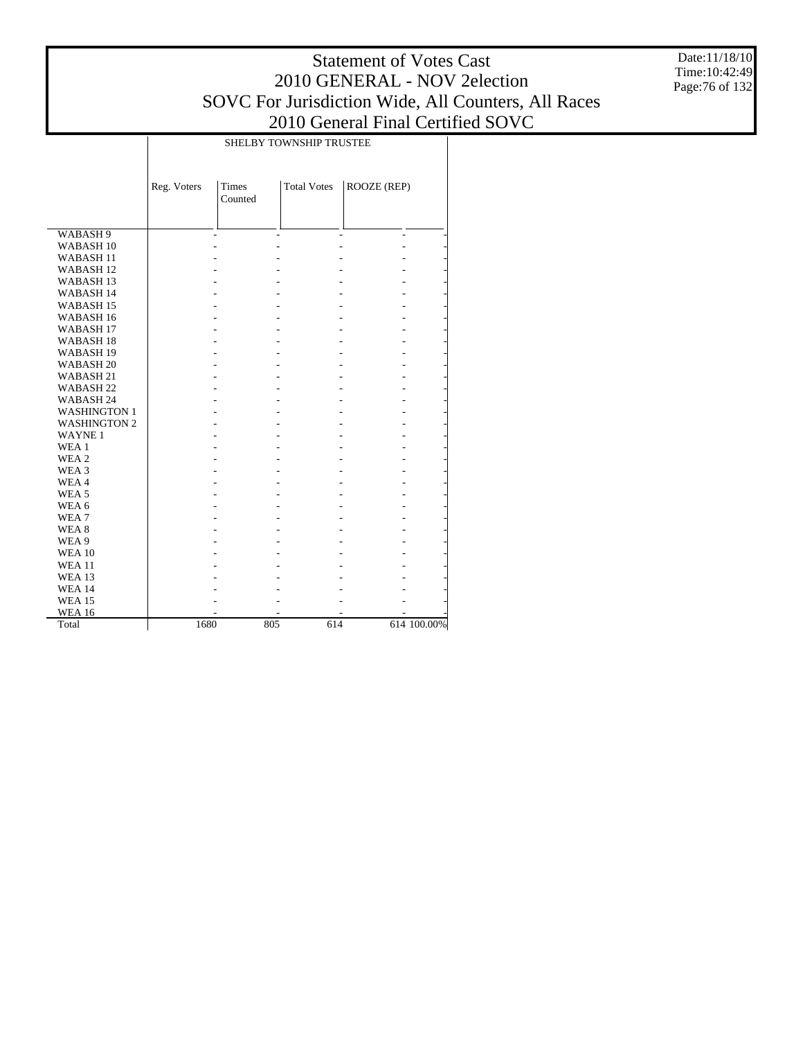Date:11/18/10 Time:10:42:49 Page:76 of 132

|                      |             |                         | SHELBY TOWNSHIP TRUSTEE |             |             |
|----------------------|-------------|-------------------------|-------------------------|-------------|-------------|
|                      | Reg. Voters | <b>Times</b><br>Counted | <b>Total Votes</b>      | ROOZE (REP) |             |
| WABASH 9             |             | $\overline{a}$          | $\overline{a}$          |             |             |
| WABASH <sub>10</sub> |             |                         |                         |             |             |
| WABASH <sub>11</sub> |             |                         |                         |             |             |
| WABASH <sub>12</sub> |             |                         |                         |             |             |
| WABASH <sub>13</sub> |             |                         |                         |             |             |
| WABASH 14            |             |                         |                         |             |             |
| WABASH <sub>15</sub> |             |                         |                         |             |             |
| WABASH <sub>16</sub> |             |                         |                         |             |             |
| WABASH <sub>17</sub> |             |                         |                         |             |             |
| WABASH <sub>18</sub> |             |                         |                         |             |             |
| WABASH 19            |             |                         |                         |             |             |
| WABASH <sub>20</sub> |             |                         |                         |             |             |
| WABASH 21            |             |                         |                         |             |             |
| WABASH <sub>22</sub> |             |                         |                         |             |             |
| WABASH 24            |             |                         |                         |             |             |
| <b>WASHINGTON 1</b>  |             |                         |                         |             |             |
| <b>WASHINGTON 2</b>  |             |                         | ۷                       |             |             |
| <b>WAYNE1</b>        |             |                         |                         |             |             |
| WEA <sub>1</sub>     |             |                         |                         |             |             |
| WEA 2                |             |                         |                         |             |             |
| WEA 3                |             |                         |                         |             |             |
| WEA4                 |             |                         |                         |             |             |
| WEA <sub>5</sub>     |             |                         |                         |             |             |
| WEA 6                |             |                         |                         |             |             |
| WEA7                 |             |                         |                         |             |             |
| WEA <sub>8</sub>     |             |                         |                         |             |             |
| WEA 9                |             |                         |                         |             |             |
| <b>WEA 10</b>        |             |                         |                         |             |             |
| <b>WEA 11</b>        |             |                         |                         |             |             |
| <b>WEA 13</b>        |             |                         |                         |             |             |
| <b>WEA 14</b>        |             |                         |                         |             |             |
| <b>WEA 15</b>        |             |                         |                         |             |             |
| <b>WEA 16</b>        |             |                         |                         |             |             |
| Total                | 1680        |                         | 805<br>614              |             | 614 100.00% |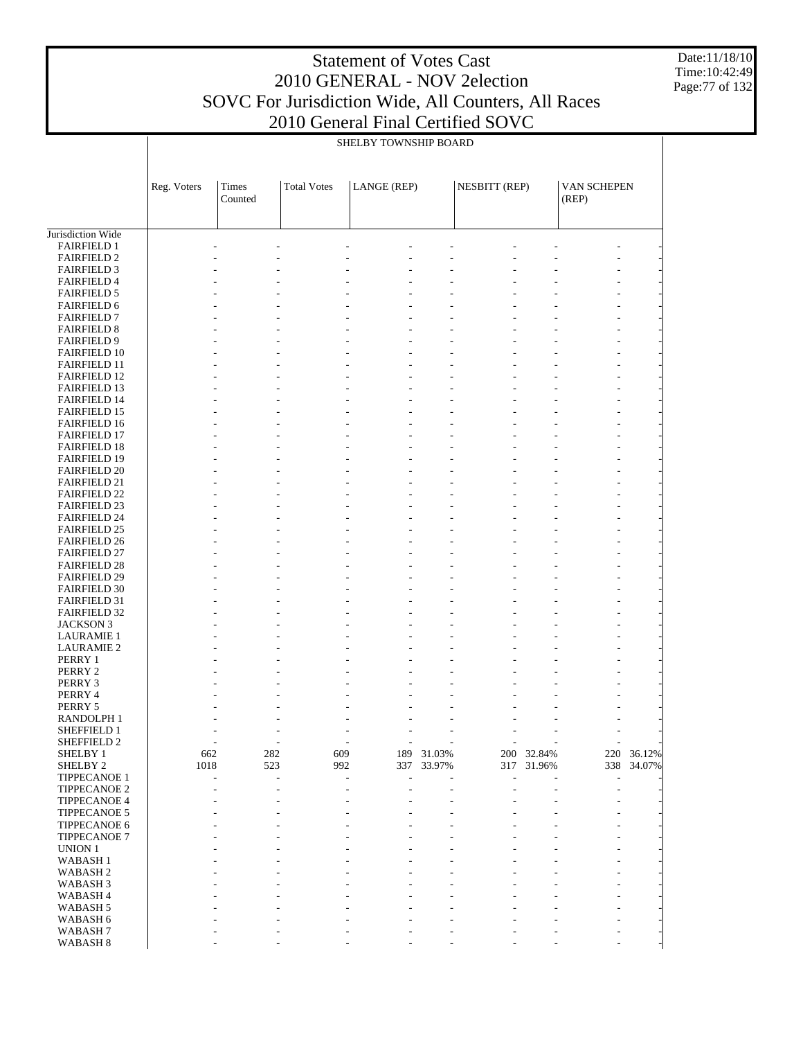Date:11/18/10 Time:10:42:49 Page:77 of 132

|                                            |             | SHELBY TOWNSHIP BOARD |                    |             |        |               |            |                      |        |  |
|--------------------------------------------|-------------|-----------------------|--------------------|-------------|--------|---------------|------------|----------------------|--------|--|
|                                            | Reg. Voters | Times<br>Counted      | <b>Total Votes</b> | LANGE (REP) |        | NESBITT (REP) |            | VAN SCHEPEN<br>(REP) |        |  |
|                                            |             |                       |                    |             |        |               |            |                      |        |  |
| Jurisdiction Wide<br><b>FAIRFIELD 1</b>    |             |                       |                    |             |        |               |            |                      |        |  |
| <b>FAIRFIELD 2</b>                         |             |                       |                    |             |        |               |            |                      |        |  |
| <b>FAIRFIELD 3</b>                         |             |                       |                    |             |        |               |            |                      |        |  |
| <b>FAIRFIELD 4</b>                         |             |                       |                    |             |        |               |            |                      |        |  |
| <b>FAIRFIELD 5</b>                         |             |                       |                    |             |        |               |            |                      |        |  |
| <b>FAIRFIELD 6</b>                         |             |                       |                    |             |        |               |            |                      |        |  |
| <b>FAIRFIELD 7</b>                         |             |                       |                    |             |        |               |            |                      |        |  |
| <b>FAIRFIELD 8</b>                         |             |                       |                    |             |        |               |            |                      |        |  |
| <b>FAIRFIELD 9</b>                         |             |                       |                    |             |        |               |            |                      |        |  |
| <b>FAIRFIELD 10</b><br><b>FAIRFIELD 11</b> |             |                       |                    |             |        |               |            |                      |        |  |
| <b>FAIRFIELD 12</b>                        |             |                       |                    |             |        |               |            |                      |        |  |
| <b>FAIRFIELD 13</b>                        |             |                       |                    |             |        |               |            |                      |        |  |
| <b>FAIRFIELD 14</b>                        |             |                       |                    |             |        |               |            |                      |        |  |
| <b>FAIRFIELD 15</b>                        |             |                       |                    |             |        |               |            |                      |        |  |
| <b>FAIRFIELD 16</b>                        |             |                       |                    |             |        |               |            |                      |        |  |
| <b>FAIRFIELD 17</b>                        |             |                       |                    |             |        |               |            |                      |        |  |
| <b>FAIRFIELD 18</b>                        |             |                       |                    |             |        |               |            |                      |        |  |
| <b>FAIRFIELD 19</b>                        |             |                       |                    |             |        |               |            |                      |        |  |
| <b>FAIRFIELD 20</b>                        |             |                       |                    |             |        |               |            |                      |        |  |
| <b>FAIRFIELD 21</b>                        |             |                       |                    |             |        |               |            |                      |        |  |
| <b>FAIRFIELD 22</b>                        |             |                       |                    |             |        |               |            |                      |        |  |
| <b>FAIRFIELD 23</b><br><b>FAIRFIELD 24</b> |             |                       |                    |             |        |               |            |                      |        |  |
| <b>FAIRFIELD 25</b>                        |             |                       |                    |             |        |               |            |                      |        |  |
| <b>FAIRFIELD 26</b>                        |             |                       |                    |             |        |               |            |                      |        |  |
| <b>FAIRFIELD 27</b>                        |             |                       |                    |             |        |               |            |                      |        |  |
| <b>FAIRFIELD 28</b>                        |             |                       |                    |             |        |               |            |                      |        |  |
| <b>FAIRFIELD 29</b>                        |             |                       |                    |             |        |               |            |                      |        |  |
| <b>FAIRFIELD 30</b>                        |             |                       |                    |             |        |               |            |                      |        |  |
| <b>FAIRFIELD 31</b>                        |             |                       |                    |             |        |               |            |                      |        |  |
| <b>FAIRFIELD 32</b>                        |             |                       |                    |             |        |               |            |                      |        |  |
| <b>JACKSON 3</b>                           |             |                       |                    |             |        |               |            |                      |        |  |
| <b>LAURAMIE 1</b>                          |             |                       |                    |             |        |               |            |                      |        |  |
| <b>LAURAMIE 2</b>                          |             |                       |                    |             |        |               |            |                      |        |  |
| PERRY 1<br>PERRY 2                         |             |                       |                    |             |        |               |            |                      |        |  |
| PERRY 3                                    |             |                       |                    |             |        |               |            |                      |        |  |
| PERRY 4                                    |             |                       |                    |             |        |               |            |                      |        |  |
| PERRY 5                                    |             |                       |                    |             |        |               |            |                      |        |  |
| <b>RANDOLPH1</b>                           |             |                       |                    |             |        |               |            |                      |        |  |
| SHEFFIELD 1                                |             | $\overline{a}$        |                    |             |        | L,            |            | L,                   |        |  |
| SHEFFIELD 2                                |             |                       |                    |             |        |               |            |                      |        |  |
| SHELBY 1                                   | 662         | 282                   | 609                | 189         | 31.03% | 200           | 32.84%     | 220                  | 36.12% |  |
| SHELBY 2                                   | 1018        | 523                   | 992                | 337         | 33.97% |               | 317 31.96% | 338                  | 34.07% |  |
| TIPPECANOE 1                               |             | L,                    |                    |             |        |               |            | L,                   |        |  |
| <b>TIPPECANOE 2</b>                        |             |                       |                    |             |        |               |            |                      |        |  |
| TIPPECANOE 4<br>TIPPECANOE 5               |             |                       |                    |             |        |               |            |                      |        |  |
| TIPPECANOE 6                               |             |                       |                    |             |        |               |            |                      |        |  |
| TIPPECANOE 7                               |             |                       |                    |             |        |               |            |                      |        |  |
| <b>UNION 1</b>                             |             |                       |                    |             |        |               |            |                      |        |  |
| WABASH <sub>1</sub>                        |             |                       |                    |             |        |               |            |                      |        |  |
| WABASH <sub>2</sub>                        |             |                       |                    |             |        |               |            |                      |        |  |
| WABASH <sub>3</sub>                        |             |                       |                    |             |        |               |            |                      |        |  |
| WABASH 4                                   |             |                       |                    |             |        |               |            |                      |        |  |
| WABASH <sub>5</sub>                        |             |                       |                    |             |        |               |            |                      |        |  |
| WABASH 6                                   |             |                       |                    |             |        |               |            |                      |        |  |
| WABASH <sub>7</sub>                        |             |                       |                    |             |        |               |            |                      |        |  |
| WABASH <sub>8</sub>                        |             |                       |                    |             |        |               |            |                      |        |  |

-  $\sim$  -  $\sim$  -  $\sim$  -  $\sim$  -  $\sim$  -  $\sim$  -  $\sim$  -  $\sim$  -  $\sim$  -  $\sim$  -  $\sim$  -  $\sim$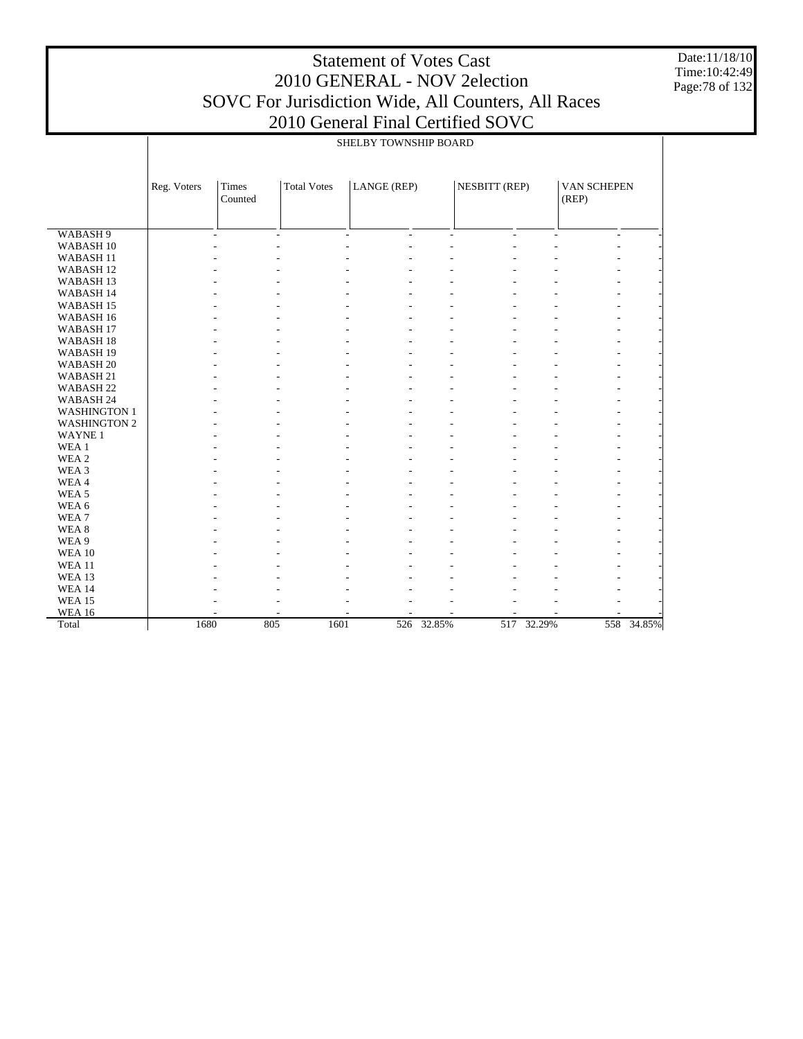Date:11/18/10 Time:10:42:49 Page:78 of 132

|                      | SHELBY TOWNSHIP BOARD |                  |                    |             |            |                      |            |                      |            |
|----------------------|-----------------------|------------------|--------------------|-------------|------------|----------------------|------------|----------------------|------------|
|                      | Reg. Voters           | Times<br>Counted | <b>Total Votes</b> | LANGE (REP) |            | <b>NESBITT (REP)</b> |            | VAN SCHEPEN<br>(REP) |            |
|                      |                       |                  |                    |             |            |                      |            |                      |            |
| WABASH <sub>9</sub>  |                       | ÷.               | $\overline{a}$     | L.<br>L.    | ÷.         | L.                   | L.         |                      |            |
| WABASH <sub>10</sub> |                       |                  |                    |             |            |                      |            |                      |            |
| WABASH <sub>11</sub> |                       |                  |                    |             |            |                      |            |                      |            |
| WABASH <sub>12</sub> |                       |                  |                    |             |            |                      |            |                      |            |
| WABASH <sub>13</sub> |                       |                  |                    |             |            |                      |            |                      |            |
| WABASH 14            |                       |                  |                    |             |            |                      |            |                      |            |
| WABASH <sub>15</sub> |                       |                  |                    |             |            |                      |            |                      |            |
| WABASH 16            |                       |                  |                    |             |            |                      |            |                      |            |
| WABASH 17            |                       |                  |                    |             |            |                      |            |                      |            |
| WABASH <sub>18</sub> |                       |                  |                    |             |            |                      |            |                      |            |
| WABASH <sub>19</sub> |                       |                  |                    |             |            |                      |            |                      |            |
| WABASH <sub>20</sub> |                       |                  |                    |             |            |                      |            |                      |            |
| WABASH 21            |                       |                  |                    |             |            |                      |            |                      |            |
| WABASH <sub>22</sub> |                       |                  |                    |             |            |                      |            |                      |            |
| WABASH 24            |                       |                  |                    |             |            |                      |            |                      |            |
| <b>WASHINGTON 1</b>  |                       |                  |                    |             |            |                      |            |                      |            |
| <b>WASHINGTON 2</b>  |                       |                  |                    |             |            |                      |            |                      |            |
| <b>WAYNE1</b>        |                       |                  |                    |             |            |                      |            |                      |            |
| WEA <sub>1</sub>     |                       |                  |                    |             |            |                      |            |                      |            |
| WEA 2                |                       |                  |                    |             |            |                      |            |                      |            |
| WEA 3                |                       |                  |                    |             |            |                      |            |                      |            |
| WEA4                 |                       |                  |                    |             |            |                      |            |                      |            |
| WEA <sub>5</sub>     |                       |                  |                    |             |            |                      |            |                      |            |
| WEA 6                |                       |                  |                    |             |            |                      |            |                      |            |
| WEA <sub>7</sub>     |                       |                  |                    |             |            |                      |            |                      |            |
| WEA <sub>8</sub>     |                       |                  |                    |             |            |                      |            |                      |            |
| WEA 9                |                       |                  |                    |             |            |                      |            |                      |            |
| <b>WEA 10</b>        |                       |                  |                    |             |            |                      |            |                      |            |
| <b>WEA 11</b>        |                       |                  |                    |             |            |                      |            |                      |            |
| <b>WEA 13</b>        |                       |                  |                    |             |            |                      |            |                      |            |
| <b>WEA 14</b>        |                       |                  |                    |             |            |                      |            |                      |            |
| <b>WEA 15</b>        |                       |                  |                    |             |            |                      |            |                      |            |
| <b>WEA 16</b>        |                       |                  |                    |             |            |                      |            |                      |            |
| Total                | 1680                  |                  | 805<br>1601        |             | 526 32.85% |                      | 517 32.29% |                      | 558 34.85% |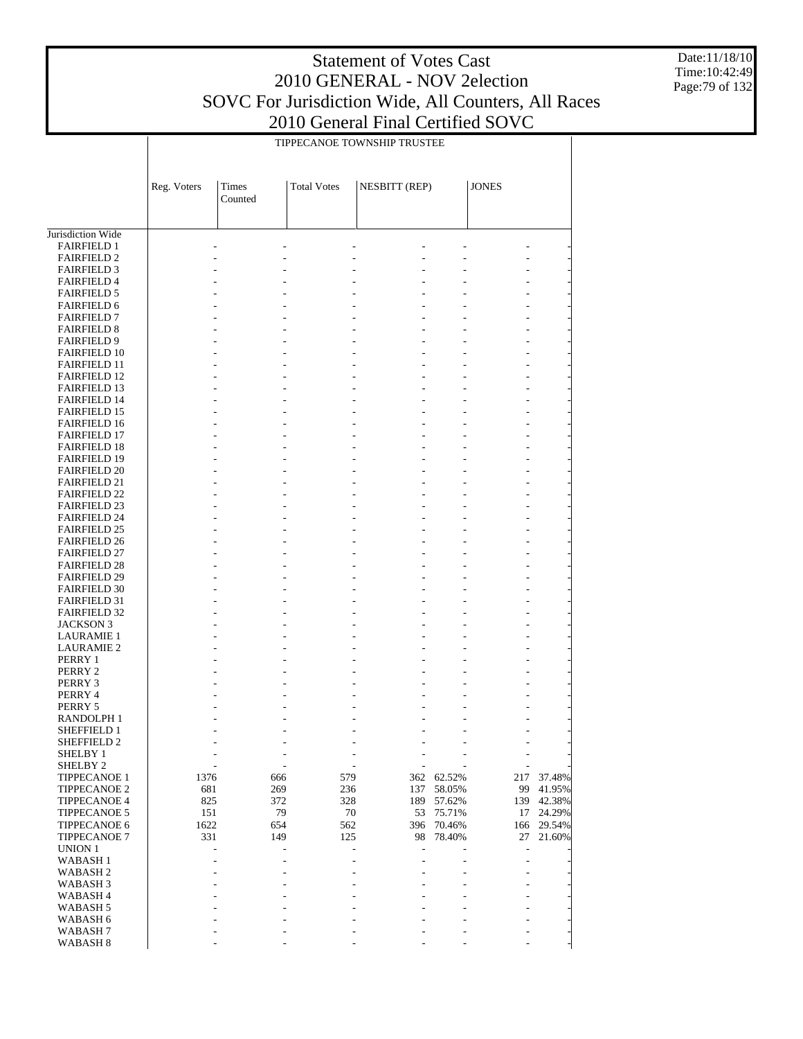Date:11/18/10 Time:10:42:49 Page:79 of 132

|                                            |             | TIPPECANOE TOWNSHIP TRUSTEE |                    |                |        |                              |        |  |  |  |
|--------------------------------------------|-------------|-----------------------------|--------------------|----------------|--------|------------------------------|--------|--|--|--|
|                                            |             |                             |                    |                |        |                              |        |  |  |  |
|                                            | Reg. Voters | Times                       | <b>Total Votes</b> | NESBITT (REP)  |        | <b>JONES</b>                 |        |  |  |  |
|                                            |             | Counted                     |                    |                |        |                              |        |  |  |  |
|                                            |             |                             |                    |                |        |                              |        |  |  |  |
| Jurisdiction Wide                          |             |                             |                    |                |        |                              |        |  |  |  |
| <b>FAIRFIELD 1</b><br><b>FAIRFIELD 2</b>   |             |                             |                    |                |        |                              |        |  |  |  |
| <b>FAIRFIELD 3</b>                         |             |                             |                    |                |        | L,                           |        |  |  |  |
| <b>FAIRFIELD 4</b>                         |             |                             |                    |                |        |                              |        |  |  |  |
| <b>FAIRFIELD 5</b>                         |             |                             |                    |                |        |                              |        |  |  |  |
| <b>FAIRFIELD 6</b>                         |             |                             |                    |                |        |                              |        |  |  |  |
| <b>FAIRFIELD 7</b>                         |             |                             |                    | $\overline{a}$ |        | $\overline{a}$               |        |  |  |  |
| <b>FAIRFIELD 8</b>                         |             |                             |                    |                |        |                              |        |  |  |  |
| <b>FAIRFIELD 9</b>                         |             |                             |                    |                |        | L,                           |        |  |  |  |
| <b>FAIRFIELD 10</b>                        |             |                             |                    |                |        |                              |        |  |  |  |
| <b>FAIRFIELD 11</b><br><b>FAIRFIELD 12</b> |             |                             |                    | $\overline{a}$ |        | $\overline{a}$               |        |  |  |  |
| <b>FAIRFIELD 13</b>                        |             |                             |                    |                |        | L,                           |        |  |  |  |
| <b>FAIRFIELD 14</b>                        |             |                             |                    |                |        |                              |        |  |  |  |
| <b>FAIRFIELD 15</b>                        |             |                             |                    | $\overline{a}$ |        | $\overline{a}$               |        |  |  |  |
| <b>FAIRFIELD 16</b>                        |             |                             |                    |                |        |                              |        |  |  |  |
| <b>FAIRFIELD 17</b>                        |             |                             |                    |                |        | L,                           |        |  |  |  |
| <b>FAIRFIELD 18</b>                        |             |                             |                    |                |        |                              |        |  |  |  |
| <b>FAIRFIELD 19</b>                        |             |                             |                    | $\overline{a}$ |        | $\overline{a}$               |        |  |  |  |
| <b>FAIRFIELD 20</b>                        |             |                             |                    |                |        |                              |        |  |  |  |
| <b>FAIRFIELD 21</b>                        |             |                             |                    |                |        | L,                           |        |  |  |  |
| <b>FAIRFIELD 22</b><br><b>FAIRFIELD 23</b> |             |                             |                    | $\overline{a}$ |        | $\overline{a}$               |        |  |  |  |
| <b>FAIRFIELD 24</b>                        |             |                             |                    |                |        |                              |        |  |  |  |
| <b>FAIRFIELD 25</b>                        |             |                             |                    |                |        | L,                           |        |  |  |  |
| <b>FAIRFIELD 26</b>                        |             |                             |                    |                |        |                              |        |  |  |  |
| <b>FAIRFIELD 27</b>                        |             |                             |                    | $\overline{a}$ |        | L,                           |        |  |  |  |
| <b>FAIRFIELD 28</b>                        |             |                             |                    |                |        |                              |        |  |  |  |
| <b>FAIRFIELD 29</b>                        |             |                             |                    |                |        | L,                           |        |  |  |  |
| <b>FAIRFIELD 30</b>                        |             |                             |                    |                |        |                              |        |  |  |  |
| <b>FAIRFIELD 31</b>                        |             |                             |                    | $\overline{a}$ |        | L,                           |        |  |  |  |
| <b>FAIRFIELD 32</b>                        |             |                             |                    |                |        |                              |        |  |  |  |
| <b>JACKSON 3</b><br><b>LAURAMIE 1</b>      |             |                             |                    |                |        | L,                           |        |  |  |  |
| <b>LAURAMIE 2</b>                          |             |                             |                    |                |        | $\overline{a}$               |        |  |  |  |
| PERRY 1                                    |             |                             |                    |                |        |                              |        |  |  |  |
| PERRY 2                                    |             |                             |                    |                |        | ÷,                           |        |  |  |  |
| PERRY 3                                    |             |                             |                    |                |        |                              |        |  |  |  |
| PERRY 4                                    |             |                             |                    |                |        |                              |        |  |  |  |
| PERRY 5                                    |             |                             |                    |                |        |                              |        |  |  |  |
| RANDOLPH 1                                 |             |                             |                    |                |        |                              |        |  |  |  |
| SHEFFIELD 1                                | L,          | $\overline{a}$              | L,                 |                |        | $\qquad \qquad \blacksquare$ |        |  |  |  |
| SHEFFIELD 2<br>SHELBY 1                    |             |                             |                    |                |        | $\overline{a}$               |        |  |  |  |
| SHELBY <sub>2</sub>                        |             | ÷,                          | ٠                  |                |        | $\overline{\phantom{0}}$     |        |  |  |  |
| <b>TIPPECANOE 1</b>                        | 1376        | 666                         | 579                | 362            | 62.52% | 217                          | 37.48% |  |  |  |
| <b>TIPPECANOE 2</b>                        | 681         | 269                         | 236                | 137            | 58.05% | 99                           | 41.95% |  |  |  |
| <b>TIPPECANOE 4</b>                        | 825         | 372                         | 328                | 189            | 57.62% | 139                          | 42.38% |  |  |  |
| <b>TIPPECANOE 5</b>                        | 151         | 79                          | 70                 | 53             | 75.71% | 17                           | 24.29% |  |  |  |
| <b>TIPPECANOE 6</b>                        | 1622        | 654                         | 562                | 396            | 70.46% | 166                          | 29.54% |  |  |  |
| <b>TIPPECANOE 7</b>                        | 331         | 149                         | 125                | 98             | 78.40% | 27                           | 21.60% |  |  |  |
| UNION 1                                    |             | ÷,                          | L,                 | Ĭ.             |        | $\overline{a}$               |        |  |  |  |
| <b>WABASH1</b><br><b>WABASH2</b>           |             | $\overline{a}$              | L,                 | J.             |        | $\overline{a}$               |        |  |  |  |
| WABASH <sub>3</sub>                        |             |                             |                    |                |        | L,                           |        |  |  |  |
| WABASH 4                                   |             |                             |                    |                |        |                              |        |  |  |  |
| WABASH 5                                   |             |                             |                    |                |        | L,                           |        |  |  |  |
| WABASH 6                                   |             |                             |                    |                |        |                              |        |  |  |  |
| WABASH <sub>7</sub>                        |             |                             |                    |                |        |                              |        |  |  |  |
| WABASH 8                                   |             |                             |                    |                |        |                              |        |  |  |  |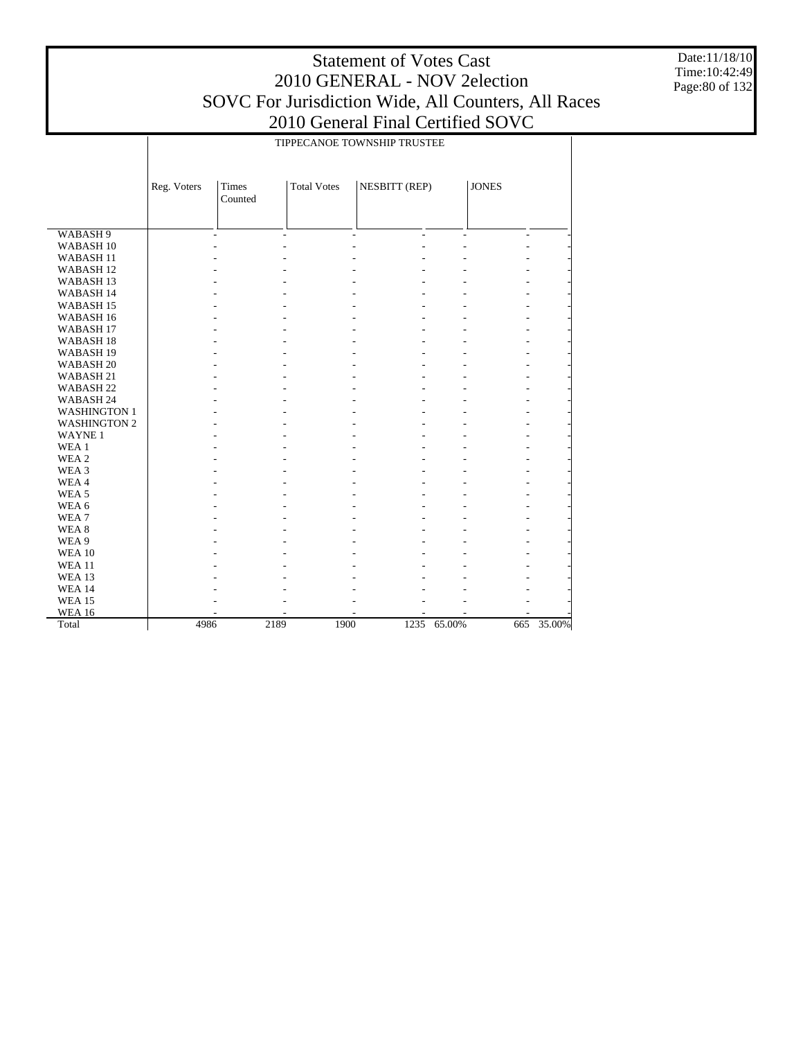Date:11/18/10 Time:10:42:49 Page:80 of 132

|                      |             |                  |                    | TIPPECANOE TOWNSHIP TRUSTEE |                          |                          |        |
|----------------------|-------------|------------------|--------------------|-----------------------------|--------------------------|--------------------------|--------|
|                      | Reg. Voters | Times<br>Counted | <b>Total Votes</b> | NESBITT (REP)               |                          | <b>JONES</b>             |        |
|                      |             |                  |                    |                             |                          |                          |        |
| WABASH <sub>9</sub>  |             | L,               | ÷,                 | $\overline{\phantom{a}}$    | $\overline{\phantom{a}}$ | $\overline{\phantom{a}}$ |        |
| WABASH <sub>10</sub> |             |                  |                    |                             |                          |                          |        |
| WABASH <sub>11</sub> |             |                  |                    |                             |                          |                          |        |
| WABASH <sub>12</sub> |             |                  |                    |                             |                          |                          |        |
| WABASH <sub>13</sub> |             |                  |                    |                             |                          |                          |        |
| WABASH 14            |             |                  |                    |                             |                          |                          |        |
| WABASH <sub>15</sub> |             |                  |                    |                             |                          |                          |        |
| WABASH 16            |             |                  |                    |                             |                          |                          |        |
| WABASH <sub>17</sub> |             |                  |                    |                             |                          |                          |        |
| WABASH <sub>18</sub> |             |                  |                    |                             |                          |                          |        |
| WABASH <sub>19</sub> |             |                  |                    |                             |                          |                          |        |
| WABASH <sub>20</sub> |             |                  |                    |                             |                          |                          |        |
| WABASH 21            |             |                  |                    |                             |                          |                          |        |
| WABASH <sub>22</sub> |             |                  |                    |                             |                          |                          |        |
| WABASH 24            |             |                  |                    |                             |                          |                          |        |
| <b>WASHINGTON 1</b>  |             |                  |                    |                             |                          |                          |        |
| <b>WASHINGTON 2</b>  |             |                  |                    |                             |                          |                          |        |
| <b>WAYNE1</b>        |             |                  |                    |                             |                          |                          |        |
| WEA 1                |             |                  |                    |                             |                          |                          |        |
| WEA <sub>2</sub>     |             |                  |                    |                             |                          |                          |        |
| WEA 3                |             |                  |                    |                             |                          |                          |        |
| WEA4                 |             |                  |                    |                             |                          |                          |        |
| WEA <sub>5</sub>     |             |                  |                    |                             |                          |                          |        |
| WEA 6                |             |                  |                    |                             |                          |                          |        |
| WEA7                 |             |                  |                    |                             |                          |                          |        |
| WEA <sub>8</sub>     |             |                  |                    |                             |                          |                          |        |
| WEA 9                |             |                  |                    |                             |                          |                          |        |
| <b>WEA 10</b>        |             |                  |                    |                             |                          |                          |        |
| <b>WEA 11</b>        |             |                  |                    |                             |                          |                          |        |
| <b>WEA 13</b>        |             |                  |                    |                             |                          |                          |        |
| <b>WEA 14</b>        |             |                  |                    |                             |                          |                          |        |
| <b>WEA 15</b>        |             |                  |                    |                             |                          |                          |        |
| <b>WEA 16</b>        |             |                  |                    |                             |                          |                          |        |
| Total                | 4986        | 2189             | 1900               | 1235                        | 65.00%                   | 665                      | 35.00% |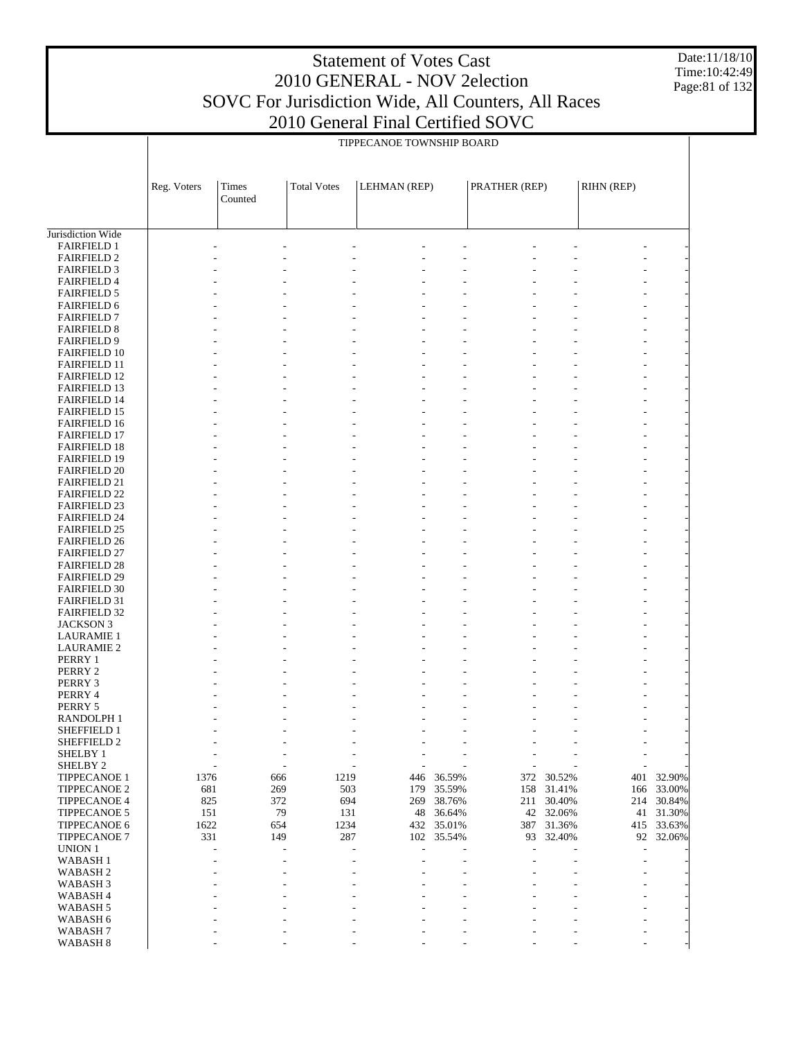Date:11/18/10 Time:10:42:49 Page:81 of 132

|                                            |             | TIPPECANOE TOWNSHIP BOARD |                         |                                  |                  |               |                     |                |                         |  |  |
|--------------------------------------------|-------------|---------------------------|-------------------------|----------------------------------|------------------|---------------|---------------------|----------------|-------------------------|--|--|
|                                            |             |                           |                         |                                  |                  |               |                     |                |                         |  |  |
|                                            | Reg. Voters | Times                     | <b>Total Votes</b>      | LEHMAN (REP)                     |                  | PRATHER (REP) |                     | RIHN (REP)     |                         |  |  |
|                                            |             | Counted                   |                         |                                  |                  |               |                     |                |                         |  |  |
|                                            |             |                           |                         |                                  |                  |               |                     |                |                         |  |  |
| Jurisdiction Wide                          |             |                           |                         |                                  |                  |               |                     |                |                         |  |  |
| <b>FAIRFIELD 1</b>                         |             |                           |                         |                                  |                  |               |                     |                |                         |  |  |
| <b>FAIRFIELD 2</b><br><b>FAIRFIELD 3</b>   |             |                           |                         |                                  |                  |               |                     |                |                         |  |  |
| <b>FAIRFIELD 4</b>                         |             |                           |                         |                                  |                  |               |                     |                |                         |  |  |
| <b>FAIRFIELD 5</b>                         |             |                           |                         |                                  |                  |               |                     |                |                         |  |  |
| FAIRFIELD 6                                |             |                           |                         |                                  |                  |               |                     |                |                         |  |  |
| <b>FAIRFIELD 7</b>                         |             |                           |                         |                                  |                  |               |                     |                |                         |  |  |
| <b>FAIRFIELD 8</b>                         |             |                           |                         |                                  |                  |               |                     |                |                         |  |  |
| <b>FAIRFIELD 9</b>                         |             |                           |                         |                                  |                  |               |                     |                |                         |  |  |
| <b>FAIRFIELD 10</b>                        |             |                           |                         |                                  |                  |               |                     |                |                         |  |  |
| <b>FAIRFIELD 11</b>                        |             |                           |                         |                                  |                  |               |                     |                |                         |  |  |
| <b>FAIRFIELD 12</b><br><b>FAIRFIELD 13</b> |             |                           |                         |                                  |                  |               |                     |                |                         |  |  |
| FAIRFIELD 14                               |             |                           |                         |                                  |                  |               |                     |                |                         |  |  |
| <b>FAIRFIELD 15</b>                        |             |                           |                         |                                  |                  |               |                     |                |                         |  |  |
| <b>FAIRFIELD 16</b>                        |             |                           |                         |                                  |                  |               |                     |                |                         |  |  |
| <b>FAIRFIELD 17</b>                        |             |                           |                         |                                  |                  |               |                     |                |                         |  |  |
| <b>FAIRFIELD 18</b>                        |             |                           |                         |                                  |                  |               |                     |                |                         |  |  |
| <b>FAIRFIELD 19</b>                        |             |                           |                         |                                  |                  |               |                     |                |                         |  |  |
| <b>FAIRFIELD 20</b>                        |             |                           |                         |                                  |                  |               |                     |                |                         |  |  |
| <b>FAIRFIELD 21</b><br><b>FAIRFIELD 22</b> |             |                           |                         |                                  |                  |               |                     |                |                         |  |  |
| <b>FAIRFIELD 23</b>                        |             |                           |                         |                                  |                  |               |                     |                |                         |  |  |
| <b>FAIRFIELD 24</b>                        |             |                           |                         |                                  |                  |               |                     |                |                         |  |  |
| <b>FAIRFIELD 25</b>                        |             |                           |                         |                                  |                  |               |                     |                |                         |  |  |
| <b>FAIRFIELD 26</b>                        |             |                           |                         |                                  |                  |               |                     |                |                         |  |  |
| <b>FAIRFIELD 27</b>                        |             |                           |                         |                                  |                  |               |                     |                |                         |  |  |
| <b>FAIRFIELD 28</b>                        |             |                           |                         |                                  |                  |               |                     |                |                         |  |  |
| <b>FAIRFIELD 29</b>                        |             |                           |                         |                                  |                  |               |                     |                |                         |  |  |
| <b>FAIRFIELD 30</b><br><b>FAIRFIELD 31</b> |             |                           |                         |                                  |                  |               |                     |                |                         |  |  |
| <b>FAIRFIELD 32</b>                        |             |                           |                         |                                  |                  |               |                     |                |                         |  |  |
| <b>JACKSON 3</b>                           |             |                           |                         |                                  |                  |               |                     |                |                         |  |  |
| <b>LAURAMIE 1</b>                          |             |                           |                         |                                  |                  |               |                     |                |                         |  |  |
| <b>LAURAMIE 2</b>                          |             |                           |                         |                                  |                  |               |                     |                |                         |  |  |
| PERRY 1                                    |             |                           |                         |                                  |                  |               |                     |                |                         |  |  |
| PERRY 2                                    |             |                           |                         |                                  |                  |               |                     |                |                         |  |  |
| PERRY 3                                    |             |                           |                         |                                  |                  |               |                     |                |                         |  |  |
| PERRY 4<br>PERRY 5                         |             |                           |                         |                                  |                  |               |                     |                |                         |  |  |
| <b>RANDOLPH1</b>                           |             |                           |                         |                                  |                  |               |                     |                |                         |  |  |
| SHEFFIELD 1                                |             | ÷,                        | $\overline{a}$          | $\overline{a}$<br>$\overline{a}$ |                  |               |                     | $\overline{a}$ |                         |  |  |
| SHEFFIELD 2                                |             |                           |                         |                                  |                  |               |                     |                |                         |  |  |
| SHELBY 1                                   |             |                           |                         |                                  |                  |               |                     |                |                         |  |  |
| SHELBY 2                                   |             |                           |                         |                                  |                  |               |                     |                |                         |  |  |
| TIPPECANOE 1                               | 1376        |                           | 1219<br>666             | 446                              | 36.59%           | 372           | 30.52%              | 401            | 32.90%                  |  |  |
| TIPPECANOE 2                               | 681         |                           | 269<br>503              | 179                              | 35.59%           | 158           | 31.41%              |                | 166 33.00%              |  |  |
| <b>TIPPECANOE 4</b><br>TIPPECANOE 5        | 825<br>151  |                           | 372<br>694<br>79<br>131 | 269<br>48                        | 38.76%<br>36.64% | 211           | 30.40%<br>42 32.06% |                | 214 30.84%<br>41 31.30% |  |  |
| TIPPECANOE 6                               | 1622        |                           | 654<br>1234             | 432                              | 35.01%           |               | 387 31.36%          |                | 415 33.63%              |  |  |
| TIPPECANOE 7                               | 331         |                           | 287<br>149              | 102                              | 35.54%           | 93            | 32.40%              |                | 92 32.06%               |  |  |
| UNION 1                                    |             | L,                        | L,                      |                                  |                  |               |                     | $\overline{a}$ |                         |  |  |
| <b>WABASH1</b>                             |             |                           |                         |                                  |                  |               |                     |                |                         |  |  |
| WABASH <sub>2</sub>                        |             |                           |                         |                                  |                  |               |                     |                |                         |  |  |
| WABASH 3                                   |             |                           |                         |                                  |                  |               |                     |                |                         |  |  |
| WABASH 4                                   |             |                           |                         |                                  |                  |               |                     |                |                         |  |  |
| WABASH 5                                   |             |                           |                         |                                  |                  |               |                     |                |                         |  |  |
| WABASH 6<br>WABASH <sub>7</sub>            |             |                           |                         |                                  |                  |               |                     |                |                         |  |  |
| WABASH 8                                   |             |                           |                         |                                  |                  |               |                     |                |                         |  |  |
|                                            |             |                           |                         |                                  |                  |               |                     |                |                         |  |  |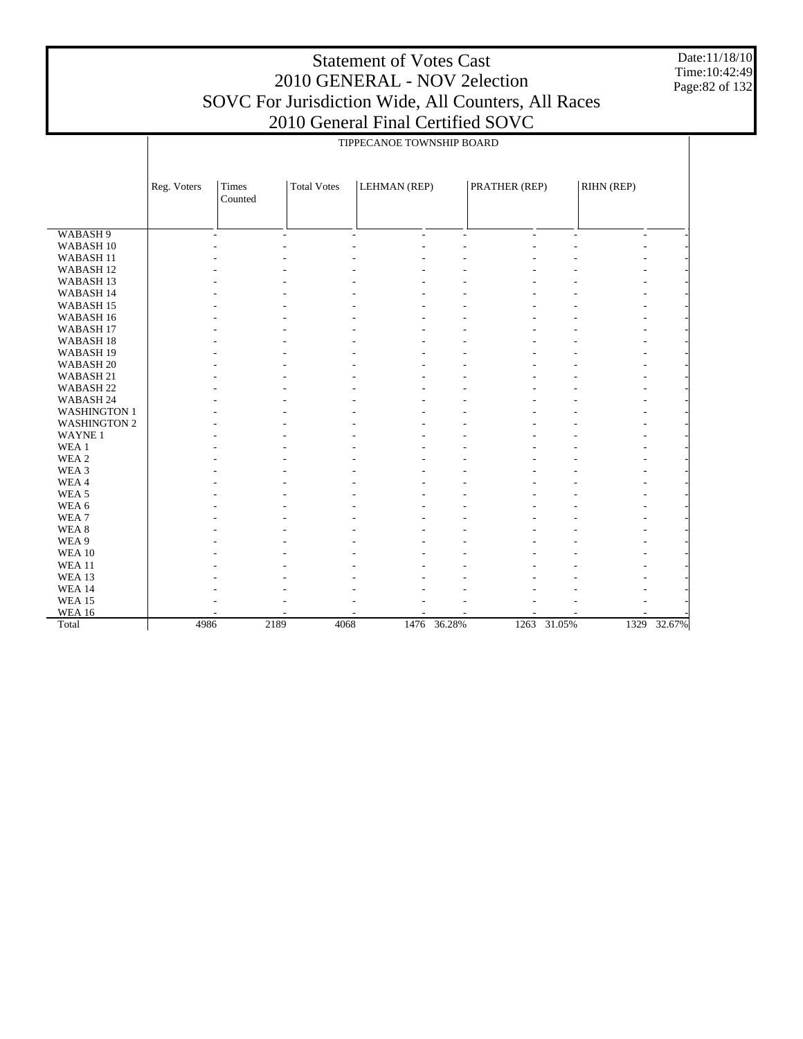Date:11/18/10 Time:10:42:49 Page:82 of 132

|                      |             |                  |                    |                          |        |               |             | TIPPECANOE TOWNSHIP BOARD |             |  |  |  |  |  |  |  |  |
|----------------------|-------------|------------------|--------------------|--------------------------|--------|---------------|-------------|---------------------------|-------------|--|--|--|--|--|--|--|--|
|                      |             |                  |                    |                          |        |               |             |                           |             |  |  |  |  |  |  |  |  |
|                      | Reg. Voters | Times<br>Counted | <b>Total Votes</b> | LEHMAN (REP)             |        | PRATHER (REP) |             | RIHN (REP)                |             |  |  |  |  |  |  |  |  |
| WABASH <sub>9</sub>  |             | ÷                | $\sim$             | $\sim$<br>$\overline{a}$ | ÷      | ÷             |             | $\sim$                    |             |  |  |  |  |  |  |  |  |
| WABASH <sub>10</sub> |             |                  |                    |                          |        |               |             |                           |             |  |  |  |  |  |  |  |  |
| WABASH <sub>11</sub> |             |                  |                    |                          |        |               |             |                           |             |  |  |  |  |  |  |  |  |
| WABASH <sub>12</sub> |             |                  |                    |                          |        |               |             |                           |             |  |  |  |  |  |  |  |  |
| WABASH <sub>13</sub> |             |                  |                    |                          |        |               |             |                           |             |  |  |  |  |  |  |  |  |
| WABASH 14            |             |                  |                    |                          |        |               |             |                           |             |  |  |  |  |  |  |  |  |
| WABASH <sub>15</sub> |             |                  |                    |                          |        |               |             |                           |             |  |  |  |  |  |  |  |  |
| WABASH <sub>16</sub> |             |                  |                    |                          |        |               |             |                           |             |  |  |  |  |  |  |  |  |
| WABASH <sub>17</sub> |             |                  |                    |                          |        |               |             |                           |             |  |  |  |  |  |  |  |  |
| WABASH 18            |             |                  |                    |                          |        |               |             |                           |             |  |  |  |  |  |  |  |  |
| WABASH <sub>19</sub> |             |                  |                    |                          |        |               |             |                           |             |  |  |  |  |  |  |  |  |
| WABASH <sub>20</sub> |             |                  |                    |                          |        |               |             |                           |             |  |  |  |  |  |  |  |  |
| WABASH 21            |             |                  |                    |                          |        |               |             |                           |             |  |  |  |  |  |  |  |  |
| WABASH <sub>22</sub> |             |                  |                    |                          |        |               |             |                           |             |  |  |  |  |  |  |  |  |
| WABASH 24            |             |                  |                    |                          |        |               |             |                           |             |  |  |  |  |  |  |  |  |
| <b>WASHINGTON 1</b>  |             |                  |                    |                          |        |               |             |                           |             |  |  |  |  |  |  |  |  |
| <b>WASHINGTON 2</b>  |             |                  |                    |                          |        |               |             |                           |             |  |  |  |  |  |  |  |  |
| WAYNE <sub>1</sub>   |             |                  |                    |                          |        |               |             |                           |             |  |  |  |  |  |  |  |  |
| WEA 1                |             |                  |                    |                          |        |               |             |                           |             |  |  |  |  |  |  |  |  |
| WEA <sub>2</sub>     |             |                  |                    |                          |        |               |             |                           |             |  |  |  |  |  |  |  |  |
| WEA 3                |             |                  |                    |                          |        |               |             |                           |             |  |  |  |  |  |  |  |  |
| WEA4                 |             |                  |                    |                          |        |               |             |                           |             |  |  |  |  |  |  |  |  |
| WEA <sub>5</sub>     |             |                  |                    |                          |        |               |             |                           |             |  |  |  |  |  |  |  |  |
| WEA 6                |             |                  |                    |                          |        |               |             |                           |             |  |  |  |  |  |  |  |  |
| WEA7                 |             |                  |                    |                          |        |               |             |                           |             |  |  |  |  |  |  |  |  |
| WEA <sub>8</sub>     |             |                  |                    |                          |        |               |             |                           |             |  |  |  |  |  |  |  |  |
| WEA 9                |             |                  |                    |                          |        |               |             |                           |             |  |  |  |  |  |  |  |  |
| <b>WEA 10</b>        |             |                  |                    |                          |        |               |             |                           |             |  |  |  |  |  |  |  |  |
| <b>WEA 11</b>        |             |                  |                    |                          |        |               |             |                           |             |  |  |  |  |  |  |  |  |
| WEA 13               |             |                  |                    |                          |        |               |             |                           |             |  |  |  |  |  |  |  |  |
| <b>WEA 14</b>        |             |                  |                    |                          |        |               |             |                           |             |  |  |  |  |  |  |  |  |
| <b>WEA 15</b>        |             |                  |                    |                          |        |               |             |                           |             |  |  |  |  |  |  |  |  |
| <b>WEA 16</b>        |             |                  |                    |                          |        |               |             |                           |             |  |  |  |  |  |  |  |  |
| Total                | 4986        | 2189             | 4068               | 1476                     | 36.28% |               | 1263 31.05% |                           | 1329 32.67% |  |  |  |  |  |  |  |  |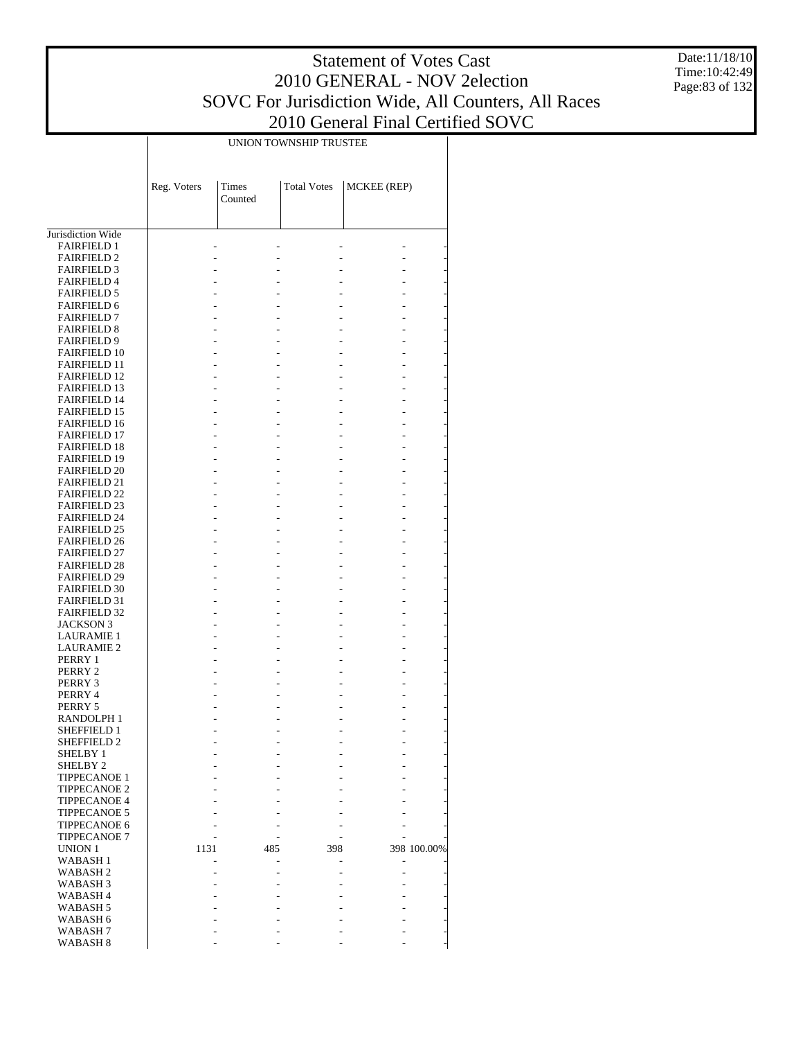Date:11/18/10 Time:10:42:49 Page:83 of 132

|                                            |             |                  | UNION TOWNSHIP TRUSTEE |             |             |
|--------------------------------------------|-------------|------------------|------------------------|-------------|-------------|
|                                            | Reg. Voters | Times<br>Counted | <b>Total Votes</b>     | MCKEE (REP) |             |
|                                            |             |                  |                        |             |             |
| Jurisdiction Wide<br><b>FAIRFIELD 1</b>    |             |                  |                        |             |             |
| <b>FAIRFIELD 2</b>                         |             |                  |                        |             |             |
| <b>FAIRFIELD 3</b>                         |             |                  |                        |             |             |
| <b>FAIRFIELD 4</b>                         |             |                  |                        |             |             |
| <b>FAIRFIELD 5</b>                         |             |                  |                        |             |             |
| <b>FAIRFIELD 6</b><br><b>FAIRFIELD 7</b>   |             |                  |                        |             |             |
| <b>FAIRFIELD 8</b>                         |             |                  |                        |             |             |
| <b>FAIRFIELD 9</b>                         |             |                  |                        |             |             |
| <b>FAIRFIELD 10</b>                        |             |                  |                        |             |             |
| <b>FAIRFIELD 11</b>                        |             |                  |                        |             |             |
| <b>FAIRFIELD 12</b>                        |             |                  |                        |             |             |
| <b>FAIRFIELD 13</b><br><b>FAIRFIELD 14</b> |             |                  |                        |             |             |
| <b>FAIRFIELD 15</b>                        |             |                  |                        |             |             |
| <b>FAIRFIELD 16</b>                        |             |                  |                        |             |             |
| <b>FAIRFIELD 17</b>                        |             |                  |                        |             |             |
| <b>FAIRFIELD 18</b>                        |             |                  |                        |             |             |
| <b>FAIRFIELD 19</b>                        |             |                  |                        |             |             |
| <b>FAIRFIELD 20</b><br><b>FAIRFIELD 21</b> |             |                  |                        |             |             |
| <b>FAIRFIELD 22</b>                        |             |                  |                        |             |             |
| <b>FAIRFIELD 23</b>                        |             |                  |                        |             |             |
| <b>FAIRFIELD 24</b>                        |             |                  |                        |             |             |
| <b>FAIRFIELD 25</b>                        |             |                  |                        |             |             |
| <b>FAIRFIELD 26</b>                        |             |                  |                        |             |             |
| <b>FAIRFIELD 27</b><br><b>FAIRFIELD 28</b> |             |                  |                        |             |             |
| <b>FAIRFIELD 29</b>                        |             |                  |                        |             |             |
| <b>FAIRFIELD 30</b>                        |             |                  |                        |             |             |
| <b>FAIRFIELD 31</b>                        |             |                  |                        |             |             |
| <b>FAIRFIELD 32</b>                        |             |                  |                        |             |             |
| JACKSON 3                                  |             |                  |                        |             |             |
| <b>LAURAMIE 1</b><br><b>LAURAMIE 2</b>     |             |                  |                        |             |             |
| PERRY 1                                    |             |                  |                        |             |             |
| PERRY 2                                    |             |                  |                        |             |             |
| PERRY 3                                    |             |                  |                        |             |             |
| PERRY 4                                    |             |                  |                        |             |             |
| PERRY 5                                    |             |                  |                        |             |             |
| RANDOLPH 1<br>SHEFFIELD 1                  |             |                  |                        |             |             |
| SHEFFIELD 2                                |             |                  |                        |             |             |
| <b>SHELBY 1</b>                            |             |                  |                        |             |             |
| <b>SHELBY 2</b>                            |             |                  |                        |             |             |
| <b>TIPPECANOE 1</b>                        |             |                  |                        |             |             |
| <b>TIPPECANOE 2</b><br><b>TIPPECANOE 4</b> |             |                  |                        |             |             |
| <b>TIPPECANOE 5</b>                        |             |                  |                        |             |             |
| <b>TIPPECANOE 6</b>                        |             |                  |                        |             |             |
| <b>TIPPECANOE 7</b>                        |             |                  |                        |             |             |
| UNION 1                                    | 1131        | 485              | 398                    |             | 398 100.00% |
| WABASH 1                                   |             |                  |                        |             |             |
| WABASH 2                                   |             |                  |                        |             |             |
| WABASH 3<br>WABASH 4                       |             |                  |                        |             |             |
| WABASH 5                                   |             |                  |                        |             |             |
| WABASH 6                                   |             |                  |                        |             |             |
| WABASH 7                                   |             |                  |                        |             |             |
| WABASH <sub>8</sub>                        |             |                  |                        |             |             |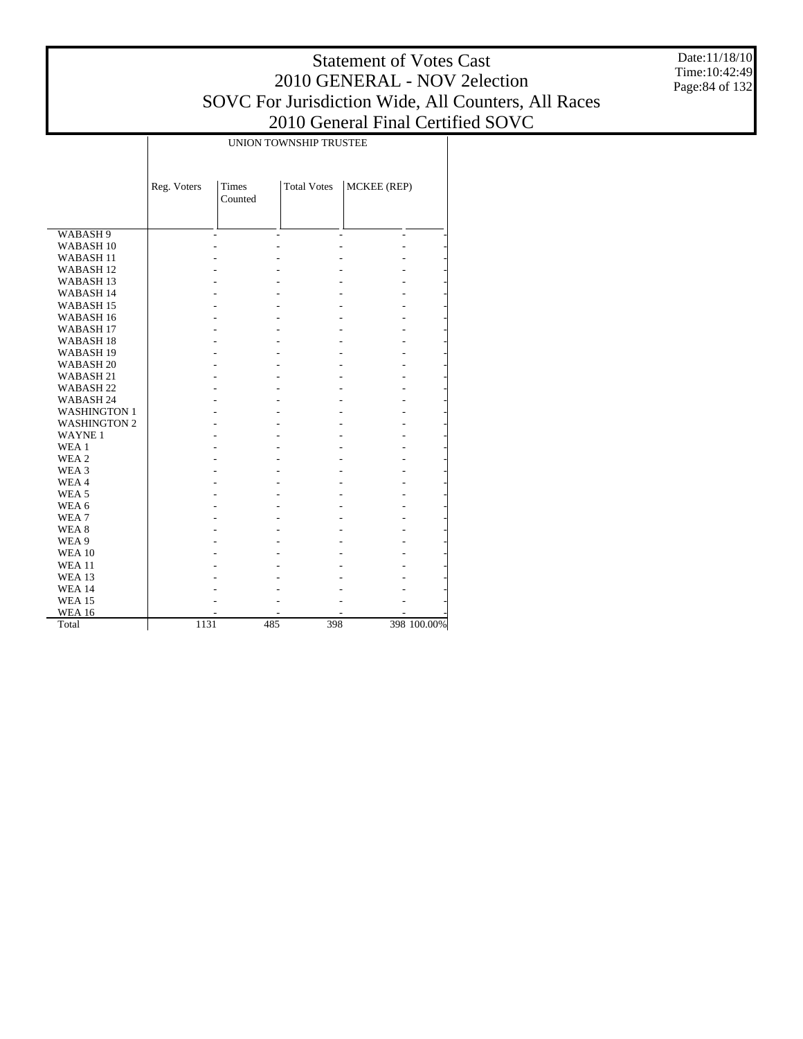Date:11/18/10 Time:10:42:49 Page:84 of 132

|                      |             |                         | UNION TOWNSHIP TRUSTEE |             |             |
|----------------------|-------------|-------------------------|------------------------|-------------|-------------|
|                      | Reg. Voters | <b>Times</b><br>Counted | <b>Total Votes</b>     | MCKEE (REP) |             |
| WABASH 9             |             | $\overline{a}$          | $\overline{a}$         | L.<br>L.    |             |
| WABASH <sub>10</sub> |             |                         |                        |             |             |
| WABASH <sub>11</sub> |             |                         |                        |             |             |
| WABASH <sub>12</sub> |             |                         |                        |             |             |
| WABASH <sub>13</sub> |             |                         |                        |             |             |
| WABASH 14            |             |                         |                        |             |             |
| WABASH <sub>15</sub> |             |                         |                        |             |             |
| WABASH <sub>16</sub> |             |                         |                        |             |             |
| WABASH <sub>17</sub> |             |                         |                        |             |             |
| WABASH <sub>18</sub> |             |                         |                        |             |             |
| WABASH <sub>19</sub> |             |                         |                        |             |             |
| WABASH <sub>20</sub> |             |                         |                        |             |             |
| WABASH 21            |             |                         |                        |             |             |
| WABASH <sub>22</sub> |             |                         |                        |             |             |
| WABASH 24            |             |                         |                        |             |             |
| <b>WASHINGTON 1</b>  |             |                         |                        |             |             |
| <b>WASHINGTON 2</b>  |             |                         |                        |             |             |
| <b>WAYNE1</b>        |             |                         |                        |             |             |
| WEA 1                |             |                         |                        |             |             |
| WEA 2                |             |                         |                        |             |             |
| WEA 3                |             |                         |                        |             |             |
| WEA4                 |             |                         |                        |             |             |
| WEA <sub>5</sub>     |             |                         |                        |             |             |
| WEA 6                |             |                         |                        |             |             |
| WEA <sub>7</sub>     |             |                         |                        |             |             |
| WEA 8                |             |                         |                        |             |             |
| WEA 9                |             |                         |                        |             |             |
| <b>WEA 10</b>        |             |                         |                        |             |             |
| <b>WEA 11</b>        |             |                         |                        |             |             |
| <b>WEA 13</b>        |             |                         |                        |             |             |
| <b>WEA 14</b>        |             |                         |                        |             |             |
| <b>WEA 15</b>        |             |                         |                        |             |             |
| <b>WEA 16</b>        |             |                         |                        |             |             |
| Total                | 1131        |                         | 485<br>398             |             | 398 100.00% |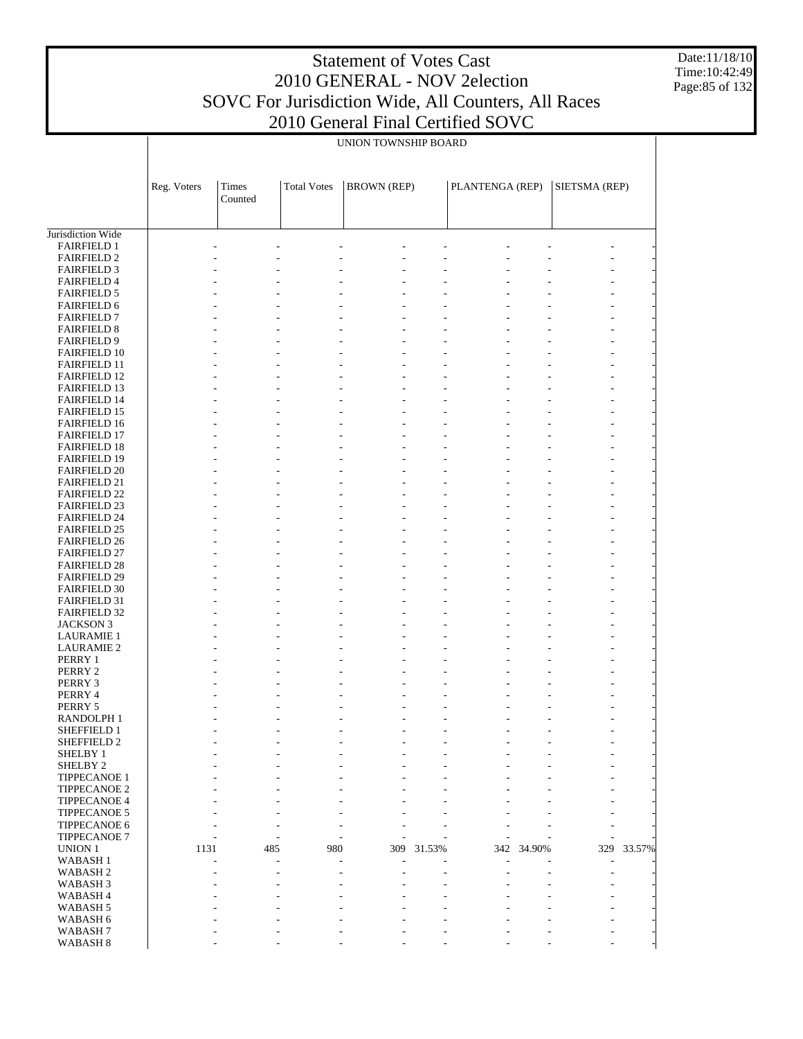Date:11/18/10 Time:10:42:49 Page:85 of 132

|                                            |             | UNION TOWNSHIP BOARD |                    |                    |        |                 |        |               |        |  |
|--------------------------------------------|-------------|----------------------|--------------------|--------------------|--------|-----------------|--------|---------------|--------|--|
|                                            |             |                      |                    |                    |        |                 |        |               |        |  |
|                                            | Reg. Voters | Times<br>Counted     | <b>Total Votes</b> | <b>BROWN</b> (REP) |        | PLANTENGA (REP) |        | SIETSMA (REP) |        |  |
|                                            |             |                      |                    |                    |        |                 |        |               |        |  |
| Jurisdiction Wide                          |             |                      |                    |                    |        |                 |        |               |        |  |
| <b>FAIRFIELD 1</b>                         |             |                      |                    |                    |        |                 |        |               |        |  |
| <b>FAIRFIELD 2</b>                         |             |                      |                    |                    |        |                 |        |               |        |  |
| <b>FAIRFIELD 3</b>                         |             |                      |                    |                    |        |                 |        |               |        |  |
| <b>FAIRFIELD 4</b>                         |             |                      |                    |                    |        |                 |        |               |        |  |
| <b>FAIRFIELD 5</b>                         |             |                      |                    |                    |        |                 |        |               |        |  |
| <b>FAIRFIELD 6</b><br><b>FAIRFIELD 7</b>   |             |                      |                    |                    |        |                 |        |               |        |  |
| <b>FAIRFIELD 8</b>                         |             |                      |                    |                    |        |                 |        |               |        |  |
| <b>FAIRFIELD 9</b>                         |             |                      |                    |                    |        |                 |        |               |        |  |
| <b>FAIRFIELD 10</b>                        |             |                      |                    |                    |        |                 |        |               |        |  |
| <b>FAIRFIELD 11</b>                        |             |                      |                    |                    |        |                 |        |               |        |  |
| <b>FAIRFIELD 12</b>                        |             |                      |                    |                    |        |                 |        |               |        |  |
| <b>FAIRFIELD 13</b>                        |             |                      |                    |                    |        |                 |        |               |        |  |
| <b>FAIRFIELD 14</b><br><b>FAIRFIELD 15</b> |             |                      |                    |                    |        |                 |        | L,<br>L,      |        |  |
| <b>FAIRFIELD 16</b>                        |             |                      |                    |                    |        |                 |        |               |        |  |
| <b>FAIRFIELD 17</b>                        |             |                      |                    |                    |        |                 |        |               |        |  |
| <b>FAIRFIELD 18</b>                        |             |                      |                    |                    |        |                 |        |               |        |  |
| <b>FAIRFIELD 19</b>                        |             |                      |                    |                    |        |                 |        |               |        |  |
| <b>FAIRFIELD 20</b>                        |             |                      |                    |                    |        |                 |        |               |        |  |
| <b>FAIRFIELD 21</b><br><b>FAIRFIELD 22</b> |             |                      |                    |                    |        |                 |        |               |        |  |
| <b>FAIRFIELD 23</b>                        |             |                      |                    |                    |        |                 |        |               |        |  |
| <b>FAIRFIELD 24</b>                        |             |                      |                    |                    |        |                 |        |               |        |  |
| <b>FAIRFIELD 25</b>                        |             |                      |                    |                    |        |                 |        |               |        |  |
| <b>FAIRFIELD 26</b>                        |             |                      |                    |                    |        |                 |        |               |        |  |
| <b>FAIRFIELD 27</b>                        |             |                      |                    |                    |        |                 |        |               |        |  |
| <b>FAIRFIELD 28</b><br><b>FAIRFIELD 29</b> |             |                      |                    |                    |        |                 |        |               |        |  |
| <b>FAIRFIELD 30</b>                        |             |                      |                    |                    |        |                 |        | L,            |        |  |
| <b>FAIRFIELD 31</b>                        |             |                      |                    |                    |        |                 |        |               |        |  |
| <b>FAIRFIELD 32</b>                        |             |                      |                    |                    |        |                 |        |               |        |  |
| <b>JACKSON 3</b>                           |             |                      |                    |                    |        |                 |        |               |        |  |
| <b>LAURAMIE 1</b>                          |             |                      |                    |                    |        |                 |        |               |        |  |
| <b>LAURAMIE 2</b><br>PERRY 1               |             |                      |                    |                    |        |                 |        |               |        |  |
| PERRY 2                                    |             |                      |                    |                    |        |                 |        |               |        |  |
| PERRY 3                                    |             |                      |                    |                    |        |                 |        |               |        |  |
| PERRY 4                                    |             |                      |                    |                    |        |                 |        |               |        |  |
| PERRY 5                                    |             |                      |                    |                    |        |                 |        |               |        |  |
| RANDOLPH 1<br>SHEFFIELD 1                  |             |                      |                    |                    |        |                 |        |               |        |  |
| SHEFFIELD 2                                |             |                      |                    |                    |        |                 |        |               |        |  |
| <b>SHELBY 1</b>                            |             |                      |                    |                    |        |                 |        |               |        |  |
| SHELBY <sub>2</sub>                        |             |                      |                    |                    |        |                 |        |               |        |  |
| <b>TIPPECANOE 1</b>                        |             |                      |                    |                    |        |                 |        |               |        |  |
| <b>TIPPECANOE 2</b>                        |             |                      |                    |                    |        |                 |        |               |        |  |
| <b>TIPPECANOE 4</b><br>TIPPECANOE 5        |             |                      |                    |                    |        |                 |        |               |        |  |
| TIPPECANOE 6                               |             |                      |                    |                    |        |                 |        |               |        |  |
| TIPPECANOE 7                               |             |                      |                    |                    |        |                 |        |               |        |  |
| <b>UNION 1</b>                             | 1131        | 485                  | 980                | 309                | 31.53% | 342             | 34.90% | 329           | 33.57% |  |
| <b>WABASH1</b>                             |             |                      |                    |                    |        |                 |        |               |        |  |
| WABASH <sub>2</sub>                        |             |                      |                    |                    |        |                 |        |               |        |  |
| WABASH 3<br>WABASH 4                       |             |                      |                    |                    |        |                 |        |               |        |  |
| WABASH 5                                   |             |                      |                    |                    |        |                 |        |               |        |  |
| WABASH 6                                   |             |                      |                    |                    |        |                 |        |               |        |  |
| WABASH <sub>7</sub>                        |             |                      |                    |                    |        |                 |        |               |        |  |
| WABASH 8                                   |             |                      |                    |                    |        |                 |        |               |        |  |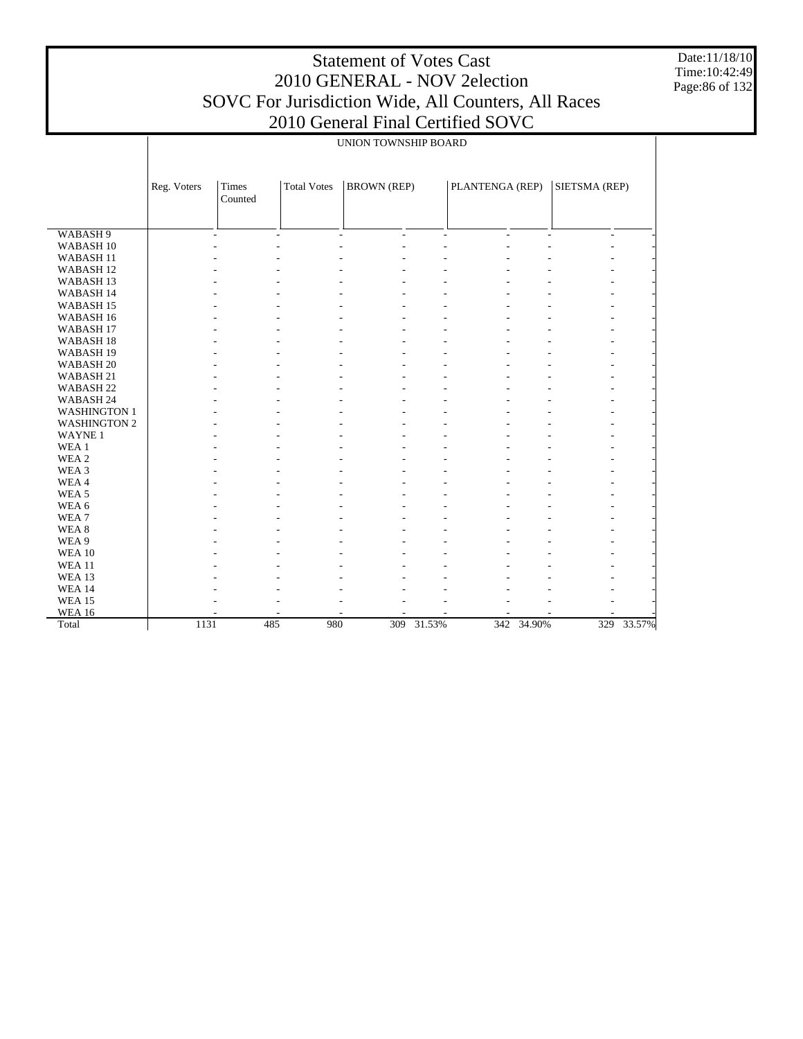Date:11/18/10 Time:10:42:49 Page:86 of 132

|                      |             |                          |                    | UNION TOWNSHIP BOARD                       |                          |                          |            |                                          |        |
|----------------------|-------------|--------------------------|--------------------|--------------------------------------------|--------------------------|--------------------------|------------|------------------------------------------|--------|
|                      |             |                          |                    |                                            |                          |                          |            |                                          |        |
|                      | Reg. Voters | Times<br>Counted         | <b>Total Votes</b> | <b>BROWN</b> (REP)                         |                          | PLANTENGA (REP)          |            | SIETSMA (REP)                            |        |
|                      |             |                          |                    |                                            |                          |                          |            |                                          |        |
| WABASH <sub>9</sub>  |             | $\overline{\phantom{a}}$ | $\blacksquare$     | $\overline{a}$<br>$\overline{\phantom{a}}$ | $\overline{\phantom{a}}$ | $\overline{\phantom{a}}$ |            | $\mathbf{r}$<br>$\overline{\phantom{0}}$ |        |
| WABASH <sub>10</sub> |             |                          |                    |                                            |                          |                          |            |                                          |        |
| WABASH <sub>11</sub> |             |                          |                    |                                            |                          |                          |            |                                          |        |
| WABASH <sub>12</sub> |             |                          |                    |                                            |                          |                          |            |                                          |        |
| WABASH <sub>13</sub> |             |                          |                    |                                            |                          |                          |            |                                          |        |
| WABASH 14            |             |                          |                    |                                            |                          |                          |            |                                          |        |
| WABASH <sub>15</sub> |             |                          |                    |                                            |                          |                          |            |                                          |        |
| WABASH 16            |             |                          |                    |                                            |                          |                          |            |                                          |        |
| WABASH <sub>17</sub> |             |                          |                    |                                            |                          |                          |            |                                          |        |
| WABASH <sub>18</sub> |             |                          |                    |                                            |                          |                          |            |                                          |        |
| WABASH <sub>19</sub> |             |                          |                    |                                            |                          |                          |            |                                          |        |
| WABASH <sub>20</sub> |             |                          |                    |                                            |                          |                          |            |                                          |        |
| WABASH 21            |             |                          |                    |                                            |                          |                          |            |                                          |        |
| WABASH 22            |             |                          |                    |                                            |                          |                          |            |                                          |        |
| WABASH 24            |             |                          |                    |                                            |                          |                          |            |                                          |        |
| <b>WASHINGTON 1</b>  |             |                          |                    |                                            |                          |                          |            |                                          |        |
| <b>WASHINGTON 2</b>  |             |                          |                    |                                            |                          |                          |            |                                          |        |
| WAYNE <sub>1</sub>   |             |                          |                    |                                            |                          |                          |            |                                          |        |
| WEA 1                |             |                          |                    |                                            |                          |                          |            |                                          |        |
| WEA <sub>2</sub>     |             |                          |                    |                                            |                          |                          |            |                                          |        |
| WEA 3                |             |                          |                    |                                            |                          |                          |            |                                          |        |
| WEA4                 |             |                          |                    |                                            |                          |                          |            |                                          |        |
| WEA <sub>5</sub>     |             |                          |                    |                                            |                          |                          |            |                                          |        |
| WEA 6                |             |                          |                    |                                            |                          |                          |            |                                          |        |
| WEA <sub>7</sub>     |             |                          |                    |                                            |                          |                          |            |                                          |        |
| WEA <sub>8</sub>     |             |                          |                    |                                            |                          |                          |            |                                          |        |
| WEA 9                |             |                          |                    |                                            |                          |                          |            |                                          |        |
| <b>WEA 10</b>        |             |                          |                    |                                            |                          |                          |            |                                          |        |
| <b>WEA11</b>         |             |                          |                    |                                            |                          |                          |            |                                          |        |
| WEA 13               |             |                          |                    |                                            |                          |                          |            |                                          |        |
| <b>WEA 14</b>        |             |                          |                    |                                            |                          |                          |            |                                          |        |
| <b>WEA 15</b>        |             |                          |                    |                                            |                          |                          |            |                                          |        |
| <b>WEA 16</b>        |             |                          | ٠                  |                                            |                          |                          |            |                                          |        |
| Total                | 1131        | 485                      | 980                | 309                                        | 31.53%                   |                          | 342 34.90% | 329                                      | 33.57% |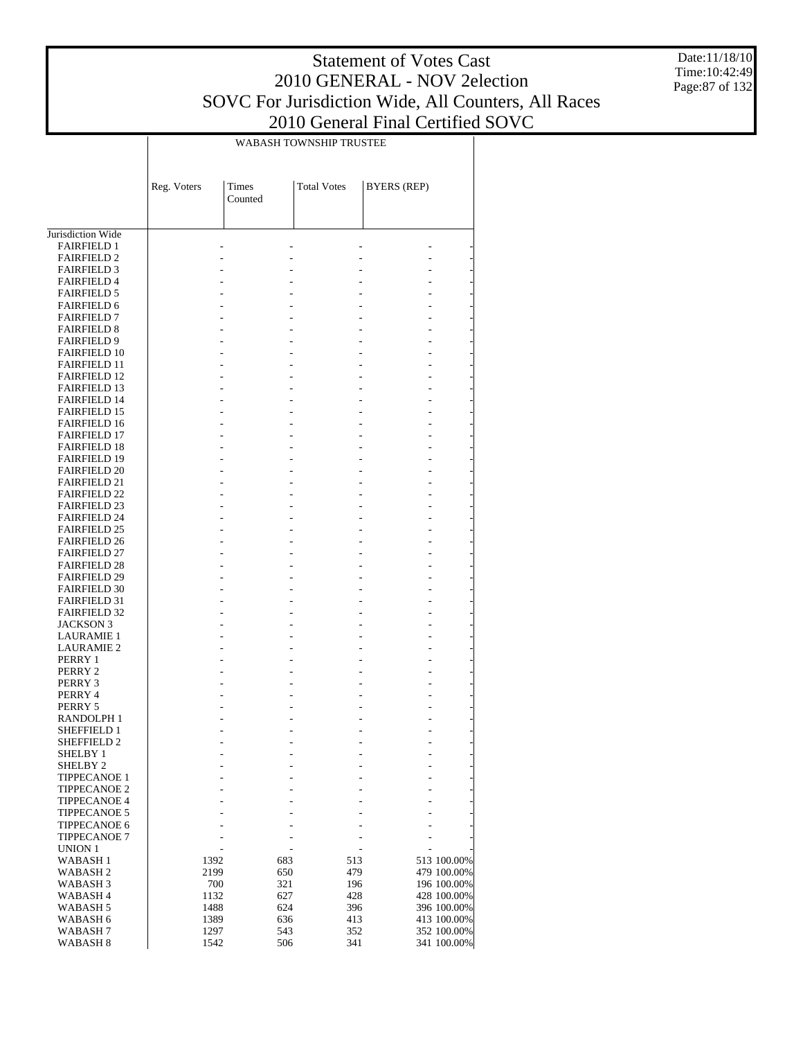Date:11/18/10 Time:10:42:49 Page:87 of 132

|                                            | WABASH TOWNSHIP TRUSTEE |                  |                    |            |                            |  |  |  |
|--------------------------------------------|-------------------------|------------------|--------------------|------------|----------------------------|--|--|--|
|                                            | Reg. Voters             | Times<br>Counted | <b>Total Votes</b> |            | <b>BYERS</b> (REP)         |  |  |  |
| Jurisdiction Wide                          |                         |                  |                    |            |                            |  |  |  |
| <b>FAIRFIELD 1</b>                         |                         |                  |                    |            |                            |  |  |  |
| <b>FAIRFIELD 2</b>                         |                         |                  |                    |            |                            |  |  |  |
| <b>FAIRFIELD 3</b>                         |                         |                  |                    |            |                            |  |  |  |
| <b>FAIRFIELD 4</b>                         |                         |                  |                    |            |                            |  |  |  |
| <b>FAIRFIELD 5</b>                         |                         |                  |                    |            |                            |  |  |  |
| <b>FAIRFIELD 6</b>                         |                         |                  |                    |            |                            |  |  |  |
| <b>FAIRFIELD 7</b><br><b>FAIRFIELD 8</b>   |                         |                  |                    |            |                            |  |  |  |
| <b>FAIRFIELD 9</b>                         |                         |                  |                    |            |                            |  |  |  |
| <b>FAIRFIELD 10</b>                        |                         |                  |                    |            |                            |  |  |  |
| <b>FAIRFIELD 11</b>                        |                         |                  |                    |            |                            |  |  |  |
| <b>FAIRFIELD 12</b>                        |                         |                  |                    |            |                            |  |  |  |
| <b>FAIRFIELD 13</b>                        |                         |                  |                    |            |                            |  |  |  |
| <b>FAIRFIELD 14</b>                        |                         |                  |                    |            |                            |  |  |  |
| <b>FAIRFIELD 15</b><br><b>FAIRFIELD 16</b> |                         |                  |                    |            |                            |  |  |  |
| <b>FAIRFIELD 17</b>                        |                         |                  |                    |            |                            |  |  |  |
| <b>FAIRFIELD 18</b>                        |                         |                  |                    |            |                            |  |  |  |
| <b>FAIRFIELD 19</b>                        |                         |                  |                    |            |                            |  |  |  |
| <b>FAIRFIELD 20</b>                        |                         |                  |                    |            |                            |  |  |  |
| <b>FAIRFIELD 21</b>                        |                         |                  |                    |            |                            |  |  |  |
| <b>FAIRFIELD 22</b>                        |                         |                  |                    |            |                            |  |  |  |
| <b>FAIRFIELD 23</b><br><b>FAIRFIELD 24</b> |                         |                  |                    |            |                            |  |  |  |
| <b>FAIRFIELD 25</b>                        |                         |                  |                    |            |                            |  |  |  |
| <b>FAIRFIELD 26</b>                        |                         |                  |                    |            |                            |  |  |  |
| <b>FAIRFIELD 27</b>                        |                         |                  |                    |            |                            |  |  |  |
| <b>FAIRFIELD 28</b>                        |                         |                  |                    |            |                            |  |  |  |
| <b>FAIRFIELD 29</b>                        |                         |                  |                    |            |                            |  |  |  |
| <b>FAIRFIELD 30</b><br><b>FAIRFIELD 31</b> |                         |                  |                    |            |                            |  |  |  |
| <b>FAIRFIELD 32</b>                        |                         |                  |                    |            |                            |  |  |  |
| JACKSON 3                                  |                         |                  |                    |            |                            |  |  |  |
| <b>LAURAMIE 1</b>                          |                         |                  |                    |            |                            |  |  |  |
| <b>LAURAMIE 2</b>                          |                         |                  |                    |            |                            |  |  |  |
| PERRY 1                                    |                         |                  |                    |            |                            |  |  |  |
| PERRY 2                                    |                         |                  |                    |            |                            |  |  |  |
| PERRY 3<br>PERRY 4                         |                         |                  |                    |            |                            |  |  |  |
| PERRY 5                                    |                         |                  |                    |            |                            |  |  |  |
| RANDOLPH 1                                 |                         |                  |                    |            |                            |  |  |  |
| <b>SHEFFIELD 1</b>                         |                         |                  |                    |            |                            |  |  |  |
| <b>SHEFFIELD 2</b>                         |                         |                  |                    |            |                            |  |  |  |
| <b>SHELBY 1</b><br><b>SHELBY 2</b>         |                         |                  |                    |            |                            |  |  |  |
| <b>TIPPECANOE 1</b>                        |                         |                  |                    |            |                            |  |  |  |
| <b>TIPPECANOE 2</b>                        |                         |                  |                    |            |                            |  |  |  |
| <b>TIPPECANOE 4</b>                        |                         |                  |                    |            |                            |  |  |  |
| TIPPECANOE 5                               |                         |                  |                    |            |                            |  |  |  |
| TIPPECANOE 6                               |                         |                  |                    |            |                            |  |  |  |
| <b>TIPPECANOE 7</b>                        |                         |                  |                    |            |                            |  |  |  |
| UNION 1<br>WABASH <sub>1</sub>             | 1392                    |                  | 683                | 513        | 513 100.00%                |  |  |  |
| WABASH 2                                   | 2199                    |                  | 650                | 479        | 479 100.00%                |  |  |  |
| WABASH <sub>3</sub>                        | 700                     |                  | 321                | 196        | 196 100.00%                |  |  |  |
| WABASH <sub>4</sub>                        | 1132                    |                  | 627                | 428        | 428 100.00%                |  |  |  |
| WABASH 5                                   | 1488                    |                  | 624                | 396        | 396 100.00%                |  |  |  |
| WABASH 6<br>WABASH 7                       | 1389<br>1297            |                  | 636<br>543         | 413<br>352 | 413 100.00%<br>352 100.00% |  |  |  |
| WABASH 8                                   | 1542                    |                  | 506                | 341        | 341 100.00%                |  |  |  |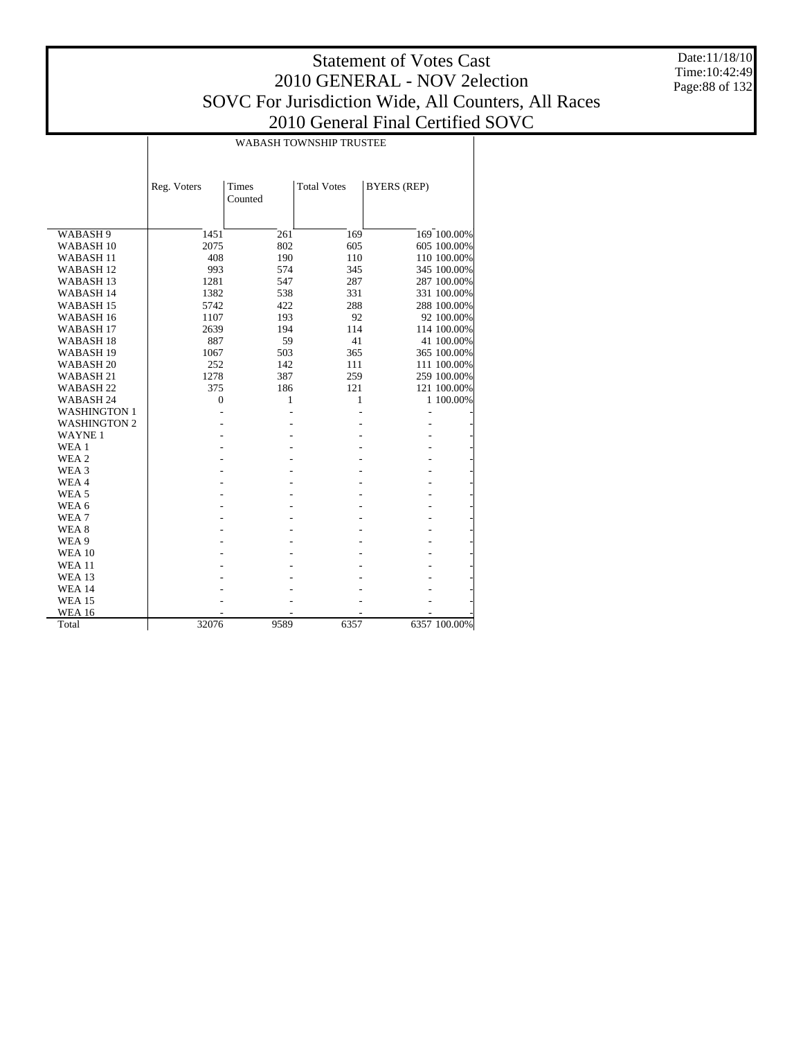Date:11/18/10 Time:10:42:49 Page:88 of 132

|                      | <b>WABASH TOWNSHIP TRUSTEE</b> |                         |                    |                    |              |  |  |  |  |
|----------------------|--------------------------------|-------------------------|--------------------|--------------------|--------------|--|--|--|--|
|                      | Reg. Voters                    | <b>Times</b><br>Counted | <b>Total Votes</b> | <b>BYERS (REP)</b> |              |  |  |  |  |
|                      |                                |                         |                    |                    |              |  |  |  |  |
| WABASH 9             | 1451                           | 261                     | 169                |                    | 169 100.00%  |  |  |  |  |
| WABASH <sub>10</sub> | 2075                           | 802                     | 605                |                    | 605 100.00%  |  |  |  |  |
| <b>WABASH11</b>      | 408                            | 190                     | 110                |                    | 110 100.00%  |  |  |  |  |
| WABASH <sub>12</sub> | 993                            | 574                     | 345                |                    | 345 100.00%  |  |  |  |  |
| WABASH <sub>13</sub> | 1281                           | 547                     | 287                |                    | 287 100.00%  |  |  |  |  |
| WABASH 14            | 1382                           | 538                     | 331                |                    | 331 100.00%  |  |  |  |  |
| WABASH <sub>15</sub> | 5742                           | 422                     | 288                |                    | 288 100.00%  |  |  |  |  |
| WABASH 16            | 1107                           | 193                     | 92                 |                    | 92 100.00%   |  |  |  |  |
| WABASH <sub>17</sub> | 2639                           | 194                     | 114                |                    | 114 100.00%  |  |  |  |  |
| WABASH <sub>18</sub> | 887                            | 59                      | 41                 |                    | 41 100.00%   |  |  |  |  |
| WABASH <sub>19</sub> | 1067                           | 503                     | 365                |                    | 365 100.00%  |  |  |  |  |
| WABASH <sub>20</sub> | 252                            | 142                     | 111                |                    | 111 100.00%  |  |  |  |  |
| WABASH <sub>21</sub> | 1278                           | 387                     | 259                |                    | 259 100.00%  |  |  |  |  |
| WABASH <sub>22</sub> | 375                            | 186                     | 121                |                    | 121 100.00%  |  |  |  |  |
| WABASH 24            | $\mathbf{0}$                   | 1                       | 1                  |                    | 1 100.00%    |  |  |  |  |
| <b>WASHINGTON 1</b>  |                                |                         |                    | L,                 |              |  |  |  |  |
| <b>WASHINGTON 2</b>  |                                |                         |                    |                    |              |  |  |  |  |
| <b>WAYNE1</b>        |                                |                         |                    |                    |              |  |  |  |  |
| WEA 1                |                                |                         |                    |                    |              |  |  |  |  |
| WEA 2                |                                |                         |                    |                    |              |  |  |  |  |
| WEA 3                |                                |                         |                    |                    |              |  |  |  |  |
| WEA4                 |                                |                         |                    |                    |              |  |  |  |  |
| WEA <sub>5</sub>     |                                |                         |                    |                    |              |  |  |  |  |
| WEA 6                |                                |                         |                    |                    |              |  |  |  |  |
| WEA <sub>7</sub>     |                                |                         |                    |                    |              |  |  |  |  |
| WEA <sub>8</sub>     |                                |                         |                    |                    |              |  |  |  |  |
| WEA 9                |                                |                         |                    |                    |              |  |  |  |  |
| <b>WEA 10</b>        |                                |                         |                    |                    |              |  |  |  |  |
| <b>WEA 11</b>        |                                |                         |                    |                    |              |  |  |  |  |
| <b>WEA 13</b>        |                                |                         |                    |                    |              |  |  |  |  |
| <b>WEA 14</b>        |                                |                         |                    |                    |              |  |  |  |  |
| <b>WEA 15</b>        |                                |                         |                    |                    |              |  |  |  |  |
| <b>WEA 16</b>        |                                |                         |                    |                    |              |  |  |  |  |
| Total                | 32076                          | 9589                    | 6357               |                    | 6357 100.00% |  |  |  |  |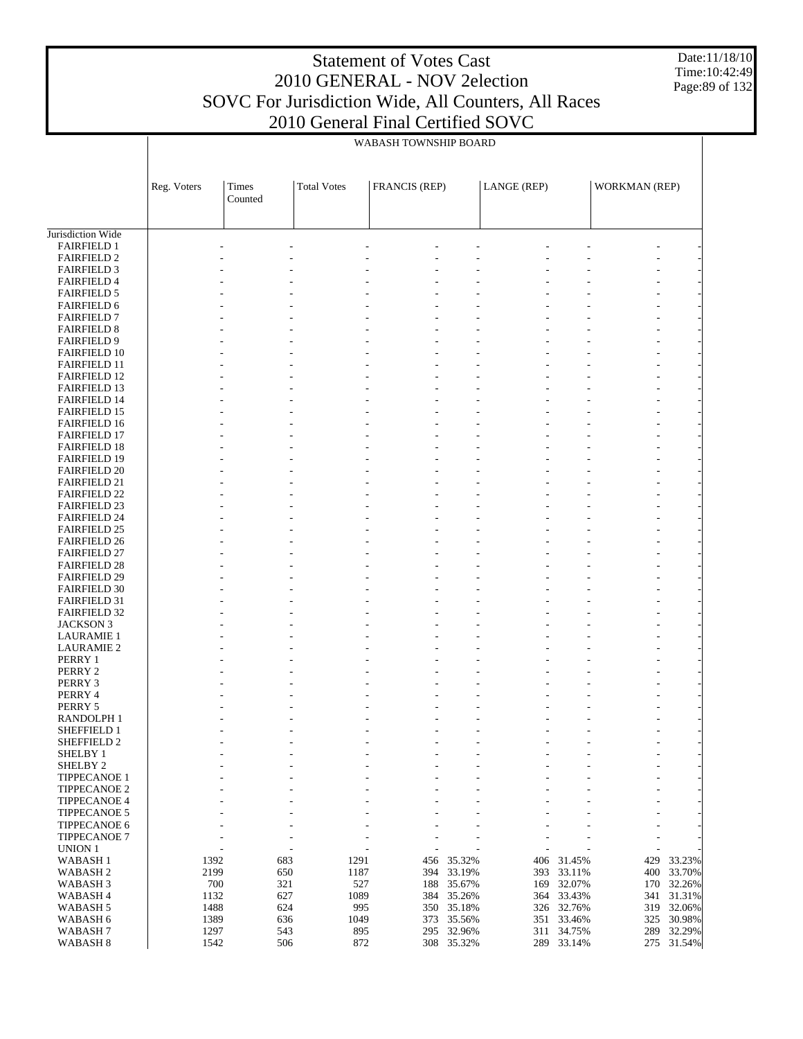Date:11/18/10 Time:10:42:49 Page:89 of 132

|                                            |             |                         |                    | WABASH TOWNSHIP BOARD |            |             |            |                |            |
|--------------------------------------------|-------------|-------------------------|--------------------|-----------------------|------------|-------------|------------|----------------|------------|
|                                            | Reg. Voters | <b>Times</b><br>Counted | <b>Total Votes</b> | <b>FRANCIS (REP)</b>  |            | LANGE (REP) |            | WORKMAN (REP)  |            |
|                                            |             |                         |                    |                       |            |             |            |                |            |
| Jurisdiction Wide                          |             |                         |                    |                       |            |             |            |                |            |
| <b>FAIRFIELD 1</b>                         |             |                         |                    |                       |            |             |            |                |            |
| <b>FAIRFIELD 2</b>                         |             |                         |                    |                       |            |             |            |                |            |
| <b>FAIRFIELD 3</b>                         |             |                         |                    |                       |            |             |            |                |            |
| <b>FAIRFIELD 4</b><br><b>FAIRFIELD 5</b>   |             |                         |                    |                       |            |             |            |                |            |
| <b>FAIRFIELD 6</b>                         |             |                         |                    |                       |            |             |            |                |            |
| <b>FAIRFIELD 7</b>                         |             |                         |                    |                       |            |             |            |                |            |
| <b>FAIRFIELD 8</b>                         |             |                         |                    |                       |            |             |            |                |            |
| <b>FAIRFIELD 9</b>                         |             |                         |                    |                       |            |             |            |                |            |
| <b>FAIRFIELD 10</b>                        |             |                         |                    |                       |            |             |            |                |            |
| <b>FAIRFIELD 11</b>                        |             |                         |                    |                       |            |             |            |                |            |
| <b>FAIRFIELD 12</b>                        |             |                         |                    |                       |            |             |            |                |            |
| <b>FAIRFIELD 13</b>                        |             |                         |                    |                       |            |             |            |                |            |
| <b>FAIRFIELD 14</b>                        |             |                         |                    |                       |            |             |            |                |            |
| <b>FAIRFIELD 15</b>                        |             |                         |                    |                       |            |             |            |                |            |
| <b>FAIRFIELD 16</b>                        |             |                         |                    |                       |            |             |            |                |            |
| <b>FAIRFIELD 17</b>                        |             |                         |                    |                       |            |             |            |                |            |
| <b>FAIRFIELD 18</b><br><b>FAIRFIELD 19</b> |             |                         |                    |                       |            |             |            |                |            |
| <b>FAIRFIELD 20</b>                        |             |                         |                    |                       |            |             |            |                |            |
| <b>FAIRFIELD 21</b>                        |             |                         |                    |                       |            |             |            |                |            |
| <b>FAIRFIELD 22</b>                        |             |                         |                    |                       |            |             |            |                |            |
| <b>FAIRFIELD 23</b>                        |             |                         |                    |                       |            |             |            |                |            |
| <b>FAIRFIELD 24</b>                        |             |                         |                    |                       |            |             |            |                |            |
| <b>FAIRFIELD 25</b>                        |             |                         |                    |                       |            |             |            |                |            |
| <b>FAIRFIELD 26</b>                        |             |                         |                    |                       |            |             |            |                |            |
| <b>FAIRFIELD 27</b>                        |             |                         |                    |                       |            |             |            |                |            |
| <b>FAIRFIELD 28</b>                        |             |                         |                    |                       |            |             |            |                |            |
| <b>FAIRFIELD 29</b>                        |             |                         |                    |                       |            |             |            |                |            |
| <b>FAIRFIELD 30</b>                        |             |                         |                    |                       |            |             |            |                |            |
| <b>FAIRFIELD 31</b>                        |             |                         |                    |                       |            |             |            |                |            |
| <b>FAIRFIELD 32</b>                        |             |                         |                    |                       |            |             |            |                |            |
| <b>JACKSON 3</b>                           |             |                         |                    |                       |            |             |            |                |            |
| <b>LAURAMIE 1</b>                          |             |                         |                    |                       |            |             |            |                |            |
| <b>LAURAMIE 2</b><br>PERRY 1               |             |                         |                    |                       |            |             |            |                |            |
| PERRY 2                                    |             |                         |                    |                       |            |             |            |                |            |
| PERRY 3                                    |             |                         |                    |                       |            |             |            |                |            |
| PERRY 4                                    |             |                         |                    |                       |            |             |            |                |            |
| PERRY 5                                    |             |                         |                    |                       |            |             |            |                |            |
| <b>RANDOLPH1</b>                           |             |                         |                    |                       |            |             |            |                |            |
| SHEFFIELD 1                                |             |                         | $\overline{a}$     |                       |            |             |            |                |            |
| SHEFFIELD 2                                |             |                         |                    |                       |            |             |            |                |            |
| SHELBY 1                                   |             |                         |                    |                       |            |             |            | $\overline{a}$ |            |
| SHELBY <sub>2</sub>                        |             |                         |                    |                       |            |             |            |                |            |
| TIPPECANOE 1                               |             |                         |                    |                       |            |             |            |                |            |
| <b>TIPPECANOE 2</b>                        |             |                         |                    |                       |            |             |            |                |            |
| <b>TIPPECANOE 4</b>                        |             |                         |                    |                       |            |             |            | $\overline{a}$ |            |
| <b>TIPPECANOE 5</b><br>TIPPECANOE 6        |             |                         |                    |                       |            |             |            | $\overline{a}$ |            |
| <b>TIPPECANOE 7</b><br>UNION 1             |             |                         |                    |                       |            |             |            |                |            |
| WABASH <sub>1</sub>                        | 1392        |                         | 683                | 1291<br>456           | 35.32%     | 406         | 31.45%     | 429            | 33.23%     |
| WABASH <sub>2</sub>                        | 2199        |                         | 650                | 1187<br>394           | 33.19%     | 393         | 33.11%     |                | 400 33.70% |
| WABASH <sub>3</sub>                        |             | 700                     | 321                | 527<br>188            | 35.67%     | 169         | 32.07%     | 170            | 32.26%     |
| WABASH 4                                   |             | 1132                    | 627                | 1089<br>384           | 35.26%     |             | 364 33.43% |                | 341 31.31% |
| WABASH <sub>5</sub>                        | 1488        |                         | 624                | 995<br>350            | 35.18%     |             | 326 32.76% | 319            | 32.06%     |
| WABASH 6                                   | 1389        |                         | 636                | 1049<br>373           | 35.56%     |             | 351 33.46% | 325            | 30.98%     |
| WABASH <sub>7</sub>                        | 1297        |                         | 543                | 895<br>295            | 32.96%     |             | 311 34.75% | 289            | 32.29%     |
| WABASH 8                                   | 1542        |                         | 506                | 872                   | 308 35.32% |             | 289 33.14% |                | 275 31.54% |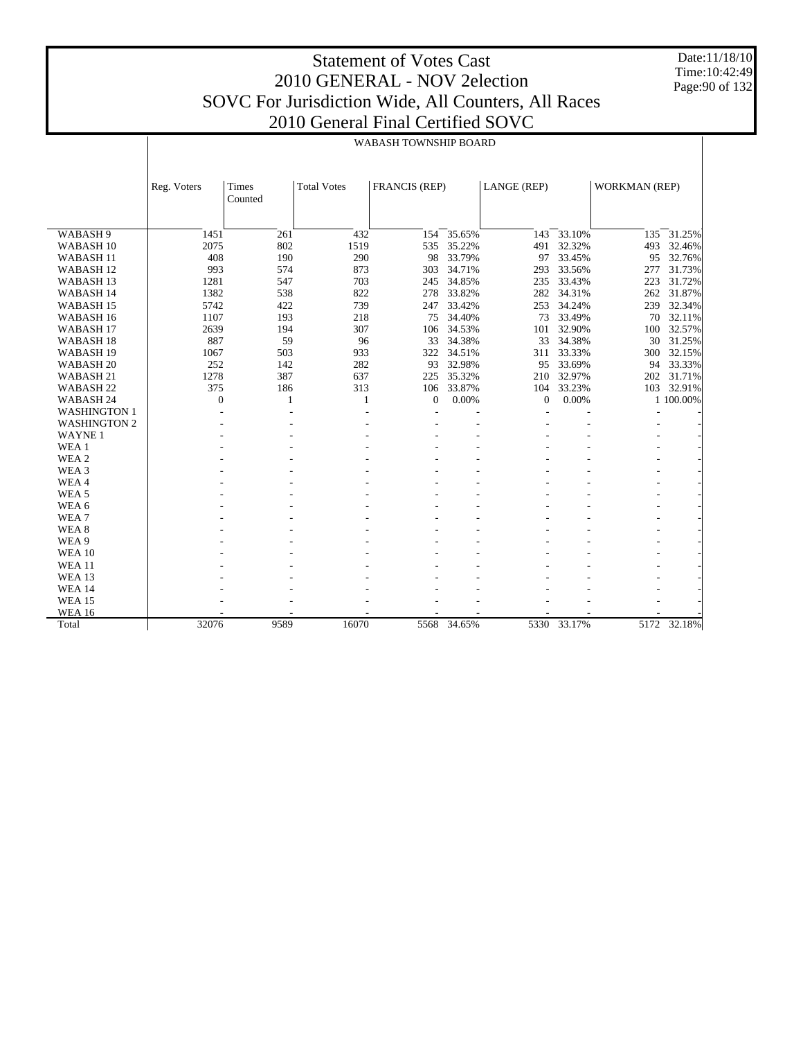Date:11/18/10 Time:10:42:49 Page:90 of 132

|                      | WABASH TOWNSHIP BOARD |                  |                    |                      |             |              |             |                          |             |
|----------------------|-----------------------|------------------|--------------------|----------------------|-------------|--------------|-------------|--------------------------|-------------|
|                      |                       |                  |                    |                      |             |              |             |                          |             |
|                      | Reg. Voters           | Times<br>Counted | <b>Total Votes</b> | <b>FRANCIS (REP)</b> |             | LANGE (REP)  |             | <b>WORKMAN (REP)</b>     |             |
|                      |                       |                  |                    |                      |             |              |             |                          |             |
| WABASH <sub>9</sub>  | 1451                  | 261              | 432                | 154                  | 35.65%      | 143          | 33.10%      | 135                      | 31.25%      |
| WABASH <sub>10</sub> | 2075                  | 802              | 1519               | 535                  | 35.22%      | 491          | 32.32%      | 493                      | 32.46%      |
| WABASH <sub>11</sub> | 408                   | 190              | 290                | 98                   | 33.79%      | 97           | 33.45%      | 95                       | 32.76%      |
| WABASH <sub>12</sub> | 993                   | 574              | 873                | 303                  | 34.71%      | 293          | 33.56%      | 277                      | 31.73%      |
| WABASH <sub>13</sub> | 1281                  | 547              | 703                | 245                  | 34.85%      | 235          | 33.43%      | 223                      | 31.72%      |
| <b>WABASH 14</b>     | 1382                  | 538              | 822                | 278                  | 33.82%      | 282          | 34.31%      | 262                      | 31.87%      |
| WABASH <sub>15</sub> | 5742                  | 422              | 739                | 247                  | 33.42%      | 253          | 34.24%      | 239                      | 32.34%      |
| WABASH <sub>16</sub> | 1107                  | 193              | 218                | 75                   | 34.40%      | 73           | 33.49%      | 70                       | 32.11%      |
| WABASH <sub>17</sub> | 2639                  | 194              | 307                | 106                  | 34.53%      | 101          | 32.90%      | 100                      | 32.57%      |
| WABASH <sub>18</sub> | 887                   | 59               | 96                 | 33                   | 34.38%      | 33           | 34.38%      | 30                       | 31.25%      |
| WABASH <sub>19</sub> | 1067                  | 503              | 933                | 322                  | 34.51%      | 311          | 33.33%      | 300                      | 32.15%      |
| WABASH <sub>20</sub> | 252                   | 142              | 282                | 93                   | 32.98%      | 95           | 33.69%      | 94                       | 33.33%      |
| WABASH 21            | 1278                  | 387              | 637                | 225                  | 35.32%      | 210          | 32.97%      | 202                      | 31.71%      |
| WABASH <sub>22</sub> | 375                   | 186              | 313                | 106                  | 33.87%      | 104          | 33.23%      | 103                      | 32.91%      |
| WABASH 24            | $\mathbf{0}$          | 1                | 1                  | $\mathbf{0}$         | 0.00%       | $\mathbf{0}$ | 0.00%       |                          | 1 100.00%   |
| <b>WASHINGTON 1</b>  |                       | ÷                |                    |                      |             |              |             |                          |             |
| <b>WASHINGTON 2</b>  |                       |                  |                    |                      |             |              |             |                          |             |
| <b>WAYNE1</b>        |                       |                  |                    |                      |             |              |             |                          |             |
| WEA 1                |                       |                  |                    |                      |             |              |             | $\overline{\phantom{a}}$ |             |
| WEA <sub>2</sub>     |                       |                  |                    |                      |             |              |             |                          |             |
| WEA <sub>3</sub>     |                       |                  |                    |                      |             |              |             |                          |             |
| WEA4                 |                       |                  |                    |                      |             |              |             |                          |             |
| WEA <sub>5</sub>     |                       |                  |                    |                      |             |              |             |                          |             |
| WEA 6                |                       |                  |                    |                      |             |              |             |                          |             |
| WEA <sub>7</sub>     |                       |                  |                    |                      |             |              |             |                          |             |
| WEA <sub>8</sub>     |                       |                  |                    |                      |             |              |             |                          |             |
| WEA 9                |                       |                  |                    |                      |             |              |             |                          |             |
| <b>WEA 10</b>        |                       |                  |                    |                      |             |              |             |                          |             |
| <b>WEA 11</b>        |                       |                  |                    |                      |             |              |             |                          |             |
| <b>WEA 13</b>        |                       |                  |                    |                      |             |              |             |                          |             |
| <b>WEA 14</b>        |                       |                  |                    |                      |             |              |             |                          |             |
| <b>WEA 15</b>        |                       |                  |                    |                      |             |              |             |                          |             |
| <b>WEA 16</b>        |                       |                  |                    |                      |             |              |             |                          |             |
| Total                | 32076                 | 9589             | 16070              |                      | 5568 34.65% |              | 5330 33.17% |                          | 5172 32.18% |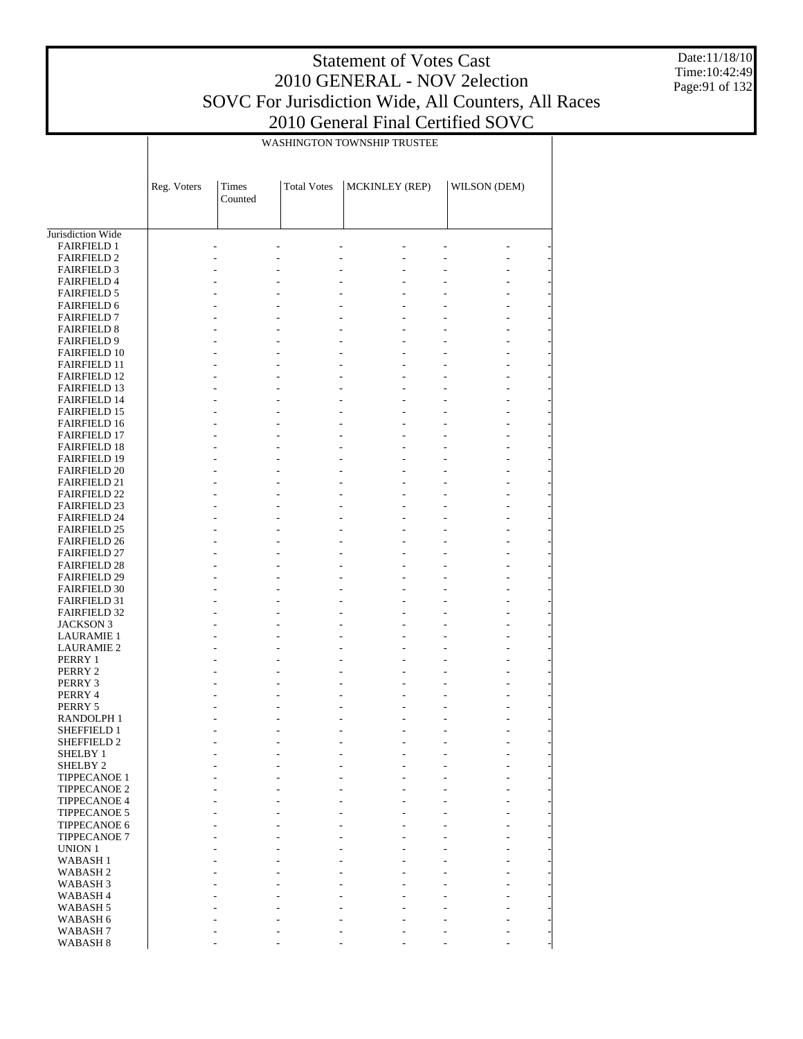Date:11/18/10 Time:10:42:49 Page:91 of 132

|                                            | WASHINGTON TOWNSHIP TRUSTEE |                  |                          |                                           |              |  |  |  |  |
|--------------------------------------------|-----------------------------|------------------|--------------------------|-------------------------------------------|--------------|--|--|--|--|
|                                            |                             |                  |                          |                                           |              |  |  |  |  |
|                                            |                             |                  |                          |                                           |              |  |  |  |  |
|                                            |                             |                  |                          |                                           |              |  |  |  |  |
|                                            | Reg. Voters                 | Times<br>Counted | <b>Total Votes</b>       | <b>MCKINLEY (REP)</b>                     | WILSON (DEM) |  |  |  |  |
|                                            |                             |                  |                          |                                           |              |  |  |  |  |
|                                            |                             |                  |                          |                                           |              |  |  |  |  |
| Jurisdiction Wide                          |                             |                  |                          |                                           |              |  |  |  |  |
| <b>FAIRFIELD 1</b>                         |                             |                  |                          |                                           |              |  |  |  |  |
| <b>FAIRFIELD 2</b>                         |                             |                  |                          |                                           |              |  |  |  |  |
| <b>FAIRFIELD 3</b>                         |                             |                  |                          |                                           |              |  |  |  |  |
| <b>FAIRFIELD 4</b>                         |                             |                  |                          |                                           |              |  |  |  |  |
| <b>FAIRFIELD 5</b>                         |                             |                  |                          |                                           |              |  |  |  |  |
| <b>FAIRFIELD 6</b>                         |                             |                  |                          |                                           |              |  |  |  |  |
| <b>FAIRFIELD 7</b>                         |                             |                  | $\overline{\phantom{a}}$ | $\overline{\phantom{a}}$                  |              |  |  |  |  |
| <b>FAIRFIELD 8</b>                         |                             |                  |                          | $\overline{a}$                            |              |  |  |  |  |
| <b>FAIRFIELD 9</b>                         |                             |                  |                          | $\frac{1}{2}$                             |              |  |  |  |  |
| <b>FAIRFIELD 10</b>                        |                             |                  |                          | $\frac{1}{2}$                             |              |  |  |  |  |
| <b>FAIRFIELD 11</b>                        |                             |                  | $\overline{\phantom{a}}$ | $\overline{\phantom{a}}$                  |              |  |  |  |  |
| <b>FAIRFIELD 12</b>                        |                             |                  |                          | $\overline{a}$                            |              |  |  |  |  |
| <b>FAIRFIELD 13</b>                        |                             |                  |                          | $\frac{1}{2}$                             |              |  |  |  |  |
| <b>FAIRFIELD 14</b><br><b>FAIRFIELD 15</b> |                             |                  | $\overline{\phantom{a}}$ | $\frac{1}{2}$<br>$\overline{\phantom{a}}$ |              |  |  |  |  |
| <b>FAIRFIELD 16</b>                        |                             |                  |                          | $\overline{\phantom{a}}$                  |              |  |  |  |  |
| <b>FAIRFIELD 17</b>                        |                             |                  |                          | $\frac{1}{2}$                             |              |  |  |  |  |
| <b>FAIRFIELD 18</b>                        |                             |                  |                          | $\frac{1}{2}$                             |              |  |  |  |  |
| <b>FAIRFIELD 19</b>                        |                             |                  | $\overline{\phantom{a}}$ | $\overline{\phantom{a}}$                  |              |  |  |  |  |
| <b>FAIRFIELD 20</b>                        |                             |                  |                          | $\overline{\phantom{a}}$                  |              |  |  |  |  |
| <b>FAIRFIELD 21</b>                        |                             |                  |                          | $\frac{1}{2}$                             |              |  |  |  |  |
| <b>FAIRFIELD 22</b>                        |                             |                  |                          | $\frac{1}{2}$                             |              |  |  |  |  |
| <b>FAIRFIELD 23</b>                        |                             |                  | $\overline{\phantom{a}}$ | $\overline{\phantom{a}}$                  |              |  |  |  |  |
| <b>FAIRFIELD 24</b>                        |                             |                  |                          | $\overline{a}$                            |              |  |  |  |  |
| <b>FAIRFIELD 25</b>                        |                             |                  |                          | $\frac{1}{2}$                             |              |  |  |  |  |
| <b>FAIRFIELD 26</b>                        |                             |                  |                          | $\frac{1}{2}$                             |              |  |  |  |  |
| <b>FAIRFIELD 27</b>                        |                             |                  |                          | $\overline{\phantom{a}}$                  |              |  |  |  |  |
| <b>FAIRFIELD 28</b>                        |                             |                  |                          | $\overline{a}$                            |              |  |  |  |  |
| <b>FAIRFIELD 29</b>                        |                             |                  |                          | $\overline{\phantom{a}}$                  |              |  |  |  |  |
| <b>FAIRFIELD 30</b>                        |                             |                  |                          |                                           |              |  |  |  |  |
| <b>FAIRFIELD 31</b><br><b>FAIRFIELD 32</b> |                             |                  | $\overline{\phantom{0}}$ | $\frac{1}{2}$                             |              |  |  |  |  |
| <b>JACKSON 3</b>                           |                             |                  |                          | $\overline{\phantom{a}}$                  |              |  |  |  |  |
| <b>LAURAMIE 1</b>                          |                             |                  |                          |                                           |              |  |  |  |  |
| <b>LAURAMIE 2</b>                          |                             |                  |                          | $\overline{\phantom{a}}$                  |              |  |  |  |  |
| PERRY 1                                    |                             |                  |                          |                                           |              |  |  |  |  |
| PERRY 2                                    |                             |                  |                          |                                           |              |  |  |  |  |
| PERRY 3                                    |                             |                  |                          |                                           |              |  |  |  |  |
| PERRY 4                                    |                             |                  |                          |                                           |              |  |  |  |  |
| PERRY 5                                    |                             |                  |                          |                                           |              |  |  |  |  |
| RANDOLPH 1                                 |                             |                  |                          |                                           |              |  |  |  |  |
| SHEFFIELD 1                                |                             |                  |                          |                                           |              |  |  |  |  |
| SHEFFIELD <sub>2</sub>                     |                             |                  |                          |                                           |              |  |  |  |  |
| SHELBY 1                                   |                             |                  |                          |                                           |              |  |  |  |  |
| SHELBY <sub>2</sub>                        |                             |                  |                          |                                           |              |  |  |  |  |
| <b>TIPPECANOE 1</b><br><b>TIPPECANOE 2</b> |                             |                  |                          |                                           |              |  |  |  |  |
| <b>TIPPECANOE 4</b>                        |                             |                  |                          |                                           |              |  |  |  |  |
| <b>TIPPECANOE 5</b>                        |                             |                  |                          |                                           |              |  |  |  |  |
| TIPPECANOE 6                               |                             |                  |                          |                                           |              |  |  |  |  |
| <b>TIPPECANOE 7</b>                        |                             |                  |                          |                                           |              |  |  |  |  |
| UNION 1                                    |                             |                  |                          |                                           |              |  |  |  |  |
| <b>WABASH1</b>                             |                             |                  |                          |                                           |              |  |  |  |  |
| WABASH <sub>2</sub>                        |                             |                  |                          |                                           |              |  |  |  |  |
| WABASH <sub>3</sub>                        |                             |                  |                          |                                           |              |  |  |  |  |
| WABASH <sub>4</sub>                        |                             |                  |                          |                                           |              |  |  |  |  |
| WABASH <sub>5</sub>                        |                             |                  |                          |                                           |              |  |  |  |  |
| WABASH 6                                   |                             |                  |                          |                                           |              |  |  |  |  |
| WABASH <sub>7</sub>                        |                             |                  |                          |                                           |              |  |  |  |  |
| WABASH <sub>8</sub>                        |                             |                  |                          |                                           |              |  |  |  |  |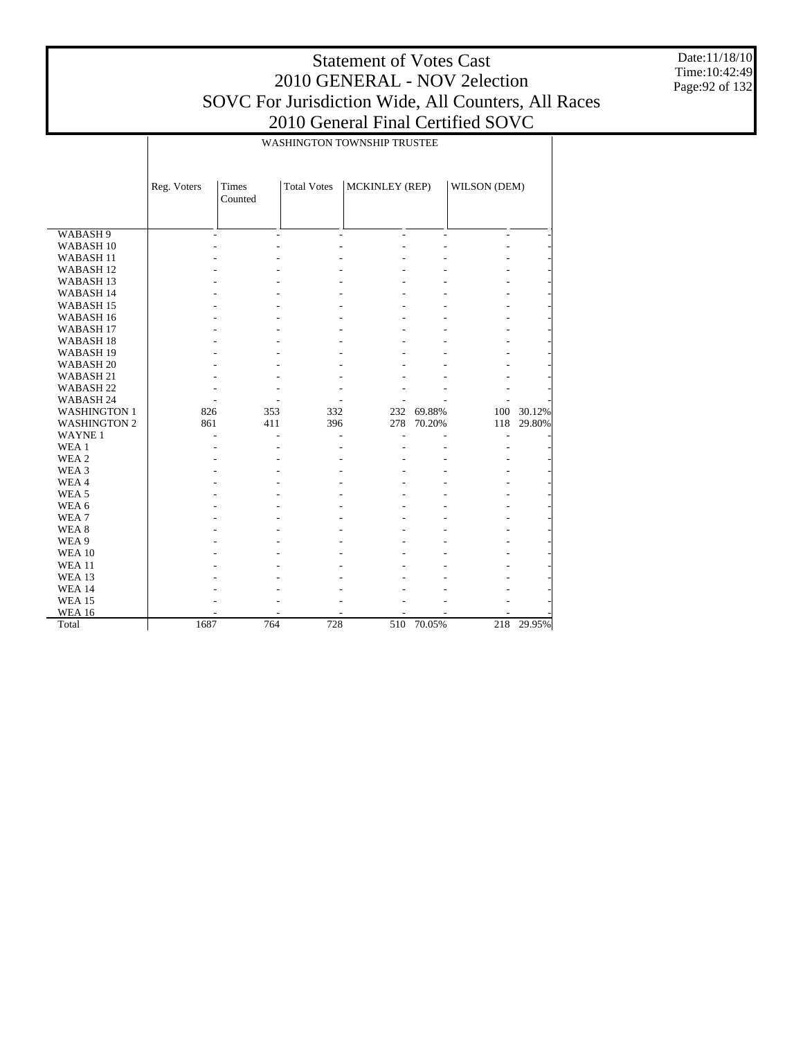Τ

Date:11/18/10 Time:10:42:49 Page:92 of 132

|                      |             | WASHINGTON TOWNSHIP TRUSTEE |                    |                |        |                |        |  |  |  |
|----------------------|-------------|-----------------------------|--------------------|----------------|--------|----------------|--------|--|--|--|
|                      |             |                             |                    |                |        |                |        |  |  |  |
|                      |             |                             |                    |                |        |                |        |  |  |  |
|                      | Reg. Voters | <b>Times</b>                | <b>Total Votes</b> | MCKINLEY (REP) |        | WILSON (DEM)   |        |  |  |  |
|                      |             | Counted                     |                    |                |        |                |        |  |  |  |
|                      |             |                             |                    |                |        |                |        |  |  |  |
| WABASH <sub>9</sub>  | ٠           |                             | $\overline{a}$     | $\overline{a}$ |        | $\blacksquare$ |        |  |  |  |
| WABASH <sub>10</sub> |             |                             |                    |                |        |                |        |  |  |  |
| WABASH <sub>11</sub> |             |                             |                    |                |        |                |        |  |  |  |
| WABASH <sub>12</sub> |             |                             |                    |                |        |                |        |  |  |  |
| WABASH <sub>13</sub> |             |                             |                    |                |        |                |        |  |  |  |
| WABASH <sub>14</sub> |             |                             |                    |                |        |                |        |  |  |  |
| WABASH <sub>15</sub> |             |                             |                    |                |        |                |        |  |  |  |
| WABASH 16            |             |                             |                    |                |        |                |        |  |  |  |
| WABASH <sub>17</sub> |             |                             |                    |                |        |                |        |  |  |  |
| WABASH <sub>18</sub> |             |                             |                    |                |        |                |        |  |  |  |
| WABASH <sub>19</sub> |             |                             |                    |                |        |                |        |  |  |  |
| WABASH <sub>20</sub> |             |                             |                    |                |        |                |        |  |  |  |
| WABASH <sub>21</sub> |             |                             |                    |                |        |                |        |  |  |  |
| WABASH <sub>22</sub> |             |                             |                    |                |        |                |        |  |  |  |
| WABASH 24            |             |                             |                    |                |        |                |        |  |  |  |
| <b>WASHINGTON 1</b>  | 826         | 353                         | 332                | 232            | 69.88% | 100            | 30.12% |  |  |  |
| <b>WASHINGTON 2</b>  | 861         | 411                         | 396                | 278            | 70.20% | 118            | 29.80% |  |  |  |
| <b>WAYNE1</b>        |             | L,                          | L,                 |                |        | L,             |        |  |  |  |
| WEA 1                |             |                             |                    |                |        |                |        |  |  |  |
| WEA <sub>2</sub>     |             |                             |                    |                |        |                |        |  |  |  |
| WEA 3                |             |                             |                    |                |        |                |        |  |  |  |
| WEA4                 |             |                             |                    |                |        |                |        |  |  |  |
| WEA <sub>5</sub>     |             |                             |                    |                |        |                |        |  |  |  |
| WEA 6                |             |                             |                    |                |        |                |        |  |  |  |
| WEA <sub>7</sub>     |             |                             |                    |                |        |                |        |  |  |  |
| WEA 8                |             |                             |                    |                |        |                |        |  |  |  |
| WEA 9                |             |                             |                    |                |        |                |        |  |  |  |
| <b>WEA 10</b>        |             |                             |                    |                |        |                |        |  |  |  |
| <b>WEA 11</b>        |             |                             |                    |                |        |                |        |  |  |  |
| <b>WEA 13</b>        |             |                             |                    |                |        |                |        |  |  |  |
| <b>WEA 14</b>        |             |                             |                    |                |        |                |        |  |  |  |
| <b>WEA 15</b>        |             |                             |                    |                |        |                |        |  |  |  |
| <b>WEA 16</b>        |             |                             |                    |                |        |                |        |  |  |  |
| Total                | 1687        | 764                         | 728                | 510            | 70.05% | 218            | 29.95% |  |  |  |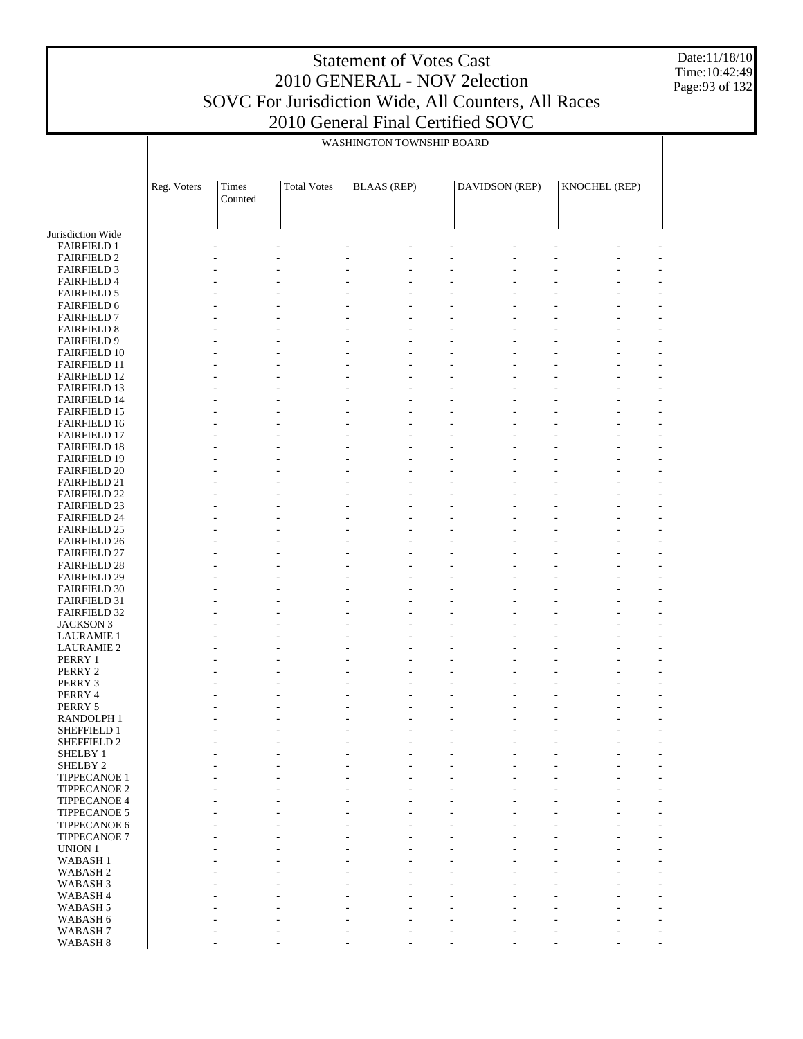Date:11/18/10 Time:10:42:49 Page:93 of 132

|                                            |             |                  |                    | WASHINGTON TOWNSHIP BOARD |                       |               |
|--------------------------------------------|-------------|------------------|--------------------|---------------------------|-----------------------|---------------|
|                                            |             |                  |                    |                           |                       |               |
|                                            | Reg. Voters | Times<br>Counted | <b>Total Votes</b> | <b>BLAAS</b> (REP)        | <b>DAVIDSON</b> (REP) | KNOCHEL (REP) |
|                                            |             |                  |                    |                           |                       |               |
| Jurisdiction Wide<br><b>FAIRFIELD 1</b>    |             |                  |                    |                           |                       |               |
| <b>FAIRFIELD 2</b>                         |             |                  |                    |                           |                       |               |
| <b>FAIRFIELD 3</b>                         |             |                  |                    |                           |                       |               |
| <b>FAIRFIELD 4</b>                         |             |                  |                    |                           |                       |               |
| <b>FAIRFIELD 5</b>                         |             |                  |                    |                           |                       |               |
| <b>FAIRFIELD 6</b><br><b>FAIRFIELD 7</b>   |             |                  |                    |                           |                       |               |
| <b>FAIRFIELD 8</b>                         |             |                  |                    |                           |                       |               |
| <b>FAIRFIELD 9</b>                         |             |                  |                    |                           |                       |               |
| <b>FAIRFIELD 10</b>                        |             |                  |                    |                           |                       |               |
| <b>FAIRFIELD 11</b>                        |             |                  |                    |                           |                       |               |
| <b>FAIRFIELD 12</b><br><b>FAIRFIELD 13</b> |             |                  |                    |                           |                       |               |
| <b>FAIRFIELD 14</b>                        |             |                  |                    |                           |                       |               |
| <b>FAIRFIELD 15</b>                        |             |                  |                    |                           |                       |               |
| <b>FAIRFIELD 16</b>                        |             |                  |                    |                           |                       |               |
| <b>FAIRFIELD 17</b>                        |             |                  |                    |                           |                       |               |
| <b>FAIRFIELD 18</b><br><b>FAIRFIELD 19</b> |             |                  |                    |                           |                       |               |
| <b>FAIRFIELD 20</b>                        |             |                  |                    |                           |                       |               |
| <b>FAIRFIELD 21</b>                        |             |                  |                    |                           |                       |               |
| <b>FAIRFIELD 22</b>                        |             |                  |                    |                           |                       |               |
| <b>FAIRFIELD 23</b>                        |             |                  |                    |                           |                       |               |
| <b>FAIRFIELD 24</b>                        |             |                  |                    |                           |                       |               |
| <b>FAIRFIELD 25</b><br><b>FAIRFIELD 26</b> |             |                  |                    |                           |                       |               |
| <b>FAIRFIELD 27</b>                        |             |                  |                    |                           |                       |               |
| <b>FAIRFIELD 28</b>                        |             |                  |                    |                           |                       |               |
| <b>FAIRFIELD 29</b>                        |             |                  |                    |                           |                       |               |
| <b>FAIRFIELD 30</b>                        |             |                  |                    |                           |                       |               |
| <b>FAIRFIELD 31</b>                        |             |                  |                    |                           |                       |               |
| <b>FAIRFIELD 32</b><br><b>JACKSON 3</b>    |             |                  |                    |                           |                       |               |
| <b>LAURAMIE 1</b>                          |             |                  |                    |                           |                       |               |
| <b>LAURAMIE 2</b>                          |             |                  |                    |                           |                       |               |
| PERRY 1                                    |             |                  |                    |                           |                       |               |
| PERRY 2                                    |             |                  |                    |                           |                       |               |
| PERRY 3<br>PERRY 4                         |             |                  |                    |                           |                       |               |
| PERRY 5                                    |             |                  |                    |                           |                       |               |
| RANDOLPH <sub>1</sub>                      |             |                  |                    |                           |                       |               |
| SHEFFIELD 1                                |             |                  |                    |                           |                       |               |
| SHEFFIELD 2                                |             |                  |                    |                           |                       |               |
| SHELBY 1                                   |             |                  |                    |                           |                       |               |
| SHELBY <sub>2</sub><br>TIPPECANOE 1        |             |                  |                    |                           |                       |               |
| <b>TIPPECANOE 2</b>                        |             |                  |                    |                           |                       |               |
| TIPPECANOE 4                               |             |                  |                    |                           |                       |               |
| TIPPECANOE 5                               |             |                  |                    |                           |                       |               |
| TIPPECANOE 6                               |             |                  |                    |                           |                       |               |
| <b>TIPPECANOE 7</b><br><b>UNION 1</b>      |             |                  |                    |                           |                       |               |
| WABASH <sub>1</sub>                        |             |                  |                    |                           |                       |               |
| WABASH <sub>2</sub>                        |             |                  |                    |                           |                       |               |
| WABASH <sub>3</sub>                        |             |                  |                    |                           |                       |               |
| WABASH <sub>4</sub>                        |             |                  |                    |                           |                       |               |
| WABASH <sub>5</sub>                        |             |                  |                    |                           |                       |               |
| WABASH 6<br>WABASH <sub>7</sub>            |             |                  |                    |                           |                       |               |
| WABASH 8                                   |             |                  |                    |                           |                       |               |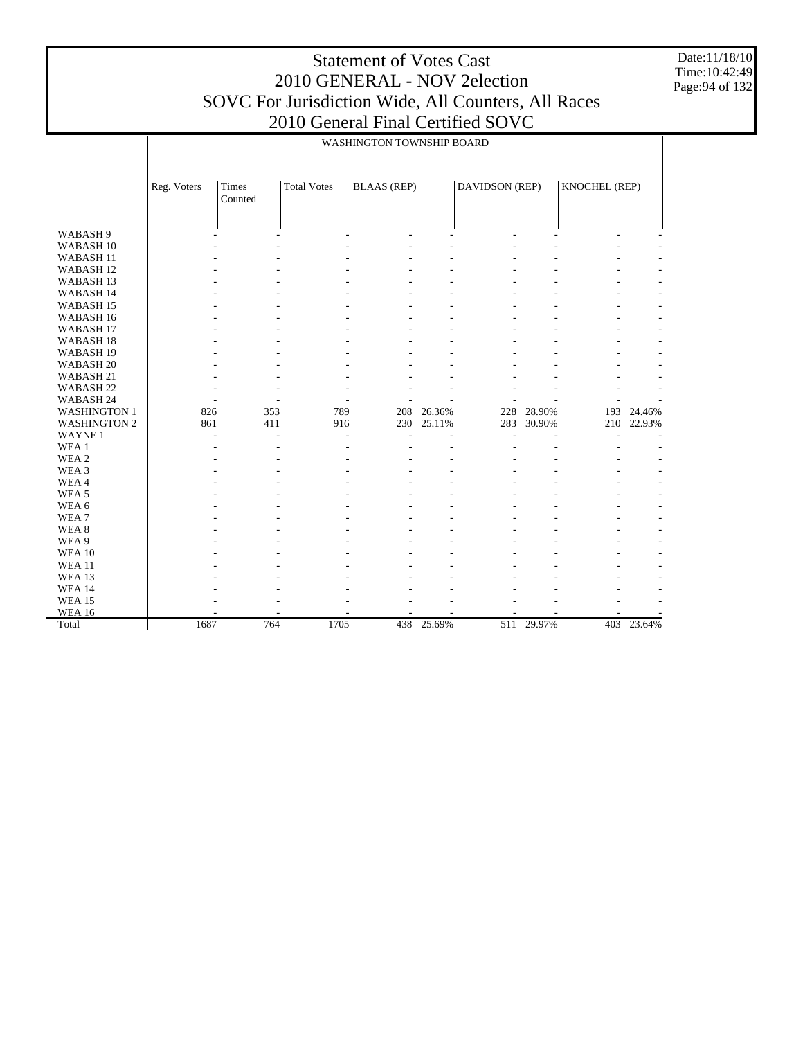WABASH 9 WABASH 10 WABASH 11 WABASH 12 WABASH 13 WABASH 14 WABASH 15 WABASH 16 WABASH 17 WABASH 18 WABASH 19 WABASH 20 WABASH 21 WABASH 22 WABASH 24 WASHINGTON 1 WASHINGTON 2 WAYNE 1 WEA 1 WEA 2 WEA 3 WEA 4 WEA 5 WEA 6 WEA 7 WEA 8 WEA 9 WEA 10 WEA 11 WEA 13 WEA 14 WEA 15 WEA 16 Total Reg. Voters | Times Counted Total Votes | BLAAS (REP) | DAVIDSON (REP) | KNOCHEL (REP) WASHINGTON TOWNSHIP BOARD -  $\sim$  -  $\sim$  -  $\sim$  -  $\sim$  -  $\sim$  -  $\sim$  -  $\sim$  -  $\sim$  -  $\sim$  -  $\sim$  -  $\sim$  -  $\sim$ -  $\sim$  -  $\sim$  -  $\sim$  -  $\sim$  -  $\sim$  -  $\sim$  -  $\sim$  -  $\sim$  -  $\sim$  -  $\sim$  -  $\sim$  -  $\sim$ -  $\sim$  -  $\sim$  -  $\sim$  -  $\sim$  -  $\sim$  -  $\sim$  -  $\sim$  -  $\sim$  -  $\sim$  -  $\sim$  -  $\sim$  -  $\sim$ -  $\sim$  -  $\sim$  -  $\sim$  -  $\sim$  -  $\sim$  -  $\sim$  -  $\sim$  -  $\sim$  -  $\sim$  -  $\sim$  -  $\sim$  -  $\sim$ -  $\sim$  -  $\sim$  -  $\sim$  -  $\sim$  -  $\sim$  -  $\sim$  -  $\sim$  -  $\sim$  -  $\sim$  -  $\sim$  -  $\sim$  -  $\sim$ -  $\sim$  -  $\sim$  -  $\sim$  -  $\sim$  -  $\sim$  -  $\sim$  -  $\sim$  -  $\sim$  -  $\sim$  -  $\sim$  -  $\sim$  -  $\sim$ -  $\sim$  -  $\sim$  -  $\sim$  -  $\sim$  -  $\sim$  -  $\sim$  -  $\sim$  -  $\sim$  -  $\sim$  -  $\sim$  -  $\sim$  -  $\sim$ -  $\sim$  -  $\sim$  -  $\sim$  -  $\sim$  -  $\sim$  -  $\sim$  -  $\sim$  -  $\sim$  -  $\sim$  -  $\sim$  -  $\sim$  -  $\sim$ -  $\sim$  -  $\sim$  -  $\sim$  -  $\sim$  -  $\sim$  -  $\sim$  -  $\sim$  -  $\sim$  -  $\sim$  -  $\sim$  -  $\sim$  -  $\sim$ -  $\sim$  -  $\sim$  -  $\sim$  -  $\sim$  -  $\sim$  -  $\sim$  -  $\sim$  -  $\sim$  -  $\sim$  -  $\sim$  -  $\sim$  -  $\sim$ -  $\sim$  -  $\sim$  -  $\sim$  -  $\sim$  -  $\sim$  -  $\sim$  -  $\sim$  -  $\sim$  -  $\sim$  -  $\sim$  -  $\sim$  -  $\sim$ -  $\sim$  -  $\sim$  -  $\sim$  -  $\sim$  -  $\sim$  -  $\sim$  -  $\sim$  -  $\sim$  -  $\sim$  -  $\sim$  -  $\sim$  -  $\sim$ -  $\sim$  -  $\sim$  -  $\sim$  -  $\sim$  -  $\sim$  -  $\sim$  -  $\sim$  -  $\sim$  -  $\sim$  -  $\sim$  -  $\sim$  -  $\sim$ -  $\sim$  -  $\sim$  -  $\sim$  -  $\sim$  -  $\sim$  -  $\sim$  -  $\sim$  -  $\sim$  -  $\sim$  -  $\sim$  -  $\sim$  -  $\sim$ -  $\sim$  -  $\sim$  -  $\sim$  -  $\sim$  -  $\sim$  -  $\sim$  -  $\sim$  -  $\sim$  -  $\sim$  -  $\sim$  -  $\sim$  -  $\sim$ 826 353 789 208 26.36% 228 28.90% 193 24.46% 230 25.11% -  $\sim$  -  $\sim$  -  $\sim$  -  $\sim$  -  $\sim$  -  $\sim$  -  $\sim$  -  $\sim$  -  $\sim$  -  $\sim$  -  $\sim$  -  $\sim$ -  $\sim$  -  $\sim$  -  $\sim$  -  $\sim$  -  $\sim$  -  $\sim$  -  $\sim$  -  $\sim$  -  $\sim$  -  $\sim$  -  $\sim$  -  $\sim$ -  $\sim$  -  $\sim$  -  $\sim$  -  $\sim$  -  $\sim$  -  $\sim$  -  $\sim$  -  $\sim$  -  $\sim$  -  $\sim$  -  $\sim$  -  $\sim$ -  $\sim$  -  $\sim$  -  $\sim$  -  $\sim$  -  $\sim$  -  $\sim$  -  $\sim$  -  $\sim$  -  $\sim$  -  $\sim$  -  $\sim$  -  $\sim$ -  $\sim$  -  $\sim$  -  $\sim$  -  $\sim$  -  $\sim$  -  $\sim$  -  $\sim$  -  $\sim$  -  $\sim$  -  $\sim$  -  $\sim$  -  $\sim$ -  $\sim$  -  $\sim$  -  $\sim$  -  $\sim$  -  $\sim$  -  $\sim$  -  $\sim$  -  $\sim$  -  $\sim$  -  $\sim$  -  $\sim$  -  $\sim$ -  $\sim$  -  $\sim$  -  $\sim$  -  $\sim$  -  $\sim$  -  $\sim$  -  $\sim$  -  $\sim$  -  $\sim$  -  $\sim$  -  $\sim$  -  $\sim$ -  $\sim$  -  $\sim$  -  $\sim$  -  $\sim$  -  $\sim$  -  $\sim$  -  $\sim$  -  $\sim$  -  $\sim$  -  $\sim$  -  $\sim$  -  $\sim$ -  $\sim$  -  $\sim$  -  $\sim$  -  $\sim$  -  $\sim$  -  $\sim$  -  $\sim$  -  $\sim$  -  $\sim$  -  $\sim$  -  $\sim$  -  $\sim$ -  $\sim$  -  $\sim$  -  $\sim$  -  $\sim$  -  $\sim$  -  $\sim$  -  $\sim$  -  $\sim$  -  $\sim$  -  $\sim$  -  $\sim$  -  $\sim$ -  $\sim$  -  $\sim$  -  $\sim$  -  $\sim$  -  $\sim$  -  $\sim$  -  $\sim$  -  $\sim$  -  $\sim$  -  $\sim$  -  $\sim$  -  $\sim$ -  $\sim$  -  $\sim$  -  $\sim$  -  $\sim$  -  $\sim$  -  $\sim$  -  $\sim$  -  $\sim$  -  $\sim$  -  $\sim$  -  $\sim$  -  $\sim$ -  $\sim$  -  $\sim$  -  $\sim$  -  $\sim$  -  $\sim$  -  $\sim$  -  $\sim$  -  $\sim$  -  $\sim$  -  $\sim$  -  $\sim$  -  $\sim$ -  $\sim$  -  $\sim$  -  $\sim$  -  $\sim$  -  $\sim$  -  $\sim$  -  $\sim$  -  $\sim$  -  $\sim$  -  $\sim$  -  $\sim$  -  $\sim$ -  $\sim$  -  $\sim$  -  $\sim$  -  $\sim$  -  $\sim$  -  $\sim$  -  $\sim$  -  $\sim$  -  $\sim$  -  $\sim$  -  $\sim$  -  $\sim$ - - - - - - - - - 1687 764 1705 438 25.69% 511 29.97% 403 23.64%

Date:11/18/10 Time:10:42:49 Page:94 of 132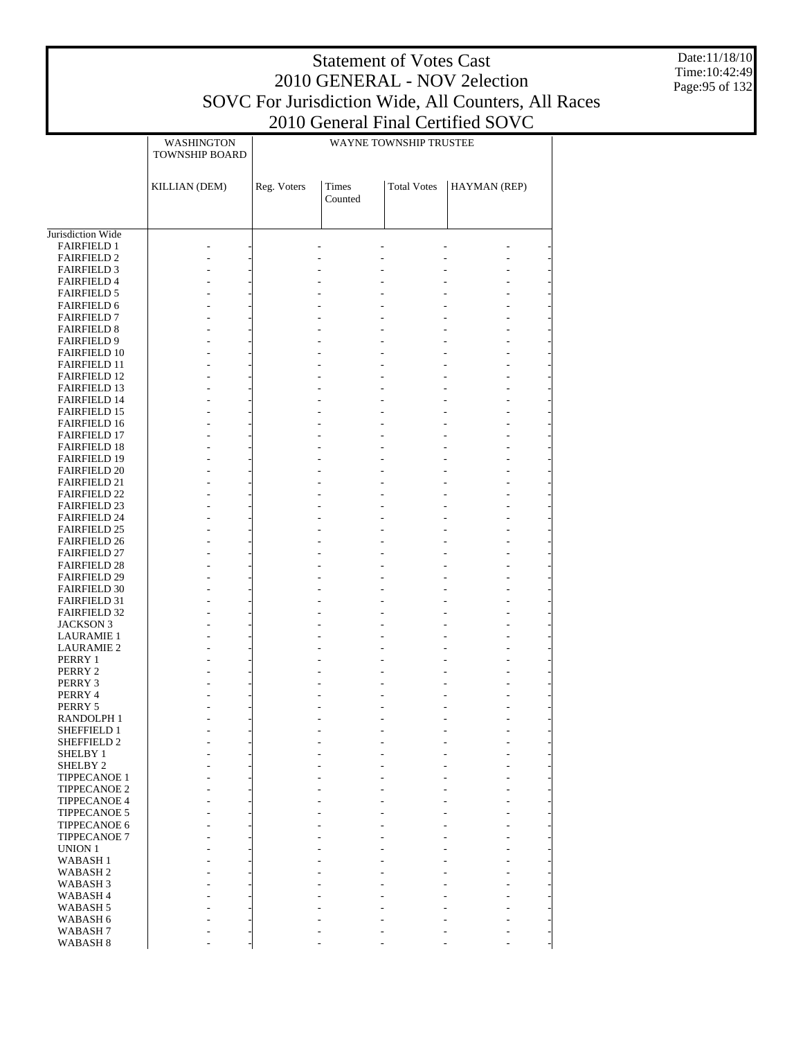Date:11/18/10 Time:10:42:49 Page:95 of 132

|                                            | WASHINGTON<br>TOWNSHIP BOARD | WAYNE TOWNSHIP TRUSTEE |                         |                    |              |  |
|--------------------------------------------|------------------------------|------------------------|-------------------------|--------------------|--------------|--|
|                                            | KILLIAN (DEM)                | Reg. Voters            | <b>Times</b><br>Counted | <b>Total Votes</b> | HAYMAN (REP) |  |
|                                            |                              |                        |                         |                    |              |  |
| Jurisdiction Wide                          |                              |                        |                         |                    |              |  |
| <b>FAIRFIELD 1</b><br><b>FAIRFIELD 2</b>   |                              |                        | $\overline{a}$          |                    |              |  |
| <b>FAIRFIELD 3</b>                         |                              |                        |                         |                    |              |  |
| <b>FAIRFIELD 4</b>                         |                              |                        |                         |                    |              |  |
| <b>FAIRFIELD 5</b>                         |                              |                        |                         |                    |              |  |
| <b>FAIRFIELD 6</b>                         |                              |                        |                         |                    |              |  |
| <b>FAIRFIELD 7</b>                         |                              |                        |                         |                    |              |  |
| <b>FAIRFIELD 8</b><br><b>FAIRFIELD 9</b>   |                              |                        |                         |                    |              |  |
| <b>FAIRFIELD 10</b>                        |                              |                        |                         |                    |              |  |
| <b>FAIRFIELD 11</b>                        |                              |                        |                         |                    |              |  |
| <b>FAIRFIELD 12</b>                        |                              |                        |                         |                    |              |  |
| <b>FAIRFIELD 13</b>                        |                              |                        |                         |                    |              |  |
| <b>FAIRFIELD 14</b>                        |                              |                        |                         |                    |              |  |
| <b>FAIRFIELD 15</b><br><b>FAIRFIELD 16</b> |                              |                        |                         |                    |              |  |
| <b>FAIRFIELD 17</b>                        |                              |                        |                         |                    |              |  |
| <b>FAIRFIELD 18</b>                        |                              |                        |                         |                    |              |  |
| <b>FAIRFIELD 19</b>                        |                              |                        |                         |                    |              |  |
| <b>FAIRFIELD 20</b>                        |                              |                        |                         |                    |              |  |
| <b>FAIRFIELD 21</b>                        |                              |                        |                         |                    |              |  |
| <b>FAIRFIELD 22</b>                        |                              |                        |                         |                    |              |  |
| <b>FAIRFIELD 23</b><br><b>FAIRFIELD 24</b> |                              |                        |                         |                    |              |  |
| <b>FAIRFIELD 25</b>                        |                              |                        |                         |                    |              |  |
| <b>FAIRFIELD 26</b>                        |                              |                        |                         |                    |              |  |
| <b>FAIRFIELD 27</b>                        |                              |                        |                         |                    |              |  |
| <b>FAIRFIELD 28</b>                        |                              |                        |                         |                    |              |  |
| <b>FAIRFIELD 29</b>                        |                              |                        |                         |                    |              |  |
| <b>FAIRFIELD 30</b>                        |                              |                        |                         |                    |              |  |
| <b>FAIRFIELD 31</b><br><b>FAIRFIELD 32</b> |                              |                        |                         |                    |              |  |
| <b>JACKSON 3</b>                           |                              |                        |                         |                    |              |  |
| <b>LAURAMIE 1</b>                          |                              |                        |                         |                    |              |  |
| <b>LAURAMIE 2</b>                          |                              |                        |                         |                    |              |  |
| PERRY 1                                    |                              |                        |                         |                    |              |  |
| PERRY 2                                    |                              |                        |                         |                    |              |  |
| PERRY 3                                    |                              |                        |                         |                    |              |  |
| PERRY 4<br>PERRY 5                         |                              |                        |                         |                    |              |  |
| <b>RANDOLPH1</b>                           |                              |                        |                         |                    |              |  |
| <b>SHEFFIELD 1</b>                         |                              |                        |                         |                    |              |  |
| <b>SHEFFIELD 2</b>                         |                              |                        |                         |                    |              |  |
| SHELBY 1                                   |                              |                        |                         |                    |              |  |
| SHELBY <sub>2</sub>                        |                              |                        |                         |                    |              |  |
| <b>TIPPECANOE 1</b><br><b>TIPPECANOE 2</b> |                              |                        |                         |                    |              |  |
| <b>TIPPECANOE 4</b>                        |                              |                        |                         |                    |              |  |
| <b>TIPPECANOE 5</b>                        |                              |                        |                         |                    |              |  |
| TIPPECANOE 6                               |                              |                        |                         |                    |              |  |
| <b>TIPPECANOE 7</b>                        |                              |                        |                         |                    |              |  |
| <b>UNION 1</b>                             |                              |                        |                         |                    |              |  |
| <b>WABASH1</b>                             |                              |                        |                         |                    |              |  |
| <b>WABASH2</b>                             |                              |                        |                         |                    |              |  |
| WABASH <sub>3</sub><br>WABASH <sub>4</sub> |                              |                        |                         |                    |              |  |
| WABASH 5                                   |                              |                        |                         |                    |              |  |
| WABASH 6                                   |                              |                        |                         |                    |              |  |
| WABASH <sub>7</sub>                        |                              |                        |                         |                    |              |  |
| WABASH <sub>8</sub>                        |                              |                        |                         |                    |              |  |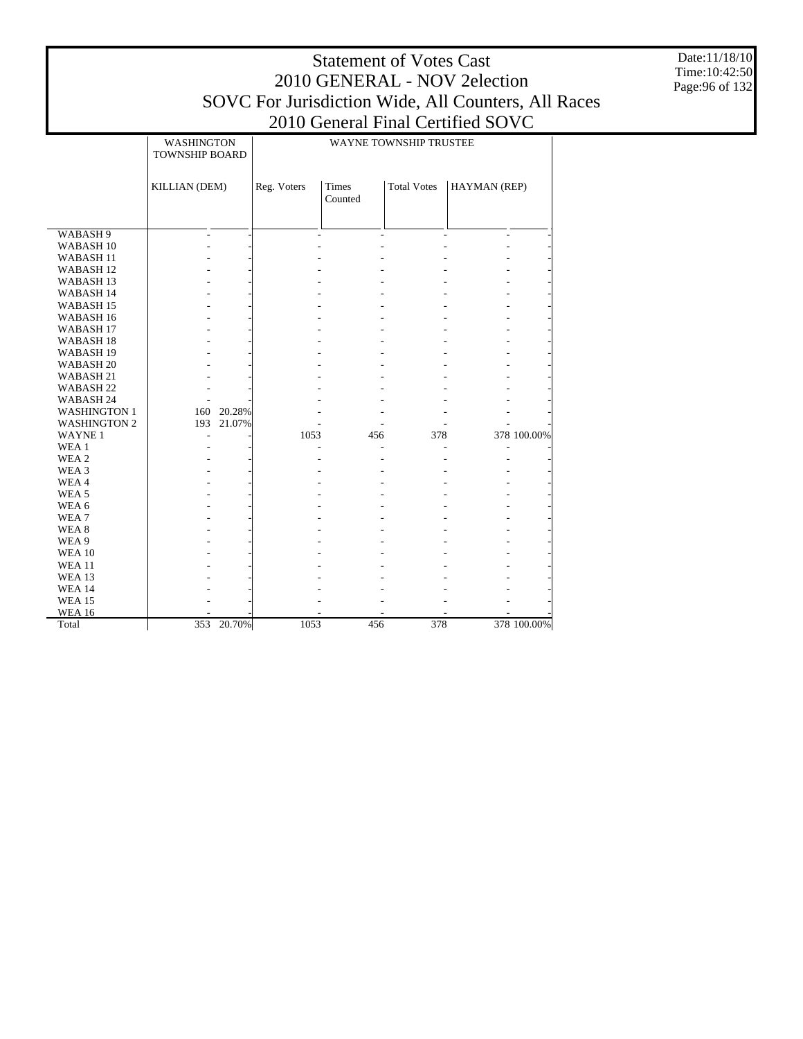| <b>Statement of Votes Cast</b>                      |
|-----------------------------------------------------|
| 2010 GENERAL - NOV 2 election                       |
| SOVC For Jurisdiction Wide, All Counters, All Races |
| 2010 General Final Certified SOVC                   |

Date:11/18/10 Time:10:42:50 Page:96 of 132

|                      | WASHINGTON<br><b>TOWNSHIP BOARD</b> |            |             |                  | WAYNE TOWNSHIP TRUSTEE |              |             |  |  |
|----------------------|-------------------------------------|------------|-------------|------------------|------------------------|--------------|-------------|--|--|
|                      | KILLIAN (DEM)                       |            | Reg. Voters | Times<br>Counted | <b>Total Votes</b>     | HAYMAN (REP) |             |  |  |
| WABASH <sub>9</sub>  |                                     |            |             |                  |                        |              |             |  |  |
| WABASH <sub>10</sub> |                                     |            |             |                  |                        |              |             |  |  |
| WABASH <sub>11</sub> |                                     |            |             |                  |                        |              |             |  |  |
| WABASH <sub>12</sub> |                                     |            |             |                  |                        |              |             |  |  |
| WABASH <sub>13</sub> |                                     |            |             |                  |                        |              |             |  |  |
| WABASH 14            |                                     |            |             |                  |                        |              |             |  |  |
| WABASH <sub>15</sub> |                                     |            |             |                  |                        |              |             |  |  |
| WABASH 16            |                                     |            |             |                  |                        |              |             |  |  |
| WABASH <sub>17</sub> |                                     |            |             |                  |                        |              |             |  |  |
| WABASH <sub>18</sub> |                                     |            |             |                  |                        |              |             |  |  |
| WABASH 19            |                                     |            |             |                  |                        |              |             |  |  |
| WABASH <sub>20</sub> |                                     |            |             |                  |                        |              |             |  |  |
| WABASH <sub>21</sub> |                                     |            |             |                  |                        |              |             |  |  |
| WABASH <sub>22</sub> |                                     |            |             |                  |                        |              |             |  |  |
| WABASH 24            |                                     |            |             |                  |                        |              |             |  |  |
| <b>WASHINGTON 1</b>  |                                     | 160 20.28% |             |                  |                        |              |             |  |  |
| <b>WASHINGTON 2</b>  | 193                                 | 21.07%     |             |                  |                        |              |             |  |  |
| <b>WAYNE1</b>        |                                     |            | 1053        | 456              | 378                    |              | 378 100.00% |  |  |
| WEA 1                |                                     |            |             |                  |                        |              |             |  |  |
| WEA 2                |                                     |            |             |                  |                        |              |             |  |  |
| WEA 3                |                                     |            |             |                  |                        |              |             |  |  |
| WEA4                 |                                     |            |             |                  |                        |              |             |  |  |
| WEA <sub>5</sub>     |                                     |            |             |                  |                        |              |             |  |  |
| WEA 6                |                                     |            |             |                  |                        |              |             |  |  |
| WEA <sub>7</sub>     |                                     |            |             |                  |                        |              |             |  |  |
| WEA 8                |                                     |            |             |                  |                        |              |             |  |  |
| WEA 9                |                                     |            |             |                  |                        |              |             |  |  |
| <b>WEA 10</b>        |                                     |            |             |                  |                        |              |             |  |  |
| <b>WEA 11</b>        |                                     |            |             |                  |                        |              |             |  |  |
| <b>WEA 13</b>        |                                     |            |             |                  |                        |              |             |  |  |
| <b>WEA 14</b>        |                                     |            |             |                  |                        |              |             |  |  |
| <b>WEA 15</b>        |                                     |            |             |                  |                        |              |             |  |  |
| <b>WEA 16</b>        |                                     |            |             |                  |                        |              |             |  |  |
| Total                | 353                                 | 20.70%     | 1053        | 456              | 378                    |              | 378 100.00% |  |  |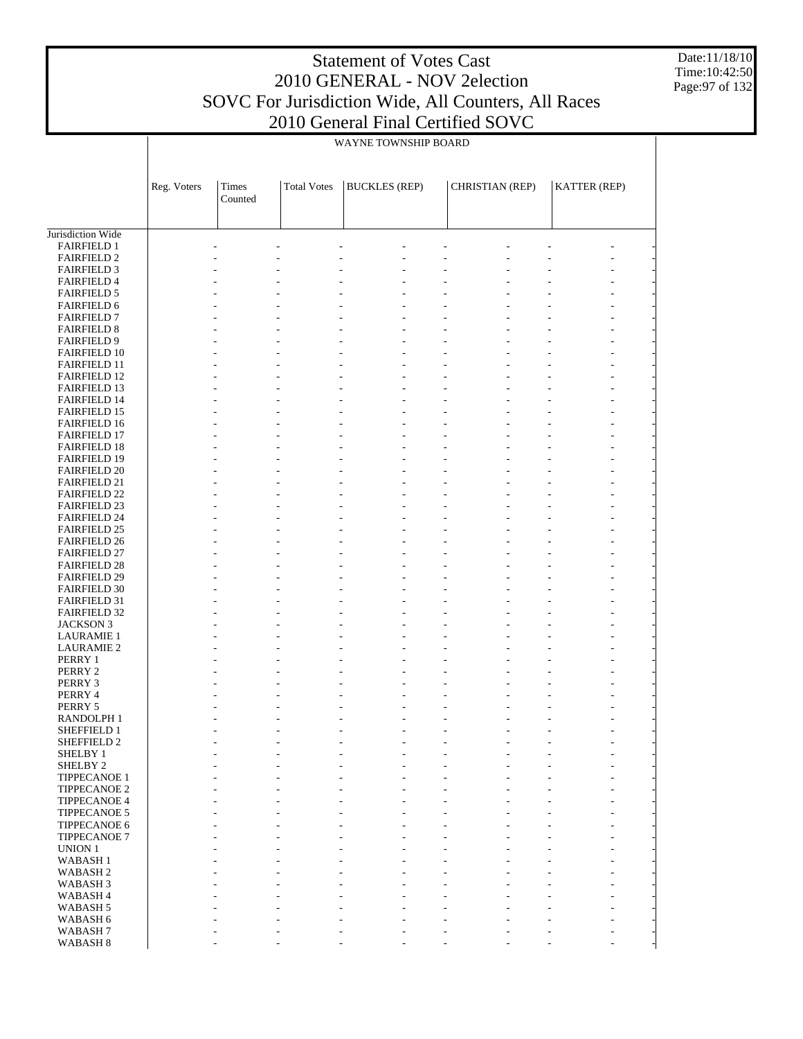Date:11/18/10 Time:10:42:50 Page:97 of 132

|                                            | WAYNE TOWNSHIP BOARD |                  |                    |                      |                 |              |  |  |  |
|--------------------------------------------|----------------------|------------------|--------------------|----------------------|-----------------|--------------|--|--|--|
|                                            | Reg. Voters          | Times<br>Counted | <b>Total Votes</b> | <b>BUCKLES</b> (REP) | CHRISTIAN (REP) | KATTER (REP) |  |  |  |
|                                            |                      |                  |                    |                      |                 |              |  |  |  |
| Jurisdiction Wide<br><b>FAIRFIELD 1</b>    |                      |                  |                    |                      |                 |              |  |  |  |
| <b>FAIRFIELD 2</b>                         |                      |                  |                    |                      |                 |              |  |  |  |
| <b>FAIRFIELD 3</b>                         |                      |                  |                    |                      |                 |              |  |  |  |
| <b>FAIRFIELD 4</b>                         |                      |                  |                    |                      |                 |              |  |  |  |
| <b>FAIRFIELD 5</b>                         |                      |                  |                    |                      |                 |              |  |  |  |
| <b>FAIRFIELD 6</b>                         |                      |                  |                    |                      |                 |              |  |  |  |
| <b>FAIRFIELD 7</b>                         |                      |                  |                    |                      |                 |              |  |  |  |
| <b>FAIRFIELD 8</b>                         |                      |                  |                    |                      |                 |              |  |  |  |
| <b>FAIRFIELD 9</b>                         |                      |                  |                    |                      |                 |              |  |  |  |
| <b>FAIRFIELD 10</b><br><b>FAIRFIELD 11</b> |                      |                  |                    |                      |                 |              |  |  |  |
| <b>FAIRFIELD 12</b>                        |                      |                  |                    |                      |                 |              |  |  |  |
| <b>FAIRFIELD 13</b>                        |                      |                  |                    |                      |                 |              |  |  |  |
| <b>FAIRFIELD 14</b>                        |                      |                  |                    |                      |                 |              |  |  |  |
| <b>FAIRFIELD 15</b>                        |                      |                  |                    |                      |                 |              |  |  |  |
| <b>FAIRFIELD 16</b>                        |                      |                  |                    |                      |                 |              |  |  |  |
| <b>FAIRFIELD 17</b>                        |                      |                  |                    |                      |                 |              |  |  |  |
| <b>FAIRFIELD 18</b>                        |                      |                  |                    |                      |                 |              |  |  |  |
| <b>FAIRFIELD 19</b><br><b>FAIRFIELD 20</b> |                      |                  |                    |                      |                 |              |  |  |  |
| <b>FAIRFIELD 21</b>                        |                      |                  |                    |                      |                 |              |  |  |  |
| <b>FAIRFIELD 22</b>                        |                      |                  |                    |                      |                 |              |  |  |  |
| <b>FAIRFIELD 23</b>                        |                      |                  |                    |                      |                 |              |  |  |  |
| <b>FAIRFIELD 24</b>                        |                      |                  |                    |                      |                 |              |  |  |  |
| <b>FAIRFIELD 25</b>                        |                      |                  |                    |                      |                 |              |  |  |  |
| <b>FAIRFIELD 26</b>                        |                      |                  |                    |                      |                 |              |  |  |  |
| <b>FAIRFIELD 27</b>                        |                      |                  |                    |                      |                 |              |  |  |  |
| <b>FAIRFIELD 28</b>                        |                      |                  |                    |                      |                 |              |  |  |  |
| <b>FAIRFIELD 29</b>                        |                      |                  |                    |                      |                 |              |  |  |  |
| <b>FAIRFIELD 30</b><br><b>FAIRFIELD 31</b> |                      |                  |                    |                      |                 |              |  |  |  |
| <b>FAIRFIELD 32</b>                        |                      |                  |                    |                      |                 |              |  |  |  |
| <b>JACKSON 3</b>                           |                      |                  |                    |                      |                 |              |  |  |  |
| <b>LAURAMIE 1</b>                          |                      |                  |                    |                      |                 |              |  |  |  |
| <b>LAURAMIE 2</b>                          |                      |                  |                    |                      |                 |              |  |  |  |
| PERRY 1                                    |                      |                  |                    |                      |                 |              |  |  |  |
| PERRY 2                                    |                      |                  |                    |                      |                 |              |  |  |  |
| PERRY 3                                    |                      |                  |                    |                      |                 |              |  |  |  |
| PERRY 4<br>PERRY 5                         |                      |                  |                    |                      |                 |              |  |  |  |
| <b>RANDOLPH1</b>                           |                      |                  |                    |                      |                 |              |  |  |  |
| SHEFFIELD 1                                |                      |                  |                    |                      |                 |              |  |  |  |
| SHEFFIELD <sub>2</sub>                     |                      |                  |                    |                      |                 |              |  |  |  |
| SHELBY 1                                   |                      |                  |                    |                      |                 |              |  |  |  |
| SHELBY <sub>2</sub>                        |                      |                  |                    |                      |                 |              |  |  |  |
| <b>TIPPECANOE 1</b>                        |                      |                  |                    |                      |                 |              |  |  |  |
| <b>TIPPECANOE 2</b>                        |                      |                  |                    |                      |                 |              |  |  |  |
| <b>TIPPECANOE 4</b>                        |                      |                  |                    |                      |                 |              |  |  |  |
| TIPPECANOE 5<br>TIPPECANOE 6               |                      |                  |                    |                      |                 |              |  |  |  |
| TIPPECANOE 7                               |                      |                  |                    |                      |                 |              |  |  |  |
| <b>UNION 1</b>                             |                      |                  |                    |                      |                 |              |  |  |  |
| <b>WABASH1</b>                             |                      |                  |                    |                      |                 |              |  |  |  |
| WABASH <sub>2</sub>                        |                      |                  |                    |                      |                 |              |  |  |  |
| WABASH <sub>3</sub>                        |                      |                  |                    |                      |                 |              |  |  |  |
| WABASH <sub>4</sub>                        |                      |                  |                    |                      |                 |              |  |  |  |
| WABASH <sub>5</sub>                        |                      |                  |                    |                      |                 |              |  |  |  |
| WABASH 6                                   |                      |                  |                    |                      |                 |              |  |  |  |
| WABASH <sub>7</sub><br><b>WABASH 8</b>     |                      |                  |                    |                      |                 |              |  |  |  |
|                                            |                      |                  |                    |                      |                 |              |  |  |  |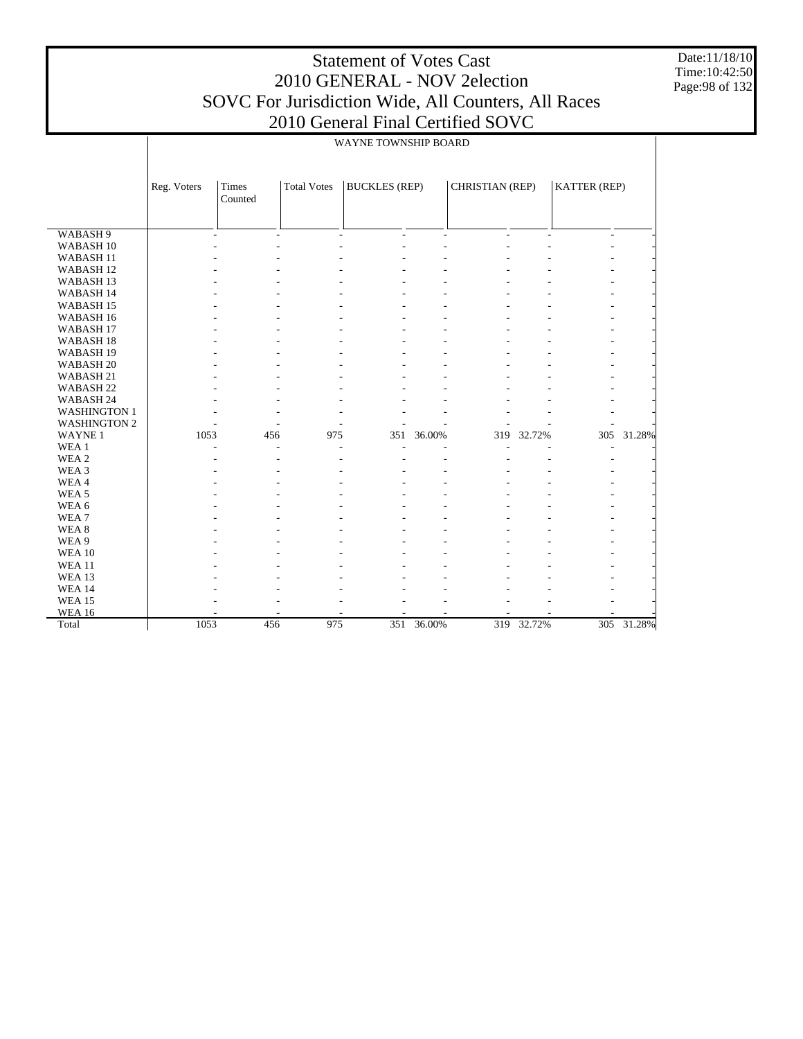WABASH 9 WABASH 10 WABASH 11 WABASH 12 WABASH 13 WABASH 14 WABASH 15 WABASH 16 WABASH 17 WABASH 18 WABASH 19 WABASH 20 WABASH 21 WABASH 22 WABASH 24 WASHINGTON 1 WASHINGTON 2 WAYNE 1 WEA 1 WEA 2 WEA 3 WEA 4 WEA 5 WEA 6 WEA 7 WEA 8 WEA 9 WEA 10 WEA 11 WEA 13 WEA 14 WEA 15 WEA 16 Total Reg. Voters | Times Counted Total Votes | BUCKLES (REP) | CHRISTIAN (REP) | KATTER (REP) WAYNE TOWNSHIP BOARD -  $\sim$  -  $\sim$  -  $\sim$  -  $\sim$  -  $\sim$  -  $\sim$  -  $\sim$  -  $\sim$  -  $\sim$  -  $\sim$  -  $\sim$  -  $\sim$ -  $\sim$  -  $\sim$  -  $\sim$  -  $\sim$  -  $\sim$  -  $\sim$  -  $\sim$  -  $\sim$  -  $\sim$  -  $\sim$  -  $\sim$  -  $\sim$ -  $\sim$  -  $\sim$  -  $\sim$  -  $\sim$  -  $\sim$  -  $\sim$  -  $\sim$  -  $\sim$  -  $\sim$  -  $\sim$  -  $\sim$  -  $\sim$ -  $\sim$  -  $\sim$  -  $\sim$  -  $\sim$  -  $\sim$  -  $\sim$  -  $\sim$  -  $\sim$  -  $\sim$  -  $\sim$  -  $\sim$  -  $\sim$ -  $\sim$  -  $\sim$  -  $\sim$  -  $\sim$  -  $\sim$  -  $\sim$  -  $\sim$  -  $\sim$  -  $\sim$  -  $\sim$  -  $\sim$  -  $\sim$ -  $\sim$  -  $\sim$  -  $\sim$  -  $\sim$  -  $\sim$  -  $\sim$  -  $\sim$  -  $\sim$  -  $\sim$  -  $\sim$  -  $\sim$  -  $\sim$ -  $\sim$  -  $\sim$  -  $\sim$  -  $\sim$  -  $\sim$  -  $\sim$  -  $\sim$  -  $\sim$  -  $\sim$  -  $\sim$  -  $\sim$  -  $\sim$ -  $\sim$  -  $\sim$  -  $\sim$  -  $\sim$  -  $\sim$  -  $\sim$  -  $\sim$  -  $\sim$  -  $\sim$  -  $\sim$  -  $\sim$  -  $\sim$ -  $\sim$  -  $\sim$  -  $\sim$  -  $\sim$  -  $\sim$  -  $\sim$  -  $\sim$  -  $\sim$  -  $\sim$  -  $\sim$  -  $\sim$  -  $\sim$ -  $\sim$  -  $\sim$  -  $\sim$  -  $\sim$  -  $\sim$  -  $\sim$  -  $\sim$  -  $\sim$  -  $\sim$  -  $\sim$  -  $\sim$  -  $\sim$ -  $\sim$  -  $\sim$  -  $\sim$  -  $\sim$  -  $\sim$  -  $\sim$  -  $\sim$  -  $\sim$  -  $\sim$  -  $\sim$  -  $\sim$  -  $\sim$ -  $\sim$  -  $\sim$  -  $\sim$  -  $\sim$  -  $\sim$  -  $\sim$  -  $\sim$  -  $\sim$  -  $\sim$  -  $\sim$  -  $\sim$  -  $\sim$ -  $\sim$  -  $\sim$  -  $\sim$  -  $\sim$  -  $\sim$  -  $\sim$  -  $\sim$  -  $\sim$  -  $\sim$  -  $\sim$  -  $\sim$  -  $\sim$ -  $\sim$  -  $\sim$  -  $\sim$  -  $\sim$  -  $\sim$  -  $\sim$  -  $\sim$  -  $\sim$  -  $\sim$  -  $\sim$  -  $\sim$  -  $\sim$ -  $\sim$  -  $\sim$  -  $\sim$  -  $\sim$  -  $\sim$  -  $\sim$  -  $\sim$  -  $\sim$  -  $\sim$  -  $\sim$  -  $\sim$  -  $\sim$ -  $\sim$  -  $\sim$  -  $\sim$  -  $\sim$  -  $\sim$  -  $\sim$  -  $\sim$  -  $\sim$  -  $\sim$  -  $\sim$  -  $\sim$  -  $\sim$ -  $\sim$  -  $\sim$  -  $\sim$  -  $\sim$  -  $\sim$  -  $\sim$  -  $\sim$  -  $\sim$  -  $\sim$  -  $\sim$  -  $\sim$  -  $\sim$ 1053 456 975 351 36.00% 319 32.72% 305 31.28% -  $\sim$  -  $\sim$  -  $\sim$  -  $\sim$  -  $\sim$  -  $\sim$  -  $\sim$  -  $\sim$  -  $\sim$  -  $\sim$  -  $\sim$  -  $\sim$ -  $\sim$  -  $\sim$  -  $\sim$  -  $\sim$  -  $\sim$  -  $\sim$  -  $\sim$  -  $\sim$  -  $\sim$  -  $\sim$  -  $\sim$  -  $\sim$ -  $\sim$  -  $\sim$  -  $\sim$  -  $\sim$  -  $\sim$  -  $\sim$  -  $\sim$  -  $\sim$  -  $\sim$  -  $\sim$  -  $\sim$  -  $\sim$ -  $\sim$  -  $\sim$  -  $\sim$  -  $\sim$  -  $\sim$  -  $\sim$  -  $\sim$  -  $\sim$  -  $\sim$  -  $\sim$  -  $\sim$  -  $\sim$ -  $\sim$  -  $\sim$  -  $\sim$  -  $\sim$  -  $\sim$  -  $\sim$  -  $\sim$  -  $\sim$  -  $\sim$  -  $\sim$  -  $\sim$  -  $\sim$ -  $\sim$  -  $\sim$  -  $\sim$  -  $\sim$  -  $\sim$  -  $\sim$  -  $\sim$  -  $\sim$  -  $\sim$  -  $\sim$  -  $\sim$  -  $\sim$ -  $\sim$  -  $\sim$  -  $\sim$  -  $\sim$  -  $\sim$  -  $\sim$  -  $\sim$  -  $\sim$  -  $\sim$  -  $\sim$  -  $\sim$  -  $\sim$ -  $\sim$  -  $\sim$  -  $\sim$  -  $\sim$  -  $\sim$  -  $\sim$  -  $\sim$  -  $\sim$  -  $\sim$  -  $\sim$  -  $\sim$  -  $\sim$ -  $\sim$  -  $\sim$  -  $\sim$  -  $\sim$  -  $\sim$  -  $\sim$  -  $\sim$  -  $\sim$  -  $\sim$  -  $\sim$  -  $\sim$  -  $\sim$ -  $\sim$  -  $\sim$  -  $\sim$  -  $\sim$  -  $\sim$  -  $\sim$  -  $\sim$  -  $\sim$  -  $\sim$  -  $\sim$  -  $\sim$  -  $\sim$ -  $\sim$  -  $\sim$  -  $\sim$  -  $\sim$  -  $\sim$  -  $\sim$  -  $\sim$  -  $\sim$  -  $\sim$  -  $\sim$  -  $\sim$  -  $\sim$ -  $\sim$  -  $\sim$  -  $\sim$  -  $\sim$  -  $\sim$  -  $\sim$  -  $\sim$  -  $\sim$  -  $\sim$  -  $\sim$  -  $\sim$  -  $\sim$ -  $\sim$  -  $\sim$  -  $\sim$  -  $\sim$  -  $\sim$  -  $\sim$  -  $\sim$  -  $\sim$  -  $\sim$  -  $\sim$  -  $\sim$  -  $\sim$ -  $\sim$  -  $\sim$  -  $\sim$  -  $\sim$  -  $\sim$  -  $\sim$  -  $\sim$  -  $\sim$  -  $\sim$  -  $\sim$  -  $\sim$  -  $\sim$ - - - - - - - - - 1053 456 975 351 36.00% 319 32.72% 305 31.28%

Date:11/18/10 Time:10:42:50 Page:98 of 132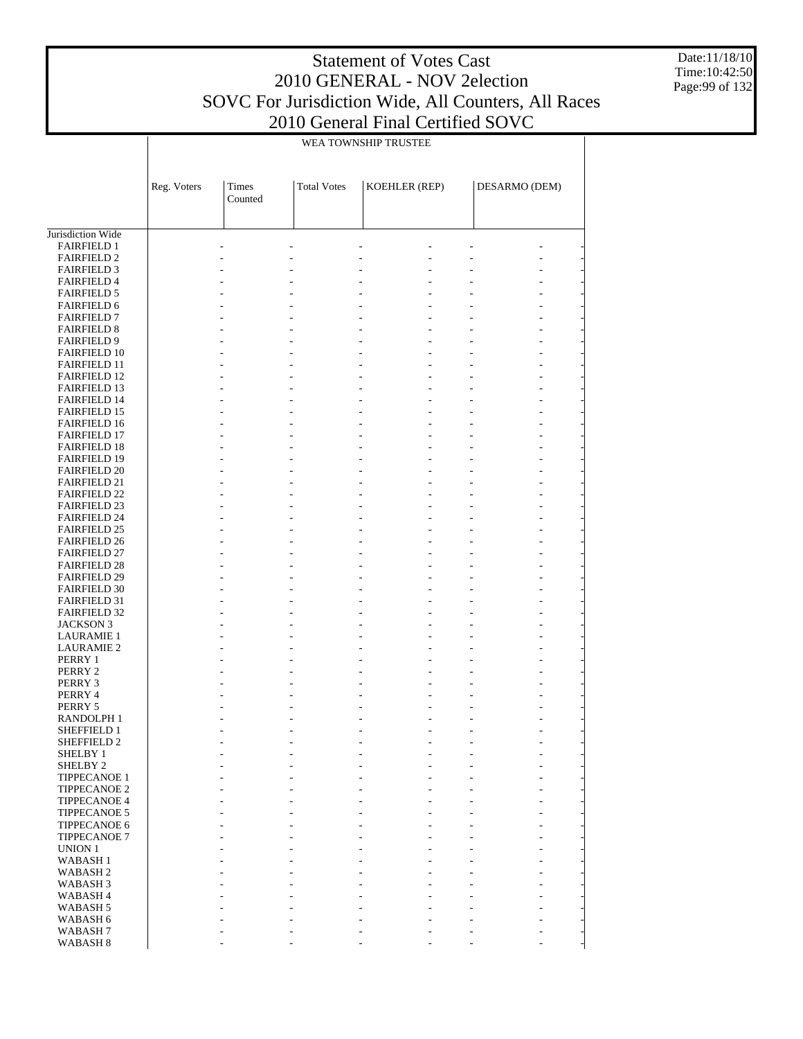Date:11/18/10 Time:10:42:50 Page:99 of 132

|                                            | WEA TOWNSHIP TRUSTEE |                  |                                 |                                                      |                                  |  |  |  |  |  |
|--------------------------------------------|----------------------|------------------|---------------------------------|------------------------------------------------------|----------------------------------|--|--|--|--|--|
|                                            | Reg. Voters          | Times<br>Counted | <b>Total Votes</b>              | KOEHLER (REP)                                        | DESARMO (DEM)                    |  |  |  |  |  |
| Jurisdiction Wide                          |                      |                  |                                 |                                                      |                                  |  |  |  |  |  |
| <b>FAIRFIELD 1</b>                         |                      |                  |                                 |                                                      |                                  |  |  |  |  |  |
| <b>FAIRFIELD 2</b>                         |                      |                  |                                 |                                                      |                                  |  |  |  |  |  |
| <b>FAIRFIELD 3</b>                         |                      |                  |                                 |                                                      |                                  |  |  |  |  |  |
| <b>FAIRFIELD 4</b>                         |                      |                  |                                 |                                                      |                                  |  |  |  |  |  |
| <b>FAIRFIELD 5</b><br><b>FAIRFIELD 6</b>   |                      |                  |                                 |                                                      |                                  |  |  |  |  |  |
| <b>FAIRFIELD 7</b>                         |                      |                  |                                 |                                                      |                                  |  |  |  |  |  |
| <b>FAIRFIELD 8</b>                         |                      |                  |                                 | $\overline{a}$<br>$\overline{a}$                     | L,                               |  |  |  |  |  |
| <b>FAIRFIELD 9</b>                         |                      |                  |                                 |                                                      |                                  |  |  |  |  |  |
| <b>FAIRFIELD 10</b>                        |                      |                  |                                 |                                                      |                                  |  |  |  |  |  |
| <b>FAIRFIELD 11</b>                        |                      |                  |                                 |                                                      |                                  |  |  |  |  |  |
| <b>FAIRFIELD 12</b>                        |                      |                  |                                 | $\overline{a}$<br>$\overline{a}$                     | L,                               |  |  |  |  |  |
| <b>FAIRFIELD 13</b>                        |                      |                  |                                 |                                                      |                                  |  |  |  |  |  |
| <b>FAIRFIELD 14</b><br><b>FAIRFIELD 15</b> |                      |                  |                                 |                                                      |                                  |  |  |  |  |  |
| <b>FAIRFIELD 16</b>                        |                      |                  |                                 | $\overline{a}$<br>$\overline{a}$                     | L,                               |  |  |  |  |  |
| <b>FAIRFIELD 17</b>                        |                      |                  |                                 |                                                      |                                  |  |  |  |  |  |
| <b>FAIRFIELD 18</b>                        |                      |                  |                                 |                                                      |                                  |  |  |  |  |  |
| <b>FAIRFIELD 19</b>                        |                      |                  |                                 |                                                      |                                  |  |  |  |  |  |
| <b>FAIRFIELD 20</b>                        |                      |                  |                                 | $\overline{a}$<br>$\overline{a}$                     | L,                               |  |  |  |  |  |
| <b>FAIRFIELD 21</b>                        |                      |                  |                                 |                                                      |                                  |  |  |  |  |  |
| <b>FAIRFIELD 22</b>                        |                      |                  |                                 |                                                      |                                  |  |  |  |  |  |
| <b>FAIRFIELD 23</b>                        |                      |                  |                                 |                                                      |                                  |  |  |  |  |  |
| <b>FAIRFIELD 24</b>                        |                      |                  |                                 | $\overline{a}$<br>$\overline{a}$                     | L,                               |  |  |  |  |  |
| <b>FAIRFIELD 25</b><br><b>FAIRFIELD 26</b> |                      |                  |                                 |                                                      |                                  |  |  |  |  |  |
| <b>FAIRFIELD 27</b>                        |                      |                  |                                 |                                                      |                                  |  |  |  |  |  |
| <b>FAIRFIELD 28</b>                        |                      |                  |                                 | $\overline{a}$<br>$\overline{a}$                     | L,                               |  |  |  |  |  |
| <b>FAIRFIELD 29</b>                        |                      |                  |                                 |                                                      |                                  |  |  |  |  |  |
| <b>FAIRFIELD 30</b>                        |                      |                  |                                 |                                                      |                                  |  |  |  |  |  |
| <b>FAIRFIELD 31</b>                        |                      |                  |                                 |                                                      |                                  |  |  |  |  |  |
| <b>FAIRFIELD 32</b>                        |                      |                  |                                 | $\overline{a}$<br>$\overline{a}$                     | L,                               |  |  |  |  |  |
| <b>JACKSON 3</b>                           |                      |                  |                                 |                                                      |                                  |  |  |  |  |  |
| <b>LAURAMIE 1</b>                          |                      |                  |                                 |                                                      |                                  |  |  |  |  |  |
| <b>LAURAMIE 2</b><br>PERRY 1               |                      |                  |                                 | $\overline{a}$<br>$\overline{a}$                     | L,                               |  |  |  |  |  |
| PERRY 2                                    |                      |                  |                                 |                                                      |                                  |  |  |  |  |  |
| PERRY 3                                    |                      |                  |                                 |                                                      |                                  |  |  |  |  |  |
| PERRY 4                                    |                      |                  |                                 |                                                      |                                  |  |  |  |  |  |
| PERRY 5                                    |                      |                  |                                 |                                                      |                                  |  |  |  |  |  |
| RANDOLPH 1                                 |                      |                  |                                 |                                                      |                                  |  |  |  |  |  |
| SHEFFIELD 1                                |                      |                  | $\overline{\phantom{a}}$        | $\overline{\phantom{a}}$<br>$\frac{1}{2}$            | $\overline{a}$<br>$\overline{a}$ |  |  |  |  |  |
| SHEFFIELD 2                                |                      |                  |                                 |                                                      |                                  |  |  |  |  |  |
| SHELBY 1                                   |                      |                  | $\overline{\phantom{a}}$        | $\overline{\phantom{a}}$<br>$\overline{\phantom{a}}$ | ÷,                               |  |  |  |  |  |
| SHELBY 2<br>TIPPECANOE 1                   |                      |                  | $\overline{\phantom{a}}$        | $\mathbb{Z}^2$<br>L.<br>$\mathcal{L}$                | $\overline{a}$<br>÷,             |  |  |  |  |  |
| TIPPECANOE 2                               |                      |                  | $\overline{a}$                  | $\mathbb{Z}^{\mathbb{Z}}$                            | $\overline{a}$                   |  |  |  |  |  |
| <b>TIPPECANOE 4</b>                        |                      |                  | ÷,                              | $\mathbb{L}$<br>$\overline{\phantom{a}}$             | $\overline{a}$<br>L,             |  |  |  |  |  |
| TIPPECANOE 5                               |                      |                  | $\overline{a}$                  | $\overline{a}$                                       |                                  |  |  |  |  |  |
| TIPPECANOE 6                               |                      |                  | ÷,                              | $\overline{a}$<br>$\mathcal{L}$                      | $\overline{a}$<br>L,             |  |  |  |  |  |
| <b>TIPPECANOE 7</b>                        |                      |                  | L.                              | $\overline{a}$                                       | $\overline{a}$                   |  |  |  |  |  |
| <b>UNION 1</b>                             |                      |                  | $\frac{1}{2}$                   | L.<br>$\overline{\phantom{a}}$                       | $\overline{a}$<br>L,             |  |  |  |  |  |
| <b>WABASH1</b>                             |                      |                  | $\overline{a}$                  | $\overline{a}$                                       |                                  |  |  |  |  |  |
| <b>WABASH2</b>                             |                      |                  | ÷,                              | $\overline{a}$<br>$\mathcal{L}$<br>$\overline{a}$    | $\overline{a}$<br>L,             |  |  |  |  |  |
| WABASH <sub>3</sub><br>WABASH <sub>4</sub> |                      |                  | $\overline{a}$<br>$\frac{1}{2}$ | $\overline{a}$<br>$\overline{\phantom{a}}$           | $\overline{a}$                   |  |  |  |  |  |
| WABASH <sub>5</sub>                        |                      |                  | ÷,                              | $\overline{a}$                                       |                                  |  |  |  |  |  |
| WABASH 6                                   |                      |                  | $\overline{\phantom{a}}$        | $\overline{\phantom{a}}$<br>$\overline{\phantom{a}}$ | ÷,<br>L,                         |  |  |  |  |  |
| WABASH <sub>7</sub>                        |                      |                  |                                 |                                                      |                                  |  |  |  |  |  |
| <b>WABASH 8</b>                            |                      | $\overline{a}$   | $\frac{1}{2}$                   | $\overline{\phantom{a}}$<br>$\overline{a}$           | $\frac{1}{2}$<br>L,              |  |  |  |  |  |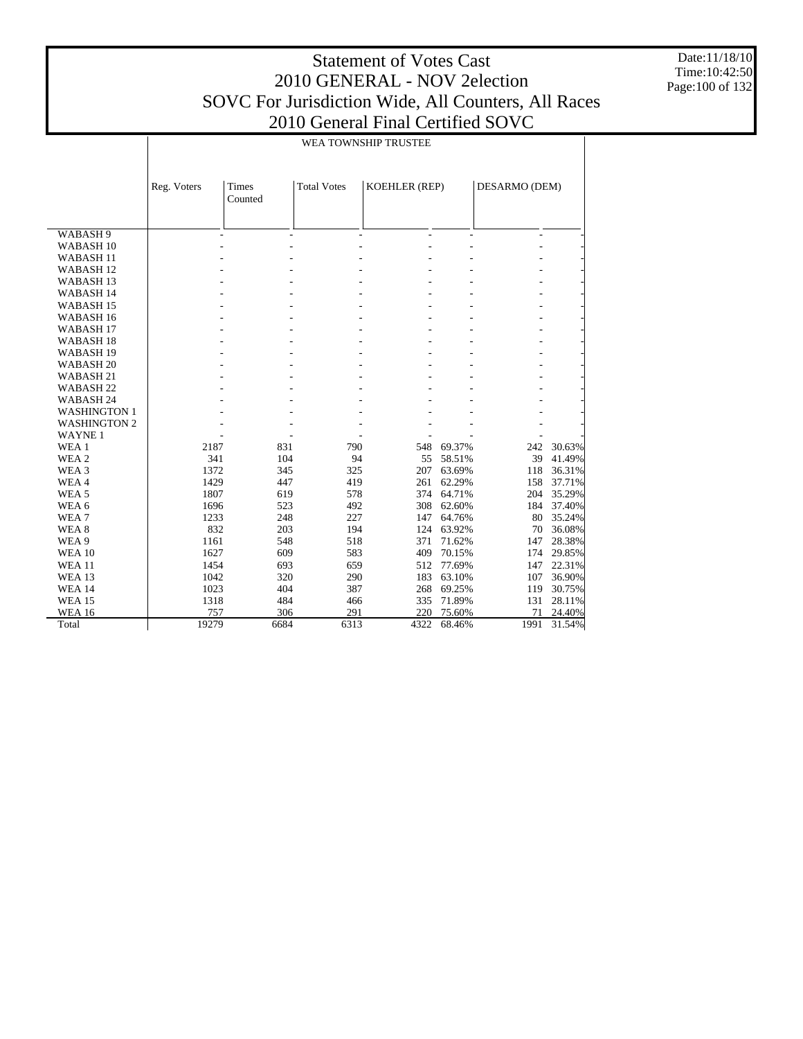Date:11/18/10 Time:10:42:50 Page:100 of 132

|                      |             | WEA TOWNSHIP TRUSTEE |                    |                      |        |               |        |  |  |  |  |
|----------------------|-------------|----------------------|--------------------|----------------------|--------|---------------|--------|--|--|--|--|
|                      | Reg. Voters | Times<br>Counted     | <b>Total Votes</b> | <b>KOEHLER (REP)</b> |        | DESARMO (DEM) |        |  |  |  |  |
| WABASH 9             |             |                      | L.                 |                      |        | ÷             |        |  |  |  |  |
| WABASH <sub>10</sub> |             |                      |                    |                      |        |               |        |  |  |  |  |
| <b>WABASH11</b>      |             |                      |                    |                      |        |               |        |  |  |  |  |
| WABASH <sub>12</sub> |             |                      |                    |                      |        |               |        |  |  |  |  |
| WABASH <sub>13</sub> |             |                      |                    |                      |        |               |        |  |  |  |  |
| <b>WABASH14</b>      |             |                      |                    |                      |        |               |        |  |  |  |  |
| WABASH <sub>15</sub> |             |                      |                    |                      |        |               |        |  |  |  |  |
| WABASH <sub>16</sub> |             |                      |                    |                      |        |               |        |  |  |  |  |
| WABASH <sub>17</sub> |             |                      |                    |                      |        |               |        |  |  |  |  |
| WABASH <sub>18</sub> |             |                      |                    |                      |        |               |        |  |  |  |  |
| WABASH <sub>19</sub> |             |                      |                    |                      |        |               |        |  |  |  |  |
| WABASH <sub>20</sub> |             |                      |                    |                      |        |               |        |  |  |  |  |
| WABASH <sub>21</sub> |             |                      |                    |                      |        |               |        |  |  |  |  |
| WABASH <sub>22</sub> |             |                      |                    |                      |        |               |        |  |  |  |  |
| WABASH 24            |             |                      |                    |                      |        |               |        |  |  |  |  |
| <b>WASHINGTON 1</b>  |             |                      |                    |                      |        |               |        |  |  |  |  |
| <b>WASHINGTON 2</b>  |             |                      |                    |                      |        |               |        |  |  |  |  |
| <b>WAYNE1</b>        |             |                      |                    |                      |        |               |        |  |  |  |  |
| WEA 1                | 2187        | 831                  | 790                | 548                  | 69.37% | 242           | 30.63% |  |  |  |  |
| WEA 2                | 341         | 104                  | 94                 | 55                   | 58.51% | 39            | 41.49% |  |  |  |  |
| WEA 3                | 1372        | 345                  | 325                | 207                  | 63.69% | 118           | 36.31% |  |  |  |  |
| WEA4                 | 1429        | 447                  | 419                | 261                  | 62.29% | 158           | 37.71% |  |  |  |  |
| WEA <sub>5</sub>     | 1807        | 619                  | 578                | 374                  | 64.71% | 204           | 35.29% |  |  |  |  |
| WEA 6                | 1696        | 523                  | 492                | 308                  | 62.60% | 184           | 37.40% |  |  |  |  |
| WEA <sub>7</sub>     | 1233        | 248                  | 227                | 147                  | 64.76% | 80            | 35.24% |  |  |  |  |
| WEA <sub>8</sub>     | 832         | 203                  | 194                | 124                  | 63.92% | 70            | 36.08% |  |  |  |  |
| WEA 9                | 1161        | 548                  | 518                | 371                  | 71.62% | 147           | 28.38% |  |  |  |  |
| <b>WEA 10</b>        | 1627        | 609                  | 583                | 409                  | 70.15% | 174           | 29.85% |  |  |  |  |
| <b>WEA 11</b>        | 1454        | 693                  | 659                | 512                  | 77.69% | 147           | 22.31% |  |  |  |  |
| <b>WEA 13</b>        | 1042        | 320                  | 290                | 183                  | 63.10% | 107           | 36.90% |  |  |  |  |
| <b>WEA 14</b>        | 1023        | 404                  | 387                | 268                  | 69.25% | 119           | 30.75% |  |  |  |  |
| <b>WEA 15</b>        | 1318        | 484                  | 466                | 335                  | 71.89% | 131           | 28.11% |  |  |  |  |
| <b>WEA 16</b>        | 757         | 306                  | 291                | 220                  | 75.60% | 71            | 24.40% |  |  |  |  |
| Total                | 19279       | 6684                 | 6313               | 4322                 | 68.46% | 1991          | 31.54% |  |  |  |  |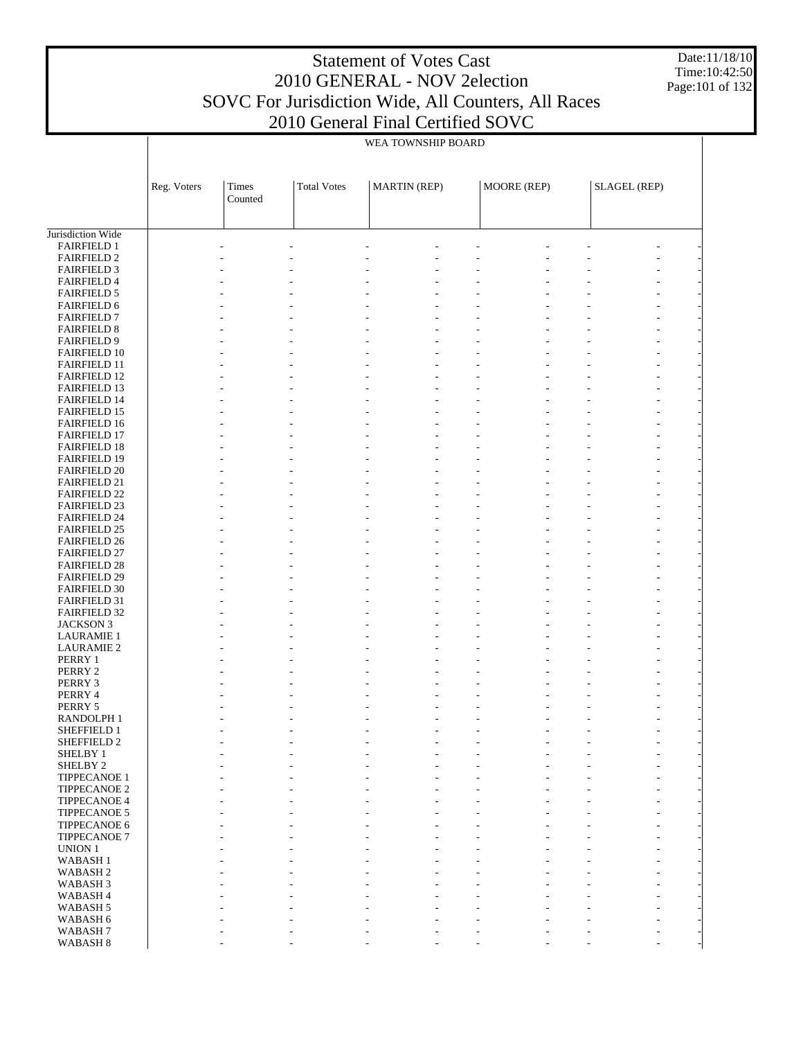Date:11/18/10 Time:10:42:50 Page:101 of 132

|                                            |             |                  |                    | WEA TOWNSHIP BOARD  |             |                     |                |  |
|--------------------------------------------|-------------|------------------|--------------------|---------------------|-------------|---------------------|----------------|--|
|                                            |             |                  |                    |                     |             |                     |                |  |
|                                            |             |                  |                    |                     |             |                     |                |  |
|                                            | Reg. Voters | Times<br>Counted | <b>Total Votes</b> | <b>MARTIN</b> (REP) | MOORE (REP) | <b>SLAGEL (REP)</b> |                |  |
|                                            |             |                  |                    |                     |             |                     |                |  |
|                                            |             |                  |                    |                     |             |                     |                |  |
| Jurisdiction Wide                          |             |                  |                    |                     |             |                     |                |  |
| <b>FAIRFIELD 1</b><br><b>FAIRFIELD 2</b>   |             |                  |                    |                     |             |                     |                |  |
| <b>FAIRFIELD 3</b>                         |             |                  |                    |                     |             |                     |                |  |
| <b>FAIRFIELD 4</b>                         |             |                  |                    |                     |             |                     |                |  |
| <b>FAIRFIELD 5</b>                         |             |                  |                    |                     |             |                     |                |  |
| <b>FAIRFIELD 6</b>                         |             |                  |                    |                     |             |                     |                |  |
| <b>FAIRFIELD 7</b>                         |             |                  |                    |                     |             |                     |                |  |
| <b>FAIRFIELD 8</b><br><b>FAIRFIELD 9</b>   |             |                  |                    |                     |             |                     |                |  |
| <b>FAIRFIELD 10</b>                        |             |                  |                    |                     |             |                     |                |  |
| <b>FAIRFIELD 11</b>                        |             |                  |                    |                     |             |                     |                |  |
| <b>FAIRFIELD 12</b>                        |             |                  |                    |                     |             |                     |                |  |
| <b>FAIRFIELD 13</b>                        |             |                  |                    |                     |             |                     |                |  |
| <b>FAIRFIELD 14</b>                        |             |                  |                    |                     |             |                     |                |  |
| <b>FAIRFIELD 15</b><br><b>FAIRFIELD 16</b> |             |                  |                    |                     |             |                     |                |  |
| <b>FAIRFIELD 17</b>                        |             |                  |                    |                     |             |                     |                |  |
| <b>FAIRFIELD 18</b>                        |             |                  |                    |                     |             |                     |                |  |
| <b>FAIRFIELD 19</b>                        |             |                  |                    |                     |             |                     |                |  |
| <b>FAIRFIELD 20</b>                        |             |                  |                    |                     |             |                     |                |  |
| <b>FAIRFIELD 21</b>                        |             |                  |                    |                     |             |                     |                |  |
| <b>FAIRFIELD 22</b><br><b>FAIRFIELD 23</b> |             |                  |                    |                     |             |                     |                |  |
| <b>FAIRFIELD 24</b>                        |             |                  |                    |                     |             |                     |                |  |
| <b>FAIRFIELD 25</b>                        |             |                  |                    |                     |             |                     |                |  |
| <b>FAIRFIELD 26</b>                        |             |                  |                    |                     |             |                     |                |  |
| <b>FAIRFIELD 27</b>                        |             |                  |                    |                     |             |                     |                |  |
| <b>FAIRFIELD 28</b>                        |             |                  |                    |                     |             |                     |                |  |
| <b>FAIRFIELD 29</b><br><b>FAIRFIELD 30</b> |             |                  |                    |                     |             |                     |                |  |
| <b>FAIRFIELD 31</b>                        |             |                  |                    |                     |             |                     |                |  |
| <b>FAIRFIELD 32</b>                        |             |                  |                    |                     |             |                     |                |  |
| <b>JACKSON 3</b>                           |             |                  |                    |                     |             |                     |                |  |
| <b>LAURAMIE 1</b>                          |             |                  |                    |                     |             |                     |                |  |
| <b>LAURAMIE 2</b>                          |             |                  |                    |                     |             |                     |                |  |
| PERRY 1<br>PERRY 2                         |             |                  |                    |                     |             |                     |                |  |
| PERRY 3                                    |             |                  |                    |                     |             |                     |                |  |
| PERRY 4                                    |             |                  |                    |                     |             |                     |                |  |
| PERRY 5                                    |             |                  |                    |                     |             |                     |                |  |
| RANDOLPH 1                                 |             |                  |                    |                     |             |                     |                |  |
| SHEFFIELD 1                                |             |                  |                    |                     |             |                     |                |  |
| SHEFFIELD 2<br>SHELBY 1                    |             |                  |                    |                     |             |                     | $\overline{a}$ |  |
| SHELBY <sub>2</sub>                        |             |                  |                    |                     |             |                     | $\overline{a}$ |  |
| <b>TIPPECANOE 1</b>                        |             |                  |                    |                     |             |                     |                |  |
| TIPPECANOE 2                               |             |                  |                    |                     |             |                     |                |  |
| TIPPECANOE 4                               |             |                  |                    |                     |             |                     |                |  |
| TIPPECANOE 5                               |             |                  |                    |                     |             |                     | $\overline{a}$ |  |
| TIPPECANOE 6<br><b>TIPPECANOE 7</b>        |             |                  |                    |                     |             |                     |                |  |
| UNION 1                                    |             |                  |                    |                     |             |                     |                |  |
| WABASH <sub>1</sub>                        |             |                  |                    |                     |             |                     | $\overline{a}$ |  |
| WABASH <sub>2</sub>                        |             |                  |                    |                     |             |                     |                |  |
| WABASH <sub>3</sub>                        |             |                  |                    |                     |             |                     |                |  |
| WABASH 4                                   |             |                  |                    |                     |             |                     |                |  |
| WABASH 5                                   |             |                  |                    |                     |             |                     |                |  |
| WABASH 6<br>WABASH <sub>7</sub>            |             |                  |                    |                     |             |                     |                |  |
| WABASH 8                                   |             |                  |                    |                     |             |                     |                |  |
|                                            |             |                  |                    |                     |             |                     |                |  |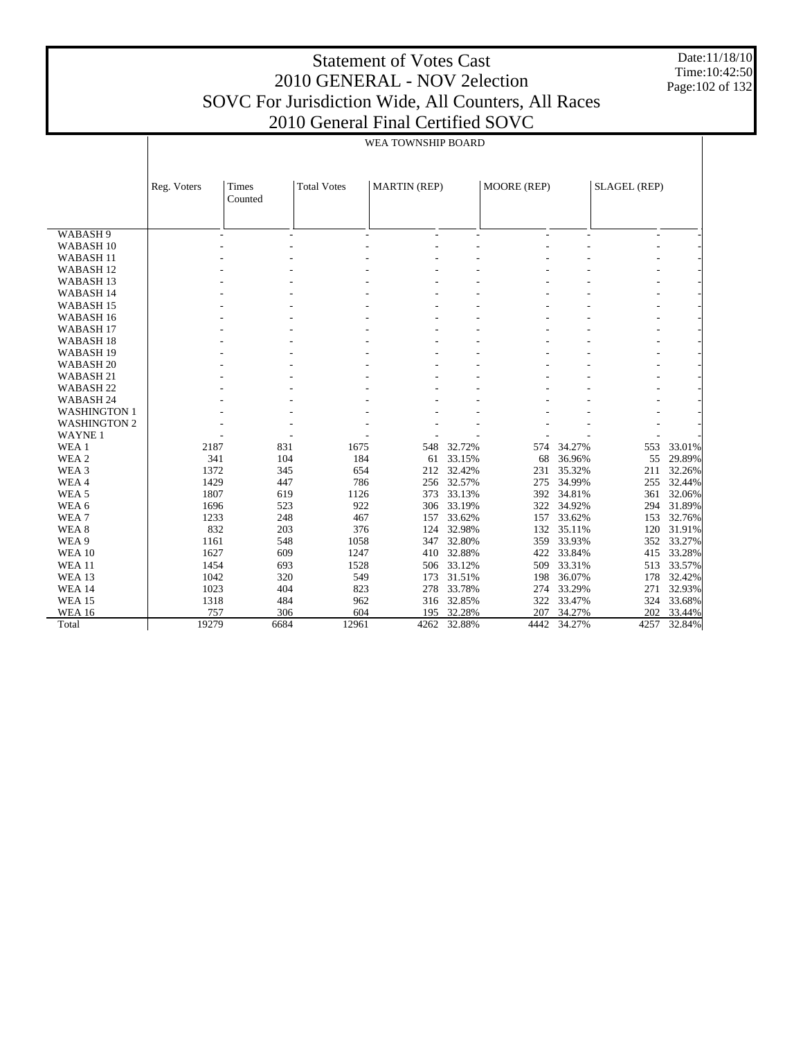Date:11/18/10 Time:10:42:50 Page:102 of 132

|                      |             |                  |                    | WEA TOWNSHIP BOARD  |             |             |        |                     |        |  |
|----------------------|-------------|------------------|--------------------|---------------------|-------------|-------------|--------|---------------------|--------|--|
|                      |             |                  |                    |                     |             |             |        |                     |        |  |
|                      | Reg. Voters | Times<br>Counted | <b>Total Votes</b> | <b>MARTIN</b> (REP) |             | MOORE (REP) |        | <b>SLAGEL (REP)</b> |        |  |
|                      |             |                  |                    |                     |             |             |        |                     |        |  |
| WABASH <sub>9</sub>  |             |                  | L.                 |                     |             |             |        | ٠                   |        |  |
| WABASH <sub>10</sub> |             |                  |                    |                     |             |             |        |                     |        |  |
| WABASH <sub>11</sub> |             |                  |                    |                     |             |             |        |                     |        |  |
| WABASH <sub>12</sub> |             |                  |                    |                     |             |             |        |                     |        |  |
| WABASH <sub>13</sub> |             |                  |                    |                     |             |             |        |                     |        |  |
| WABASH 14            |             |                  |                    |                     |             |             |        |                     |        |  |
| WABASH <sub>15</sub> |             |                  |                    |                     |             |             |        |                     |        |  |
| WABASH 16            |             |                  |                    |                     |             |             |        |                     |        |  |
| WABASH <sub>17</sub> |             |                  |                    |                     |             |             |        |                     |        |  |
| WABASH <sub>18</sub> |             |                  |                    |                     |             |             |        |                     |        |  |
| WABASH <sub>19</sub> |             |                  |                    |                     |             |             |        |                     |        |  |
| WABASH <sub>20</sub> |             |                  |                    |                     |             |             |        |                     |        |  |
| WABASH <sub>21</sub> |             |                  |                    |                     |             |             |        |                     |        |  |
| WABASH <sub>22</sub> |             |                  |                    |                     |             |             |        |                     |        |  |
| WABASH 24            |             |                  |                    |                     |             |             |        |                     |        |  |
| <b>WASHINGTON 1</b>  |             |                  |                    |                     |             |             |        |                     |        |  |
| <b>WASHINGTON 2</b>  |             |                  |                    |                     |             |             |        |                     |        |  |
| <b>WAYNE1</b>        |             |                  |                    |                     |             |             |        |                     |        |  |
| WEA 1                | 2187        | 831              | 1675               | 548                 | 32.72%      | 574         | 34.27% | 553                 | 33.01% |  |
| WEA <sub>2</sub>     | 341         | 104              | 184                | 61                  | 33.15%      | 68          | 36.96% | 55                  | 29.89% |  |
| WEA 3                | 1372        | 345              | 654                | 212                 | 32.42%      | 231         | 35.32% | 211                 | 32.26% |  |
| WEA4                 | 1429        | 447              | 786                | 256                 | 32.57%      | 275         | 34.99% | 255                 | 32.44% |  |
| WEA <sub>5</sub>     | 1807        | 619              | 1126               | 373                 | 33.13%      | 392         | 34.81% | 361                 | 32.06% |  |
| WEA <sub>6</sub>     | 1696        | 523              | 922                | 306                 | 33.19%      | 322         | 34.92% | 294                 | 31.89% |  |
| WEA <sub>7</sub>     | 1233        | 248              | 467                | 157                 | 33.62%      | 157         | 33.62% | 153                 | 32.76% |  |
| WEA <sub>8</sub>     | 832         | 203              | 376                | 124                 | 32.98%      | 132         | 35.11% | 120                 | 31.91% |  |
| WEA 9                | 1161        | 548              | 1058               | 347                 | 32.80%      | 359         | 33.93% | 352                 | 33.27% |  |
| <b>WEA 10</b>        | 1627        | 609              | 1247               | 410                 | 32.88%      | 422         | 33.84% | 415                 | 33.28% |  |
| <b>WEA11</b>         | 1454        | 693              | 1528               | 506                 | 33.12%      | 509         | 33.31% | 513                 | 33.57% |  |
| WEA 13               | 1042        | 320              | 549                | 173                 | 31.51%      | 198         | 36.07% | 178                 | 32.42% |  |
| <b>WEA 14</b>        | 1023        | 404              | 823                | 278                 | 33.78%      | 274         | 33.29% | 271                 | 32.93% |  |
| <b>WEA 15</b>        | 1318        | 484              | 962                | 316                 | 32.85%      | 322         | 33.47% | 324                 | 33.68% |  |
| <b>WEA 16</b>        | 757         | 306              | 604                | 195                 | 32.28%      | 207         | 34.27% | 202                 | 33.44% |  |
| Total                | 19279       | 6684             | 12961              |                     | 4262 32.88% | 4442        | 34.27% | 4257                | 32.84% |  |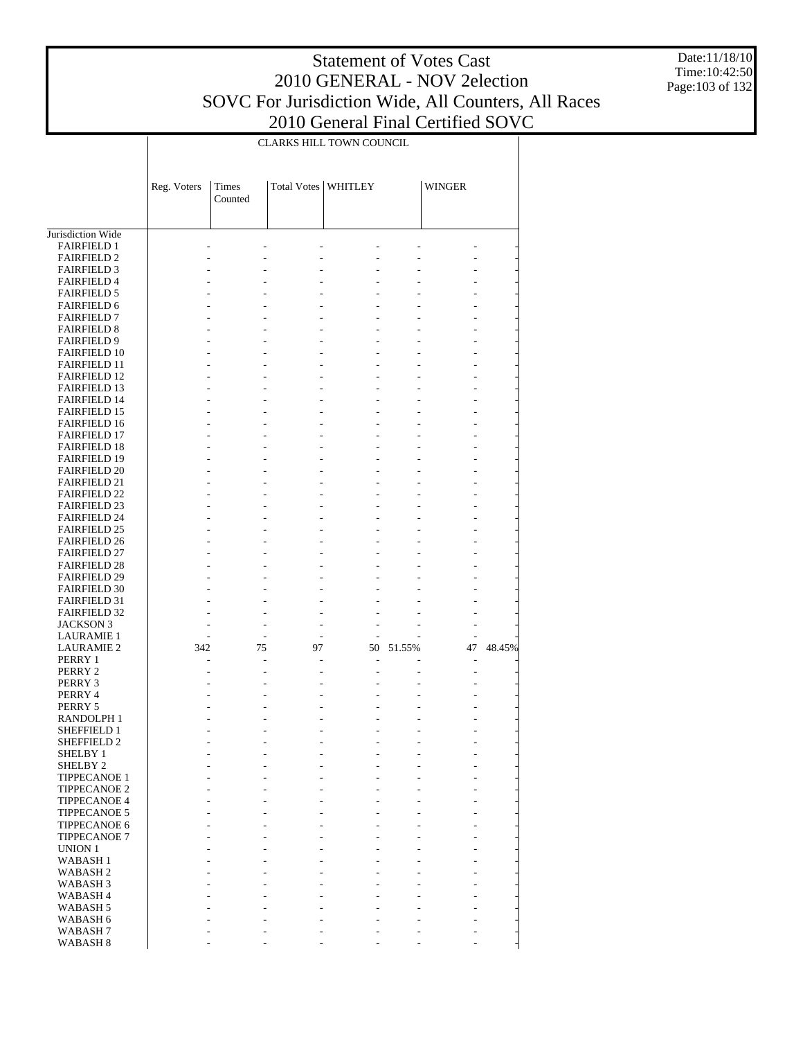# Statement of Votes Cast 2010 GENERAL - NOV 2election SOVC For Jurisdiction Wide, All Counters, All Races

Date:11/18/10 Time:10:42:50 Page:103 of 132

2010 General Final Certified SOVC CLARKS HILL TOWN COUNCIL  $\top$ 

|                                            |             |         |                       | CLARKS HILL TOWN COUNCIL |        |               |        |
|--------------------------------------------|-------------|---------|-----------------------|--------------------------|--------|---------------|--------|
|                                            |             |         |                       |                          |        |               |        |
|                                            |             |         |                       |                          |        |               |        |
|                                            |             | Times   | Total Votes   WHITLEY |                          |        | <b>WINGER</b> |        |
|                                            | Reg. Voters | Counted |                       |                          |        |               |        |
|                                            |             |         |                       |                          |        |               |        |
|                                            |             |         |                       |                          |        |               |        |
| Jurisdiction Wide                          |             |         |                       |                          |        |               |        |
| <b>FAIRFIELD 1</b>                         |             |         |                       |                          |        |               |        |
| <b>FAIRFIELD 2</b>                         |             |         |                       |                          |        |               |        |
| <b>FAIRFIELD 3</b>                         |             |         |                       |                          |        |               |        |
| <b>FAIRFIELD 4</b>                         |             |         |                       |                          |        |               |        |
| <b>FAIRFIELD 5</b>                         |             |         |                       |                          |        |               |        |
| <b>FAIRFIELD 6</b>                         |             |         |                       |                          |        |               |        |
| <b>FAIRFIELD 7</b>                         |             |         |                       |                          |        |               |        |
| <b>FAIRFIELD 8</b>                         |             |         |                       |                          |        |               |        |
| <b>FAIRFIELD 9</b><br><b>FAIRFIELD 10</b>  |             |         |                       |                          |        |               |        |
| <b>FAIRFIELD 11</b>                        |             |         |                       |                          |        |               |        |
| <b>FAIRFIELD 12</b>                        |             |         |                       |                          |        |               |        |
| <b>FAIRFIELD 13</b>                        |             |         |                       |                          |        |               |        |
| <b>FAIRFIELD 14</b>                        |             |         |                       |                          |        |               |        |
| <b>FAIRFIELD 15</b>                        |             |         |                       |                          |        |               |        |
| <b>FAIRFIELD 16</b>                        |             |         |                       |                          |        |               |        |
| <b>FAIRFIELD 17</b>                        |             |         |                       |                          |        |               |        |
| <b>FAIRFIELD 18</b>                        |             |         |                       |                          |        |               |        |
| <b>FAIRFIELD 19</b>                        |             |         |                       |                          |        |               |        |
| <b>FAIRFIELD 20</b>                        |             |         |                       |                          |        |               |        |
| <b>FAIRFIELD 21</b><br><b>FAIRFIELD 22</b> |             |         |                       |                          |        |               |        |
| <b>FAIRFIELD 23</b>                        |             |         |                       |                          |        |               |        |
| <b>FAIRFIELD 24</b>                        |             |         |                       |                          |        |               |        |
| <b>FAIRFIELD 25</b>                        |             |         |                       |                          |        |               |        |
| <b>FAIRFIELD 26</b>                        |             |         |                       |                          |        |               |        |
| <b>FAIRFIELD 27</b>                        |             |         |                       |                          |        |               |        |
| <b>FAIRFIELD 28</b>                        |             |         |                       |                          |        |               |        |
| <b>FAIRFIELD 29</b>                        |             |         |                       |                          |        |               |        |
| <b>FAIRFIELD 30</b>                        |             |         |                       |                          |        |               |        |
| <b>FAIRFIELD 31</b>                        |             |         |                       |                          |        |               |        |
| <b>FAIRFIELD 32</b>                        |             |         | ÷,                    |                          |        |               |        |
| <b>JACKSON 3</b><br><b>LAURAMIE 1</b>      |             |         | ÷,                    |                          |        |               |        |
| <b>LAURAMIE 2</b>                          | 342         | 75      | 97                    | 50                       | 51.55% | 47            | 48.45% |
| PERRY 1                                    |             |         |                       |                          |        |               |        |
| PERRY 2                                    |             |         |                       |                          |        |               |        |
| PERRY 3                                    |             |         |                       |                          |        |               |        |
| PERRY 4                                    |             |         |                       |                          |        |               |        |
| PERRY 5                                    |             |         |                       |                          |        |               |        |
| RANDOLPH 1                                 |             |         |                       |                          |        |               |        |
| <b>SHEFFIELD 1</b>                         |             |         |                       | ٠                        |        |               |        |
| SHEFFIELD 2                                |             |         |                       |                          |        |               |        |
| SHELBY 1                                   |             |         |                       |                          |        |               |        |
| SHELBY <sub>2</sub><br><b>TIPPECANOE 1</b> |             |         |                       |                          |        |               |        |
| TIPPECANOE 2                               |             |         |                       |                          |        |               |        |
| <b>TIPPECANOE 4</b>                        |             |         |                       |                          |        |               |        |
| TIPPECANOE 5                               |             |         |                       |                          |        |               |        |
| <b>TIPPECANOE 6</b>                        |             |         |                       |                          |        |               |        |
| TIPPECANOE 7                               |             |         |                       |                          |        |               |        |
| UNION 1                                    |             |         |                       |                          |        |               |        |
| <b>WABASH1</b>                             |             |         |                       |                          |        |               |        |
| WABASH 2                                   |             |         |                       |                          |        |               |        |
| WABASH 3                                   |             |         |                       |                          |        |               |        |
| WABASH 4                                   |             |         |                       |                          |        |               |        |
| WABASH 5                                   |             |         |                       |                          |        |               |        |
| WABASH 6<br>WABASH 7                       |             |         |                       |                          |        |               |        |
| WABASH <sub>8</sub>                        |             |         |                       |                          |        |               |        |
|                                            |             |         |                       |                          |        |               |        |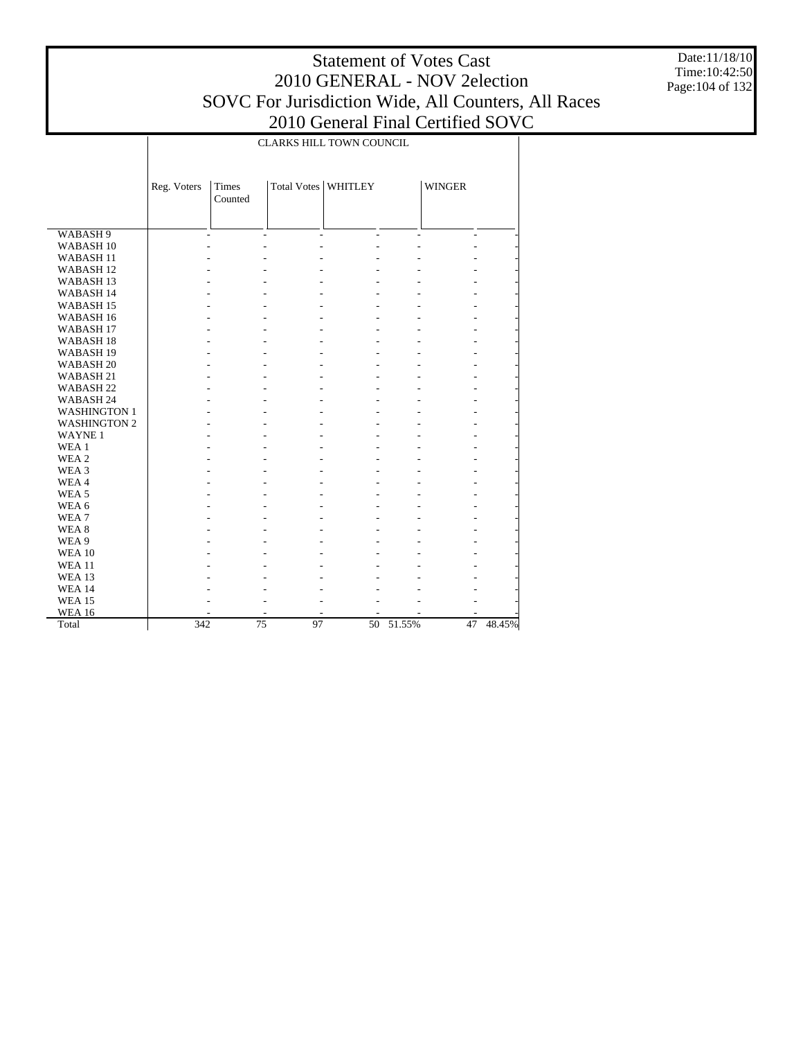Date:11/18/10 Time:10:42:50 Page:104 of 132

|                                              |             |                  | CLARKS HILL TOWN COUNCIL |                |        |                |        |
|----------------------------------------------|-------------|------------------|--------------------------|----------------|--------|----------------|--------|
|                                              |             |                  |                          |                |        |                |        |
|                                              | Reg. Voters | Times<br>Counted | Total Votes              | <b>WHITLEY</b> |        | <b>WINGER</b>  |        |
|                                              |             |                  |                          |                |        |                |        |
|                                              |             |                  |                          |                |        |                |        |
| WABASH <sub>9</sub>                          |             | ÷,               | $\overline{a}$           | $\overline{a}$ | L.     | $\overline{a}$ |        |
| WABASH <sub>10</sub><br>WABASH <sub>11</sub> |             |                  |                          |                |        |                |        |
|                                              |             |                  |                          |                |        |                |        |
| WABASH <sub>12</sub>                         |             |                  |                          |                |        |                |        |
| WABASH <sub>13</sub>                         |             |                  |                          |                |        |                |        |
| WABASH 14                                    |             |                  |                          |                |        |                |        |
| WABASH <sub>15</sub>                         |             |                  |                          |                |        |                |        |
| WABASH <sub>16</sub>                         |             |                  |                          |                |        |                |        |
| WABASH <sub>17</sub>                         |             |                  |                          |                |        |                |        |
| WABASH <sub>18</sub>                         |             |                  |                          |                |        |                |        |
| WABASH <sub>19</sub>                         |             |                  |                          |                |        |                |        |
| WABASH <sub>20</sub>                         |             |                  |                          |                |        |                |        |
| WABASH 21                                    |             |                  |                          |                |        |                |        |
| WABASH <sub>22</sub>                         |             |                  |                          |                |        |                |        |
| WABASH 24                                    |             |                  |                          |                |        |                |        |
| <b>WASHINGTON 1</b>                          |             |                  |                          |                |        |                |        |
| <b>WASHINGTON 2</b>                          |             |                  |                          |                |        |                |        |
| <b>WAYNE1</b>                                |             |                  |                          |                |        |                |        |
| WEA <sub>1</sub>                             |             |                  |                          |                |        |                |        |
| WEA 2                                        |             |                  |                          |                |        |                |        |
| WEA <sub>3</sub>                             |             |                  |                          |                |        |                |        |
| WEA4                                         |             |                  |                          |                |        |                |        |
| WEA <sub>5</sub>                             |             |                  |                          |                |        |                |        |
| WEA 6                                        |             |                  |                          |                |        |                |        |
| WEA <sub>7</sub>                             |             |                  |                          |                |        |                |        |
| WEA <sub>8</sub>                             |             |                  |                          |                |        |                |        |
| WEA 9                                        |             |                  |                          |                |        |                |        |
| <b>WEA 10</b>                                |             |                  |                          |                |        |                |        |
| <b>WEA11</b>                                 |             |                  |                          |                |        |                |        |
| <b>WEA 13</b>                                |             |                  |                          |                |        |                |        |
| <b>WEA 14</b>                                |             |                  |                          |                |        |                |        |
| <b>WEA 15</b>                                |             |                  |                          |                |        |                |        |
| <b>WEA 16</b>                                |             |                  |                          |                |        |                |        |
| Total                                        | 342         | 75               | 97                       | 50             | 51.55% | 47             | 48.45% |
|                                              |             |                  |                          |                |        |                |        |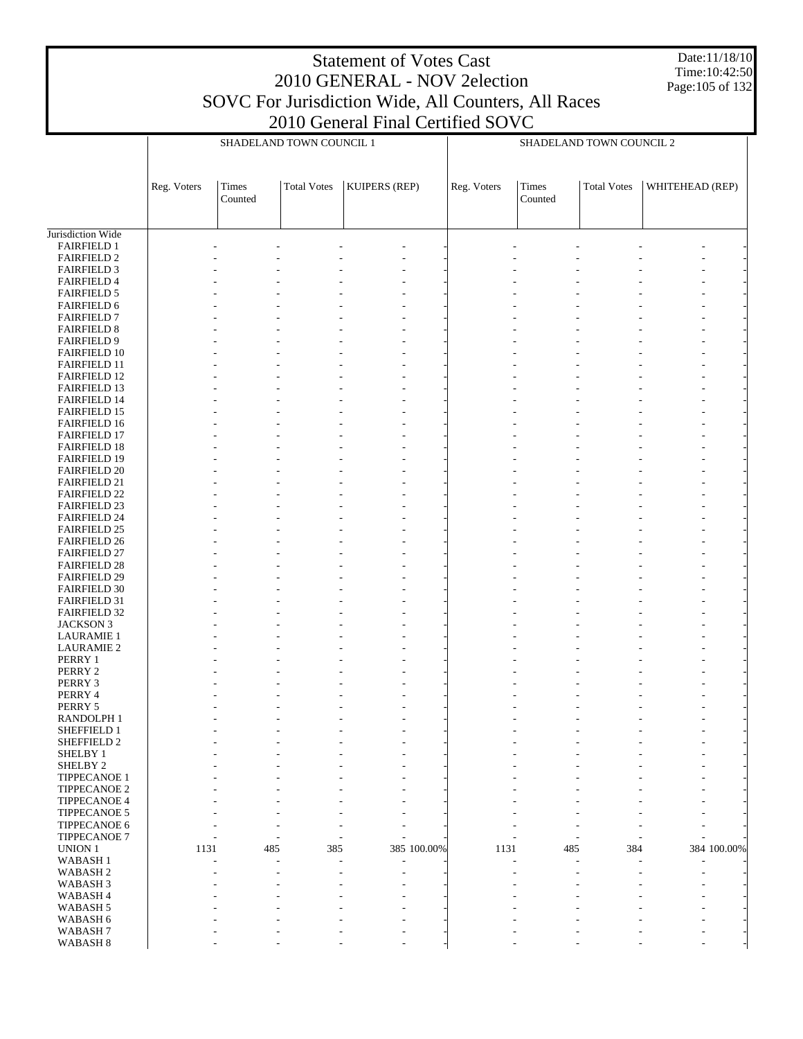Date:11/18/10 Time:10:42:50 Page:105 of 132

|                                            |             |                                 | SHADELAND TOWN COUNCIL 1 |                                                      |             |             |                  | SHADELAND TOWN COUNCIL 2 |                 |
|--------------------------------------------|-------------|---------------------------------|--------------------------|------------------------------------------------------|-------------|-------------|------------------|--------------------------|-----------------|
|                                            | Reg. Voters | <b>Times</b><br>Counted         | <b>Total Votes</b>       | KUIPERS (REP)                                        |             | Reg. Voters | Times<br>Counted | <b>Total Votes</b>       | WHITEHEAD (REP) |
| Jurisdiction Wide                          |             |                                 |                          |                                                      |             |             |                  |                          |                 |
| <b>FAIRFIELD 1</b>                         |             |                                 |                          |                                                      |             |             |                  |                          |                 |
| <b>FAIRFIELD 2</b>                         |             |                                 |                          |                                                      |             |             |                  |                          |                 |
| <b>FAIRFIELD 3</b><br><b>FAIRFIELD 4</b>   |             |                                 |                          |                                                      |             |             |                  |                          |                 |
| <b>FAIRFIELD 5</b>                         |             |                                 |                          |                                                      |             |             |                  |                          |                 |
| <b>FAIRFIELD 6</b>                         |             |                                 |                          |                                                      |             |             |                  |                          |                 |
| <b>FAIRFIELD 7</b>                         |             |                                 |                          |                                                      |             |             |                  |                          |                 |
| <b>FAIRFIELD 8</b><br><b>FAIRFIELD 9</b>   |             |                                 |                          |                                                      |             |             |                  |                          | ÷               |
| <b>FAIRFIELD 10</b>                        |             |                                 |                          |                                                      |             |             |                  |                          |                 |
| <b>FAIRFIELD 11</b>                        |             |                                 |                          |                                                      |             |             |                  |                          |                 |
| <b>FAIRFIELD 12</b>                        |             |                                 |                          |                                                      |             |             |                  |                          |                 |
| <b>FAIRFIELD 13</b>                        |             |                                 |                          |                                                      |             |             |                  |                          |                 |
| <b>FAIRFIELD 14</b><br><b>FAIRFIELD 15</b> |             |                                 |                          |                                                      |             |             |                  |                          |                 |
| <b>FAIRFIELD 16</b>                        |             |                                 |                          |                                                      |             |             |                  |                          | $\overline{a}$  |
| <b>FAIRFIELD 17</b>                        |             |                                 |                          |                                                      |             |             |                  |                          |                 |
| <b>FAIRFIELD 18</b>                        |             |                                 |                          |                                                      |             |             |                  |                          |                 |
| <b>FAIRFIELD 19</b><br><b>FAIRFIELD 20</b> |             |                                 |                          |                                                      |             |             |                  |                          |                 |
| <b>FAIRFIELD 21</b>                        |             |                                 |                          |                                                      |             |             |                  |                          |                 |
| <b>FAIRFIELD 22</b>                        |             |                                 |                          |                                                      |             |             |                  |                          |                 |
| <b>FAIRFIELD 23</b>                        |             |                                 |                          |                                                      |             |             |                  |                          |                 |
| <b>FAIRFIELD 24</b>                        |             |                                 |                          |                                                      |             |             |                  |                          | $\overline{a}$  |
| <b>FAIRFIELD 25</b><br><b>FAIRFIELD 26</b> |             |                                 |                          |                                                      |             |             |                  |                          |                 |
| <b>FAIRFIELD 27</b>                        |             |                                 |                          |                                                      |             |             |                  |                          |                 |
| <b>FAIRFIELD 28</b>                        |             |                                 |                          |                                                      |             |             |                  |                          |                 |
| <b>FAIRFIELD 29</b>                        |             |                                 |                          |                                                      |             |             |                  |                          |                 |
| <b>FAIRFIELD 30</b><br><b>FAIRFIELD 31</b> |             |                                 |                          |                                                      |             |             |                  |                          |                 |
| <b>FAIRFIELD 32</b>                        |             |                                 |                          |                                                      |             |             |                  |                          | $\overline{a}$  |
| <b>JACKSON 3</b>                           |             |                                 |                          |                                                      |             |             |                  |                          |                 |
| <b>LAURAMIE 1</b>                          |             |                                 |                          |                                                      |             |             |                  |                          |                 |
| <b>LAURAMIE 2</b><br>PERRY 1               |             |                                 |                          |                                                      |             |             |                  |                          |                 |
| PERRY 2                                    |             |                                 |                          |                                                      |             |             |                  |                          |                 |
| PERRY 3                                    |             |                                 |                          |                                                      |             |             |                  |                          |                 |
| PERRY 4                                    |             |                                 |                          |                                                      |             |             |                  |                          |                 |
| PERRY 5                                    |             |                                 |                          | ٠                                                    |             |             |                  |                          | ٠               |
| RANDOLPH 1<br>SHEFFIELD 1                  |             |                                 |                          |                                                      |             |             |                  |                          |                 |
| SHEFFIELD 2                                |             |                                 |                          |                                                      |             |             |                  |                          |                 |
| <b>SHELBY 1</b>                            |             |                                 |                          |                                                      |             |             |                  |                          |                 |
| SHELBY 2                                   |             |                                 |                          |                                                      |             |             |                  |                          |                 |
| TIPPECANOE 1<br><b>TIPPECANOE 2</b>        |             |                                 |                          |                                                      |             |             |                  |                          |                 |
| <b>TIPPECANOE 4</b>                        |             |                                 |                          |                                                      |             |             |                  |                          |                 |
| <b>TIPPECANOE 5</b>                        |             |                                 |                          |                                                      |             |             |                  |                          |                 |
| TIPPECANOE 6                               |             |                                 |                          | $\overline{a}$                                       |             |             |                  |                          |                 |
| <b>TIPPECANOE 7</b><br>UNION 1             | 1131        | $\overline{\phantom{a}}$<br>485 | 385                      | $\overline{a}$                                       | 385 100.00% | 1131        | ÷,<br>485        | 384                      | 384 100.00%     |
| WABASH <sub>1</sub>                        |             |                                 |                          |                                                      |             |             |                  |                          |                 |
| WABASH <sub>2</sub>                        |             |                                 |                          | $\overline{a}$                                       |             |             |                  |                          |                 |
| WABASH <sub>3</sub>                        |             |                                 |                          |                                                      |             |             |                  |                          |                 |
| WABASH <sub>4</sub>                        |             |                                 |                          |                                                      |             |             |                  |                          |                 |
| WABASH 5<br>WABASH 6                       |             |                                 |                          | $\overline{\phantom{a}}$<br>$\overline{\phantom{a}}$ |             |             |                  |                          |                 |
| WABASH <sub>7</sub>                        |             |                                 |                          |                                                      |             |             |                  |                          |                 |
| WABASH 8                                   |             |                                 |                          | ÷,                                                   |             |             |                  |                          |                 |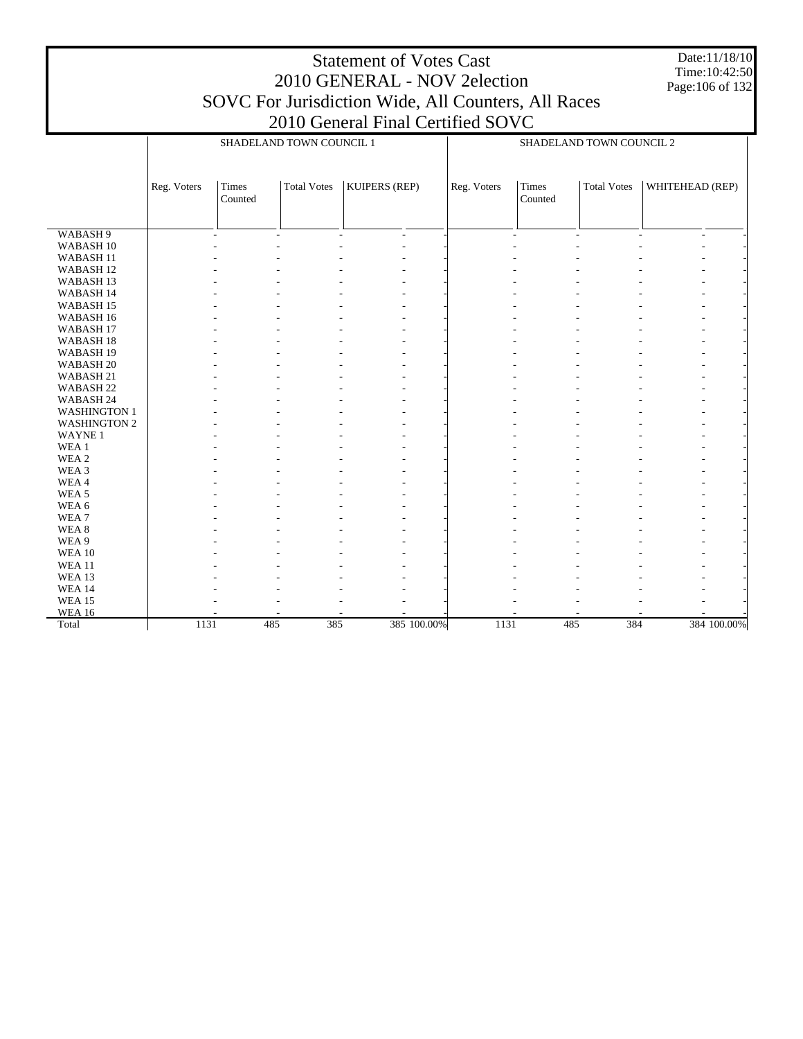Date:11/18/10 Time:10:42:50 Page:106 of 132

|                      |             |                          | SHADELAND TOWN COUNCIL 1 |                |             |                          | SHADELAND TOWN COUNCIL 2 |                          |
|----------------------|-------------|--------------------------|--------------------------|----------------|-------------|--------------------------|--------------------------|--------------------------|
|                      |             |                          |                          |                |             |                          |                          |                          |
|                      | Reg. Voters | Times<br>Counted         | <b>Total Votes</b>       | KUIPERS (REP)  | Reg. Voters | Times<br>Counted         | <b>Total Votes</b>       | WHITEHEAD (REP)          |
|                      |             |                          |                          |                |             |                          |                          |                          |
| WABASH <sub>9</sub>  |             | $\overline{\phantom{a}}$ | $\sim$                   | $\overline{a}$ |             | $\overline{\phantom{a}}$ |                          | $\overline{\phantom{a}}$ |
| WABASH 10            |             |                          |                          |                |             |                          |                          |                          |
| WABASH <sub>11</sub> |             |                          |                          |                |             |                          |                          |                          |
| WABASH <sub>12</sub> |             |                          |                          |                |             |                          |                          |                          |
| WABASH 13            |             |                          |                          |                |             |                          |                          |                          |
| WABASH 14            |             |                          |                          |                |             |                          |                          |                          |
| WABASH <sub>15</sub> |             |                          |                          |                |             |                          |                          | ٠                        |
| WABASH 16            |             |                          |                          |                |             |                          |                          |                          |
| WABASH <sub>17</sub> |             |                          |                          |                |             |                          |                          |                          |
| WABASH <sub>18</sub> |             |                          |                          |                |             |                          |                          |                          |
| WABASH <sub>19</sub> |             |                          |                          |                |             |                          |                          |                          |
| WABASH <sub>20</sub> |             |                          |                          |                |             |                          |                          |                          |
| WABASH 21            |             |                          |                          |                |             |                          |                          | ٠                        |
| WABASH <sub>22</sub> |             |                          |                          |                |             |                          |                          | ٠                        |
| WABASH 24            |             |                          |                          |                |             |                          |                          |                          |
| <b>WASHINGTON 1</b>  |             |                          |                          |                |             |                          |                          | ٠                        |
| <b>WASHINGTON 2</b>  |             |                          |                          |                |             |                          |                          | ٠                        |
| WAYNE <sub>1</sub>   |             |                          |                          |                |             |                          |                          |                          |
| WEA 1                |             |                          |                          |                |             |                          |                          |                          |
| WEA 2                |             |                          |                          |                |             |                          |                          |                          |
| WEA 3                |             |                          |                          |                |             |                          |                          |                          |
| WEA4                 |             |                          |                          |                |             |                          |                          | ٠                        |
| WEA <sub>5</sub>     |             |                          |                          |                |             |                          |                          |                          |
| WEA 6                |             |                          |                          |                |             |                          |                          |                          |
| WEA <sub>7</sub>     |             |                          |                          |                |             |                          |                          |                          |
| WEA <sub>8</sub>     |             |                          |                          |                |             |                          |                          | ٠                        |
| WEA 9                |             |                          |                          |                |             |                          |                          |                          |
| <b>WEA 10</b>        |             |                          |                          |                |             |                          |                          |                          |
| <b>WEA 11</b>        |             |                          |                          |                |             |                          |                          |                          |
| WEA 13               |             |                          |                          |                |             |                          |                          |                          |
| <b>WEA 14</b>        |             |                          |                          |                |             |                          |                          |                          |
| <b>WEA 15</b>        |             |                          |                          |                |             |                          |                          |                          |
| <b>WEA 16</b>        |             |                          |                          |                |             |                          |                          |                          |
| Total                | 1131        | 485                      | 385                      | 385 100.00%    | 1131        | 485                      | 384                      | 384 100.00%              |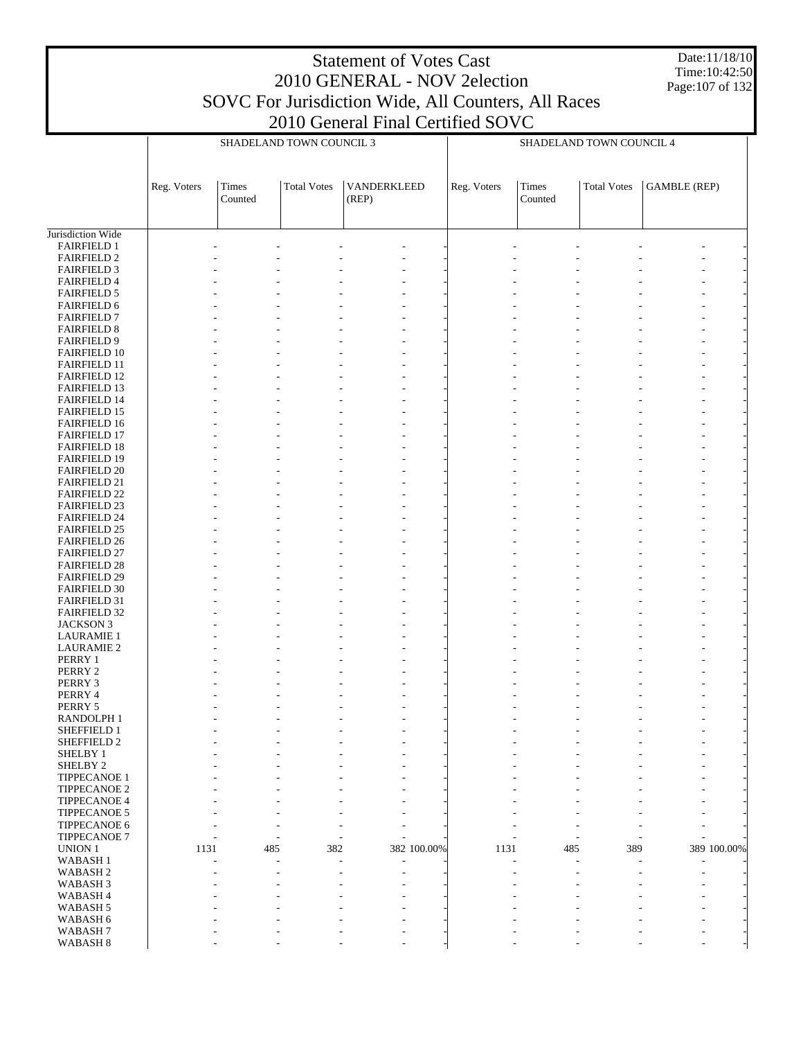Date:11/18/10 Time:10:42:50 Page:107 of 132

|                                            |             |                  | SHADELAND TOWN COUNCIL 3 |                      |             |             | SHADELAND TOWN COUNCIL 4 |                    |                     |
|--------------------------------------------|-------------|------------------|--------------------------|----------------------|-------------|-------------|--------------------------|--------------------|---------------------|
|                                            |             |                  |                          |                      |             |             |                          |                    |                     |
|                                            | Reg. Voters | Times<br>Counted | <b>Total Votes</b>       | VANDERKLEED<br>(REP) |             | Reg. Voters | Times<br>Counted         | <b>Total Votes</b> | <b>GAMBLE</b> (REP) |
|                                            |             |                  |                          |                      |             |             |                          |                    |                     |
| Jurisdiction Wide                          |             |                  |                          |                      |             |             |                          |                    |                     |
| <b>FAIRFIELD 1</b><br><b>FAIRFIELD 2</b>   |             |                  |                          |                      |             |             |                          |                    |                     |
| <b>FAIRFIELD 3</b>                         |             |                  |                          |                      |             |             |                          |                    |                     |
| <b>FAIRFIELD 4</b>                         |             |                  |                          |                      |             |             |                          |                    |                     |
| <b>FAIRFIELD 5</b>                         |             |                  |                          |                      |             |             |                          |                    |                     |
| <b>FAIRFIELD 6</b>                         |             |                  |                          |                      |             |             |                          |                    |                     |
| <b>FAIRFIELD 7</b><br><b>FAIRFIELD 8</b>   |             |                  |                          |                      |             |             |                          |                    |                     |
| <b>FAIRFIELD 9</b>                         |             |                  |                          |                      |             |             |                          |                    |                     |
| <b>FAIRFIELD 10</b>                        |             |                  |                          |                      |             |             |                          |                    |                     |
| <b>FAIRFIELD 11</b>                        |             |                  |                          |                      |             |             |                          |                    |                     |
| <b>FAIRFIELD 12</b>                        |             |                  |                          |                      |             |             |                          |                    |                     |
| <b>FAIRFIELD 13</b><br><b>FAIRFIELD 14</b> |             |                  |                          |                      |             |             |                          |                    |                     |
| <b>FAIRFIELD 15</b>                        |             |                  |                          |                      |             |             |                          |                    |                     |
| FAIRFIELD 16                               |             |                  |                          |                      |             |             |                          |                    |                     |
| <b>FAIRFIELD 17</b>                        |             |                  |                          |                      |             |             |                          |                    |                     |
| <b>FAIRFIELD 18</b>                        |             |                  |                          |                      |             |             |                          |                    |                     |
| <b>FAIRFIELD 19</b>                        |             |                  |                          |                      |             |             |                          |                    |                     |
| <b>FAIRFIELD 20</b><br><b>FAIRFIELD 21</b> |             |                  |                          |                      |             |             |                          |                    |                     |
| <b>FAIRFIELD 22</b>                        |             |                  |                          |                      |             |             |                          |                    |                     |
| <b>FAIRFIELD 23</b>                        |             |                  |                          |                      |             |             |                          |                    |                     |
| <b>FAIRFIELD 24</b>                        |             |                  |                          |                      |             |             |                          |                    |                     |
| <b>FAIRFIELD 25</b>                        |             |                  |                          |                      |             |             |                          |                    |                     |
| <b>FAIRFIELD 26</b><br><b>FAIRFIELD 27</b> |             |                  |                          |                      |             |             |                          |                    |                     |
| <b>FAIRFIELD 28</b>                        |             |                  |                          |                      |             |             |                          |                    |                     |
| <b>FAIRFIELD 29</b>                        |             |                  |                          |                      |             |             |                          |                    |                     |
| <b>FAIRFIELD 30</b>                        |             |                  |                          |                      |             |             |                          |                    |                     |
| <b>FAIRFIELD 31</b>                        |             |                  |                          |                      |             |             |                          |                    |                     |
| FAIRFIELD 32                               |             |                  |                          |                      |             |             |                          |                    |                     |
| <b>JACKSON 3</b><br><b>LAURAMIE 1</b>      |             |                  |                          |                      |             |             |                          |                    |                     |
| <b>LAURAMIE 2</b>                          |             |                  |                          |                      |             |             |                          |                    |                     |
| PERRY 1                                    |             |                  |                          |                      |             |             |                          |                    |                     |
| PERRY 2                                    |             |                  |                          |                      |             |             |                          |                    |                     |
| PERRY 3                                    |             |                  |                          |                      |             |             |                          |                    |                     |
| PERRY 4<br>PERRY 5                         |             |                  |                          |                      |             |             |                          |                    |                     |
| RANDOLPH 1                                 |             |                  |                          |                      |             |             |                          |                    |                     |
| SHEFFIELD 1                                |             |                  |                          |                      |             |             |                          |                    |                     |
| SHEFFIELD 2                                |             |                  |                          |                      |             |             |                          |                    |                     |
| SHELBY 1                                   |             |                  |                          |                      |             |             |                          |                    |                     |
| SHELBY <sub>2</sub><br>TIPPECANOE 1        |             |                  |                          |                      |             |             |                          |                    |                     |
| TIPPECANOE 2                               |             |                  |                          |                      |             |             |                          |                    |                     |
| TIPPECANOE 4                               |             |                  |                          |                      |             |             |                          |                    |                     |
| TIPPECANOE 5                               |             |                  |                          |                      |             |             |                          |                    |                     |
| TIPPECANOE 6                               |             |                  |                          |                      |             |             |                          |                    |                     |
| TIPPECANOE 7<br>UNION 1                    | 1131        |                  | 382                      |                      |             | 1131        | 485                      | 389                | 389 100.00%         |
| WABASH <sub>1</sub>                        |             | 485              |                          |                      | 382 100.00% |             |                          |                    |                     |
| WABASH <sub>2</sub>                        |             |                  |                          |                      |             |             |                          |                    |                     |
| WABASH <sub>3</sub>                        |             |                  |                          |                      |             |             |                          |                    |                     |
| WABASH 4                                   |             |                  |                          |                      |             |             |                          |                    |                     |
| WABASH <sub>5</sub>                        |             |                  |                          |                      |             |             |                          |                    |                     |
| WABASH 6<br>WABASH <sub>7</sub>            |             |                  |                          |                      |             |             |                          |                    |                     |
| WABASH 8                                   |             |                  |                          |                      |             |             |                          |                    |                     |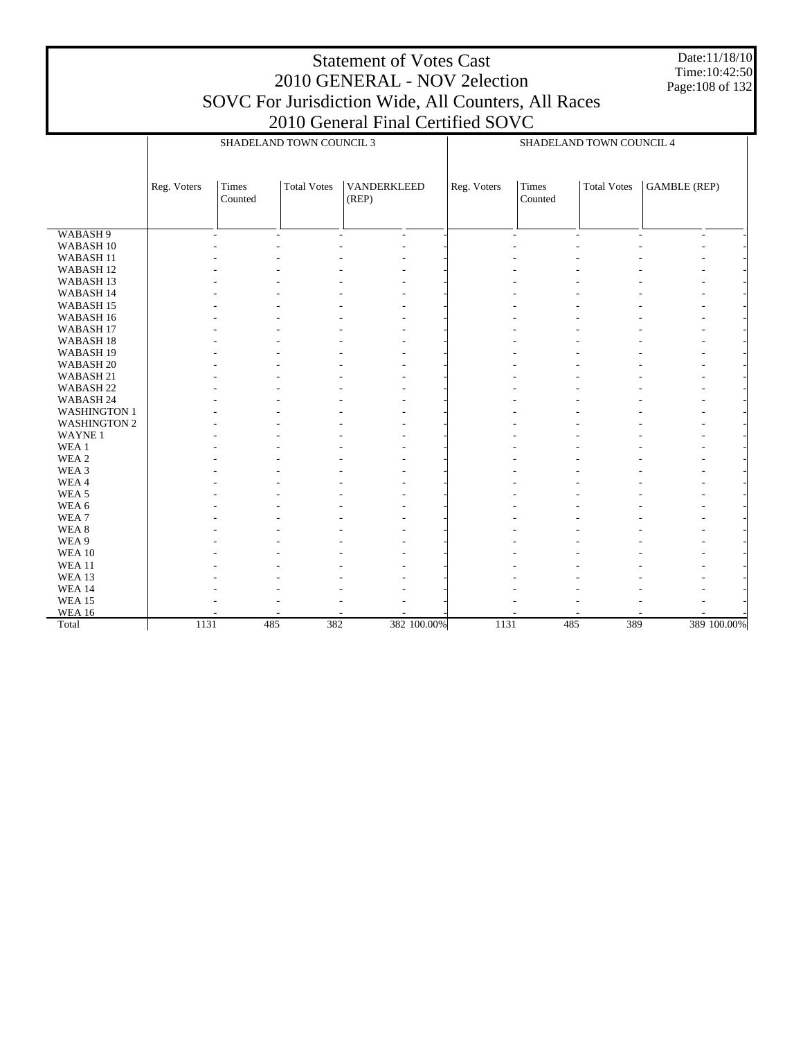Date:11/18/10 Time:10:42:50 Page:108 of 132

|                      |             | SHADELAND TOWN COUNCIL 3 |                    |                      |             | SHADELAND TOWN COUNCIL 4 |                                |                    |                          |             |
|----------------------|-------------|--------------------------|--------------------|----------------------|-------------|--------------------------|--------------------------------|--------------------|--------------------------|-------------|
|                      |             |                          |                    |                      |             |                          |                                |                    |                          |             |
|                      | Reg. Voters | Times<br>Counted         | <b>Total Votes</b> | VANDERKLEED<br>(REP) |             | Reg. Voters              | Times<br>Counted               | <b>Total Votes</b> | <b>GAMBLE</b> (REP)      |             |
|                      |             |                          |                    |                      |             |                          |                                |                    |                          |             |
| WABASH 9             |             | $\sim$                   | $\blacksquare$     | L.<br>$\blacksquare$ |             |                          | $\overline{\phantom{a}}$<br>÷, | ÷.                 | $\overline{\phantom{a}}$ |             |
| WABASH 10            |             |                          |                    |                      |             |                          |                                |                    |                          |             |
| WABASH <sub>11</sub> |             |                          |                    |                      |             |                          |                                |                    |                          |             |
| WABASH <sub>12</sub> |             |                          |                    |                      |             |                          |                                |                    |                          |             |
| WABASH <sub>13</sub> |             |                          |                    |                      |             |                          |                                |                    |                          |             |
| WABASH 14            |             |                          |                    |                      |             |                          |                                |                    |                          |             |
| WABASH <sub>15</sub> |             |                          |                    |                      |             |                          |                                |                    |                          |             |
| WABASH 16            |             |                          |                    |                      |             |                          |                                |                    |                          |             |
| WABASH <sub>17</sub> |             |                          |                    |                      |             |                          |                                |                    |                          |             |
| WABASH <sub>18</sub> |             |                          |                    |                      |             |                          |                                |                    |                          |             |
| WABASH 19            |             |                          |                    |                      |             |                          |                                |                    |                          |             |
| WABASH <sub>20</sub> |             |                          |                    | L,                   |             |                          |                                |                    |                          |             |
| WABASH 21            |             |                          |                    |                      |             |                          |                                |                    |                          |             |
| WABASH <sub>22</sub> |             |                          |                    |                      |             |                          |                                |                    |                          |             |
| WABASH 24            |             |                          |                    |                      |             |                          |                                |                    |                          |             |
| <b>WASHINGTON 1</b>  |             |                          |                    |                      |             |                          |                                |                    |                          |             |
| <b>WASHINGTON 2</b>  |             |                          |                    |                      |             |                          |                                |                    |                          |             |
| WAYNE <sub>1</sub>   |             |                          |                    |                      |             |                          |                                |                    |                          |             |
| WEA 1                |             |                          |                    |                      |             |                          |                                |                    |                          |             |
| WEA 2                |             |                          |                    |                      |             |                          |                                |                    |                          |             |
| WEA <sub>3</sub>     |             |                          |                    |                      |             |                          |                                |                    |                          |             |
| WEA4                 |             |                          |                    |                      |             |                          |                                |                    |                          |             |
| WEA <sub>5</sub>     |             |                          |                    |                      |             |                          |                                |                    |                          |             |
| WEA 6                |             |                          |                    |                      |             |                          |                                |                    |                          |             |
| WEA <sub>7</sub>     |             |                          |                    |                      |             |                          |                                |                    |                          |             |
| WEA <sub>8</sub>     |             |                          |                    |                      |             |                          |                                |                    |                          |             |
| WEA 9                |             |                          |                    |                      |             |                          |                                |                    |                          |             |
| <b>WEA 10</b>        |             |                          |                    |                      |             |                          |                                |                    |                          |             |
| WEA <sub>11</sub>    |             |                          |                    |                      |             |                          |                                |                    |                          |             |
| WEA 13               |             |                          |                    |                      |             |                          |                                |                    |                          |             |
| <b>WEA 14</b>        |             |                          |                    |                      |             |                          |                                |                    |                          |             |
| <b>WEA 15</b>        |             |                          |                    |                      |             |                          |                                |                    |                          |             |
| <b>WEA 16</b>        |             |                          |                    |                      |             |                          |                                |                    |                          |             |
| Total                | 1131        | 485                      | 382                |                      | 382 100.00% | 1131                     | 485                            | 389                |                          | 389 100.00% |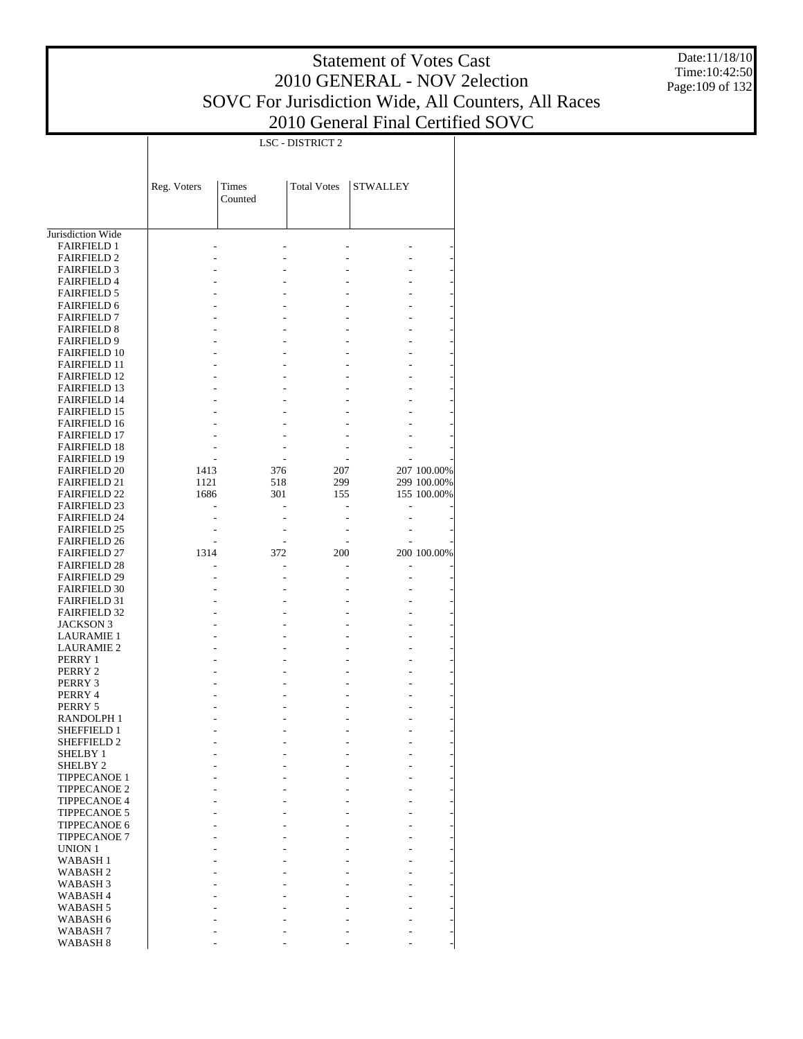Date:11/18/10 Time:10:42:50 Page:109 of 132

|                                            |             |            | LSC - DISTRICT 2   |                 |                            |
|--------------------------------------------|-------------|------------|--------------------|-----------------|----------------------------|
|                                            |             |            |                    |                 |                            |
|                                            |             |            |                    |                 |                            |
|                                            | Reg. Voters | Times      | <b>Total Votes</b> | <b>STWALLEY</b> |                            |
|                                            |             | Counted    |                    |                 |                            |
|                                            |             |            |                    |                 |                            |
|                                            |             |            |                    |                 |                            |
| Jurisdiction Wide                          |             |            |                    |                 |                            |
| <b>FAIRFIELD 1</b>                         |             |            |                    |                 |                            |
| <b>FAIRFIELD 2</b>                         |             |            |                    |                 |                            |
| <b>FAIRFIELD 3</b>                         |             |            |                    |                 |                            |
| <b>FAIRFIELD 4</b>                         |             |            |                    |                 |                            |
| <b>FAIRFIELD 5</b>                         |             |            |                    |                 |                            |
| <b>FAIRFIELD 6</b>                         |             |            |                    |                 |                            |
| <b>FAIRFIELD 7</b><br><b>FAIRFIELD 8</b>   |             |            |                    |                 |                            |
| <b>FAIRFIELD 9</b>                         |             |            |                    |                 |                            |
| <b>FAIRFIELD 10</b>                        |             |            |                    |                 |                            |
| <b>FAIRFIELD 11</b>                        |             |            |                    |                 |                            |
| <b>FAIRFIELD 12</b>                        |             |            |                    |                 |                            |
| <b>FAIRFIELD 13</b>                        |             |            |                    |                 |                            |
| <b>FAIRFIELD 14</b>                        |             |            |                    |                 |                            |
| <b>FAIRFIELD 15</b>                        |             |            |                    |                 |                            |
| <b>FAIRFIELD 16</b>                        |             |            |                    |                 |                            |
| <b>FAIRFIELD 17</b>                        |             |            |                    |                 |                            |
| <b>FAIRFIELD 18</b>                        |             |            |                    |                 |                            |
| FAIRFIELD 19                               | 1413        |            |                    |                 |                            |
| <b>FAIRFIELD 20</b><br><b>FAIRFIELD 21</b> | 1121        | 376<br>518 | 207<br>299         |                 | 207 100.00%<br>299 100.00% |
| <b>FAIRFIELD 22</b>                        | 1686        | 301        | 155                |                 | 155 100.00%                |
| <b>FAIRFIELD 23</b>                        |             |            |                    |                 |                            |
| <b>FAIRFIELD 24</b>                        |             |            |                    |                 |                            |
| <b>FAIRFIELD 25</b>                        |             |            |                    |                 |                            |
| <b>FAIRFIELD 26</b>                        |             |            |                    |                 |                            |
| <b>FAIRFIELD 27</b>                        | 1314        | 372        | 200                |                 | 200 100.00%                |
| <b>FAIRFIELD 28</b>                        |             |            |                    |                 |                            |
| <b>FAIRFIELD 29</b>                        |             |            |                    |                 |                            |
| <b>FAIRFIELD 30</b>                        |             |            |                    |                 |                            |
| <b>FAIRFIELD 31</b>                        |             |            |                    |                 |                            |
| <b>FAIRFIELD 32</b>                        |             |            |                    |                 |                            |
| <b>JACKSON 3</b><br><b>LAURAMIE 1</b>      |             |            |                    |                 |                            |
| <b>LAURAMIE 2</b>                          |             |            |                    |                 |                            |
| PERRY 1                                    |             |            |                    |                 |                            |
| PERRY 2                                    |             |            |                    |                 |                            |
| PERRY 3                                    |             |            |                    |                 |                            |
| PERRY 4                                    |             |            |                    |                 |                            |
| PERRY 5                                    |             |            |                    |                 |                            |
| RANDOLPH 1                                 |             |            |                    |                 |                            |
| SHEFFIELD 1                                |             |            |                    |                 |                            |
| <b>SHEFFIELD 2</b>                         |             |            |                    |                 |                            |
| SHELBY 1                                   |             |            |                    |                 |                            |
| SHELBY <sub>2</sub><br><b>TIPPECANOE 1</b> |             |            |                    |                 |                            |
| <b>TIPPECANOE 2</b>                        |             |            |                    |                 |                            |
| <b>TIPPECANOE 4</b>                        |             |            |                    |                 |                            |
| <b>TIPPECANOE 5</b>                        |             |            |                    |                 |                            |
| <b>TIPPECANOE 6</b>                        |             |            |                    |                 |                            |
| <b>TIPPECANOE 7</b>                        |             |            |                    |                 |                            |
| <b>UNION 1</b>                             |             |            |                    |                 |                            |
| <b>WABASH1</b>                             |             |            |                    |                 |                            |
| <b>WABASH2</b>                             |             |            |                    |                 |                            |
| WABASH <sub>3</sub>                        |             |            |                    |                 |                            |
| WABASH <sub>4</sub>                        |             |            |                    |                 |                            |
| WABASH <sub>5</sub>                        |             |            |                    |                 |                            |
| WABASH 6                                   |             |            |                    |                 |                            |
| WABASH 7<br>WABASH 8                       |             |            |                    |                 |                            |
|                                            |             |            |                    |                 |                            |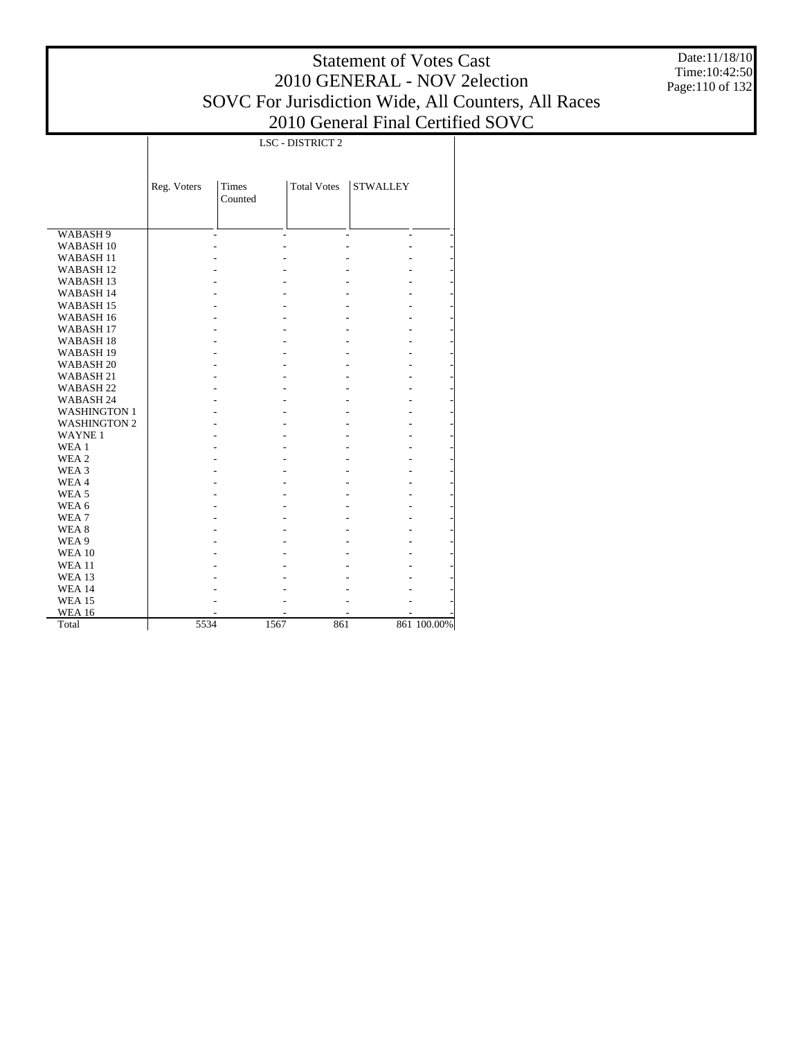Date:11/18/10 Time:10:42:50 Page:110 of 132

|                      |             | <b>LSC - DISTRICT 2</b> |                    |                 |             |  |  |  |  |
|----------------------|-------------|-------------------------|--------------------|-----------------|-------------|--|--|--|--|
|                      | Reg. Voters | <b>Times</b><br>Counted | <b>Total Votes</b> | <b>STWALLEY</b> |             |  |  |  |  |
| WABASH 9             |             |                         |                    |                 |             |  |  |  |  |
| WABASH <sub>10</sub> |             |                         |                    |                 |             |  |  |  |  |
| WABASH <sub>11</sub> |             |                         |                    |                 |             |  |  |  |  |
| WABASH <sub>12</sub> |             |                         |                    |                 |             |  |  |  |  |
| WABASH <sub>13</sub> |             |                         |                    |                 |             |  |  |  |  |
| WABASH 14            |             |                         |                    |                 |             |  |  |  |  |
| WABASH <sub>15</sub> |             |                         |                    |                 |             |  |  |  |  |
| WABASH 16            |             |                         |                    |                 |             |  |  |  |  |
| WABASH <sub>17</sub> |             |                         |                    |                 |             |  |  |  |  |
| WABASH <sub>18</sub> |             |                         |                    |                 |             |  |  |  |  |
| WABASH <sub>19</sub> |             |                         |                    |                 |             |  |  |  |  |
| WABASH <sub>20</sub> |             |                         |                    |                 |             |  |  |  |  |
| WABASH 21            |             |                         |                    |                 |             |  |  |  |  |
| WABASH <sub>22</sub> |             |                         |                    |                 |             |  |  |  |  |
| WABASH 24            |             |                         |                    |                 |             |  |  |  |  |
| <b>WASHINGTON 1</b>  |             |                         |                    |                 |             |  |  |  |  |
| <b>WASHINGTON 2</b>  |             |                         |                    |                 |             |  |  |  |  |
| <b>WAYNE1</b>        |             |                         |                    |                 |             |  |  |  |  |
| WEA 1                |             |                         |                    |                 |             |  |  |  |  |
| WEA 2                |             |                         |                    |                 |             |  |  |  |  |
| WEA 3                |             |                         |                    |                 |             |  |  |  |  |
| WEA4                 |             |                         |                    |                 |             |  |  |  |  |
| WEA <sub>5</sub>     |             |                         |                    |                 |             |  |  |  |  |
| WEA 6                |             |                         |                    |                 |             |  |  |  |  |
| WEA7                 |             |                         |                    |                 |             |  |  |  |  |
| WEA <sub>8</sub>     |             |                         |                    |                 |             |  |  |  |  |
| WEA 9                |             |                         |                    |                 |             |  |  |  |  |
| <b>WEA 10</b>        |             |                         |                    |                 |             |  |  |  |  |
| <b>WEA 11</b>        |             |                         |                    |                 |             |  |  |  |  |
| <b>WEA 13</b>        |             |                         |                    |                 |             |  |  |  |  |
| <b>WEA 14</b>        |             |                         |                    |                 |             |  |  |  |  |
| <b>WEA 15</b>        |             |                         |                    |                 |             |  |  |  |  |
| <b>WEA 16</b>        |             |                         |                    |                 |             |  |  |  |  |
| Total                | 5534        | 1567                    | 861                |                 | 861 100.00% |  |  |  |  |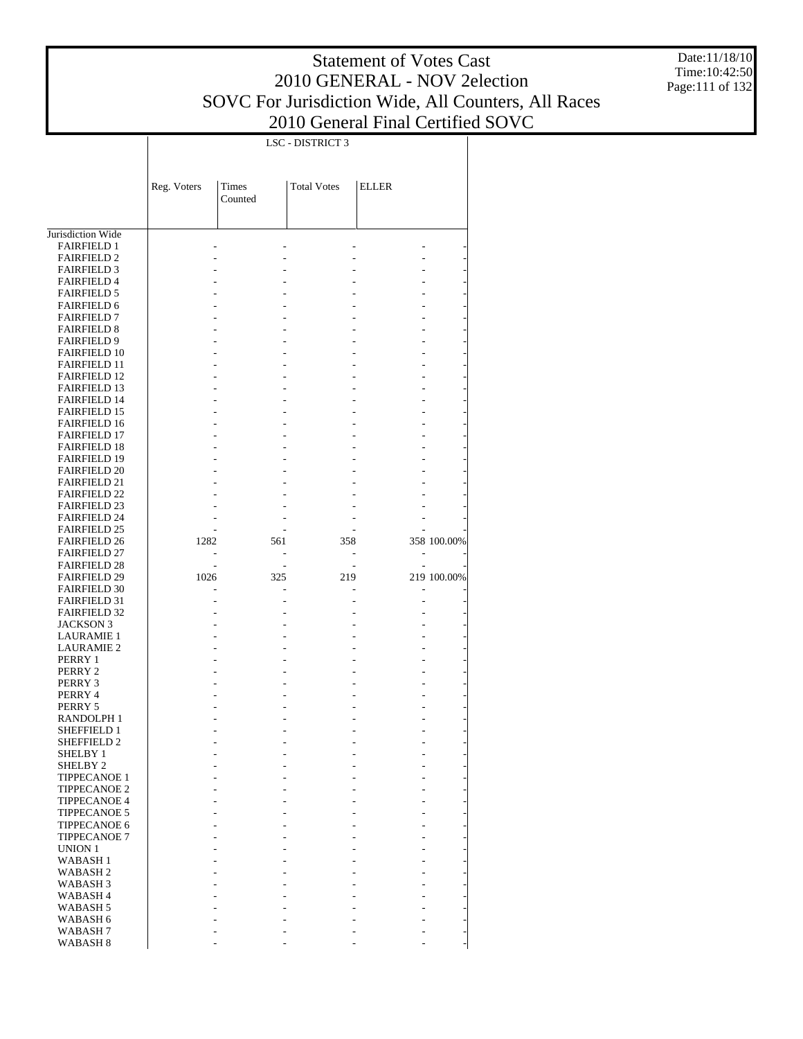LSC - DISTRICT 3

 $\overline{\phantom{a}}$ 

Date:11/18/10 Time:10:42:50 Page:111 of 132

|                                            | Reg. Voters | Times<br>Counted | <b>Total Votes</b> | <b>ELLER</b> |             |
|--------------------------------------------|-------------|------------------|--------------------|--------------|-------------|
| Jurisdiction Wide                          |             |                  |                    |              |             |
| <b>FAIRFIELD 1</b>                         |             |                  |                    |              |             |
| <b>FAIRFIELD 2</b>                         |             |                  |                    |              |             |
| <b>FAIRFIELD 3</b>                         |             |                  |                    |              |             |
| <b>FAIRFIELD 4</b>                         |             |                  |                    |              |             |
| <b>FAIRFIELD 5</b><br><b>FAIRFIELD 6</b>   |             |                  |                    |              |             |
| <b>FAIRFIELD 7</b>                         |             |                  |                    |              |             |
| <b>FAIRFIELD 8</b>                         |             |                  |                    |              |             |
| <b>FAIRFIELD 9</b>                         |             |                  |                    |              |             |
| <b>FAIRFIELD 10</b>                        |             |                  |                    |              |             |
| <b>FAIRFIELD 11</b>                        |             |                  |                    |              |             |
| <b>FAIRFIELD 12</b>                        |             |                  |                    |              |             |
| <b>FAIRFIELD 13</b>                        |             |                  |                    |              |             |
| <b>FAIRFIELD 14</b>                        |             |                  |                    |              |             |
| <b>FAIRFIELD 15</b><br><b>FAIRFIELD 16</b> |             |                  |                    |              |             |
| <b>FAIRFIELD 17</b>                        |             |                  |                    |              |             |
| <b>FAIRFIELD 18</b>                        |             |                  |                    |              |             |
| <b>FAIRFIELD 19</b>                        |             |                  |                    |              |             |
| <b>FAIRFIELD 20</b>                        |             |                  |                    |              |             |
| <b>FAIRFIELD 21</b>                        |             |                  |                    |              |             |
| <b>FAIRFIELD 22</b>                        |             |                  |                    |              |             |
| <b>FAIRFIELD 23</b>                        |             |                  |                    |              |             |
| <b>FAIRFIELD 24</b>                        |             |                  |                    |              |             |
| <b>FAIRFIELD 25</b>                        |             |                  |                    |              |             |
| <b>FAIRFIELD 26</b>                        | 1282        | 561              | 358                |              | 358 100.00% |
| <b>FAIRFIELD 27</b><br><b>FAIRFIELD 28</b> |             |                  |                    |              |             |
| <b>FAIRFIELD 29</b>                        | 1026        | 325              | 219                |              | 219 100.00% |
| <b>FAIRFIELD 30</b>                        |             |                  |                    |              |             |
| <b>FAIRFIELD 31</b>                        |             |                  |                    |              |             |
| <b>FAIRFIELD 32</b>                        |             |                  |                    |              |             |
| JACKSON 3                                  |             |                  |                    |              |             |
| <b>LAURAMIE 1</b>                          |             |                  |                    |              |             |
| <b>LAURAMIE 2</b>                          |             |                  |                    |              |             |
| PERRY 1                                    |             |                  |                    |              |             |
| PERRY 2<br>PERRY 3                         |             |                  |                    |              |             |
| PERRY 4                                    |             |                  |                    |              |             |
| PERRY 5                                    |             |                  |                    |              |             |
| RANDOLPH 1                                 |             |                  |                    |              |             |
| SHEFFIELD 1                                |             |                  |                    |              |             |
| SHEFFIELD 2                                |             |                  |                    |              |             |
| <b>SHELBY 1</b>                            |             |                  |                    |              |             |
| SHELBY 2                                   |             |                  |                    |              |             |
| <b>TIPPECANOE 1</b>                        |             |                  |                    |              |             |
| <b>TIPPECANOE 2</b>                        |             |                  |                    |              |             |
| <b>TIPPECANOE 4</b><br><b>TIPPECANOE 5</b> |             |                  |                    |              |             |
| <b>TIPPECANOE 6</b>                        |             |                  |                    |              |             |
| <b>TIPPECANOE 7</b>                        |             |                  |                    |              |             |
| UNION 1                                    |             |                  |                    |              |             |
| <b>WABASH1</b>                             |             |                  |                    |              |             |
| WABASH 2                                   |             |                  |                    |              |             |
| WABASH 3                                   |             |                  |                    |              |             |
| WABASH 4                                   |             |                  |                    |              |             |
| WABASH 5                                   |             |                  |                    |              |             |
| WABASH 6                                   |             |                  |                    |              |             |
| WABASH 7                                   |             |                  |                    |              |             |
| WABASH 8                                   |             |                  |                    |              |             |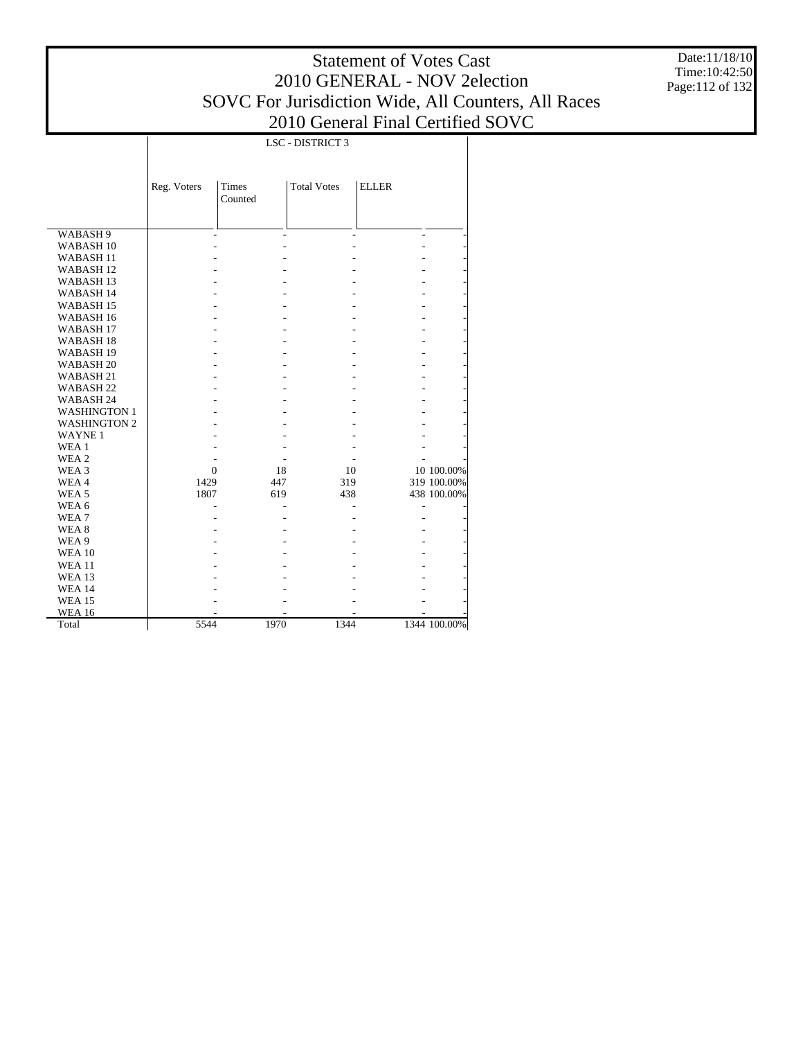Date:11/18/10 Time:10:42:50 Page:112 of 132

|                      |             |              | LSC - DISTRICT 3   |                     |              |
|----------------------|-------------|--------------|--------------------|---------------------|--------------|
|                      |             |              |                    |                     |              |
|                      |             |              |                    |                     |              |
|                      | Reg. Voters | <b>Times</b> | <b>Total Votes</b> | <b>ELLER</b>        |              |
|                      |             | Counted      |                    |                     |              |
|                      |             |              |                    |                     |              |
| WABASH 9             |             |              |                    | $\overline{a}$<br>٠ |              |
| WABASH <sub>10</sub> |             |              |                    |                     |              |
| <b>WABASH11</b>      |             |              |                    |                     |              |
| WABASH <sub>12</sub> |             |              |                    |                     |              |
| WABASH <sub>13</sub> |             |              |                    |                     |              |
| WABASH 14            |             |              |                    |                     |              |
| WABASH <sub>15</sub> |             |              |                    |                     |              |
| WABASH <sub>16</sub> |             |              |                    |                     |              |
| WABASH <sub>17</sub> |             |              |                    |                     |              |
| WABASH <sub>18</sub> |             |              |                    |                     |              |
| WABASH <sub>19</sub> |             |              |                    |                     |              |
| WABASH <sub>20</sub> |             |              |                    |                     |              |
| WABASH <sub>21</sub> |             |              |                    |                     |              |
| WABASH <sub>22</sub> |             |              |                    |                     |              |
| WABASH 24            |             |              |                    |                     |              |
| <b>WASHINGTON 1</b>  |             |              |                    |                     |              |
| <b>WASHINGTON 2</b>  |             |              |                    |                     |              |
| <b>WAYNE1</b>        |             |              |                    |                     |              |
| WEA 1                |             |              |                    |                     |              |
| WEA 2                |             |              |                    |                     |              |
| WEA 3                | $\Omega$    | 18           | 10                 |                     | 10 100.00%   |
| WEA4                 | 1429        | 447          | 319                |                     | 319 100.00%  |
| WEA <sub>5</sub>     | 1807        | 619          | 438                |                     | 438 100.00%  |
| WEA 6                |             |              |                    |                     |              |
| WEA <sub>7</sub>     |             |              |                    |                     |              |
| WEA 8                |             |              |                    |                     |              |
| WEA 9                |             |              |                    |                     |              |
| <b>WEA 10</b>        |             |              |                    |                     |              |
| <b>WEA 11</b>        |             |              |                    |                     |              |
| <b>WEA 13</b>        |             |              |                    |                     |              |
| <b>WEA 14</b>        |             |              |                    |                     |              |
| <b>WEA 15</b>        |             |              |                    |                     |              |
| <b>WEA 16</b>        |             |              |                    |                     |              |
| Total                | 5544        | 1970         | 1344               |                     | 1344 100.00% |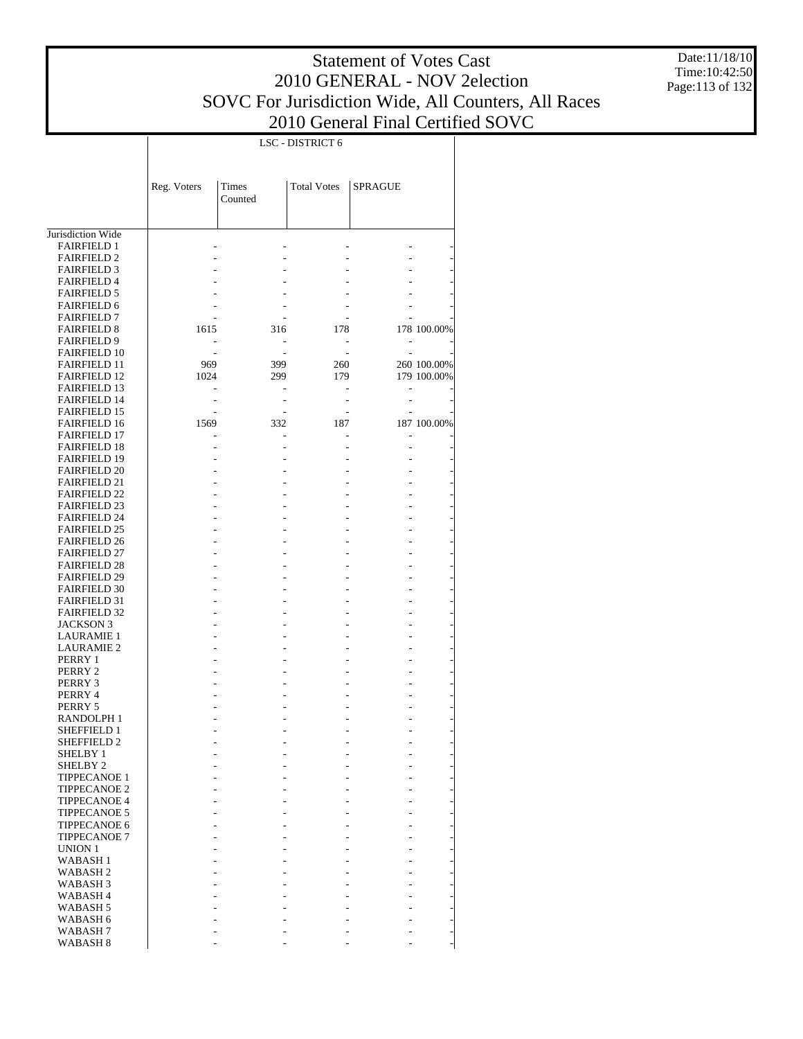Date:11/18/10 Time:10:42:50 Page:113 of 132

|                                            |             |         | LSC - DISTRICT 6   |                |             |
|--------------------------------------------|-------------|---------|--------------------|----------------|-------------|
|                                            |             |         |                    |                |             |
|                                            |             |         |                    |                |             |
|                                            | Reg. Voters | Times   | <b>Total Votes</b> | <b>SPRAGUE</b> |             |
|                                            |             | Counted |                    |                |             |
|                                            |             |         |                    |                |             |
|                                            |             |         |                    |                |             |
| Jurisdiction Wide                          |             |         |                    |                |             |
| <b>FAIRFIELD 1</b>                         |             |         |                    |                |             |
| <b>FAIRFIELD 2</b>                         |             |         |                    |                |             |
| <b>FAIRFIELD 3</b>                         |             |         |                    |                |             |
| <b>FAIRFIELD 4</b>                         |             |         |                    |                |             |
| <b>FAIRFIELD 5</b>                         |             |         |                    |                |             |
| <b>FAIRFIELD 6</b>                         |             |         |                    |                |             |
| <b>FAIRFIELD 7</b>                         |             |         |                    |                |             |
| <b>FAIRFIELD 8</b>                         | 1615        | 316     | 178                |                | 178 100.00% |
| <b>FAIRFIELD 9</b><br><b>FAIRFIELD 10</b>  |             |         |                    |                |             |
| FAIRFIELD 11                               | 969         | 399     | 260                |                | 260 100.00% |
| <b>FAIRFIELD 12</b>                        | 1024        | 299     | 179                |                | 179 100.00% |
| <b>FAIRFIELD 13</b>                        |             |         |                    |                |             |
| <b>FAIRFIELD 14</b>                        |             |         |                    |                |             |
| FAIRFIELD 15                               |             |         |                    |                |             |
| <b>FAIRFIELD 16</b>                        | 1569        | 332     | 187                |                | 187 100.00% |
| <b>FAIRFIELD 17</b>                        |             |         |                    |                |             |
| <b>FAIRFIELD 18</b>                        |             |         |                    |                |             |
| FAIRFIELD 19                               |             |         |                    |                |             |
| <b>FAIRFIELD 20</b>                        |             |         |                    |                |             |
| <b>FAIRFIELD 21</b><br><b>FAIRFIELD 22</b> |             |         |                    |                |             |
| FAIRFIELD 23                               |             |         |                    |                |             |
| <b>FAIRFIELD 24</b>                        |             |         |                    |                |             |
| <b>FAIRFIELD 25</b>                        |             |         |                    |                |             |
| <b>FAIRFIELD 26</b>                        |             |         |                    |                |             |
| <b>FAIRFIELD 27</b>                        |             |         |                    |                |             |
| <b>FAIRFIELD 28</b>                        |             |         |                    |                |             |
| <b>FAIRFIELD 29</b>                        |             |         |                    |                |             |
| <b>FAIRFIELD 30</b>                        |             |         |                    |                |             |
| <b>FAIRFIELD 31</b>                        |             |         |                    |                |             |
| <b>FAIRFIELD 32</b>                        |             |         |                    |                |             |
| <b>JACKSON 3</b>                           |             |         |                    |                |             |
| <b>LAURAMIE 1</b><br><b>LAURAMIE 2</b>     |             |         |                    |                |             |
| PERRY 1                                    |             |         |                    |                |             |
| PERRY 2                                    |             |         |                    |                |             |
| PERRY 3                                    |             |         |                    |                |             |
| PERRY 4                                    |             |         |                    |                |             |
| PERRY 5                                    |             |         |                    |                |             |
| RANDOLPH 1                                 |             |         |                    |                |             |
| SHEFFIELD 1                                |             |         |                    |                |             |
| SHEFFIELD 2                                |             |         |                    |                |             |
| SHELBY 1                                   |             |         |                    |                |             |
| SHELBY <sub>2</sub><br><b>TIPPECANOE 1</b> |             |         |                    |                |             |
| <b>TIPPECANOE 2</b>                        |             |         |                    |                |             |
| <b>TIPPECANOE 4</b>                        |             |         |                    |                |             |
| <b>TIPPECANOE 5</b>                        |             |         |                    |                |             |
| <b>TIPPECANOE 6</b>                        |             |         |                    |                |             |
| <b>TIPPECANOE 7</b>                        |             |         |                    |                |             |
| UNION 1                                    |             |         |                    |                |             |
| <b>WABASH1</b>                             |             |         |                    |                |             |
| WABASH <sub>2</sub>                        |             |         |                    |                |             |
| WABASH <sub>3</sub>                        |             |         |                    |                |             |
| WABASH <sub>4</sub>                        |             |         |                    |                |             |
| WABASH <sub>5</sub>                        |             |         |                    |                |             |
| WABASH 6<br>WABASH 7                       |             |         |                    |                |             |
| WABASH 8                                   |             |         |                    |                |             |
|                                            |             |         |                    |                |             |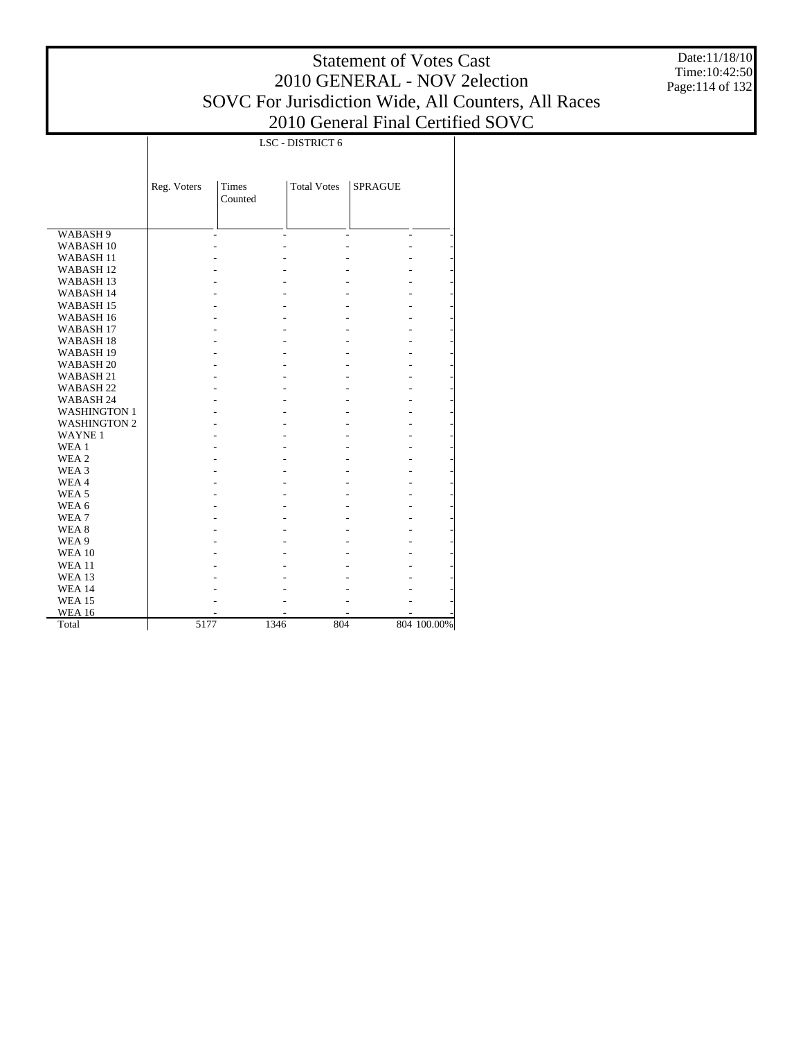Date:11/18/10 Time:10:42:50 Page:114 of 132

|                      |             |                         | LSC - DISTRICT 6   |                |             |
|----------------------|-------------|-------------------------|--------------------|----------------|-------------|
|                      |             |                         |                    |                |             |
|                      | Reg. Voters | <b>Times</b><br>Counted | <b>Total Votes</b> | <b>SPRAGUE</b> |             |
|                      |             |                         |                    |                |             |
|                      |             |                         |                    |                |             |
| WABASH 9             |             |                         |                    | ä,<br>ä,       |             |
| WABASH <sub>10</sub> |             |                         |                    |                |             |
| WABASH <sub>11</sub> |             |                         |                    |                |             |
| WABASH <sub>12</sub> |             |                         |                    |                |             |
| WABASH <sub>13</sub> |             |                         |                    |                |             |
| WABASH 14            |             |                         |                    |                |             |
| WABASH <sub>15</sub> |             |                         |                    |                |             |
| WABASH 16            |             |                         |                    |                |             |
| WABASH <sub>17</sub> |             |                         |                    |                |             |
| WABASH <sub>18</sub> |             |                         |                    |                |             |
| WABASH 19            |             |                         |                    |                |             |
| WABASH <sub>20</sub> |             |                         |                    |                |             |
| WABASH 21            |             |                         |                    |                |             |
| WABASH <sub>22</sub> |             |                         |                    |                |             |
| WABASH 24            |             |                         |                    |                |             |
| <b>WASHINGTON 1</b>  |             |                         |                    |                |             |
| <b>WASHINGTON 2</b>  |             |                         |                    |                |             |
| <b>WAYNE1</b>        |             |                         |                    |                |             |
| WEA 1                |             |                         |                    |                |             |
| WEA <sub>2</sub>     |             |                         |                    |                |             |
| WEA 3                |             |                         |                    |                |             |
| WEA4                 |             |                         |                    |                |             |
| WEA <sub>5</sub>     |             |                         |                    |                |             |
| WEA 6                |             |                         |                    |                |             |
| WEA7                 |             |                         |                    |                |             |
| WEA <sub>8</sub>     |             |                         |                    |                |             |
| WEA 9                |             |                         |                    |                |             |
| <b>WEA 10</b>        |             |                         |                    |                |             |
| <b>WEA 11</b>        |             |                         |                    |                |             |
| <b>WEA 13</b>        |             |                         |                    |                |             |
| <b>WEA 14</b>        |             |                         |                    |                |             |
| <b>WEA 15</b>        |             |                         |                    |                |             |
| <b>WEA 16</b>        |             |                         |                    |                |             |
| Total                | 5177        | 1346                    | 804                |                | 804 100.00% |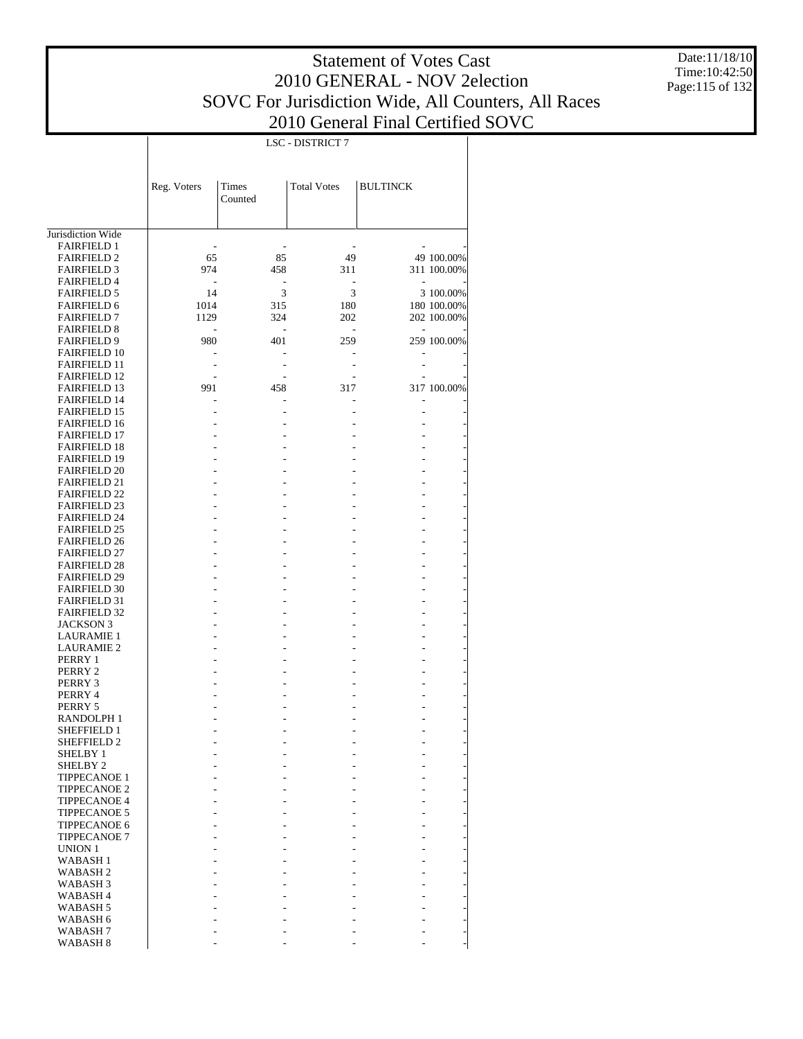Date:11/18/10 Time:10:42:50 Page:115 of 132

|                                            |             |                          | LSC - DISTRICT 7         |                          |             |
|--------------------------------------------|-------------|--------------------------|--------------------------|--------------------------|-------------|
|                                            |             |                          |                          |                          |             |
|                                            | Reg. Voters | Times<br>Counted         | <b>Total Votes</b>       | <b>BULTINCK</b>          |             |
| Jurisdiction Wide                          |             |                          |                          |                          |             |
| <b>FAIRFIELD 1</b>                         |             |                          |                          |                          |             |
| <b>FAIRFIELD 2</b>                         | 65          | 85                       | 49                       |                          | 49 100.00%  |
| <b>FAIRFIELD 3</b>                         | 974         | 458                      | 311                      |                          | 311 100.00% |
| <b>FAIRFIELD 4</b>                         |             | $\overline{\phantom{a}}$ |                          | ٠                        |             |
| <b>FAIRFIELD 5</b>                         | 14          | 3                        | 3                        |                          | 3 100.00%   |
| <b>FAIRFIELD 6</b>                         | 1014        | 315                      | 180                      |                          | 180 100.00% |
| <b>FAIRFIELD 7</b>                         | 1129        | 324                      | 202                      |                          | 202 100.00% |
| <b>FAIRFIELD 8</b>                         |             |                          | $\overline{\phantom{a}}$ | $\overline{\phantom{a}}$ |             |
| <b>FAIRFIELD 9</b><br><b>FAIRFIELD 10</b>  | 980         | 401                      | 259                      |                          | 259 100.00% |
| <b>FAIRFIELD 11</b>                        |             |                          |                          | $\overline{a}$           |             |
| <b>FAIRFIELD 12</b>                        |             |                          |                          |                          |             |
| <b>FAIRFIELD 13</b>                        | 991         | 458                      | 317                      |                          | 317 100.00% |
| <b>FAIRFIELD 14</b>                        |             |                          |                          |                          |             |
| <b>FAIRFIELD 15</b>                        |             |                          |                          | $\overline{a}$           |             |
| <b>FAIRFIELD 16</b>                        |             |                          |                          |                          |             |
| <b>FAIRFIELD 17</b>                        |             |                          |                          |                          |             |
| <b>FAIRFIELD 18</b>                        |             |                          |                          |                          |             |
| <b>FAIRFIELD 19</b>                        |             |                          |                          |                          |             |
| <b>FAIRFIELD 20</b>                        |             |                          |                          |                          |             |
| <b>FAIRFIELD 21</b>                        |             |                          |                          |                          |             |
| <b>FAIRFIELD 22</b>                        |             |                          |                          |                          |             |
| <b>FAIRFIELD 23</b>                        |             |                          |                          |                          |             |
| <b>FAIRFIELD 24</b><br><b>FAIRFIELD 25</b> |             |                          |                          |                          |             |
| <b>FAIRFIELD 26</b>                        |             |                          |                          |                          |             |
| <b>FAIRFIELD 27</b>                        |             |                          |                          |                          |             |
| <b>FAIRFIELD 28</b>                        |             |                          |                          |                          |             |
| <b>FAIRFIELD 29</b>                        |             |                          |                          |                          |             |
| <b>FAIRFIELD 30</b>                        |             |                          |                          |                          |             |
| <b>FAIRFIELD 31</b>                        |             |                          |                          |                          |             |
| <b>FAIRFIELD 32</b>                        |             |                          |                          |                          |             |
| <b>JACKSON 3</b>                           |             |                          |                          |                          |             |
| <b>LAURAMIE 1</b>                          |             |                          |                          |                          |             |
| <b>LAURAMIE 2</b>                          |             |                          |                          |                          |             |
| PERRY 1                                    |             |                          |                          |                          |             |
| PERRY 2<br>PERRY 3                         |             |                          |                          |                          |             |
| PERRY 4                                    |             |                          |                          |                          |             |
| PERRY 5                                    |             |                          |                          |                          |             |
| RANDOLPH 1                                 |             |                          |                          |                          |             |
| SHEFFIELD 1                                |             |                          |                          | $\overline{a}$           |             |
| SHEFFIELD 2                                |             |                          |                          |                          |             |
| SHELBY 1                                   |             |                          |                          |                          |             |
| SHELBY <sub>2</sub>                        |             |                          |                          |                          |             |
| TIPPECANOE 1                               |             |                          |                          |                          |             |
| <b>TIPPECANOE 2</b>                        |             |                          |                          | $\overline{a}$           |             |
| <b>TIPPECANOE 4</b>                        |             |                          |                          | $\overline{a}$           |             |
| <b>TIPPECANOE 5</b><br>TIPPECANOE 6        |             |                          |                          | $\overline{a}$           |             |
| <b>TIPPECANOE 7</b>                        |             |                          |                          | $\overline{a}$           |             |
| UNION 1                                    |             |                          |                          |                          |             |
| <b>WABASH1</b>                             |             |                          |                          | $\overline{a}$           |             |
| WABASH <sub>2</sub>                        |             |                          |                          |                          |             |
| WABASH <sub>3</sub>                        |             |                          |                          | -                        |             |
| WABASH <sub>4</sub>                        |             |                          |                          |                          |             |
| WABASH <sub>5</sub>                        |             |                          |                          | $\overline{a}$           |             |
| WABASH 6                                   |             |                          |                          |                          |             |
| WABASH <sub>7</sub>                        |             |                          |                          |                          |             |
| WABASH 8                                   |             |                          |                          |                          |             |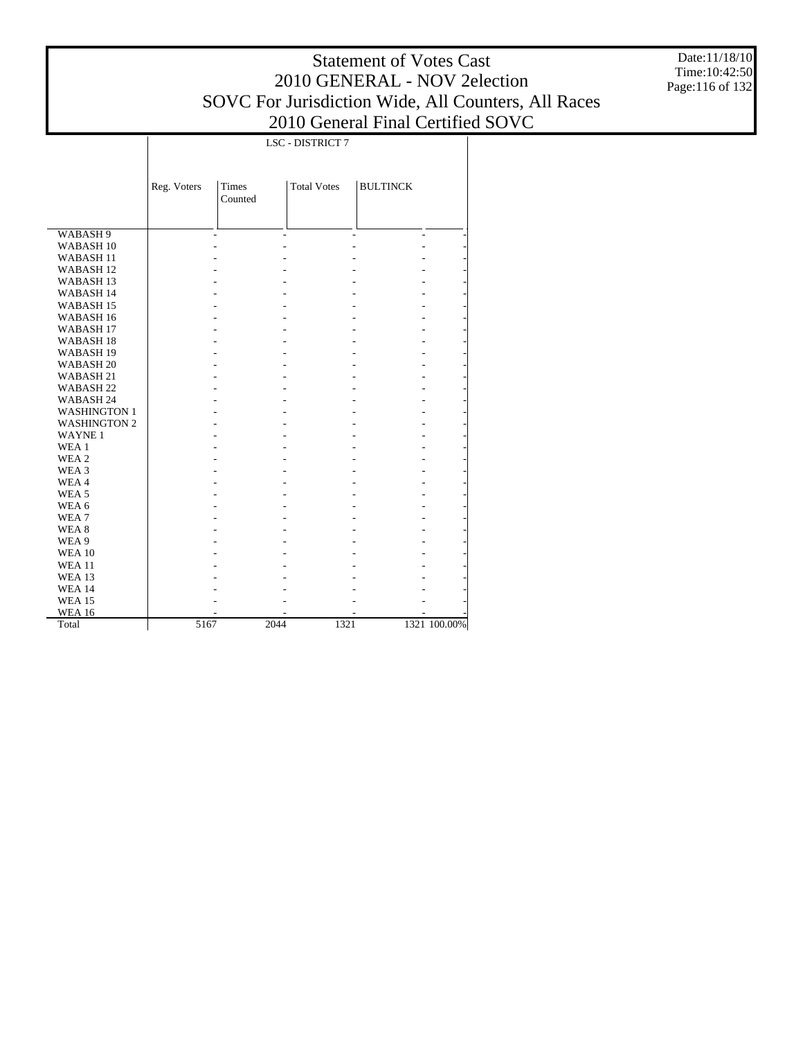LSC - DISTRICT 7

Date:11/18/10 Time:10:42:50 Page:116 of 132

|                      | Reg. Voters | <b>Times</b><br>Counted | <b>Total Votes</b> | <b>BULTINCK</b> |                              |
|----------------------|-------------|-------------------------|--------------------|-----------------|------------------------------|
| WABASH 9             |             |                         |                    |                 | $\qquad \qquad \blacksquare$ |
| WABASH <sub>10</sub> |             |                         |                    |                 |                              |
| WABASH <sub>11</sub> |             |                         |                    |                 |                              |
| WABASH <sub>12</sub> |             |                         |                    |                 |                              |
| WABASH <sub>13</sub> |             |                         |                    |                 |                              |
| WABASH 14            |             |                         |                    |                 |                              |
| WABASH <sub>15</sub> |             |                         |                    |                 |                              |
| WABASH 16            |             |                         |                    |                 |                              |
| WABASH <sub>17</sub> |             |                         |                    |                 |                              |
| WABASH <sub>18</sub> |             |                         |                    |                 |                              |
| WABASH <sub>19</sub> |             |                         |                    |                 |                              |
| WABASH <sub>20</sub> |             |                         |                    |                 |                              |
| WABASH 21            |             |                         |                    |                 |                              |
| WABASH <sub>22</sub> |             |                         |                    |                 |                              |
| WABASH 24            |             |                         |                    |                 |                              |
| <b>WASHINGTON 1</b>  |             |                         |                    |                 |                              |
| <b>WASHINGTON 2</b>  |             |                         |                    |                 |                              |
| <b>WAYNE1</b>        |             |                         |                    |                 |                              |
| WEA 1                |             |                         |                    |                 |                              |
| WEA 2                |             |                         |                    |                 |                              |
| WEA 3                |             |                         |                    |                 |                              |
| WEA4                 |             |                         |                    |                 |                              |
| WEA <sub>5</sub>     |             |                         |                    |                 |                              |
| WEA 6                |             |                         |                    |                 |                              |
| WEA <sub>7</sub>     |             |                         |                    |                 |                              |
| WEA 8                |             |                         |                    |                 |                              |
| WEA 9                |             |                         |                    |                 |                              |
| <b>WEA 10</b>        |             |                         |                    |                 |                              |
| <b>WEA 11</b>        |             |                         |                    |                 |                              |
| <b>WEA 13</b>        |             |                         |                    |                 |                              |
| <b>WEA 14</b>        |             |                         |                    |                 |                              |
| <b>WEA 15</b>        |             |                         |                    |                 |                              |
| <b>WEA 16</b>        |             |                         |                    |                 |                              |
| Total                | 5167        |                         | 2044               | 1321            | 1321 100.00%                 |

 $\mathbb{I}$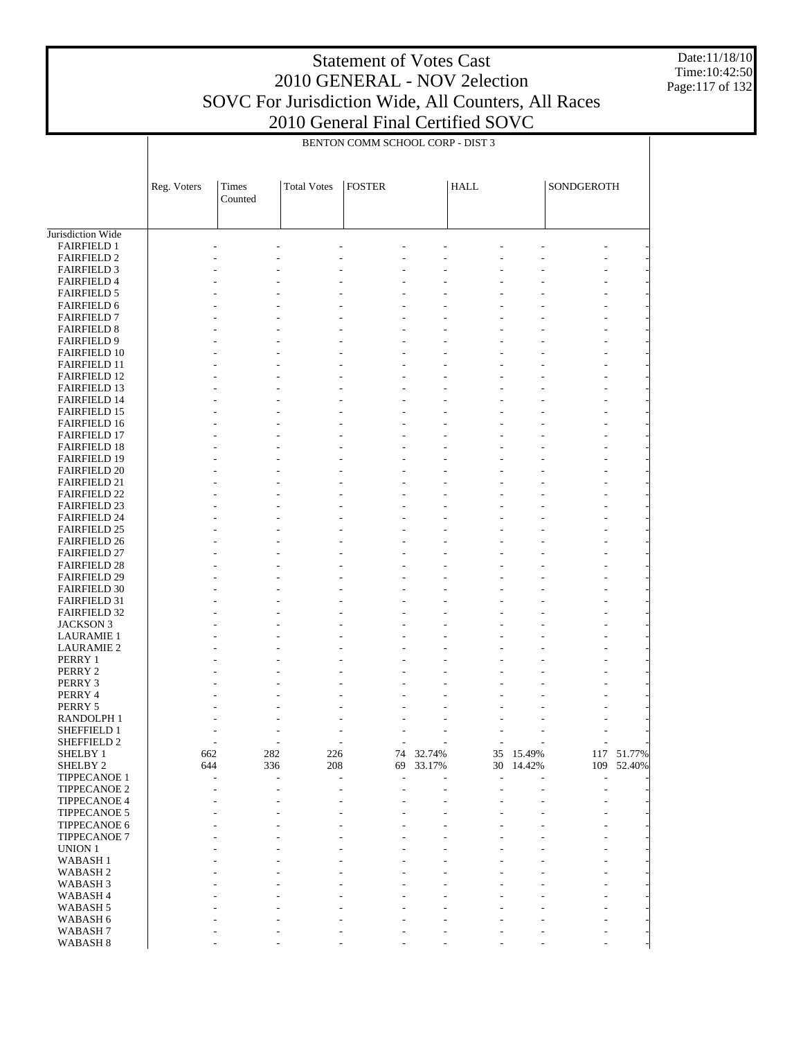Date:11/18/10 Time:10:42:50 Page:117 of 132

|                                            | BENTON COMM SCHOOL CORP - DIST 3 |                          |                          |                                  |        |                              |        |            |        |
|--------------------------------------------|----------------------------------|--------------------------|--------------------------|----------------------------------|--------|------------------------------|--------|------------|--------|
|                                            |                                  |                          |                          |                                  |        |                              |        |            |        |
|                                            | Reg. Voters                      | Times                    | <b>Total Votes</b>       | <b>FOSTER</b>                    |        | <b>HALL</b>                  |        | SONDGEROTH |        |
|                                            |                                  | Counted                  |                          |                                  |        |                              |        |            |        |
|                                            |                                  |                          |                          |                                  |        |                              |        |            |        |
| Jurisdiction Wide<br><b>FAIRFIELD 1</b>    |                                  |                          |                          |                                  |        |                              |        |            |        |
| <b>FAIRFIELD 2</b>                         |                                  |                          |                          |                                  |        |                              |        |            |        |
| <b>FAIRFIELD 3</b>                         |                                  |                          |                          |                                  |        |                              |        |            |        |
| <b>FAIRFIELD 4</b>                         |                                  |                          |                          |                                  |        |                              |        |            |        |
| <b>FAIRFIELD 5</b>                         |                                  |                          |                          |                                  |        |                              |        |            |        |
| <b>FAIRFIELD 6</b>                         |                                  |                          |                          |                                  |        |                              |        |            |        |
| <b>FAIRFIELD 7</b>                         |                                  |                          |                          |                                  |        |                              |        |            |        |
| <b>FAIRFIELD 8</b>                         |                                  |                          |                          |                                  |        |                              |        |            |        |
| <b>FAIRFIELD 9</b>                         |                                  |                          |                          |                                  |        |                              |        |            |        |
| <b>FAIRFIELD 10</b><br><b>FAIRFIELD 11</b> |                                  |                          |                          |                                  |        |                              |        |            |        |
| <b>FAIRFIELD 12</b>                        |                                  |                          |                          |                                  |        |                              |        |            |        |
| <b>FAIRFIELD 13</b>                        |                                  |                          |                          |                                  |        |                              |        |            |        |
| <b>FAIRFIELD 14</b>                        |                                  |                          |                          |                                  |        |                              |        |            |        |
| <b>FAIRFIELD 15</b>                        |                                  |                          |                          |                                  |        |                              |        |            |        |
| <b>FAIRFIELD 16</b>                        |                                  |                          |                          |                                  |        |                              |        |            |        |
| <b>FAIRFIELD 17</b>                        |                                  |                          |                          |                                  |        |                              |        |            |        |
| <b>FAIRFIELD 18</b>                        |                                  |                          |                          |                                  |        |                              |        |            |        |
| <b>FAIRFIELD 19</b>                        |                                  |                          |                          |                                  |        |                              |        |            |        |
| <b>FAIRFIELD 20</b>                        |                                  |                          |                          |                                  |        |                              |        |            |        |
| <b>FAIRFIELD 21</b>                        |                                  |                          |                          |                                  |        |                              |        |            |        |
| <b>FAIRFIELD 22</b><br><b>FAIRFIELD 23</b> |                                  |                          |                          |                                  |        |                              |        |            |        |
| <b>FAIRFIELD 24</b>                        |                                  |                          |                          |                                  |        |                              |        |            |        |
| <b>FAIRFIELD 25</b>                        |                                  |                          |                          |                                  |        |                              |        |            |        |
| <b>FAIRFIELD 26</b>                        |                                  |                          |                          |                                  |        |                              |        |            |        |
| <b>FAIRFIELD 27</b>                        |                                  |                          |                          |                                  |        |                              |        |            |        |
| <b>FAIRFIELD 28</b>                        |                                  |                          |                          |                                  |        |                              |        |            |        |
| <b>FAIRFIELD 29</b>                        |                                  |                          |                          |                                  |        |                              |        |            |        |
| <b>FAIRFIELD 30</b>                        |                                  |                          |                          |                                  |        |                              |        |            |        |
| <b>FAIRFIELD 31</b>                        |                                  |                          |                          |                                  |        |                              |        |            |        |
| <b>FAIRFIELD 32</b>                        |                                  |                          |                          |                                  |        |                              |        |            |        |
| <b>JACKSON 3</b><br><b>LAURAMIE 1</b>      |                                  |                          |                          |                                  |        |                              |        |            |        |
| <b>LAURAMIE 2</b>                          |                                  |                          |                          |                                  |        |                              |        |            |        |
| PERRY 1                                    |                                  |                          |                          |                                  |        |                              |        |            |        |
| PERRY 2                                    |                                  |                          |                          |                                  |        |                              |        |            |        |
| PERRY 3                                    |                                  |                          |                          |                                  |        |                              |        |            |        |
| PERRY 4                                    |                                  |                          |                          |                                  |        |                              |        |            |        |
| PERRY 5                                    |                                  |                          |                          |                                  |        |                              |        |            |        |
| <b>RANDOLPH1</b>                           |                                  |                          |                          |                                  |        |                              |        |            |        |
| SHEFFIELD 1                                |                                  | $\overline{\phantom{a}}$ | $\overline{\phantom{a}}$ | $\overline{a}$<br>$\overline{a}$ |        | ÷,                           |        | ÷,         |        |
| SHEFFIELD 2                                |                                  | $\overline{a}$           | $\overline{\phantom{a}}$ | $\overline{a}$<br>$\overline{a}$ |        | $\qquad \qquad \blacksquare$ |        |            |        |
| SHELBY 1                                   | 662                              | 282                      | 226                      | 74                               | 32.74% | 35                           | 15.49% | 117        | 51.77% |
| SHELBY <sub>2</sub><br><b>TIPPECANOE 1</b> | 644                              | 336                      | 208                      | 69<br>L,<br>$\overline{a}$       | 33.17% | 30<br>÷,                     | 14.42% | 109        | 52.40% |
| <b>TIPPECANOE 2</b>                        |                                  |                          |                          |                                  |        |                              |        |            |        |
| <b>TIPPECANOE 4</b>                        |                                  |                          |                          |                                  |        |                              |        |            |        |
| <b>TIPPECANOE 5</b>                        |                                  |                          |                          |                                  |        |                              |        |            |        |
| TIPPECANOE 6                               |                                  |                          |                          |                                  |        |                              |        |            |        |
| <b>TIPPECANOE 7</b>                        |                                  |                          |                          |                                  |        |                              |        |            |        |
| UNION 1                                    |                                  |                          |                          |                                  |        |                              |        |            |        |
| <b>WABASH1</b>                             |                                  |                          |                          |                                  |        |                              |        |            |        |
| WABASH <sub>2</sub>                        |                                  |                          |                          |                                  |        |                              |        |            |        |
| WABASH 3                                   |                                  |                          |                          |                                  |        |                              |        |            |        |
| WABASH 4                                   |                                  |                          |                          |                                  |        |                              |        |            |        |
| WABASH 5                                   |                                  |                          |                          |                                  |        |                              |        |            |        |
| WABASH 6<br>WABASH <sub>7</sub>            |                                  |                          |                          |                                  |        |                              |        |            |        |
|                                            |                                  |                          |                          |                                  |        |                              |        |            |        |

- - - - - - - - -

WABASH 8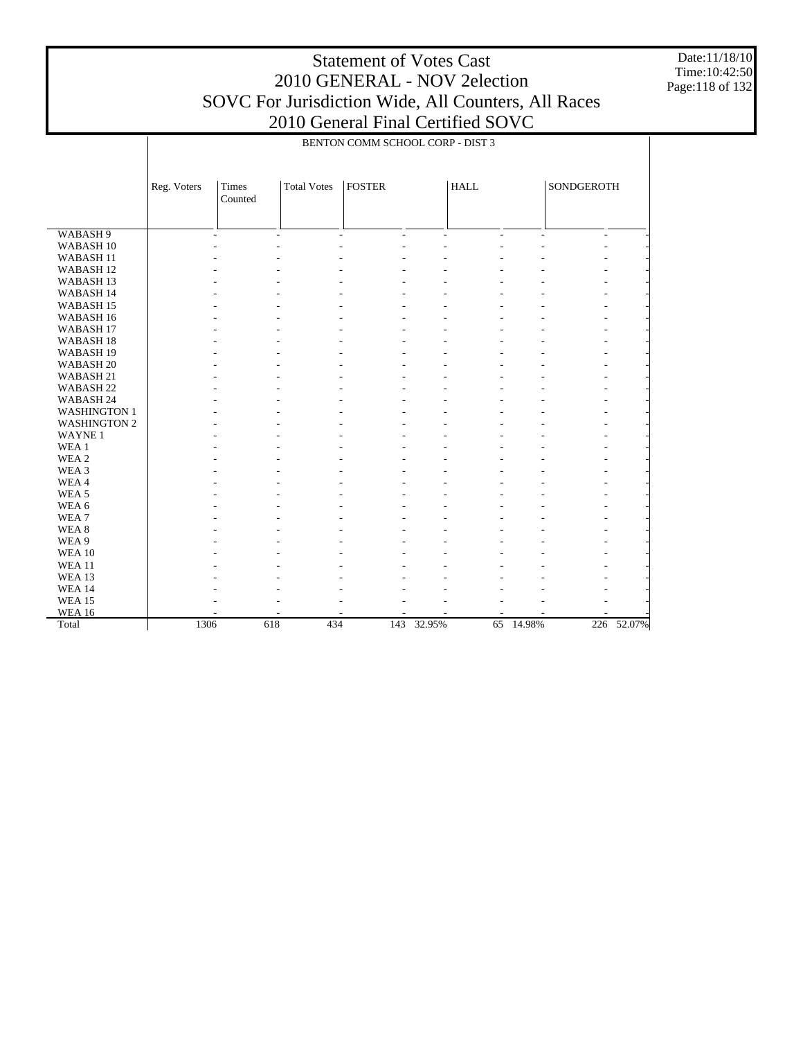Date:11/18/10 Time:10:42:50 Page:118 of 132

|                      | BENTON COMM SCHOOL CORP - DIST 3 |                          |                          |                                            |                          |             |                          |                          |            |  |
|----------------------|----------------------------------|--------------------------|--------------------------|--------------------------------------------|--------------------------|-------------|--------------------------|--------------------------|------------|--|
|                      |                                  |                          |                          |                                            |                          |             |                          |                          |            |  |
|                      | Reg. Voters                      | <b>Times</b><br>Counted  | <b>Total Votes</b>       | <b>FOSTER</b>                              |                          | <b>HALL</b> |                          | SONDGEROTH               |            |  |
|                      |                                  |                          |                          |                                            |                          |             |                          |                          |            |  |
| WABASH <sub>9</sub>  |                                  | $\overline{\phantom{a}}$ | $\overline{\phantom{a}}$ | $\blacksquare$<br>$\overline{\phantom{a}}$ | $\overline{\phantom{a}}$ | ÷,          | $\overline{\phantom{a}}$ | $\overline{\phantom{a}}$ |            |  |
| WABASH <sub>10</sub> |                                  |                          |                          |                                            |                          |             |                          |                          |            |  |
| WABASH <sub>11</sub> |                                  |                          |                          |                                            |                          |             |                          |                          |            |  |
| WABASH <sub>12</sub> |                                  |                          |                          |                                            |                          |             |                          |                          |            |  |
| WABASH <sub>13</sub> |                                  |                          |                          |                                            |                          |             |                          |                          |            |  |
| WABASH 14            |                                  |                          |                          |                                            |                          |             |                          |                          |            |  |
| WABASH <sub>15</sub> |                                  |                          |                          |                                            |                          |             |                          |                          |            |  |
| WABASH 16            |                                  |                          |                          |                                            |                          |             |                          |                          |            |  |
| WABASH <sub>17</sub> |                                  |                          |                          |                                            |                          |             |                          |                          |            |  |
| WABASH <sub>18</sub> |                                  |                          |                          |                                            |                          |             |                          |                          |            |  |
| WABASH <sub>19</sub> |                                  |                          |                          |                                            |                          |             |                          |                          |            |  |
| WABASH <sub>20</sub> |                                  |                          |                          |                                            |                          |             |                          |                          |            |  |
| WABASH 21            |                                  |                          |                          |                                            |                          |             |                          |                          |            |  |
| WABASH <sub>22</sub> |                                  |                          |                          |                                            |                          |             |                          |                          |            |  |
| WABASH 24            |                                  |                          |                          |                                            |                          |             |                          |                          |            |  |
| <b>WASHINGTON 1</b>  |                                  |                          |                          |                                            |                          |             |                          |                          |            |  |
| <b>WASHINGTON 2</b>  |                                  |                          |                          |                                            |                          |             |                          |                          |            |  |
| <b>WAYNE1</b>        |                                  |                          |                          |                                            |                          |             |                          |                          |            |  |
| WEA 1                |                                  |                          |                          |                                            |                          |             |                          |                          |            |  |
| WEA 2                |                                  |                          |                          |                                            |                          |             |                          |                          |            |  |
| WEA 3                |                                  |                          |                          |                                            |                          |             |                          |                          |            |  |
| WEA4                 |                                  |                          |                          |                                            |                          |             |                          |                          |            |  |
| WEA <sub>5</sub>     |                                  |                          |                          |                                            |                          |             |                          |                          |            |  |
| WEA 6                |                                  |                          |                          |                                            |                          |             |                          |                          |            |  |
| WEA <sub>7</sub>     |                                  |                          |                          |                                            |                          |             |                          |                          |            |  |
| WEA <sub>8</sub>     |                                  |                          |                          |                                            |                          |             |                          |                          |            |  |
| WEA 9                |                                  |                          |                          |                                            |                          |             |                          |                          |            |  |
| <b>WEA 10</b>        |                                  |                          |                          |                                            |                          |             |                          |                          |            |  |
| <b>WEA 11</b>        |                                  |                          |                          |                                            |                          |             |                          |                          |            |  |
| WEA 13               |                                  |                          |                          |                                            |                          |             |                          |                          |            |  |
| <b>WEA 14</b>        |                                  |                          |                          |                                            |                          |             |                          |                          |            |  |
| <b>WEA 15</b>        |                                  |                          |                          |                                            |                          |             |                          |                          |            |  |
| <b>WEA 16</b>        |                                  |                          |                          |                                            |                          |             |                          |                          |            |  |
| Total                | 1306                             | 618                      | 434                      | 143                                        | 32.95%                   | 65          | 14.98%                   |                          | 226 52.07% |  |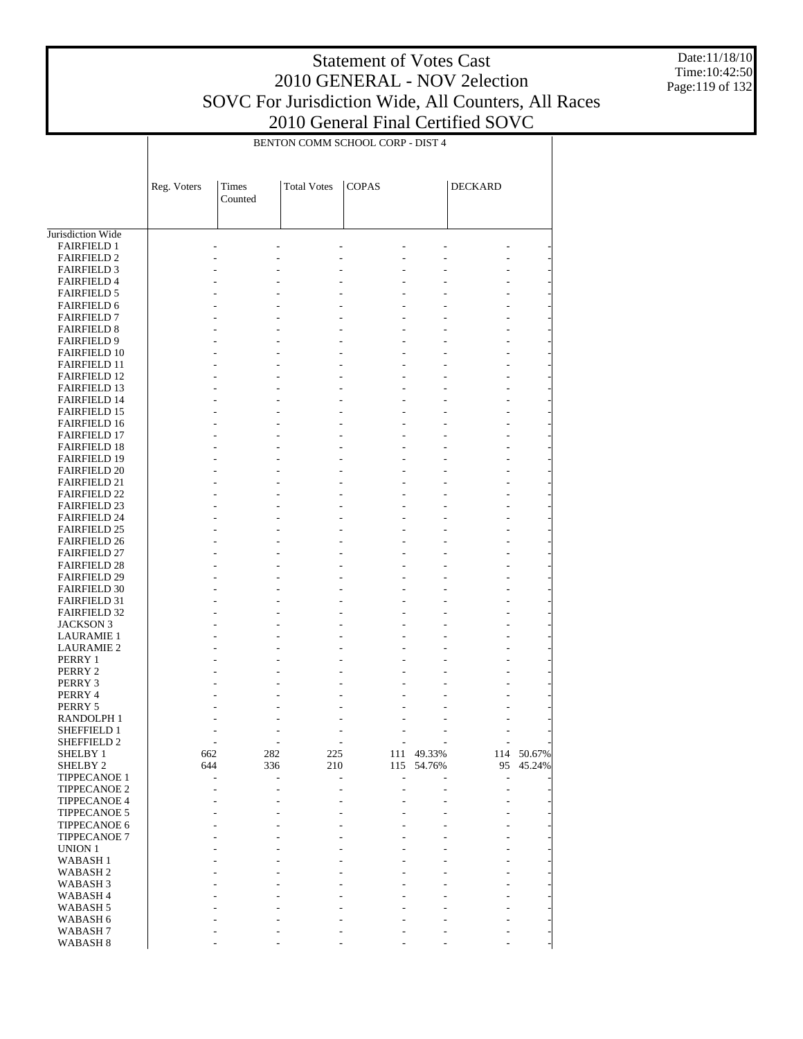Date:11/18/10 Time:10:42:50 Page:119 of 132

|                                            |                | BENTON COMM SCHOOL CORP - DIST 4 |                    |                |            |                          |        |  |
|--------------------------------------------|----------------|----------------------------------|--------------------|----------------|------------|--------------------------|--------|--|
|                                            | Reg. Voters    | Times<br>Counted                 | <b>Total Votes</b> | <b>COPAS</b>   |            | <b>DECKARD</b>           |        |  |
| Jurisdiction Wide                          |                |                                  |                    |                |            |                          |        |  |
| <b>FAIRFIELD 1</b>                         |                |                                  |                    |                |            |                          |        |  |
| <b>FAIRFIELD 2</b>                         |                |                                  |                    |                |            |                          |        |  |
| <b>FAIRFIELD 3</b>                         |                |                                  |                    |                |            |                          |        |  |
| <b>FAIRFIELD 4</b>                         |                |                                  |                    |                |            |                          |        |  |
| <b>FAIRFIELD 5</b>                         |                |                                  |                    |                |            |                          |        |  |
| <b>FAIRFIELD 6</b><br><b>FAIRFIELD 7</b>   |                |                                  |                    |                |            |                          |        |  |
| <b>FAIRFIELD 8</b>                         |                |                                  |                    | $\overline{a}$ |            |                          |        |  |
| <b>FAIRFIELD 9</b>                         |                |                                  |                    |                |            |                          |        |  |
| <b>FAIRFIELD 10</b>                        |                |                                  |                    |                |            |                          |        |  |
| <b>FAIRFIELD 11</b>                        |                |                                  |                    |                |            |                          |        |  |
| <b>FAIRFIELD 12</b>                        |                |                                  |                    | $\overline{a}$ |            |                          |        |  |
| <b>FAIRFIELD 13</b>                        |                |                                  |                    |                |            |                          |        |  |
| <b>FAIRFIELD 14</b>                        |                |                                  |                    |                |            |                          |        |  |
| <b>FAIRFIELD 15</b>                        |                |                                  |                    |                |            |                          |        |  |
| <b>FAIRFIELD 16</b>                        |                |                                  |                    |                |            |                          |        |  |
| <b>FAIRFIELD 17</b>                        |                |                                  |                    |                |            |                          |        |  |
| <b>FAIRFIELD 18</b><br><b>FAIRFIELD 19</b> |                |                                  |                    |                |            |                          |        |  |
| <b>FAIRFIELD 20</b>                        |                |                                  |                    |                |            |                          |        |  |
| <b>FAIRFIELD 21</b>                        |                |                                  |                    |                |            |                          |        |  |
| <b>FAIRFIELD 22</b>                        |                |                                  |                    |                |            |                          |        |  |
| <b>FAIRFIELD 23</b>                        |                |                                  |                    |                |            |                          |        |  |
| <b>FAIRFIELD 24</b>                        |                |                                  |                    |                |            |                          |        |  |
| <b>FAIRFIELD 25</b>                        |                |                                  |                    |                |            |                          |        |  |
| <b>FAIRFIELD 26</b>                        |                |                                  |                    |                |            |                          |        |  |
| <b>FAIRFIELD 27</b>                        |                |                                  |                    |                |            |                          |        |  |
| <b>FAIRFIELD 28</b><br><b>FAIRFIELD 29</b> |                |                                  |                    |                |            |                          |        |  |
| <b>FAIRFIELD 30</b>                        |                |                                  |                    |                |            |                          |        |  |
| <b>FAIRFIELD 31</b>                        |                |                                  |                    |                |            |                          |        |  |
| <b>FAIRFIELD 32</b>                        |                |                                  |                    |                |            |                          |        |  |
| JACKSON 3                                  |                |                                  |                    |                |            |                          |        |  |
| <b>LAURAMIE 1</b>                          |                |                                  |                    |                |            |                          |        |  |
| <b>LAURAMIE 2</b>                          |                |                                  |                    |                |            |                          |        |  |
| PERRY 1                                    |                |                                  |                    |                |            |                          |        |  |
| PERRY 2                                    |                |                                  |                    |                |            |                          |        |  |
| PERRY 3                                    |                |                                  |                    |                |            |                          |        |  |
| PERRY 4<br>PERRY 5                         |                |                                  |                    |                |            |                          |        |  |
| <b>RANDOLPH1</b>                           |                |                                  |                    |                |            |                          |        |  |
| SHEFFIELD 1                                | $\overline{a}$ | $\sim$                           |                    | $\sim$<br>L,   |            | $\overline{\phantom{a}}$ |        |  |
| SHEFFIELD 2                                | ÷,             | $\overline{a}$                   |                    |                |            |                          |        |  |
| <b>SHELBY 1</b>                            | 662            | 282                              | 225                |                | 111 49.33% | 114                      | 50.67% |  |
| SHELBY <sub>2</sub>                        | 644            | 336                              | 210                | 115            | 54.76%     | 95                       | 45.24% |  |
| <b>TIPPECANOE 1</b>                        |                |                                  | $\overline{a}$     |                |            | $\overline{a}$           |        |  |
| TIPPECANOE 2                               |                |                                  |                    |                |            | $\overline{a}$           |        |  |
| TIPPECANOE 4                               |                |                                  |                    |                |            |                          |        |  |
| TIPPECANOE 5<br>TIPPECANOE 6               |                |                                  |                    |                |            |                          |        |  |
| TIPPECANOE 7                               |                |                                  |                    |                |            |                          |        |  |
| <b>UNION 1</b>                             |                |                                  |                    |                |            |                          |        |  |
| <b>WABASH1</b>                             |                |                                  |                    |                |            |                          |        |  |
| WABASH <sub>2</sub>                        |                |                                  |                    |                |            |                          |        |  |
| WABASH <sub>3</sub>                        |                |                                  |                    |                |            |                          |        |  |
| WABASH 4                                   |                |                                  |                    |                |            |                          |        |  |
| WABASH 5                                   |                |                                  |                    |                |            |                          |        |  |
| WABASH 6                                   |                |                                  |                    |                |            |                          |        |  |
| WABASH7                                    |                |                                  |                    |                |            |                          |        |  |

- - - - - - -

WABASH 8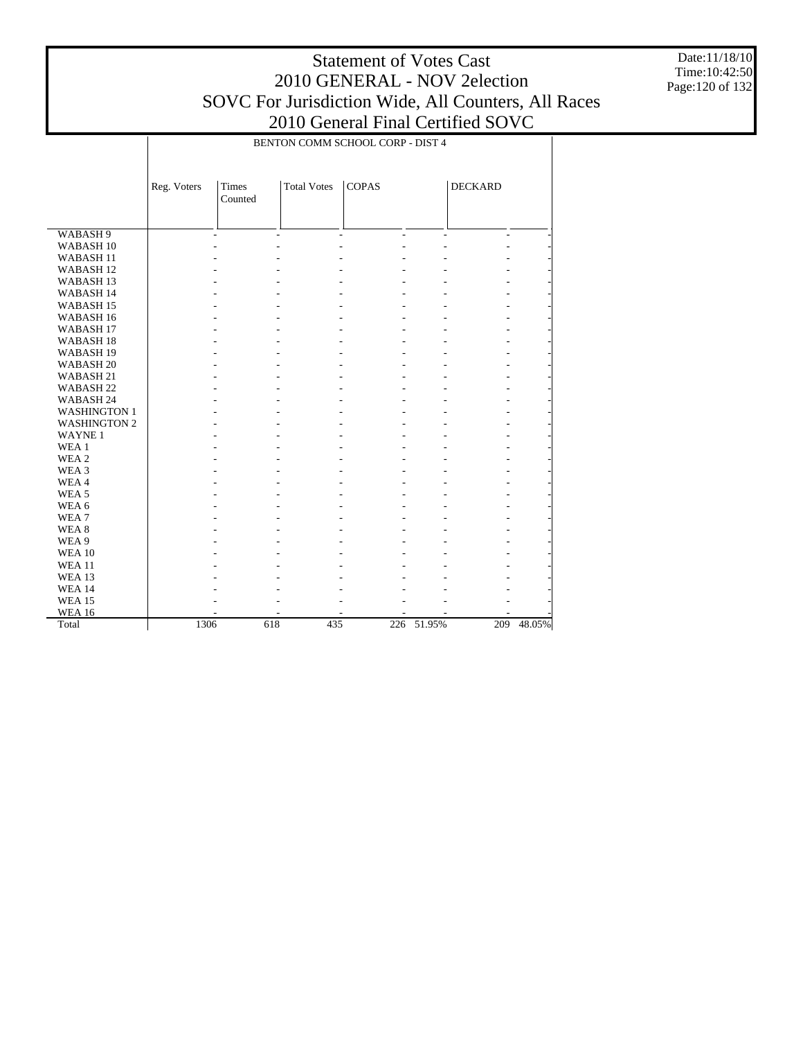Date:11/18/10 Time:10:42:50 Page:120 of 132

|                      | BENTON COMM SCHOOL CORP - DIST 4 |                     |                    |                                  |        |                          |        |  |  |
|----------------------|----------------------------------|---------------------|--------------------|----------------------------------|--------|--------------------------|--------|--|--|
|                      |                                  |                     |                    |                                  |        |                          |        |  |  |
|                      | Reg. Voters                      | Times<br>Counted    | <b>Total Votes</b> | <b>COPAS</b>                     |        | <b>DECKARD</b>           |        |  |  |
|                      |                                  |                     |                    |                                  |        |                          |        |  |  |
| WABASH <sub>9</sub>  |                                  | ÷<br>$\overline{a}$ |                    | $\overline{a}$<br>$\overline{a}$ | L.     | $\overline{\phantom{a}}$ |        |  |  |
| WABASH <sub>10</sub> |                                  |                     |                    |                                  |        |                          |        |  |  |
| WABASH <sub>11</sub> |                                  |                     |                    |                                  |        |                          |        |  |  |
| WABASH <sub>12</sub> |                                  |                     |                    |                                  |        |                          |        |  |  |
| WABASH <sub>13</sub> |                                  |                     |                    |                                  |        |                          |        |  |  |
| WABASH 14            |                                  |                     |                    |                                  |        |                          |        |  |  |
| WABASH <sub>15</sub> |                                  |                     |                    |                                  |        |                          |        |  |  |
| WABASH <sub>16</sub> |                                  |                     |                    |                                  |        |                          |        |  |  |
| WABASH <sub>17</sub> |                                  |                     |                    |                                  |        |                          |        |  |  |
| WABASH <sub>18</sub> |                                  |                     |                    |                                  |        |                          |        |  |  |
| WABASH <sub>19</sub> |                                  |                     |                    |                                  |        |                          |        |  |  |
| WABASH <sub>20</sub> |                                  |                     |                    |                                  |        |                          |        |  |  |
| WABASH <sub>21</sub> |                                  |                     |                    |                                  |        |                          |        |  |  |
| WABASH <sub>22</sub> |                                  |                     |                    |                                  |        |                          |        |  |  |
| WABASH 24            |                                  |                     |                    |                                  |        |                          |        |  |  |
| <b>WASHINGTON 1</b>  |                                  |                     |                    |                                  |        |                          |        |  |  |
| <b>WASHINGTON 2</b>  |                                  |                     |                    |                                  |        |                          |        |  |  |
| <b>WAYNE1</b>        |                                  |                     |                    |                                  |        |                          |        |  |  |
| WEA 1                |                                  |                     |                    |                                  |        |                          |        |  |  |
| WEA <sub>2</sub>     |                                  |                     |                    |                                  |        |                          |        |  |  |
| WEA <sub>3</sub>     |                                  |                     |                    |                                  |        |                          |        |  |  |
| WEA4                 |                                  |                     |                    |                                  |        |                          |        |  |  |
| WEA <sub>5</sub>     |                                  |                     |                    |                                  |        |                          |        |  |  |
| WEA 6                |                                  |                     |                    |                                  |        |                          |        |  |  |
| WEA <sub>7</sub>     |                                  |                     |                    |                                  |        |                          |        |  |  |
| WEA <sub>8</sub>     |                                  |                     |                    |                                  |        |                          |        |  |  |
| WEA 9                |                                  |                     |                    |                                  |        |                          |        |  |  |
| <b>WEA 10</b>        |                                  |                     |                    |                                  |        |                          |        |  |  |
| <b>WEA 11</b>        |                                  |                     |                    |                                  |        |                          |        |  |  |
| <b>WEA 13</b>        |                                  |                     |                    |                                  |        |                          |        |  |  |
| <b>WEA 14</b>        |                                  |                     |                    |                                  |        |                          |        |  |  |
| <b>WEA 15</b>        |                                  |                     |                    |                                  |        |                          |        |  |  |
| <b>WEA 16</b>        |                                  |                     |                    |                                  |        |                          |        |  |  |
| Total                | 1306                             | 618                 | 435                | 226                              | 51.95% | 209                      | 48.05% |  |  |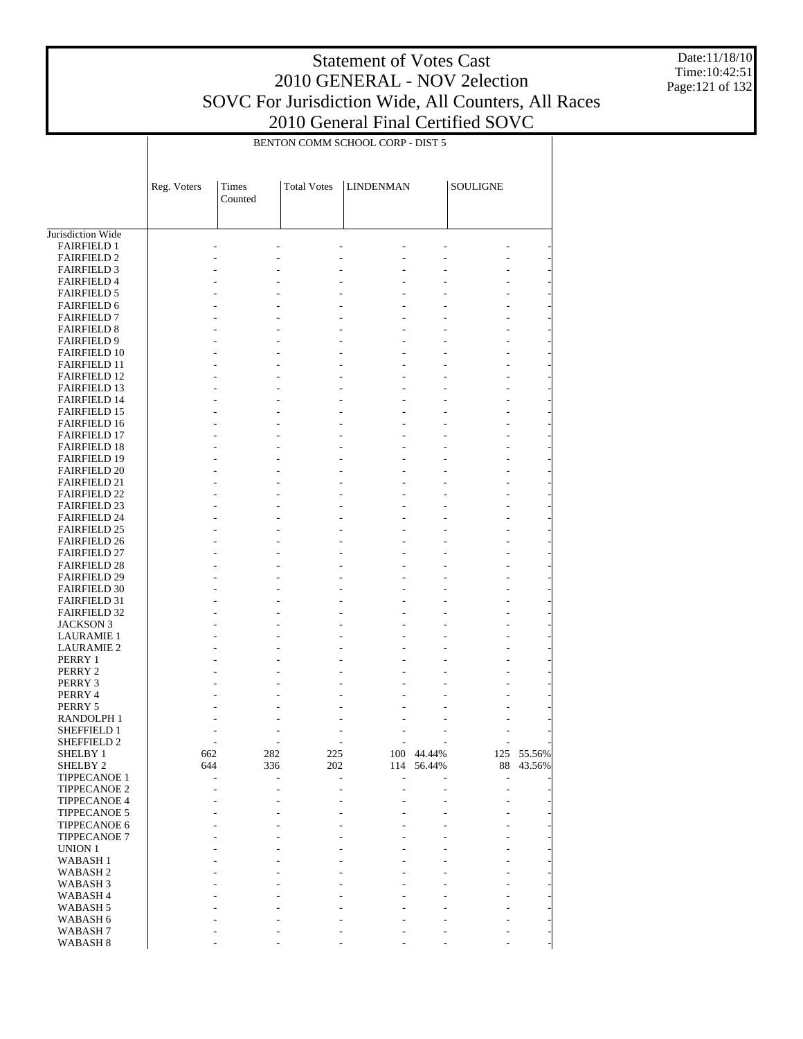Date:11/18/10 Time:10:42:51 Page:121 of 132

|                                            |                |                          |                    | BENTON COMM SCHOOL CORP - DIST 5 |            |                              |        |
|--------------------------------------------|----------------|--------------------------|--------------------|----------------------------------|------------|------------------------------|--------|
|                                            | Reg. Voters    | Times<br>Counted         | <b>Total Votes</b> | <b>LINDENMAN</b>                 |            | <b>SOULIGNE</b>              |        |
| Jurisdiction Wide                          |                |                          |                    |                                  |            |                              |        |
| <b>FAIRFIELD 1</b>                         |                |                          |                    |                                  |            |                              |        |
| <b>FAIRFIELD 2</b>                         |                |                          |                    |                                  |            |                              |        |
| <b>FAIRFIELD 3</b>                         |                |                          |                    | $\overline{a}$                   |            |                              |        |
| <b>FAIRFIELD 4</b>                         |                |                          |                    |                                  |            |                              |        |
| <b>FAIRFIELD 5</b>                         |                |                          |                    |                                  |            |                              |        |
| <b>FAIRFIELD 6</b>                         |                |                          |                    |                                  |            |                              |        |
| <b>FAIRFIELD 7</b><br><b>FAIRFIELD 8</b>   |                |                          |                    | $\overline{\phantom{a}}$         |            |                              |        |
| <b>FAIRFIELD 9</b>                         |                |                          |                    | $\overline{a}$                   |            |                              |        |
| <b>FAIRFIELD 10</b>                        |                |                          |                    |                                  |            |                              |        |
| <b>FAIRFIELD 11</b>                        |                |                          |                    | ÷,                               |            |                              |        |
| <b>FAIRFIELD 12</b>                        |                |                          |                    |                                  |            |                              |        |
| <b>FAIRFIELD 13</b>                        |                |                          |                    | $\overline{a}$                   |            |                              |        |
| <b>FAIRFIELD 14</b>                        |                |                          |                    |                                  |            |                              |        |
| <b>FAIRFIELD 15</b>                        |                |                          |                    | ÷,                               |            |                              |        |
| <b>FAIRFIELD 16</b>                        |                |                          |                    |                                  |            |                              |        |
| <b>FAIRFIELD 17</b><br><b>FAIRFIELD 18</b> |                |                          |                    | $\overline{a}$                   |            |                              |        |
| <b>FAIRFIELD 19</b>                        |                |                          |                    | ÷,                               |            |                              |        |
| <b>FAIRFIELD 20</b>                        |                |                          |                    |                                  |            |                              |        |
| <b>FAIRFIELD 21</b>                        |                |                          |                    | $\overline{a}$                   |            |                              |        |
| <b>FAIRFIELD 22</b>                        |                |                          |                    |                                  |            |                              |        |
| <b>FAIRFIELD 23</b>                        |                |                          |                    | ÷,                               |            |                              |        |
| <b>FAIRFIELD 24</b>                        |                |                          |                    |                                  |            |                              |        |
| <b>FAIRFIELD 25</b>                        |                |                          |                    | $\overline{a}$                   |            |                              |        |
| <b>FAIRFIELD 26</b>                        |                |                          |                    |                                  |            |                              |        |
| <b>FAIRFIELD 27</b>                        |                |                          |                    | ÷,                               |            |                              |        |
| <b>FAIRFIELD 28</b><br><b>FAIRFIELD 29</b> |                |                          |                    | $\overline{a}$                   |            |                              |        |
| <b>FAIRFIELD 30</b>                        |                |                          |                    |                                  |            |                              |        |
| <b>FAIRFIELD 31</b>                        |                |                          |                    | ÷,                               |            |                              |        |
| <b>FAIRFIELD 32</b>                        |                |                          |                    |                                  |            |                              |        |
| <b>JACKSON 3</b>                           |                |                          |                    | Ĭ.                               |            |                              |        |
| <b>LAURAMIE 1</b>                          |                |                          |                    |                                  |            |                              |        |
| <b>LAURAMIE 2</b>                          |                | $\overline{a}$           |                    | $\overline{a}$                   |            |                              |        |
| PERRY 1                                    |                |                          |                    |                                  |            |                              |        |
| PERRY 2                                    |                |                          |                    |                                  |            |                              |        |
| PERRY 3                                    |                |                          |                    |                                  |            |                              |        |
| PERRY 4<br>PERRY 5                         |                |                          |                    |                                  |            |                              |        |
| RANDOLPH 1                                 |                |                          |                    |                                  |            |                              |        |
| SHEFFIELD 1                                | $\overline{a}$ | $\overline{\phantom{a}}$ |                    | L,                               |            | $\qquad \qquad \blacksquare$ |        |
| SHEFFIELD <sub>2</sub>                     |                | $\overline{\phantom{a}}$ |                    |                                  |            |                              |        |
| SHELBY 1                                   | 662            | 282                      | 225                |                                  | 100 44.44% | 125                          | 55.56% |
| SHELBY <sub>2</sub>                        | 644            | 336                      | 202                | 114                              | 56.44%     | 88                           | 43.56% |
| TIPPECANOE 1                               |                | L,                       |                    | L,                               |            | $\frac{1}{2}$                |        |
| TIPPECANOE 2                               |                | $\overline{a}$           |                    |                                  |            | $\overline{a}$               |        |
| TIPPECANOE 4                               |                |                          |                    |                                  |            |                              |        |
| TIPPECANOE 5<br>TIPPECANOE 6               |                |                          |                    |                                  |            |                              |        |
| TIPPECANOE 7                               |                |                          |                    |                                  |            |                              |        |
| UNION 1                                    |                |                          |                    |                                  |            |                              |        |
| <b>WABASH1</b>                             |                |                          |                    |                                  |            |                              |        |
| <b>WABASH2</b>                             |                |                          |                    |                                  |            |                              |        |
| WABASH 3                                   |                |                          |                    |                                  |            |                              |        |
| WABASH 4                                   |                |                          |                    |                                  |            |                              |        |
| WABASH 5                                   |                |                          |                    |                                  |            |                              |        |
| WABASH 6                                   |                |                          |                    |                                  |            |                              |        |
| WABASH7                                    |                |                          |                    |                                  |            |                              |        |

- - - - - - -

WABASH 8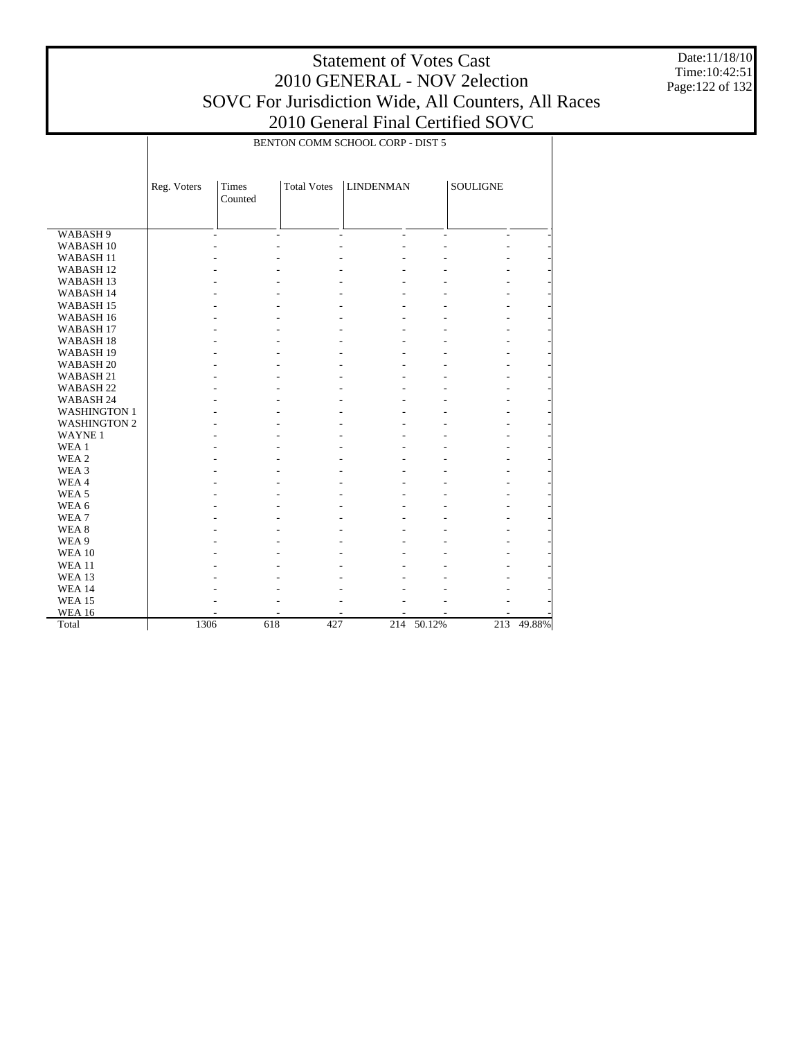# Statement of Votes Cast 2010 GENERAL - NOV 2election SOVC For Jurisdiction Wide, All Counters, All Races

Date:11/18/10 Time:10:42:51 Page:122 of 132

|                      |             | BENTON COMM SCHOOL CORP - DIST 5 |                          |                                                      |                          |                          |        |  |
|----------------------|-------------|----------------------------------|--------------------------|------------------------------------------------------|--------------------------|--------------------------|--------|--|
|                      | Reg. Voters | <b>Times</b><br>Counted          | <b>Total Votes</b>       | <b>LINDENMAN</b>                                     |                          | SOULIGNE                 |        |  |
| WABASH <sub>9</sub>  |             | $\overline{\phantom{a}}$         | $\overline{\phantom{a}}$ | $\overline{\phantom{a}}$<br>$\overline{\phantom{a}}$ | $\overline{\phantom{a}}$ | $\overline{\phantom{a}}$ |        |  |
| WABASH <sub>10</sub> |             |                                  |                          |                                                      |                          |                          |        |  |
| WABASH <sub>11</sub> |             |                                  |                          |                                                      |                          |                          |        |  |
| WABASH <sub>12</sub> |             |                                  |                          |                                                      |                          |                          |        |  |
| WABASH <sub>13</sub> |             |                                  |                          |                                                      |                          |                          |        |  |
| WABASH 14            |             |                                  |                          |                                                      |                          |                          |        |  |
| WABASH <sub>15</sub> |             |                                  |                          |                                                      |                          |                          |        |  |
| WABASH <sub>16</sub> |             |                                  |                          |                                                      |                          |                          |        |  |
| WABASH <sub>17</sub> |             |                                  |                          |                                                      |                          |                          |        |  |
| WABASH <sub>18</sub> |             |                                  |                          |                                                      |                          |                          |        |  |
| WABASH <sub>19</sub> |             |                                  |                          |                                                      |                          |                          |        |  |
| WABASH <sub>20</sub> |             |                                  |                          |                                                      |                          |                          |        |  |
| WABASH <sub>21</sub> |             |                                  |                          |                                                      |                          |                          |        |  |
| WABASH <sub>22</sub> |             |                                  |                          |                                                      |                          |                          |        |  |
| WABASH <sub>24</sub> |             |                                  |                          |                                                      |                          |                          |        |  |
| <b>WASHINGTON 1</b>  |             |                                  |                          |                                                      |                          |                          |        |  |
| <b>WASHINGTON 2</b>  |             |                                  |                          |                                                      |                          |                          |        |  |
| <b>WAYNE1</b>        |             |                                  |                          |                                                      |                          |                          |        |  |
| WEA <sub>1</sub>     |             |                                  |                          |                                                      |                          |                          |        |  |
| WEA <sub>2</sub>     |             |                                  |                          |                                                      |                          |                          |        |  |
| WEA 3                |             |                                  |                          |                                                      |                          |                          |        |  |
| WEA4                 |             |                                  |                          |                                                      |                          |                          |        |  |
| WEA <sub>5</sub>     |             |                                  |                          |                                                      |                          |                          |        |  |
| WEA 6                |             |                                  |                          |                                                      |                          |                          |        |  |
| WEA7                 |             |                                  |                          |                                                      |                          |                          |        |  |
| WEA <sub>8</sub>     |             |                                  |                          |                                                      |                          |                          |        |  |
| WEA 9                |             |                                  |                          |                                                      |                          |                          |        |  |
| <b>WEA 10</b>        |             |                                  |                          |                                                      |                          |                          |        |  |
| <b>WEA11</b>         |             |                                  |                          |                                                      |                          |                          |        |  |
|                      |             |                                  |                          |                                                      |                          |                          |        |  |
| <b>WEA 13</b>        |             |                                  |                          |                                                      |                          |                          |        |  |
| <b>WEA 14</b>        |             |                                  |                          |                                                      |                          |                          |        |  |
| <b>WEA 15</b>        |             |                                  |                          |                                                      |                          |                          |        |  |
| <b>WEA 16</b>        | 1306        | 618                              |                          | 214                                                  | 50.12%                   | 213                      | 49.88% |  |
| Total                |             |                                  | 427                      |                                                      |                          |                          |        |  |

# 2010 General Final Certified SOVC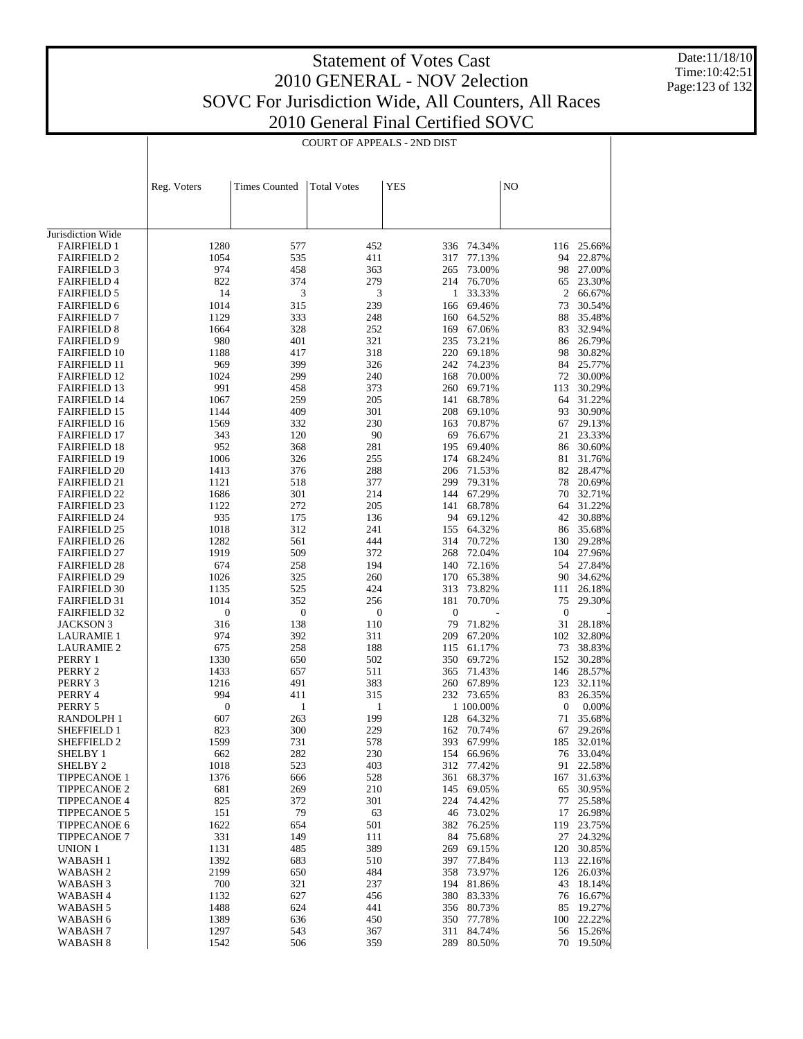Date:11/18/10 Time:10:42:51 Page:123 of 132

|                                            | <b>COURT OF APPEALS - 2ND DIST</b> |                      |                    |                  |                      |              |                     |  |  |
|--------------------------------------------|------------------------------------|----------------------|--------------------|------------------|----------------------|--------------|---------------------|--|--|
|                                            | Reg. Voters                        | <b>Times Counted</b> | <b>Total Votes</b> | YES              |                      | NO           |                     |  |  |
|                                            |                                    |                      |                    |                  |                      |              |                     |  |  |
| Jurisdiction Wide                          |                                    |                      |                    |                  |                      |              |                     |  |  |
| <b>FAIRFIELD 1</b>                         | 1280                               | 577                  | 452                | 336              | 74.34%               | 116          | 25.66%              |  |  |
| <b>FAIRFIELD 2</b>                         | 1054                               | 535                  | 411                | 317              | 77.13%               | 94           | 22.87%              |  |  |
| <b>FAIRFIELD 3</b>                         | 974                                | 458                  | 363                | 265              | 73.00%               | 98           | 27.00%              |  |  |
| <b>FAIRFIELD 4</b>                         | 822                                | 374                  | 279                | 214              | 76.70%               | 65           | 23.30%              |  |  |
| <b>FAIRFIELD 5</b><br><b>FAIRFIELD 6</b>   | 14<br>1014                         | 3<br>315             | 3<br>239           | 1<br>166         | 33.33%<br>69.46%     | 2<br>73      | 66.67%<br>30.54%    |  |  |
| <b>FAIRFIELD 7</b>                         | 1129                               | 333                  | 248                | 160              | 64.52%               | 88           | 35.48%              |  |  |
| <b>FAIRFIELD 8</b>                         | 1664                               | 328                  | 252                | 169              | 67.06%               | 83           | 32.94%              |  |  |
| <b>FAIRFIELD 9</b>                         | 980                                | 401                  | 321                | 235              | 73.21%               | 86           | 26.79%              |  |  |
| <b>FAIRFIELD 10</b>                        | 1188                               | 417                  | 318                |                  | 220 69.18%           | 98           | 30.82%              |  |  |
| <b>FAIRFIELD 11</b>                        | 969                                | 399                  | 326                | 242              | 74.23%               | 84           | 25.77%              |  |  |
| <b>FAIRFIELD 12</b>                        | 1024                               | 299                  | 240                | 168              | 70.00%               | 72           | 30.00%              |  |  |
| <b>FAIRFIELD 13</b>                        | 991                                | 458                  | 373                | 260              | 69.71%               | 113          | 30.29%              |  |  |
| <b>FAIRFIELD 14</b>                        | 1067                               | 259                  | 205                | 141              | 68.78%               | 64           | 31.22%              |  |  |
| <b>FAIRFIELD 15</b>                        | 1144                               | 409                  | 301                | 208              | 69.10%               | 93           | 30.90%              |  |  |
| <b>FAIRFIELD 16</b>                        | 1569                               | 332                  | 230                | 163              | 70.87%               | 67           | 29.13%<br>23.33%    |  |  |
| <b>FAIRFIELD 17</b><br><b>FAIRFIELD 18</b> | 343<br>952                         | 120<br>368           | 90<br>281          | 69<br>195        | 76.67%<br>69.40%     | 21<br>86     | 30.60%              |  |  |
| <b>FAIRFIELD 19</b>                        | 1006                               | 326                  | 255                | 174              | 68.24%               | 81           | 31.76%              |  |  |
| <b>FAIRFIELD 20</b>                        | 1413                               | 376                  | 288                | 206              | 71.53%               | 82           | 28.47%              |  |  |
| <b>FAIRFIELD 21</b>                        | 1121                               | 518                  | 377                | 299              | 79.31%               | 78           | 20.69%              |  |  |
| <b>FAIRFIELD 22</b>                        | 1686                               | 301                  | 214                | 144              | 67.29%               | 70           | 32.71%              |  |  |
| <b>FAIRFIELD 23</b>                        | 1122                               | 272                  | 205                | 141              | 68.78%               | 64           | 31.22%              |  |  |
| <b>FAIRFIELD 24</b>                        | 935                                | 175                  | 136                | 94               | 69.12%               | 42           | 30.88%              |  |  |
| <b>FAIRFIELD 25</b>                        | 1018                               | 312                  | 241                | 155              | 64.32%               | 86           | 35.68%              |  |  |
| <b>FAIRFIELD 26</b>                        | 1282                               | 561                  | 444                | 314              | 70.72%               | 130          | 29.28%              |  |  |
| <b>FAIRFIELD 27</b>                        | 1919                               | 509                  | 372                | 268              | 72.04%               | 104          | 27.96%              |  |  |
| <b>FAIRFIELD 28</b>                        | 674                                | 258                  | 194                | 140              | 72.16%               | 54           | 27.84%              |  |  |
| <b>FAIRFIELD 29</b>                        | 1026                               | 325                  | 260<br>424         | 170<br>313       | 65.38%               | 90           | 34.62%              |  |  |
| <b>FAIRFIELD 30</b><br><b>FAIRFIELD 31</b> | 1135<br>1014                       | 525<br>352           | 256                | 181              | 73.82%<br>70.70%     | 111<br>75    | 26.18%<br>29.30%    |  |  |
| <b>FAIRFIELD 32</b>                        | $\boldsymbol{0}$                   | $\boldsymbol{0}$     | $\mathbf{0}$       | $\boldsymbol{0}$ |                      | $\mathbf{0}$ |                     |  |  |
| JACKSON 3                                  | 316                                | 138                  | 110                | 79               | 71.82%               | 31           | 28.18%              |  |  |
| <b>LAURAMIE 1</b>                          | 974                                | 392                  | 311                | 209              | 67.20%               | 102          | 32.80%              |  |  |
| <b>LAURAMIE 2</b>                          | 675                                | 258                  | 188                | 115              | 61.17%               | 73           | 38.83%              |  |  |
| PERRY 1                                    | 1330                               | 650                  | 502                | 350              | 69.72%               | 152          | 30.28%              |  |  |
| PERRY 2                                    | 1433                               | 657                  | 511                | 365              | 71.43%               | 146          | 28.57%              |  |  |
| PERRY 3                                    | 1216                               | 491                  | 383                |                  | 260 67.89%           | 123          | 32.11%              |  |  |
| PERRY 4                                    | 994                                | 411                  | 315                | 232              | 73.65%               | 83           | 26.35%              |  |  |
| PERRY 5                                    | $\boldsymbol{0}$                   | 1                    | 1                  |                  | 1 100.00%            | 0            | 0.00%               |  |  |
| RANDOLPH 1                                 | 607                                | 263                  | 199                |                  | 128 64.32%           | 71           | 35.68%              |  |  |
| SHEFFIELD 1<br>SHEFFIELD 2                 | 823<br>1599                        | 300<br>731           | 229<br>578         | 393              | 162 70.74%<br>67.99% | 185          | 67 29.26%<br>32.01% |  |  |
| SHELBY 1                                   | 662                                | 282                  | 230                | 154              | 66.96%               |              | 76 33.04%           |  |  |
| SHELBY <sub>2</sub>                        | 1018                               | 523                  | 403                | 312              | 77.42%               | 91           | 22.58%              |  |  |
| TIPPECANOE 1                               | 1376                               | 666                  | 528                | 361              | 68.37%               | 167          | 31.63%              |  |  |
| <b>TIPPECANOE 2</b>                        | 681                                | 269                  | 210                | 145              | 69.05%               | 65           | 30.95%              |  |  |
| <b>TIPPECANOE 4</b>                        | 825                                | 372                  | 301                | 224              | 74.42%               | 77           | 25.58%              |  |  |
| <b>TIPPECANOE 5</b>                        | 151                                | 79                   | 63                 | 46               | 73.02%               | 17           | 26.98%              |  |  |
| TIPPECANOE 6                               | 1622                               | 654                  | 501                | 382              | 76.25%               | 119          | 23.75%              |  |  |
| <b>TIPPECANOE 7</b>                        | 331                                | 149                  | 111                | 84               | 75.68%               | 27           | 24.32%              |  |  |
| UNION 1                                    | 1131                               | 485                  | 389                | 269              | 69.15%               | 120          | 30.85%              |  |  |
| WABASH 1                                   | 1392                               | 683                  | 510                | 397              | 77.84%               | 113          | 22.16%              |  |  |
| WABASH 2                                   | 2199                               | 650                  | 484                | 358              | 73.97%               | 126          | 26.03%              |  |  |
| WABASH 3<br>WABASH 4                       | 700<br>1132                        | 321<br>627           | 237<br>456         | 194<br>380       | 81.86%<br>83.33%     | 43<br>76     | 18.14%<br>16.67%    |  |  |
| WABASH 5                                   | 1488                               | 624                  | 441                | 356              | 80.73%               | 85           | 19.27%              |  |  |
| WABASH 6                                   | 1389                               | 636                  | 450                | 350              | 77.78%               | 100          | 22.22%              |  |  |
| WABASH 7                                   | 1297                               | 543                  | 367                | 311              | 84.74%               |              | 56 15.26%           |  |  |
| WABASH 8                                   | 1542                               | 506                  | 359                | 289              | 80.50%               |              | 70 19.50%           |  |  |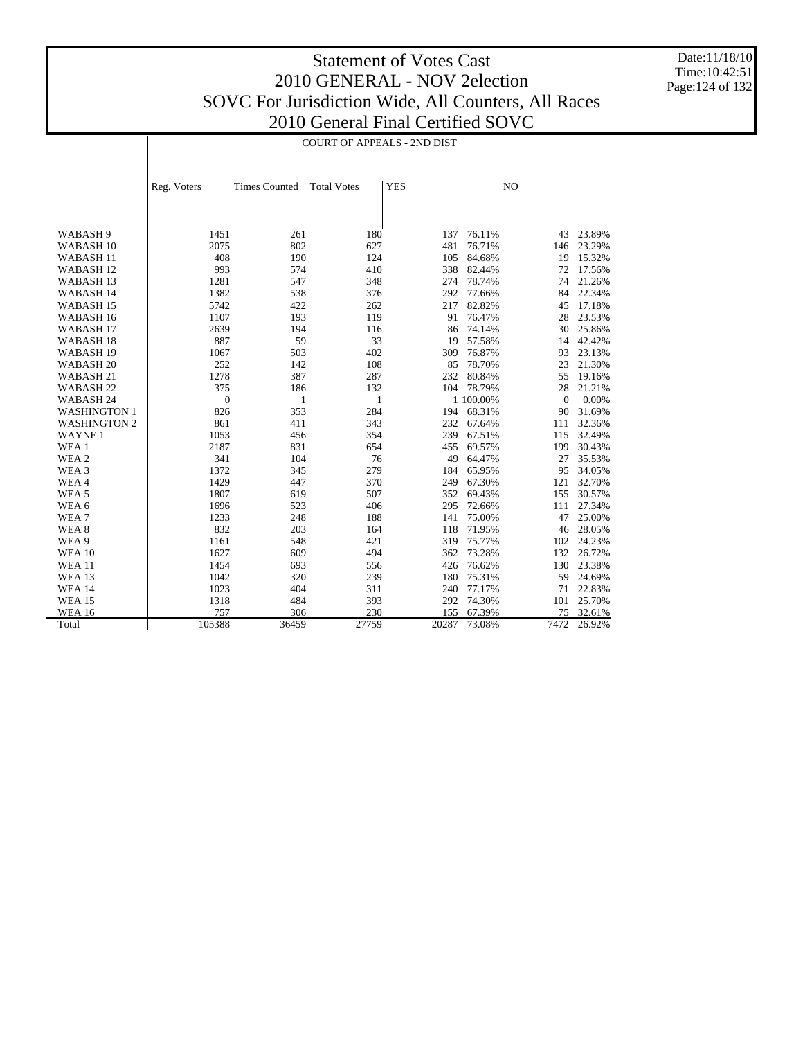Date:11/18/10 Time:10:42:51 Page:124 of 132

|                      |                  | <b>COURT OF APPEALS - 2ND DIST</b> |                    |            |           |              |        |  |  |
|----------------------|------------------|------------------------------------|--------------------|------------|-----------|--------------|--------|--|--|
|                      | Reg. Voters      | <b>Times Counted</b>               | <b>Total Votes</b> | <b>YES</b> |           | NO           |        |  |  |
| WABASH <sub>9</sub>  | 1451             | 261                                | 180                | 137        | 76.11%    | 43           | 23.89% |  |  |
| WABASH <sub>10</sub> | 2075             | 802                                | 627                | 481        | 76.71%    | 146          | 23.29% |  |  |
| WABASH <sub>11</sub> | 408              | 190                                | 124                | 105        | 84.68%    | 19           | 15.32% |  |  |
| WABASH <sub>12</sub> | 993              | 574                                | 410                | 338        | 82.44%    | 72           | 17.56% |  |  |
| WABASH <sub>13</sub> | 1281             | 547                                | 348                | 274        | 78.74%    | 74           | 21.26% |  |  |
| WABASH 14            | 1382             | 538                                | 376                | 292        | 77.66%    | 84           | 22.34% |  |  |
| WABASH <sub>15</sub> | 5742             | 422                                | 262                | 217        | 82.82%    | 45           | 17.18% |  |  |
| WABASH 16            | 1107             | 193                                | 119                | 91         | 76.47%    | 28           | 23.53% |  |  |
| WABASH <sub>17</sub> | 2639             | 194                                | 116                | 86         | 74.14%    | 30           | 25.86% |  |  |
| WABASH <sub>18</sub> | 887              | 59                                 | 33                 | 19         | 57.58%    | 14           | 42.42% |  |  |
| WABASH <sub>19</sub> | 1067             | 503                                | 402                | 309        | 76.87%    | 93           | 23.13% |  |  |
| WABASH <sub>20</sub> | 252              | 142                                | 108                | 85         | 78.70%    | 23           | 21.30% |  |  |
| WABASH 21            | 1278             | 387                                | 287                | 232        | 80.84%    | 55           | 19.16% |  |  |
| WABASH <sub>22</sub> | 375              | 186                                | 132                | 104        | 78.79%    | 28           | 21.21% |  |  |
| WABASH <sub>24</sub> | $\boldsymbol{0}$ | 1                                  | 1                  |            | 1 100.00% | $\mathbf{0}$ | 0.00%  |  |  |
| <b>WASHINGTON 1</b>  | 826              | 353                                | 284                | 194        | 68.31%    | 90           | 31.69% |  |  |
| <b>WASHINGTON 2</b>  | 861              | 411                                | 343                | 232        | 67.64%    | 111          | 32.36% |  |  |
| <b>WAYNE1</b>        | 1053             | 456                                | 354                | 239        | 67.51%    | 115          | 32.49% |  |  |
| WEA 1                | 2187             | 831                                | 654                | 455        | 69.57%    | 199          | 30.43% |  |  |
| WEA 2                | 341              | 104                                | 76                 | 49         | 64.47%    | 27           | 35.53% |  |  |
| WEA 3                | 1372             | 345                                | 279                | 184        | 65.95%    | 95           | 34.05% |  |  |
| WEA4                 | 1429             | 447                                | 370                | 249        | 67.30%    | 121          | 32.70% |  |  |
| WEA <sub>5</sub>     | 1807             | 619                                | 507                | 352        | 69.43%    | 155          | 30.57% |  |  |
| WEA 6                | 1696             | 523                                | 406                | 295        | 72.66%    | 111          | 27.34% |  |  |
| WEA7                 | 1233             | 248                                | 188                | 141        | 75.00%    | 47           | 25.00% |  |  |
| WEA <sub>8</sub>     | 832              | 203                                | 164                | 118        | 71.95%    | 46           | 28.05% |  |  |
| WEA 9                | 1161             | 548                                | 421                | 319        | 75.77%    | 102          | 24.23% |  |  |
| <b>WEA 10</b>        | 1627             | 609                                | 494                | 362        | 73.28%    | 132          | 26.72% |  |  |
| <b>WEA 11</b>        | 1454             | 693                                | 556                | 426        | 76.62%    | 130          | 23.38% |  |  |
| <b>WEA 13</b>        | 1042             | 320                                | 239                | 180        | 75.31%    | 59           | 24.69% |  |  |
| <b>WEA 14</b>        | 1023             | 404                                | 311                | 240        | 77.17%    | 71           | 22.83% |  |  |
| <b>WEA 15</b>        | 1318             | 484                                | 393                | 292        | 74.30%    | 101          | 25.70% |  |  |
| <b>WEA 16</b>        | 757              | 306                                | 230                | 155        | 67.39%    | 75           | 32.61% |  |  |
| Total                | 105388           | 36459                              | 27759              | 20287      | 73.08%    | 7472         | 26.92% |  |  |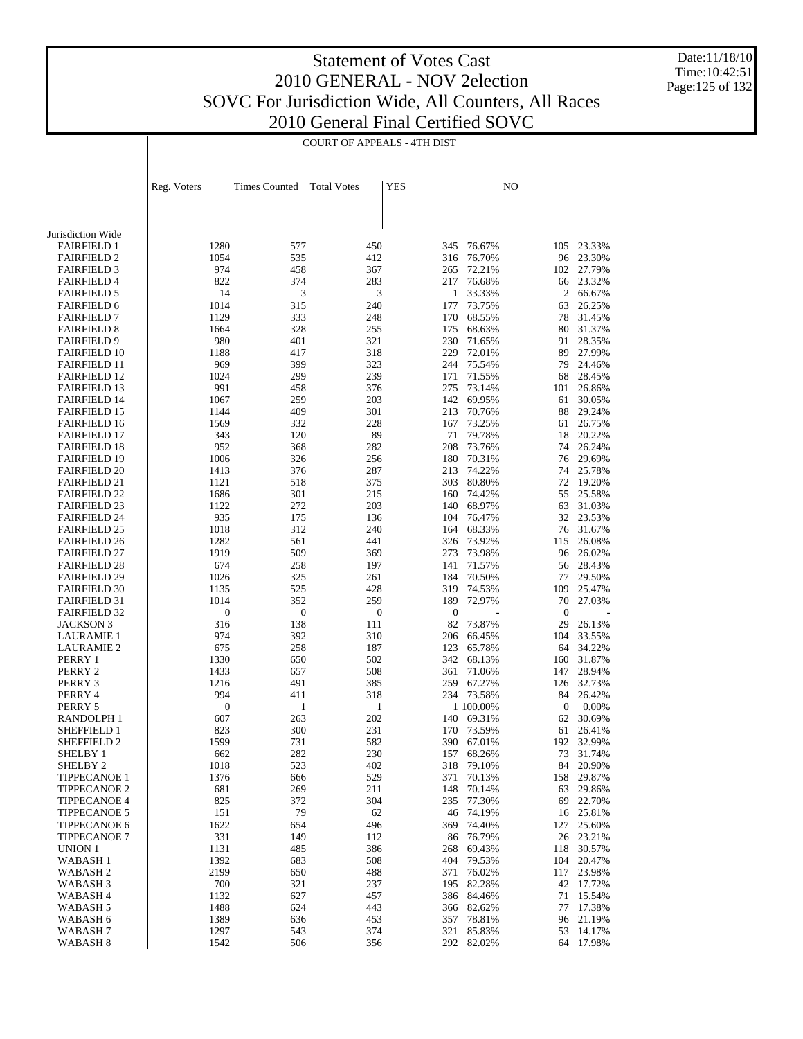Date:11/18/10 Time:10:42:51 Page:125 of 132

|                                            |                  |                      | <b>COURT OF APPEALS - 4TH DIST</b> |                  |                  |                  |                      |
|--------------------------------------------|------------------|----------------------|------------------------------------|------------------|------------------|------------------|----------------------|
|                                            | Reg. Voters      | <b>Times Counted</b> | <b>Total Votes</b>                 | YES              |                  | NO               |                      |
|                                            |                  |                      |                                    |                  |                  |                  |                      |
| Jurisdiction Wide                          |                  |                      |                                    |                  |                  |                  |                      |
| <b>FAIRFIELD 1</b>                         | 1280             | 577                  | 450                                | 345              | 76.67%           | 105              | 23.33%               |
| <b>FAIRFIELD 2</b>                         | 1054<br>974      | 535<br>458           | 412<br>367                         | 316<br>265       | 76.70%<br>72.21% | 96<br>102        | 23.30%<br>27.79%     |
| <b>FAIRFIELD 3</b><br><b>FAIRFIELD 4</b>   | 822              | 374                  | 283                                | 217              | 76.68%           | 66               | 23.32%               |
| <b>FAIRFIELD 5</b>                         | 14               | 3                    | 3                                  | $\mathbf{1}$     | 33.33%           | 2                | 66.67%               |
| <b>FAIRFIELD 6</b>                         | 1014             | 315                  | 240                                | 177              | 73.75%           | 63               | 26.25%               |
| <b>FAIRFIELD 7</b>                         | 1129             | 333                  | 248                                | 170              | 68.55%           | 78               | 31.45%               |
| <b>FAIRFIELD 8</b>                         | 1664             | 328                  | 255                                | 175              | 68.63%           | 80               | 31.37%               |
| <b>FAIRFIELD 9</b>                         | 980              | 401<br>417           | 321<br>318                         | 230<br>229       | 71.65%           | 91<br>89         | 28.35%               |
| <b>FAIRFIELD 10</b><br><b>FAIRFIELD 11</b> | 1188<br>969      | 399                  | 323                                | 244              | 72.01%<br>75.54% | 79               | 27.99%<br>24.46%     |
| <b>FAIRFIELD 12</b>                        | 1024             | 299                  | 239                                | 171              | 71.55%           | 68               | 28.45%               |
| <b>FAIRFIELD 13</b>                        | 991              | 458                  | 376                                | 275              | 73.14%           | 101              | 26.86%               |
| <b>FAIRFIELD 14</b>                        | 1067             | 259                  | 203                                | 142              | 69.95%           | 61               | 30.05%               |
| <b>FAIRFIELD 15</b>                        | 1144             | 409                  | 301                                | 213              | 70.76%           | 88               | 29.24%               |
| <b>FAIRFIELD 16</b>                        | 1569             | 332                  | 228                                | 167              | 73.25%           | 61               | 26.75%               |
| <b>FAIRFIELD 17</b>                        | 343              | 120                  | 89                                 | 71               | 79.78%           | 18               | 20.22%               |
| <b>FAIRFIELD 18</b><br><b>FAIRFIELD 19</b> | 952<br>1006      | 368<br>326           | 282<br>256                         | 208<br>180       | 73.76%           | 74<br>76         | 26.24%<br>29.69%     |
| <b>FAIRFIELD 20</b>                        | 1413             | 376                  | 287                                | 213              | 70.31%<br>74.22% | 74               | 25.78%               |
| <b>FAIRFIELD 21</b>                        | 1121             | 518                  | 375                                | 303              | 80.80%           | 72               | 19.20%               |
| <b>FAIRFIELD 22</b>                        | 1686             | 301                  | 215                                | 160              | 74.42%           | 55               | 25.58%               |
| <b>FAIRFIELD 23</b>                        | 1122             | 272                  | 203                                | 140              | 68.97%           | 63               | 31.03%               |
| <b>FAIRFIELD 24</b>                        | 935              | 175                  | 136                                | 104              | 76.47%           | 32               | 23.53%               |
| <b>FAIRFIELD 25</b>                        | 1018             | 312                  | 240                                | 164              | 68.33%           | 76               | 31.67%               |
| <b>FAIRFIELD 26</b>                        | 1282             | 561                  | 441                                | 326              | 73.92%           | 115              | 26.08%               |
| <b>FAIRFIELD 27</b>                        | 1919             | 509                  | 369                                | 273              | 73.98%           | 96               | 26.02%               |
| <b>FAIRFIELD 28</b><br><b>FAIRFIELD 29</b> | 674<br>1026      | 258<br>325           | 197<br>261                         | 141<br>184       | 71.57%<br>70.50% | 77               | 56 28.43%<br>29.50%  |
| <b>FAIRFIELD 30</b>                        | 1135             | 525                  | 428                                | 319              | 74.53%           | 109              | 25.47%               |
| <b>FAIRFIELD 31</b>                        | 1014             | 352                  | 259                                | 189              | 72.97%           | 70               | 27.03%               |
| <b>FAIRFIELD 32</b>                        | $\boldsymbol{0}$ | $\boldsymbol{0}$     | $\boldsymbol{0}$                   | $\boldsymbol{0}$ |                  | $\boldsymbol{0}$ |                      |
| <b>JACKSON 3</b>                           | 316              | 138                  | 111                                | 82               | 73.87%           | 29               | 26.13%               |
| <b>LAURAMIE 1</b>                          | 974              | 392                  | 310                                | 206              | 66.45%           | 104              | 33.55%               |
| <b>LAURAMIE 2</b>                          | 675              | 258                  | 187                                | 123              | 65.78%           | 64               | 34.22%               |
| PERRY 1                                    | 1330             | 650                  | 502                                | 342              | 68.13%           | 160              | 31.87%               |
| PERRY 2                                    | 1433<br>1216     | 657<br>491           | 508<br>385                         | 361<br>259       | 71.06%           | 147              | 28.94%<br>32.73%     |
| PERRY 3<br>PERRY 4                         | 994              | 411                  | 318                                | 234              | 67.27%<br>73.58% | 126<br>84        | 26.42%               |
| PERRY 5                                    | 0                | 1                    | 1                                  |                  | 1 100.00%        | $\boldsymbol{0}$ | 0.00%                |
| RANDOLPH 1                                 | 607              | 263                  | 202                                |                  | 140 69.31%       |                  | 62 30.69%            |
| SHEFFIELD 1                                | 823              | 300                  | 231                                |                  | 170 73.59%       |                  | 61 26.41%            |
| SHEFFIELD 2                                | 1599             | 731                  | 582                                | 390              | 67.01%           |                  | 192 32.99%           |
| SHELBY 1                                   | 662              | 282                  | 230                                | 157              | 68.26%           | 73               | 31.74%               |
| SHELBY <sub>2</sub>                        | 1018             | 523                  | 402                                | 318              | 79.10%           | 84               | 20.90%               |
| <b>TIPPECANOE 1</b>                        | 1376<br>681      | 666<br>269           | 529<br>211                         | 371<br>148       | 70.13%<br>70.14% |                  | 158 29.87%<br>29.86% |
| <b>TIPPECANOE 2</b><br><b>TIPPECANOE 4</b> | 825              | 372                  | 304                                | 235              | 77.30%           | 63<br>69         | 22.70%               |
| <b>TIPPECANOE 5</b>                        | 151              | 79                   | 62                                 | 46               | 74.19%           | 16               | 25.81%               |
| TIPPECANOE 6                               | 1622             | 654                  | 496                                | 369              | 74.40%           | 127              | 25.60%               |
| <b>TIPPECANOE 7</b>                        | 331              | 149                  | 112                                | 86               | 76.79%           |                  | 26 23.21%            |
| UNION 1                                    | 1131             | 485                  | 386                                | 268              | 69.43%           | 118              | 30.57%               |
| <b>WABASH1</b>                             | 1392             | 683                  | 508                                | 404              | 79.53%           | 104              | 20.47%               |
| WABASH 2                                   | 2199             | 650                  | 488                                | 371              | 76.02%           |                  | 117 23.98%           |
| WABASH 3                                   | 700              | 321                  | 237                                | 195              | 82.28%           |                  | 42 17.72%<br>15.54%  |
| WABASH 4<br>WABASH 5                       | 1132<br>1488     | 627<br>624           | 457<br>443                         | 386<br>366       | 84.46%<br>82.62% | 71<br>77         | 17.38%               |
| WABASH 6                                   | 1389             | 636                  | 453                                | 357              | 78.81%           | 96               | 21.19%               |
| WABASH 7                                   | 1297             | 543                  | 374                                | 321              | 85.83%           | 53               | 14.17%               |
| WABASH <sub>8</sub>                        | 1542             | 506                  | 356                                | 292              | 82.02%           |                  | 64 17.98%            |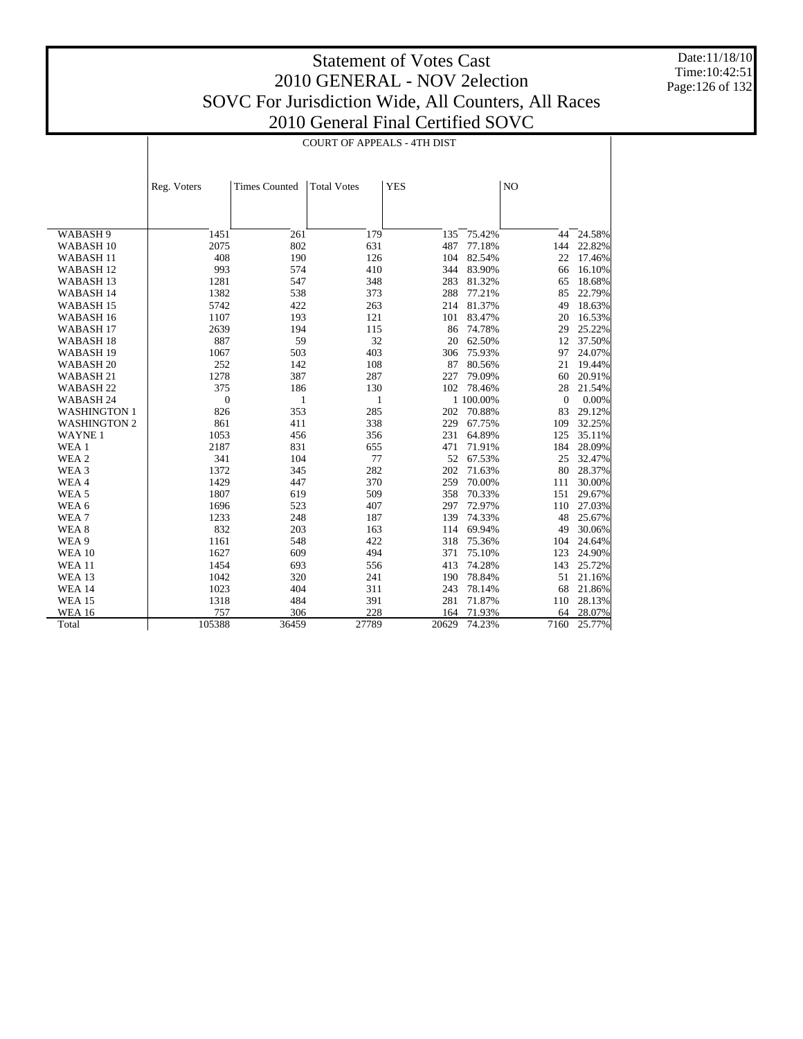Date:11/18/10 Time:10:42:51 Page:126 of 132

|                                              |              |                      | <b>COURT OF APPEALS - 4TH DIST</b> |            |                  |              |                  |
|----------------------------------------------|--------------|----------------------|------------------------------------|------------|------------------|--------------|------------------|
|                                              |              |                      |                                    |            |                  |              |                  |
|                                              | Reg. Voters  | <b>Times Counted</b> | <b>Total Votes</b>                 | <b>YES</b> |                  | NO           |                  |
|                                              |              |                      |                                    |            |                  |              |                  |
|                                              |              |                      |                                    |            |                  |              |                  |
| WABASH 9                                     | 1451         | 261                  | 179                                | 135        | 75.42%           | 44           | 24.58%           |
| WABASH <sub>10</sub>                         | 2075<br>408  | 802<br>190           | 631<br>126                         | 487        | 77.18%<br>82.54% | 144<br>22    | 22.82%<br>17.46% |
| WABASH <sub>11</sub>                         |              | 574                  | 410                                | 104<br>344 |                  | 66           |                  |
| WABASH <sub>12</sub><br>WABASH <sub>13</sub> | 993<br>1281  | 547                  | 348                                | 283        | 83.90%<br>81.32% | 65           | 16.10%<br>18.68% |
|                                              |              |                      |                                    |            |                  |              |                  |
| WABASH 14                                    | 1382         | 538                  | 373                                | 288        | 77.21%           | 85           | 22.79%           |
| WABASH 15                                    | 5742         | 422                  | 263                                | 214        | 81.37%           | 49           | 18.63%           |
| WABASH 16                                    | 1107         | 193                  | 121                                | 101<br>86  | 83.47%           | 20           | 16.53%           |
| WABASH <sub>17</sub>                         | 2639         | 194                  | 115                                |            | 74.78%           | 29           | 25.22%           |
| WABASH <sub>18</sub>                         | 887          | 59                   | 32                                 | 20         | 62.50%           | 12           | 37.50%           |
| WABASH <sub>19</sub>                         | 1067         | 503                  | 403                                | 306        | 75.93%           | 97           | 24.07%           |
| WABASH <sub>20</sub>                         | 252          | 142                  | 108                                | 87         | 80.56%           | 21           | 19.44%           |
| WABASH <sub>21</sub>                         | 1278         | 387                  | 287                                | 227        | 79.09%           | 60           | 20.91%           |
| WABASH <sub>22</sub>                         | 375          | 186                  | 130                                | 102        | 78.46%           | 28           | 21.54%           |
| WABASH 24                                    | $\mathbf{0}$ | $\mathbf{1}$         | 1                                  |            | 1 100.00%        | $\mathbf{0}$ | 0.00%            |
| <b>WASHINGTON 1</b>                          | 826          | 353                  | 285                                | 202        | 70.88%           | 83           | 29.12%           |
| <b>WASHINGTON 2</b>                          | 861          | 411                  | 338                                | 229        | 67.75%           | 109          | 32.25%           |
| <b>WAYNE1</b>                                | 1053         | 456                  | 356                                | 231        | 64.89%           | 125          | 35.11%           |
| WEA 1                                        | 2187         | 831                  | 655                                | 471        | 71.91%           | 184          | 28.09%           |
| WEA 2                                        | 341          | 104                  | 77                                 | 52         | 67.53%           | 25           | 32.47%           |
| WEA 3                                        | 1372         | 345                  | 282                                | 202        | 71.63%           | 80           | 28.37%           |
| WEA4                                         | 1429         | 447                  | 370                                | 259        | 70.00%           | 111          | 30.00%           |
| WEA <sub>5</sub>                             | 1807         | 619                  | 509                                | 358        | 70.33%           | 151          | 29.67%           |
| WEA 6                                        | 1696         | 523                  | 407                                | 297        | 72.97%           | 110          | 27.03%           |
| WEA <sub>7</sub>                             | 1233         | 248                  | 187                                | 139        | 74.33%           | 48           | 25.67%           |
| WEA 8                                        | 832          | 203                  | 163                                | 114        | 69.94%           | 49           | 30.06%           |
| WEA 9                                        | 1161         | 548                  | 422                                | 318        | 75.36%           | 104          | 24.64%           |
| <b>WEA 10</b>                                | 1627         | 609                  | 494                                | 371        | 75.10%           | 123          | 24.90%           |
| <b>WEA 11</b>                                | 1454         | 693                  | 556                                | 413        | 74.28%           | 143          | 25.72%           |
| <b>WEA 13</b>                                | 1042         | 320                  | 241                                | 190        | 78.84%           | 51           | 21.16%           |
| <b>WEA 14</b>                                | 1023         | 404                  | 311                                | 243        | 78.14%           | 68           | 21.86%           |
| <b>WEA 15</b>                                | 1318         | 484                  | 391                                | 281        | 71.87%           | 110          | 28.13%           |
| <b>WEA 16</b>                                | 757          | 306                  | 228                                | 164        | 71.93%           | 64           | 28.07%           |
| Total                                        | 105388       | 36459                | 27789                              | 20629      | 74.23%           | 7160         | 25.77%           |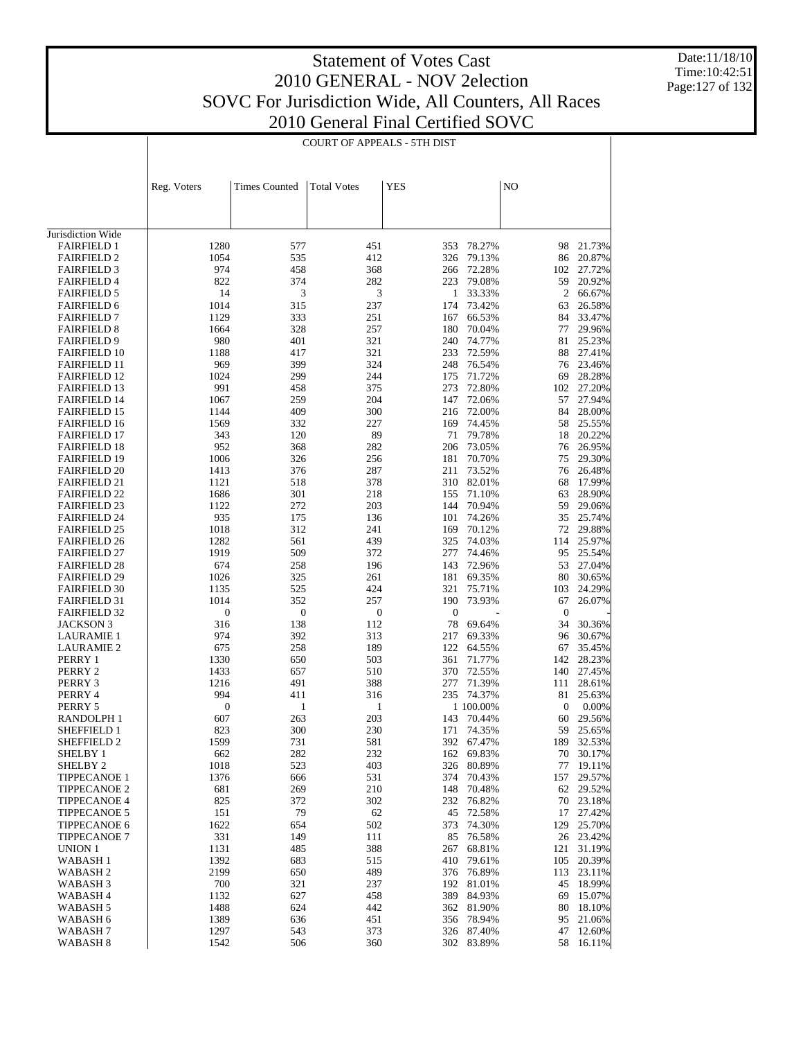Date:11/18/10 Time:10:42:51 Page:127 of 132

|                                            |                  |                      | <b>COURT OF APPEALS - 5TH DIST</b> |                  |                     |                  |                     |
|--------------------------------------------|------------------|----------------------|------------------------------------|------------------|---------------------|------------------|---------------------|
|                                            | Reg. Voters      | <b>Times Counted</b> | <b>Total Votes</b>                 | YES              |                     | NO               |                     |
|                                            |                  |                      |                                    |                  |                     |                  |                     |
| Jurisdiction Wide                          |                  |                      |                                    |                  |                     |                  |                     |
| <b>FAIRFIELD 1</b>                         | 1280             | 577                  | 451                                | 353              | 78.27%              | 98               | 21.73%              |
| <b>FAIRFIELD 2</b>                         | 1054             | 535                  | 412                                | 326              | 79.13%              | 86               | 20.87%              |
| <b>FAIRFIELD 3</b><br><b>FAIRFIELD 4</b>   | 974<br>822       | 458<br>374           | 368<br>282                         | 266<br>223       | 72.28%<br>79.08%    | 102<br>59        | 27.72%<br>20.92%    |
| <b>FAIRFIELD 5</b>                         | 14               | 3                    | 3                                  | $\mathbf{1}$     | 33.33%              | $\overline{2}$   | 66.67%              |
| <b>FAIRFIELD 6</b>                         | 1014             | 315                  | 237                                | 174              | 73.42%              | 63               | 26.58%              |
| <b>FAIRFIELD 7</b>                         | 1129             | 333                  | 251                                | 167              | 66.53%              | 84               | 33.47%              |
| <b>FAIRFIELD 8</b>                         | 1664             | 328                  | 257                                | 180              | 70.04%              | 77               | 29.96%              |
| <b>FAIRFIELD 9</b>                         | 980              | 401                  | 321                                | 240              | 74.77%              | 81               | 25.23%              |
| <b>FAIRFIELD 10</b>                        | 1188             | 417                  | 321                                | 233              | 72.59%              | 88               | 27.41%              |
| <b>FAIRFIELD 11</b>                        | 969              | 399                  | 324                                | 248              | 76.54%              | 76               | 23.46%              |
| <b>FAIRFIELD 12</b><br><b>FAIRFIELD 13</b> | 1024<br>991      | 299<br>458           | 244<br>375                         | 175<br>273       | 71.72%<br>72.80%    | 69<br>102        | 28.28%<br>27.20%    |
| <b>FAIRFIELD 14</b>                        | 1067             | 259                  | 204                                | 147              | 72.06%              | 57               | 27.94%              |
| <b>FAIRFIELD 15</b>                        | 1144             | 409                  | 300                                | 216              | 72.00%              | 84               | 28.00%              |
| <b>FAIRFIELD 16</b>                        | 1569             | 332                  | 227                                | 169              | 74.45%              | 58               | 25.55%              |
| <b>FAIRFIELD 17</b>                        | 343              | 120                  | 89                                 | 71               | 79.78%              | 18               | 20.22%              |
| <b>FAIRFIELD 18</b>                        | 952              | 368                  | 282                                | 206              | 73.05%              | 76               | 26.95%              |
| <b>FAIRFIELD 19</b>                        | 1006             | 326                  | 256                                | 181              | 70.70%              | 75               | 29.30%              |
| <b>FAIRFIELD 20</b>                        | 1413             | 376                  | 287                                | 211              | 73.52%              | 76               | 26.48%              |
| <b>FAIRFIELD 21</b>                        | 1121<br>1686     | 518<br>301           | 378<br>218                         | 310<br>155       | 82.01%<br>71.10%    | 68<br>63         | 17.99%<br>28.90%    |
| <b>FAIRFIELD 22</b><br><b>FAIRFIELD 23</b> | 1122             | 272                  | 203                                | 144              | 70.94%              | 59               | 29.06%              |
| <b>FAIRFIELD 24</b>                        | 935              | 175                  | 136                                | 101              | 74.26%              | 35               | 25.74%              |
| <b>FAIRFIELD 25</b>                        | 1018             | 312                  | 241                                | 169              | 70.12%              | 72               | 29.88%              |
| <b>FAIRFIELD 26</b>                        | 1282             | 561                  | 439                                | 325              | 74.03%              | 114              | 25.97%              |
| <b>FAIRFIELD 27</b>                        | 1919             | 509                  | 372                                | 277              | 74.46%              | 95               | 25.54%              |
| <b>FAIRFIELD 28</b>                        | 674              | 258                  | 196                                | 143              | 72.96%              | 53               | 27.04%              |
| <b>FAIRFIELD 29</b>                        | 1026             | 325                  | 261                                | 181              | 69.35%              | 80               | 30.65%              |
| <b>FAIRFIELD 30</b>                        | 1135<br>1014     | 525<br>352           | 424<br>257                         | 321<br>190       | 75.71%<br>73.93%    | 103<br>67        | 24.29%              |
| <b>FAIRFIELD 31</b><br><b>FAIRFIELD 32</b> | $\boldsymbol{0}$ | $\boldsymbol{0}$     | $\boldsymbol{0}$                   | $\boldsymbol{0}$ |                     | $\boldsymbol{0}$ | 26.07%              |
| <b>JACKSON 3</b>                           | 316              | 138                  | 112                                | 78               | 69.64%              | 34               | 30.36%              |
| <b>LAURAMIE 1</b>                          | 974              | 392                  | 313                                | 217              | 69.33%              | 96               | 30.67%              |
| <b>LAURAMIE 2</b>                          | 675              | 258                  | 189                                | 122              | 64.55%              | 67               | 35.45%              |
| PERRY 1                                    | 1330             | 650                  | 503                                | 361              | 71.77%              | 142              | 28.23%              |
| PERRY 2                                    | 1433             | 657                  | 510                                | 370              | 72.55%              | 140              | 27.45%              |
| PERRY 3                                    | 1216             | 491                  | 388                                | 277              | 71.39%              | 111              | 28.61%              |
| PERRY 4<br>PERRY 5                         | 994<br>0         | 411<br>1             | 316<br>1                           | 235              | 74.37%<br>1 100.00% | 81<br>0          | 25.63%<br>0.00%     |
| RANDOLPH 1                                 | 607              | 263                  | 203                                |                  | 143 70.44%          |                  | 60 29.56%           |
| SHEFFIELD 1                                | 823              | 300                  | 230                                |                  | 171 74.35%          |                  | 59 25.65%           |
| SHEFFIELD 2                                | 1599             | 731                  | 581                                | 392              | 67.47%              | 189              | 32.53%              |
| SHELBY 1                                   | 662              | 282                  | 232                                | 162              | 69.83%              |                  | 70 30.17%           |
| SHELBY <sub>2</sub>                        | 1018             | 523                  | 403                                | 326              | 80.89%              | 77               | 19.11%              |
| TIPPECANOE 1                               | 1376             | 666                  | 531                                | 374              | 70.43%              | 157              | 29.57%              |
| <b>TIPPECANOE 2</b>                        | 681              | 269                  | 210                                | 148              | 70.48%              |                  | 62 29.52%           |
| <b>TIPPECANOE 4</b><br><b>TIPPECANOE 5</b> | 825<br>151       | 372<br>79            | 302<br>62                          | 232<br>45        | 76.82%<br>72.58%    | 17               | 70 23.18%<br>27.42% |
| <b>TIPPECANOE 6</b>                        | 1622             | 654                  | 502                                | 373              | 74.30%              | 129              | 25.70%              |
| <b>TIPPECANOE 7</b>                        | 331              | 149                  | 111                                | 85               | 76.58%              |                  | 26 23.42%           |
| UNION 1                                    | 1131             | 485                  | 388                                | 267              | 68.81%              | 121              | 31.19%              |
| WABASH 1                                   | 1392             | 683                  | 515                                | 410              | 79.61%              | 105              | 20.39%              |
| WABASH 2                                   | 2199             | 650                  | 489                                | 376              | 76.89%              |                  | 113 23.11%          |
| WABASH 3                                   | 700              | 321                  | 237                                | 192              | 81.01%              | 45               | 18.99%              |
| WABASH 4                                   | 1132             | 627                  | 458                                | 389              | 84.93%              | 69               | 15.07%              |
| WABASH 5<br>WABASH 6                       | 1488<br>1389     | 624<br>636           | 442<br>451                         | 362<br>356       | 81.90%<br>78.94%    | 80<br>95         | 18.10%<br>21.06%    |
| WABASH 7                                   | 1297             | 543                  | 373                                | 326              | 87.40%              | 47               | 12.60%              |
| WABASH <sub>8</sub>                        | 1542             | 506                  | 360                                | 302              | 83.89%              |                  | 58 16.11%           |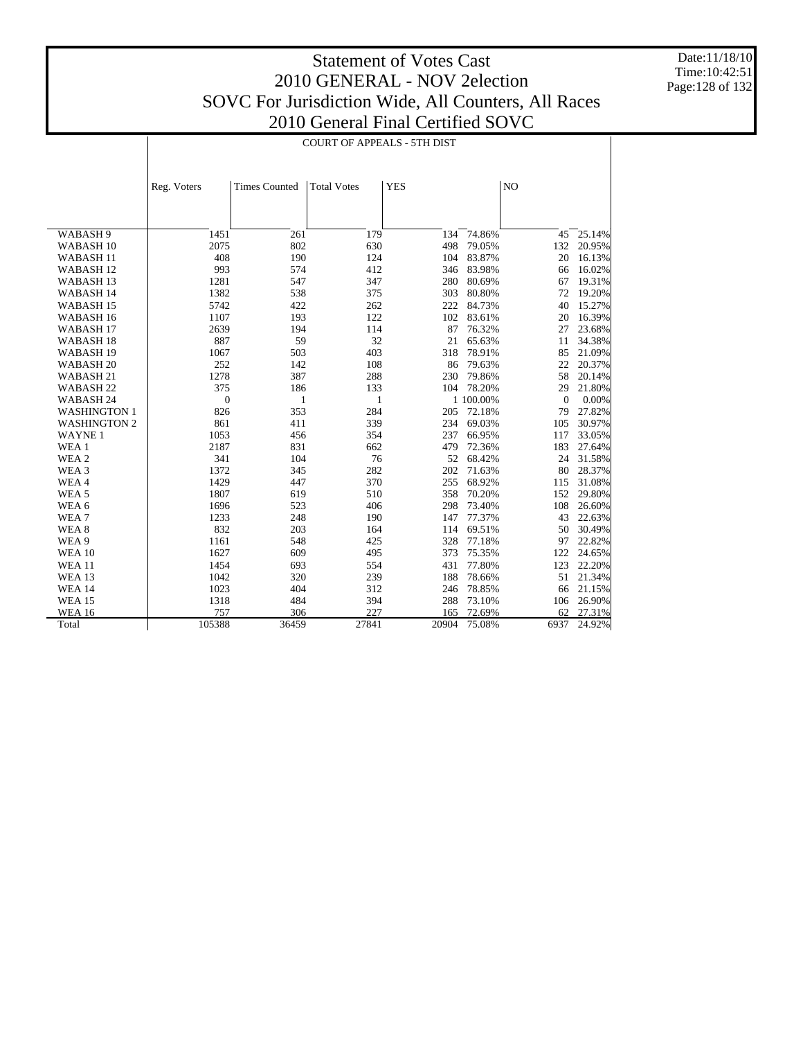Date:11/18/10 Time:10:42:51 Page:128 of 132

|                      |              | <b>COURT OF APPEALS - 5TH DIST</b> |                    |            |           |              |        |  |  |
|----------------------|--------------|------------------------------------|--------------------|------------|-----------|--------------|--------|--|--|
|                      | Reg. Voters  | <b>Times Counted</b>               | <b>Total Votes</b> | <b>YES</b> |           | NO           |        |  |  |
|                      |              |                                    |                    |            |           |              |        |  |  |
|                      |              |                                    |                    |            |           |              |        |  |  |
| WABASH 9             | 1451         | 261                                | 179                | 134        | 74.86%    | 45           | 25.14% |  |  |
| WABASH <sub>10</sub> | 2075         | 802                                | 630                | 498        | 79.05%    | 132          | 20.95% |  |  |
| WABASH <sub>11</sub> | 408          | 190                                | 124                | 104        | 83.87%    | 20           | 16.13% |  |  |
| WABASH <sub>12</sub> | 993          | 574                                | 412                | 346        | 83.98%    | 66           | 16.02% |  |  |
| WABASH <sub>13</sub> | 1281         | 547                                | 347                | 280        | 80.69%    | 67           | 19.31% |  |  |
| WABASH 14            | 1382         | 538                                | 375                | 303        | 80.80%    | 72           | 19.20% |  |  |
| WABASH <sub>15</sub> | 5742         | 422                                | 262                | 222        | 84.73%    | 40           | 15.27% |  |  |
| WABASH 16            | 1107         | 193                                | 122                | 102        | 83.61%    | 20           | 16.39% |  |  |
| WABASH <sub>17</sub> | 2639         | 194                                | 114                | 87         | 76.32%    | 27           | 23.68% |  |  |
| WABASH <sub>18</sub> | 887          | 59                                 | 32                 | 21         | 65.63%    | 11           | 34.38% |  |  |
| WABASH <sub>19</sub> | 1067         | 503                                | 403                | 318        | 78.91%    | 85           | 21.09% |  |  |
| WABASH <sub>20</sub> | 252          | 142                                | 108                | 86         | 79.63%    | 22           | 20.37% |  |  |
| WABASH <sub>21</sub> | 1278         | 387                                | 288                | 230        | 79.86%    | 58           | 20.14% |  |  |
| WABASH <sub>22</sub> | 375          | 186                                | 133                | 104        | 78.20%    | 29           | 21.80% |  |  |
| WABASH <sub>24</sub> | $\mathbf{0}$ | $\mathbf{1}$                       | 1                  |            | 1 100.00% | $\mathbf{0}$ | 0.00%  |  |  |
| <b>WASHINGTON 1</b>  | 826          | 353                                | 284                | 205        | 72.18%    | 79           | 27.82% |  |  |
| <b>WASHINGTON 2</b>  | 861          | 411                                | 339                | 234        | 69.03%    | 105          | 30.97% |  |  |
| <b>WAYNE1</b>        | 1053         | 456                                | 354                | 237        | 66.95%    | 117          | 33.05% |  |  |
| WEA 1                | 2187         | 831                                | 662                | 479        | 72.36%    | 183          | 27.64% |  |  |
| WEA 2                | 341          | 104                                | 76                 | 52         | 68.42%    | 24           | 31.58% |  |  |
| WEA 3                | 1372         | 345                                | 282                | 202        | 71.63%    | 80           | 28.37% |  |  |
| WEA4                 | 1429         | 447                                | 370                | 255        | 68.92%    | 115          | 31.08% |  |  |
| WEA <sub>5</sub>     | 1807         | 619                                | 510                | 358        | 70.20%    | 152          | 29.80% |  |  |
| WEA 6                | 1696         | 523                                | 406                | 298        | 73.40%    | 108          | 26.60% |  |  |
| WEA7                 | 1233         | 248                                | 190                | 147        | 77.37%    | 43           | 22.63% |  |  |
| WEA <sub>8</sub>     | 832          | 203                                | 164                | 114        | 69.51%    | 50           | 30.49% |  |  |
| WEA 9                | 1161         | 548                                | 425                | 328        | 77.18%    | 97           | 22.82% |  |  |
| <b>WEA 10</b>        | 1627         | 609                                | 495                | 373        | 75.35%    | 122          | 24.65% |  |  |
| <b>WEA 11</b>        | 1454         | 693                                | 554                | 431        | 77.80%    | 123          | 22.20% |  |  |
| <b>WEA 13</b>        | 1042         | 320                                | 239                | 188        | 78.66%    | 51           | 21.34% |  |  |
| <b>WEA 14</b>        | 1023         | 404                                | 312                | 246        | 78.85%    | 66           | 21.15% |  |  |
| <b>WEA 15</b>        | 1318         | 484                                | 394                | 288        | 73.10%    | 106          | 26.90% |  |  |
| <b>WEA 16</b>        | 757          | 306                                | 227                | 165        | 72.69%    | 62           | 27.31% |  |  |
| Total                | 105388       | 36459                              | 27841              | 20904      | 75.08%    | 6937         | 24.92% |  |  |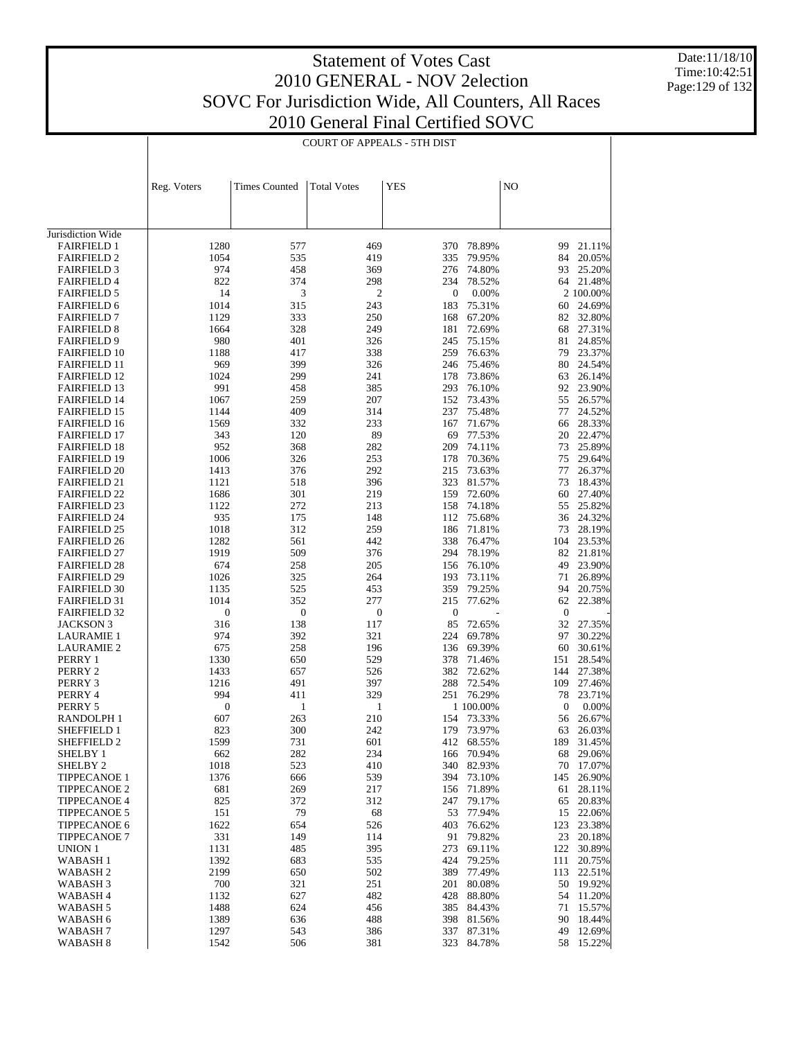Date:11/18/10 Time:10:42:51 Page:129 of 132

|                                            |                         | <b>COURT OF APPEALS - 5TH DIST</b> |                         |                    |                  |                        |                  |  |  |
|--------------------------------------------|-------------------------|------------------------------------|-------------------------|--------------------|------------------|------------------------|------------------|--|--|
|                                            |                         |                                    |                         |                    |                  |                        |                  |  |  |
|                                            | Reg. Voters             | <b>Times Counted</b>               | <b>Total Votes</b>      | <b>YES</b>         |                  | NO                     |                  |  |  |
|                                            |                         |                                    |                         |                    |                  |                        |                  |  |  |
| Jurisdiction Wide                          |                         |                                    |                         |                    |                  |                        |                  |  |  |
| <b>FAIRFIELD 1</b>                         | 1280                    | 577                                | 469                     | 370                | 78.89%           | 99                     | 21.11%           |  |  |
| <b>FAIRFIELD 2</b>                         | 1054                    | 535                                | 419                     | 335                | 79.95%           | 84                     | 20.05%           |  |  |
| <b>FAIRFIELD 3</b>                         | 974                     | 458                                | 369                     | 276                | 74.80%           | 93                     | 25.20%           |  |  |
| <b>FAIRFIELD 4</b>                         | 822                     | 374                                | 298                     | 234                | 78.52%           |                        | 64 21.48%        |  |  |
| <b>FAIRFIELD 5</b>                         | 14                      | 3                                  | 2                       | $\boldsymbol{0}$   | 0.00%            |                        | 2 100.00%        |  |  |
| <b>FAIRFIELD 6</b>                         | 1014                    | 315                                | 243                     | 183                | 75.31%           | 60                     | 24.69%           |  |  |
| <b>FAIRFIELD 7</b><br><b>FAIRFIELD 8</b>   | 1129<br>1664            | 333<br>328                         | 250<br>249              | 168<br>181         | 67.20%<br>72.69% | 82<br>68               | 32.80%<br>27.31% |  |  |
| <b>FAIRFIELD 9</b>                         | 980                     | 401                                | 326                     | 245                | 75.15%           | 81                     | 24.85%           |  |  |
| <b>FAIRFIELD 10</b>                        | 1188                    | 417                                | 338                     | 259                | 76.63%           | 79                     | 23.37%           |  |  |
| <b>FAIRFIELD 11</b>                        | 969                     | 399                                | 326                     | 246                | 75.46%           | 80                     | 24.54%           |  |  |
| <b>FAIRFIELD 12</b>                        | 1024                    | 299                                | 241                     | 178                | 73.86%           | 63                     | 26.14%           |  |  |
| <b>FAIRFIELD 13</b>                        | 991                     | 458                                | 385                     | 293                | 76.10%           | 92                     | 23.90%           |  |  |
| <b>FAIRFIELD 14</b>                        | 1067                    | 259                                | 207                     | 152                | 73.43%           | 55                     | 26.57%           |  |  |
| <b>FAIRFIELD 15</b>                        | 1144                    | 409                                | 314                     | 237                | 75.48%           | 77                     | 24.52%           |  |  |
| <b>FAIRFIELD 16</b>                        | 1569                    | 332                                | 233                     | 167                | 71.67%           | 66                     | 28.33%           |  |  |
| <b>FAIRFIELD 17</b>                        | 343                     | 120                                | 89                      | 69                 | 77.53%           | 20                     | 22.47%           |  |  |
| <b>FAIRFIELD 18</b>                        | 952                     | 368                                | 282                     | 209                | 74.11%           | 73                     | 25.89%           |  |  |
| <b>FAIRFIELD 19</b>                        | 1006                    | 326                                | 253                     | 178                | 70.36%           | 75                     | 29.64%           |  |  |
| <b>FAIRFIELD 20</b><br><b>FAIRFIELD 21</b> | 1413<br>1121            | 376<br>518                         | 292<br>396              | 215<br>323         | 73.63%<br>81.57% | 77<br>73               | 26.37%<br>18.43% |  |  |
| <b>FAIRFIELD 22</b>                        | 1686                    | 301                                | 219                     | 159                | 72.60%           | 60                     | 27.40%           |  |  |
| <b>FAIRFIELD 23</b>                        | 1122                    | 272                                | 213                     | 158                | 74.18%           | 55                     | 25.82%           |  |  |
| <b>FAIRFIELD 24</b>                        | 935                     | 175                                | 148                     | 112                | 75.68%           | 36                     | 24.32%           |  |  |
| <b>FAIRFIELD 25</b>                        | 1018                    | 312                                | 259                     | 186                | 71.81%           | 73                     | 28.19%           |  |  |
| <b>FAIRFIELD 26</b>                        | 1282                    | 561                                | 442                     | 338                | 76.47%           | 104                    | 23.53%           |  |  |
| <b>FAIRFIELD 27</b>                        | 1919                    | 509                                | 376                     | 294                | 78.19%           | 82                     | 21.81%           |  |  |
| <b>FAIRFIELD 28</b>                        | 674                     | 258                                | 205                     | 156                | 76.10%           | 49                     | 23.90%           |  |  |
| <b>FAIRFIELD 29</b>                        | 1026                    | 325                                | 264                     | 193                | 73.11%           | 71                     | 26.89%           |  |  |
| <b>FAIRFIELD 30</b>                        | 1135                    | 525                                | 453                     | 359                | 79.25%           | 94                     | 20.75%           |  |  |
| <b>FAIRFIELD 31</b>                        | 1014                    | 352                                | 277                     | 215                | 77.62%           | 62                     | 22.38%           |  |  |
| <b>FAIRFIELD 32</b>                        | $\boldsymbol{0}$<br>316 | $\boldsymbol{0}$                   | $\boldsymbol{0}$<br>117 | $\mathbf{0}$<br>85 |                  | $\boldsymbol{0}$<br>32 |                  |  |  |
| JACKSON 3<br><b>LAURAMIE 1</b>             | 974                     | 138<br>392                         | 321                     | 224                | 72.65%<br>69.78% | 97                     | 27.35%<br>30.22% |  |  |
| <b>LAURAMIE 2</b>                          | 675                     | 258                                | 196                     | 136                | 69.39%           | 60                     | 30.61%           |  |  |
| PERRY 1                                    | 1330                    | 650                                | 529                     | 378                | 71.46%           | 151                    | 28.54%           |  |  |
| PERRY 2                                    | 1433                    | 657                                | 526                     | 382                | 72.62%           | 144                    | 27.38%           |  |  |
| PERRY 3                                    | 1216                    | 491                                | 397                     | 288                | 72.54%           | 109                    | 27.46%           |  |  |
| PERRY 4                                    | 994                     | 411                                | 329                     | 251                | 76.29%           | 78                     | 23.71%           |  |  |
| PERRY 5                                    | $\boldsymbol{0}$        | 1                                  | 1                       |                    | 1 100.00%        | $\boldsymbol{0}$       | $0.00\%$         |  |  |
| RANDOLPH 1                                 | 607                     | 263                                | 210                     |                    | 154 73.33%       |                        | 56 26.67%        |  |  |
| <b>SHEFFIELD 1</b>                         | 823                     | 300                                | 242                     |                    | 179 73.97%       |                        | 63 26.03%        |  |  |
| SHEFFIELD 2                                | 1599                    | 731                                | 601                     | 412                | 68.55%           | 189                    | 31.45%           |  |  |
| SHELBY 1<br>SHELBY <sub>2</sub>            | 662<br>1018             | 282<br>523                         | 234<br>410              | 166<br>340         | 70.94%<br>82.93% | 68<br>70               | 29.06%<br>17.07% |  |  |
| <b>TIPPECANOE 1</b>                        | 1376                    | 666                                | 539                     | 394                | 73.10%           | 145                    | 26.90%           |  |  |
| TIPPECANOE 2                               | 681                     | 269                                | 217                     | 156                | 71.89%           | 61                     | 28.11%           |  |  |
| <b>TIPPECANOE 4</b>                        | 825                     | 372                                | 312                     | 247                | 79.17%           | 65                     | 20.83%           |  |  |
| <b>TIPPECANOE 5</b>                        | 151                     | 79                                 | 68                      | 53                 | 77.94%           | 15                     | 22.06%           |  |  |
| TIPPECANOE 6                               | 1622                    | 654                                | 526                     | 403                | 76.62%           | 123                    | 23.38%           |  |  |
| <b>TIPPECANOE 7</b>                        | 331                     | 149                                | 114                     | 91                 | 79.82%           | 23                     | 20.18%           |  |  |
| UNION 1                                    | 1131                    | 485                                | 395                     | 273                | 69.11%           | 122                    | 30.89%           |  |  |
| <b>WABASH1</b>                             | 1392                    | 683                                | 535                     | 424                | 79.25%           | 111                    | 20.75%           |  |  |
| WABASH <sub>2</sub>                        | 2199                    | 650                                | 502                     | 389                | 77.49%           | 113                    | 22.51%           |  |  |
| WABASH <sub>3</sub>                        | 700                     | 321                                | 251                     | 201                | 80.08%           |                        | 50 19.92%        |  |  |
| WABASH 4                                   | 1132                    | 627                                | 482                     | 428                | 88.80%           | 54                     | 11.20%           |  |  |
| WABASH 5                                   | 1488                    | 624                                | 456                     | 385                | 84.43%           | 71                     | 15.57%           |  |  |
| WABASH 6<br>WABASH 7                       | 1389<br>1297            | 636<br>543                         | 488<br>386              | 398<br>337         | 81.56%<br>87.31% | 90<br>49               | 18.44%<br>12.69% |  |  |
| WABASH 8                                   | 1542                    | 506                                | 381                     |                    | 323 84.78%       |                        | 58 15.22%        |  |  |
|                                            |                         |                                    |                         |                    |                  |                        |                  |  |  |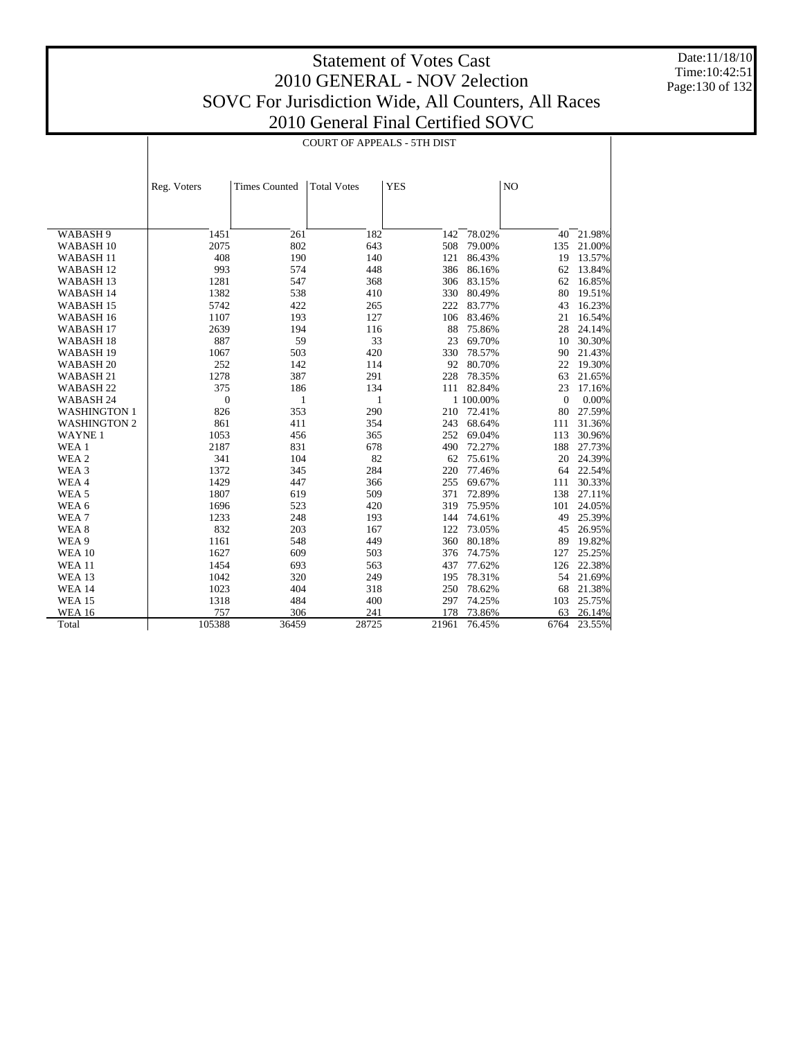Date:11/18/10 Time:10:42:51 Page:130 of 132

|                      |                  |                      | <b>COURT OF APPEALS - 5TH DIST</b> |            |           |                |        |
|----------------------|------------------|----------------------|------------------------------------|------------|-----------|----------------|--------|
|                      |                  |                      |                                    |            |           |                |        |
|                      |                  |                      |                                    |            |           |                |        |
|                      | Reg. Voters      | <b>Times Counted</b> | <b>Total Votes</b>                 | <b>YES</b> |           | N <sub>O</sub> |        |
|                      |                  |                      |                                    |            |           |                |        |
|                      |                  |                      |                                    |            |           |                |        |
|                      |                  |                      |                                    |            |           |                |        |
| WABASH 9             | 1451             | 261                  | 182                                | 142        | 78.02%    | 40             | 21.98% |
| WABASH <sub>10</sub> | 2075             | 802                  | 643                                | 508        | 79.00%    | 135            | 21.00% |
| WABASH <sub>11</sub> | 408              | 190                  | 140                                | 121        | 86.43%    | 19             | 13.57% |
| WABASH <sub>12</sub> | 993              | 574                  | 448                                | 386        | 86.16%    | 62             | 13.84% |
| WABASH <sub>13</sub> | 1281             | 547                  | 368                                | 306        | 83.15%    | 62             | 16.85% |
| WABASH 14            | 1382             | 538                  | 410                                | 330        | 80.49%    | 80             | 19.51% |
| WABASH <sub>15</sub> | 5742             | 422                  | 265                                | 222        | 83.77%    | 43             | 16.23% |
| WABASH <sub>16</sub> | 1107             | 193                  | 127                                | 106        | 83.46%    | 21             | 16.54% |
| WABASH <sub>17</sub> | 2639             | 194                  | 116                                | 88         | 75.86%    | 28             | 24.14% |
| WABASH <sub>18</sub> | 887              | 59                   | 33                                 | 23         | 69.70%    | 10             | 30.30% |
| WABASH <sub>19</sub> | 1067             | 503                  | 420                                | 330        | 78.57%    | 90             | 21.43% |
| WABASH <sub>20</sub> | 252              | 142                  | 114                                | 92         | 80.70%    | 22             | 19.30% |
| WABASH <sub>21</sub> | 1278             | 387                  | 291                                | 228        | 78.35%    | 63             | 21.65% |
| WABASH <sub>22</sub> | 375              | 186                  | 134                                | 111        | 82.84%    | 23             | 17.16% |
| WABASH 24            | $\boldsymbol{0}$ | 1                    | 1                                  |            | 1 100.00% | $\mathbf{0}$   | 0.00%  |
| <b>WASHINGTON 1</b>  | 826              | 353                  | 290                                | 210        | 72.41%    | 80             | 27.59% |
| <b>WASHINGTON 2</b>  | 861              | 411                  | 354                                | 243        | 68.64%    | 111            | 31.36% |
| <b>WAYNE1</b>        | 1053             | 456                  | 365                                | 252        | 69.04%    | 113            | 30.96% |
| WEA 1                | 2187             | 831                  | 678                                | 490        | 72.27%    | 188            | 27.73% |
| WEA 2                | 341              | 104                  | 82                                 | 62         | 75.61%    | 20             | 24.39% |
| WEA 3                | 1372             | 345                  | 284                                | 220        | 77.46%    | 64             | 22.54% |
| WEA4                 | 1429             | 447                  | 366                                | 255        | 69.67%    | 111            | 30.33% |
| WEA <sub>5</sub>     | 1807             | 619                  | 509                                | 371        | 72.89%    | 138            | 27.11% |
| WEA 6                | 1696             | 523                  | 420                                | 319        | 75.95%    | 101            | 24.05% |
| WEA7                 | 1233             | 248                  | 193                                | 144        | 74.61%    | 49             | 25.39% |
| WEA 8                | 832              | 203                  | 167                                | 122        | 73.05%    | 45             | 26.95% |
| WEA 9                | 1161             | 548                  | 449                                | 360        | 80.18%    | 89             | 19.82% |
| <b>WEA 10</b>        | 1627             | 609                  | 503                                | 376        | 74.75%    | 127            | 25.25% |
| <b>WEA11</b>         | 1454             | 693                  | 563                                | 437        | 77.62%    | 126            | 22.38% |
|                      |                  |                      |                                    |            |           |                |        |
| <b>WEA 13</b>        | 1042             | 320                  | 249                                | 195        | 78.31%    | 54             | 21.69% |
| <b>WEA 14</b>        | 1023             | 404                  | 318                                | 250        | 78.62%    | 68             | 21.38% |
| <b>WEA 15</b>        | 1318             | 484                  | 400                                | 297        | 74.25%    | 103            | 25.75% |
| <b>WEA 16</b>        | 757              | 306                  | 241                                | 178        | 73.86%    | 63             | 26.14% |
| Total                | 105388           | 36459                | 28725                              | 21961      | 76.45%    | 6764           | 23.55% |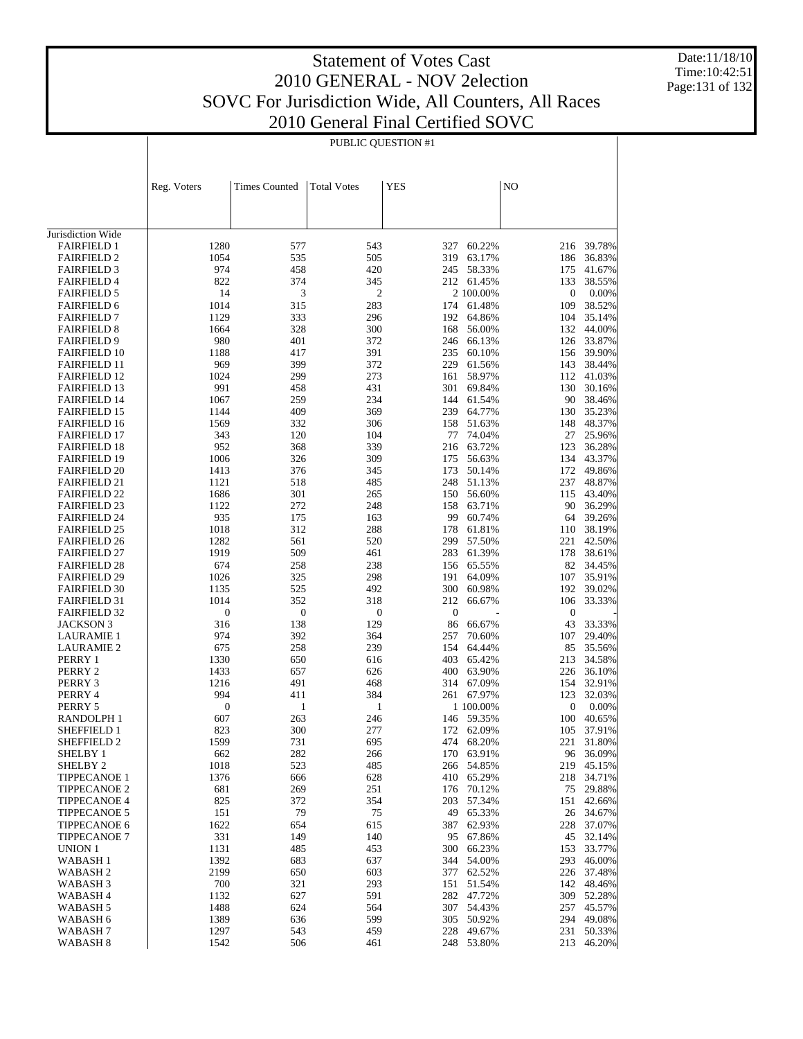Date:11/18/10 Time:10:42:51 Page:131 of 132

|                                            |                  | PUBLIC QUESTION #1   |                    |              |                  |                  |                          |  |  |
|--------------------------------------------|------------------|----------------------|--------------------|--------------|------------------|------------------|--------------------------|--|--|
|                                            |                  |                      |                    |              |                  |                  |                          |  |  |
|                                            | Reg. Voters      | <b>Times Counted</b> | <b>Total Votes</b> | <b>YES</b>   |                  | NO               |                          |  |  |
|                                            |                  |                      |                    |              |                  |                  |                          |  |  |
| Jurisdiction Wide                          |                  |                      |                    |              |                  |                  |                          |  |  |
| <b>FAIRFIELD 1</b>                         | 1280             | 577                  | 543                | 327          | 60.22%           | 216              | 39.78%                   |  |  |
| <b>FAIRFIELD 2</b>                         | 1054             | 535                  | 505                | 319          | 63.17%           | 186              | 36.83%                   |  |  |
| <b>FAIRFIELD 3</b>                         | 974              | 458                  | 420                | 245          | 58.33%           | 175              | 41.67%                   |  |  |
| <b>FAIRFIELD 4</b>                         | 822              | 374                  | 345                |              | 212 61.45%       | 133              | 38.55%                   |  |  |
| <b>FAIRFIELD 5</b>                         | 14               | 3                    | $\boldsymbol{2}$   |              | 2 100.00%        | $\boldsymbol{0}$ | 0.00%                    |  |  |
| <b>FAIRFIELD 6</b><br><b>FAIRFIELD 7</b>   | 1014<br>1129     | 315<br>333           | 283<br>296         | 174<br>192   | 61.48%<br>64.86% | 109<br>104       | 38.52%<br>35.14%         |  |  |
| <b>FAIRFIELD 8</b>                         | 1664             | 328                  | 300                | 168          | 56.00%           | 132              | 44.00%                   |  |  |
| <b>FAIRFIELD 9</b>                         | 980              | 401                  | 372                | 246          | 66.13%           | 126              | 33.87%                   |  |  |
| <b>FAIRFIELD 10</b>                        | 1188             | 417                  | 391                | 235          | 60.10%           |                  | 156 39.90%               |  |  |
| <b>FAIRFIELD 11</b>                        | 969              | 399                  | 372                | 229          | 61.56%           | 143              | 38.44%                   |  |  |
| <b>FAIRFIELD 12</b>                        | 1024             | 299                  | 273                | 161          | 58.97%           | 112              | 41.03%                   |  |  |
| <b>FAIRFIELD 13</b><br><b>FAIRFIELD 14</b> | 991<br>1067      | 458<br>259           | 431<br>234         | 301<br>144   | 69.84%<br>61.54% | 130<br>90        | 30.16%<br>38.46%         |  |  |
| <b>FAIRFIELD 15</b>                        | 1144             | 409                  | 369                | 239          | 64.77%           | 130              | 35.23%                   |  |  |
| <b>FAIRFIELD 16</b>                        | 1569             | 332                  | 306                | 158          | 51.63%           | 148              | 48.37%                   |  |  |
| <b>FAIRFIELD 17</b>                        | 343              | 120                  | 104                | 77           | 74.04%           | 27               | 25.96%                   |  |  |
| <b>FAIRFIELD 18</b>                        | 952              | 368                  | 339                | 216          | 63.72%           | 123              | 36.28%                   |  |  |
| <b>FAIRFIELD 19</b>                        | 1006             | 326                  | 309                | 175          | 56.63%           | 134              | 43.37%                   |  |  |
| <b>FAIRFIELD 20</b>                        | 1413             | 376                  | 345                | 173          | 50.14%           | 172              | 49.86%                   |  |  |
| <b>FAIRFIELD 21</b><br><b>FAIRFIELD 22</b> | 1121<br>1686     | 518<br>301           | 485<br>265         | 248<br>150   | 51.13%<br>56.60% | 237<br>115       | 48.87%<br>43.40%         |  |  |
| <b>FAIRFIELD 23</b>                        | 1122             | 272                  | 248                | 158          | 63.71%           | 90               | 36.29%                   |  |  |
| <b>FAIRFIELD 24</b>                        | 935              | 175                  | 163                | 99           | 60.74%           | 64               | 39.26%                   |  |  |
| <b>FAIRFIELD 25</b>                        | 1018             | 312                  | 288                | 178          | 61.81%           | 110              | 38.19%                   |  |  |
| <b>FAIRFIELD 26</b>                        | 1282             | 561                  | 520                | 299          | 57.50%           | 221              | 42.50%                   |  |  |
| <b>FAIRFIELD 27</b>                        | 1919             | 509                  | 461                | 283          | 61.39%           | 178              | 38.61%                   |  |  |
| <b>FAIRFIELD 28</b>                        | 674              | 258                  | 238                | 156          | 65.55%           | 82               | 34.45%                   |  |  |
| <b>FAIRFIELD 29</b><br><b>FAIRFIELD 30</b> | 1026<br>1135     | 325<br>525           | 298<br>492         | 191<br>300   | 64.09%<br>60.98% | 107<br>192       | 35.91%<br>39.02%         |  |  |
| <b>FAIRFIELD 31</b>                        | 1014             | 352                  | 318                | 212          | 66.67%           | 106              | 33.33%                   |  |  |
| <b>FAIRFIELD 32</b>                        | $\boldsymbol{0}$ | $\boldsymbol{0}$     | $\boldsymbol{0}$   | $\mathbf{0}$ |                  | $\boldsymbol{0}$ |                          |  |  |
| JACKSON 3                                  | 316              | 138                  | 129                | 86           | 66.67%           | 43               | 33.33%                   |  |  |
| <b>LAURAMIE 1</b>                          | 974              | 392                  | 364                | 257          | 70.60%           | 107              | 29.40%                   |  |  |
| <b>LAURAMIE 2</b>                          | 675              | 258                  | 239                | 154          | 64.44%           | 85               | 35.56%                   |  |  |
| PERRY 1                                    | 1330             | 650                  | 616                | 403          | 65.42%           | 213              | 34.58%                   |  |  |
| PERRY 2<br>PERRY 3                         | 1433<br>1216     | 657<br>491           | 626<br>468         | 400<br>314   | 63.90%<br>67.09% | 226<br>154       | 36.10%<br>32.91%         |  |  |
| PERRY 4                                    | 994              | 411                  | 384                | 261          | 67.97%           | 123              | 32.03%                   |  |  |
| PERRY 5                                    | $\boldsymbol{0}$ | 1                    | 1                  |              | 1 100.00%        | $\boldsymbol{0}$ | 0.00%                    |  |  |
| <b>RANDOLPH1</b>                           | 607              | 263                  | 246                | 146          | 59.35%           | 100              | 40.65%                   |  |  |
| SHEFFIELD 1                                | 823              | 300                  | 277                |              | 172 62.09%       | 105              | 37.91%                   |  |  |
| SHEFFIELD 2                                | 1599             | 731                  | 695                |              | 474 68.20%       | 221              | 31.80%                   |  |  |
| SHELBY 1                                   | 662              | 282                  | 266                | 170          | 63.91%           | 96               | 36.09%                   |  |  |
| SHELBY <sub>2</sub><br><b>TIPPECANOE 1</b> | 1018<br>1376     | 523<br>666           | 485<br>628         | 266<br>410   | 54.85%<br>65.29% |                  | 219 45.15%<br>218 34.71% |  |  |
| <b>TIPPECANOE 2</b>                        | 681              | 269                  | 251                | 176          | 70.12%           | 75               | 29.88%                   |  |  |
| <b>TIPPECANOE 4</b>                        | 825              | 372                  | 354                | 203          | 57.34%           | 151              | 42.66%                   |  |  |
| <b>TIPPECANOE 5</b>                        | 151              | 79                   | 75                 | 49           | 65.33%           |                  | 26 34.67%                |  |  |
| <b>TIPPECANOE 6</b>                        | 1622             | 654                  | 615                | 387          | 62.93%           | 228              | 37.07%                   |  |  |
| <b>TIPPECANOE 7</b>                        | 331              | 149                  | 140                | 95           | 67.86%           | 45               | 32.14%                   |  |  |
| UNION 1                                    | 1131             | 485                  | 453                | 300          | 66.23%           | 153              | 33.77%                   |  |  |
| WABASH 1<br>WABASH 2                       | 1392<br>2199     | 683<br>650           | 637<br>603         | 344<br>377   | 54.00%<br>62.52% | 293              | 46.00%<br>226 37.48%     |  |  |
| WABASH 3                                   | 700              | 321                  | 293                | 151          | 51.54%           | 142              | 48.46%                   |  |  |
| WABASH 4                                   | 1132             | 627                  | 591                | 282          | 47.72%           | 309              | 52.28%                   |  |  |
| WABASH 5                                   | 1488             | 624                  | 564                | 307          | 54.43%           | 257              | 45.57%                   |  |  |
| WABASH 6                                   | 1389             | 636                  | 599                | 305          | 50.92%           | 294              | 49.08%                   |  |  |
| WABASH 7                                   | 1297             | 543                  | 459                | 228          | 49.67%           | 231              | 50.33%                   |  |  |
| WABASH 8                                   | 1542             | 506                  | 461                | 248          | 53.80%           | 213              | 46.20%                   |  |  |